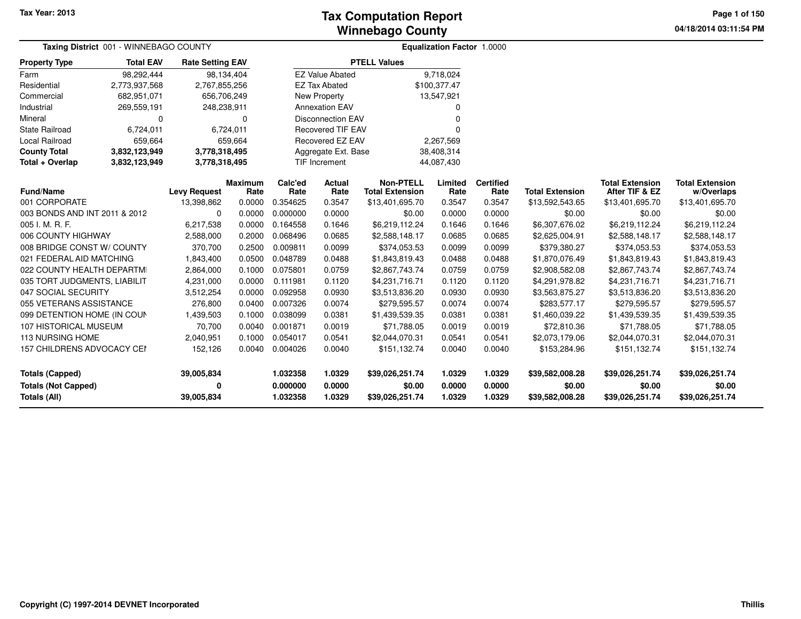**04/18/2014 03:11:54 PMPage 1 of 150**

|                                                      | Taxing District 001 - WINNEBAGO COUNTY |                         |                        |                      |                          |                                            | Equalization Factor 1.0000 |                          |                           |                                          |                                      |  |  |
|------------------------------------------------------|----------------------------------------|-------------------------|------------------------|----------------------|--------------------------|--------------------------------------------|----------------------------|--------------------------|---------------------------|------------------------------------------|--------------------------------------|--|--|
| <b>Property Type</b>                                 | <b>Total EAV</b>                       | <b>Rate Setting EAV</b> |                        |                      |                          | <b>PTELL Values</b>                        |                            |                          |                           |                                          |                                      |  |  |
| Farm                                                 | 98,292,444                             |                         | 98,134,404             |                      | <b>EZ Value Abated</b>   |                                            | 9,718,024                  |                          |                           |                                          |                                      |  |  |
| Residential                                          | 2,773,937,568                          | 2,767,855,256           |                        |                      | <b>EZ Tax Abated</b>     |                                            | \$100,377.47               |                          |                           |                                          |                                      |  |  |
| Commercial                                           | 682,951,071                            | 656,706,249             |                        |                      | <b>New Property</b>      |                                            | 13,547,921                 |                          |                           |                                          |                                      |  |  |
| Industrial                                           | 269,559,191                            | 248,238,911             |                        |                      | <b>Annexation EAV</b>    |                                            | 0                          |                          |                           |                                          |                                      |  |  |
| Mineral                                              | 0                                      |                         | $\Omega$               |                      | <b>Disconnection EAV</b> |                                            | 0                          |                          |                           |                                          |                                      |  |  |
| State Railroad                                       | 6,724,011                              |                         | 6,724,011              |                      | <b>Recovered TIF EAV</b> |                                            | 0                          |                          |                           |                                          |                                      |  |  |
| <b>Local Railroad</b>                                | 659,664                                |                         | 659,664                |                      | <b>Recovered EZ EAV</b>  |                                            | 2,267,569                  |                          |                           |                                          |                                      |  |  |
| <b>County Total</b>                                  | 3,832,123,949                          | 3,778,318,495           |                        |                      | Aggregate Ext. Base      |                                            | 38,408,314                 |                          |                           |                                          |                                      |  |  |
| Total + Overlap                                      | 3,832,123,949                          | 3,778,318,495           |                        |                      | <b>TIF Increment</b>     |                                            | 44,087,430                 |                          |                           |                                          |                                      |  |  |
| <b>Fund/Name</b>                                     |                                        | <b>Levy Request</b>     | <b>Maximum</b><br>Rate | Calc'ed<br>Rate      | <b>Actual</b><br>Rate    | <b>Non-PTELL</b><br><b>Total Extension</b> | Limited<br>Rate            | <b>Certified</b><br>Rate | <b>Total Extension</b>    | <b>Total Extension</b><br>After TIF & EZ | <b>Total Extension</b><br>w/Overlaps |  |  |
| 001 CORPORATE                                        |                                        | 13,398,862              | 0.0000                 | 0.354625             | 0.3547                   | \$13,401,695.70                            | 0.3547                     | 0.3547                   | \$13,592,543.65           | \$13,401,695.70                          | \$13,401,695.70                      |  |  |
|                                                      |                                        | $\Omega$                | 0.0000                 | 0.000000             | 0.0000                   | \$0.00                                     | 0.0000                     | 0.0000                   | \$0.00                    | \$0.00                                   | \$0.00                               |  |  |
| 003 BONDS AND INT 2011 & 2012<br>005 I. M. R. F.     |                                        | 6,217,538               | 0.0000                 | 0.164558             | 0.1646                   | \$6,219,112.24                             | 0.1646                     | 0.1646                   | \$6,307,676.02            | \$6,219,112.24                           | \$6,219,112.24                       |  |  |
|                                                      |                                        | 2,588,000               | 0.2000                 | 0.068496             | 0.0685                   | \$2,588,148.17                             | 0.0685                     | 0.0685                   | \$2,625,004.91            | \$2,588,148.17                           | \$2,588,148.17                       |  |  |
| 006 COUNTY HIGHWAY<br>008 BRIDGE CONST W/ COUNTY     |                                        | 370,700                 | 0.2500                 | 0.009811             | 0.0099                   | \$374,053.53                               | 0.0099                     | 0.0099                   | \$379,380.27              | \$374,053.53                             | \$374,053.53                         |  |  |
| 021 FEDERAL AID MATCHING                             |                                        | 1,843,400               | 0.0500                 | 0.048789             | 0.0488                   | \$1,843,819.43                             | 0.0488                     | 0.0488                   | \$1,870,076.49            | \$1,843,819.43                           | \$1,843,819.43                       |  |  |
| 022 COUNTY HEALTH DEPARTMI                           |                                        | 2,864,000               | 0.1000                 | 0.075801             | 0.0759                   | \$2,867,743.74                             | 0.0759                     | 0.0759                   | \$2,908,582.08            | \$2,867,743.74                           | \$2,867,743.74                       |  |  |
| 035 TORT JUDGMENTS, LIABILIT                         |                                        | 4,231,000               | 0.0000                 | 0.111981             | 0.1120                   | \$4,231,716.71                             | 0.1120                     | 0.1120                   | \$4,291,978.82            | \$4,231,716.71                           | \$4,231,716.71                       |  |  |
| 047 SOCIAL SECURITY                                  |                                        | 3,512,254               | 0.0000                 | 0.092958             | 0.0930                   | \$3,513,836.20                             | 0.0930                     | 0.0930                   | \$3,563,875.27            | \$3,513,836.20                           | \$3,513,836.20                       |  |  |
| 055 VETERANS ASSISTANCE                              |                                        | 276,800                 | 0.0400                 | 0.007326             | 0.0074                   | \$279,595.57                               | 0.0074                     | 0.0074                   | \$283,577.17              | \$279,595.57                             | \$279,595.57                         |  |  |
| 099 DETENTION HOME (IN COUN                          |                                        | 1,439,503               | 0.1000                 | 0.038099             | 0.0381                   | \$1,439,539.35                             | 0.0381                     | 0.0381                   | \$1,460,039.22            | \$1,439,539.35                           | \$1,439,539.35                       |  |  |
| 107 HISTORICAL MUSEUM                                |                                        | 70,700                  | 0.0040                 | 0.001871             | 0.0019                   | \$71,788.05                                | 0.0019                     | 0.0019                   | \$72,810.36               | \$71,788.05                              | \$71,788.05                          |  |  |
| <b>113 NURSING HOME</b>                              |                                        | 2,040,951               | 0.1000                 | 0.054017             | 0.0541                   | \$2,044,070.31                             | 0.0541                     | 0.0541                   | \$2,073,179.06            | \$2,044,070.31                           | \$2,044,070.31                       |  |  |
| 157 CHILDRENS ADVOCACY CEN                           |                                        | 152,126                 | 0.0040                 | 0.004026             | 0.0040                   | \$151,132.74                               | 0.0040                     | 0.0040                   | \$153,284.96              | \$151,132.74                             | \$151,132.74                         |  |  |
| <b>Totals (Capped)</b><br><b>Totals (Not Capped)</b> |                                        | 39,005,834<br>0         |                        | 1.032358<br>0.000000 | 1.0329<br>0.0000         | \$39,026,251.74<br>\$0.00                  | 1.0329<br>0.0000           | 1.0329<br>0.0000         | \$39,582,008.28<br>\$0.00 | \$39,026,251.74<br>\$0.00                | \$39,026,251.74<br>\$0.00            |  |  |
| Totals (All)                                         |                                        | 39,005,834              |                        | 1.032358             | 1.0329                   | \$39,026,251.74                            | 1.0329                     | 1.0329                   | \$39,582,008.28           | \$39,026,251.74                          | \$39,026,251.74                      |  |  |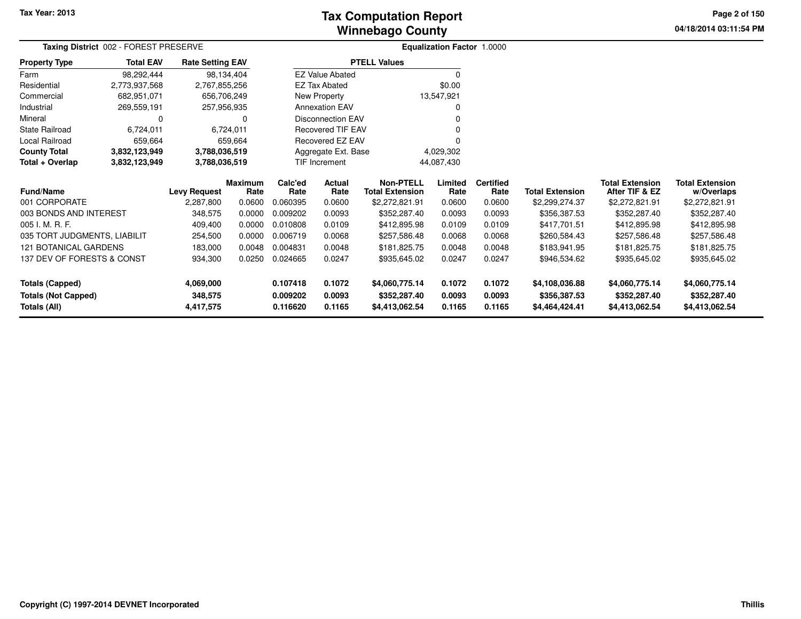# **Winnebago CountyTax Computation Report**

**04/18/2014 03:11:54 PM Page 2 of 150**

|                              | Taxing District 002 - FOREST PRESERVE |                         |                        |                 |                                  | <b>Equalization Factor 1.0000</b>          |                 |                          |                        |                                          |                                      |
|------------------------------|---------------------------------------|-------------------------|------------------------|-----------------|----------------------------------|--------------------------------------------|-----------------|--------------------------|------------------------|------------------------------------------|--------------------------------------|
| <b>Property Type</b>         | <b>Total EAV</b>                      | <b>Rate Setting EAV</b> |                        |                 |                                  | <b>PTELL Values</b>                        |                 |                          |                        |                                          |                                      |
| Farm                         | 98,292,444                            | 98,134,404              |                        |                 | <b>EZ Value Abated</b>           |                                            | 0               |                          |                        |                                          |                                      |
| Residential                  | 2,773,937,568                         | 2,767,855,256           |                        |                 | <b>EZ Tax Abated</b>             |                                            | \$0.00          |                          |                        |                                          |                                      |
| Commercial                   | 682,951,071                           | 656,706,249             |                        |                 | New Property                     |                                            | 13,547,921      |                          |                        |                                          |                                      |
| Industrial                   | 269,559,191                           | 257,956,935             |                        |                 | <b>Annexation EAV</b>            |                                            | 0               |                          |                        |                                          |                                      |
| Mineral                      | 0                                     |                         | 0                      |                 | <b>Disconnection EAV</b>         |                                            |                 |                          |                        |                                          |                                      |
| <b>State Railroad</b>        | 6,724,011                             |                         | 6,724,011              |                 | <b>Recovered TIF EAV</b>         |                                            |                 |                          |                        |                                          |                                      |
| Local Railroad               | 659,664                               |                         | 659,664                |                 | Recovered EZ EAV                 |                                            |                 |                          |                        |                                          |                                      |
| <b>County Total</b>          | 3,832,123,949                         | 3,788,036,519           |                        |                 | 4,029,302<br>Aggregate Ext. Base |                                            |                 |                          |                        |                                          |                                      |
| Total + Overlap              | 3,832,123,949                         | 3,788,036,519           |                        |                 | TIF Increment<br>44,087,430      |                                            |                 |                          |                        |                                          |                                      |
| Fund/Name                    |                                       | <b>Levy Request</b>     | <b>Maximum</b><br>Rate | Calc'ed<br>Rate | Actual<br>Rate                   | <b>Non-PTELL</b><br><b>Total Extension</b> | Limited<br>Rate | <b>Certified</b><br>Rate | <b>Total Extension</b> | <b>Total Extension</b><br>After TIF & EZ | <b>Total Extension</b><br>w/Overlaps |
| 001 CORPORATE                |                                       | 2,287,800               | 0.0600                 | 0.060395        | 0.0600                           | \$2,272,821.91                             | 0.0600          | 0.0600                   | \$2,299,274.37         | \$2,272,821.91                           | \$2,272,821.91                       |
| 003 BONDS AND INTEREST       |                                       | 348,575                 | 0.0000                 | 0.009202        | 0.0093                           | \$352,287.40                               | 0.0093          | 0.0093                   | \$356,387.53           | \$352,287.40                             | \$352,287.40                         |
| 005 I. M. R. F.              |                                       | 409,400                 | 0.0000                 | 0.010808        | 0.0109                           | \$412,895.98                               | 0.0109          | 0.0109                   | \$417,701.51           | \$412,895.98                             | \$412,895.98                         |
| 035 TORT JUDGMENTS, LIABILIT |                                       | 254,500                 | 0.0000                 | 0.006719        | 0.0068                           | \$257,586.48                               | 0.0068          | 0.0068                   | \$260,584.43           | \$257,586.48                             | \$257,586.48                         |
| <b>121 BOTANICAL GARDENS</b> |                                       | 183,000                 | 0.0048                 | 0.004831        | 0.0048                           | \$181,825.75                               | 0.0048          | 0.0048                   | \$183,941.95           | \$181,825.75                             | \$181,825.75                         |
| 137 DEV OF FORESTS & CONST   |                                       | 934,300                 | 0.0250                 | 0.024665        | 0.0247                           | \$935,645.02                               | 0.0247          | 0.0247                   | \$946,534.62           | \$935,645.02                             | \$935,645.02                         |
| <b>Totals (Capped)</b>       |                                       | 4,069,000               |                        | 0.107418        | 0.1072                           | \$4,060,775.14                             | 0.1072          | 0.1072                   | \$4,108,036.88         | \$4,060,775.14                           | \$4,060,775.14                       |
| <b>Totals (Not Capped)</b>   |                                       | 348,575                 |                        | 0.009202        | 0.0093                           | \$352,287.40                               | 0.0093          | 0.0093                   | \$356,387.53           | \$352,287.40                             | \$352,287.40                         |
| Totals (All)                 |                                       | 4,417,575               |                        | 0.116620        | 0.1165                           | \$4,413,062.54                             | 0.1165          | 0.1165                   | \$4,464,424.41         | \$4,413,062.54                           | \$4,413,062.54                       |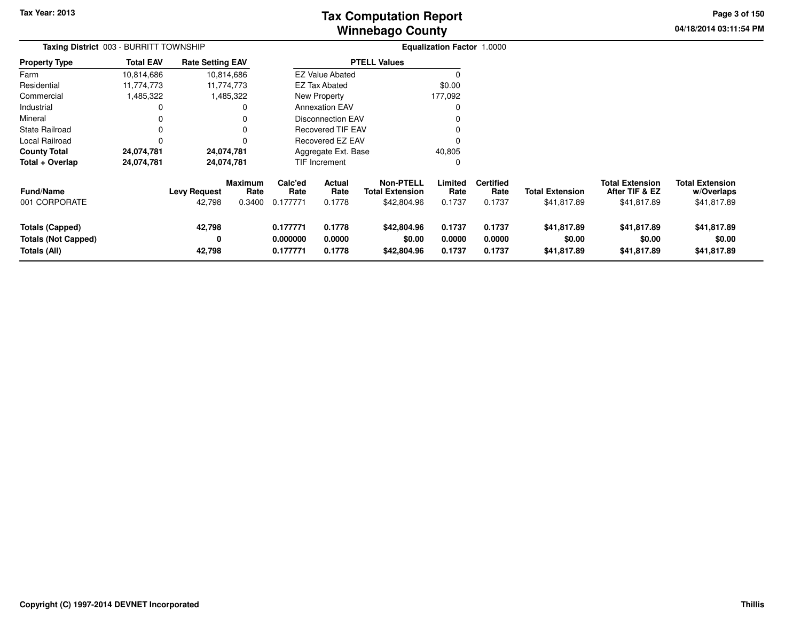# **Winnebago CountyTax Computation Report**

**04/18/2014 03:11:54 PM Page 3 of 150**

| Taxing District 003 - BURRITT TOWNSHIP                               |                  |                               |                                  |                                  |                                 |                                                           | <b>Equalization Factor 1.0000</b> |                                    |                                       |                                                         |                                                     |
|----------------------------------------------------------------------|------------------|-------------------------------|----------------------------------|----------------------------------|---------------------------------|-----------------------------------------------------------|-----------------------------------|------------------------------------|---------------------------------------|---------------------------------------------------------|-----------------------------------------------------|
| <b>Property Type</b>                                                 | <b>Total EAV</b> | <b>Rate Setting EAV</b>       |                                  |                                  |                                 | <b>PTELL Values</b>                                       |                                   |                                    |                                       |                                                         |                                                     |
| Farm                                                                 | 10,814,686       |                               | 10,814,686                       |                                  | <b>EZ Value Abated</b>          |                                                           |                                   |                                    |                                       |                                                         |                                                     |
| Residential                                                          | 11,774,773       |                               | 11,774,773                       |                                  | <b>EZ Tax Abated</b>            |                                                           | \$0.00                            |                                    |                                       |                                                         |                                                     |
| Commercial                                                           | 1,485,322        |                               | 1,485,322                        |                                  | New Property                    |                                                           | 177,092                           |                                    |                                       |                                                         |                                                     |
| Industrial                                                           |                  |                               |                                  |                                  | <b>Annexation EAV</b>           |                                                           |                                   |                                    |                                       |                                                         |                                                     |
| Mineral                                                              |                  |                               |                                  |                                  | <b>Disconnection EAV</b>        |                                                           |                                   |                                    |                                       |                                                         |                                                     |
| <b>State Railroad</b>                                                |                  |                               |                                  |                                  | <b>Recovered TIF EAV</b>        |                                                           |                                   |                                    |                                       |                                                         |                                                     |
| Local Railroad                                                       |                  |                               |                                  |                                  | <b>Recovered EZ EAV</b>         |                                                           |                                   |                                    |                                       |                                                         |                                                     |
| <b>County Total</b>                                                  | 24,074,781       |                               | 24,074,781                       |                                  | Aggregate Ext. Base             |                                                           | 40,805                            |                                    |                                       |                                                         |                                                     |
| Total + Overlap                                                      | 24,074,781       |                               | 24,074,781                       |                                  | <b>TIF Increment</b>            |                                                           | 0                                 |                                    |                                       |                                                         |                                                     |
| <b>Fund/Name</b><br>001 CORPORATE                                    |                  | <b>Levy Request</b><br>42,798 | <b>Maximum</b><br>Rate<br>0.3400 | Calc'ed<br>Rate<br>0.177771      | <b>Actual</b><br>Rate<br>0.1778 | <b>Non-PTELL</b><br><b>Total Extension</b><br>\$42,804.96 | Limited<br>Rate<br>0.1737         | <b>Certified</b><br>Rate<br>0.1737 | <b>Total Extension</b><br>\$41,817.89 | <b>Total Extension</b><br>After TIF & EZ<br>\$41,817.89 | <b>Total Extension</b><br>w/Overlaps<br>\$41,817.89 |
| <b>Totals (Capped)</b><br><b>Totals (Not Capped)</b><br>Totals (All) |                  | 42,798<br>0<br>42,798         |                                  | 0.177771<br>0.000000<br>0.177771 | 0.1778<br>0.0000<br>0.1778      | \$42,804.96<br>\$0.00<br>\$42,804.96                      | 0.1737<br>0.0000<br>0.1737        | 0.1737<br>0.0000<br>0.1737         | \$41,817.89<br>\$0.00<br>\$41,817.89  | \$41,817.89<br>\$0.00<br>\$41,817.89                    | \$41,817.89<br>\$0.00<br>\$41,817.89                |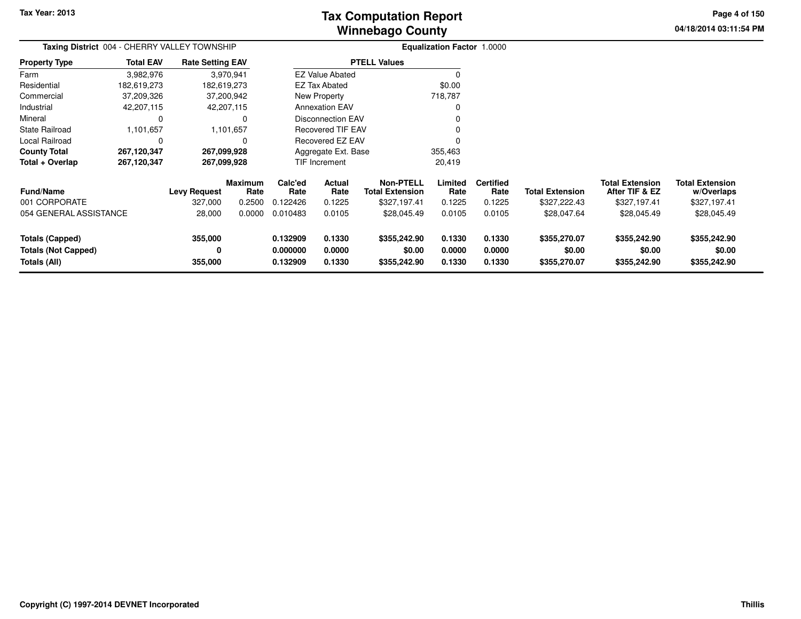# **Winnebago CountyTax Computation Report**

**04/18/2014 03:11:54 PM Page 4 of 150**

| Taxing District 004 - CHERRY VALLEY TOWNSHIP                  |                  | <b>Equalization Factor 1.0000</b> |                           |                                                |                                 |                                                            |                            |                                    |                                        |                                                          |                                                      |
|---------------------------------------------------------------|------------------|-----------------------------------|---------------------------|------------------------------------------------|---------------------------------|------------------------------------------------------------|----------------------------|------------------------------------|----------------------------------------|----------------------------------------------------------|------------------------------------------------------|
| <b>Property Type</b>                                          | <b>Total EAV</b> | <b>Rate Setting EAV</b>           |                           |                                                |                                 | <b>PTELL Values</b>                                        |                            |                                    |                                        |                                                          |                                                      |
| Farm                                                          | 3,982,976        |                                   | 3,970,941                 |                                                | <b>EZ Value Abated</b>          |                                                            |                            |                                    |                                        |                                                          |                                                      |
| Residential                                                   | 182,619,273      | 182,619,273                       |                           |                                                | <b>EZ Tax Abated</b>            |                                                            | \$0.00                     |                                    |                                        |                                                          |                                                      |
| Commercial                                                    | 37,209,326       |                                   | 37,200,942                |                                                | New Property                    |                                                            | 718,787                    |                                    |                                        |                                                          |                                                      |
| Industrial                                                    | 42,207,115       |                                   | 42,207,115                |                                                | <b>Annexation EAV</b>           |                                                            |                            |                                    |                                        |                                                          |                                                      |
| Mineral                                                       | 0                |                                   |                           |                                                | <b>Disconnection EAV</b>        |                                                            |                            |                                    |                                        |                                                          |                                                      |
| <b>State Railroad</b>                                         | 1,101,657        |                                   | 1,101,657                 |                                                | <b>Recovered TIF EAV</b>        |                                                            |                            |                                    |                                        |                                                          |                                                      |
| Local Railroad                                                | 0                |                                   |                           | <b>Recovered EZ EAV</b><br>Aggregate Ext. Base |                                 |                                                            |                            |                                    |                                        |                                                          |                                                      |
| <b>County Total</b>                                           | 267,120,347      | 267,099,928                       |                           |                                                |                                 |                                                            | 355,463                    |                                    |                                        |                                                          |                                                      |
| Total + Overlap                                               | 267,120,347      | 267,099,928                       |                           |                                                | <b>TIF Increment</b>            |                                                            | 20,419                     |                                    |                                        |                                                          |                                                      |
| <b>Fund/Name</b><br>001 CORPORATE                             |                  | <b>Levy Request</b><br>327,000    | Maximum<br>Rate<br>0.2500 | Calc'ed<br>Rate<br>0.122426                    | <b>Actual</b><br>Rate<br>0.1225 | <b>Non-PTELL</b><br><b>Total Extension</b><br>\$327,197.41 | Limited<br>Rate<br>0.1225  | <b>Certified</b><br>Rate<br>0.1225 | <b>Total Extension</b><br>\$327,222.43 | <b>Total Extension</b><br>After TIF & EZ<br>\$327,197.41 | <b>Total Extension</b><br>w/Overlaps<br>\$327,197.41 |
| 054 GENERAL ASSISTANCE                                        |                  | 28,000                            | 0.0000                    | 0.010483                                       | 0.0105                          | \$28,045.49                                                | 0.0105                     | 0.0105                             | \$28,047.64                            | \$28,045.49                                              | \$28,045.49                                          |
| Totals (Capped)<br><b>Totals (Not Capped)</b><br>Totals (All) |                  | 355,000<br>0<br>355,000           |                           | 0.132909<br>0.000000<br>0.132909               | 0.1330<br>0.0000<br>0.1330      | \$355,242.90<br>\$0.00<br>\$355,242.90                     | 0.1330<br>0.0000<br>0.1330 | 0.1330<br>0.0000<br>0.1330         | \$355,270.07<br>\$0.00<br>\$355,270.07 | \$355,242.90<br>\$0.00<br>\$355,242.90                   | \$355,242.90<br>\$0.00<br>\$355,242.90               |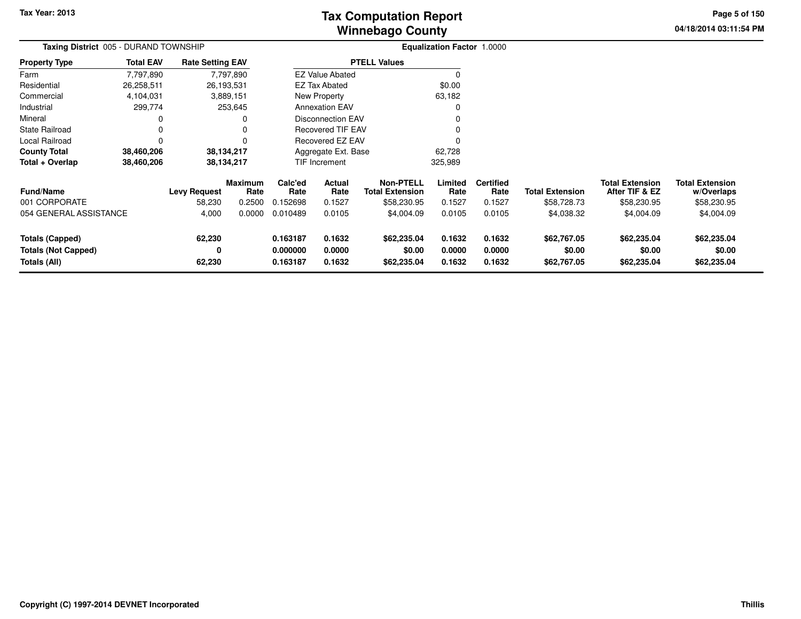**04/18/2014 03:11:54 PM Page 5 of 150**

| Taxing District 005 - DURAND TOWNSHIP                |                  |                         |                        |                      |                          |                                            | Equalization Factor 1.0000 |                          |                        |                                          |                                      |  |
|------------------------------------------------------|------------------|-------------------------|------------------------|----------------------|--------------------------|--------------------------------------------|----------------------------|--------------------------|------------------------|------------------------------------------|--------------------------------------|--|
| Property Type                                        | <b>Total EAV</b> | <b>Rate Setting EAV</b> |                        |                      |                          | <b>PTELL Values</b>                        |                            |                          |                        |                                          |                                      |  |
| Farm                                                 | 7,797,890        |                         | 7,797,890              |                      | <b>EZ Value Abated</b>   |                                            |                            |                          |                        |                                          |                                      |  |
| Residential                                          | 26,258,511       |                         | 26,193,531             |                      | EZ Tax Abated            |                                            | \$0.00                     |                          |                        |                                          |                                      |  |
| Commercial                                           | 4,104,031        |                         | 3,889,151              |                      | New Property             |                                            | 63,182                     |                          |                        |                                          |                                      |  |
| Industrial                                           | 299,774          |                         | 253,645                |                      | <b>Annexation EAV</b>    |                                            | 0                          |                          |                        |                                          |                                      |  |
| Mineral                                              | 0                |                         |                        |                      | <b>Disconnection EAV</b> |                                            | $\Omega$                   |                          |                        |                                          |                                      |  |
| State Railroad                                       | 0                |                         |                        |                      | <b>Recovered TIF EAV</b> |                                            | 0                          |                          |                        |                                          |                                      |  |
| Local Railroad                                       | 0                |                         |                        | Recovered EZ EAV     |                          |                                            |                            |                          |                        |                                          |                                      |  |
| County Total                                         | 38,460,206       |                         | 38,134,217             |                      | Aggregate Ext. Base      |                                            | 62,728                     |                          |                        |                                          |                                      |  |
| Total + Overlap                                      | 38,460,206       |                         | 38,134,217             |                      | TIF Increment            |                                            | 325,989                    |                          |                        |                                          |                                      |  |
| <b>Fund/Name</b>                                     |                  | <b>Levy Request</b>     | <b>Maximum</b><br>Rate | Calc'ed<br>Rate      | <b>Actual</b><br>Rate    | <b>Non-PTELL</b><br><b>Total Extension</b> | Limited<br>Rate            | <b>Certified</b><br>Rate | <b>Total Extension</b> | <b>Total Extension</b><br>After TIF & EZ | <b>Total Extension</b><br>w/Overlaps |  |
| 001 CORPORATE                                        |                  | 58,230                  | 0.2500                 | 0.152698             | 0.1527                   | \$58,230.95                                | 0.1527                     | 0.1527                   | \$58,728.73            | \$58,230.95                              | \$58,230.95                          |  |
| 054 GENERAL ASSISTANCE                               |                  | 4,000                   | 0.0000                 | 0.010489             | 0.0105                   | \$4,004.09                                 | 0.0105                     | 0.0105                   | \$4,038.32             | \$4,004.09                               | \$4,004.09                           |  |
| <b>Totals (Capped)</b><br><b>Totals (Not Capped)</b> |                  | 62,230<br>0             |                        | 0.163187<br>0.000000 | 0.1632<br>0.0000         | \$62,235.04<br>\$0.00                      | 0.1632<br>0.0000           | 0.1632<br>0.0000         | \$62,767.05<br>\$0.00  | \$62,235.04<br>\$0.00                    | \$62,235.04<br>\$0.00                |  |
| Totals (All)                                         |                  | 62,230                  |                        | 0.163187             | 0.1632                   | \$62,235.04                                | 0.1632                     | 0.1632                   | \$62,767.05            | \$62,235.04                              | \$62,235.04                          |  |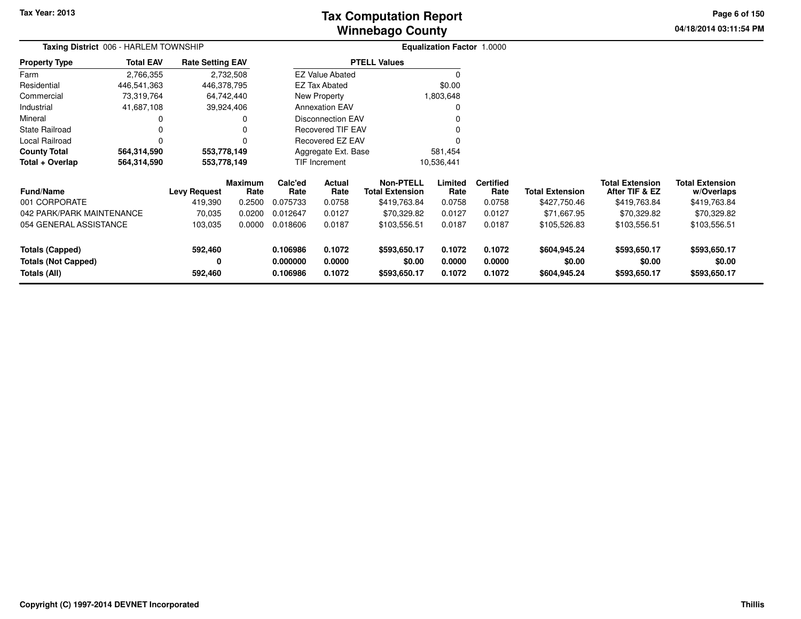# **Winnebago CountyTax Computation Report**

**04/18/2014 03:11:54 PM Page 6 of 150**

| Taxing District 006 - HARLEM TOWNSHIP                |                  |                         |           |                                |                          |                                            | <b>Equalization Factor 1.0000</b> |                          |                        |                                          |                                      |
|------------------------------------------------------|------------------|-------------------------|-----------|--------------------------------|--------------------------|--------------------------------------------|-----------------------------------|--------------------------|------------------------|------------------------------------------|--------------------------------------|
| <b>Property Type</b>                                 | <b>Total EAV</b> | <b>Rate Setting EAV</b> |           |                                |                          | <b>PTELL Values</b>                        |                                   |                          |                        |                                          |                                      |
| Farm                                                 | 2,766,355        |                         | 2,732,508 |                                | <b>EZ Value Abated</b>   |                                            |                                   |                          |                        |                                          |                                      |
| Residential                                          | 446,541,363      | 446,378,795             |           |                                | <b>EZ Tax Abated</b>     |                                            | \$0.00                            |                          |                        |                                          |                                      |
| Commercial                                           | 73,319,764       | 64,742,440              |           |                                | New Property             |                                            | 1,803,648                         |                          |                        |                                          |                                      |
| Industrial                                           | 41,687,108       | 39,924,406              |           |                                | <b>Annexation EAV</b>    |                                            |                                   |                          |                        |                                          |                                      |
| Mineral                                              |                  |                         | 0         |                                | <b>Disconnection EAV</b> |                                            |                                   |                          |                        |                                          |                                      |
| <b>State Railroad</b>                                |                  |                         | 0         |                                | <b>Recovered TIF EAV</b> |                                            |                                   |                          |                        |                                          |                                      |
| Local Railroad                                       | $\Omega$         |                         | 0         |                                | Recovered EZ EAV         |                                            |                                   |                          |                        |                                          |                                      |
| <b>County Total</b>                                  | 564,314,590      | 553,778,149             |           | Aggregate Ext. Base<br>581,454 |                          |                                            |                                   |                          |                        |                                          |                                      |
| Total + Overlap                                      | 564,314,590      | 553,778,149             |           | TIF Increment<br>10,536,441    |                          |                                            |                                   |                          |                        |                                          |                                      |
| Maximum<br><b>Fund/Name</b><br><b>Levy Request</b>   |                  |                         | Rate      | Calc'ed<br>Rate                | Actual<br>Rate           | <b>Non-PTELL</b><br><b>Total Extension</b> | Limited<br>Rate                   | <b>Certified</b><br>Rate | <b>Total Extension</b> | <b>Total Extension</b><br>After TIF & EZ | <b>Total Extension</b><br>w/Overlaps |
| 001 CORPORATE                                        |                  | 419,390                 | 0.2500    | 0.075733                       | 0.0758                   | \$419,763.84                               | 0.0758                            | 0.0758                   | \$427,750.46           | \$419,763.84                             | \$419,763.84                         |
| 042 PARK/PARK MAINTENANCE                            |                  | 70,035                  | 0.0200    | 0.012647                       | 0.0127                   | \$70,329.82                                | 0.0127                            | 0.0127                   | \$71,667.95            | \$70,329.82                              | \$70,329.82                          |
| 054 GENERAL ASSISTANCE                               |                  | 103,035                 | 0.0000    | 0.018606                       | 0.0187                   | \$103,556.51                               | 0.0187                            | 0.0187                   | \$105,526.83           | \$103,556.51                             | \$103,556.51                         |
| <b>Totals (Capped)</b><br><b>Totals (Not Capped)</b> |                  | 592,460<br>0            |           | 0.106986<br>0.000000           | 0.1072<br>0.0000         | \$593,650.17<br>\$0.00                     | 0.1072<br>0.0000                  | 0.1072<br>0.0000         | \$604,945.24<br>\$0.00 | \$593,650.17<br>\$0.00                   | \$593,650.17<br>\$0.00               |
| Totals (All)                                         |                  | 592,460                 |           | 0.106986                       | 0.1072                   | \$593,650.17                               | 0.1072                            | 0.1072                   | \$604,945.24           | \$593,650.17                             | \$593,650.17                         |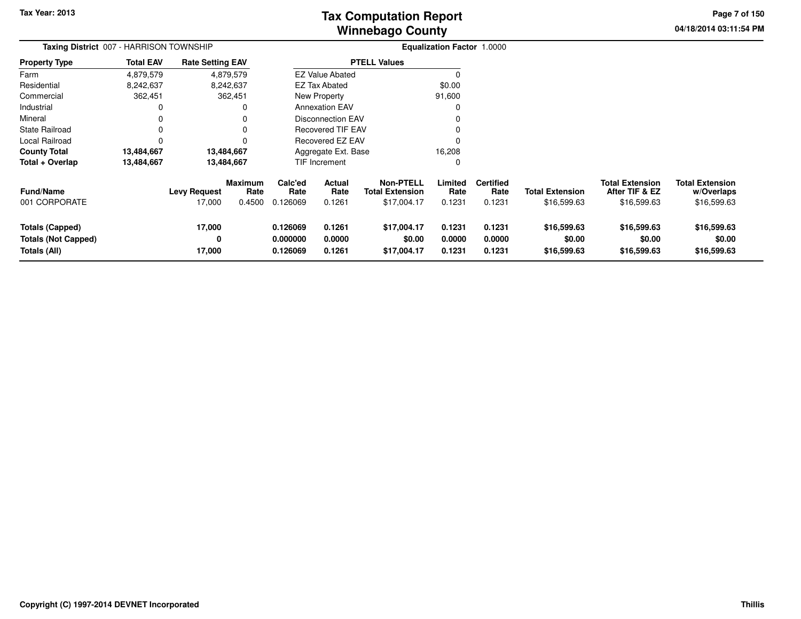**04/18/2014 03:11:54 PM Page 7 of 150**

| Taxing District 007 - HARRISON TOWNSHIP                              |                  |                               |                           |                                  |                            |                                                           | <b>Equalization Factor 1.0000</b> |                                    |                                       |                                                         |                                                     |
|----------------------------------------------------------------------|------------------|-------------------------------|---------------------------|----------------------------------|----------------------------|-----------------------------------------------------------|-----------------------------------|------------------------------------|---------------------------------------|---------------------------------------------------------|-----------------------------------------------------|
| <b>Property Type</b>                                                 | <b>Total EAV</b> | <b>Rate Setting EAV</b>       |                           |                                  |                            | <b>PTELL Values</b>                                       |                                   |                                    |                                       |                                                         |                                                     |
| Farm                                                                 | 4,879,579        |                               | 4,879,579                 |                                  | <b>EZ Value Abated</b>     |                                                           | 0                                 |                                    |                                       |                                                         |                                                     |
| Residential                                                          | 8,242,637        |                               | 8,242,637                 |                                  | EZ Tax Abated              |                                                           | \$0.00                            |                                    |                                       |                                                         |                                                     |
| Commercial                                                           | 362,451          |                               | 362,451                   |                                  | <b>New Property</b>        |                                                           | 91,600                            |                                    |                                       |                                                         |                                                     |
| Industrial                                                           |                  |                               |                           |                                  | <b>Annexation EAV</b>      |                                                           |                                   |                                    |                                       |                                                         |                                                     |
| Mineral                                                              |                  |                               |                           |                                  | <b>Disconnection EAV</b>   |                                                           | 0                                 |                                    |                                       |                                                         |                                                     |
| <b>State Railroad</b>                                                | 0                |                               | 0                         |                                  | <b>Recovered TIF EAV</b>   |                                                           | 0                                 |                                    |                                       |                                                         |                                                     |
| Local Railroad                                                       |                  |                               |                           |                                  | Recovered EZ EAV           |                                                           | 0                                 |                                    |                                       |                                                         |                                                     |
| <b>County Total</b>                                                  | 13,484,667       | 13,484,667                    |                           |                                  | Aggregate Ext. Base        |                                                           | 16,208                            |                                    |                                       |                                                         |                                                     |
| Total + Overlap                                                      | 13,484,667       | 13,484,667                    |                           |                                  | TIF Increment              |                                                           | 0                                 |                                    |                                       |                                                         |                                                     |
| <b>Fund/Name</b><br>001 CORPORATE                                    |                  | <b>Levy Request</b><br>17,000 | Maximum<br>Rate<br>0.4500 | Calc'ed<br>Rate<br>0.126069      | Actual<br>Rate<br>0.1261   | <b>Non-PTELL</b><br><b>Total Extension</b><br>\$17,004.17 | Limited<br>Rate<br>0.1231         | <b>Certified</b><br>Rate<br>0.1231 | <b>Total Extension</b><br>\$16,599.63 | <b>Total Extension</b><br>After TIF & EZ<br>\$16,599.63 | <b>Total Extension</b><br>w/Overlaps<br>\$16,599.63 |
| <b>Totals (Capped)</b><br><b>Totals (Not Capped)</b><br>Totals (All) |                  | 17,000<br>0<br>17,000         |                           | 0.126069<br>0.000000<br>0.126069 | 0.1261<br>0.0000<br>0.1261 | \$17,004.17<br>\$0.00<br>\$17,004.17                      | 0.1231<br>0.0000<br>0.1231        | 0.1231<br>0.0000<br>0.1231         | \$16,599.63<br>\$0.00<br>\$16,599.63  | \$16,599.63<br>\$0.00<br>\$16,599.63                    | \$16,599.63<br>\$0.00<br>\$16,599.63                |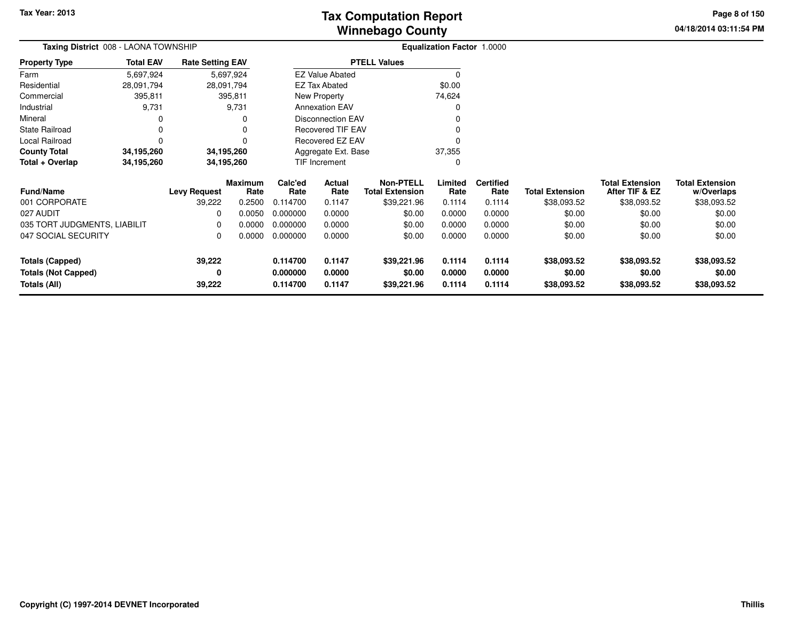**04/18/2014 03:11:54 PM Page 8 of 150**

| <b>Total EAV</b>                                                                                         |            |                                                                    |                                                                                                        |                |                                                                                |                                                                                                                                                  |                          |                                   |                                          |                                      |
|----------------------------------------------------------------------------------------------------------|------------|--------------------------------------------------------------------|--------------------------------------------------------------------------------------------------------|----------------|--------------------------------------------------------------------------------|--------------------------------------------------------------------------------------------------------------------------------------------------|--------------------------|-----------------------------------|------------------------------------------|--------------------------------------|
| 5,697,924                                                                                                |            |                                                                    |                                                                                                        |                |                                                                                | 0                                                                                                                                                |                          |                                   |                                          |                                      |
| 28,091,794                                                                                               |            |                                                                    |                                                                                                        |                |                                                                                | \$0.00                                                                                                                                           |                          |                                   |                                          |                                      |
| 395,811                                                                                                  |            |                                                                    |                                                                                                        |                |                                                                                | 74,624                                                                                                                                           |                          |                                   |                                          |                                      |
| 9,731                                                                                                    |            |                                                                    |                                                                                                        |                |                                                                                |                                                                                                                                                  |                          |                                   |                                          |                                      |
| Industrial<br>0<br><b>State Railroad</b><br>0<br>$\Omega$<br>34,195,260<br>Total + Overlap<br>34,195,260 |            |                                                                    |                                                                                                        |                |                                                                                |                                                                                                                                                  |                          |                                   |                                          |                                      |
|                                                                                                          |            |                                                                    |                                                                                                        |                |                                                                                |                                                                                                                                                  |                          |                                   |                                          |                                      |
| Local Railroad                                                                                           |            |                                                                    |                                                                                                        |                |                                                                                |                                                                                                                                                  |                          |                                   |                                          |                                      |
| <b>County Total</b>                                                                                      |            |                                                                    |                                                                                                        |                |                                                                                | 37,355                                                                                                                                           |                          |                                   |                                          |                                      |
|                                                                                                          | 34,195,260 |                                                                    |                                                                                                        |                |                                                                                |                                                                                                                                                  |                          |                                   |                                          |                                      |
|                                                                                                          |            | Rate                                                               | Calc'ed<br>Rate                                                                                        | Actual<br>Rate | <b>Non-PTELL</b><br><b>Total Extension</b>                                     | Limited<br>Rate                                                                                                                                  | <b>Certified</b><br>Rate | <b>Total Extension</b>            | <b>Total Extension</b><br>After TIF & EZ | <b>Total Extension</b><br>w/Overlaps |
|                                                                                                          | 39,222     | 0.2500                                                             | 0.114700                                                                                               | 0.1147         | \$39,221.96                                                                    | 0.1114                                                                                                                                           | 0.1114                   | \$38,093.52                       | \$38,093.52                              | \$38,093.52                          |
|                                                                                                          | 0          | 0.0050                                                             | 0.000000                                                                                               | 0.0000         | \$0.00                                                                         | 0.0000                                                                                                                                           | 0.0000                   | \$0.00                            | \$0.00                                   | \$0.00                               |
| 035 TORT JUDGMENTS, LIABILIT                                                                             | 0          | 0.0000                                                             | 0.000000                                                                                               | 0.0000         | \$0.00                                                                         | 0.0000                                                                                                                                           | 0.0000                   | \$0.00                            | \$0.00                                   | \$0.00                               |
|                                                                                                          | 0          | 0.0000                                                             | 0.000000                                                                                               | 0.0000         | \$0.00                                                                         | 0.0000                                                                                                                                           | 0.0000                   | \$0.00                            | \$0.00                                   | \$0.00                               |
|                                                                                                          | 39,222     |                                                                    | 0.114700                                                                                               | 0.1147         | \$39,221.96                                                                    | 0.1114                                                                                                                                           | 0.1114                   | \$38,093.52                       | \$38,093.52                              | \$38,093.52                          |
|                                                                                                          | 0          |                                                                    | 0.000000                                                                                               | 0.0000         | \$0.00                                                                         | 0.0000                                                                                                                                           | 0.0000                   | \$0.00                            | \$0.00                                   | \$0.00                               |
|                                                                                                          | 39,222     |                                                                    | 0.114700                                                                                               | 0.1147         | \$39,221.96                                                                    | 0.1114                                                                                                                                           | 0.1114                   | \$38,093.52                       | \$38,093.52                              | \$38,093.52                          |
|                                                                                                          |            | <b>Taxing District</b> 008 - LAONA TOWNSHIP<br><b>Levy Request</b> | <b>Rate Setting EAV</b><br>5,697,924<br>28,091,794<br>395,811<br>9,731<br>34,195,260<br><b>Maximum</b> |                | <b>EZ Tax Abated</b><br>New Property<br><b>Annexation EAV</b><br>TIF Increment | <b>PTELL Values</b><br><b>EZ Value Abated</b><br><b>Disconnection EAV</b><br><b>Recovered TIF EAV</b><br>Recovered EZ EAV<br>Aggregate Ext. Base |                          | <b>Equalization Factor 1.0000</b> |                                          |                                      |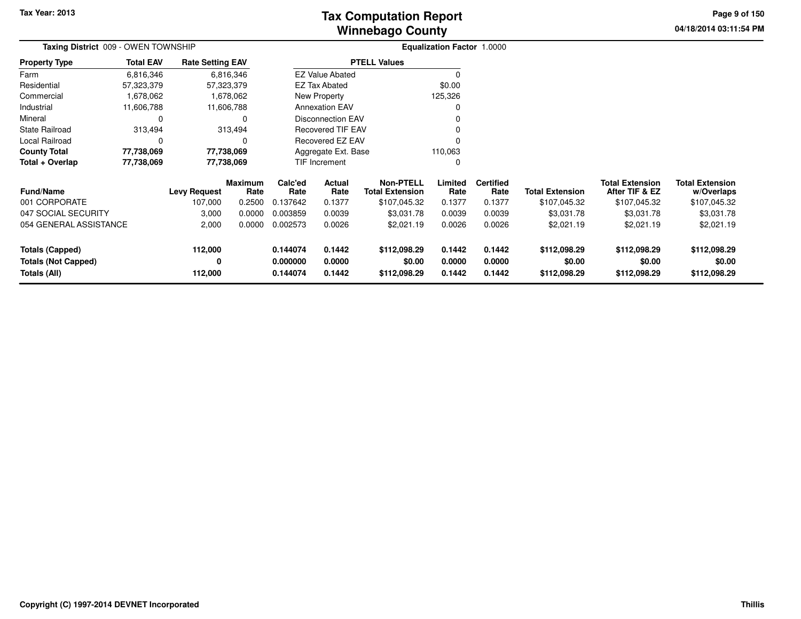# **Winnebago CountyTax Computation Report**

**04/18/2014 03:11:54 PM Page 9 of 150**

| Taxing District 009 - OWEN TOWNSHIP                                  |                  |                         |                        |                                  |                              |                                            | <b>Equalization Factor 1.0000</b> |                            |                                        |                                          |                                        |  |
|----------------------------------------------------------------------|------------------|-------------------------|------------------------|----------------------------------|------------------------------|--------------------------------------------|-----------------------------------|----------------------------|----------------------------------------|------------------------------------------|----------------------------------------|--|
| <b>Property Type</b>                                                 | <b>Total EAV</b> | <b>Rate Setting EAV</b> |                        |                                  |                              | <b>PTELL Values</b>                        |                                   |                            |                                        |                                          |                                        |  |
| Farm                                                                 | 6,816,346        |                         | 6,816,346              |                                  | <b>EZ Value Abated</b>       |                                            |                                   |                            |                                        |                                          |                                        |  |
| Residential                                                          | 57,323,379       |                         | 57,323,379             |                                  | <b>EZ Tax Abated</b>         |                                            | \$0.00                            |                            |                                        |                                          |                                        |  |
| Commercial                                                           | 1,678,062        |                         | 1,678,062              |                                  | New Property                 |                                            | 125,326                           |                            |                                        |                                          |                                        |  |
| Industrial                                                           | 11,606,788       |                         | 11,606,788             |                                  | <b>Annexation EAV</b>        |                                            |                                   |                            |                                        |                                          |                                        |  |
| Mineral                                                              | 0                |                         | $\Omega$               |                                  | Disconnection EAV            |                                            |                                   |                            |                                        |                                          |                                        |  |
| <b>State Railroad</b>                                                | 313,494          |                         | 313,494                |                                  | <b>Recovered TIF EAV</b>     |                                            |                                   |                            |                                        |                                          |                                        |  |
| Local Railroad                                                       | $\Omega$         |                         | 0                      |                                  | Recovered EZ EAV<br>$\Omega$ |                                            |                                   |                            |                                        |                                          |                                        |  |
| <b>County Total</b>                                                  | 77,738,069       |                         | 77,738,069             | Aggregate Ext. Base<br>110,063   |                              |                                            |                                   |                            |                                        |                                          |                                        |  |
| Total + Overlap                                                      | 77,738,069       |                         | 77,738,069             |                                  | TIF Increment<br>0           |                                            |                                   |                            |                                        |                                          |                                        |  |
| <b>Fund/Name</b>                                                     |                  | <b>Levy Request</b>     | <b>Maximum</b><br>Rate | Calc'ed<br>Rate                  | Actual<br>Rate               | <b>Non-PTELL</b><br><b>Total Extension</b> | Limited<br>Rate                   | <b>Certified</b><br>Rate   | <b>Total Extension</b>                 | <b>Total Extension</b><br>After TIF & EZ | <b>Total Extension</b><br>w/Overlaps   |  |
| 001 CORPORATE                                                        |                  | 107,000                 | 0.2500                 | 0.137642                         | 0.1377                       | \$107,045.32                               | 0.1377                            | 0.1377                     | \$107,045.32                           | \$107,045.32                             | \$107,045.32                           |  |
| 047 SOCIAL SECURITY                                                  |                  | 3,000                   | 0.0000                 | 0.003859                         | 0.0039                       | \$3,031.78                                 | 0.0039                            | 0.0039                     | \$3,031.78                             | \$3,031.78                               | \$3,031.78                             |  |
| 054 GENERAL ASSISTANCE                                               |                  | 2,000                   | 0.0000                 | 0.002573                         | 0.0026                       | \$2,021.19                                 | 0.0026                            | 0.0026                     | \$2,021.19                             | \$2,021.19                               | \$2,021.19                             |  |
| <b>Totals (Capped)</b><br><b>Totals (Not Capped)</b><br>Totals (All) |                  | 112,000<br>0<br>112,000 |                        | 0.144074<br>0.000000<br>0.144074 | 0.1442<br>0.0000<br>0.1442   | \$112,098.29<br>\$0.00<br>\$112,098.29     | 0.1442<br>0.0000<br>0.1442        | 0.1442<br>0.0000<br>0.1442 | \$112,098.29<br>\$0.00<br>\$112,098.29 | \$112,098.29<br>\$0.00<br>\$112,098.29   | \$112,098.29<br>\$0.00<br>\$112,098.29 |  |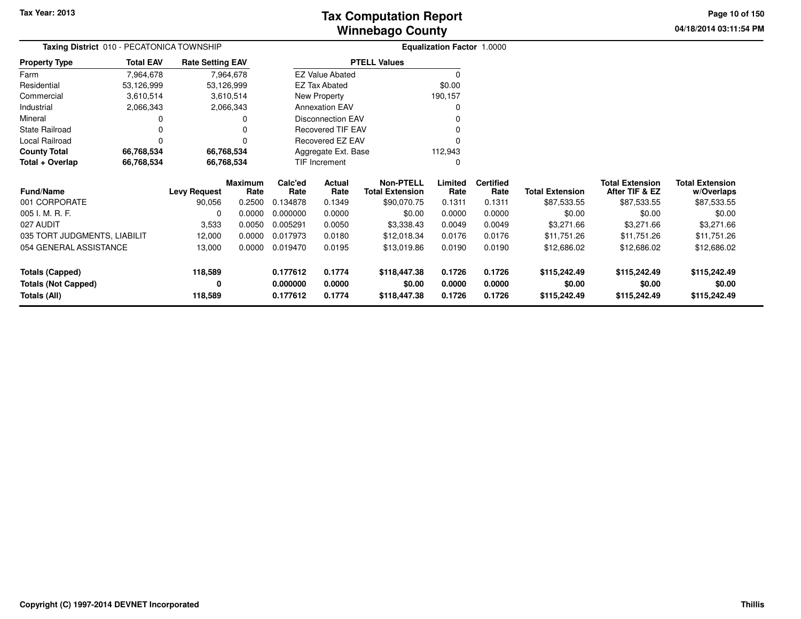# **Winnebago CountyTax Computation Report**

**04/18/2014 03:11:54 PM Page 10 of 150**

| Taxing District 010 - PECATONICA TOWNSHIP |                  |                         |                        | <b>Equalization Factor 1.0000</b> |                                |                                            |                 |                   |                        |                                          |                                      |
|-------------------------------------------|------------------|-------------------------|------------------------|-----------------------------------|--------------------------------|--------------------------------------------|-----------------|-------------------|------------------------|------------------------------------------|--------------------------------------|
| <b>Property Type</b>                      | <b>Total EAV</b> | <b>Rate Setting EAV</b> |                        |                                   |                                | <b>PTELL Values</b>                        |                 |                   |                        |                                          |                                      |
| Farm                                      | 7,964,678        |                         | 7,964,678              |                                   | <b>EZ Value Abated</b>         |                                            | 0               |                   |                        |                                          |                                      |
| Residential                               | 53,126,999       | 53,126,999              |                        |                                   | <b>EZ Tax Abated</b>           |                                            | \$0.00          |                   |                        |                                          |                                      |
| Commercial                                | 3,610,514        |                         | 3,610,514              |                                   | New Property                   |                                            | 190,157         |                   |                        |                                          |                                      |
| Industrial                                | 2,066,343        |                         | 2,066,343              |                                   | <b>Annexation EAV</b>          |                                            | 0               |                   |                        |                                          |                                      |
| Mineral                                   |                  |                         | 0                      |                                   | <b>Disconnection EAV</b>       |                                            |                 |                   |                        |                                          |                                      |
| <b>State Railroad</b>                     |                  |                         |                        |                                   | <b>Recovered TIF EAV</b>       |                                            |                 |                   |                        |                                          |                                      |
| Local Railroad                            | $\Omega$         |                         | 0                      |                                   | Recovered EZ EAV               |                                            |                 |                   |                        |                                          |                                      |
| <b>County Total</b>                       | 66,768,534       | 66,768,534              |                        |                                   | 112,943<br>Aggregate Ext. Base |                                            |                 |                   |                        |                                          |                                      |
| Total + Overlap                           | 66,768,534       | 66,768,534              |                        |                                   | TIF Increment                  |                                            | 0               |                   |                        |                                          |                                      |
| <b>Fund/Name</b>                          |                  | <b>Levy Request</b>     | <b>Maximum</b><br>Rate | Calc'ed<br>Rate                   | Actual<br>Rate                 | <b>Non-PTELL</b><br><b>Total Extension</b> | Limited<br>Rate | Certified<br>Rate | <b>Total Extension</b> | <b>Total Extension</b><br>After TIF & EZ | <b>Total Extension</b><br>w/Overlaps |
| 001 CORPORATE                             |                  | 90,056                  | 0.2500                 | 0.134878                          | 0.1349                         | \$90,070.75                                | 0.1311          | 0.1311            | \$87,533.55            | \$87,533.55                              | \$87,533.55                          |
| 005 I. M. R. F.                           |                  | <sup>0</sup>            | 0.0000                 | 0.000000                          | 0.0000                         | \$0.00                                     | 0.0000          | 0.0000            | \$0.00                 | \$0.00                                   | \$0.00                               |
| 027 AUDIT                                 |                  | 3,533                   | 0.0050                 | 0.005291                          | 0.0050                         | \$3,338.43                                 | 0.0049          | 0.0049            | \$3,271.66             | \$3,271.66                               | \$3,271.66                           |
| 035 TORT JUDGMENTS, LIABILIT              |                  | 12,000                  | 0.0000                 | 0.017973                          | 0.0180                         | \$12,018.34                                | 0.0176          | 0.0176            | \$11,751.26            | \$11,751.26                              | \$11,751.26                          |
| 054 GENERAL ASSISTANCE                    |                  | 13,000                  | 0.0000                 | 0.019470                          | 0.0195                         | \$13,019.86                                | 0.0190          | 0.0190            | \$12,686.02            | \$12,686.02                              | \$12,686.02                          |
| <b>Totals (Capped)</b>                    |                  | 118,589                 |                        | 0.177612                          | 0.1774                         | \$118,447.38                               | 0.1726          | 0.1726            | \$115,242.49           | \$115,242.49                             | \$115,242.49                         |
| <b>Totals (Not Capped)</b>                |                  | 0                       |                        | 0.000000                          | 0.0000                         | \$0.00                                     | 0.0000          | 0.0000            | \$0.00                 | \$0.00                                   | \$0.00                               |
| Totals (All)                              |                  | 118,589                 |                        | 0.177612                          | 0.1774                         | \$118,447.38                               | 0.1726          | 0.1726            | \$115,242.49           | \$115,242.49                             | \$115,242.49                         |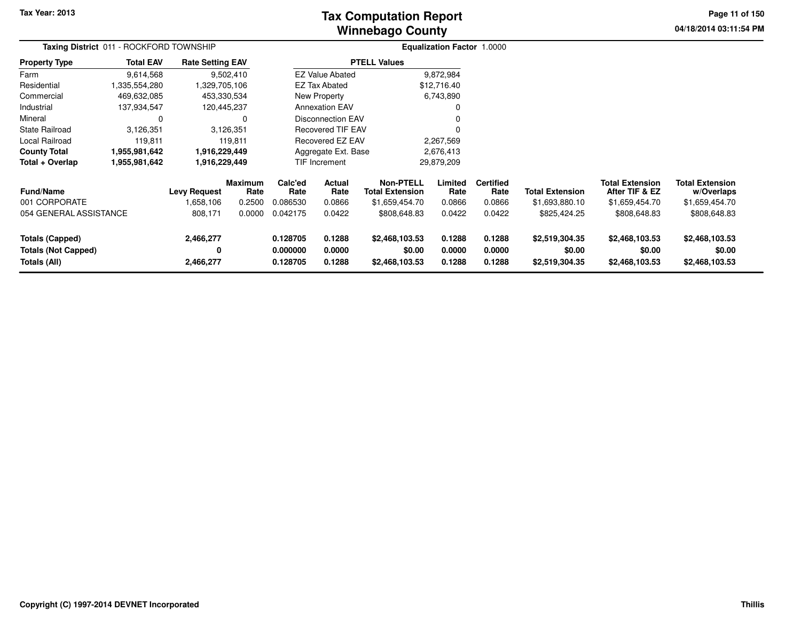# **Winnebago CountyTax Computation Report**

**04/18/2014 03:11:54 PM Page 11 of 150**

|                                                               | Taxing District 011 - ROCKFORD TOWNSHIP |                             |                        |                                                          |                                    |                                            | <b>Equalization Factor 1.0000</b> |                            |                                            |                                            |                                            |  |
|---------------------------------------------------------------|-----------------------------------------|-----------------------------|------------------------|----------------------------------------------------------|------------------------------------|--------------------------------------------|-----------------------------------|----------------------------|--------------------------------------------|--------------------------------------------|--------------------------------------------|--|
| <b>Property Type</b>                                          | <b>Total EAV</b>                        | <b>Rate Setting EAV</b>     |                        |                                                          |                                    | <b>PTELL Values</b>                        |                                   |                            |                                            |                                            |                                            |  |
| Farm                                                          | 9,614,568                               |                             | 9,502,410              |                                                          | <b>EZ Value Abated</b>             |                                            | 9,872,984                         |                            |                                            |                                            |                                            |  |
| Residential                                                   | 1,335,554,280                           | 1,329,705,106               |                        |                                                          | <b>EZ Tax Abated</b>               |                                            | \$12,716.40                       |                            |                                            |                                            |                                            |  |
| Commercial                                                    | 469,632,085                             | 453,330,534                 |                        |                                                          | New Property                       |                                            | 6,743,890                         |                            |                                            |                                            |                                            |  |
| Industrial                                                    | 137,934,547                             | 120,445,237                 |                        |                                                          | <b>Annexation EAV</b>              |                                            | 0                                 |                            |                                            |                                            |                                            |  |
| Mineral                                                       | 0                                       |                             | 0                      |                                                          | <b>Disconnection EAV</b>           |                                            |                                   |                            |                                            |                                            |                                            |  |
| State Railroad                                                | 3,126,351                               |                             | 3,126,351              | <b>Recovered TIF EAV</b><br>0<br><b>Recovered EZ EAV</b> |                                    |                                            |                                   |                            |                                            |                                            |                                            |  |
| Local Railroad                                                | 119,811                                 |                             | 119.811                |                                                          |                                    |                                            | 2,267,569                         |                            |                                            |                                            |                                            |  |
| <b>County Total</b>                                           | 1,955,981,642                           | 1,916,229,449               |                        | Aggregate Ext. Base<br>2,676,413                         |                                    |                                            |                                   |                            |                                            |                                            |                                            |  |
| Total + Overlap                                               | 1,955,981,642                           | 1,916,229,449               |                        |                                                          | 29,879,209<br><b>TIF Increment</b> |                                            |                                   |                            |                                            |                                            |                                            |  |
| <b>Fund/Name</b>                                              |                                         | <b>Levy Request</b>         | <b>Maximum</b><br>Rate | Calc'ed<br>Rate                                          | Actual<br>Rate                     | <b>Non-PTELL</b><br><b>Total Extension</b> | Limited<br>Rate                   | <b>Certified</b><br>Rate   | <b>Total Extension</b>                     | <b>Total Extension</b><br>After TIF & EZ   | <b>Total Extension</b><br>w/Overlaps       |  |
| 001 CORPORATE                                                 |                                         | 1,658,106                   | 0.2500                 | 0.086530                                                 | 0.0866                             | \$1,659,454.70                             | 0.0866                            | 0.0866                     | \$1,693,880.10                             | \$1,659,454.70                             | \$1,659,454.70                             |  |
| 054 GENERAL ASSISTANCE                                        |                                         | 808,171                     | 0.0000                 | 0.042175                                                 | 0.0422                             | \$808,648.83                               | 0.0422                            | 0.0422                     | \$825,424.25                               | \$808,648.83                               | \$808,648.83                               |  |
| Totals (Capped)<br><b>Totals (Not Capped)</b><br>Totals (All) |                                         | 2,466,277<br>0<br>2,466,277 |                        | 0.128705<br>0.000000<br>0.128705                         | 0.1288<br>0.0000<br>0.1288         | \$2,468,103.53<br>\$0.00<br>\$2,468,103.53 | 0.1288<br>0.0000<br>0.1288        | 0.1288<br>0.0000<br>0.1288 | \$2,519,304.35<br>\$0.00<br>\$2,519,304.35 | \$2,468,103.53<br>\$0.00<br>\$2,468,103.53 | \$2,468,103.53<br>\$0.00<br>\$2,468,103.53 |  |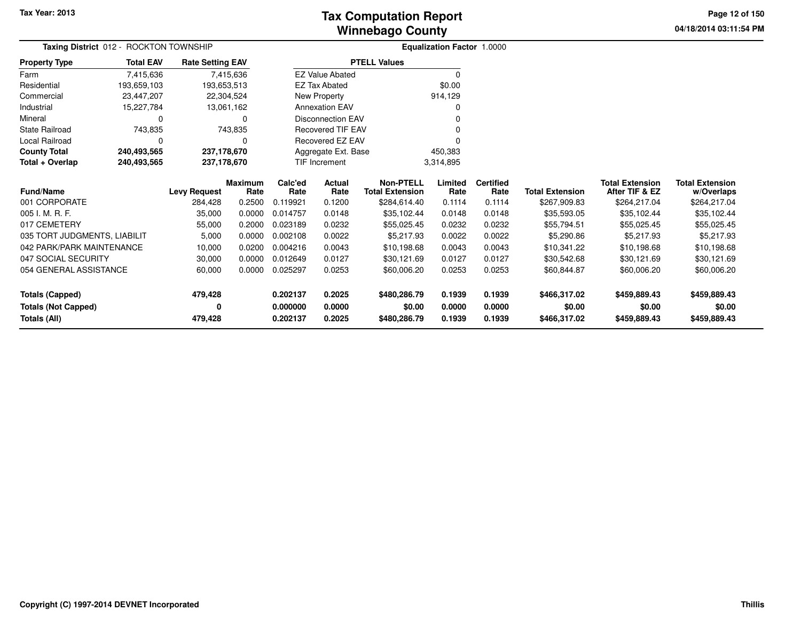**04/18/2014 03:11:54 PM Page 12 of 150**

| Taxing District 012 - ROCKTON TOWNSHIP |                  | <b>Equalization Factor 1.0000</b> |                |                            |                                |                        |          |                  |                        |                        |                        |
|----------------------------------------|------------------|-----------------------------------|----------------|----------------------------|--------------------------------|------------------------|----------|------------------|------------------------|------------------------|------------------------|
| <b>Property Type</b>                   | <b>Total EAV</b> | <b>Rate Setting EAV</b>           |                |                            |                                | <b>PTELL Values</b>    |          |                  |                        |                        |                        |
| Farm                                   | 7,415,636        |                                   | 7,415,636      |                            | <b>EZ Value Abated</b>         |                        | $\Omega$ |                  |                        |                        |                        |
| Residential                            | 193,659,103      | 193,653,513                       |                |                            | <b>EZ Tax Abated</b>           |                        | \$0.00   |                  |                        |                        |                        |
| Commercial                             | 23,447,207       | 22,304,524                        |                |                            | New Property                   |                        | 914,129  |                  |                        |                        |                        |
| Industrial                             | 15,227,784       |                                   | 13,061,162     |                            | <b>Annexation EAV</b>          |                        |          |                  |                        |                        |                        |
| Mineral                                | 0                |                                   | 0              |                            | <b>Disconnection EAV</b>       |                        |          |                  |                        |                        |                        |
| <b>State Railroad</b>                  | 743,835          |                                   | 743,835        |                            | <b>Recovered TIF EAV</b>       |                        |          |                  |                        |                        |                        |
| <b>Local Railroad</b>                  | $\Omega$         |                                   |                |                            | Recovered EZ EAV               |                        |          |                  |                        |                        |                        |
| <b>County Total</b>                    | 240,493,565      | 237,178,670                       |                |                            | 450,383<br>Aggregate Ext. Base |                        |          |                  |                        |                        |                        |
| Total + Overlap                        | 240,493,565      | 237,178,670                       |                | TIF Increment<br>3,314,895 |                                |                        |          |                  |                        |                        |                        |
|                                        |                  |                                   | <b>Maximum</b> | Calc'ed                    | Actual                         | <b>Non-PTELL</b>       | Limited  | <b>Certified</b> |                        | <b>Total Extension</b> | <b>Total Extension</b> |
| <b>Fund/Name</b>                       |                  | <b>Levy Request</b>               | Rate           | Rate                       | Rate                           | <b>Total Extension</b> | Rate     | Rate             | <b>Total Extension</b> | After TIF & EZ         | w/Overlaps             |
| 001 CORPORATE                          |                  | 284,428                           | 0.2500         | 0.119921                   | 0.1200                         | \$284,614.40           | 0.1114   | 0.1114           | \$267,909.83           | \$264,217.04           | \$264,217.04           |
| 005 I. M. R. F.                        |                  | 35,000                            | 0.0000         | 0.014757                   | 0.0148                         | \$35,102.44            | 0.0148   | 0.0148           | \$35,593.05            | \$35,102.44            | \$35,102.44            |
| 017 CEMETERY                           |                  | 55,000                            | 0.2000         | 0.023189                   | 0.0232                         | \$55,025.45            | 0.0232   | 0.0232           | \$55,794.51            | \$55,025.45            | \$55,025.45            |
| 035 TORT JUDGMENTS, LIABILIT           |                  | 5,000                             | 0.0000         | 0.002108                   | 0.0022                         | \$5,217.93             | 0.0022   | 0.0022           | \$5,290.86             | \$5,217.93             | \$5,217.93             |
| 042 PARK/PARK MAINTENANCE              |                  | 10,000                            | 0.0200         | 0.004216                   | 0.0043                         | \$10,198.68            | 0.0043   | 0.0043           | \$10,341.22            | \$10,198.68            | \$10,198.68            |
| 047 SOCIAL SECURITY                    |                  | 30,000                            | 0.0000         | 0.012649                   | 0.0127                         | \$30,121.69            | 0.0127   | 0.0127           | \$30,542.68            | \$30,121.69            | \$30,121.69            |
| 054 GENERAL ASSISTANCE<br>60,000       |                  | 0.0000                            | 0.025297       | 0.0253                     | \$60,006.20                    | 0.0253                 | 0.0253   | \$60,844.87      | \$60,006.20            | \$60,006.20            |                        |
| <b>Totals (Capped)</b>                 |                  | 479,428                           |                | 0.202137                   | 0.2025                         | \$480,286.79           | 0.1939   | 0.1939           | \$466,317.02           | \$459,889.43           | \$459,889.43           |
| <b>Totals (Not Capped)</b>             |                  | 0                                 |                | 0.000000                   | 0.0000                         | \$0.00                 | 0.0000   | 0.0000           | \$0.00                 | \$0.00                 | \$0.00                 |
| Totals (All)<br>479,428                |                  |                                   | 0.202137       | 0.2025                     | \$480,286.79                   | 0.1939                 | 0.1939   | \$466,317.02     | \$459,889.43           | \$459,889.43           |                        |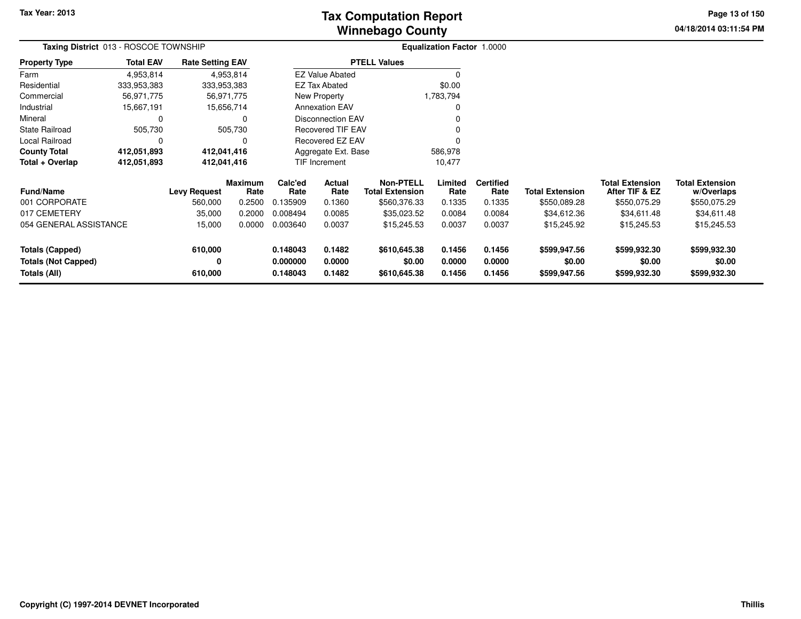# **Winnebago CountyTax Computation Report**

**04/18/2014 03:11:54 PM Page 13 of 150**

| Taxing District 013 - ROSCOE TOWNSHIP      |                  |                         |                 | <b>Equalization Factor 1.0000</b> |                                |                                            |                  |                          |                        |                                          |                                      |
|--------------------------------------------|------------------|-------------------------|-----------------|-----------------------------------|--------------------------------|--------------------------------------------|------------------|--------------------------|------------------------|------------------------------------------|--------------------------------------|
| <b>Property Type</b>                       | <b>Total EAV</b> | <b>Rate Setting EAV</b> |                 |                                   |                                | <b>PTELL Values</b>                        |                  |                          |                        |                                          |                                      |
| Farm                                       | 4,953,814        |                         | 4,953,814       |                                   | <b>EZ Value Abated</b>         |                                            |                  |                          |                        |                                          |                                      |
| Residential                                | 333,953,383      | 333,953,383             |                 |                                   | EZ Tax Abated                  |                                            | \$0.00           |                          |                        |                                          |                                      |
| Commercial                                 | 56,971,775       |                         | 56,971,775      |                                   | New Property                   |                                            | 1,783,794        |                          |                        |                                          |                                      |
| Industrial                                 | 15,667,191       |                         | 15,656,714      |                                   | <b>Annexation EAV</b>          |                                            |                  |                          |                        |                                          |                                      |
| Mineral                                    | $\Omega$         |                         | 0               | Disconnection EAV                 |                                |                                            |                  |                          |                        |                                          |                                      |
| <b>State Railroad</b>                      | 505,730          |                         | 505,730         |                                   | <b>Recovered TIF EAV</b>       |                                            |                  |                          |                        |                                          |                                      |
| Local Railroad                             | $\Omega$         |                         | 0               |                                   | Recovered EZ EAV               |                                            |                  |                          |                        |                                          |                                      |
| <b>County Total</b>                        | 412,051,893      | 412,041,416             |                 | Aggregate Ext. Base<br>586,978    |                                |                                            |                  |                          |                        |                                          |                                      |
| Total + Overlap                            | 412,051,893      | 412,041,416             |                 |                                   | <b>TIF Increment</b><br>10,477 |                                            |                  |                          |                        |                                          |                                      |
| <b>Fund/Name</b>                           |                  | <b>Levy Request</b>     | Maximum<br>Rate | Calc'ed<br>Rate                   | Actual<br>Rate                 | <b>Non-PTELL</b><br><b>Total Extension</b> | Limited<br>Rate  | <b>Certified</b><br>Rate | <b>Total Extension</b> | <b>Total Extension</b><br>After TIF & EZ | <b>Total Extension</b><br>w/Overlaps |
| 001 CORPORATE                              |                  | 560,000                 | 0.2500          | 0.135909                          | 0.1360                         | \$560,376.33                               | 0.1335           | 0.1335                   | \$550,089.28           | \$550,075.29                             | \$550,075.29                         |
| 017 CEMETERY                               |                  | 35,000                  | 0.2000          | 0.008494                          | 0.0085                         | \$35,023.52                                | 0.0084           | 0.0084                   | \$34,612.36            | \$34,611.48                              | \$34,611.48                          |
| 054 GENERAL ASSISTANCE                     |                  | 15,000                  | 0.0000          | 0.003640                          | 0.0037                         | \$15,245.53                                | 0.0037           | 0.0037                   | \$15,245.92            | \$15,245.53                              | \$15,245.53                          |
| <b>Totals (Capped)</b>                     |                  | 610,000                 |                 | 0.148043                          | 0.1482                         | \$610,645.38                               | 0.1456           | 0.1456                   | \$599,947.56           | \$599,932.30                             | \$599,932.30                         |
| <b>Totals (Not Capped)</b><br>Totals (All) |                  | 0<br>610,000            |                 | 0.000000<br>0.148043              | 0.0000<br>0.1482               | \$0.00<br>\$610,645.38                     | 0.0000<br>0.1456 | 0.0000<br>0.1456         | \$0.00<br>\$599,947.56 | \$0.00<br>\$599,932.30                   | \$0.00<br>\$599,932.30               |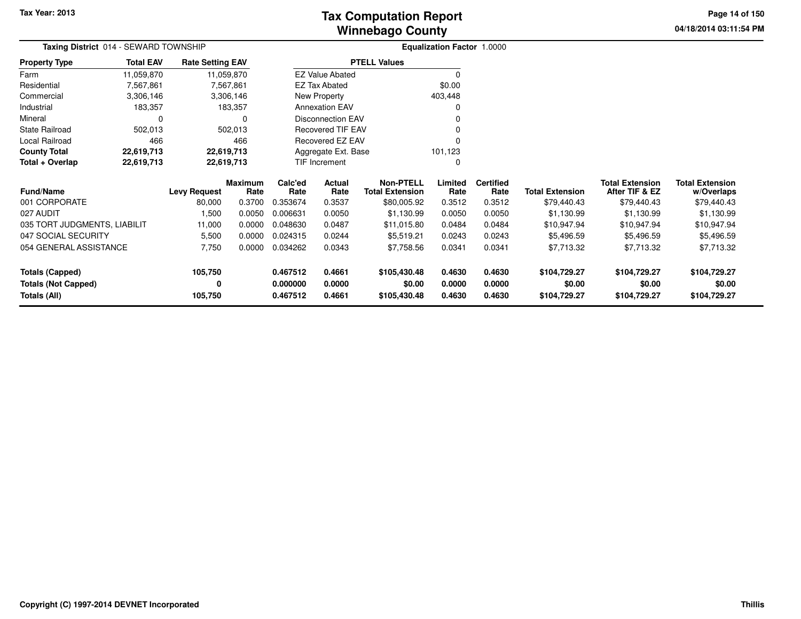**04/18/2014 03:11:54 PM Page 14 of 150**

| <b>Taxing District 014 - SEWARD TOWNSHIP</b> |                  |                         |                 | <b>Equalization Factor 1.0000</b> |                          |                                            |                 |                          |                        |                                          |                                      |
|----------------------------------------------|------------------|-------------------------|-----------------|-----------------------------------|--------------------------|--------------------------------------------|-----------------|--------------------------|------------------------|------------------------------------------|--------------------------------------|
| <b>Property Type</b>                         | <b>Total EAV</b> | <b>Rate Setting EAV</b> |                 |                                   |                          | <b>PTELL Values</b>                        |                 |                          |                        |                                          |                                      |
| Farm                                         | 11,059,870       |                         | 11,059,870      |                                   | <b>EZ Value Abated</b>   |                                            | 0               |                          |                        |                                          |                                      |
| Residential                                  | 7,567,861        |                         | 7,567,861       |                                   | EZ Tax Abated            |                                            | \$0.00          |                          |                        |                                          |                                      |
| Commercial                                   | 3,306,146        |                         | 3,306,146       |                                   | New Property             |                                            | 403,448         |                          |                        |                                          |                                      |
| Industrial                                   | 183,357          |                         | 183,357         |                                   | <b>Annexation EAV</b>    |                                            | 0               |                          |                        |                                          |                                      |
| Mineral                                      | 0                |                         | 0               |                                   | <b>Disconnection EAV</b> |                                            |                 |                          |                        |                                          |                                      |
| <b>State Railroad</b>                        | 502,013          |                         | 502,013         |                                   | <b>Recovered TIF EAV</b> |                                            |                 |                          |                        |                                          |                                      |
| Local Railroad                               | 466              |                         | 466             |                                   | Recovered EZ EAV         |                                            |                 |                          |                        |                                          |                                      |
| <b>County Total</b>                          | 22,619,713       | 22,619,713              |                 |                                   | Aggregate Ext. Base      |                                            | 101,123         |                          |                        |                                          |                                      |
| Total + Overlap                              | 22,619,713       | 22,619,713              |                 |                                   | TIF Increment            |                                            | 0               |                          |                        |                                          |                                      |
| <b>Fund/Name</b>                             |                  | <b>Levy Request</b>     | Maximum<br>Rate | Calc'ed<br>Rate                   | Actual<br>Rate           | <b>Non-PTELL</b><br><b>Total Extension</b> | Limited<br>Rate | <b>Certified</b><br>Rate | <b>Total Extension</b> | <b>Total Extension</b><br>After TIF & EZ | <b>Total Extension</b><br>w/Overlaps |
| 001 CORPORATE                                |                  | 80,000                  | 0.3700          | 0.353674                          | 0.3537                   | \$80,005.92                                | 0.3512          | 0.3512                   | \$79,440.43            | \$79,440.43                              | \$79,440.43                          |
| 027 AUDIT                                    |                  | 1,500                   | 0.0050          | 0.006631                          | 0.0050                   | \$1,130.99                                 | 0.0050          | 0.0050                   | \$1,130.99             | \$1,130.99                               | \$1,130.99                           |
| 035 TORT JUDGMENTS, LIABILIT                 |                  | 11,000                  | 0.0000          | 0.048630                          | 0.0487                   | \$11,015.80                                | 0.0484          | 0.0484                   | \$10,947.94            | \$10,947.94                              | \$10,947.94                          |
| 047 SOCIAL SECURITY                          |                  | 5,500                   | 0.0000          | 0.024315                          | 0.0244                   | \$5,519.21                                 | 0.0243          | 0.0243                   | \$5,496.59             | \$5,496.59                               | \$5,496.59                           |
| 054 GENERAL ASSISTANCE                       |                  | 7,750                   | 0.0000          | 0.034262                          | 0.0343                   | \$7,758.56                                 | 0.0341          | 0.0341                   | \$7,713.32             | \$7,713.32                               | \$7,713.32                           |
| Totals (Capped)                              |                  | 105,750                 |                 | 0.467512                          | 0.4661                   | \$105,430.48                               | 0.4630          | 0.4630                   | \$104,729.27           | \$104,729.27                             | \$104,729.27                         |
| <b>Totals (Not Capped)</b>                   |                  | 0                       |                 | 0.000000                          | 0.0000                   | \$0.00                                     | 0.0000          | 0.0000                   | \$0.00                 | \$0.00                                   | \$0.00                               |
| Totals (All)                                 |                  | 105,750                 |                 | 0.467512                          | 0.4661                   | \$105,430.48                               | 0.4630          | 0.4630                   | \$104,729.27           | \$104,729.27                             | \$104,729.27                         |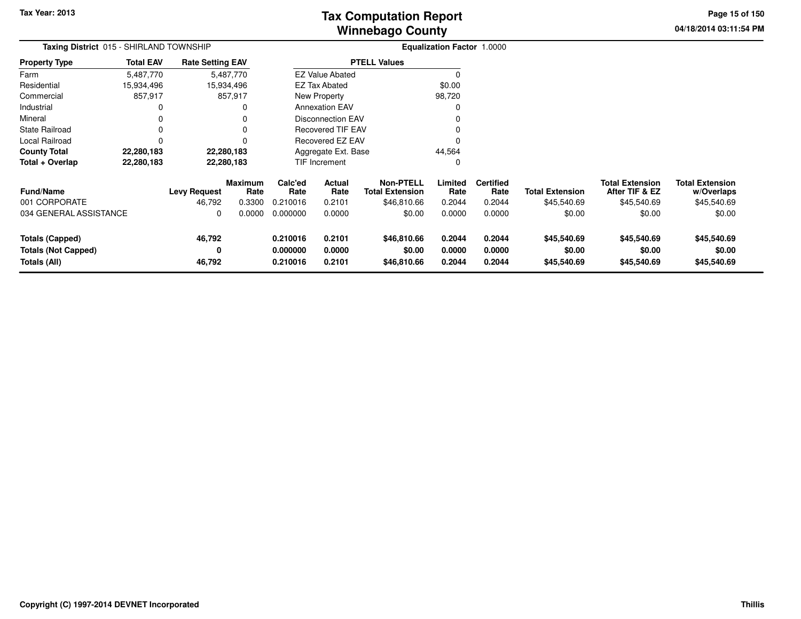# **Winnebago CountyTax Computation Report**

**04/18/2014 03:11:54 PM Page 15 of 150**

| Taxing District 015 - SHIRLAND TOWNSHIP |                  |                         |                 |                               |                          |                                            | <b>Equalization Factor 1.0000</b> |                          |                        |                                          |                                      |  |
|-----------------------------------------|------------------|-------------------------|-----------------|-------------------------------|--------------------------|--------------------------------------------|-----------------------------------|--------------------------|------------------------|------------------------------------------|--------------------------------------|--|
| <b>Property Type</b>                    | <b>Total EAV</b> | <b>Rate Setting EAV</b> |                 |                               |                          | <b>PTELL Values</b>                        |                                   |                          |                        |                                          |                                      |  |
| Farm                                    | 5,487,770        |                         | 5,487,770       |                               | <b>EZ Value Abated</b>   |                                            |                                   |                          |                        |                                          |                                      |  |
| Residential                             | 15,934,496       |                         | 15,934,496      |                               | EZ Tax Abated            |                                            | \$0.00                            |                          |                        |                                          |                                      |  |
| Commercial                              | 857,917          |                         | 857,917         |                               | New Property             |                                            | 98,720                            |                          |                        |                                          |                                      |  |
| Industrial                              | 0                |                         | 0               |                               | <b>Annexation EAV</b>    |                                            |                                   |                          |                        |                                          |                                      |  |
| Mineral                                 |                  |                         | 0               |                               | <b>Disconnection EAV</b> |                                            |                                   |                          |                        |                                          |                                      |  |
| <b>State Railroad</b>                   | 0                |                         | 0               |                               | <b>Recovered TIF EAV</b> |                                            |                                   |                          |                        |                                          |                                      |  |
| Local Railroad                          |                  |                         | 0               |                               | Recovered EZ EAV         |                                            |                                   |                          |                        |                                          |                                      |  |
| <b>County Total</b>                     | 22,280,183       |                         | 22,280,183      | 44,564<br>Aggregate Ext. Base |                          |                                            |                                   |                          |                        |                                          |                                      |  |
| Total + Overlap                         | 22,280,183       |                         | 22,280,183      |                               | TIF Increment<br>0       |                                            |                                   |                          |                        |                                          |                                      |  |
| <b>Fund/Name</b>                        |                  | <b>Levy Request</b>     | Maximum<br>Rate | Calc'ed<br>Rate               | Actual<br>Rate           | <b>Non-PTELL</b><br><b>Total Extension</b> | Limited<br>Rate                   | <b>Certified</b><br>Rate | <b>Total Extension</b> | <b>Total Extension</b><br>After TIF & EZ | <b>Total Extension</b><br>w/Overlaps |  |
| 001 CORPORATE                           |                  | 46,792                  | 0.3300          | 0.210016                      | 0.2101                   | \$46,810.66                                | 0.2044                            | 0.2044                   | \$45,540.69            | \$45,540.69                              | \$45,540.69                          |  |
| 034 GENERAL ASSISTANCE                  |                  | 0                       | 0.0000          | 0.000000                      | 0.0000                   | \$0.00                                     | 0.0000                            | 0.0000                   | \$0.00                 | \$0.00                                   | \$0.00                               |  |
| <b>Totals (Capped)</b>                  |                  | 46,792                  |                 | 0.210016                      | 0.2101                   | \$46,810.66                                | 0.2044                            | 0.2044                   | \$45,540.69            | \$45,540.69                              | \$45,540.69                          |  |
| <b>Totals (Not Capped)</b>              |                  | 0                       |                 | 0.000000                      | 0.0000                   | \$0.00                                     | 0.0000                            | 0.0000                   | \$0.00                 | \$0.00                                   | \$0.00                               |  |
| Totals (All)                            |                  | 46,792                  |                 | 0.210016                      | 0.2101                   | \$46,810.66                                | 0.2044                            | 0.2044                   | \$45,540.69            | \$45,540.69                              | \$45,540.69                          |  |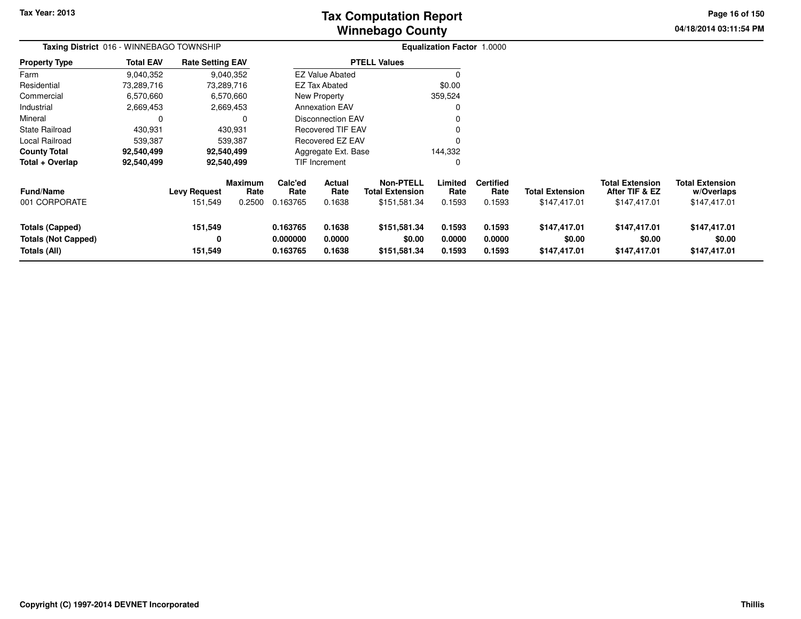**04/18/2014 03:11:54 PM Page 16 of 150**

| Taxing District 016 - WINNEBAGO TOWNSHIP                      |                  |                                |                                  |                                  |                                 |                                                            | <b>Equalization Factor 1.0000</b> |                                    |                                        |                                                          |                                                      |
|---------------------------------------------------------------|------------------|--------------------------------|----------------------------------|----------------------------------|---------------------------------|------------------------------------------------------------|-----------------------------------|------------------------------------|----------------------------------------|----------------------------------------------------------|------------------------------------------------------|
| <b>Property Type</b>                                          | <b>Total EAV</b> | <b>Rate Setting EAV</b>        |                                  |                                  |                                 | <b>PTELL Values</b>                                        |                                   |                                    |                                        |                                                          |                                                      |
| Farm                                                          | 9,040,352        |                                | 9,040,352                        |                                  | <b>EZ Value Abated</b>          |                                                            |                                   |                                    |                                        |                                                          |                                                      |
| Residential                                                   | 73,289,716       |                                | 73,289,716                       |                                  | <b>EZ Tax Abated</b>            |                                                            | \$0.00                            |                                    |                                        |                                                          |                                                      |
| Commercial                                                    | 6,570,660        |                                | 6,570,660                        |                                  | New Property                    |                                                            | 359,524                           |                                    |                                        |                                                          |                                                      |
| Industrial                                                    | 2,669,453        |                                | 2,669,453                        |                                  | <b>Annexation EAV</b>           |                                                            |                                   |                                    |                                        |                                                          |                                                      |
| Mineral                                                       | 0                |                                | 0                                |                                  | <b>Disconnection EAV</b>        |                                                            |                                   |                                    |                                        |                                                          |                                                      |
| <b>State Railroad</b>                                         | 430,931          |                                | 430,931                          |                                  | <b>Recovered TIF EAV</b>        |                                                            |                                   |                                    |                                        |                                                          |                                                      |
| Local Railroad                                                | 539,387          |                                | 539,387                          |                                  | <b>Recovered EZ EAV</b>         |                                                            |                                   |                                    |                                        |                                                          |                                                      |
| <b>County Total</b>                                           | 92,540,499       |                                | 92,540,499                       |                                  | Aggregate Ext. Base             |                                                            | 144,332                           |                                    |                                        |                                                          |                                                      |
| Total + Overlap                                               | 92,540,499       |                                | 92,540,499                       |                                  | TIF Increment                   |                                                            |                                   |                                    |                                        |                                                          |                                                      |
| Fund/Name<br>001 CORPORATE                                    |                  | <b>Levy Request</b><br>151,549 | <b>Maximum</b><br>Rate<br>0.2500 | Calc'ed<br>Rate<br>0.163765      | <b>Actual</b><br>Rate<br>0.1638 | <b>Non-PTELL</b><br><b>Total Extension</b><br>\$151,581.34 | Limited<br>Rate<br>0.1593         | <b>Certified</b><br>Rate<br>0.1593 | <b>Total Extension</b><br>\$147,417.01 | <b>Total Extension</b><br>After TIF & EZ<br>\$147,417.01 | <b>Total Extension</b><br>w/Overlaps<br>\$147,417.01 |
| Totals (Capped)<br><b>Totals (Not Capped)</b><br>Totals (All) |                  | 151,549<br>0<br>151,549        |                                  | 0.163765<br>0.000000<br>0.163765 | 0.1638<br>0.0000<br>0.1638      | \$151,581.34<br>\$0.00<br>\$151,581.34                     | 0.1593<br>0.0000<br>0.1593        | 0.1593<br>0.0000<br>0.1593         | \$147,417.01<br>\$0.00<br>\$147,417.01 | \$147,417.01<br>\$0.00<br>\$147,417.01                   | \$147,417.01<br>\$0.00<br>\$147,417.01               |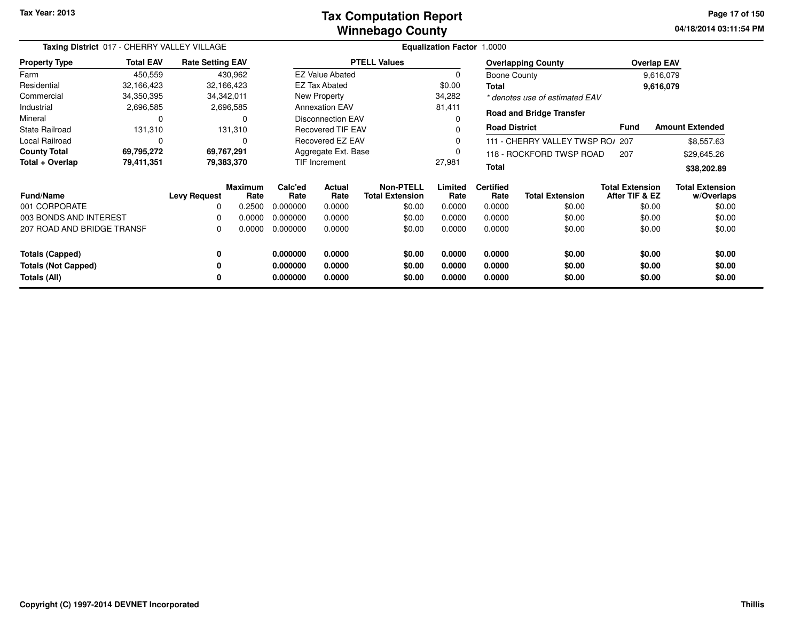#### **Winnebago CountyTax Computation Report**

**04/18/2014 03:11:54 PM Page 17 of 150**

| Taxing District 017 - CHERRY VALLEY VILLAGE |                  |                         |                        | Equalization Factor 1.0000 |                          |                                     |                        |                          |                                  |                                          |                                      |
|---------------------------------------------|------------------|-------------------------|------------------------|----------------------------|--------------------------|-------------------------------------|------------------------|--------------------------|----------------------------------|------------------------------------------|--------------------------------------|
| <b>Property Type</b>                        | <b>Total EAV</b> | <b>Rate Setting EAV</b> |                        |                            |                          | <b>PTELL Values</b>                 |                        |                          | <b>Overlapping County</b>        |                                          | <b>Overlap EAV</b>                   |
| Farm                                        | 450,559          |                         | 430,962                |                            | <b>EZ Value Abated</b>   |                                     | 0                      | <b>Boone County</b>      |                                  |                                          | 9,616,079                            |
| Residential                                 | 32,166,423       |                         | 32,166,423             |                            | EZ Tax Abated            |                                     | \$0.00                 | Total                    |                                  |                                          | 9,616,079                            |
| Commercial                                  | 34,350,395       |                         | 34,342,011             |                            | New Property             |                                     | 34,282                 |                          | * denotes use of estimated EAV   |                                          |                                      |
| Industrial                                  | 2,696,585        |                         | 2,696,585              |                            | <b>Annexation EAV</b>    |                                     | 81,411                 |                          | <b>Road and Bridge Transfer</b>  |                                          |                                      |
| Mineral                                     | 0                |                         | 0                      |                            | <b>Disconnection EAV</b> |                                     | 0                      |                          |                                  |                                          |                                      |
| <b>State Railroad</b>                       | 131,310          |                         | 131,310                |                            | <b>Recovered TIF EAV</b> |                                     | 0                      | <b>Road District</b>     |                                  | <b>Fund</b>                              | <b>Amount Extended</b>               |
| Local Railroad                              | 0                |                         | 0                      |                            | Recovered EZ EAV         |                                     | 0                      |                          | 111 - CHERRY VALLEY TWSP RO/ 207 |                                          | \$8,557.63                           |
| <b>County Total</b>                         | 69,795,272       |                         | 69,767,291             | Aggregate Ext. Base        |                          | 0                                   |                        | 118 - ROCKFORD TWSP ROAD | 207                              | \$29,645.26                              |                                      |
| Total + Overlap                             | 79,411,351       |                         | 79,383,370             |                            | TIF Increment            |                                     | 27,981<br><b>Total</b> |                          |                                  | \$38,202.89                              |                                      |
| <b>Fund/Name</b>                            |                  | <b>Levy Request</b>     | <b>Maximum</b><br>Rate | Calc'ed<br>Rate            | Actual<br>Rate           | Non-PTELL<br><b>Total Extension</b> | Limited<br>Rate        | <b>Certified</b><br>Rate | <b>Total Extension</b>           | <b>Total Extension</b><br>After TIF & EZ | <b>Total Extension</b><br>w/Overlaps |
| 001 CORPORATE                               |                  | $\Omega$                | 0.2500                 | 0.000000                   | 0.0000                   | \$0.00                              | 0.0000                 | 0.0000                   | \$0.00                           |                                          | \$0.00<br>\$0.00                     |
| 003 BONDS AND INTEREST                      |                  | 0                       | 0.0000                 | 0.000000                   | 0.0000                   | \$0.00                              | 0.0000                 | 0.0000                   | \$0.00                           |                                          | \$0.00<br>\$0.00                     |
| 207 ROAD AND BRIDGE TRANSF                  |                  | 0                       | 0.0000                 | 0.000000                   | 0.0000                   | \$0.00                              | 0.0000                 | 0.0000                   | \$0.00                           | \$0.00                                   | \$0.00                               |
| <b>Totals (Capped)</b>                      |                  | 0                       |                        | 0.000000                   | 0.0000                   | \$0.00                              | 0.0000                 | 0.0000                   | \$0.00                           |                                          | \$0.00<br>\$0.00                     |
| <b>Totals (Not Capped)</b>                  |                  | 0                       |                        | 0.000000                   | 0.0000                   | \$0.00                              | 0.0000                 | 0.0000                   | \$0.00                           |                                          | \$0.00<br>\$0.00                     |
| Totals (All)                                |                  | 0                       |                        | 0.000000                   | 0.0000                   | \$0.00                              | 0.0000                 | 0.0000                   | \$0.00                           |                                          | \$0.00<br>\$0.00                     |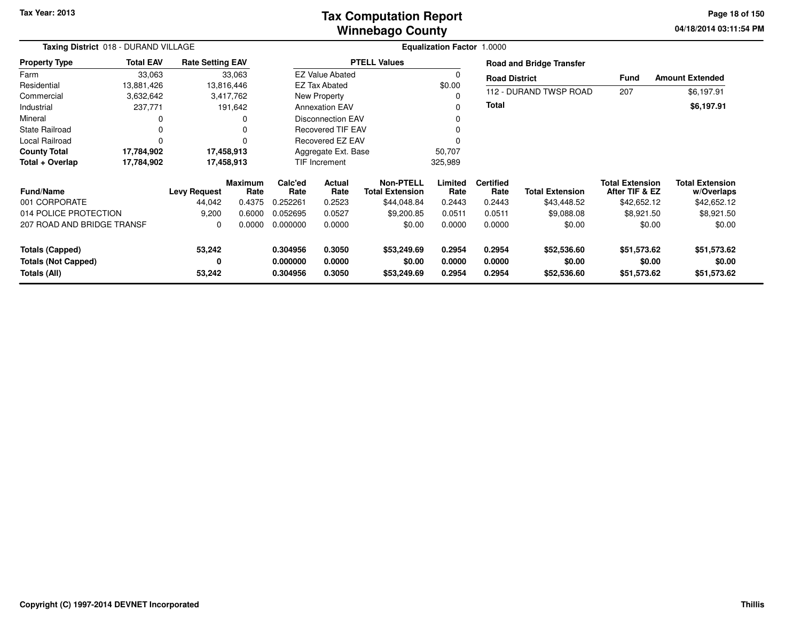### **Winnebago CountyTax Computation Report**

**04/18/2014 03:11:54 PM Page 18 of 150**

| Taxing District 018 - DURAND VILLAGE |                  |                         |                        |                               | Equalization Factor 1.0000 |                                            |                 |                          |                                 |                                          |                                      |  |  |
|--------------------------------------|------------------|-------------------------|------------------------|-------------------------------|----------------------------|--------------------------------------------|-----------------|--------------------------|---------------------------------|------------------------------------------|--------------------------------------|--|--|
| <b>Property Type</b>                 | <b>Total EAV</b> | <b>Rate Setting EAV</b> |                        |                               |                            | <b>PTELL Values</b>                        |                 |                          | <b>Road and Bridge Transfer</b> |                                          |                                      |  |  |
| Farm                                 | 33,063           |                         | 33,063                 |                               | <b>EZ Value Abated</b>     |                                            |                 | <b>Road District</b>     |                                 | Fund                                     | <b>Amount Extended</b>               |  |  |
| Residential                          | 13,881,426       |                         | 13,816,446             |                               | <b>EZ Tax Abated</b>       |                                            | \$0.00          |                          |                                 |                                          |                                      |  |  |
| Commercial                           | 3,632,642        |                         | 3,417,762              |                               | New Property               |                                            |                 |                          | 112 - DURAND TWSP ROAD          | 207                                      | \$6,197.91                           |  |  |
| Industrial                           | 237,771          |                         | 191,642                |                               | <b>Annexation EAV</b>      |                                            |                 | Total                    |                                 |                                          | \$6,197.91                           |  |  |
| Mineral                              | 0                |                         |                        |                               | <b>Disconnection EAV</b>   |                                            |                 |                          |                                 |                                          |                                      |  |  |
| <b>State Railroad</b>                | 0                |                         |                        |                               | <b>Recovered TIF EAV</b>   |                                            |                 |                          |                                 |                                          |                                      |  |  |
| <b>Local Railroad</b>                | $\Omega$         |                         |                        |                               | <b>Recovered EZ EAV</b>    |                                            |                 |                          |                                 |                                          |                                      |  |  |
| <b>County Total</b>                  | 17,784,902       |                         | 17,458,913             | Aggregate Ext. Base<br>50,707 |                            |                                            |                 |                          |                                 |                                          |                                      |  |  |
| Total + Overlap                      | 17,784,902       |                         | 17,458,913             | TIF Increment<br>325,989      |                            |                                            |                 |                          |                                 |                                          |                                      |  |  |
| <b>Fund/Name</b>                     |                  | <b>Levy Request</b>     | <b>Maximum</b><br>Rate | Calc'ed<br>Rate               | Actual<br>Rate             | <b>Non-PTELL</b><br><b>Total Extension</b> | Limited<br>Rate | <b>Certified</b><br>Rate | <b>Total Extension</b>          | <b>Total Extension</b><br>After TIF & EZ | <b>Total Extension</b><br>w/Overlaps |  |  |
| 001 CORPORATE                        |                  | 44,042                  | 0.4375                 | 0.252261                      | 0.2523                     | \$44,048.84                                | 0.2443          | 0.2443                   | \$43,448.52                     | \$42,652.12                              | \$42,652.12                          |  |  |
| 014 POLICE PROTECTION                |                  | 9,200                   | 0.6000                 | 0.052695                      | 0.0527                     | \$9,200.85                                 | 0.0511          | 0.0511                   | \$9,088.08                      | \$8,921.50                               | \$8,921.50                           |  |  |
| 207 ROAD AND BRIDGE TRANSF           |                  | 0                       | 0.0000                 | 0.000000                      | 0.0000                     | \$0.00                                     | 0.0000          | 0.0000                   | \$0.00                          | \$0.00                                   | \$0.00                               |  |  |
| <b>Totals (Capped)</b>               |                  | 53,242                  |                        | 0.304956                      | 0.3050                     | \$53,249.69                                | 0.2954          | 0.2954                   | \$52,536.60                     | \$51,573.62                              | \$51,573.62                          |  |  |
| <b>Totals (Not Capped)</b>           |                  | 0                       |                        | 0.000000                      | 0.0000                     | \$0.00                                     | 0.0000          | 0.0000                   | \$0.00                          | \$0.00                                   | \$0.00                               |  |  |
| Totals (All)                         |                  | 53,242                  |                        | 0.304956                      | 0.3050                     | \$53,249.69                                | 0.2954          | 0.2954                   | \$52,536.60                     | \$51,573.62                              | \$51,573.62                          |  |  |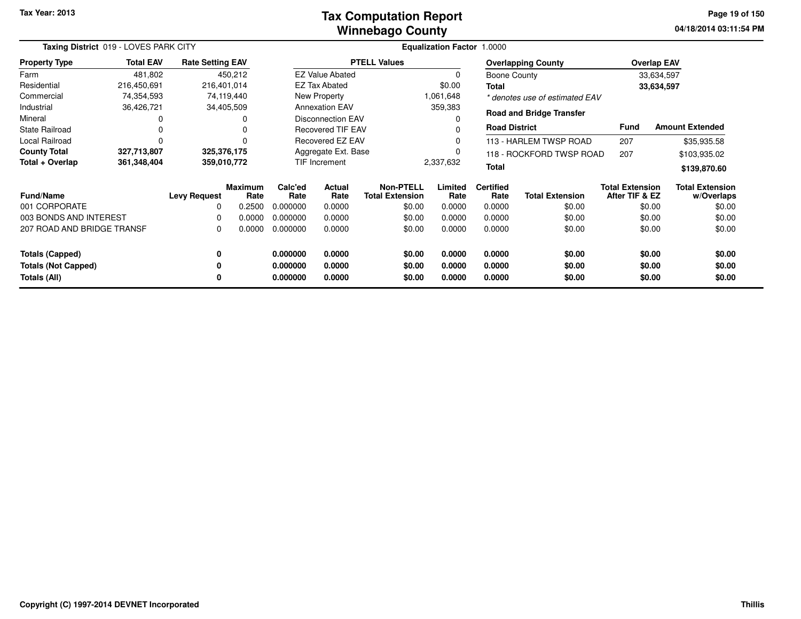#### **Winnebago CountyTax Computation Report**

**04/18/2014 03:11:54 PM Page 19 of 150**

| Taxing District 019 - LOVES PARK CITY |                  |                         |                        | <b>Equalization Factor 1.0000</b>               |                          |                                            |                 |                          |                                 |                                          |                                      |
|---------------------------------------|------------------|-------------------------|------------------------|-------------------------------------------------|--------------------------|--------------------------------------------|-----------------|--------------------------|---------------------------------|------------------------------------------|--------------------------------------|
| <b>Property Type</b>                  | <b>Total EAV</b> | <b>Rate Setting EAV</b> |                        |                                                 |                          | <b>PTELL Values</b>                        |                 |                          | <b>Overlapping County</b>       |                                          | <b>Overlap EAV</b>                   |
| Farm                                  | 481,802          |                         | 450,212                |                                                 | <b>EZ Value Abated</b>   |                                            |                 | Boone County             |                                 |                                          | 33,634,597                           |
| Residential                           | 216,450,691      | 216,401,014             |                        |                                                 | <b>EZ Tax Abated</b>     |                                            | \$0.00          | Total                    |                                 |                                          | 33,634,597                           |
| Commercial                            | 74,354,593       |                         | 74,119,440             |                                                 | New Property             |                                            | 1,061,648       |                          | * denotes use of estimated EAV  |                                          |                                      |
| Industrial                            | 36,426,721       |                         | 34,405,509             |                                                 | <b>Annexation EAV</b>    |                                            | 359,383         |                          |                                 |                                          |                                      |
| Mineral                               | 0                |                         |                        |                                                 | <b>Disconnection EAV</b> |                                            |                 |                          | <b>Road and Bridge Transfer</b> |                                          |                                      |
| <b>State Railroad</b>                 | 0                |                         |                        |                                                 | <b>Recovered TIF EAV</b> |                                            |                 | <b>Road District</b>     |                                 | <b>Fund</b>                              | <b>Amount Extended</b>               |
| <b>Local Railroad</b>                 | 0                |                         |                        |                                                 | Recovered EZ EAV         |                                            |                 |                          | 113 - HARLEM TWSP ROAD          | 207                                      | \$35,935.58                          |
| <b>County Total</b>                   | 327,713,807      | 325,376,175             |                        | Aggregate Ext. Base<br>118 - ROCKFORD TWSP ROAD |                          | 207                                        | \$103,935.02    |                          |                                 |                                          |                                      |
| Total + Overlap                       | 361,348,404      | 359,010,772             |                        |                                                 | TIF Increment            |                                            | 2,337,632       | <b>Total</b>             |                                 |                                          | \$139,870.60                         |
| <b>Fund/Name</b>                      |                  | <b>Levy Request</b>     | <b>Maximum</b><br>Rate | Calc'ed<br>Rate                                 | Actual<br>Rate           | <b>Non-PTELL</b><br><b>Total Extension</b> | Limited<br>Rate | <b>Certified</b><br>Rate | <b>Total Extension</b>          | <b>Total Extension</b><br>After TIF & EZ | <b>Total Extension</b><br>w/Overlaps |
| 001 CORPORATE                         |                  | 0                       | 0.2500                 | 0.000000                                        | 0.0000                   | \$0.00                                     | 0.0000          | 0.0000                   | \$0.00                          |                                          | \$0.00<br>\$0.00                     |
| 003 BONDS AND INTEREST                |                  | 0                       | 0.0000                 | 0.000000                                        | 0.0000                   | \$0.00                                     | 0.0000          | 0.0000                   | \$0.00                          |                                          | \$0.00<br>\$0.00                     |
| 207 ROAD AND BRIDGE TRANSF            |                  | 0                       | 0.0000                 | 0.000000                                        | 0.0000                   | \$0.00                                     | 0.0000          | 0.0000                   | \$0.00                          |                                          | \$0.00<br>\$0.00                     |
| <b>Totals (Capped)</b>                |                  | 0                       |                        | 0.000000                                        | 0.0000                   | \$0.00                                     | 0.0000          | 0.0000                   | \$0.00                          |                                          | \$0.00<br>\$0.00                     |
| <b>Totals (Not Capped)</b>            |                  | 0                       |                        | 0.000000                                        | 0.0000                   | \$0.00                                     | 0.0000          | 0.0000                   | \$0.00                          |                                          | \$0.00<br>\$0.00                     |
| Totals (All)                          |                  | 0                       |                        | 0.000000                                        | 0.0000                   | \$0.00                                     | 0.0000          | 0.0000                   | \$0.00                          |                                          | \$0.00<br>\$0.00                     |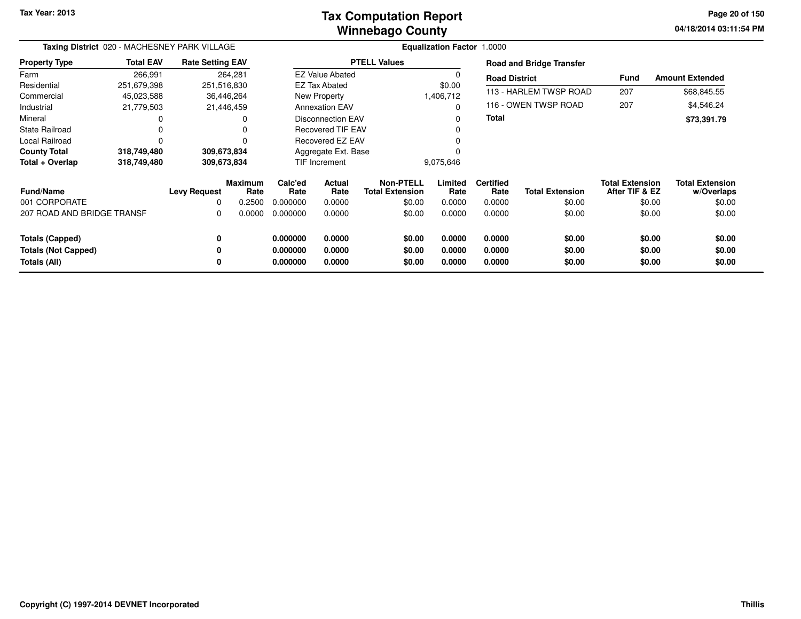### **Winnebago CountyTax Computation Report**

**04/18/2014 03:11:54 PM Page 20 of 150**

| Taxing District 020 - MACHESNEY PARK VILLAGE |                  |                         |                 |                     |                            | Equalization Factor 1.0000          |                 |                          |                                 |                                          |                                      |
|----------------------------------------------|------------------|-------------------------|-----------------|---------------------|----------------------------|-------------------------------------|-----------------|--------------------------|---------------------------------|------------------------------------------|--------------------------------------|
| <b>Property Type</b>                         | <b>Total EAV</b> | <b>Rate Setting EAV</b> |                 |                     |                            | <b>PTELL Values</b>                 |                 |                          | <b>Road and Bridge Transfer</b> |                                          |                                      |
| Farm                                         | 266,991          |                         | 264,281         |                     | <b>EZ Value Abated</b>     |                                     |                 | <b>Road District</b>     |                                 | Fund                                     | <b>Amount Extended</b>               |
| Residential                                  | 251,679,398      | 251,516,830             |                 |                     | <b>EZ Tax Abated</b>       |                                     | \$0.00          |                          |                                 |                                          |                                      |
| Commercial                                   | 45,023,588       | 36,446,264              |                 |                     | New Property               |                                     | 1,406,712       |                          | 113 - HARLEM TWSP ROAD          | 207                                      | \$68,845.55                          |
| Industrial                                   | 21,779,503       | 21,446,459              |                 |                     | <b>Annexation EAV</b>      |                                     | $\Omega$        |                          | 116 - OWEN TWSP ROAD            | 207                                      | \$4,546.24                           |
| Mineral                                      |                  |                         | 0               |                     | Disconnection EAV          |                                     |                 | <b>Total</b>             |                                 |                                          | \$73,391.79                          |
| <b>State Railroad</b>                        |                  |                         | 0               |                     | <b>Recovered TIF EAV</b>   |                                     |                 |                          |                                 |                                          |                                      |
| Local Railroad                               |                  |                         | $\Omega$        | Recovered EZ EAV    |                            |                                     |                 |                          |                                 |                                          |                                      |
| <b>County Total</b>                          | 318,749,480      | 309,673,834             |                 | Aggregate Ext. Base |                            |                                     |                 |                          |                                 |                                          |                                      |
| Total + Overlap                              | 318,749,480      | 309,673,834             |                 |                     | TIF Increment<br>9,075,646 |                                     |                 |                          |                                 |                                          |                                      |
| <b>Fund/Name</b>                             |                  | <b>Levy Request</b>     | Maximum<br>Rate | Calc'ed<br>Rate     | <b>Actual</b><br>Rate      | Non-PTELL<br><b>Total Extension</b> | Limited<br>Rate | <b>Certified</b><br>Rate | <b>Total Extension</b>          | <b>Total Extension</b><br>After TIF & EZ | <b>Total Extension</b><br>w/Overlaps |
| 001 CORPORATE                                |                  | 0                       | 0.2500          | 0.000000            | 0.0000                     | \$0.00                              | 0.0000          | 0.0000                   | \$0.00                          | \$0.00                                   | \$0.00                               |
| 207 ROAD AND BRIDGE TRANSF                   |                  | 0                       | 0.0000          | 0.000000            | 0.0000                     | \$0.00                              | 0.0000          | 0.0000                   | \$0.00                          | \$0.00                                   | \$0.00                               |
| <b>Totals (Capped)</b>                       |                  | 0                       |                 | 0.000000            | 0.0000                     | \$0.00                              | 0.0000          | 0.0000                   | \$0.00                          | \$0.00                                   | \$0.00                               |
| <b>Totals (Not Capped)</b>                   |                  | 0                       |                 | 0.000000            | 0.0000                     | \$0.00                              | 0.0000          | 0.0000                   | \$0.00                          | \$0.00                                   | \$0.00                               |
| Totals (All)                                 |                  | 0                       |                 | 0.000000            | 0.0000                     | \$0.00                              | 0.0000          | 0.0000                   | \$0.00                          | \$0.00                                   | \$0.00                               |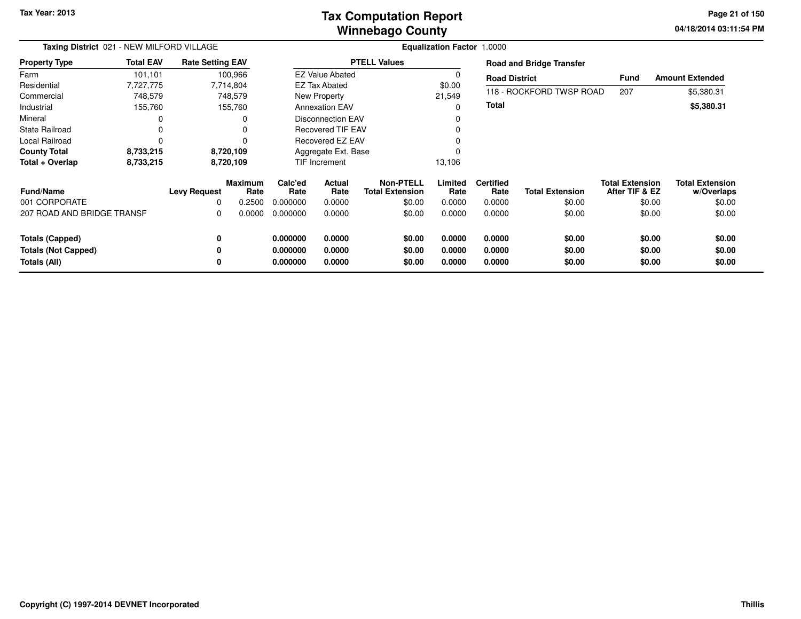### **Winnebago CountyTax Computation Report**

**04/18/2014 03:11:54 PM Page 21 of 150**

| Taxing District 021 - NEW MILFORD VILLAGE |                  |                         |                        | Equalization Factor 1.0000 |                          |                                            |                 |                          |                                 |                                          |                                      |
|-------------------------------------------|------------------|-------------------------|------------------------|----------------------------|--------------------------|--------------------------------------------|-----------------|--------------------------|---------------------------------|------------------------------------------|--------------------------------------|
| <b>Property Type</b>                      | <b>Total EAV</b> | <b>Rate Setting EAV</b> |                        |                            |                          | <b>PTELL Values</b>                        |                 |                          | <b>Road and Bridge Transfer</b> |                                          |                                      |
| Farm                                      | 101,101          |                         | 100,966                |                            | <b>EZ Value Abated</b>   |                                            | 0               | <b>Road District</b>     |                                 | <b>Fund</b>                              | <b>Amount Extended</b>               |
| Residential                               | 7,727,775        |                         | 7,714,804              |                            | EZ Tax Abated            |                                            | \$0.00          |                          |                                 |                                          |                                      |
| Commercial                                | 748,579          |                         | 748,579                |                            | New Property             |                                            | 21,549          |                          | 118 - ROCKFORD TWSP ROAD        | 207                                      | \$5,380.31                           |
| Industrial                                | 155,760          |                         | 155,760                |                            | <b>Annexation EAV</b>    |                                            | $\Omega$        | <b>Total</b>             |                                 |                                          | \$5,380.31                           |
| Mineral                                   |                  |                         |                        |                            | <b>Disconnection EAV</b> |                                            | $\Omega$        |                          |                                 |                                          |                                      |
| <b>State Railroad</b>                     | $\mathbf 0$      |                         |                        | <b>Recovered TIF EAV</b>   |                          |                                            | $\Omega$        |                          |                                 |                                          |                                      |
| Local Railroad                            | $\Omega$         |                         |                        |                            | Recovered EZ EAV         |                                            |                 |                          |                                 |                                          |                                      |
| <b>County Total</b>                       | 8,733,215        |                         | 8,720,109              |                            | Aggregate Ext. Base      |                                            |                 |                          |                                 |                                          |                                      |
| Total + Overlap                           | 8,733,215        |                         | 8,720,109              | <b>TIF Increment</b>       |                          | 13,106                                     |                 |                          |                                 |                                          |                                      |
| <b>Fund/Name</b>                          |                  | <b>Levy Request</b>     | <b>Maximum</b><br>Rate | Calc'ed<br>Rate            | Actual<br>Rate           | <b>Non-PTELL</b><br><b>Total Extension</b> | Limited<br>Rate | <b>Certified</b><br>Rate | <b>Total Extension</b>          | <b>Total Extension</b><br>After TIF & EZ | <b>Total Extension</b><br>w/Overlaps |
| 001 CORPORATE                             |                  | 0                       | 0.2500                 | 0.000000                   | 0.0000                   | \$0.00                                     | 0.0000          | 0.0000                   | \$0.00                          | \$0.00                                   | \$0.00                               |
| 207 ROAD AND BRIDGE TRANSF                |                  | 0                       | 0.0000                 | 0.000000                   | 0.0000                   | \$0.00                                     | 0.0000          | 0.0000                   | \$0.00                          | \$0.00                                   | \$0.00                               |
| <b>Totals (Capped)</b>                    |                  | 0                       |                        | 0.000000                   | 0.0000                   | \$0.00                                     | 0.0000          | 0.0000                   | \$0.00                          | \$0.00                                   | \$0.00                               |
| <b>Totals (Not Capped)</b>                |                  |                         |                        | 0.000000                   | 0.0000                   | \$0.00                                     | 0.0000          | 0.0000                   | \$0.00                          | \$0.00                                   | \$0.00                               |
| Totals (All)                              |                  |                         |                        | 0.000000                   | 0.0000                   | \$0.00                                     | 0.0000          | 0.0000                   | \$0.00                          | \$0.00                                   | \$0.00                               |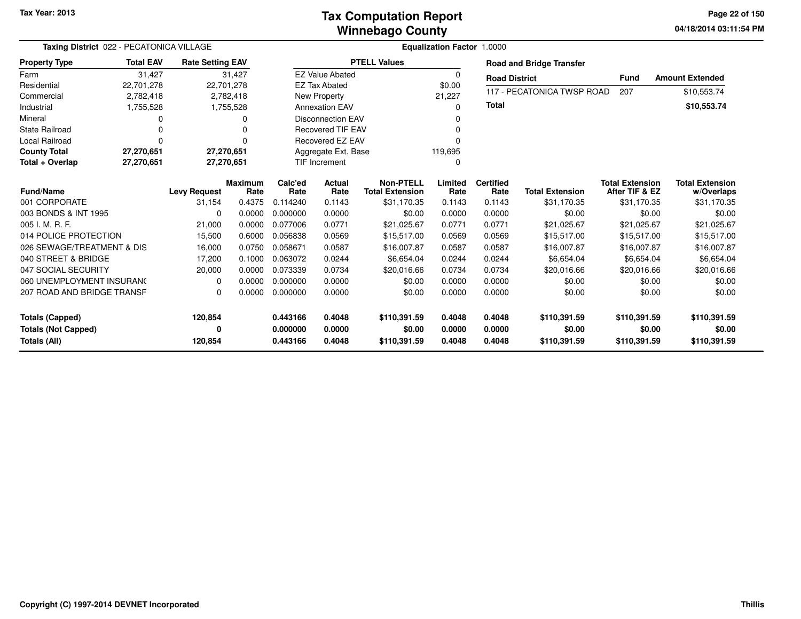### **Winnebago CountyTax Computation Report**

**04/18/2014 03:11:54 PM Page 22 of 150**

| Taxing District 022 - PECATONICA VILLAGE |                  |                         |                        |                     |                                  |                                            | Equalization Factor 1.0000 |                          |                                 |                                          |                                      |
|------------------------------------------|------------------|-------------------------|------------------------|---------------------|----------------------------------|--------------------------------------------|----------------------------|--------------------------|---------------------------------|------------------------------------------|--------------------------------------|
| <b>Property Type</b>                     | <b>Total EAV</b> | <b>Rate Setting EAV</b> |                        |                     |                                  | <b>PTELL Values</b>                        |                            |                          | <b>Road and Bridge Transfer</b> |                                          |                                      |
| Farm                                     | 31,427           |                         | 31,427                 |                     | <b>EZ Value Abated</b>           |                                            | 0                          | <b>Road District</b>     |                                 | Fund                                     | <b>Amount Extended</b>               |
| Residential                              | 22,701,278       | 22,701,278              |                        |                     | <b>EZ Tax Abated</b>             |                                            | \$0.00                     |                          |                                 |                                          |                                      |
| Commercial                               | 2,782,418        |                         | 2,782,418              |                     | New Property                     |                                            | 21,227                     |                          | 117 - PECATONICA TWSP ROAD      | 207                                      | \$10,553.74                          |
| Industrial                               | 1,755,528        |                         | 1,755,528              |                     | <b>Annexation EAV</b>            |                                            | 0                          | Total                    |                                 |                                          | \$10,553.74                          |
| Mineral                                  |                  |                         | 0                      |                     | <b>Disconnection EAV</b>         |                                            |                            |                          |                                 |                                          |                                      |
| <b>State Railroad</b>                    |                  |                         | O                      |                     | <b>Recovered TIF EAV</b>         |                                            |                            |                          |                                 |                                          |                                      |
| <b>Local Railroad</b>                    | $\Omega$         |                         | 0                      | Recovered EZ EAV    |                                  |                                            | ŋ                          |                          |                                 |                                          |                                      |
| <b>County Total</b>                      | 27,270,651       | 27,270,651              |                        | Aggregate Ext. Base |                                  |                                            | 119,695                    |                          |                                 |                                          |                                      |
| Total + Overlap                          | 27,270,651       | 27,270,651              |                        |                     | <b>TIF Increment</b><br>$\Omega$ |                                            |                            |                          |                                 |                                          |                                      |
| <b>Fund/Name</b>                         |                  | <b>Levy Request</b>     | <b>Maximum</b><br>Rate | Calc'ed<br>Rate     | Actual<br>Rate                   | <b>Non-PTELL</b><br><b>Total Extension</b> | Limited<br>Rate            | <b>Certified</b><br>Rate | <b>Total Extension</b>          | <b>Total Extension</b><br>After TIF & EZ | <b>Total Extension</b><br>w/Overlaps |
| 001 CORPORATE                            |                  | 31,154                  | 0.4375                 | 0.114240            | 0.1143                           | \$31,170.35                                | 0.1143                     | 0.1143                   | \$31,170.35                     | \$31,170.35                              | \$31,170.35                          |
| 003 BONDS & INT 1995                     |                  | $\Omega$                | 0.0000                 | 0.000000            | 0.0000                           | \$0.00                                     | 0.0000                     | 0.0000                   | \$0.00                          | \$0.00                                   | \$0.00                               |
| 005 I. M. R. F.                          |                  | 21,000                  | 0.0000                 | 0.077006            | 0.0771                           | \$21,025.67                                | 0.0771                     | 0.0771                   | \$21,025.67                     | \$21.025.67                              | \$21,025.67                          |
| 014 POLICE PROTECTION                    |                  | 15,500                  | 0.6000                 | 0.056838            | 0.0569                           | \$15,517.00                                | 0.0569                     | 0.0569                   | \$15,517.00                     | \$15,517.00                              | \$15,517.00                          |
| 026 SEWAGE/TREATMENT & DIS               |                  | 16,000                  | 0.0750                 | 0.058671            | 0.0587                           | \$16,007.87                                | 0.0587                     | 0.0587                   | \$16,007.87                     | \$16,007.87                              | \$16,007.87                          |
| 040 STREET & BRIDGE                      |                  | 17,200                  | 0.1000                 | 0.063072            | 0.0244                           | \$6,654.04                                 | 0.0244                     | 0.0244                   | \$6,654.04                      | \$6,654.04                               | \$6,654.04                           |
| 047 SOCIAL SECURITY                      |                  | 20,000                  | 0.0000                 | 0.073339            | 0.0734                           | \$20,016.66                                | 0.0734                     | 0.0734                   | \$20,016.66                     | \$20,016.66                              | \$20,016.66                          |
| 060 UNEMPLOYMENT INSURANC                |                  | $\Omega$                | 0.0000                 | 0.000000            | 0.0000                           | \$0.00                                     | 0.0000                     | 0.0000                   | \$0.00                          | \$0.00                                   | \$0.00                               |
| 207 ROAD AND BRIDGE TRANSF               |                  | $\Omega$                | 0.0000                 | 0.000000            | 0.0000                           | \$0.00                                     | 0.0000                     | 0.0000                   | \$0.00                          | \$0.00                                   | \$0.00                               |
| <b>Totals (Capped)</b>                   |                  | 120,854                 |                        | 0.443166            | 0.4048                           | \$110,391.59                               | 0.4048                     | 0.4048                   | \$110,391.59                    | \$110,391.59                             | \$110,391.59                         |
| <b>Totals (Not Capped)</b>               |                  | 0                       |                        | 0.000000            | 0.0000                           | \$0.00                                     | 0.0000                     | 0.0000                   | \$0.00                          | \$0.00                                   | \$0.00                               |
| Totals (All)                             |                  | 120,854                 |                        | 0.443166            | 0.4048                           | \$110,391.59                               | 0.4048                     | 0.4048                   | \$110,391.59                    | \$110,391.59                             | \$110,391.59                         |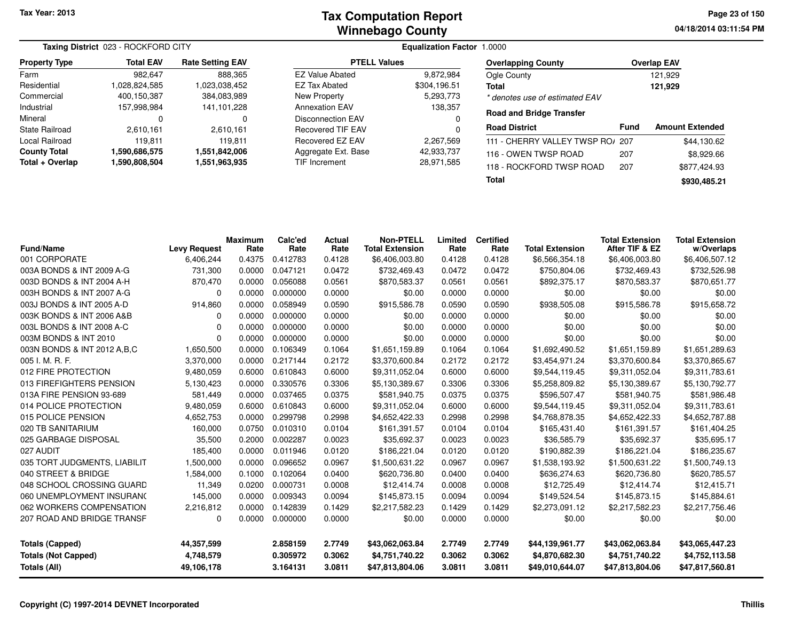|                      | Taxing District 023 - ROCKFORD CITY |                         |                                       |              |                                  |             |                        |
|----------------------|-------------------------------------|-------------------------|---------------------------------------|--------------|----------------------------------|-------------|------------------------|
| <b>Property Type</b> | <b>Total EAV</b>                    | <b>Rate Setting EAV</b> | <b>PTELL Values</b>                   |              | <b>Overlapping County</b>        |             | <b>Overlap EAV</b>     |
| Farm                 | 982.647                             | 888,365                 | <b>EZ Value Abated</b>                | 9,872,984    | Ogle County                      |             | 121.929                |
| Residential          | 028,824,585                         | 1,023,038,452           | <b>EZ Tax Abated</b>                  | \$304,196.51 | <b>Total</b>                     |             | 121,929                |
| Commercial           | 400.150.387                         | 384,083,989             | New Property                          | 5,293,773    | * denotes use of estimated EAV   |             |                        |
| Industrial           | 157.998.984                         | 141.101.228             | <b>Annexation EAV</b>                 | 138.357      |                                  |             |                        |
| Mineral              | 0                                   | 0                       | <b>Disconnection EAV</b>              |              | <b>Road and Bridge Transfer</b>  |             |                        |
| State Railroad       | 2.610.161                           | 2.610.161               | <b>Recovered TIF EAV</b>              |              | <b>Road District</b>             | <b>Fund</b> | <b>Amount Extended</b> |
| Local Railroad       | 119.811                             | 119.811                 | Recovered EZ EAV                      | 2.267.569    | 111 - CHERRY VALLEY TWSP RO/ 207 |             | \$44,130.62            |
| <b>County Total</b>  | 1,590,686,575                       | 1,551,842,006           | Aggregate Ext. Base                   | 42,933,737   | 116 - OWEN TWSP ROAD             | 207         | \$8,929.66             |
| Total + Overlap      | 1,590,808,504                       |                         | 1,551,963,935<br><b>TIF Increment</b> |              | 118 - ROCKFORD TWSP ROAD         | 207         | \$877.424.93           |
|                      |                                     |                         |                                       |              | <b>Total</b>                     |             | \$930,485.21           |

|                               |                     | <b>Maximum</b> | Calc'ed  | <b>Actual</b> | <b>Non-PTELL</b>       | Limited | <b>Certified</b> |                        | <b>Total Extension</b> | <b>Total Extension</b> |
|-------------------------------|---------------------|----------------|----------|---------------|------------------------|---------|------------------|------------------------|------------------------|------------------------|
| <b>Fund/Name</b>              | <b>Levy Request</b> | Rate           | Rate     | Rate          | <b>Total Extension</b> | Rate    | Rate             | <b>Total Extension</b> | After TIF & EZ         | w/Overlaps             |
| 001 CORPORATE                 | 6,406,244           | 0.4375         | 0.412783 | 0.4128        | \$6,406,003.80         | 0.4128  | 0.4128           | \$6,566,354.18         | \$6,406,003.80         | \$6,406,507.12         |
| 003A BONDS & INT 2009 A-G     | 731,300             | 0.0000         | 0.047121 | 0.0472        | \$732,469.43           | 0.0472  | 0.0472           | \$750,804.06           | \$732,469.43           | \$732,526.98           |
| 003D BONDS & INT 2004 A-H     | 870,470             | 0.0000         | 0.056088 | 0.0561        | \$870,583.37           | 0.0561  | 0.0561           | \$892,375.17           | \$870,583.37           | \$870,651.77           |
| 003H BONDS & INT 2007 A-G     | 0                   | 0.0000         | 0.000000 | 0.0000        | \$0.00                 | 0.0000  | 0.0000           | \$0.00                 | \$0.00                 | \$0.00                 |
| 003J BONDS & INT 2005 A-D     | 914,860             | 0.0000         | 0.058949 | 0.0590        | \$915,586.78           | 0.0590  | 0.0590           | \$938,505.08           | \$915,586.78           | \$915,658.72           |
| 003K BONDS & INT 2006 A&B     | 0                   | 0.0000         | 0.000000 | 0.0000        | \$0.00                 | 0.0000  | 0.0000           | \$0.00                 | \$0.00                 | \$0.00                 |
| 003L BONDS & INT 2008 A-C     | 0                   | 0.0000         | 0.000000 | 0.0000        | \$0.00                 | 0.0000  | 0.0000           | \$0.00                 | \$0.00                 | \$0.00                 |
| 003M BONDS & INT 2010         | $\Omega$            | 0.0000         | 0.000000 | 0.0000        | \$0.00                 | 0.0000  | 0.0000           | \$0.00                 | \$0.00                 | \$0.00                 |
| 003N BONDS & INT 2012 A, B, C | 1,650,500           | 0.0000         | 0.106349 | 0.1064        | \$1,651,159.89         | 0.1064  | 0.1064           | \$1,692,490.52         | \$1,651,159.89         | \$1,651,289.63         |
| 005 I. M. R. F.               | 3,370,000           | 0.0000         | 0.217144 | 0.2172        | \$3,370,600.84         | 0.2172  | 0.2172           | \$3,454,971.24         | \$3,370,600.84         | \$3,370,865.67         |
| 012 FIRE PROTECTION           | 9,480,059           | 0.6000         | 0.610843 | 0.6000        | \$9,311,052.04         | 0.6000  | 0.6000           | \$9,544,119.45         | \$9,311,052.04         | \$9,311,783.61         |
| 013 FIREFIGHTERS PENSION      | 5,130,423           | 0.0000         | 0.330576 | 0.3306        | \$5,130,389.67         | 0.3306  | 0.3306           | \$5,258,809.82         | \$5,130,389.67         | \$5,130,792.77         |
| 013A FIRE PENSION 93-689      | 581,449             | 0.0000         | 0.037465 | 0.0375        | \$581,940.75           | 0.0375  | 0.0375           | \$596,507.47           | \$581,940.75           | \$581,986.48           |
| 014 POLICE PROTECTION         | 9,480,059           | 0.6000         | 0.610843 | 0.6000        | \$9,311,052.04         | 0.6000  | 0.6000           | \$9,544,119.45         | \$9,311,052.04         | \$9,311,783.61         |
| 015 POLICE PENSION            | 4,652,753           | 0.0000         | 0.299798 | 0.2998        | \$4,652,422.33         | 0.2998  | 0.2998           | \$4,768,878.35         | \$4,652,422.33         | \$4,652,787.88         |
| 020 TB SANITARIUM             | 160,000             | 0.0750         | 0.010310 | 0.0104        | \$161,391.57           | 0.0104  | 0.0104           | \$165,431.40           | \$161,391.57           | \$161,404.25           |
| 025 GARBAGE DISPOSAL          | 35,500              | 0.2000         | 0.002287 | 0.0023        | \$35,692.37            | 0.0023  | 0.0023           | \$36,585.79            | \$35,692.37            | \$35,695.17            |
| 027 AUDIT                     | 185,400             | 0.0000         | 0.011946 | 0.0120        | \$186,221.04           | 0.0120  | 0.0120           | \$190,882.39           | \$186,221.04           | \$186,235.67           |
| 035 TORT JUDGMENTS, LIABILIT  | 1,500,000           | 0.0000         | 0.096652 | 0.0967        | \$1,500,631.22         | 0.0967  | 0.0967           | \$1,538,193.92         | \$1,500,631.22         | \$1,500,749.13         |
| 040 STREET & BRIDGE           | 1,584,000           | 0.1000         | 0.102064 | 0.0400        | \$620,736.80           | 0.0400  | 0.0400           | \$636,274.63           | \$620,736.80           | \$620,785.57           |
| 048 SCHOOL CROSSING GUARD     | 11,349              | 0.0200         | 0.000731 | 0.0008        | \$12,414.74            | 0.0008  | 0.0008           | \$12,725.49            | \$12,414.74            | \$12,415.71            |
| 060 UNEMPLOYMENT INSURANC     | 145,000             | 0.0000         | 0.009343 | 0.0094        | \$145,873.15           | 0.0094  | 0.0094           | \$149,524.54           | \$145,873.15           | \$145,884.61           |
| 062 WORKERS COMPENSATION      | 2,216,812           | 0.0000         | 0.142839 | 0.1429        | \$2,217,582.23         | 0.1429  | 0.1429           | \$2,273,091.12         | \$2,217,582.23         | \$2,217,756.46         |
| 207 ROAD AND BRIDGE TRANSF    | 0                   | 0.0000         | 0.000000 | 0.0000        | \$0.00                 | 0.0000  | 0.0000           | \$0.00                 | \$0.00                 | \$0.00                 |
| <b>Totals (Capped)</b>        | 44,357,599          |                | 2.858159 | 2.7749        | \$43,062,063.84        | 2.7749  | 2.7749           | \$44,139,961.77        | \$43,062,063.84        | \$43,065,447.23        |
| <b>Totals (Not Capped)</b>    | 4,748,579           |                | 0.305972 | 0.3062        | \$4,751,740.22         | 0.3062  | 0.3062           | \$4,870,682.30         | \$4,751,740.22         | \$4,752,113.58         |
| <b>Totals (All)</b>           | 49,106,178          |                | 3.164131 | 3.0811        | \$47,813,804.06        | 3.0811  | 3.0811           | \$49,010,644.07        | \$47,813,804.06        | \$47,817,560.81        |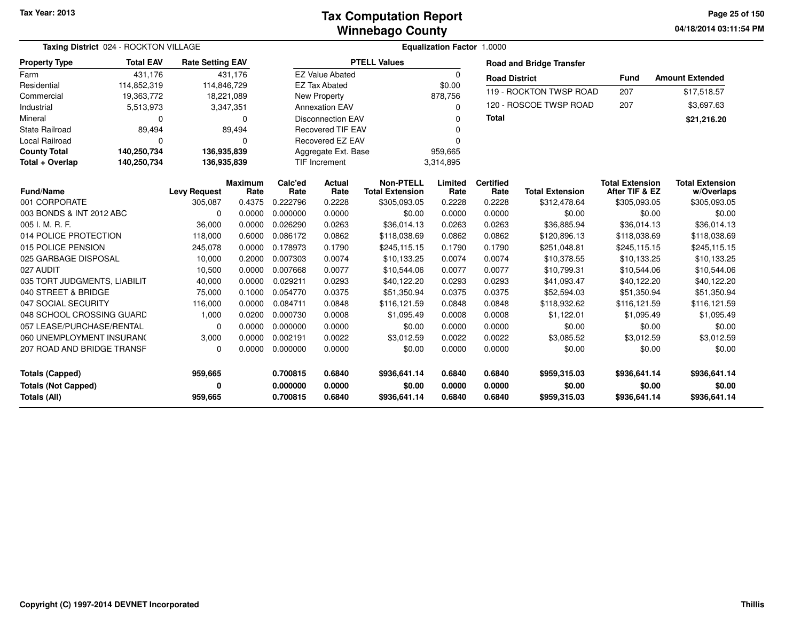**04/18/2014 03:11:54 PM Page 25 of 150**

|                              | Taxing District 024 - ROCKTON VILLAGE |                         |                        |                 |                          | Equalization Factor 1.0000                 |                 |                          |                                 |                                          |                                      |  |
|------------------------------|---------------------------------------|-------------------------|------------------------|-----------------|--------------------------|--------------------------------------------|-----------------|--------------------------|---------------------------------|------------------------------------------|--------------------------------------|--|
| <b>Property Type</b>         | <b>Total EAV</b>                      | <b>Rate Setting EAV</b> |                        |                 |                          | <b>PTELL Values</b>                        |                 |                          | <b>Road and Bridge Transfer</b> |                                          |                                      |  |
| Farm                         | 431,176                               |                         | 431,176                |                 | <b>EZ Value Abated</b>   |                                            | $\mathbf 0$     | <b>Road District</b>     |                                 | <b>Fund</b>                              | <b>Amount Extended</b>               |  |
| Residential                  | 114,852,319                           | 114,846,729             |                        |                 | <b>EZ Tax Abated</b>     |                                            | \$0.00          |                          |                                 |                                          |                                      |  |
| Commercial                   | 19,363,772                            |                         | 18,221,089             |                 | <b>New Property</b>      |                                            | 878,756         |                          | 119 - ROCKTON TWSP ROAD         | 207                                      | \$17,518.57                          |  |
| Industrial                   | 5,513,973                             |                         | 3,347,351              |                 | <b>Annexation EAV</b>    |                                            | $\Omega$        |                          | 120 - ROSCOE TWSP ROAD          | 207                                      | \$3,697.63                           |  |
| Mineral                      | 0                                     |                         | $\Omega$               |                 | <b>Disconnection EAV</b> |                                            | $\Omega$        | <b>Total</b>             |                                 |                                          | \$21,216.20                          |  |
| <b>State Railroad</b>        | 89,494                                |                         | 89,494                 |                 | <b>Recovered TIF EAV</b> |                                            | n               |                          |                                 |                                          |                                      |  |
| <b>Local Railroad</b>        | 0                                     |                         | $\Omega$               |                 | <b>Recovered EZ EAV</b>  |                                            | $\Omega$        |                          |                                 |                                          |                                      |  |
| <b>County Total</b>          | 140,250,734                           | 136,935,839             |                        |                 | Aggregate Ext. Base      |                                            | 959,665         |                          |                                 |                                          |                                      |  |
| Total + Overlap              | 140,250,734                           | 136,935,839             |                        | TIF Increment   |                          |                                            | 3,314,895       |                          |                                 |                                          |                                      |  |
| <b>Fund/Name</b>             |                                       | <b>Levy Request</b>     | <b>Maximum</b><br>Rate | Calc'ed<br>Rate | <b>Actual</b><br>Rate    | <b>Non-PTELL</b><br><b>Total Extension</b> | Limited<br>Rate | <b>Certified</b><br>Rate | <b>Total Extension</b>          | <b>Total Extension</b><br>After TIF & EZ | <b>Total Extension</b><br>w/Overlaps |  |
| 001 CORPORATE                |                                       | 305,087                 | 0.4375                 | 0.222796        | 0.2228                   | \$305,093.05                               | 0.2228          | 0.2228                   | \$312,478.64                    | \$305,093.05                             | \$305,093.05                         |  |
| 003 BONDS & INT 2012 ABC     |                                       | $\Omega$                | 0.0000                 | 0.000000        | 0.0000                   | \$0.00                                     | 0.0000          | 0.0000                   | \$0.00                          | \$0.00                                   | \$0.00                               |  |
| 005 I. M. R. F.              |                                       | 36,000                  | 0.0000                 | 0.026290        | 0.0263                   | \$36,014.13                                | 0.0263          | 0.0263                   | \$36,885.94                     | \$36,014.13                              | \$36,014.13                          |  |
| 014 POLICE PROTECTION        |                                       | 118,000                 | 0.6000                 | 0.086172        | 0.0862                   | \$118,038.69                               | 0.0862          | 0.0862                   | \$120,896.13                    | \$118,038.69                             | \$118,038.69                         |  |
| 015 POLICE PENSION           |                                       | 245,078                 | 0.0000                 | 0.178973        | 0.1790                   | \$245,115.15                               | 0.1790          | 0.1790                   | \$251,048.81                    | \$245,115.15                             | \$245,115.15                         |  |
| 025 GARBAGE DISPOSAL         |                                       | 10,000                  | 0.2000                 | 0.007303        | 0.0074                   | \$10.133.25                                | 0.0074          | 0.0074                   | \$10.378.55                     | \$10,133.25                              | \$10,133.25                          |  |
| 027 AUDIT                    |                                       | 10,500                  | 0.0000                 | 0.007668        | 0.0077                   | \$10,544.06                                | 0.0077          | 0.0077                   | \$10,799.31                     | \$10,544.06                              | \$10,544.06                          |  |
| 035 TORT JUDGMENTS, LIABILIT |                                       | 40,000                  | 0.0000                 | 0.029211        | 0.0293                   | \$40,122.20                                | 0.0293          | 0.0293                   | \$41,093.47                     | \$40,122.20                              | \$40,122.20                          |  |
| 040 STREET & BRIDGE          |                                       | 75,000                  | 0.1000                 | 0.054770        | 0.0375                   | \$51,350.94                                | 0.0375          | 0.0375                   | \$52,594.03                     | \$51,350.94                              | \$51,350.94                          |  |
| 047 SOCIAL SECURITY          |                                       | 116,000                 | 0.0000                 | 0.084711        | 0.0848                   | \$116,121.59                               | 0.0848          | 0.0848                   | \$118,932.62                    | \$116,121.59                             | \$116,121.59                         |  |
| 048 SCHOOL CROSSING GUARD    |                                       | 1,000                   | 0.0200                 | 0.000730        | 0.0008                   | \$1,095.49                                 | 0.0008          | 0.0008                   | \$1,122.01                      | \$1,095.49                               | \$1,095.49                           |  |
| 057 LEASE/PURCHASE/RENTAL    |                                       | $\Omega$                | 0.0000                 | 0.000000        | 0.0000                   | \$0.00                                     | 0.0000          | 0.0000                   | \$0.00                          | \$0.00                                   | \$0.00                               |  |
| 060 UNEMPLOYMENT INSURANC    |                                       | 3,000                   | 0.0000                 | 0.002191        | 0.0022                   | \$3,012.59                                 | 0.0022          | 0.0022                   | \$3,085.52                      | \$3,012.59                               | \$3,012.59                           |  |
| 207 ROAD AND BRIDGE TRANSF   |                                       | $\Omega$                | 0.0000                 | 0.000000        | 0.0000                   | \$0.00                                     | 0.0000          | 0.0000                   | \$0.00                          | \$0.00                                   | \$0.00                               |  |
| <b>Totals (Capped)</b>       |                                       | 959,665                 |                        | 0.700815        | 0.6840                   | \$936,641.14                               | 0.6840          | 0.6840                   | \$959,315.03                    | \$936,641.14                             | \$936,641.14                         |  |
| <b>Totals (Not Capped)</b>   |                                       | 0                       |                        | 0.000000        | 0.0000                   | \$0.00                                     | 0.0000          | 0.0000                   | \$0.00                          | \$0.00                                   | \$0.00                               |  |
| <b>Totals (All)</b>          |                                       | 959,665                 |                        | 0.700815        | 0.6840                   | \$936,641.14                               | 0.6840          | 0.6840                   | \$959,315.03                    | \$936,641.14                             | \$936,641.14                         |  |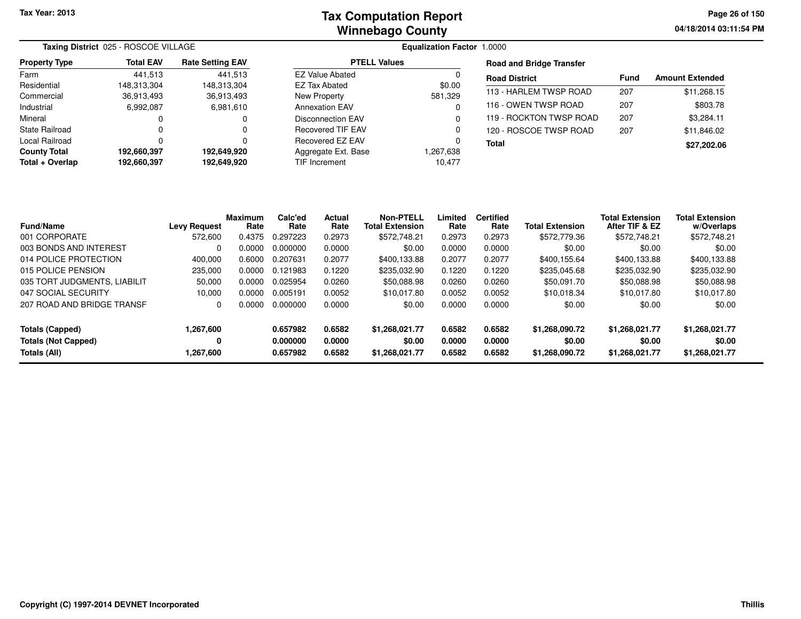**04/18/2014 03:11:54 PMPage 26 of 150**

|                      | Taxing District 025 - ROSCOE VILLAGE |                         |                       | <b>Equalization Factor 1.0000</b> |                                 |             |                        |
|----------------------|--------------------------------------|-------------------------|-----------------------|-----------------------------------|---------------------------------|-------------|------------------------|
| <b>Property Type</b> | <b>Total EAV</b>                     | <b>Rate Setting EAV</b> | <b>PTELL Values</b>   |                                   | <b>Road and Bridge Transfer</b> |             |                        |
| Farm                 | 441.513                              | 441.513                 | EZ Value Abated       |                                   | <b>Road District</b>            | <b>Fund</b> | <b>Amount Extended</b> |
| Residential          | 148.313.304                          | 148.313.304             | EZ Tax Abated         | \$0.00                            |                                 |             |                        |
| Commercial           | 36,913,493                           | 36,913,493              | New Property          | 581,329                           | 113 - HARLEM TWSP ROAD          | 207         | \$11,268.15            |
| Industrial           | 6,992,087                            | 6,981,610               | <b>Annexation EAV</b> |                                   | 116 - OWEN TWSP ROAD            | 207         | \$803.78               |
| Mineral              |                                      |                         | Disconnection EAV     |                                   | 119 - ROCKTON TWSP ROAD         | 207         | \$3,284.11             |
| State Railroad       |                                      |                         | Recovered TIF EAV     |                                   | 120 - ROSCOE TWSP ROAD          | 207         | \$11,846.02            |
| Local Railroad       |                                      |                         | Recovered EZ EAV      |                                   | <b>Total</b>                    |             | \$27,202.06            |
| <b>County Total</b>  | 192.660.397                          | 192,649,920             | Aggregate Ext. Base   | 867,638. ا                        |                                 |             |                        |
| Total + Overlap      | 192,660,397                          | 192,649,920             | TIF Increment         | 10,477                            |                                 |             |                        |
|                      |                                      |                         |                       |                                   |                                 |             |                        |

| <b>Fund/Name</b>             | Levy Request | <b>Maximum</b><br>Rate | Calc'ed<br>Rate | <b>Actual</b><br>Rate | <b>Non-PTELL</b><br><b>Total Extension</b> | Limited<br>Rate | <b>Certified</b><br>Rate | <b>Total Extension</b> | <b>Total Extension</b><br>After TIF & EZ | <b>Total Extension</b><br>w/Overlaps |
|------------------------------|--------------|------------------------|-----------------|-----------------------|--------------------------------------------|-----------------|--------------------------|------------------------|------------------------------------------|--------------------------------------|
| 001 CORPORATE                | 572,600      | 0.4375                 | 0.297223        | 0.2973                | \$572,748.21                               | 0.2973          | 0.2973                   | \$572,779.36           | \$572,748.21                             | \$572,748.21                         |
| 003 BONDS AND INTEREST       | 0            | 0.0000                 | 0.000000        | 0.0000                | \$0.00                                     | 0.0000          | 0.0000                   | \$0.00                 | \$0.00                                   | \$0.00                               |
| 014 POLICE PROTECTION        | 400.000      | 0.6000                 | 0.207631        | 0.2077                | \$400.133.88                               | 0.2077          | 0.2077                   | \$400.155.64           | \$400.133.88                             | \$400.133.88                         |
| 015 POLICE PENSION           | 235,000      | 0.0000                 | 0.121983        | 0.1220                | \$235.032.90                               | 0.1220          | 0.1220                   | \$235,045.68           | \$235,032.90                             | \$235,032.90                         |
| 035 TORT JUDGMENTS, LIABILIT | 50,000       | 0.0000                 | 0.025954        | 0.0260                | \$50,088.98                                | 0.0260          | 0.0260                   | \$50.091.70            | \$50,088.98                              | \$50,088.98                          |
| 047 SOCIAL SECURITY          | 10,000       | 0.0000                 | 0.005191        | 0.0052                | \$10.017.80                                | 0.0052          | 0.0052                   | \$10,018.34            | \$10,017.80                              | \$10,017.80                          |
| 207 ROAD AND BRIDGE TRANSF   | 0            | 0.0000                 | 0.000000        | 0.0000                | \$0.00                                     | 0.0000          | 0.0000                   | \$0.00                 | \$0.00                                   | \$0.00                               |
| Totals (Capped)              | 1,267,600    |                        | 0.657982        | 0.6582                | \$1.268.021.77                             | 0.6582          | 0.6582                   | \$1,268,090.72         | \$1,268,021.77                           | \$1,268,021.77                       |
| <b>Totals (Not Capped)</b>   | 0            |                        | 0.000000        | 0.0000                | \$0.00                                     | 0.0000          | 0.0000                   | \$0.00                 | \$0.00                                   | \$0.00                               |
| Totals (All)                 | 800,267.607  |                        | 0.657982        | 0.6582                | \$1,268,021.77                             | 0.6582          | 0.6582                   | \$1,268,090.72         | \$1,268,021.77                           | \$1,268,021.77                       |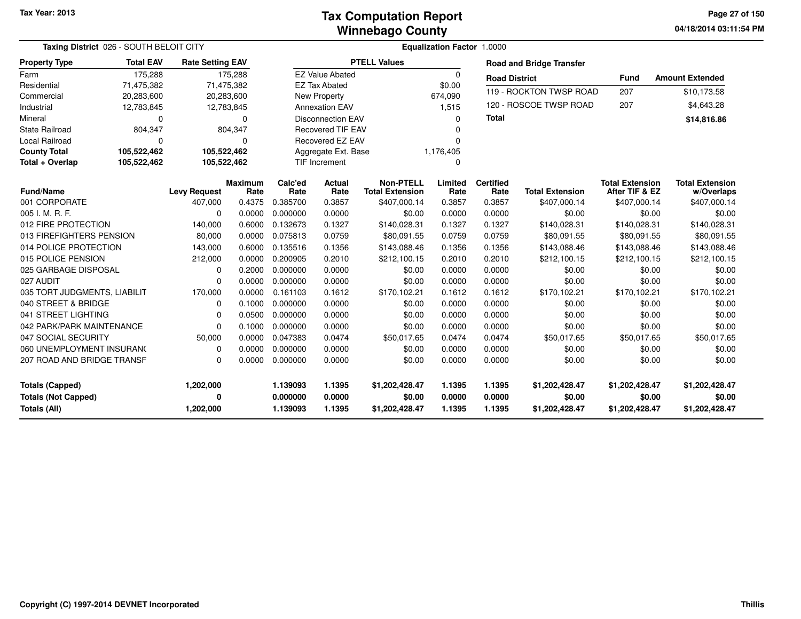**04/18/2014 03:11:54 PM Page 27 of 150**

|                                                                             | Taxing District 026 - SOUTH BELOIT CITY |                             |                        |                                  |                            |                                            |                            | <b>Equalization Factor 1.0000</b> |                                            |                                            |                                            |
|-----------------------------------------------------------------------------|-----------------------------------------|-----------------------------|------------------------|----------------------------------|----------------------------|--------------------------------------------|----------------------------|-----------------------------------|--------------------------------------------|--------------------------------------------|--------------------------------------------|
| <b>Property Type</b>                                                        | <b>Total EAV</b>                        | <b>Rate Setting EAV</b>     |                        |                                  |                            | <b>PTELL Values</b>                        |                            |                                   | <b>Road and Bridge Transfer</b>            |                                            |                                            |
| Farm                                                                        | 175,288                                 |                             | 175,288                |                                  | <b>EZ Value Abated</b>     |                                            | 0                          | <b>Road District</b>              |                                            | <b>Fund</b>                                | <b>Amount Extended</b>                     |
| Residential                                                                 | 71,475,382                              |                             | 71,475,382             |                                  | <b>EZ Tax Abated</b>       |                                            | \$0.00                     |                                   |                                            |                                            |                                            |
| Commercial                                                                  | 20,283,600                              |                             | 20,283,600             |                                  | <b>New Property</b>        |                                            | 674,090                    |                                   | 119 - ROCKTON TWSP ROAD                    | 207                                        | \$10,173.58                                |
| Industrial                                                                  | 12,783,845                              |                             | 12,783,845             |                                  | <b>Annexation EAV</b>      |                                            | 1,515                      |                                   | 120 - ROSCOE TWSP ROAD                     | 207                                        | \$4,643.28                                 |
| Mineral                                                                     | 0                                       |                             | $\Omega$               |                                  | <b>Disconnection EAV</b>   |                                            | $\Omega$                   | <b>Total</b>                      |                                            |                                            | \$14,816.86                                |
| <b>State Railroad</b>                                                       | 804,347                                 |                             | 804,347                |                                  | <b>Recovered TIF EAV</b>   |                                            | n                          |                                   |                                            |                                            |                                            |
| Local Railroad                                                              | 0                                       |                             | $\mathbf 0$            |                                  | <b>Recovered EZ EAV</b>    |                                            |                            |                                   |                                            |                                            |                                            |
| <b>County Total</b>                                                         | 105,522,462                             | 105,522,462                 |                        |                                  | Aggregate Ext. Base        |                                            | 1,176,405                  |                                   |                                            |                                            |                                            |
| Total + Overlap                                                             | 105,522,462                             | 105,522,462                 |                        |                                  | <b>TIF Increment</b>       |                                            | $\Omega$                   |                                   |                                            |                                            |                                            |
| <b>Fund/Name</b>                                                            |                                         | <b>Levy Request</b>         | <b>Maximum</b><br>Rate | Calc'ed<br>Rate                  | <b>Actual</b><br>Rate      | <b>Non-PTELL</b><br><b>Total Extension</b> | Limited<br>Rate            | <b>Certified</b><br>Rate          | <b>Total Extension</b>                     | <b>Total Extension</b><br>After TIF & EZ   | <b>Total Extension</b><br>w/Overlaps       |
| 001 CORPORATE                                                               |                                         | 407,000                     | 0.4375                 | 0.385700                         | 0.3857                     | \$407,000.14                               | 0.3857                     | 0.3857                            | \$407,000.14                               | \$407,000.14                               | \$407,000.14                               |
| 005 I. M. R. F.                                                             |                                         | $\Omega$                    | 0.0000                 | 0.000000                         | 0.0000                     | \$0.00                                     | 0.0000                     | 0.0000                            | \$0.00                                     | \$0.00                                     | \$0.00                                     |
| 012 FIRE PROTECTION                                                         |                                         | 140,000                     | 0.6000                 | 0.132673                         | 0.1327                     | \$140,028.31                               | 0.1327                     | 0.1327                            | \$140,028.31                               | \$140,028.31                               | \$140,028.31                               |
| 013 FIREFIGHTERS PENSION                                                    |                                         | 80,000                      | 0.0000                 | 0.075813                         | 0.0759                     | \$80,091.55                                | 0.0759                     | 0.0759                            | \$80,091.55                                | \$80,091.55                                | \$80,091.55                                |
| 014 POLICE PROTECTION                                                       |                                         | 143,000                     | 0.6000                 | 0.135516                         | 0.1356                     | \$143,088.46                               | 0.1356                     | 0.1356                            | \$143,088.46                               | \$143,088.46                               | \$143,088.46                               |
| 015 POLICE PENSION                                                          |                                         | 212,000                     | 0.0000                 | 0.200905                         | 0.2010                     | \$212,100.15                               | 0.2010                     | 0.2010                            | \$212,100.15                               | \$212,100.15                               | \$212,100.15                               |
| 025 GARBAGE DISPOSAL                                                        |                                         | 0                           | 0.2000                 | 0.000000                         | 0.0000                     | \$0.00                                     | 0.0000                     | 0.0000                            | \$0.00                                     | \$0.00                                     | \$0.00                                     |
| 027 AUDIT                                                                   |                                         | $\Omega$                    | 0.0000                 | 0.000000                         | 0.0000                     | \$0.00                                     | 0.0000                     | 0.0000                            | \$0.00                                     | \$0.00                                     | \$0.00                                     |
| 035 TORT JUDGMENTS, LIABILIT                                                |                                         | 170,000                     | 0.0000                 | 0.161103                         | 0.1612                     | \$170,102.21                               | 0.1612                     | 0.1612                            | \$170,102.21                               | \$170,102.21                               | \$170,102.21                               |
| 040 STREET & BRIDGE                                                         |                                         | 0                           | 0.1000                 | 0.000000                         | 0.0000                     | \$0.00                                     | 0.0000                     | 0.0000                            | \$0.00                                     | \$0.00                                     | \$0.00                                     |
| 041 STREET LIGHTING                                                         |                                         | 0                           | 0.0500                 | 0.000000                         | 0.0000                     | \$0.00                                     | 0.0000                     | 0.0000                            | \$0.00                                     | \$0.00                                     | \$0.00                                     |
| 042 PARK/PARK MAINTENANCE                                                   |                                         | 0                           | 0.1000                 | 0.000000                         | 0.0000                     | \$0.00                                     | 0.0000                     | 0.0000                            | \$0.00                                     | \$0.00                                     | \$0.00                                     |
| 047 SOCIAL SECURITY                                                         |                                         | 50,000                      | 0.0000                 | 0.047383                         | 0.0474                     | \$50,017.65                                | 0.0474                     | 0.0474                            | \$50,017.65                                | \$50,017.65                                | \$50,017.65                                |
| 060 UNEMPLOYMENT INSURAN(                                                   |                                         | 0                           | 0.0000                 | 0.000000                         | 0.0000                     | \$0.00                                     | 0.0000                     | 0.0000                            | \$0.00                                     | \$0.00                                     | \$0.00                                     |
| 207 ROAD AND BRIDGE TRANSF                                                  |                                         | 0                           | 0.0000                 | 0.000000                         | 0.0000                     | \$0.00                                     | 0.0000                     | 0.0000                            | \$0.00                                     | \$0.00                                     | \$0.00                                     |
| <b>Totals (Capped)</b><br><b>Totals (Not Capped)</b><br><b>Totals (All)</b> |                                         | 1,202,000<br>0<br>1,202,000 |                        | 1.139093<br>0.000000<br>1.139093 | 1.1395<br>0.0000<br>1.1395 | \$1,202,428.47<br>\$0.00<br>\$1,202,428.47 | 1.1395<br>0.0000<br>1.1395 | 1.1395<br>0.0000<br>1.1395        | \$1,202,428.47<br>\$0.00<br>\$1,202,428.47 | \$1,202,428.47<br>\$0.00<br>\$1,202,428.47 | \$1,202,428.47<br>\$0.00<br>\$1,202,428.47 |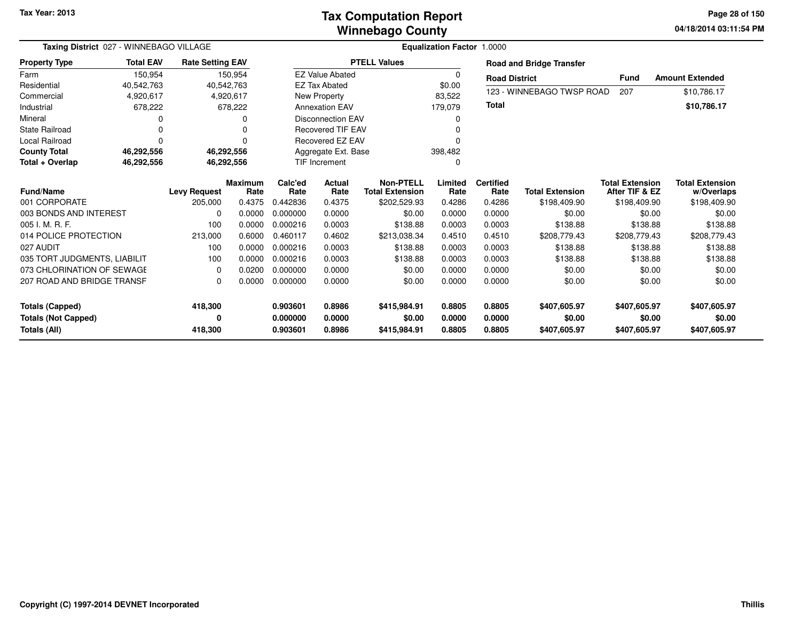### **Winnebago CountyTax Computation Report**

**04/18/2014 03:11:54 PM Page 28 of 150**

| Taxing District 027 - WINNEBAGO VILLAGE    |                  |                         |                        |                      | <b>Equalization Factor 1.0000</b> |                                            |                  |                          |                                 |                                          |                                      |  |
|--------------------------------------------|------------------|-------------------------|------------------------|----------------------|-----------------------------------|--------------------------------------------|------------------|--------------------------|---------------------------------|------------------------------------------|--------------------------------------|--|
| <b>Property Type</b>                       | <b>Total EAV</b> | <b>Rate Setting EAV</b> |                        |                      |                                   | <b>PTELL Values</b>                        |                  |                          | <b>Road and Bridge Transfer</b> |                                          |                                      |  |
| Farm                                       | 150,954          |                         | 150,954                |                      | <b>EZ Value Abated</b>            |                                            | $\Omega$         | <b>Road District</b>     |                                 | <b>Fund</b>                              | <b>Amount Extended</b>               |  |
| Residential                                | 40,542,763       |                         | 40,542,763             |                      | <b>EZ Tax Abated</b>              |                                            | \$0.00           |                          |                                 |                                          |                                      |  |
| Commercial                                 | 4,920,617        |                         | 4,920,617              |                      | New Property                      |                                            | 83,522           |                          | 123 - WINNEBAGO TWSP ROAD       | 207                                      | \$10,786.17                          |  |
| Industrial                                 | 678,222          |                         | 678,222                |                      | <b>Annexation EAV</b>             |                                            | 179,079          | <b>Total</b>             |                                 |                                          | \$10,786.17                          |  |
| Mineral                                    |                  |                         |                        |                      | <b>Disconnection EAV</b>          |                                            | 0                |                          |                                 |                                          |                                      |  |
| <b>State Railroad</b>                      |                  |                         |                        |                      | <b>Recovered TIF EAV</b>          |                                            |                  |                          |                                 |                                          |                                      |  |
| <b>Local Railroad</b>                      | 0                |                         |                        |                      | Recovered EZ EAV                  |                                            |                  |                          |                                 |                                          |                                      |  |
| <b>County Total</b>                        | 46,292,556       |                         | 46,292,556             |                      | Aggregate Ext. Base               |                                            | 398,482          |                          |                                 |                                          |                                      |  |
| Total + Overlap                            | 46,292,556       |                         | 46,292,556             | <b>TIF Increment</b> |                                   |                                            | 0                |                          |                                 |                                          |                                      |  |
| <b>Fund/Name</b>                           |                  | <b>Levy Request</b>     | <b>Maximum</b><br>Rate | Calc'ed<br>Rate      | Actual<br>Rate                    | <b>Non-PTELL</b><br><b>Total Extension</b> | Limited<br>Rate  | <b>Certified</b><br>Rate | <b>Total Extension</b>          | <b>Total Extension</b><br>After TIF & EZ | <b>Total Extension</b><br>w/Overlaps |  |
| 001 CORPORATE                              |                  | 205,000                 | 0.4375                 | 0.442836             | 0.4375                            | \$202,529.93                               | 0.4286           | 0.4286                   | \$198,409.90                    | \$198,409.90                             | \$198,409.90                         |  |
| 003 BONDS AND INTEREST                     |                  | $\Omega$                | 0.0000                 | 0.000000             | 0.0000                            | \$0.00                                     | 0.0000           | 0.0000                   | \$0.00                          | \$0.00                                   | \$0.00                               |  |
| 005 I. M. R. F.                            |                  | 100                     | 0.0000                 | 0.000216             | 0.0003                            | \$138.88                                   | 0.0003           | 0.0003                   | \$138.88                        | \$138.88                                 | \$138.88                             |  |
| 014 POLICE PROTECTION                      |                  | 213,000                 | 0.6000                 | 0.460117             | 0.4602                            | \$213,038.34                               | 0.4510           | 0.4510                   | \$208,779.43                    | \$208,779.43                             | \$208,779.43                         |  |
| 027 AUDIT                                  |                  | 100                     | 0.0000                 | 0.000216             | 0.0003                            | \$138.88                                   | 0.0003           | 0.0003                   | \$138.88                        | \$138.88                                 | \$138.88                             |  |
| 035 TORT JUDGMENTS, LIABILIT               |                  | 100                     | 0.0000                 | 0.000216             | 0.0003                            | \$138.88                                   | 0.0003           | 0.0003                   | \$138.88                        | \$138.88                                 | \$138.88                             |  |
| 073 CHLORINATION OF SEWAGE                 |                  | $\Omega$                | 0.0200                 | 0.000000             | 0.0000                            | \$0.00                                     | 0.0000           | 0.0000                   | \$0.00                          | \$0.00                                   | \$0.00                               |  |
| 207 ROAD AND BRIDGE TRANSF                 |                  | 0                       | 0.0000                 | 0.000000             | 0.0000                            | \$0.00                                     | 0.0000           | 0.0000                   | \$0.00                          | \$0.00                                   | \$0.00                               |  |
| <b>Totals (Capped)</b>                     |                  | 418,300                 |                        | 0.903601             | 0.8986                            | \$415,984.91                               | 0.8805           | 0.8805                   | \$407,605.97                    | \$407,605.97                             | \$407,605.97                         |  |
| <b>Totals (Not Capped)</b><br>Totals (All) |                  | 0<br>418,300            |                        | 0.000000<br>0.903601 | 0.0000<br>0.8986                  | \$0.00<br>\$415,984.91                     | 0.0000<br>0.8805 | 0.0000<br>0.8805         | \$0.00<br>\$407,605.97          | \$0.00<br>\$407,605.97                   | \$0.00<br>\$407,605.97               |  |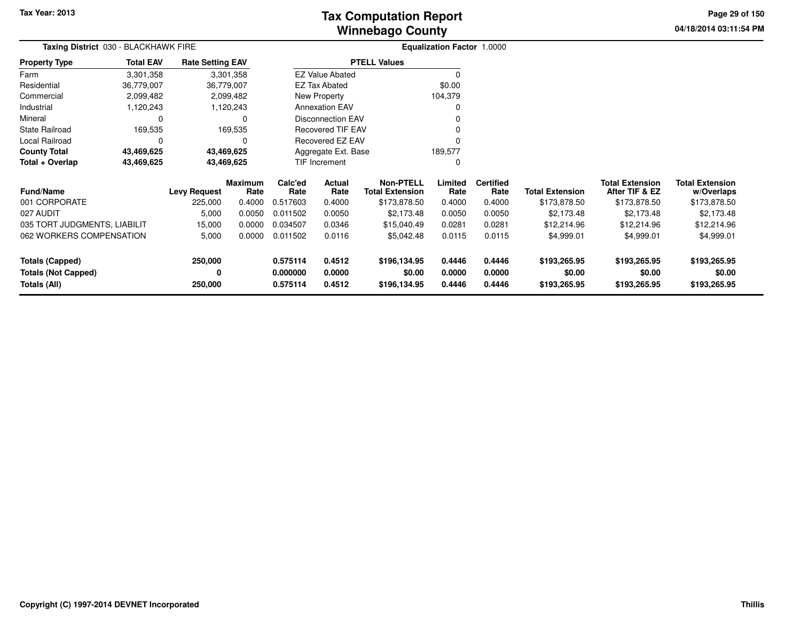**04/18/2014 03:11:54 PM Page 29 of 150**

| <b>Taxing District</b> 030 - BLACKHAWK FIRE |                  |                         |                 |                                   | <b>Equalization Factor 1.0000</b> |                                            |                  |                          |                        |                                          |                                      |
|---------------------------------------------|------------------|-------------------------|-----------------|-----------------------------------|-----------------------------------|--------------------------------------------|------------------|--------------------------|------------------------|------------------------------------------|--------------------------------------|
| <b>Property Type</b>                        | <b>Total EAV</b> | <b>Rate Setting EAV</b> |                 |                                   |                                   | <b>PTELL Values</b>                        |                  |                          |                        |                                          |                                      |
| Farm                                        | 3,301,358        |                         | 3,301,358       |                                   | <b>EZ Value Abated</b>            |                                            | $\Omega$         |                          |                        |                                          |                                      |
| Residential                                 | 36,779,007       | 36,779,007              |                 |                                   | <b>EZ Tax Abated</b>              |                                            | \$0.00           |                          |                        |                                          |                                      |
| Commercial                                  | 2,099,482        |                         | 2,099,482       |                                   | New Property                      |                                            | 104,379          |                          |                        |                                          |                                      |
| Industrial                                  | 1,120,243        |                         | 1,120,243       |                                   | <b>Annexation EAV</b>             |                                            | <sup>0</sup>     |                          |                        |                                          |                                      |
| Mineral                                     | 0                |                         | $\Omega$        |                                   | Disconnection EAV                 |                                            |                  |                          |                        |                                          |                                      |
| <b>State Railroad</b>                       | 169,535          |                         | 169,535         |                                   | Recovered TIF EAV                 |                                            |                  |                          |                        |                                          |                                      |
| Local Railroad                              | $\Omega$         |                         | 0               |                                   | <b>Recovered EZ EAV</b>           |                                            |                  |                          |                        |                                          |                                      |
| <b>County Total</b>                         | 43,469,625       | 43,469,625              |                 |                                   | Aggregate Ext. Base               | 189,577                                    |                  |                          |                        |                                          |                                      |
| Total + Overlap                             | 43,469,625       | 43,469,625              |                 |                                   | TIF Increment                     |                                            | 0                |                          |                        |                                          |                                      |
| <b>Fund/Name</b>                            |                  | <b>Levy Request</b>     | Maximum<br>Rate | Calc'ed<br>Actual<br>Rate<br>Rate |                                   | <b>Non-PTELL</b><br><b>Total Extension</b> | Limited<br>Rate  | <b>Certified</b><br>Rate | <b>Total Extension</b> | <b>Total Extension</b><br>After TIF & EZ | <b>Total Extension</b><br>w/Overlaps |
| 001 CORPORATE                               |                  | 225,000                 | 0.4000          | 0.517603                          | 0.4000                            | \$173,878.50                               | 0.4000           | 0.4000                   | \$173,878.50           | \$173,878.50                             | \$173,878.50                         |
| 027 AUDIT                                   |                  | 5,000                   | 0.0050          | 0.011502                          | 0.0050                            | \$2,173.48                                 | 0.0050           | 0.0050                   | \$2,173.48             | \$2,173.48                               | \$2,173.48                           |
| 035 TORT JUDGMENTS, LIABILIT                |                  | 15,000                  | 0.0000          | 0.034507                          | 0.0346                            | \$15,040.49                                | 0.0281           | 0.0281                   | \$12,214.96            | \$12,214.96                              | \$12,214.96                          |
| 062 WORKERS COMPENSATION                    |                  | 5,000                   | 0.0000          | 0.011502                          | 0.0116                            | \$5,042.48                                 | 0.0115           | 0.0115                   | \$4,999.01             | \$4,999.01                               | \$4,999.01                           |
| <b>Totals (Capped)</b>                      |                  | 250,000                 |                 | 0.575114                          | 0.4512                            | \$196,134.95                               | 0.4446           | 0.4446                   | \$193,265.95           | \$193,265.95                             | \$193,265.95                         |
| <b>Totals (Not Capped)</b><br>Totals (All)  |                  | 0<br>250,000            |                 | 0.000000<br>0.575114              | 0.0000<br>0.4512                  | \$0.00<br>\$196,134.95                     | 0.0000<br>0.4446 | 0.0000<br>0.4446         | \$0.00<br>\$193,265.95 | \$0.00<br>\$193,265.95                   | \$0.00<br>\$193,265.95               |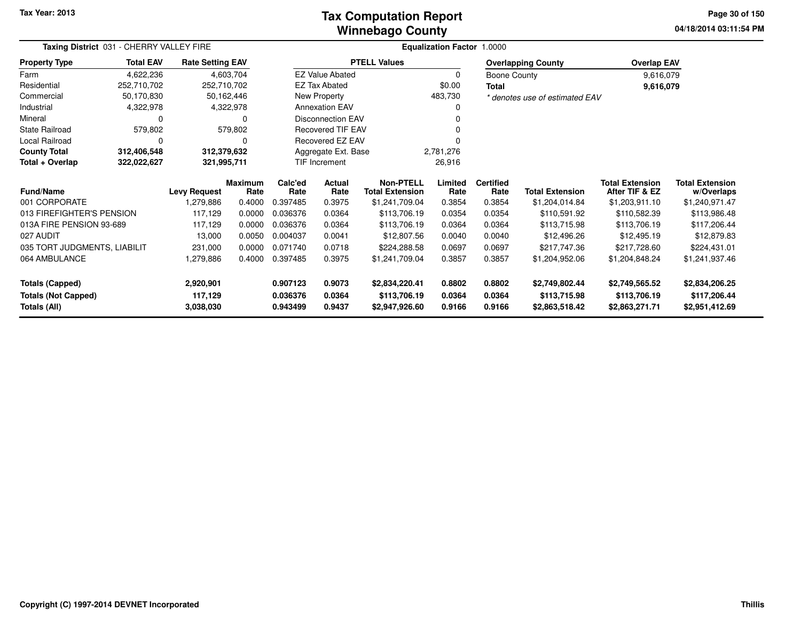### **Winnebago CountyTax Computation Report**

**04/18/2014 03:11:54 PM Page 30 of 150**

| Taxing District 031 - CHERRY VALLEY FIRE | <b>Equalization Factor 1.0000</b> |                         |                        |                 |                          |                                            |                 |                          |                                |                                          |                                      |
|------------------------------------------|-----------------------------------|-------------------------|------------------------|-----------------|--------------------------|--------------------------------------------|-----------------|--------------------------|--------------------------------|------------------------------------------|--------------------------------------|
| <b>Property Type</b>                     | <b>Total EAV</b>                  | <b>Rate Setting EAV</b> |                        |                 |                          | <b>PTELL Values</b>                        |                 |                          | <b>Overlapping County</b>      | <b>Overlap EAV</b>                       |                                      |
| Farm                                     | 4,622,236                         |                         | 4,603,704              |                 | <b>EZ Value Abated</b>   |                                            | 0               | Boone County             |                                | 9,616,079                                |                                      |
| Residential                              | 252,710,702                       | 252,710,702             |                        |                 | <b>EZ Tax Abated</b>     |                                            | \$0.00          | <b>Total</b>             |                                | 9,616,079                                |                                      |
| Commercial                               | 50,170,830                        |                         | 50,162,446             |                 | New Property             |                                            | 483,730         |                          | * denotes use of estimated EAV |                                          |                                      |
| Industrial                               | 4,322,978                         |                         | 4,322,978              |                 | <b>Annexation EAV</b>    |                                            |                 |                          |                                |                                          |                                      |
| Mineral                                  | 0                                 |                         | <sup>0</sup>           |                 | <b>Disconnection EAV</b> |                                            |                 |                          |                                |                                          |                                      |
| State Railroad                           | 579,802                           |                         | 579,802                |                 | Recovered TIF EAV        |                                            |                 |                          |                                |                                          |                                      |
| Local Railroad                           | 0                                 |                         | 0                      |                 | Recovered EZ EAV         |                                            |                 |                          |                                |                                          |                                      |
| <b>County Total</b>                      | 312,406,548                       | 312,379,632             |                        |                 | Aggregate Ext. Base      |                                            | 2,781,276       |                          |                                |                                          |                                      |
| Total + Overlap                          | 322,022,627<br>321,995,711        |                         |                        |                 | <b>TIF Increment</b>     |                                            | 26,916          |                          |                                |                                          |                                      |
| <b>Fund/Name</b>                         |                                   | <b>Levy Request</b>     | <b>Maximum</b><br>Rate | Calc'ed<br>Rate | Actual<br>Rate           | <b>Non-PTELL</b><br><b>Total Extension</b> | Limited<br>Rate | <b>Certified</b><br>Rate | <b>Total Extension</b>         | <b>Total Extension</b><br>After TIF & EZ | <b>Total Extension</b><br>w/Overlaps |
| 001 CORPORATE                            |                                   | 1,279,886               | 0.4000                 | 0.397485        | 0.3975                   | \$1,241,709.04                             | 0.3854          | 0.3854                   | \$1,204,014.84                 | \$1,203,911.10                           | \$1,240,971.47                       |
| 013 FIREFIGHTER'S PENSION                |                                   | 117,129                 | 0.0000                 | 0.036376        | 0.0364                   | \$113,706.19                               | 0.0354          | 0.0354                   | \$110,591.92                   | \$110,582.39                             | \$113,986.48                         |
| 013A FIRE PENSION 93-689                 |                                   | 117,129                 | 0.0000                 | 0.036376        | 0.0364                   | \$113,706.19                               | 0.0364          | 0.0364                   | \$113,715.98                   | \$113,706.19                             | \$117,206.44                         |
| 027 AUDIT                                |                                   | 13,000                  | 0.0050                 | 0.004037        | 0.0041                   | \$12,807.56                                | 0.0040          | 0.0040                   | \$12,496.26                    | \$12,495.19                              | \$12,879.83                          |
| 035 TORT JUDGMENTS, LIABILIT             |                                   | 231,000                 | 0.0000                 | 0.071740        | 0.0718                   | \$224,288.58                               | 0.0697          | 0.0697                   | \$217,747.36                   | \$217,728.60                             | \$224,431.01                         |
| 064 AMBULANCE                            |                                   | 1,279,886               | 0.4000                 | 0.397485        | 0.3975                   | \$1,241,709.04                             | 0.3857          | 0.3857                   | \$1,204,952.06                 | \$1,204,848.24                           | \$1,241,937.46                       |
| <b>Totals (Capped)</b>                   |                                   | 2,920,901               |                        | 0.907123        | 0.9073                   | \$2,834,220.41                             | 0.8802          | 0.8802                   | \$2,749,802.44                 | \$2,749,565.52                           | \$2,834,206.25                       |
| <b>Totals (Not Capped)</b>               |                                   | 117,129                 |                        | 0.036376        | 0.0364                   | \$113,706.19                               | 0.0364          | 0.0364                   | \$113,715.98                   | \$113,706.19                             | \$117,206.44                         |
| Totals (All)                             |                                   | 3,038,030               |                        | 0.943499        | 0.9437                   | \$2,947,926.60                             | 0.9166          | 0.9166                   | \$2,863,518.42                 | \$2,863,271.71                           | \$2,951,412.69                       |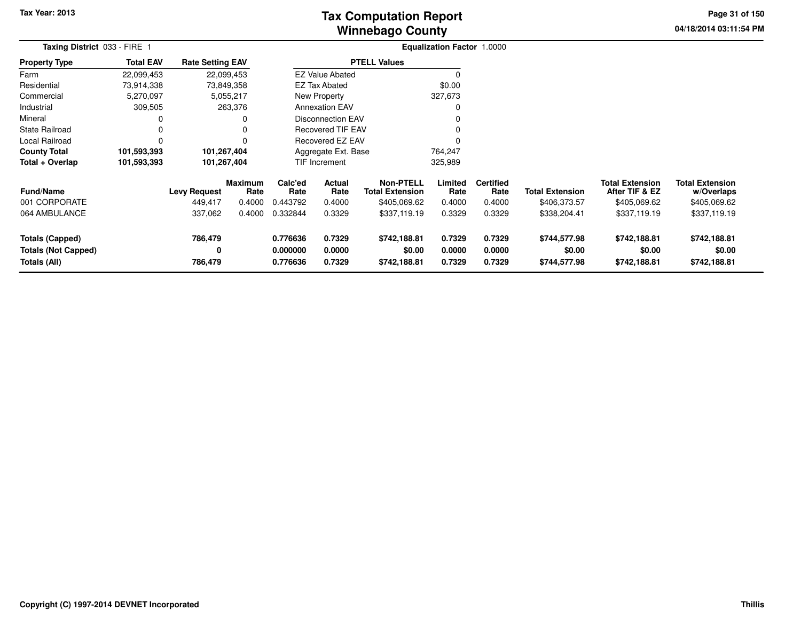# **Winnebago CountyTax Computation Report**

**04/18/2014 03:11:54 PM Page 31 of 150**

|                                                               | Taxing District 033 - FIRE 1 |                         |                 |                                                                |                          | Equalization Factor 1.0000                 |                            |                            |                                        |                                          |                                        |  |
|---------------------------------------------------------------|------------------------------|-------------------------|-----------------|----------------------------------------------------------------|--------------------------|--------------------------------------------|----------------------------|----------------------------|----------------------------------------|------------------------------------------|----------------------------------------|--|
| <b>Property Type</b>                                          | <b>Total EAV</b>             | <b>Rate Setting EAV</b> |                 |                                                                |                          | <b>PTELL Values</b>                        |                            |                            |                                        |                                          |                                        |  |
| Farm                                                          | 22,099,453                   | 22,099,453              |                 |                                                                | <b>EZ Value Abated</b>   |                                            | $\Omega$                   |                            |                                        |                                          |                                        |  |
| Residential                                                   | 73,914,338                   | 73,849,358              |                 |                                                                | <b>EZ Tax Abated</b>     |                                            | \$0.00                     |                            |                                        |                                          |                                        |  |
| Commercial                                                    | 5,270,097                    |                         | 5,055,217       |                                                                | New Property             |                                            | 327,673                    |                            |                                        |                                          |                                        |  |
| Industrial                                                    | 309,505                      |                         | 263,376         |                                                                | <b>Annexation EAV</b>    |                                            | 0                          |                            |                                        |                                          |                                        |  |
| Mineral                                                       | 0                            |                         | 0               |                                                                | <b>Disconnection EAV</b> |                                            | 0                          |                            |                                        |                                          |                                        |  |
| <b>State Railroad</b>                                         | 0                            |                         | ი               |                                                                | Recovered TIF EAV        |                                            | 0                          |                            |                                        |                                          |                                        |  |
| Local Railroad                                                | 0                            |                         | 0               |                                                                | <b>Recovered EZ EAV</b>  |                                            | $\Omega$                   |                            |                                        |                                          |                                        |  |
| <b>County Total</b>                                           | 101,593,393                  | 101,267,404             |                 |                                                                | Aggregate Ext. Base      |                                            | 764,247                    |                            |                                        |                                          |                                        |  |
| Total + Overlap                                               | 101,593,393                  | 101,267,404             |                 |                                                                | TIF Increment            |                                            | 325,989                    |                            |                                        |                                          |                                        |  |
| <b>Fund/Name</b>                                              |                              | <b>Levy Request</b>     | Maximum<br>Rate | Calc'ed<br>Rate                                                | Actual<br>Rate           | <b>Non-PTELL</b><br><b>Total Extension</b> | Limited<br>Rate            | <b>Certified</b><br>Rate   | <b>Total Extension</b>                 | <b>Total Extension</b><br>After TIF & EZ | <b>Total Extension</b><br>w/Overlaps   |  |
| 001 CORPORATE                                                 |                              | 449,417                 | 0.4000          | 0.443792                                                       | 0.4000                   | \$405,069.62                               | 0.4000                     | 0.4000                     | \$406,373.57                           | \$405,069.62                             | \$405,069.62                           |  |
| 064 AMBULANCE                                                 |                              | 337,062                 | 0.4000          | 0.332844                                                       | 0.3329                   | \$337,119.19                               | 0.3329                     | 0.3329                     | \$338,204.41                           | \$337,119.19                             | \$337,119.19                           |  |
| Totals (Capped)<br><b>Totals (Not Capped)</b><br>Totals (All) |                              | 786,479<br>0<br>786,479 |                 | 0.776636<br>0.7329<br>0.000000<br>0.0000<br>0.7329<br>0.776636 |                          | \$742,188.81<br>\$0.00<br>\$742,188.81     | 0.7329<br>0.0000<br>0.7329 | 0.7329<br>0.0000<br>0.7329 | \$744,577.98<br>\$0.00<br>\$744,577.98 | \$742,188.81<br>\$0.00<br>\$742,188.81   | \$742,188.81<br>\$0.00<br>\$742,188.81 |  |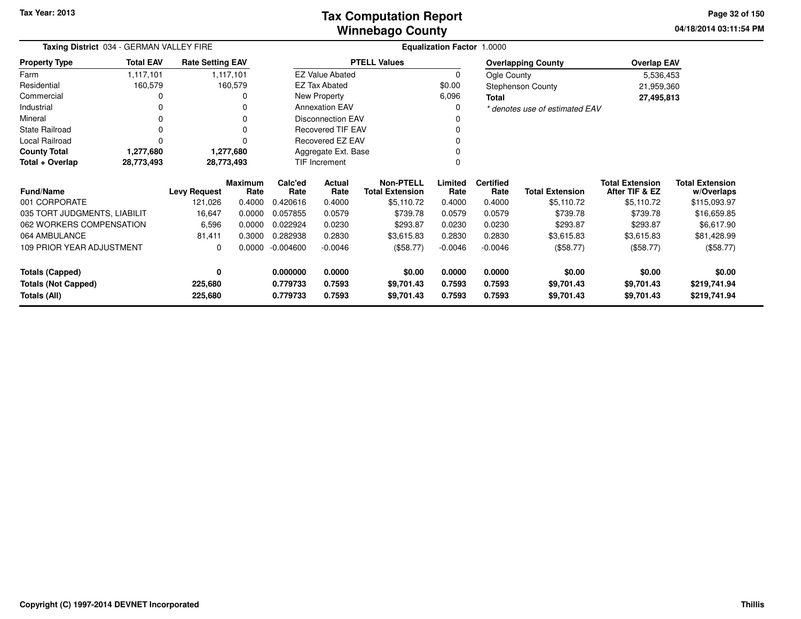| Taxing District 034 - GERMAN VALLEY FIRE | Equalization Factor 1.0000 |                         |                        |                     |                          |                                            |                 |                          |                                |                                          |                                      |
|------------------------------------------|----------------------------|-------------------------|------------------------|---------------------|--------------------------|--------------------------------------------|-----------------|--------------------------|--------------------------------|------------------------------------------|--------------------------------------|
| <b>Property Type</b>                     | <b>Total EAV</b>           | <b>Rate Setting EAV</b> |                        |                     |                          | <b>PTELL Values</b>                        |                 |                          | <b>Overlapping County</b>      | <b>Overlap EAV</b>                       |                                      |
| Farm                                     | 1,117,101                  |                         | 1,117,101              |                     | <b>EZ Value Abated</b>   |                                            | 0               | Ogle County              |                                | 5,536,453                                |                                      |
| Residential                              | 160,579                    |                         | 160,579                |                     | <b>EZ Tax Abated</b>     |                                            | \$0.00          |                          | <b>Stephenson County</b>       | 21,959,360                               |                                      |
| Commercial                               | 0                          |                         |                        |                     | New Property             |                                            | 6,096           | <b>Total</b>             |                                | 27,495,813                               |                                      |
| Industrial                               | 0                          |                         |                        |                     | <b>Annexation EAV</b>    |                                            | 0               |                          | * denotes use of estimated EAV |                                          |                                      |
| Mineral                                  | 0                          |                         | 0                      |                     | <b>Disconnection EAV</b> |                                            | O               |                          |                                |                                          |                                      |
| <b>State Railroad</b>                    | $\Omega$                   |                         |                        |                     | <b>Recovered TIF EAV</b> |                                            | 0               |                          |                                |                                          |                                      |
| Local Railroad                           | $\Omega$                   |                         |                        |                     | <b>Recovered EZ EAV</b>  |                                            | 0               |                          |                                |                                          |                                      |
| <b>County Total</b>                      | 1,277,680                  |                         | 1,277,680              | Aggregate Ext. Base |                          |                                            |                 |                          |                                |                                          |                                      |
| Total + Overlap                          | 28,773,493                 | 28,773,493              |                        | TIF Increment       |                          |                                            | 0               |                          |                                |                                          |                                      |
| <b>Fund/Name</b>                         |                            | <b>Levy Request</b>     | <b>Maximum</b><br>Rate | Calc'ed<br>Rate     | Actual<br>Rate           | <b>Non-PTELL</b><br><b>Total Extension</b> | Limited<br>Rate | <b>Certified</b><br>Rate | <b>Total Extension</b>         | <b>Total Extension</b><br>After TIF & EZ | <b>Total Extension</b><br>w/Overlaps |
| 001 CORPORATE                            |                            | 121,026                 | 0.4000                 | 0.420616            | 0.4000                   | \$5,110.72                                 | 0.4000          | 0.4000                   | \$5,110.72                     | \$5,110.72                               | \$115,093.97                         |
| 035 TORT JUDGMENTS, LIABILIT             |                            | 16,647                  | 0.0000                 | 0.057855            | 0.0579                   | \$739.78                                   | 0.0579          | 0.0579                   | \$739.78                       | \$739.78                                 | \$16,659.85                          |
| 062 WORKERS COMPENSATION                 |                            | 6,596                   | 0.0000                 | 0.022924            | 0.0230                   | \$293.87                                   | 0.0230          | 0.0230                   | \$293.87                       | \$293.87                                 | \$6,617.90                           |
| 064 AMBULANCE                            |                            | 81,411                  | 0.3000                 | 0.282938            | 0.2830                   | \$3,615.83                                 | 0.2830          | 0.2830                   | \$3,615.83                     | \$3,615.83                               | \$81,428.99                          |
| 109 PRIOR YEAR ADJUSTMENT                |                            | 0                       | 0.0000                 | $-0.004600$         | $-0.0046$                | (\$58.77)                                  | $-0.0046$       | $-0.0046$                | (\$58.77)                      | (\$58.77)                                | (\$58.77)                            |
| <b>Totals (Capped)</b>                   |                            | 0                       |                        | 0.000000            | 0.0000                   | \$0.00                                     | 0.0000          | 0.0000                   | \$0.00                         | \$0.00                                   | \$0.00                               |
| <b>Totals (Not Capped)</b>               |                            | 225,680                 |                        | 0.779733            | 0.7593                   | \$9,701.43                                 | 0.7593          | 0.7593                   | \$9,701.43                     | \$9,701.43                               | \$219,741.94                         |
| Totals (All)                             |                            | 225,680                 |                        | 0.779733            | 0.7593                   | \$9,701.43                                 | 0.7593          | 0.7593                   | \$9,701.43                     | \$9,701.43                               | \$219,741.94                         |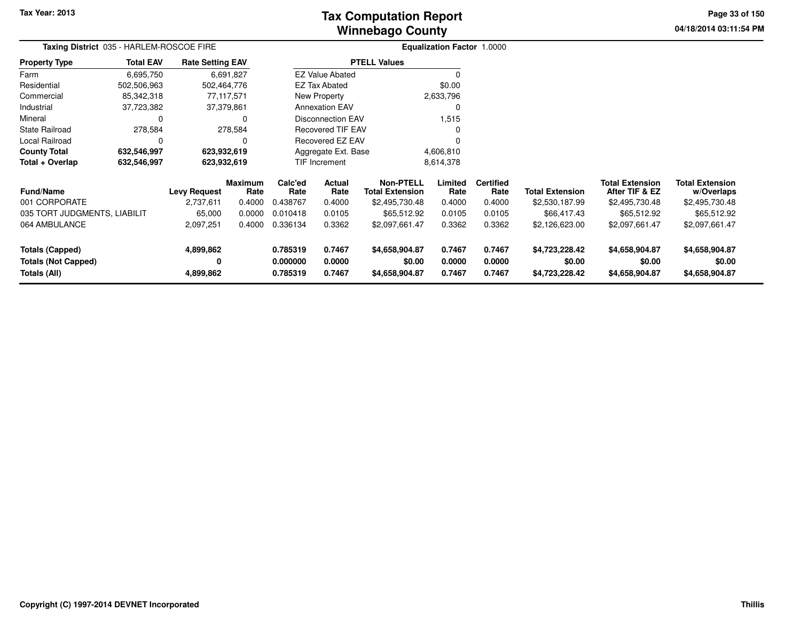# **Winnebago CountyTax Computation Report**

**04/18/2014 03:11:54 PM Page 33 of 150**

| Taxing District 035 - HARLEM-ROSCOE FIRE | <b>Equalization Factor 1.0000</b> |                         |                 |                     |                          |                                            |                 |                          |                        |                                          |                                      |
|------------------------------------------|-----------------------------------|-------------------------|-----------------|---------------------|--------------------------|--------------------------------------------|-----------------|--------------------------|------------------------|------------------------------------------|--------------------------------------|
| <b>Property Type</b>                     | <b>Total EAV</b>                  | <b>Rate Setting EAV</b> |                 |                     |                          | <b>PTELL Values</b>                        |                 |                          |                        |                                          |                                      |
| Farm                                     | 6,695,750                         |                         | 6,691,827       |                     | <b>EZ Value Abated</b>   |                                            |                 |                          |                        |                                          |                                      |
| Residential                              | 502,506,963                       | 502,464,776             |                 |                     | <b>EZ Tax Abated</b>     |                                            | \$0.00          |                          |                        |                                          |                                      |
| Commercial                               | 85,342,318                        |                         | 77,117,571      |                     | New Property             |                                            | 2,633,796       |                          |                        |                                          |                                      |
| Industrial                               | 37,723,382                        |                         | 37,379,861      |                     | <b>Annexation EAV</b>    |                                            |                 |                          |                        |                                          |                                      |
| Mineral                                  | 0                                 |                         | 0               |                     | Disconnection EAV        |                                            | 1,515           |                          |                        |                                          |                                      |
| <b>State Railroad</b>                    | 278,584                           |                         | 278,584         |                     | <b>Recovered TIF EAV</b> |                                            |                 |                          |                        |                                          |                                      |
| Local Railroad                           | 0                                 |                         | 0               |                     | Recovered EZ EAV         |                                            |                 |                          |                        |                                          |                                      |
| <b>County Total</b>                      | 632,546,997                       | 623,932,619             |                 | Aggregate Ext. Base |                          |                                            | 4,606,810       |                          |                        |                                          |                                      |
| Total + Overlap                          | 632,546,997                       | 623,932,619             |                 |                     | TIF Increment            |                                            | 8,614,378       |                          |                        |                                          |                                      |
| <b>Fund/Name</b>                         |                                   | <b>Levy Request</b>     | Maximum<br>Rate | Calc'ed<br>Rate     | Actual<br>Rate           | <b>Non-PTELL</b><br><b>Total Extension</b> | Limited<br>Rate | <b>Certified</b><br>Rate | <b>Total Extension</b> | <b>Total Extension</b><br>After TIF & EZ | <b>Total Extension</b><br>w/Overlaps |
| 001 CORPORATE                            |                                   | 2,737,611               | 0.4000          | 0.438767            | 0.4000                   | \$2,495,730.48                             | 0.4000          | 0.4000                   | \$2,530,187.99         | \$2,495,730.48                           | \$2,495,730.48                       |
| 035 TORT JUDGMENTS, LIABILIT             |                                   | 65,000                  | 0.0000          | 0.010418            | 0.0105                   | \$65,512.92                                | 0.0105          | 0.0105                   | \$66,417.43            | \$65,512.92                              | \$65,512.92                          |
| 064 AMBULANCE                            |                                   | 2,097,251               | 0.4000          | 0.336134            | 0.3362                   | \$2,097,661.47                             | 0.3362          | 0.3362                   | \$2,126,623.00         | \$2,097,661.47                           | \$2,097,661.47                       |
| <b>Totals (Capped)</b>                   |                                   | 4,899,862               |                 | 0.785319<br>0.7467  |                          | \$4,658,904.87                             | 0.7467          | 0.7467                   | \$4,723,228.42         | \$4,658,904.87                           | \$4,658,904.87                       |
| <b>Totals (Not Capped)</b>               |                                   | 0                       |                 | 0.000000            | 0.0000                   | \$0.00                                     | 0.0000          | 0.0000                   | \$0.00                 | \$0.00                                   | \$0.00                               |
| Totals (All)                             |                                   | 4,899,862               |                 | 0.785319            | 0.7467                   | \$4,658,904.87                             | 0.7467          | 0.7467                   | \$4,723,228.42         | \$4,658,904.87                           | \$4,658,904.87                       |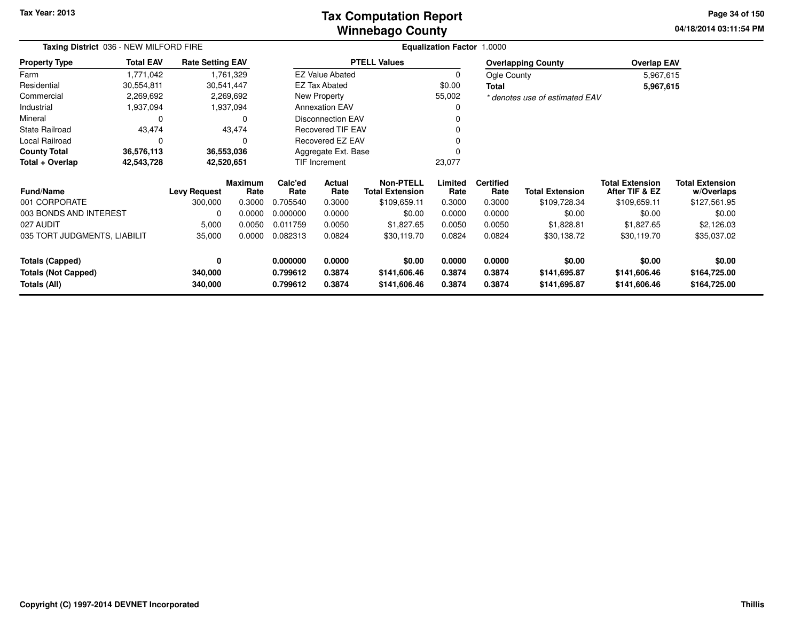### **Winnebago CountyTax Computation Report**

**04/18/2014 03:11:54 PM Page 34 of 150**

|                                            | Taxing District 036 - NEW MILFORD FIRE |                         |                        |                         |                          | <b>Equalization Factor 1.0000</b>          |                  |                          |                                |                                          |                                      |  |  |
|--------------------------------------------|----------------------------------------|-------------------------|------------------------|-------------------------|--------------------------|--------------------------------------------|------------------|--------------------------|--------------------------------|------------------------------------------|--------------------------------------|--|--|
| <b>Property Type</b>                       | <b>Total EAV</b>                       | <b>Rate Setting EAV</b> |                        |                         |                          | <b>PTELL Values</b>                        |                  |                          | <b>Overlapping County</b>      | <b>Overlap EAV</b>                       |                                      |  |  |
| Farm                                       | 1,771,042                              |                         | 1,761,329              |                         | <b>EZ Value Abated</b>   |                                            | 0                | Ogle County              |                                | 5,967,615                                |                                      |  |  |
| Residential                                | 30,554,811                             | 30,541,447              |                        |                         | <b>EZ Tax Abated</b>     |                                            | \$0.00           | Total                    |                                | 5,967,615                                |                                      |  |  |
| Commercial                                 | 2,269,692                              |                         | 2,269,692              |                         | New Property             |                                            | 55,002           |                          | * denotes use of estimated EAV |                                          |                                      |  |  |
| Industrial                                 | 1,937,094                              |                         | 1,937,094              |                         | <b>Annexation EAV</b>    |                                            |                  |                          |                                |                                          |                                      |  |  |
| Mineral                                    | 0                                      |                         | $\Omega$               |                         | <b>Disconnection EAV</b> |                                            |                  |                          |                                |                                          |                                      |  |  |
| <b>State Railroad</b>                      | 43,474                                 |                         | 43,474                 |                         | Recovered TIF EAV        |                                            |                  |                          |                                |                                          |                                      |  |  |
| Local Railroad                             | 0                                      |                         | 0                      | <b>Recovered EZ EAV</b> |                          |                                            |                  |                          |                                |                                          |                                      |  |  |
| <b>County Total</b>                        | 36,576,113                             |                         | 36,553,036             | Aggregate Ext. Base     |                          |                                            |                  |                          |                                |                                          |                                      |  |  |
| Total + Overlap                            | 42,543,728                             | 42,520,651              |                        |                         | TIF Increment            |                                            | 23,077           |                          |                                |                                          |                                      |  |  |
| Fund/Name                                  |                                        | <b>Levy Request</b>     | <b>Maximum</b><br>Rate | Calc'ed<br>Rate         | Actual<br>Rate           | <b>Non-PTELL</b><br><b>Total Extension</b> | Limited<br>Rate  | <b>Certified</b><br>Rate | <b>Total Extension</b>         | <b>Total Extension</b><br>After TIF & EZ | <b>Total Extension</b><br>w/Overlaps |  |  |
| 001 CORPORATE                              |                                        | 300,000                 | 0.3000                 | 0.705540                | 0.3000                   | \$109,659.11                               | 0.3000           | 0.3000                   | \$109,728.34                   | \$109,659.11                             | \$127,561.95                         |  |  |
| 003 BONDS AND INTEREST                     |                                        | 0                       | 0.0000                 | 0.000000                | 0.0000                   | \$0.00                                     | 0.0000           | 0.0000                   | \$0.00                         | \$0.00                                   | \$0.00                               |  |  |
| 027 AUDIT                                  |                                        | 5,000                   | 0.0050                 | 0.011759                | 0.0050                   | \$1,827.65                                 | 0.0050           | 0.0050                   | \$1,828.81                     | \$1,827.65                               | \$2,126.03                           |  |  |
| 035 TORT JUDGMENTS, LIABILIT               |                                        | 35,000                  | 0.0000                 | 0.082313<br>0.0824      |                          | \$30,119.70                                | 0.0824           | 0.0824                   | \$30,138.72                    | \$30,119.70                              | \$35,037.02                          |  |  |
| <b>Totals (Capped)</b>                     |                                        | 0                       |                        | 0.000000                | 0.0000                   | \$0.00                                     | 0.0000           | 0.0000                   | \$0.00                         | \$0.00                                   | \$0.00                               |  |  |
| <b>Totals (Not Capped)</b><br>Totals (All) |                                        | 340,000<br>340,000      |                        | 0.799612<br>0.799612    | 0.3874<br>0.3874         | \$141,606.46<br>\$141,606.46               | 0.3874<br>0.3874 | 0.3874<br>0.3874         | \$141,695.87<br>\$141,695.87   | \$141,606.46<br>\$141,606.46             | \$164,725.00<br>\$164,725.00         |  |  |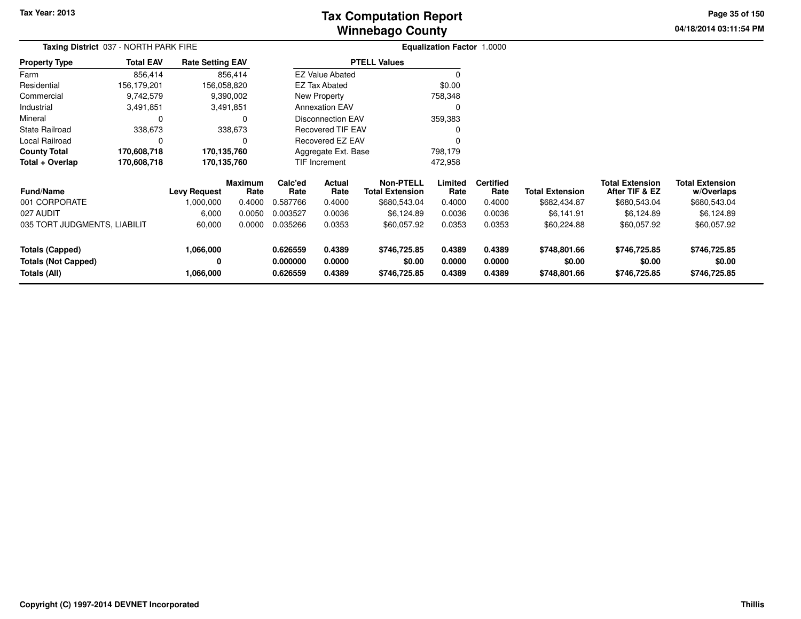# **Winnebago CountyTax Computation Report**

**04/18/2014 03:11:54 PM Page 35 of 150**

| Taxing District 037 - NORTH PARK FIRE |                  |                         |                 |                                          |                          |                                            | Equalization Factor 1.0000 |                          |                        |                                          |                                      |  |
|---------------------------------------|------------------|-------------------------|-----------------|------------------------------------------|--------------------------|--------------------------------------------|----------------------------|--------------------------|------------------------|------------------------------------------|--------------------------------------|--|
| <b>Property Type</b>                  | <b>Total EAV</b> | <b>Rate Setting EAV</b> |                 |                                          |                          | <b>PTELL Values</b>                        |                            |                          |                        |                                          |                                      |  |
| Farm                                  | 856,414          |                         | 856,414         |                                          | <b>EZ Value Abated</b>   |                                            | 0                          |                          |                        |                                          |                                      |  |
| Residential                           | 156,179,201      | 156,058,820             |                 |                                          | <b>EZ Tax Abated</b>     |                                            | \$0.00                     |                          |                        |                                          |                                      |  |
| Commercial                            | 9,742,579        |                         | 9,390,002       |                                          | New Property             |                                            | 758,348                    |                          |                        |                                          |                                      |  |
| Industrial                            | 3,491,851        |                         | 3,491,851       |                                          | <b>Annexation EAV</b>    |                                            | $\Omega$                   |                          |                        |                                          |                                      |  |
| Mineral                               | 0                |                         | 0               |                                          | <b>Disconnection EAV</b> |                                            | 359,383                    |                          |                        |                                          |                                      |  |
| <b>State Railroad</b>                 | 338,673          |                         | 338,673         | <b>Recovered TIF EAV</b>                 |                          |                                            | 0                          |                          |                        |                                          |                                      |  |
| <b>Local Railroad</b>                 | 0                |                         | 0               |                                          | <b>Recovered EZ EAV</b>  |                                            | $\Omega$                   |                          |                        |                                          |                                      |  |
| <b>County Total</b>                   | 170,608,718      | 170,135,760             |                 | Aggregate Ext. Base                      |                          |                                            | 798,179                    |                          |                        |                                          |                                      |  |
| Total + Overlap                       | 170,608,718      | 170,135,760             |                 |                                          | <b>TIF Increment</b>     |                                            | 472,958                    |                          |                        |                                          |                                      |  |
| <b>Fund/Name</b>                      |                  | <b>Levy Request</b>     | Maximum<br>Rate | Calc'ed<br>Actual<br>Rate<br>Rate        |                          | <b>Non-PTELL</b><br><b>Total Extension</b> | Limited<br>Rate            | <b>Certified</b><br>Rate | <b>Total Extension</b> | <b>Total Extension</b><br>After TIF & EZ | <b>Total Extension</b><br>w/Overlaps |  |
| 001 CORPORATE                         |                  | 1,000,000               | 0.4000          | 0.587766                                 | 0.4000                   | \$680,543.04                               | 0.4000                     | 0.4000                   | \$682,434.87           | \$680,543.04                             | \$680,543.04                         |  |
| 027 AUDIT                             |                  | 6,000                   | 0.0050          | 0.003527                                 | 0.0036                   | \$6,124.89                                 | 0.0036                     | 0.0036                   | \$6,141.91             | \$6,124.89                               | \$6,124.89                           |  |
| 035 TORT JUDGMENTS, LIABILIT          |                  | 60,000                  | 0.0000          | 0.035266                                 | 0.0353                   | \$60,057.92                                | 0.0353                     | 0.0353                   | \$60,224.88            | \$60,057.92                              | \$60,057.92                          |  |
| <b>Totals (Capped)</b>                |                  | 1,066,000               |                 | 0.626559<br>0.4389                       |                          | \$746,725.85                               | 0.4389                     | 0.4389                   | \$748,801.66           | \$746,725.85                             | \$746,725.85                         |  |
| Totals (Not Capped)<br>Totals (All)   |                  | 0<br>1,066,000          |                 | 0.000000<br>0.0000<br>0.4389<br>0.626559 |                          | \$0.00<br>\$746,725.85                     | 0.0000<br>0.4389           | 0.0000<br>0.4389         | \$0.00<br>\$748,801.66 | \$0.00<br>\$746,725.85                   | \$0.00<br>\$746,725.85               |  |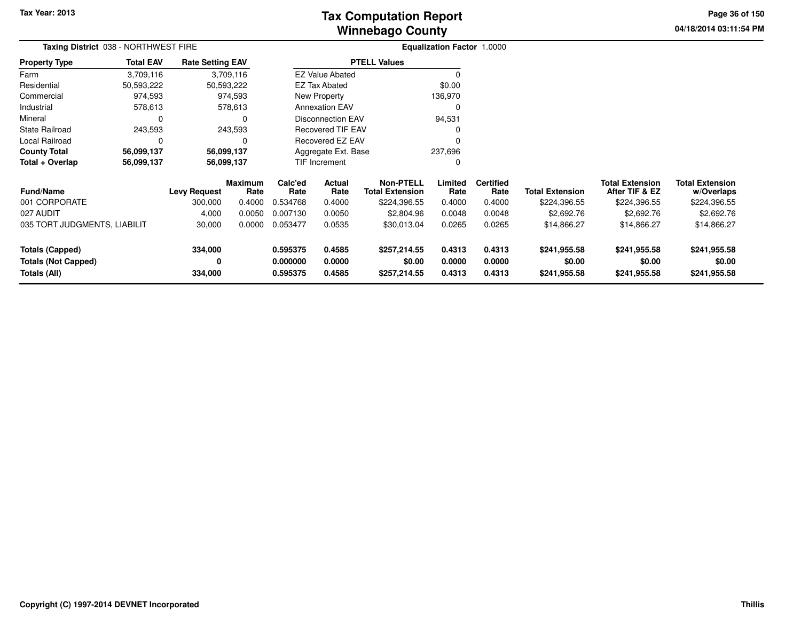# **Winnebago CountyTax Computation Report**

**04/18/2014 03:11:54 PM Page 36 of 150**

| Taxing District 038 - NORTHWEST FIRE                 |                  |                         |                        |                          |                  | Equalization Factor 1.0000          |                  |                          |                        |                                          |                                      |  |
|------------------------------------------------------|------------------|-------------------------|------------------------|--------------------------|------------------|-------------------------------------|------------------|--------------------------|------------------------|------------------------------------------|--------------------------------------|--|
| <b>Property Type</b>                                 | <b>Total EAV</b> | <b>Rate Setting EAV</b> |                        | <b>PTELL Values</b>      |                  |                                     |                  |                          |                        |                                          |                                      |  |
| Farm                                                 | 3,709,116        | 3,709,116               |                        | <b>EZ Value Abated</b>   |                  |                                     |                  |                          |                        |                                          |                                      |  |
| Residential                                          | 50,593,222       | 50,593,222              |                        | <b>EZ Tax Abated</b>     |                  |                                     | \$0.00           |                          |                        |                                          |                                      |  |
| Commercial                                           | 974,593          | 974,593                 |                        | New Property             |                  |                                     | 136,970          |                          |                        |                                          |                                      |  |
| Industrial                                           | 578,613          | 578,613                 |                        | <b>Annexation EAV</b>    |                  |                                     | 0                |                          |                        |                                          |                                      |  |
| Mineral                                              | 0                | 0                       |                        | <b>Disconnection EAV</b> |                  |                                     | 94,531           |                          |                        |                                          |                                      |  |
| <b>State Railroad</b>                                | 243,593          | 243,593                 |                        | <b>Recovered TIF EAV</b> |                  |                                     |                  |                          |                        |                                          |                                      |  |
| Local Railroad                                       | $\Omega$         |                         |                        | <b>Recovered EZ EAV</b>  |                  |                                     | $\Omega$         |                          |                        |                                          |                                      |  |
| <b>County Total</b>                                  | 56,099,137       | 56,099,137              |                        | Aggregate Ext. Base      |                  |                                     | 237,696          |                          |                        |                                          |                                      |  |
| Total + Overlap                                      | 56,099,137       | 56,099,137              |                        | <b>TIF Increment</b>     |                  |                                     | 0                |                          |                        |                                          |                                      |  |
| <b>Fund/Name</b>                                     |                  | <b>Levy Request</b>     | <b>Maximum</b><br>Rate | Calc'ed<br>Rate          | Actual<br>Rate   | Non-PTELL<br><b>Total Extension</b> | Limited<br>Rate  | <b>Certified</b><br>Rate | <b>Total Extension</b> | <b>Total Extension</b><br>After TIF & EZ | <b>Total Extension</b><br>w/Overlaps |  |
| 001 CORPORATE                                        |                  | 300,000                 | 0.4000                 | 0.534768                 | 0.4000           | \$224,396.55                        | 0.4000           | 0.4000                   | \$224,396.55           | \$224,396.55                             | \$224,396.55                         |  |
| 027 AUDIT                                            |                  | 4,000                   | 0.0050                 | 0.007130                 | 0.0050           | \$2,804.96                          | 0.0048           | 0.0048                   | \$2,692.76             | \$2,692.76                               | \$2,692.76                           |  |
| 035 TORT JUDGMENTS, LIABILIT                         |                  | 30,000                  | 0.0000                 | 0.053477                 | 0.0535           | \$30,013.04                         | 0.0265           | 0.0265                   | \$14,866.27            | \$14,866.27                              | \$14,866.27                          |  |
| <b>Totals (Capped)</b><br><b>Totals (Not Capped)</b> |                  | 334,000<br>0            |                        | 0.595375<br>0.000000     | 0.4585<br>0.0000 | \$257,214.55<br>\$0.00              | 0.4313<br>0.0000 | 0.4313<br>0.0000         | \$241,955.58<br>\$0.00 | \$241,955.58<br>\$0.00                   | \$241,955.58<br>\$0.00               |  |
| Totals (All)                                         |                  | 334,000                 |                        | 0.595375                 | 0.4585           | \$257,214.55                        | 0.4313           | 0.4313                   | \$241,955.58           | \$241,955.58                             | \$241,955.58                         |  |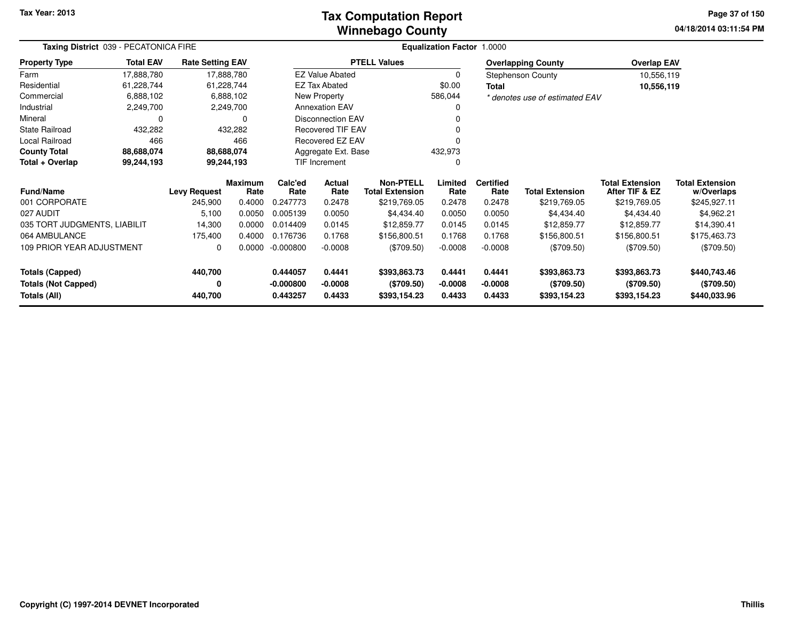### **Winnebago CountyTax Computation Report**

**04/18/2014 03:11:54 PM Page 37 of 150**

| Taxing District 039 - PECATONICA FIRE       |                  |                         |                        | <b>Equalization Factor 1.0000</b> |                                |                                            |                 |                          |                                |                                          |                                      |
|---------------------------------------------|------------------|-------------------------|------------------------|-----------------------------------|--------------------------------|--------------------------------------------|-----------------|--------------------------|--------------------------------|------------------------------------------|--------------------------------------|
| <b>Property Type</b>                        | <b>Total EAV</b> | <b>Rate Setting EAV</b> |                        |                                   |                                | <b>PTELL Values</b>                        |                 |                          | <b>Overlapping County</b>      | <b>Overlap EAV</b>                       |                                      |
| Farm                                        | 17,888,780       |                         | 17,888,780             |                                   | <b>EZ Value Abated</b>         |                                            | 0               |                          | <b>Stephenson County</b>       | 10,556,119                               |                                      |
| Residential                                 | 61,228,744       |                         | 61,228,744             |                                   | <b>EZ Tax Abated</b>           |                                            | \$0.00          | <b>Total</b>             |                                | 10,556,119                               |                                      |
| Commercial                                  | 6,888,102        |                         | 6,888,102              |                                   | New Property                   |                                            | 586,044         |                          | * denotes use of estimated EAV |                                          |                                      |
| Industrial                                  | 2,249,700        |                         | 2,249,700              |                                   | <b>Annexation EAV</b>          |                                            |                 |                          |                                |                                          |                                      |
| Mineral                                     | 0                |                         | 0                      |                                   | <b>Disconnection EAV</b>       |                                            |                 |                          |                                |                                          |                                      |
| <b>State Railroad</b>                       | 432,282          |                         | 432,282                |                                   | <b>Recovered TIF EAV</b>       |                                            |                 |                          |                                |                                          |                                      |
| Local Railroad                              | 466              |                         | 466                    |                                   | Recovered EZ EAV               |                                            |                 |                          |                                |                                          |                                      |
| <b>County Total</b>                         | 88,688,074       |                         | 88,688,074             |                                   | Aggregate Ext. Base<br>432,973 |                                            |                 |                          |                                |                                          |                                      |
| Total + Overlap<br>99,244,193<br>99,244,193 |                  |                         |                        | TIF Increment                     |                                | $\Omega$                                   |                 |                          |                                |                                          |                                      |
| Fund/Name                                   |                  | <b>Levy Request</b>     | <b>Maximum</b><br>Rate | Calc'ed<br>Rate                   | Actual<br>Rate                 | <b>Non-PTELL</b><br><b>Total Extension</b> | Limited<br>Rate | <b>Certified</b><br>Rate | <b>Total Extension</b>         | <b>Total Extension</b><br>After TIF & EZ | <b>Total Extension</b><br>w/Overlaps |
| 001 CORPORATE                               |                  | 245,900                 | 0.4000                 | 0.247773                          | 0.2478                         | \$219,769.05                               | 0.2478          | 0.2478                   | \$219,769.05                   | \$219,769.05                             | \$245,927.11                         |
| 027 AUDIT                                   |                  | 5,100                   | 0.0050                 | 0.005139                          | 0.0050                         | \$4,434.40                                 | 0.0050          | 0.0050                   | \$4,434.40                     | \$4,434.40                               | \$4,962.21                           |
| 035 TORT JUDGMENTS, LIABILIT                |                  | 14,300                  | 0.0000                 | 0.014409                          | 0.0145                         | \$12,859.77                                | 0.0145          | 0.0145                   | \$12,859.77                    | \$12,859.77                              | \$14,390.41                          |
| 064 AMBULANCE                               |                  | 175,400                 | 0.4000                 | 0.176736                          | 0.1768                         | \$156,800.51                               | 0.1768          | 0.1768                   | \$156,800.51                   | \$156,800.51                             | \$175,463.73                         |
| 109 PRIOR YEAR ADJUSTMENT                   |                  | 0                       | 0.0000                 | $-0.000800$                       | $-0.0008$                      | $(\$709.50)$                               | $-0.0008$       | $-0.0008$                | (\$709.50)                     | $(\$709.50)$                             | $(\$709.50)$                         |
| <b>Totals (Capped)</b>                      |                  | 440,700                 |                        | 0.444057                          | 0.4441                         | \$393,863.73                               | 0.4441          | 0.4441                   | \$393,863.73                   | \$393,863.73                             | \$440,743.46                         |
| <b>Totals (Not Capped)</b>                  |                  | 0                       |                        | $-0.000800$                       | $-0.0008$                      | (\$709.50)                                 | $-0.0008$       | $-0.0008$                | (\$709.50)                     | (\$709.50)                               | (\$709.50)                           |
| Totals (All)                                |                  | 440,700                 |                        | 0.443257                          | 0.4433                         | \$393,154.23                               | 0.4433          | 0.4433                   | \$393,154.23                   | \$393,154.23                             | \$440,033.96                         |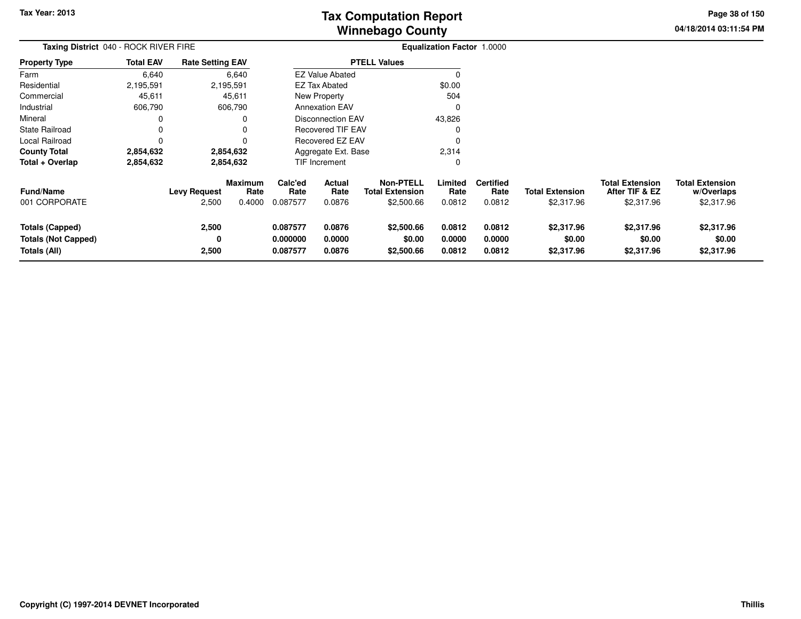**04/18/2014 03:11:54 PM Page 38 of 150**

| Taxing District 040 - ROCK RIVER FIRE                                |                  |                              |                                  |                                  | <b>Equalization Factor 1.0000</b> |                                                          |                            |                                    |                                      |                                                        |                                                    |
|----------------------------------------------------------------------|------------------|------------------------------|----------------------------------|----------------------------------|-----------------------------------|----------------------------------------------------------|----------------------------|------------------------------------|--------------------------------------|--------------------------------------------------------|----------------------------------------------------|
| <b>Property Type</b>                                                 | <b>Total EAV</b> | <b>Rate Setting EAV</b>      |                                  |                                  |                                   | <b>PTELL Values</b>                                      |                            |                                    |                                      |                                                        |                                                    |
| Farm                                                                 | 6,640            |                              | 6,640                            |                                  | <b>EZ Value Abated</b>            |                                                          |                            |                                    |                                      |                                                        |                                                    |
| Residential                                                          | 2,195,591        |                              | 2,195,591                        |                                  | <b>EZ Tax Abated</b>              |                                                          | \$0.00                     |                                    |                                      |                                                        |                                                    |
| Commercial                                                           | 45,611           |                              | 45,611                           |                                  | <b>New Property</b>               |                                                          | 504                        |                                    |                                      |                                                        |                                                    |
| Industrial                                                           | 606,790          |                              | 606,790                          |                                  | <b>Annexation EAV</b>             |                                                          |                            |                                    |                                      |                                                        |                                                    |
| Mineral                                                              |                  |                              | 0                                |                                  | <b>Disconnection EAV</b>          |                                                          | 43,826                     |                                    |                                      |                                                        |                                                    |
| <b>State Railroad</b>                                                | 0                |                              | 0                                |                                  | <b>Recovered TIF EAV</b>          |                                                          |                            |                                    |                                      |                                                        |                                                    |
| Local Railroad                                                       | 0                |                              | 0                                | Recovered EZ EAV                 |                                   |                                                          |                            |                                    |                                      |                                                        |                                                    |
| <b>County Total</b>                                                  | 2,854,632        |                              | 2,854,632                        | Aggregate Ext. Base              |                                   |                                                          | 2,314                      |                                    |                                      |                                                        |                                                    |
| Total + Overlap                                                      | 2,854,632        |                              | 2,854,632                        |                                  | TIF Increment                     |                                                          | 0                          |                                    |                                      |                                                        |                                                    |
| <b>Fund/Name</b><br>001 CORPORATE                                    |                  | <b>Levy Request</b><br>2,500 | <b>Maximum</b><br>Rate<br>0.4000 | Calc'ed<br>Rate<br>0.087577      | Actual<br>Rate<br>0.0876          | <b>Non-PTELL</b><br><b>Total Extension</b><br>\$2,500.66 | Limited<br>Rate<br>0.0812  | <b>Certified</b><br>Rate<br>0.0812 | <b>Total Extension</b><br>\$2,317.96 | <b>Total Extension</b><br>After TIF & EZ<br>\$2,317.96 | <b>Total Extension</b><br>w/Overlaps<br>\$2,317.96 |
| <b>Totals (Capped)</b><br><b>Totals (Not Capped)</b><br>Totals (All) |                  | 2,500<br>0<br>2,500          |                                  | 0.087577<br>0.000000<br>0.087577 | 0.0876<br>0.0000<br>0.0876        | \$2,500.66<br>\$0.00<br>\$2,500.66                       | 0.0812<br>0.0000<br>0.0812 | 0.0812<br>0.0000<br>0.0812         | \$2,317.96<br>\$0.00<br>\$2,317.96   | \$2,317.96<br>\$0.00<br>\$2,317.96                     | \$2,317.96<br>\$0.00<br>\$2,317.96                 |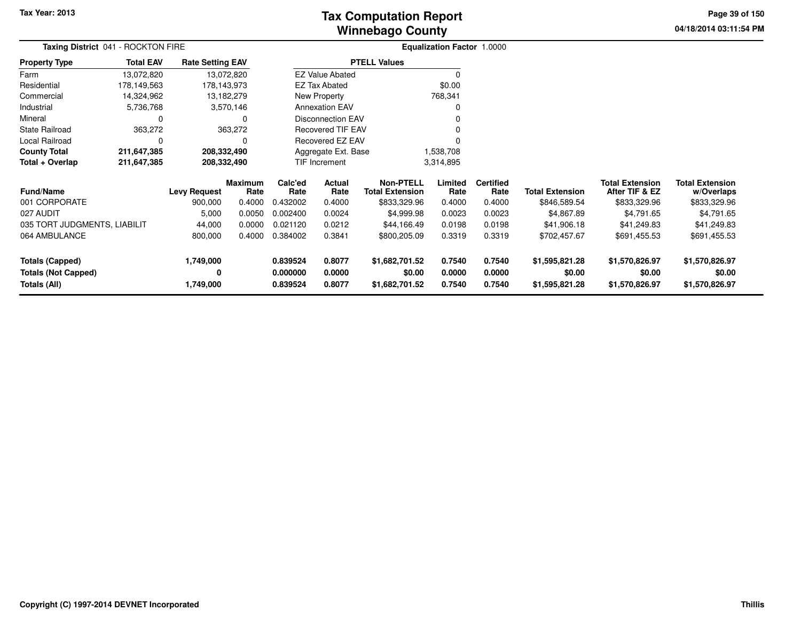# **Winnebago CountyTax Computation Report**

**04/18/2014 03:11:54 PM Page 39 of 150**

| Taxing District 041 - ROCKTON FIRE         |                  |                         |                 |                      |                                  |                                            | Equalization Factor 1.0000 |                          |                          |                                          |                                      |
|--------------------------------------------|------------------|-------------------------|-----------------|----------------------|----------------------------------|--------------------------------------------|----------------------------|--------------------------|--------------------------|------------------------------------------|--------------------------------------|
| <b>Property Type</b>                       | <b>Total EAV</b> | <b>Rate Setting EAV</b> |                 |                      |                                  | <b>PTELL Values</b>                        |                            |                          |                          |                                          |                                      |
| Farm                                       | 13,072,820       | 13,072,820              |                 |                      | <b>EZ Value Abated</b>           |                                            |                            |                          |                          |                                          |                                      |
| Residential                                | 178,149,563      | 178,143,973             |                 |                      | <b>EZ Tax Abated</b>             |                                            | \$0.00                     |                          |                          |                                          |                                      |
| Commercial                                 | 14,324,962       | 13,182,279              |                 |                      | New Property                     |                                            | 768,341                    |                          |                          |                                          |                                      |
| Industrial                                 | 5,736,768        |                         | 3,570,146       |                      | <b>Annexation EAV</b>            |                                            |                            |                          |                          |                                          |                                      |
| Mineral                                    |                  |                         | 0               |                      | <b>Disconnection EAV</b>         |                                            |                            |                          |                          |                                          |                                      |
| <b>State Railroad</b>                      | 363,272          |                         | 363,272         |                      | <b>Recovered TIF EAV</b>         |                                            |                            |                          |                          |                                          |                                      |
| Local Railroad                             |                  |                         | 0               |                      | Recovered EZ EAV                 |                                            |                            |                          |                          |                                          |                                      |
| <b>County Total</b>                        | 211,647,385      | 208,332,490             |                 |                      | 1,538,708<br>Aggregate Ext. Base |                                            |                            |                          |                          |                                          |                                      |
| Total + Overlap                            | 211,647,385      | 208,332,490             |                 |                      | TIF Increment                    |                                            | 3,314,895                  |                          |                          |                                          |                                      |
| <b>Fund/Name</b>                           |                  | <b>Levy Request</b>     | Maximum<br>Rate | Calc'ed<br>Rate      | Actual<br>Rate                   | <b>Non-PTELL</b><br><b>Total Extension</b> | Limited<br>Rate            | <b>Certified</b><br>Rate | <b>Total Extension</b>   | <b>Total Extension</b><br>After TIF & EZ | <b>Total Extension</b><br>w/Overlaps |
| 001 CORPORATE                              |                  | 900,000                 | 0.4000          | 0.432002             | 0.4000                           | \$833,329.96                               | 0.4000                     | 0.4000                   | \$846,589.54             | \$833,329.96                             | \$833,329.96                         |
| 027 AUDIT                                  |                  | 5,000                   | 0.0050          | 0.002400             | 0.0024                           | \$4,999.98                                 | 0.0023                     | 0.0023                   | \$4,867.89               | \$4,791.65                               | \$4,791.65                           |
| 035 TORT JUDGMENTS, LIABILIT               |                  | 44,000                  | 0.0000          | 0.021120             | 0.0212                           | \$44,166.49                                | 0.0198                     | 0.0198                   | \$41,906.18              | \$41,249.83                              | \$41,249.83                          |
| 064 AMBULANCE                              |                  | 800,000                 | 0.4000          | 0.384002             | 0.3841                           | \$800,205.09                               | 0.3319                     | 0.3319                   | \$702,457.67             | \$691,455.53                             | \$691,455.53                         |
| <b>Totals (Capped)</b>                     |                  | 1,749,000               |                 | 0.839524             | 0.8077                           | \$1,682,701.52                             | 0.7540                     | 0.7540                   | \$1,595,821.28           | \$1,570,826.97                           | \$1,570,826.97                       |
| <b>Totals (Not Capped)</b><br>Totals (All) |                  | ŋ<br>1,749,000          |                 | 0.000000<br>0.839524 | 0.0000<br>0.8077                 | \$0.00<br>\$1,682,701.52                   | 0.0000<br>0.7540           | 0.0000<br>0.7540         | \$0.00<br>\$1,595,821.28 | \$0.00<br>\$1,570,826.97                 | \$0.00<br>\$1,570,826.97             |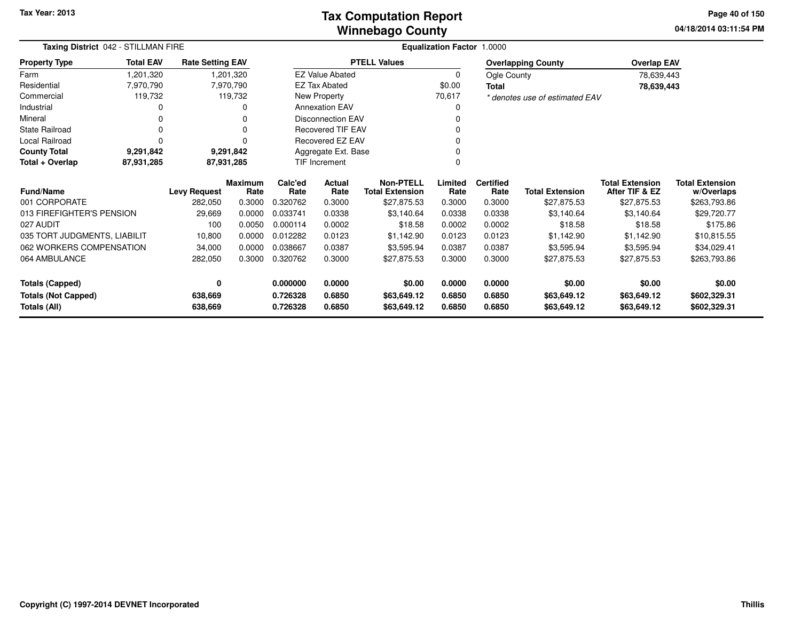### **Winnebago CountyTax Computation Report**

**04/18/2014 03:11:54 PM Page 40 of 150**

| Taxing District 042 - STILLMAN FIRE | Equalization Factor 1.0000 |                         |                        |                 |                          |                                            |                 |                          |                                |                                          |                                      |
|-------------------------------------|----------------------------|-------------------------|------------------------|-----------------|--------------------------|--------------------------------------------|-----------------|--------------------------|--------------------------------|------------------------------------------|--------------------------------------|
| <b>Property Type</b>                | <b>Total EAV</b>           | <b>Rate Setting EAV</b> |                        |                 |                          | <b>PTELL Values</b>                        |                 |                          | <b>Overlapping County</b>      | <b>Overlap EAV</b>                       |                                      |
| Farm                                | 1,201,320                  |                         | ,201,320               |                 | <b>EZ Value Abated</b>   |                                            | 0               | Ogle County              |                                | 78,639,443                               |                                      |
| Residential                         | 7,970,790                  |                         | 7,970,790              |                 | <b>EZ Tax Abated</b>     |                                            | \$0.00          | Total                    |                                | 78,639,443                               |                                      |
| Commercial                          | 119,732                    |                         | 119,732                |                 | New Property             |                                            | 70,617          |                          | * denotes use of estimated EAV |                                          |                                      |
| Industrial                          |                            |                         | 0                      |                 | <b>Annexation EAV</b>    |                                            |                 |                          |                                |                                          |                                      |
| Mineral                             |                            |                         |                        |                 | <b>Disconnection EAV</b> |                                            |                 |                          |                                |                                          |                                      |
| <b>State Railroad</b>               | 0                          |                         | 0                      |                 | <b>Recovered TIF EAV</b> |                                            |                 |                          |                                |                                          |                                      |
| Local Railroad                      | $\Omega$                   |                         | 0                      |                 | Recovered EZ EAV         |                                            |                 |                          |                                |                                          |                                      |
| <b>County Total</b>                 | 9,291,842                  |                         | 9,291,842              |                 | Aggregate Ext. Base      |                                            |                 |                          |                                |                                          |                                      |
| Total + Overlap                     | 87,931,285                 |                         | 87,931,285             |                 | <b>TIF Increment</b>     |                                            |                 |                          |                                |                                          |                                      |
| <b>Fund/Name</b>                    |                            | <b>Levy Request</b>     | <b>Maximum</b><br>Rate | Calc'ed<br>Rate | Actual<br>Rate           | <b>Non-PTELL</b><br><b>Total Extension</b> | Limited<br>Rate | <b>Certified</b><br>Rate | <b>Total Extension</b>         | <b>Total Extension</b><br>After TIF & EZ | <b>Total Extension</b><br>w/Overlaps |
| 001 CORPORATE                       |                            | 282,050                 | 0.3000                 | 0.320762        | 0.3000                   | \$27,875.53                                | 0.3000          | 0.3000                   | \$27,875.53                    | \$27,875.53                              | \$263,793.86                         |
| 013 FIREFIGHTER'S PENSION           |                            | 29,669                  | 0.0000                 | 0.033741        | 0.0338                   | \$3,140.64                                 | 0.0338          | 0.0338                   | \$3,140.64                     | \$3,140.64                               | \$29,720.77                          |
| 027 AUDIT                           |                            | 100                     | 0.0050                 | 0.000114        | 0.0002                   | \$18.58                                    | 0.0002          | 0.0002                   | \$18.58                        | \$18.58                                  | \$175.86                             |
| 035 TORT JUDGMENTS, LIABILIT        |                            | 10,800                  | 0.0000                 | 0.012282        | 0.0123                   | \$1,142.90                                 | 0.0123          | 0.0123                   | \$1,142.90                     | \$1,142.90                               | \$10,815.55                          |
| 062 WORKERS COMPENSATION            |                            | 34,000                  | 0.0000                 | 0.038667        | 0.0387                   | \$3,595.94                                 | 0.0387          | 0.0387                   | \$3,595.94                     | \$3,595.94                               | \$34,029.41                          |
| 064 AMBULANCE                       |                            | 282,050                 | 0.3000                 | 0.320762        | 0.3000                   | \$27,875.53                                | 0.3000          | 0.3000                   | \$27,875.53                    | \$27,875.53                              | \$263,793.86                         |
| <b>Totals (Capped)</b>              |                            | 0                       |                        | 0.000000        | 0.0000                   | \$0.00                                     | 0.0000          | 0.0000                   | \$0.00                         | \$0.00                                   | \$0.00                               |
| <b>Totals (Not Capped)</b>          |                            | 638,669                 |                        | 0.726328        | 0.6850                   | \$63,649.12                                | 0.6850          | 0.6850                   | \$63,649.12                    | \$63,649.12                              | \$602,329.31                         |
| Totals (All)                        |                            | 638,669                 |                        | 0.726328        | 0.6850                   | \$63,649.12                                | 0.6850          | 0.6850                   | \$63,649.12                    | \$63,649.12                              | \$602,329.31                         |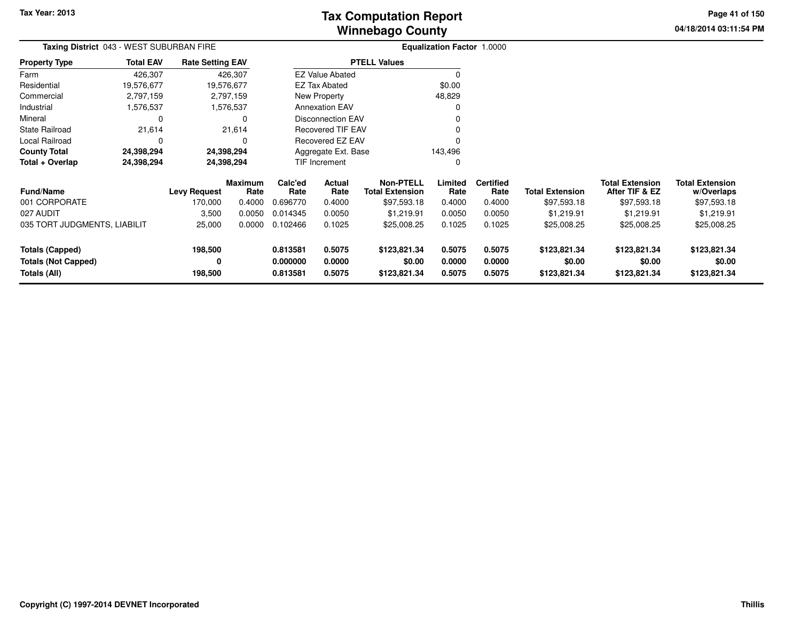**04/18/2014 03:11:54 PM Page 41 of 150**

| Taxing District 043 - WEST SUBURBAN FIRE   |                  |                         |                        | <b>Equalization Factor 1.0000</b> |                        |                                            |                  |                          |                        |                                          |                                      |
|--------------------------------------------|------------------|-------------------------|------------------------|-----------------------------------|------------------------|--------------------------------------------|------------------|--------------------------|------------------------|------------------------------------------|--------------------------------------|
| <b>Property Type</b>                       | <b>Total EAV</b> | <b>Rate Setting EAV</b> |                        |                                   |                        | <b>PTELL Values</b>                        |                  |                          |                        |                                          |                                      |
| Farm                                       | 426,307          |                         | 426,307                |                                   | <b>EZ Value Abated</b> |                                            | 0                |                          |                        |                                          |                                      |
| Residential                                | 19,576,677       | 19,576,677              |                        |                                   | <b>EZ Tax Abated</b>   |                                            | \$0.00           |                          |                        |                                          |                                      |
| Commercial                                 | 2,797,159        |                         | 2,797,159              |                                   | New Property           |                                            | 48,829           |                          |                        |                                          |                                      |
| Industrial                                 | 1,576,537        |                         | 1,576,537              |                                   | <b>Annexation EAV</b>  |                                            | 0                |                          |                        |                                          |                                      |
| Mineral                                    | 0                |                         |                        |                                   | Disconnection EAV      |                                            |                  |                          |                        |                                          |                                      |
| State Railroad                             | 21,614           |                         | 21,614                 | <b>Recovered TIF EAV</b>          |                        |                                            |                  |                          |                        |                                          |                                      |
| Local Railroad                             | 0                |                         |                        | Recovered EZ EAV<br>O             |                        |                                            |                  |                          |                        |                                          |                                      |
| <b>County Total</b>                        | 24,398,294       | 24,398,294              |                        |                                   | Aggregate Ext. Base    |                                            | 143,496          |                          |                        |                                          |                                      |
| Total + Overlap                            | 24,398,294       | 24,398,294              |                        |                                   | TIF Increment          |                                            | 0                |                          |                        |                                          |                                      |
| Fund/Name                                  |                  | <b>Levy Request</b>     | <b>Maximum</b><br>Rate | Calc'ed<br>Rate                   | Actual<br>Rate         | <b>Non-PTELL</b><br><b>Total Extension</b> | Limited<br>Rate  | <b>Certified</b><br>Rate | <b>Total Extension</b> | <b>Total Extension</b><br>After TIF & EZ | <b>Total Extension</b><br>w/Overlaps |
| 001 CORPORATE                              |                  | 170,000                 | 0.4000                 | 0.696770                          | 0.4000                 | \$97,593.18                                | 0.4000           | 0.4000                   | \$97,593.18            | \$97,593.18                              | \$97,593.18                          |
| 027 AUDIT                                  |                  | 3,500                   | 0.0050                 | 0.014345                          | 0.0050                 | \$1,219.91                                 | 0.0050           | 0.0050                   | \$1,219.91             | \$1,219.91                               | \$1,219.91                           |
| 035 TORT JUDGMENTS, LIABILIT               |                  | 25,000                  | 0.0000                 | 0.102466                          | 0.1025                 | \$25,008.25                                | 0.1025           | 0.1025                   | \$25,008.25            | \$25,008.25                              | \$25,008.25                          |
| <b>Totals (Capped)</b>                     |                  | 198,500                 |                        | 0.813581                          | 0.5075                 | \$123,821.34                               | 0.5075           | 0.5075                   | \$123,821.34           | \$123,821.34                             | \$123,821.34                         |
| <b>Totals (Not Capped)</b><br>Totals (All) |                  | 0<br>198,500            |                        | 0.000000<br>0.813581              | 0.0000<br>0.5075       | \$0.00<br>\$123,821.34                     | 0.0000<br>0.5075 | 0.0000<br>0.5075         | \$0.00<br>\$123,821.34 | \$0.00<br>\$123,821.34                   | \$0.00<br>\$123,821.34               |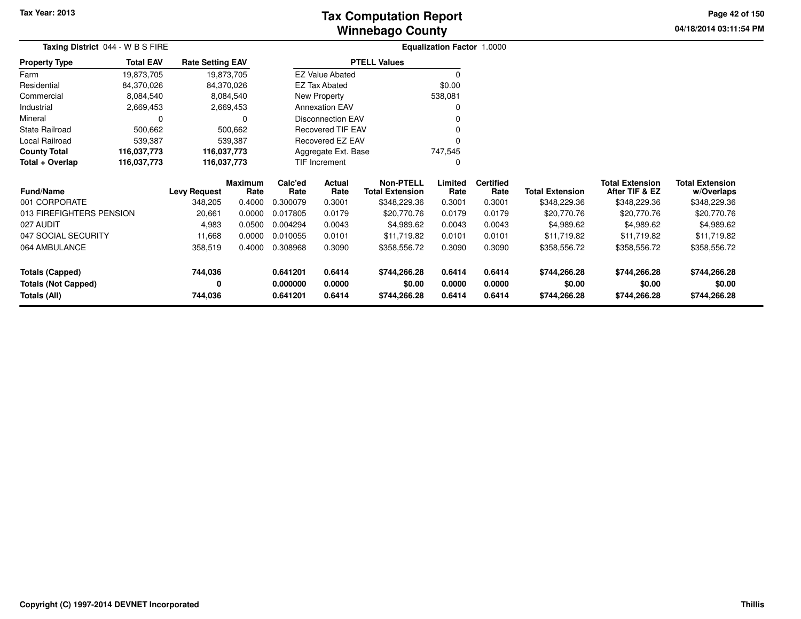# **Winnebago CountyTax Computation Report**

**04/18/2014 03:11:54 PM Page 42 of 150**

| <b>Taxing District 044 - W B S FIRE</b> |                  |                         |                 |                 | <b>Equalization Factor 1.0000</b> |                                            |                 |                          |                        |                                          |                                      |
|-----------------------------------------|------------------|-------------------------|-----------------|-----------------|-----------------------------------|--------------------------------------------|-----------------|--------------------------|------------------------|------------------------------------------|--------------------------------------|
| <b>Property Type</b>                    | <b>Total EAV</b> | <b>Rate Setting EAV</b> |                 |                 |                                   | <b>PTELL Values</b>                        |                 |                          |                        |                                          |                                      |
| Farm                                    | 19,873,705       | 19,873,705              |                 |                 | <b>EZ Value Abated</b>            |                                            |                 |                          |                        |                                          |                                      |
| Residential                             | 84,370,026       | 84,370,026              |                 |                 | <b>EZ Tax Abated</b>              |                                            | \$0.00          |                          |                        |                                          |                                      |
| Commercial                              | 8,084,540        |                         | 8,084,540       |                 | New Property                      |                                            | 538,081         |                          |                        |                                          |                                      |
| Industrial                              | 2,669,453        |                         | 2,669,453       |                 | <b>Annexation EAV</b>             |                                            |                 |                          |                        |                                          |                                      |
| Mineral                                 | 0                |                         | 0               |                 | <b>Disconnection EAV</b>          |                                            |                 |                          |                        |                                          |                                      |
| <b>State Railroad</b>                   | 500,662          |                         | 500,662         |                 | <b>Recovered TIF EAV</b>          |                                            |                 |                          |                        |                                          |                                      |
| Local Railroad                          | 539,387          |                         | 539,387         |                 | Recovered EZ EAV                  |                                            |                 |                          |                        |                                          |                                      |
| <b>County Total</b>                     | 116,037,773      | 116,037,773             |                 |                 | Aggregate Ext. Base               |                                            | 747,545         |                          |                        |                                          |                                      |
| Total + Overlap                         | 116,037,773      | 116,037,773             |                 |                 | TIF Increment                     |                                            | O               |                          |                        |                                          |                                      |
| <b>Fund/Name</b>                        |                  | <b>Levy Request</b>     | Maximum<br>Rate | Calc'ed<br>Rate | Actual<br>Rate                    | <b>Non-PTELL</b><br><b>Total Extension</b> | Limited<br>Rate | <b>Certified</b><br>Rate | <b>Total Extension</b> | <b>Total Extension</b><br>After TIF & EZ | <b>Total Extension</b><br>w/Overlaps |
| 001 CORPORATE                           |                  | 348,205                 | 0.4000          | 0.300079        | 0.3001                            | \$348,229.36                               | 0.3001          | 0.3001                   | \$348,229.36           | \$348,229.36                             | \$348,229.36                         |
| 013 FIREFIGHTERS PENSION                |                  | 20,661                  | 0.0000          | 0.017805        | 0.0179                            | \$20,770.76                                | 0.0179          | 0.0179                   | \$20,770.76            | \$20,770.76                              | \$20,770.76                          |
| 027 AUDIT                               |                  | 4,983                   | 0.0500          | 0.004294        | 0.0043                            | \$4,989.62                                 | 0.0043          | 0.0043                   | \$4,989.62             | \$4,989.62                               | \$4,989.62                           |
| 047 SOCIAL SECURITY                     |                  | 11,668                  | 0.0000          | 0.010055        | 0.0101                            | \$11,719.82                                | 0.0101          | 0.0101                   | \$11,719.82            | \$11,719.82                              | \$11,719.82                          |
| 064 AMBULANCE                           |                  | 358,519                 | 0.4000          | 0.308968        | 0.3090                            | \$358,556.72                               | 0.3090          | 0.3090                   | \$358,556.72           | \$358,556.72                             | \$358,556.72                         |
| <b>Totals (Capped)</b>                  |                  | 744,036                 |                 | 0.641201        | 0.6414                            | \$744,266.28                               | 0.6414          | 0.6414                   | \$744,266.28           | \$744,266.28                             | \$744,266.28                         |
| <b>Totals (Not Capped)</b>              |                  | 0                       |                 | 0.000000        | 0.0000                            | \$0.00                                     | 0.0000          | 0.0000                   | \$0.00                 | \$0.00                                   | \$0.00                               |
| Totals (All)                            |                  | 744,036                 |                 | 0.641201        | 0.6414                            | \$744,266.28                               | 0.6414          | 0.6414                   | \$744,266.28           | \$744,266.28                             | \$744,266.28                         |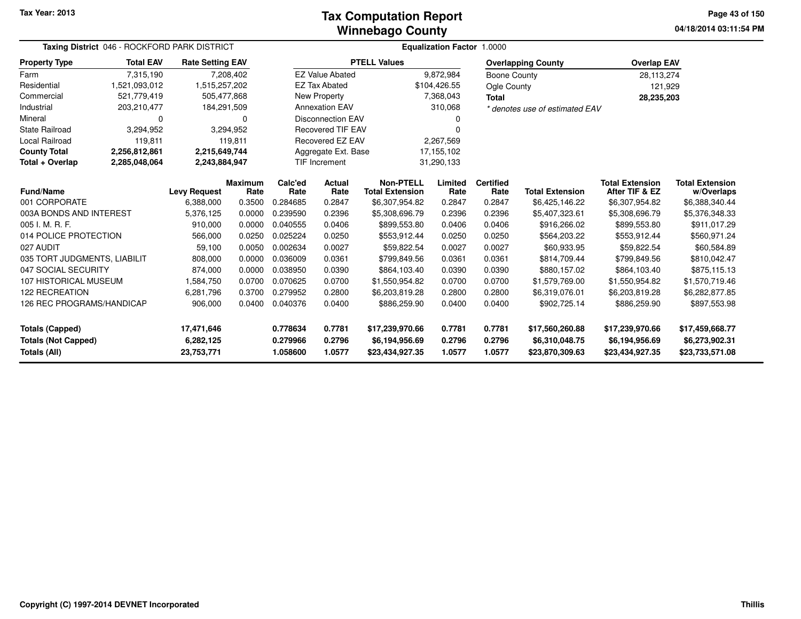#### **Winnebago CountyTax Computation Report**

| Taxing District 046 - ROCKFORD PARK DISTRICT |                  | <b>Equalization Factor 1.0000</b> |                        |                      |                                   |                                            |                                    |                          |                                   |                                          |                                      |
|----------------------------------------------|------------------|-----------------------------------|------------------------|----------------------|-----------------------------------|--------------------------------------------|------------------------------------|--------------------------|-----------------------------------|------------------------------------------|--------------------------------------|
| <b>Property Type</b>                         | <b>Total EAV</b> | <b>Rate Setting EAV</b>           |                        |                      |                                   | <b>PTELL Values</b>                        |                                    |                          | <b>Overlapping County</b>         | <b>Overlap EAV</b>                       |                                      |
| Farm                                         | 7,315,190        |                                   | 7,208,402              |                      | <b>EZ Value Abated</b>            |                                            | 9,872,984                          | Boone County             |                                   | 28,113,274                               |                                      |
| Residential                                  | 1,521,093,012    | 1,515,257,202                     |                        |                      | <b>EZ Tax Abated</b>              |                                            | \$104,426.55                       | <b>Ogle County</b>       |                                   | 121,929                                  |                                      |
| Commercial                                   | 521,779,419      | 505,477,868                       |                        |                      | New Property                      |                                            | 7,368,043                          | <b>Total</b>             |                                   | 28,235,203                               |                                      |
| Industrial                                   | 203,210,477      | 184,291,509                       |                        |                      | <b>Annexation EAV</b>             |                                            | 310,068                            |                          | * denotes use of estimated EAV    |                                          |                                      |
| Mineral                                      | 0                |                                   | 0                      |                      | <b>Disconnection EAV</b>          |                                            | 0                                  |                          |                                   |                                          |                                      |
| <b>State Railroad</b>                        | 3,294,952        |                                   | 3,294,952              |                      | <b>Recovered TIF EAV</b>          |                                            | 0                                  |                          |                                   |                                          |                                      |
| <b>Local Railroad</b>                        | 119,811          |                                   | 119,811                |                      | <b>Recovered EZ EAV</b>           |                                            | 2,267,569                          |                          |                                   |                                          |                                      |
| <b>County Total</b>                          | 2,256,812,861    | 2,215,649,744                     |                        |                      | Aggregate Ext. Base<br>17,155,102 |                                            |                                    |                          |                                   |                                          |                                      |
| Total + Overlap                              | 2,285,048,064    | 2,243,884,947                     |                        |                      | TIF Increment                     |                                            | 31,290,133                         |                          |                                   |                                          |                                      |
| <b>Fund/Name</b>                             |                  | <b>Levy Request</b>               | <b>Maximum</b><br>Rate | Calc'ed<br>Rate      | <b>Actual</b><br>Rate             | <b>Non-PTELL</b><br><b>Total Extension</b> | Limited<br>Rate                    | <b>Certified</b><br>Rate | <b>Total Extension</b>            | <b>Total Extension</b><br>After TIF & EZ | <b>Total Extension</b><br>w/Overlaps |
| 001 CORPORATE                                |                  | 6,388,000                         | 0.3500                 | 0.284685             | 0.2847                            | \$6,307,954.82                             | 0.2847                             | 0.2847                   | \$6,425,146.22                    | \$6,307,954.82                           | \$6,388,340.44                       |
| 003A BONDS AND INTEREST                      |                  | 5,376,125                         | 0.0000                 | 0.239590             | 0.2396                            | \$5,308,696.79                             | 0.2396<br>0.2396<br>\$5,407,323.61 |                          | \$5,308,696.79                    | \$5,376,348.33                           |                                      |
| 005 I. M. R. F.                              |                  | 910,000                           | 0.0000                 | 0.040555             | 0.0406                            | \$899,553.80                               | 0.0406                             | 0.0406                   | \$916,266.02                      | \$899,553.80                             | \$911,017.29                         |
| 014 POLICE PROTECTION                        |                  | 566,000                           | 0.0250                 | 0.025224             | 0.0250                            | \$553,912.44                               | 0.0250                             | 0.0250                   | \$564,203.22                      | \$553,912.44                             | \$560,971.24                         |
| 027 AUDIT                                    |                  | 59,100                            | 0.0050                 | 0.002634             | 0.0027                            | \$59,822.54                                | 0.0027                             | 0.0027                   | \$60,933.95                       | \$59,822.54                              | \$60,584.89                          |
| 035 TORT JUDGMENTS, LIABILIT                 |                  | 808,000                           | 0.0000                 | 0.036009             | 0.0361                            | \$799,849.56                               | 0.0361                             | 0.0361                   | \$814,709.44                      | \$799,849.56                             | \$810,042.47                         |
| 047 SOCIAL SECURITY                          |                  | 874,000                           | 0.0000                 | 0.038950             | 0.0390                            | \$864,103.40                               | 0.0390                             | 0.0390                   | \$880,157.02                      | \$864,103.40                             | \$875,115.13                         |
| 107 HISTORICAL MUSEUM                        |                  | 1,584,750                         | 0.0700                 | 0.070625             | 0.0700                            | \$1,550,954.82                             | 0.0700                             | 0.0700                   | \$1,579,769.00                    | \$1,550,954.82                           | \$1,570,719.46                       |
| <b>122 RECREATION</b>                        |                  | 6,281,796                         | 0.3700                 | 0.279952             | 0.2800                            | \$6,203,819.28                             | 0.2800                             | 0.2800                   | \$6,319,076.01                    | \$6,203,819.28                           | \$6,282,877.85                       |
| 126 REC PROGRAMS/HANDICAP                    |                  | 906,000                           | 0.0400                 | 0.040376             | 0.0400                            | \$886,259.90                               | 0.0400                             | 0.0400                   | \$902,725.14                      | \$886,259.90                             | \$897,553.98                         |
| <b>Totals (Capped)</b>                       |                  | 17,471,646                        |                        | 0.778634             | 0.7781                            | \$17,239,970.66                            | 0.7781                             | 0.7781                   | \$17,560,260.88                   | \$17,239,970.66                          | \$17,459,668.77                      |
| <b>Totals (Not Capped)</b><br>Totals (All)   |                  | 6,282,125<br>23,753,771           |                        | 0.279966<br>1.058600 | 0.2796<br>1.0577                  | \$6,194,956.69<br>\$23,434,927.35          | 0.2796<br>1.0577                   | 0.2796<br>1.0577         | \$6,310,048.75<br>\$23,870,309.63 | \$6,194,956.69<br>\$23,434,927.35        | \$6,273,902.31<br>\$23,733,571.08    |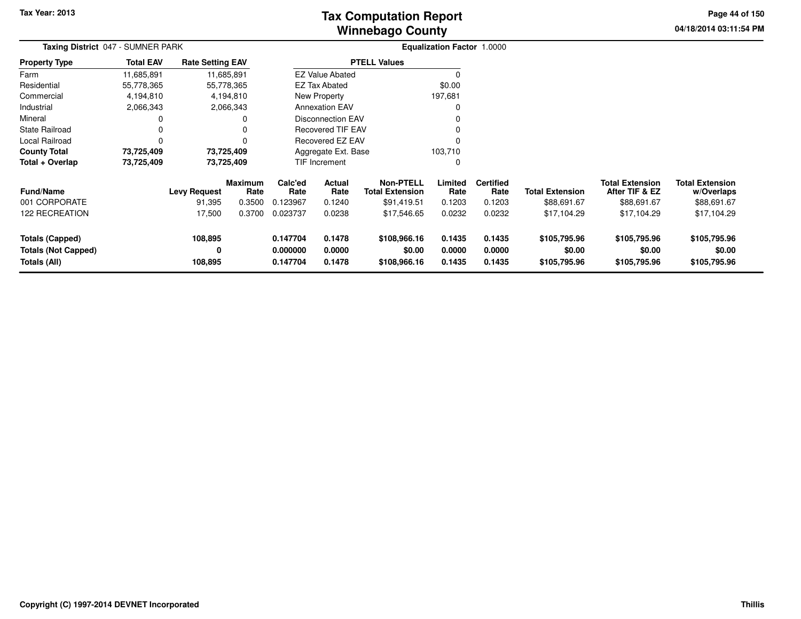# **Winnebago CountyTax Computation Report**

**04/18/2014 03:11:54 PM Page 44 of 150**

| Taxing District 047 - SUMNER PARK                                    |                  |                         |                        |                                  |                            |                                            | <b>Equalization Factor 1.0000</b> |                            |                                        |                                          |                                        |  |
|----------------------------------------------------------------------|------------------|-------------------------|------------------------|----------------------------------|----------------------------|--------------------------------------------|-----------------------------------|----------------------------|----------------------------------------|------------------------------------------|----------------------------------------|--|
| <b>Property Type</b>                                                 | <b>Total EAV</b> | <b>Rate Setting EAV</b> |                        |                                  |                            | <b>PTELL Values</b>                        |                                   |                            |                                        |                                          |                                        |  |
| Farm                                                                 | 11,685,891       |                         | 11,685,891             |                                  | <b>EZ Value Abated</b>     |                                            | 0                                 |                            |                                        |                                          |                                        |  |
| Residential                                                          | 55,778,365       |                         | 55,778,365             |                                  | EZ Tax Abated              |                                            | \$0.00                            |                            |                                        |                                          |                                        |  |
| Commercial                                                           | 4,194,810        |                         | 4,194,810              |                                  | New Property               |                                            | 197,681                           |                            |                                        |                                          |                                        |  |
| Industrial                                                           | 2,066,343        |                         | 2,066,343              |                                  | <b>Annexation EAV</b>      |                                            | 0                                 |                            |                                        |                                          |                                        |  |
| Mineral                                                              |                  |                         | 0                      |                                  | <b>Disconnection EAV</b>   |                                            |                                   |                            |                                        |                                          |                                        |  |
| <b>State Railroad</b>                                                |                  |                         |                        |                                  | Recovered TIF EAV          |                                            | 0                                 |                            |                                        |                                          |                                        |  |
| Local Railroad                                                       |                  |                         | $\Omega$               | Recovered EZ EAV<br>0            |                            |                                            |                                   |                            |                                        |                                          |                                        |  |
| <b>County Total</b>                                                  | 73,725,409       |                         | 73,725,409             | 103,710<br>Aggregate Ext. Base   |                            |                                            |                                   |                            |                                        |                                          |                                        |  |
| Total + Overlap                                                      | 73,725,409       |                         | 73,725,409             |                                  | <b>TIF Increment</b>       |                                            | 0                                 |                            |                                        |                                          |                                        |  |
| <b>Fund/Name</b>                                                     |                  | <b>Levy Request</b>     | <b>Maximum</b><br>Rate | Calc'ed<br>Rate                  | Actual<br>Rate             | <b>Non-PTELL</b><br><b>Total Extension</b> | Limited<br>Rate                   | <b>Certified</b><br>Rate   | <b>Total Extension</b>                 | <b>Total Extension</b><br>After TIF & EZ | <b>Total Extension</b><br>w/Overlaps   |  |
| 001 CORPORATE                                                        |                  | 91,395                  | 0.3500                 | 0.123967                         | 0.1240                     | \$91,419.51                                | 0.1203                            | 0.1203                     | \$88,691.67                            | \$88,691.67                              | \$88,691.67                            |  |
| <b>122 RECREATION</b>                                                |                  | 17,500                  | 0.3700                 | 0.023737                         | 0.0238                     | \$17,546.65                                | 0.0232                            | 0.0232                     | \$17,104.29                            | \$17,104.29                              | \$17,104.29                            |  |
| <b>Totals (Capped)</b><br><b>Totals (Not Capped)</b><br>Totals (All) |                  | 108,895<br>0<br>108,895 |                        | 0.147704<br>0.000000<br>0.147704 | 0.1478<br>0.0000<br>0.1478 | \$108,966.16<br>\$0.00<br>\$108,966.16     | 0.1435<br>0.0000<br>0.1435        | 0.1435<br>0.0000<br>0.1435 | \$105,795.96<br>\$0.00<br>\$105,795.96 | \$105,795.96<br>\$0.00<br>\$105,795.96   | \$105,795.96<br>\$0.00<br>\$105,795.96 |  |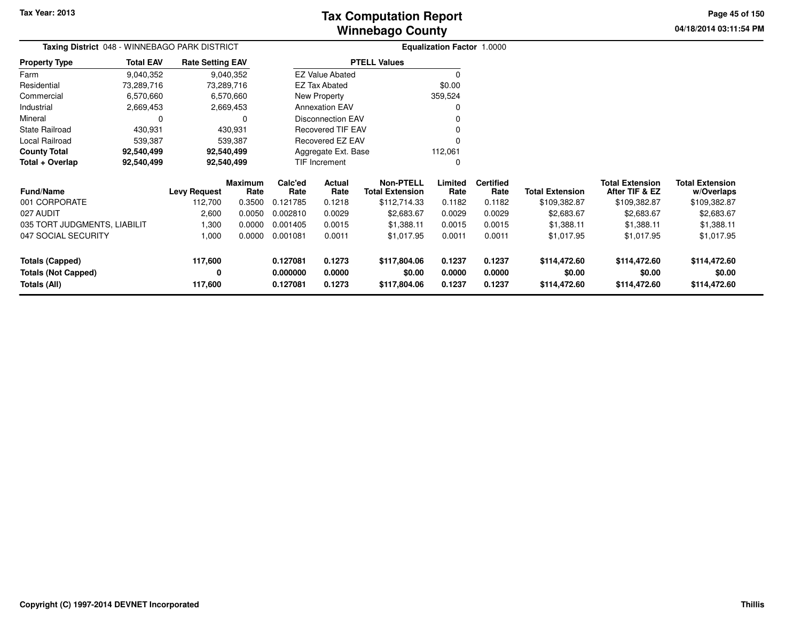**04/18/2014 03:11:54 PMPage 45 of 150**

> **w/Overlaps**\$109,382.87

| Taxing District 048 - WINNEBAGO PARK DISTRICT |                  |                         |                 |                 |                          |                                            | <b>Equalization Factor 1.0000</b> |                          |                        |                                          |                                      |
|-----------------------------------------------|------------------|-------------------------|-----------------|-----------------|--------------------------|--------------------------------------------|-----------------------------------|--------------------------|------------------------|------------------------------------------|--------------------------------------|
| <b>Property Type</b>                          | <b>Total EAV</b> | <b>Rate Setting EAV</b> |                 |                 |                          | <b>PTELL Values</b>                        |                                   |                          |                        |                                          |                                      |
| Farm                                          | 9,040,352        |                         | 9,040,352       |                 | <b>EZ Value Abated</b>   |                                            | $\Omega$                          |                          |                        |                                          |                                      |
| Residential                                   | 73,289,716       | 73,289,716              |                 |                 | <b>EZ Tax Abated</b>     |                                            | \$0.00                            |                          |                        |                                          |                                      |
| Commercial                                    | 6,570,660        |                         | 6,570,660       |                 | New Property             |                                            | 359,524                           |                          |                        |                                          |                                      |
| Industrial                                    | 2,669,453        |                         | 2,669,453       |                 | <b>Annexation EAV</b>    |                                            | 0                                 |                          |                        |                                          |                                      |
| Mineral                                       | 0                |                         | 0               |                 | <b>Disconnection EAV</b> |                                            |                                   |                          |                        |                                          |                                      |
| <b>State Railroad</b>                         | 430,931          |                         | 430,931         |                 | Recovered TIF EAV        |                                            | 0                                 |                          |                        |                                          |                                      |
| Local Railroad                                | 539,387          |                         | 539,387         |                 | Recovered EZ EAV         |                                            | 0                                 |                          |                        |                                          |                                      |
| <b>County Total</b>                           | 92,540,499       | 92,540,499              |                 |                 | Aggregate Ext. Base      |                                            | 112,061                           |                          |                        |                                          |                                      |
| Total + Overlap                               | 92,540,499       | 92,540,499              |                 |                 | TIF Increment            |                                            | $\Omega$                          |                          |                        |                                          |                                      |
| Fund/Name                                     |                  | <b>Levy Request</b>     | Maximum<br>Rate | Calc'ed<br>Rate | Actual<br>Rate           | <b>Non-PTELL</b><br><b>Total Extension</b> | Limited<br>Rate                   | <b>Certified</b><br>Rate | <b>Total Extension</b> | <b>Total Extension</b><br>After TIF & EZ | <b>Total Extension</b><br>w/Overlaps |
| 001 CORPORATE                                 |                  | 112,700                 | 0.3500          | 0.121785        | 0.1218                   | \$112,714.33                               | 0.1182                            | 0.1182                   | \$109,382.87           | \$109,382.87                             | \$109,382.87                         |
| 027 AUDIT                                     |                  | 2,600                   | 0.0050          | 0.002810        | 0.0029                   | \$2,683.67                                 | 0.0029                            | 0.0029                   | \$2,683.67             | \$2,683.67                               | \$2,683.67                           |
| 035 TORT JUDGMENTS, LIABILIT                  |                  | 1,300                   | 0.0000          | 0.001405        | 0.0015                   | \$1,388.11                                 | 0.0015                            | 0.0015                   | \$1,388.11             | \$1,388.11                               | \$1,388.11                           |
| 047 SOCIAL SECURITY                           |                  | 1,000                   | 0.0000          | 0.001081        | 0.0011                   | \$1,017.95                                 | 0.0011                            | 0.0011                   | \$1,017.95             | \$1,017.95                               | \$1,017.95                           |
| Totals (Capped)                               |                  | 117,600                 |                 | 0.127081        | 0.1273                   | \$117,804.06                               | 0.1237                            | 0.1237                   | \$114,472.60           | \$114,472.60                             | \$114,472.60                         |
| <b>Totals (Not Capped)</b>                    |                  | 0                       |                 | 0.000000        | 0.0000                   | \$0.00                                     | 0.0000                            | 0.0000                   | \$0.00                 | \$0.00                                   | \$0.00                               |
| Totals (All)                                  |                  | 117,600                 |                 | 0.127081        | 0.1273                   | \$117,804.06                               | 0.1237                            | 0.1237                   | \$114,472.60           | \$114,472.60                             | \$114,472.60                         |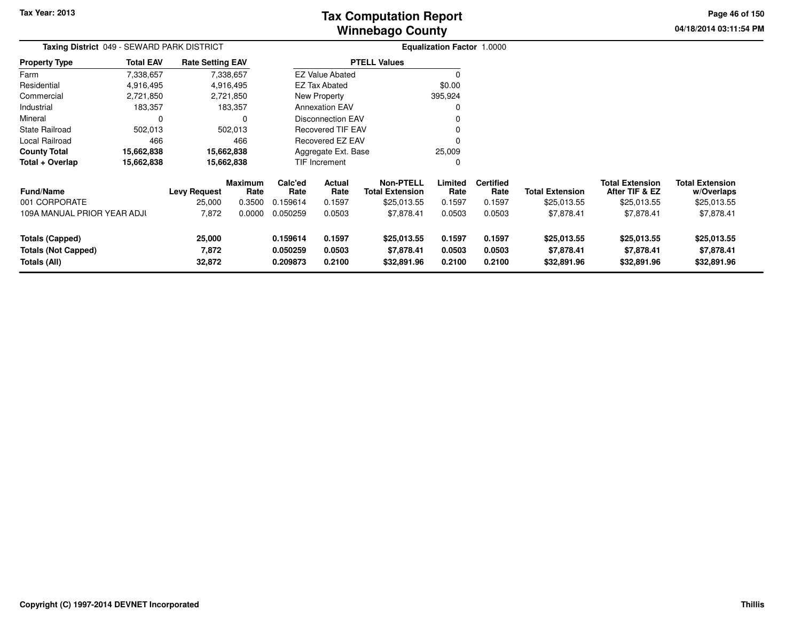**04/18/2014 03:11:54 PM Page 46 of 150**

| Taxing District 049 - SEWARD PARK DISTRICT |                  |                         |                        |                               |                        |                                            | Equalization Factor 1.0000 |                          |                        |                                          |                                      |
|--------------------------------------------|------------------|-------------------------|------------------------|-------------------------------|------------------------|--------------------------------------------|----------------------------|--------------------------|------------------------|------------------------------------------|--------------------------------------|
| <b>Property Type</b>                       | <b>Total EAV</b> | <b>Rate Setting EAV</b> |                        |                               |                        | <b>PTELL Values</b>                        |                            |                          |                        |                                          |                                      |
| Farm                                       | 7,338,657        |                         | 7,338,657              |                               | <b>EZ Value Abated</b> |                                            | 0                          |                          |                        |                                          |                                      |
| Residential                                | 4,916,495        |                         | 4,916,495              |                               | <b>EZ Tax Abated</b>   |                                            | \$0.00                     |                          |                        |                                          |                                      |
| Commercial                                 | 2,721,850        |                         | 2,721,850              |                               | New Property           |                                            | 395,924                    |                          |                        |                                          |                                      |
| Industrial                                 | 183,357          |                         | 183,357                |                               | <b>Annexation EAV</b>  |                                            | $\Omega$                   |                          |                        |                                          |                                      |
| Mineral                                    | $\Omega$         |                         | $\Omega$               | <b>Disconnection EAV</b><br>O |                        |                                            |                            |                          |                        |                                          |                                      |
| <b>State Railroad</b>                      | 502,013          |                         | 502,013                | Recovered TIF EAV<br>0        |                        |                                            |                            |                          |                        |                                          |                                      |
| Local Railroad                             | 466              |                         | 466                    | Recovered EZ EAV<br>$\Omega$  |                        |                                            |                            |                          |                        |                                          |                                      |
| <b>County Total</b>                        | 15,662,838       |                         | 15,662,838             | Aggregate Ext. Base           |                        |                                            | 25,009                     |                          |                        |                                          |                                      |
| Total + Overlap                            | 15,662,838       | 15,662,838              |                        |                               | TIF Increment          |                                            | 0                          |                          |                        |                                          |                                      |
| <b>Fund/Name</b>                           |                  | <b>Levy Request</b>     | <b>Maximum</b><br>Rate | Calc'ed<br>Rate               | Actual<br>Rate         | <b>Non-PTELL</b><br><b>Total Extension</b> | Limited<br>Rate            | <b>Certified</b><br>Rate | <b>Total Extension</b> | <b>Total Extension</b><br>After TIF & EZ | <b>Total Extension</b><br>w/Overlaps |
| 001 CORPORATE                              |                  | 25,000                  | 0.3500                 | 0.159614                      | 0.1597                 | \$25,013.55                                | 0.1597                     | 0.1597                   | \$25,013.55            | \$25,013.55                              | \$25,013.55                          |
| 109A MANUAL PRIOR YEAR ADJI                |                  | 7,872                   | 0.0000                 | 0.050259                      | 0.0503                 | \$7,878.41                                 | 0.0503                     | 0.0503                   | \$7,878.41             | \$7,878.41                               | \$7,878.41                           |
| Totals (Capped)                            |                  | 25,000                  |                        | 0.159614                      | 0.1597                 | \$25,013.55                                | 0.1597                     | 0.1597                   | \$25,013.55            | \$25,013.55                              | \$25,013.55                          |
| <b>Totals (Not Capped)</b>                 |                  | 7,872                   |                        | 0.050259                      | 0.0503                 | \$7,878.41                                 | 0.0503                     | 0.0503                   | \$7,878.41             | \$7,878.41                               | \$7,878.41                           |
| Totals (All)                               | 32,872           |                         | 0.209873               | 0.2100                        | \$32,891.96            | 0.2100                                     | 0.2100                     | \$32,891.96              | \$32,891.96            | \$32,891.96                              |                                      |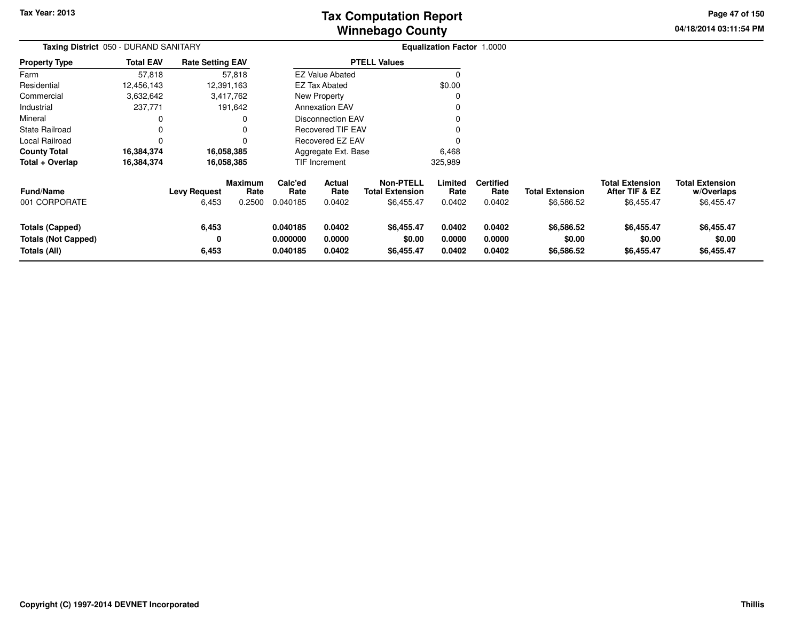# **Winnebago CountyTax Computation Report**

**04/18/2014 03:11:54 PM Page 47 of 150**

| Taxing District 050 - DURAND SANITARY                                |                  |                              |                                  |                                  |                            | Equalization Factor 1.0000                               |                            |                                    |                                      |                                                        |                                                    |
|----------------------------------------------------------------------|------------------|------------------------------|----------------------------------|----------------------------------|----------------------------|----------------------------------------------------------|----------------------------|------------------------------------|--------------------------------------|--------------------------------------------------------|----------------------------------------------------|
| <b>Property Type</b>                                                 | <b>Total EAV</b> | <b>Rate Setting EAV</b>      |                                  |                                  |                            | <b>PTELL Values</b>                                      |                            |                                    |                                      |                                                        |                                                    |
| Farm                                                                 | 57,818           |                              | 57,818                           |                                  | <b>EZ Value Abated</b>     |                                                          |                            |                                    |                                      |                                                        |                                                    |
| Residential                                                          | 12,456,143       |                              | 12,391,163                       |                                  | <b>EZ Tax Abated</b>       |                                                          | \$0.00                     |                                    |                                      |                                                        |                                                    |
| Commercial                                                           | 3,632,642        |                              | 3,417,762                        |                                  | New Property               |                                                          |                            |                                    |                                      |                                                        |                                                    |
| Industrial                                                           | 237,771          |                              | 191,642                          |                                  | <b>Annexation EAV</b>      |                                                          |                            |                                    |                                      |                                                        |                                                    |
| Mineral                                                              | 0                |                              | 0                                |                                  | <b>Disconnection EAV</b>   |                                                          |                            |                                    |                                      |                                                        |                                                    |
| <b>State Railroad</b>                                                | 0                |                              |                                  |                                  | <b>Recovered TIF EAV</b>   |                                                          |                            |                                    |                                      |                                                        |                                                    |
| Local Railroad                                                       | $\Omega$         |                              |                                  |                                  | <b>Recovered EZ EAV</b>    |                                                          |                            |                                    |                                      |                                                        |                                                    |
| <b>County Total</b>                                                  | 16,384,374       |                              | 16,058,385                       |                                  | Aggregate Ext. Base        |                                                          | 6,468                      |                                    |                                      |                                                        |                                                    |
| Total + Overlap                                                      | 16,384,374       |                              | 16,058,385                       |                                  | TIF Increment              |                                                          | 325,989                    |                                    |                                      |                                                        |                                                    |
| Fund/Name<br>001 CORPORATE                                           |                  | <b>Levy Request</b><br>6,453 | <b>Maximum</b><br>Rate<br>0.2500 | Calc'ed<br>Rate<br>0.040185      | Actual<br>Rate<br>0.0402   | <b>Non-PTELL</b><br><b>Total Extension</b><br>\$6,455.47 | Limited<br>Rate<br>0.0402  | <b>Certified</b><br>Rate<br>0.0402 | <b>Total Extension</b><br>\$6,586.52 | <b>Total Extension</b><br>After TIF & EZ<br>\$6,455.47 | <b>Total Extension</b><br>w/Overlaps<br>\$6,455.47 |
| <b>Totals (Capped)</b><br><b>Totals (Not Capped)</b><br>Totals (All) |                  | 6,453<br>0<br>6,453          |                                  | 0.040185<br>0.000000<br>0.040185 | 0.0402<br>0.0000<br>0.0402 | \$6,455.47<br>\$0.00<br>\$6,455.47                       | 0.0402<br>0.0000<br>0.0402 | 0.0402<br>0.0000<br>0.0402         | \$6,586.52<br>\$0.00<br>\$6,586.52   | \$6,455.47<br>\$0.00<br>\$6,455.47                     | \$6,455.47<br>\$0.00<br>\$6,455.47                 |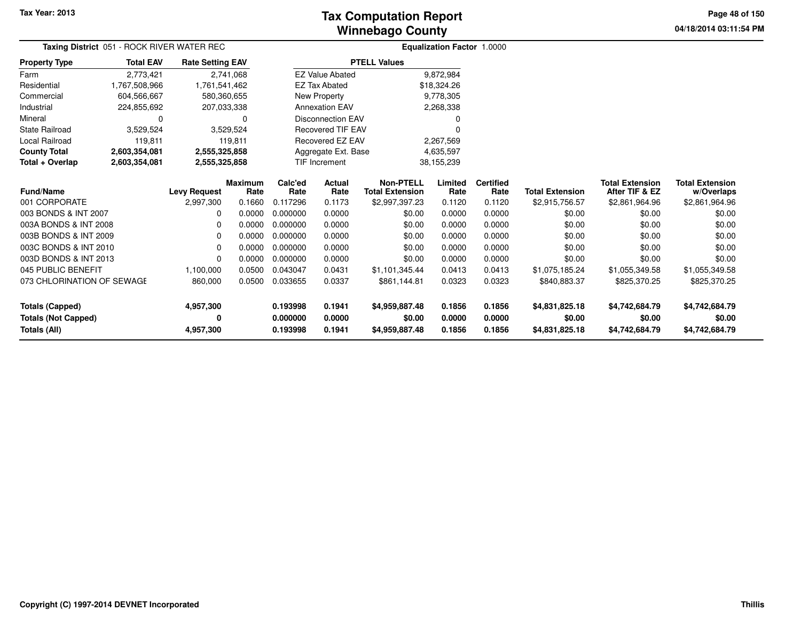### **Winnebago CountyTax Computation Report**

**04/18/2014 03:11:54 PM Page 48 of 150**

|                            |                  | Taxing District 051 - ROCK RIVER WATER REC |                        |                      |                          |                                            | <b>Equalization Factor 1.0000</b> |                          |                        |                                          |                                      |
|----------------------------|------------------|--------------------------------------------|------------------------|----------------------|--------------------------|--------------------------------------------|-----------------------------------|--------------------------|------------------------|------------------------------------------|--------------------------------------|
| <b>Property Type</b>       | <b>Total EAV</b> | <b>Rate Setting EAV</b>                    |                        |                      |                          | <b>PTELL Values</b>                        |                                   |                          |                        |                                          |                                      |
| Farm                       | 2,773,421        |                                            | 2,741,068              |                      | <b>EZ Value Abated</b>   |                                            | 9,872,984                         |                          |                        |                                          |                                      |
| Residential                | 1,767,508,966    | 1,761,541,462                              |                        |                      | <b>EZ Tax Abated</b>     |                                            | \$18,324.26                       |                          |                        |                                          |                                      |
| Commercial                 | 604,566,667      |                                            | 580,360,655            |                      | New Property             |                                            | 9,778,305                         |                          |                        |                                          |                                      |
| Industrial                 | 224,855,692      |                                            | 207,033,338            |                      | <b>Annexation EAV</b>    |                                            | 2,268,338                         |                          |                        |                                          |                                      |
| Mineral                    | $\Omega$         |                                            | 0                      |                      | <b>Disconnection EAV</b> |                                            | 0                                 |                          |                        |                                          |                                      |
| <b>State Railroad</b>      | 3,529,524        |                                            | 3,529,524              |                      | <b>Recovered TIF EAV</b> |                                            | 0                                 |                          |                        |                                          |                                      |
| <b>Local Railroad</b>      | 119,811          |                                            | 119,811                |                      | Recovered EZ EAV         |                                            | 2,267,569                         |                          |                        |                                          |                                      |
| <b>County Total</b>        | 2,603,354,081    | 2,555,325,858                              |                        | Aggregate Ext. Base  |                          |                                            | 4,635,597                         |                          |                        |                                          |                                      |
| Total + Overlap            | 2,603,354,081    | 2,555,325,858                              |                        | <b>TIF Increment</b> |                          |                                            | 38,155,239                        |                          |                        |                                          |                                      |
| <b>Fund/Name</b>           |                  | <b>Levy Request</b>                        | <b>Maximum</b><br>Rate | Calc'ed<br>Rate      | <b>Actual</b><br>Rate    | <b>Non-PTELL</b><br><b>Total Extension</b> | Limited<br>Rate                   | <b>Certified</b><br>Rate | <b>Total Extension</b> | <b>Total Extension</b><br>After TIF & EZ | <b>Total Extension</b><br>w/Overlaps |
| 001 CORPORATE              |                  | 2,997,300                                  | 0.1660                 | 0.117296             | 0.1173                   | \$2,997,397.23                             | 0.1120                            | 0.1120                   | \$2,915,756.57         | \$2,861,964.96                           | \$2,861,964.96                       |
| 003 BONDS & INT 2007       |                  | <sup>0</sup>                               | 0.0000                 | 0.000000             | 0.0000                   | \$0.00                                     | 0.0000                            | 0.0000                   | \$0.00                 | \$0.00                                   | \$0.00                               |
| 003A BONDS & INT 2008      |                  | <sup>0</sup>                               | 0.0000                 | 0.000000             | 0.0000                   | \$0.00                                     | 0.0000                            | 0.0000                   | \$0.00                 | \$0.00                                   | \$0.00                               |
| 003B BONDS & INT 2009      |                  | <sup>0</sup>                               | 0.0000                 | 0.000000             | 0.0000                   | \$0.00                                     | 0.0000                            | 0.0000                   | \$0.00                 | \$0.00                                   | \$0.00                               |
| 003C BONDS & INT 2010      |                  | 0                                          | 0.0000                 | 0.000000             | 0.0000                   | \$0.00                                     | 0.0000                            | 0.0000                   | \$0.00                 | \$0.00                                   | \$0.00                               |
| 003D BONDS & INT 2013      |                  | 0                                          | 0.0000                 | 0.000000             | 0.0000                   | \$0.00                                     | 0.0000                            | 0.0000                   | \$0.00                 | \$0.00                                   | \$0.00                               |
| 045 PUBLIC BENEFIT         |                  | 1,100,000                                  | 0.0500                 | 0.043047             | 0.0431                   | \$1,101,345.44                             | 0.0413                            | 0.0413                   | \$1,075,185.24         | \$1,055,349.58                           | \$1,055,349.58                       |
| 073 CHLORINATION OF SEWAGE |                  | 860,000                                    | 0.0500                 | 0.033655             | 0.0337                   | \$861,144.81                               | 0.0323                            | 0.0323                   | \$840,883.37           | \$825,370.25                             | \$825,370.25                         |
| <b>Totals (Capped)</b>     |                  | 4,957,300                                  |                        | 0.193998             | 0.1941                   | \$4,959,887.48                             | 0.1856                            | 0.1856                   | \$4,831,825.18         | \$4,742,684.79                           | \$4,742,684.79                       |
| <b>Totals (Not Capped)</b> |                  | 0                                          |                        | 0.000000             | 0.0000                   | \$0.00                                     | 0.0000                            | 0.0000                   | \$0.00                 | \$0.00                                   | \$0.00                               |
| Totals (All)               |                  | 4,957,300                                  |                        | 0.193998             | 0.1941                   | \$4,959,887.48                             | 0.1856                            | 0.1856                   | \$4,831,825.18         | \$4,742,684.79                           | \$4,742,684.79                       |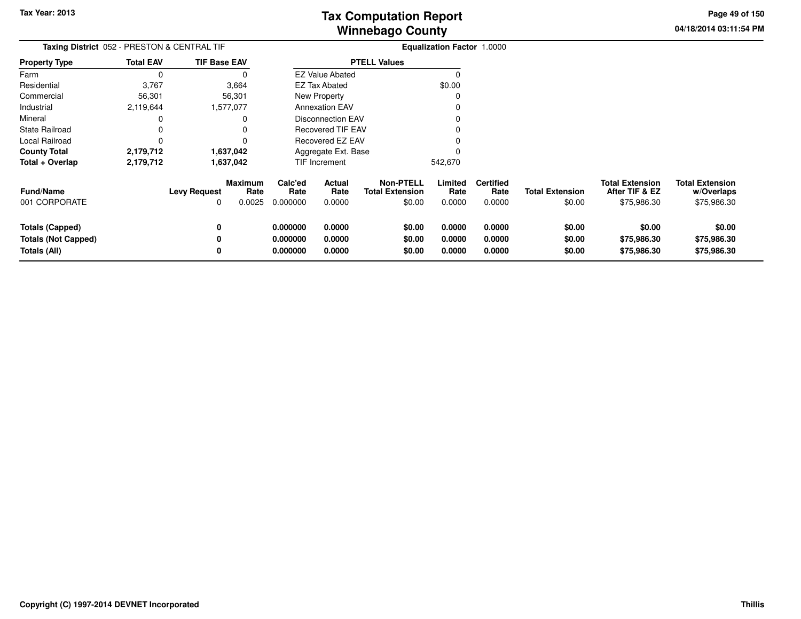**04/18/2014 03:11:54 PMPage 49 of 150**

> **w/Overlaps**\$75,986.30

| <b>Taxing District</b> 052 - PRESTON & CENTRAL TIF |                  |                          |                                  | <b>Equalization Factor 1.0000</b> |                          |                                                      |                           |                                    |                                  |                                                         |                                                     |
|----------------------------------------------------|------------------|--------------------------|----------------------------------|-----------------------------------|--------------------------|------------------------------------------------------|---------------------------|------------------------------------|----------------------------------|---------------------------------------------------------|-----------------------------------------------------|
| Property Type                                      | <b>Total EAV</b> | <b>TIF Base EAV</b>      |                                  | <b>PTELL Values</b>               |                          |                                                      |                           |                                    |                                  |                                                         |                                                     |
| Farm                                               | 0                |                          |                                  |                                   | <b>EZ Value Abated</b>   |                                                      |                           |                                    |                                  |                                                         |                                                     |
| Residential                                        | 3,767            |                          | 3,664                            |                                   | EZ Tax Abated            |                                                      | \$0.00                    |                                    |                                  |                                                         |                                                     |
| Commercial                                         | 56,301           |                          | 56,301                           |                                   | New Property             |                                                      |                           |                                    |                                  |                                                         |                                                     |
| Industrial                                         | 2,119,644        |                          | 1,577,077                        |                                   | <b>Annexation EAV</b>    |                                                      |                           |                                    |                                  |                                                         |                                                     |
| Mineral                                            |                  |                          |                                  |                                   | <b>Disconnection EAV</b> |                                                      |                           |                                    |                                  |                                                         |                                                     |
| State Railroad                                     |                  |                          |                                  |                                   | <b>Recovered TIF EAV</b> |                                                      |                           |                                    |                                  |                                                         |                                                     |
| Local Railroad                                     |                  |                          |                                  |                                   | Recovered EZ EAV         |                                                      |                           |                                    |                                  |                                                         |                                                     |
| County Total                                       | 2,179,712        |                          | 1,637,042                        |                                   | Aggregate Ext. Base      |                                                      |                           |                                    |                                  |                                                         |                                                     |
| Total + Overlap                                    | 2,179,712        |                          | 1,637,042                        |                                   | TIF Increment            |                                                      | 542,670                   |                                    |                                  |                                                         |                                                     |
| Fund/Name<br>001 CORPORATE                         |                  | <b>Levy Request</b><br>0 | <b>Maximum</b><br>Rate<br>0.0025 | Calc'ed<br>Rate<br>0.000000       | Actual<br>Rate<br>0.0000 | <b>Non-PTELL</b><br><b>Total Extension</b><br>\$0.00 | Limited<br>Rate<br>0.0000 | <b>Certified</b><br>Rate<br>0.0000 | <b>Total Extension</b><br>\$0.00 | <b>Total Extension</b><br>After TIF & EZ<br>\$75,986.30 | <b>Total Extension</b><br>w/Overlaps<br>\$75,986.30 |
| <b>Totals (Capped)</b>                             |                  | 0                        |                                  | 0.000000                          | 0.0000                   | \$0.00                                               | 0.0000                    | 0.0000                             | \$0.00                           | \$0.00                                                  | \$0.00                                              |
| <b>Totals (Not Capped)</b>                         |                  | 0                        |                                  | 0.000000                          | 0.0000                   | \$0.00                                               | 0.0000                    | 0.0000                             | \$0.00                           | \$75,986.30                                             | \$75,986.30                                         |
| Totals (All)                                       |                  | 0                        |                                  | 0.000000                          | 0.0000                   | \$0.00                                               | 0.0000                    | 0.0000                             | \$0.00                           | \$75,986.30                                             | \$75,986.30                                         |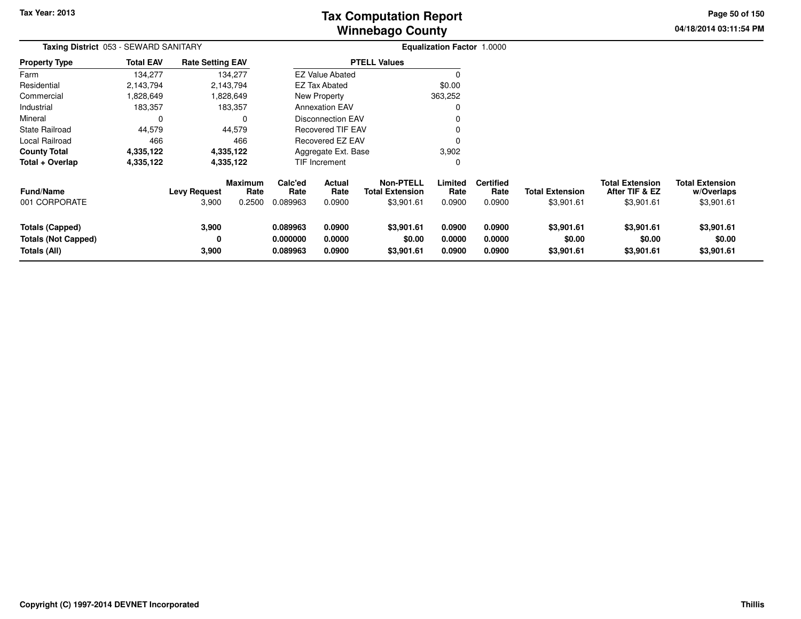**04/18/2014 03:11:54 PM Page 50 of 150**

| Taxing District 053 - SEWARD SANITARY |                  |                              |                                  |                             |                          |                                                          | <b>Equalization Factor 1.0000</b> |                                    |                                      |                                                        |                                                    |
|---------------------------------------|------------------|------------------------------|----------------------------------|-----------------------------|--------------------------|----------------------------------------------------------|-----------------------------------|------------------------------------|--------------------------------------|--------------------------------------------------------|----------------------------------------------------|
| <b>Property Type</b>                  | <b>Total EAV</b> | <b>Rate Setting EAV</b>      |                                  |                             |                          | <b>PTELL Values</b>                                      |                                   |                                    |                                      |                                                        |                                                    |
| Farm                                  | 134,277          |                              | 134,277                          |                             | <b>EZ Value Abated</b>   |                                                          |                                   |                                    |                                      |                                                        |                                                    |
| Residential                           | 2,143,794        |                              | 2,143,794                        |                             | EZ Tax Abated            |                                                          | \$0.00                            |                                    |                                      |                                                        |                                                    |
| Commercial                            | 828,649,         |                              | 1,828,649                        |                             | New Property             |                                                          |                                   |                                    |                                      |                                                        |                                                    |
| Industrial                            | 183,357          |                              | 183,357                          |                             | <b>Annexation EAV</b>    |                                                          |                                   |                                    |                                      |                                                        |                                                    |
| Mineral                               | $\Omega$         |                              | O                                |                             | <b>Disconnection EAV</b> |                                                          |                                   |                                    |                                      |                                                        |                                                    |
| <b>State Railroad</b>                 | 44,579           |                              | 44,579                           | <b>Recovered TIF EAV</b>    |                          |                                                          |                                   |                                    |                                      |                                                        |                                                    |
| Local Railroad                        | 466              |                              | 466                              |                             | Recovered EZ EAV         |                                                          |                                   |                                    |                                      |                                                        |                                                    |
| <b>County Total</b>                   | 4,335,122        |                              | 4,335,122                        |                             | Aggregate Ext. Base      |                                                          | 3,902                             |                                    |                                      |                                                        |                                                    |
| Total + Overlap                       | 4,335,122        | 4,335,122                    |                                  |                             | <b>TIF Increment</b>     |                                                          | 0                                 |                                    |                                      |                                                        |                                                    |
| <b>Fund/Name</b><br>001 CORPORATE     |                  | <b>Levy Request</b><br>3,900 | <b>Maximum</b><br>Rate<br>0.2500 | Calc'ed<br>Rate<br>0.089963 | Actual<br>Rate<br>0.0900 | <b>Non-PTELL</b><br><b>Total Extension</b><br>\$3,901.61 | Limited<br>Rate<br>0.0900         | <b>Certified</b><br>Rate<br>0.0900 | <b>Total Extension</b><br>\$3,901.61 | <b>Total Extension</b><br>After TIF & EZ<br>\$3,901.61 | <b>Total Extension</b><br>w/Overlaps<br>\$3,901.61 |
|                                       |                  |                              |                                  |                             |                          |                                                          |                                   |                                    |                                      |                                                        |                                                    |
| Totals (Capped)                       |                  | 3,900                        |                                  | 0.089963                    | 0.0900                   | \$3,901.61                                               | 0.0900                            | 0.0900                             | \$3,901.61                           | \$3,901.61                                             | \$3,901.61                                         |
| <b>Totals (Not Capped)</b>            |                  | 0                            |                                  | 0.000000                    | 0.0000                   | \$0.00                                                   | 0.0000                            | 0.0000                             | \$0.00                               | \$0.00                                                 | \$0.00                                             |
| Totals (All)                          |                  | 3,900                        |                                  | 0.089963                    | 0.0900                   | \$3,901.61                                               | 0.0900                            | 0.0900                             | \$3,901.61                           | \$3,901.61                                             | \$3,901.61                                         |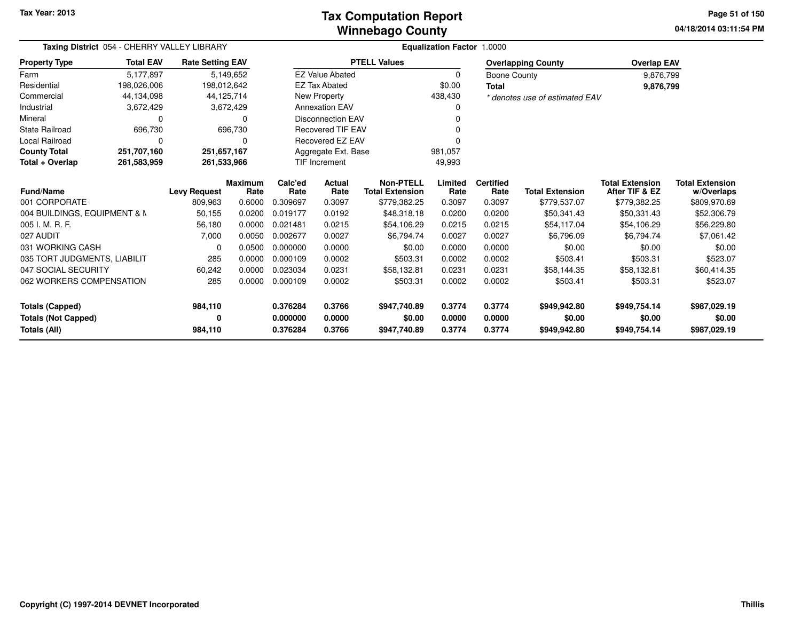### **Winnebago CountyTax Computation Report**

**04/18/2014 03:11:54 PM Page 51 of 150**

| Taxing District 054 - CHERRY VALLEY LIBRARY   |                  |                         |                        | Equalization Factor 1.0000 |                                |                                            |                  |                          |                                |                                          |                                      |
|-----------------------------------------------|------------------|-------------------------|------------------------|----------------------------|--------------------------------|--------------------------------------------|------------------|--------------------------|--------------------------------|------------------------------------------|--------------------------------------|
| <b>Property Type</b>                          | <b>Total EAV</b> | <b>Rate Setting EAV</b> |                        |                            |                                | <b>PTELL Values</b>                        |                  |                          | <b>Overlapping County</b>      | <b>Overlap EAV</b>                       |                                      |
| Farm                                          | 5,177,897        |                         | 5,149,652              |                            | <b>EZ Value Abated</b>         |                                            | $\Omega$         | <b>Boone County</b>      |                                | 9,876,799                                |                                      |
| Residential                                   | 198,026,006      | 198,012,642             |                        |                            | <b>EZ Tax Abated</b>           |                                            | \$0.00           | <b>Total</b>             |                                | 9,876,799                                |                                      |
| Commercial                                    | 44,134,098       |                         | 44,125,714             |                            | New Property                   |                                            | 438,430          |                          | * denotes use of estimated EAV |                                          |                                      |
| Industrial                                    | 3,672,429        |                         | 3,672,429              |                            | <b>Annexation EAV</b>          |                                            |                  |                          |                                |                                          |                                      |
| Mineral                                       | 0                |                         |                        |                            | <b>Disconnection EAV</b>       |                                            |                  |                          |                                |                                          |                                      |
| <b>State Railroad</b>                         | 696,730          |                         | 696,730                |                            | <b>Recovered TIF EAV</b>       |                                            |                  |                          |                                |                                          |                                      |
| Local Railroad                                | 0                |                         | 0                      |                            | Recovered EZ EAV               |                                            |                  |                          |                                |                                          |                                      |
| <b>County Total</b>                           | 251,707,160      | 251,657,167             |                        |                            | Aggregate Ext. Base<br>981,057 |                                            |                  |                          |                                |                                          |                                      |
| Total + Overlap<br>261,583,959<br>261,533,966 |                  |                         |                        |                            | TIF Increment                  |                                            | 49,993           |                          |                                |                                          |                                      |
| <b>Fund/Name</b>                              |                  | <b>Levy Request</b>     | <b>Maximum</b><br>Rate | Calc'ed<br>Rate            | <b>Actual</b><br>Rate          | <b>Non-PTELL</b><br><b>Total Extension</b> | Limited<br>Rate  | <b>Certified</b><br>Rate | <b>Total Extension</b>         | <b>Total Extension</b><br>After TIF & EZ | <b>Total Extension</b><br>w/Overlaps |
| 001 CORPORATE                                 |                  | 809,963                 | 0.6000                 | 0.309697                   | 0.3097                         | \$779,382.25                               | 0.3097           | 0.3097                   | \$779,537.07                   | \$779,382.25                             | \$809,970.69                         |
| 004 BUILDINGS, EQUIPMENT & N                  |                  | 50,155                  | 0.0200                 | 0.019177                   | 0.0192                         | \$48,318.18                                | 0.0200           | 0.0200                   | \$50,341.43                    | \$50,331.43                              | \$52,306.79                          |
| 005 I. M. R. F.                               |                  | 56,180                  | 0.0000                 | 0.021481                   | 0.0215                         | \$54,106.29                                | 0.0215           | 0.0215                   | \$54,117.04                    | \$54,106.29                              | \$56,229.80                          |
| 027 AUDIT                                     |                  | 7,000                   | 0.0050                 | 0.002677                   | 0.0027                         | \$6,794.74                                 | 0.0027           | 0.0027                   | \$6,796.09                     | \$6,794.74                               | \$7,061.42                           |
| 031 WORKING CASH                              |                  | 0                       | 0.0500                 | 0.000000                   | 0.0000                         | \$0.00                                     | 0.0000           | 0.0000                   | \$0.00                         | \$0.00                                   | \$0.00                               |
| 035 TORT JUDGMENTS, LIABILIT                  |                  | 285                     | 0.0000                 | 0.000109                   | 0.0002                         | \$503.31                                   | 0.0002           | 0.0002                   | \$503.41                       | \$503.31                                 | \$523.07                             |
| 047 SOCIAL SECURITY                           |                  | 60,242                  | 0.0000                 | 0.023034                   | 0.0231                         | \$58,132.81                                | 0.0231           | 0.0231                   | \$58,144.35                    | \$58,132.81                              | \$60,414.35                          |
| 062 WORKERS COMPENSATION                      |                  | 285                     | 0.0000                 | 0.000109                   | 0.0002                         | \$503.31                                   | 0.0002           | 0.0002                   | \$503.41                       | \$503.31                                 | \$523.07                             |
| <b>Totals (Capped)</b>                        |                  | 984,110                 |                        | 0.376284                   | 0.3766                         | \$947,740.89                               | 0.3774           | 0.3774                   | \$949,942.80                   | \$949,754.14                             | \$987,029.19                         |
| <b>Totals (Not Capped)</b><br>Totals (All)    |                  | 0<br>984,110            |                        | 0.000000<br>0.376284       | 0.0000<br>0.3766               | \$0.00<br>\$947,740.89                     | 0.0000<br>0.3774 | 0.0000<br>0.3774         | \$0.00<br>\$949,942.80         | \$0.00<br>\$949,754.14                   | \$0.00<br>\$987,029.19               |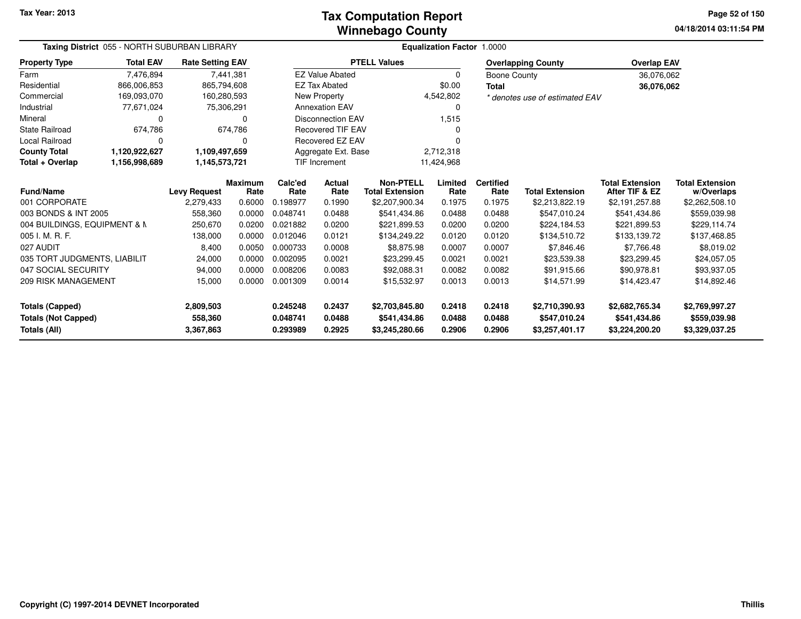### **Winnebago CountyTax Computation Report**

**04/18/2014 03:11:54 PM Page 52 of 150**

| Taxing District 055 - NORTH SUBURBAN LIBRARY |                                |                         |                        | Equalization Factor 1.0000 |                            |                                            |                  |                          |                                |                                          |                                      |
|----------------------------------------------|--------------------------------|-------------------------|------------------------|----------------------------|----------------------------|--------------------------------------------|------------------|--------------------------|--------------------------------|------------------------------------------|--------------------------------------|
| <b>Property Type</b>                         | <b>Total EAV</b>               | <b>Rate Setting EAV</b> |                        |                            |                            | <b>PTELL Values</b>                        |                  |                          | <b>Overlapping County</b>      | <b>Overlap EAV</b>                       |                                      |
| Farm                                         | 7,476,894                      |                         | 7,441,381              |                            | <b>EZ Value Abated</b>     |                                            | 0                | <b>Boone County</b>      |                                | 36,076,062                               |                                      |
| Residential                                  | 866,006,853                    | 865,794,608             |                        |                            | <b>EZ Tax Abated</b>       |                                            | \$0.00           | <b>Total</b>             |                                | 36,076,062                               |                                      |
| Commercial                                   | 169,093,070                    | 160,280,593             |                        |                            | New Property               |                                            | 4,542,802        |                          | * denotes use of estimated EAV |                                          |                                      |
| Industrial                                   | 77,671,024                     |                         | 75,306,291             |                            | <b>Annexation EAV</b><br>0 |                                            |                  |                          |                                |                                          |                                      |
| Mineral                                      | 0                              |                         |                        |                            | <b>Disconnection EAV</b>   |                                            | 1,515            |                          |                                |                                          |                                      |
| <b>State Railroad</b>                        | 674,786                        |                         | 674,786                |                            | <b>Recovered TIF EAV</b>   |                                            | 0                |                          |                                |                                          |                                      |
| <b>Local Railroad</b>                        | 0                              |                         |                        |                            | Recovered EZ EAV           |                                            |                  |                          |                                |                                          |                                      |
| <b>County Total</b>                          | 1,120,922,627                  | 1,109,497,659           |                        |                            | Aggregate Ext. Base        |                                            | 2,712,318        |                          |                                |                                          |                                      |
| Total + Overlap                              | 1,156,998,689<br>1,145,573,721 |                         |                        |                            | <b>TIF Increment</b>       |                                            | 11,424,968       |                          |                                |                                          |                                      |
| <b>Fund/Name</b>                             |                                | <b>Levy Request</b>     | <b>Maximum</b><br>Rate | Calc'ed<br>Rate            | Actual<br>Rate             | <b>Non-PTELL</b><br><b>Total Extension</b> | Limited<br>Rate  | <b>Certified</b><br>Rate | <b>Total Extension</b>         | <b>Total Extension</b><br>After TIF & EZ | <b>Total Extension</b><br>w/Overlaps |
| 001 CORPORATE                                |                                | 2,279,433               | 0.6000                 | 0.198977                   | 0.1990                     | \$2,207,900.34                             | 0.1975           | 0.1975                   | \$2,213,822.19                 | \$2,191,257.88                           | \$2,262,508.10                       |
| 003 BONDS & INT 2005                         |                                | 558,360                 | 0.0000                 | 0.048741                   | 0.0488                     | \$541,434.86                               | 0.0488           | 0.0488                   | \$547,010.24                   | \$541,434.86                             | \$559,039.98                         |
| 004 BUILDINGS, EQUIPMENT & N                 |                                | 250,670                 | 0.0200                 | 0.021882                   | 0.0200                     | \$221,899.53                               | 0.0200           | 0.0200                   | \$224,184.53                   | \$221,899.53                             | \$229,114.74                         |
| 005 I. M. R. F.                              |                                | 138,000                 | 0.0000                 | 0.012046                   | 0.0121                     | \$134,249.22                               | 0.0120           | 0.0120                   | \$134,510.72                   | \$133,139.72                             | \$137,468.85                         |
| 027 AUDIT                                    |                                | 8,400                   | 0.0050                 | 0.000733                   | 0.0008                     | \$8,875.98                                 | 0.0007           | 0.0007                   | \$7,846.46                     | \$7,766.48                               | \$8,019.02                           |
| 035 TORT JUDGMENTS, LIABILIT                 |                                | 24,000                  | 0.0000                 | 0.002095                   | 0.0021                     | \$23,299.45                                | 0.0021           | 0.0021                   | \$23,539.38                    | \$23,299.45                              | \$24,057.05                          |
| 047 SOCIAL SECURITY                          |                                | 94,000                  | 0.0000                 | 0.008206                   | 0.0083                     | \$92,088.31                                | 0.0082           | 0.0082                   | \$91,915.66                    | \$90,978.81                              | \$93,937.05                          |
| 209 RISK MANAGEMENT                          |                                | 15,000                  | 0.0000                 | 0.001309                   | 0.0014                     | \$15,532.97                                | 0.0013           | 0.0013                   | \$14,571.99                    | \$14,423.47                              | \$14,892.46                          |
| <b>Totals (Capped)</b>                       |                                | 2,809,503               |                        | 0.245248                   | 0.2437                     | \$2,703,845.80                             | 0.2418           | 0.2418                   | \$2,710,390.93                 | \$2,682,765.34                           | \$2,769,997.27                       |
| <b>Totals (Not Capped)</b><br>Totals (All)   |                                | 558,360<br>3,367,863    |                        | 0.048741<br>0.293989       | 0.0488<br>0.2925           | \$541,434.86<br>\$3,245,280.66             | 0.0488<br>0.2906 | 0.0488<br>0.2906         | \$547,010.24<br>\$3,257,401.17 | \$541,434.86<br>\$3,224,200.20           | \$559,039.98<br>\$3,329,037.25       |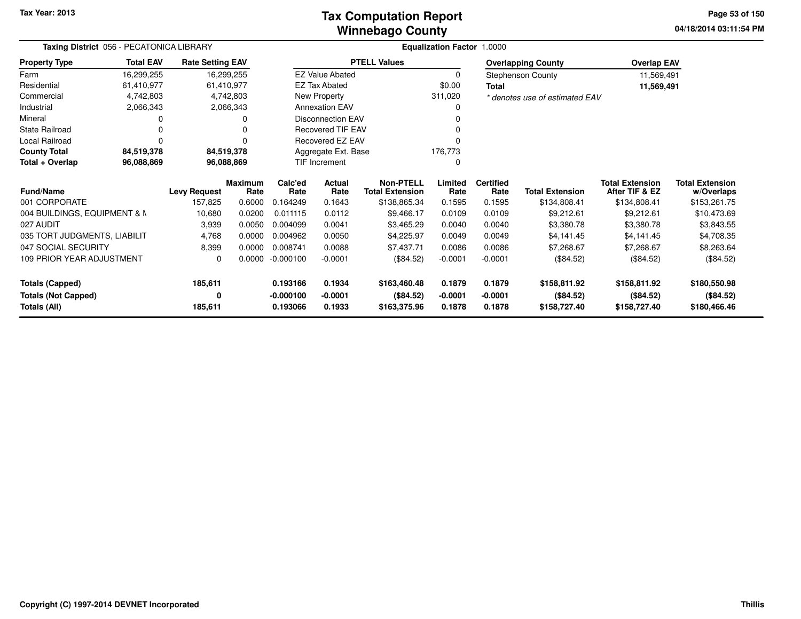### **Winnebago CountyTax Computation Report**

**04/18/2014 03:11:54 PM Page 53 of 150**

| Taxing District 056 - PECATONICA LIBRARY    |                  |                         |                        |                      | Equalization Factor 1.0000 |                                            |                 |                          |                                |                                          |                                      |
|---------------------------------------------|------------------|-------------------------|------------------------|----------------------|----------------------------|--------------------------------------------|-----------------|--------------------------|--------------------------------|------------------------------------------|--------------------------------------|
| <b>Property Type</b>                        | <b>Total EAV</b> | <b>Rate Setting EAV</b> |                        |                      |                            | <b>PTELL Values</b>                        |                 |                          | <b>Overlapping County</b>      | <b>Overlap EAV</b>                       |                                      |
| Farm                                        | 16,299,255       |                         | 16,299,255             |                      | <b>EZ Value Abated</b>     |                                            | $\mathbf 0$     |                          | <b>Stephenson County</b>       | 11,569,491                               |                                      |
| Residential                                 | 61,410,977       |                         | 61,410,977             |                      | <b>EZ Tax Abated</b>       |                                            | \$0.00          | Total                    |                                | 11,569,491                               |                                      |
| Commercial                                  | 4,742,803        |                         | 4,742,803              |                      | New Property               |                                            | 311,020         |                          | * denotes use of estimated EAV |                                          |                                      |
| Industrial                                  | 2,066,343        |                         | 2,066,343              |                      | <b>Annexation EAV</b>      |                                            | 0               |                          |                                |                                          |                                      |
| Mineral                                     |                  |                         |                        |                      | <b>Disconnection EAV</b>   |                                            |                 |                          |                                |                                          |                                      |
| <b>State Railroad</b>                       |                  |                         |                        |                      | Recovered TIF EAV          |                                            |                 |                          |                                |                                          |                                      |
| Local Railroad                              |                  |                         |                        |                      | Recovered EZ EAV           |                                            |                 |                          |                                |                                          |                                      |
| <b>County Total</b>                         | 84,519,378       |                         | 84,519,378             |                      | Aggregate Ext. Base        |                                            | 176,773         |                          |                                |                                          |                                      |
| Total + Overlap<br>96,088,869<br>96,088,869 |                  |                         |                        | <b>TIF Increment</b> |                            | 0                                          |                 |                          |                                |                                          |                                      |
| <b>Fund/Name</b>                            |                  | <b>Levy Request</b>     | <b>Maximum</b><br>Rate | Calc'ed<br>Rate      | Actual<br>Rate             | <b>Non-PTELL</b><br><b>Total Extension</b> | Limited<br>Rate | <b>Certified</b><br>Rate | <b>Total Extension</b>         | <b>Total Extension</b><br>After TIF & EZ | <b>Total Extension</b><br>w/Overlaps |
| 001 CORPORATE                               |                  | 157,825                 | 0.6000                 | 0.164249             | 0.1643                     | \$138,865.34                               | 0.1595          | 0.1595                   | \$134,808.41                   | \$134,808.41                             | \$153,261.75                         |
| 004 BUILDINGS, EQUIPMENT & N                |                  | 10,680                  | 0.0200                 | 0.011115             | 0.0112                     | \$9,466.17                                 | 0.0109          | 0.0109                   | \$9,212.61                     | \$9,212.61                               | \$10,473.69                          |
| 027 AUDIT                                   |                  | 3,939                   | 0.0050                 | 0.004099             | 0.0041                     | \$3,465.29                                 | 0.0040          | 0.0040                   | \$3,380.78                     | \$3,380.78                               | \$3,843.55                           |
| 035 TORT JUDGMENTS, LIABILIT                |                  | 4,768                   | 0.0000                 | 0.004962             | 0.0050                     | \$4,225.97                                 | 0.0049          | 0.0049                   | \$4,141.45                     | \$4,141.45                               | \$4,708.35                           |
| 047 SOCIAL SECURITY                         |                  | 8,399                   | 0.0000                 | 0.008741             | 0.0088                     | \$7,437.71                                 | 0.0086          | 0.0086                   | \$7,268.67                     | \$7,268.67                               | \$8,263.64                           |
| 109 PRIOR YEAR ADJUSTMENT                   |                  | $\Omega$                | 0.0000                 | $-0.000100$          | $-0.0001$                  | (\$84.52)                                  | $-0.0001$       | $-0.0001$                | (\$84.52)                      | (\$84.52)                                | (\$84.52)                            |
| <b>Totals (Capped)</b>                      |                  | 185,611                 |                        | 0.193166             | 0.1934                     | \$163,460.48                               | 0.1879          | 0.1879                   | \$158,811.92                   | \$158,811.92                             | \$180,550.98                         |
| <b>Totals (Not Capped)</b>                  |                  | 0                       |                        | $-0.000100$          | -0.0001                    | (\$84.52)                                  | $-0.0001$       | $-0.0001$                | (\$84.52)                      | (\$84.52)                                | (\$84.52)                            |
| Totals (All)                                |                  | 185,611                 |                        | 0.193066             | 0.1933                     | \$163,375.96                               | 0.1878          | 0.1878                   | \$158,727.40                   | \$158,727.40                             | \$180,466.46                         |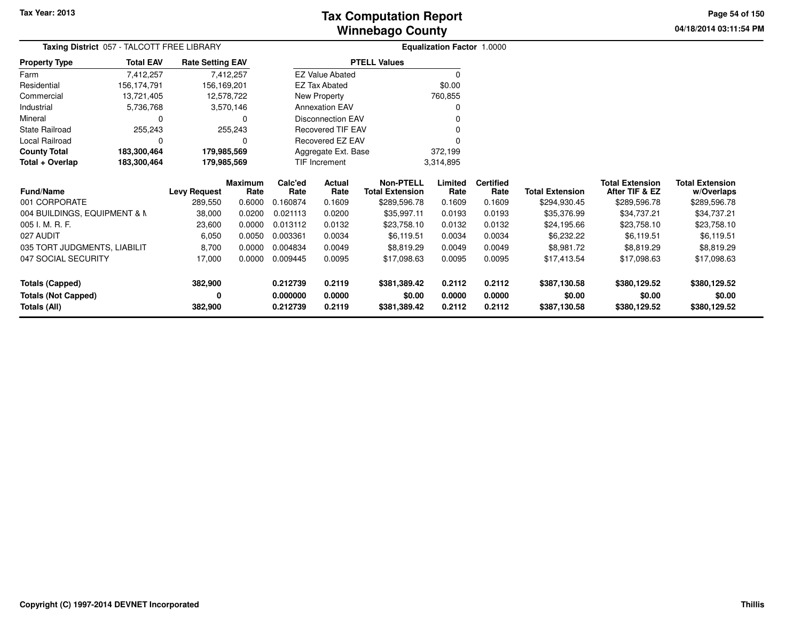**04/18/2014 03:11:54 PM Page 54 of 150**

| Taxing District 057 - TALCOTT FREE LIBRARY |                  |                         |                 | Equalization Factor 1.0000 |                            |                                            |                 |                          |                        |                                          |                                      |
|--------------------------------------------|------------------|-------------------------|-----------------|----------------------------|----------------------------|--------------------------------------------|-----------------|--------------------------|------------------------|------------------------------------------|--------------------------------------|
| <b>Property Type</b>                       | <b>Total EAV</b> | <b>Rate Setting EAV</b> |                 |                            |                            | <b>PTELL Values</b>                        |                 |                          |                        |                                          |                                      |
| Farm                                       | 7,412,257        |                         | 7,412,257       |                            | <b>EZ Value Abated</b>     |                                            | 0               |                          |                        |                                          |                                      |
| Residential                                | 156,174,791      | 156,169,201             |                 |                            | <b>EZ Tax Abated</b>       |                                            | \$0.00          |                          |                        |                                          |                                      |
| Commercial                                 | 13,721,405       |                         | 12,578,722      |                            | New Property               |                                            | 760,855         |                          |                        |                                          |                                      |
| Industrial                                 | 5,736,768        |                         | 3,570,146       |                            | <b>Annexation EAV</b>      |                                            |                 |                          |                        |                                          |                                      |
| Mineral                                    | 0                |                         | 0               |                            | <b>Disconnection EAV</b>   |                                            |                 |                          |                        |                                          |                                      |
| <b>State Railroad</b>                      | 255,243          |                         | 255,243         |                            | <b>Recovered TIF EAV</b>   |                                            |                 |                          |                        |                                          |                                      |
| Local Railroad                             | $\Omega$         |                         | 0               |                            | <b>Recovered EZ EAV</b>    |                                            |                 |                          |                        |                                          |                                      |
| <b>County Total</b>                        | 183,300,464      | 179,985,569             |                 |                            | Aggregate Ext. Base        |                                            | 372,199         |                          |                        |                                          |                                      |
| Total + Overlap                            | 183,300,464      | 179,985,569             |                 |                            | TIF Increment<br>3,314,895 |                                            |                 |                          |                        |                                          |                                      |
| Fund/Name                                  |                  | <b>Levy Request</b>     | Maximum<br>Rate | Calc'ed<br>Rate            | Actual<br>Rate             | <b>Non-PTELL</b><br><b>Total Extension</b> | Limited<br>Rate | <b>Certified</b><br>Rate | <b>Total Extension</b> | <b>Total Extension</b><br>After TIF & EZ | <b>Total Extension</b><br>w/Overlaps |
| 001 CORPORATE                              |                  | 289,550                 | 0.6000          | 0.160874                   | 0.1609                     | \$289,596.78                               | 0.1609          | 0.1609                   | \$294,930.45           | \$289,596.78                             | \$289,596.78                         |
| 004 BUILDINGS, EQUIPMENT & N               |                  | 38,000                  | 0.0200          | 0.021113                   | 0.0200                     | \$35,997.11                                | 0.0193          | 0.0193                   | \$35,376.99            | \$34,737.21                              | \$34,737.21                          |
| 005 I. M. R. F.                            |                  | 23,600                  | 0.0000          | 0.013112                   | 0.0132                     | \$23,758.10                                | 0.0132          | 0.0132                   | \$24,195.66            | \$23,758.10                              | \$23,758.10                          |
| 027 AUDIT                                  |                  | 6,050                   | 0.0050          | 0.003361                   | 0.0034                     | \$6,119.51                                 | 0.0034          | 0.0034                   | \$6,232.22             | \$6,119.51                               | \$6,119.51                           |
| 035 TORT JUDGMENTS, LIABILIT               |                  | 8,700                   | 0.0000          | 0.004834                   | 0.0049                     | \$8,819.29                                 | 0.0049          | 0.0049                   | \$8,981.72             | \$8,819.29                               | \$8,819.29                           |
| 047 SOCIAL SECURITY                        |                  | 17,000                  | 0.0000          | 0.009445                   | 0.0095                     | \$17,098.63                                | 0.0095          | 0.0095                   | \$17,413.54            | \$17,098.63                              | \$17,098.63                          |
| <b>Totals (Capped)</b>                     |                  | 382,900                 |                 | 0.212739                   | 0.2119                     | \$381,389.42                               | 0.2112          | 0.2112                   | \$387,130.58           | \$380,129.52                             | \$380,129.52                         |
| <b>Totals (Not Capped)</b>                 |                  |                         |                 | 0.000000                   | 0.0000                     | \$0.00                                     | 0.0000          | 0.0000                   | \$0.00                 | \$0.00                                   | \$0.00                               |
| Totals (All)                               |                  | 382,900                 |                 | 0.212739                   | 0.2119                     | \$381,389.42                               | 0.2112          | 0.2112                   | \$387,130.58           | \$380,129.52                             | \$380,129.52                         |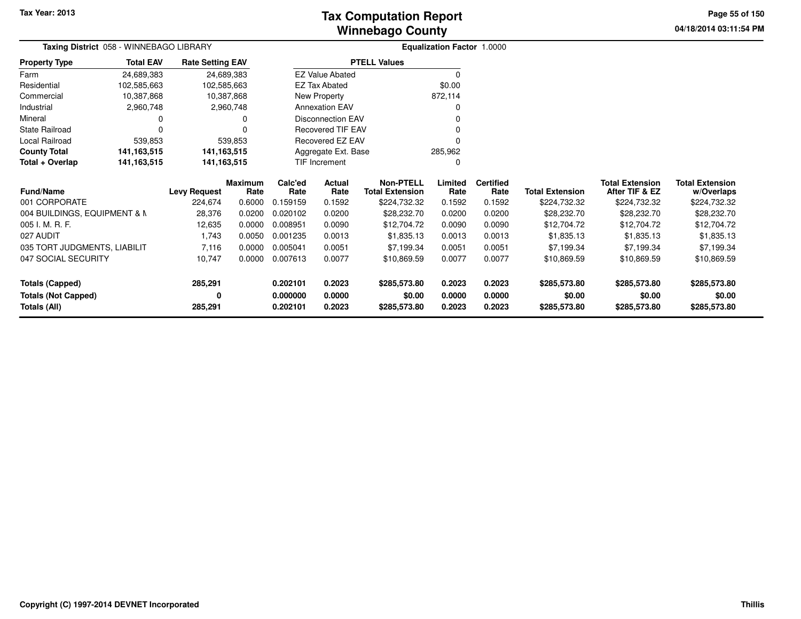# **Winnebago CountyTax Computation Report**

**04/18/2014 03:11:54 PM Page 55 of 150**

| Taxing District 058 - WINNEBAGO LIBRARY |                  |                         |                        |                 |                          |                                     | <b>Equalization Factor 1.0000</b> |                          |                        |                                          |                                      |
|-----------------------------------------|------------------|-------------------------|------------------------|-----------------|--------------------------|-------------------------------------|-----------------------------------|--------------------------|------------------------|------------------------------------------|--------------------------------------|
| <b>Property Type</b>                    | <b>Total EAV</b> | <b>Rate Setting EAV</b> |                        |                 |                          | <b>PTELL Values</b>                 |                                   |                          |                        |                                          |                                      |
| Farm                                    | 24,689,383       |                         | 24,689,383             |                 | <b>EZ Value Abated</b>   |                                     | $\Omega$                          |                          |                        |                                          |                                      |
| Residential                             | 102,585,663      | 102,585,663             |                        |                 | <b>EZ Tax Abated</b>     |                                     | \$0.00                            |                          |                        |                                          |                                      |
| Commercial                              | 10,387,868       |                         | 10,387,868             |                 | New Property             |                                     | 872,114                           |                          |                        |                                          |                                      |
| Industrial                              | 2,960,748        |                         | 2,960,748              |                 | <b>Annexation EAV</b>    |                                     | 0                                 |                          |                        |                                          |                                      |
| Mineral                                 |                  |                         |                        |                 | Disconnection EAV        |                                     |                                   |                          |                        |                                          |                                      |
| State Railroad                          |                  |                         |                        |                 | <b>Recovered TIF EAV</b> |                                     |                                   |                          |                        |                                          |                                      |
| Local Railroad                          | 539,853          |                         | 539,853                |                 | Recovered EZ EAV         |                                     |                                   |                          |                        |                                          |                                      |
| <b>County Total</b>                     | 141, 163, 515    | 141, 163, 515           |                        |                 | Aggregate Ext. Base      |                                     | 285,962                           |                          |                        |                                          |                                      |
| Total + Overlap                         | 141, 163, 515    | 141, 163, 515           |                        |                 | <b>TIF Increment</b>     |                                     | 0                                 |                          |                        |                                          |                                      |
| <b>Fund/Name</b>                        |                  | <b>Levy Request</b>     | <b>Maximum</b><br>Rate | Calc'ed<br>Rate | <b>Actual</b><br>Rate    | Non-PTELL<br><b>Total Extension</b> | Limited<br>Rate                   | <b>Certified</b><br>Rate | <b>Total Extension</b> | <b>Total Extension</b><br>After TIF & EZ | <b>Total Extension</b><br>w/Overlaps |
| 001 CORPORATE                           |                  | 224,674                 | 0.6000                 | 0.159159        | 0.1592                   | \$224,732.32                        | 0.1592                            | 0.1592                   | \$224,732.32           | \$224,732.32                             | \$224,732.32                         |
| 004 BUILDINGS, EQUIPMENT & N            |                  | 28,376                  | 0.0200                 | 0.020102        | 0.0200                   | \$28,232.70                         | 0.0200                            | 0.0200                   | \$28,232.70            | \$28,232.70                              | \$28,232.70                          |
| 005 I. M. R. F.                         |                  | 12,635                  | 0.0000                 | 0.008951        | 0.0090                   | \$12,704.72                         | 0.0090                            | 0.0090                   | \$12,704.72            | \$12,704.72                              | \$12,704.72                          |
| 027 AUDIT                               |                  | 1,743                   | 0.0050                 | 0.001235        | 0.0013                   | \$1,835.13                          | 0.0013                            | 0.0013                   | \$1,835.13             | \$1,835.13                               | \$1,835.13                           |
| 035 TORT JUDGMENTS, LIABILIT            |                  | 7,116                   | 0.0000                 | 0.005041        | 0.0051                   | \$7,199.34                          | 0.0051                            | 0.0051                   | \$7,199.34             | \$7,199.34                               | \$7,199.34                           |
| 047 SOCIAL SECURITY                     |                  | 10,747                  | 0.0000                 | 0.007613        | 0.0077                   | \$10,869.59                         | 0.0077                            | 0.0077                   | \$10,869.59            | \$10,869.59                              | \$10,869.59                          |
| <b>Totals (Capped)</b>                  |                  | 285,291                 |                        | 0.202101        | 0.2023                   | \$285,573.80                        | 0.2023                            | 0.2023                   | \$285,573.80           | \$285,573.80                             | \$285,573.80                         |
| <b>Totals (Not Capped)</b>              |                  | 0                       |                        | 0.000000        | 0.0000                   | \$0.00                              | 0.0000                            | 0.0000                   | \$0.00                 | \$0.00                                   | \$0.00                               |
| Totals (All)                            |                  | 285,291                 |                        | 0.202101        | 0.2023                   | \$285,573.80                        | 0.2023                            | 0.2023                   | \$285,573.80           | \$285,573.80                             | \$285,573.80                         |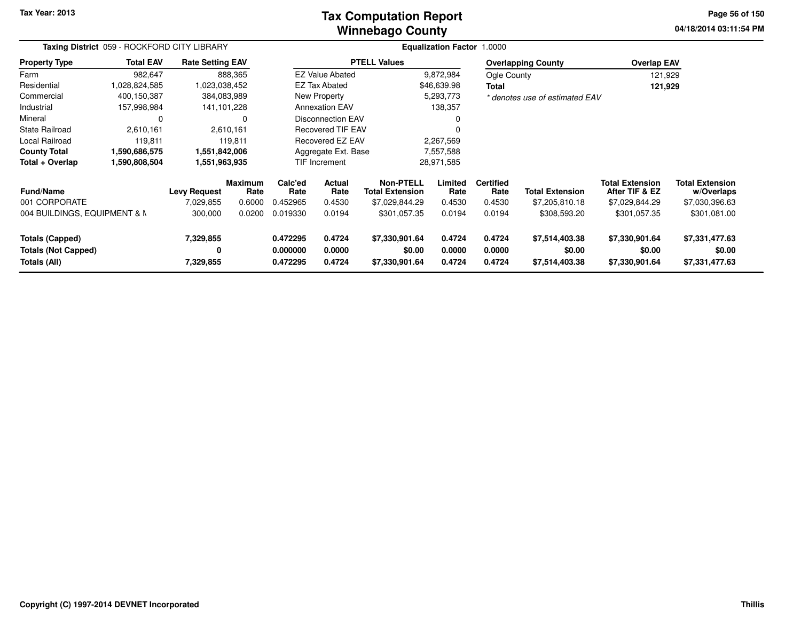### **Winnebago CountyTax Computation Report**

**04/18/2014 03:11:54 PM Page 56 of 150**

| Taxing District 059 - ROCKFORD CITY LIBRARY |                  |                         |                 | <b>Equalization Factor</b><br>1.0000 |                             |                                            |                 |                          |                                |                                          |                                      |  |
|---------------------------------------------|------------------|-------------------------|-----------------|--------------------------------------|-----------------------------|--------------------------------------------|-----------------|--------------------------|--------------------------------|------------------------------------------|--------------------------------------|--|
| <b>Property Type</b>                        | <b>Total EAV</b> | <b>Rate Setting EAV</b> |                 |                                      |                             | <b>PTELL Values</b>                        |                 |                          | <b>Overlapping County</b>      | <b>Overlap EAV</b>                       |                                      |  |
| Farm                                        | 982,647          |                         | 888,365         |                                      | <b>EZ Value Abated</b>      |                                            | 9,872,984       | Ogle County              |                                | 121,929                                  |                                      |  |
| Residential                                 | 1,028,824,585    | 1,023,038,452           |                 |                                      | EZ Tax Abated               |                                            | \$46,639.98     | Total                    |                                | 121,929                                  |                                      |  |
| Commercial                                  | 400,150,387      | 384,083,989             |                 |                                      | New Property                |                                            | 5,293,773       |                          | * denotes use of estimated EAV |                                          |                                      |  |
| Industrial                                  | 157,998,984      | 141, 101, 228           |                 |                                      | <b>Annexation EAV</b>       |                                            | 138,357         |                          |                                |                                          |                                      |  |
| Mineral                                     | $\Omega$         |                         | $\Omega$        |                                      | Disconnection EAV           |                                            |                 |                          |                                |                                          |                                      |  |
| State Railroad                              | 2,610,161        | 2,610,161               |                 |                                      | <b>Recovered TIF EAV</b>    |                                            |                 |                          |                                |                                          |                                      |  |
| Local Railroad                              | 119,811          |                         | 119,811         |                                      | Recovered EZ EAV            |                                            | 2,267,569       |                          |                                |                                          |                                      |  |
| <b>County Total</b>                         | 1,590,686,575    | 1,551,842,006           |                 |                                      | Aggregate Ext. Base         |                                            | 7,557,588       |                          |                                |                                          |                                      |  |
| Total + Overlap                             | 1,590,808,504    | 1,551,963,935           |                 |                                      | TIF Increment<br>28,971,585 |                                            |                 |                          |                                |                                          |                                      |  |
| <b>Fund/Name</b>                            |                  | <b>Levy Request</b>     | Maximum<br>Rate | Calc'ed<br>Rate                      | Actual<br>Rate              | <b>Non-PTELL</b><br><b>Total Extension</b> | Limited<br>Rate | <b>Certified</b><br>Rate | <b>Total Extension</b>         | <b>Total Extension</b><br>After TIF & EZ | <b>Total Extension</b><br>w/Overlaps |  |
| 001 CORPORATE                               |                  | 7,029,855               | 0.6000          | 0.452965                             | 0.4530                      | \$7,029,844.29                             | 0.4530          | 0.4530                   | \$7,205,810.18                 | \$7,029,844.29                           | \$7,030,396.63                       |  |
| 004 BUILDINGS, EQUIPMENT & N                |                  | 300,000                 | 0.0200          | 0.019330                             | 0.0194                      | \$301,057.35                               | 0.0194          | 0.0194                   | \$308,593.20                   | \$301,057.35                             | \$301,081.00                         |  |
| <b>Totals (Capped)</b>                      |                  | 7,329,855               |                 | 0.472295                             | 0.4724                      | \$7,330,901.64                             | 0.4724          | 0.4724                   | \$7,514,403.38                 | \$7,330,901.64                           | \$7,331,477.63                       |  |
| <b>Totals (Not Capped)</b>                  |                  | 0                       |                 | 0.000000                             | 0.0000                      | \$0.00                                     | 0.0000          | 0.0000                   | \$0.00                         | \$0.00                                   | \$0.00                               |  |
| <b>Totals (All)</b>                         |                  | 7,329,855               |                 | 0.472295                             | 0.4724                      | \$7,330,901.64                             | 0.4724          | 0.4724                   | \$7,514,403.38                 | \$7,330,901.64                           | \$7,331,477.63                       |  |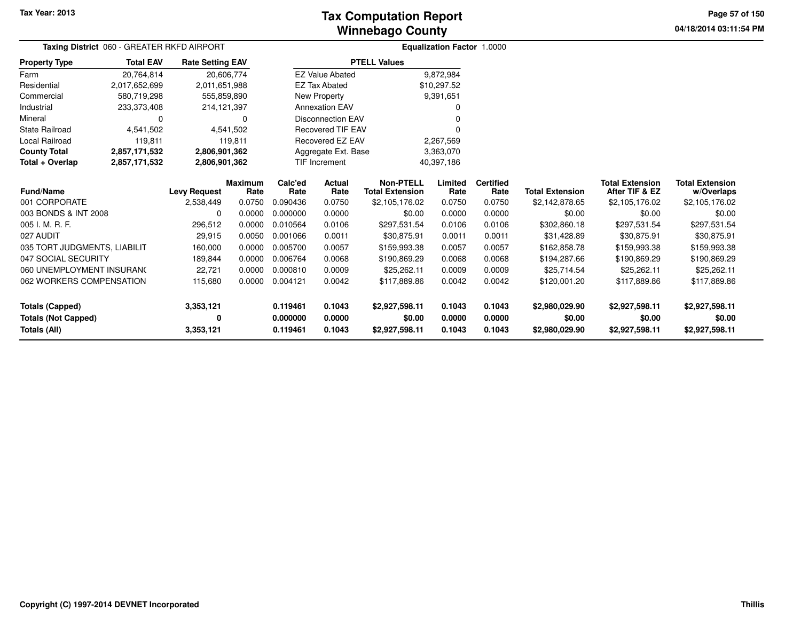### **Winnebago CountyTax Computation Report**

**04/18/2014 03:11:54 PM Page 57 of 150**

| Taxing District 060 - GREATER RKFD AIRPORT |                  |                         |                        |                 |                          |                                            | Equalization Factor 1.0000 |                          |                        |                                          |                                      |
|--------------------------------------------|------------------|-------------------------|------------------------|-----------------|--------------------------|--------------------------------------------|----------------------------|--------------------------|------------------------|------------------------------------------|--------------------------------------|
| <b>Property Type</b>                       | <b>Total EAV</b> | <b>Rate Setting EAV</b> |                        |                 |                          | <b>PTELL Values</b>                        |                            |                          |                        |                                          |                                      |
| Farm                                       | 20.764.814       |                         | 20,606,774             |                 | <b>EZ Value Abated</b>   |                                            | 9,872,984                  |                          |                        |                                          |                                      |
| Residential                                | 2,017,652,699    | 2,011,651,988           |                        |                 | <b>EZ Tax Abated</b>     |                                            | \$10,297.52                |                          |                        |                                          |                                      |
| Commercial                                 | 580,719,298      | 555,859,890             |                        |                 | New Property             |                                            | 9,391,651                  |                          |                        |                                          |                                      |
| Industrial                                 | 233,373,408      | 214,121,397             |                        |                 | <b>Annexation EAV</b>    |                                            | 0                          |                          |                        |                                          |                                      |
| Mineral                                    | $\Omega$         |                         | $\Omega$               |                 | <b>Disconnection EAV</b> |                                            |                            |                          |                        |                                          |                                      |
| <b>State Railroad</b>                      | 4,541,502        |                         | 4,541,502              |                 | <b>Recovered TIF EAV</b> |                                            |                            |                          |                        |                                          |                                      |
| <b>Local Railroad</b>                      | 119,811          |                         | 119,811                |                 | Recovered EZ EAV         |                                            | 2,267,569                  |                          |                        |                                          |                                      |
| <b>County Total</b>                        | 2,857,171,532    | 2,806,901,362           |                        |                 | Aggregate Ext. Base      |                                            | 3,363,070                  |                          |                        |                                          |                                      |
| Total + Overlap                            | 2,857,171,532    | 2,806,901,362           |                        |                 | <b>TIF Increment</b>     |                                            | 40,397,186                 |                          |                        |                                          |                                      |
| <b>Fund/Name</b>                           |                  | <b>Levy Request</b>     | <b>Maximum</b><br>Rate | Calc'ed<br>Rate | Actual<br>Rate           | <b>Non-PTELL</b><br><b>Total Extension</b> | Limited<br>Rate            | <b>Certified</b><br>Rate | <b>Total Extension</b> | <b>Total Extension</b><br>After TIF & EZ | <b>Total Extension</b><br>w/Overlaps |
| 001 CORPORATE                              |                  | 2,538,449               | 0.0750                 | 0.090436        | 0.0750                   | \$2,105,176.02                             | 0.0750                     | 0.0750                   | \$2,142,878.65         | \$2,105,176.02                           | \$2,105,176.02                       |
| 003 BONDS & INT 2008                       |                  | $\Omega$                | 0.0000                 | 0.000000        | 0.0000                   | \$0.00                                     | 0.0000                     | 0.0000                   | \$0.00                 | \$0.00                                   | \$0.00                               |
| 005 I. M. R. F.                            |                  | 296,512                 | 0.0000                 | 0.010564        | 0.0106                   | \$297,531.54                               | 0.0106                     | 0.0106                   | \$302,860.18           | \$297,531.54                             | \$297,531.54                         |
| 027 AUDIT                                  |                  | 29,915                  | 0.0050                 | 0.001066        | 0.0011                   | \$30,875.91                                | 0.0011                     | 0.0011                   | \$31,428.89            | \$30,875.91                              | \$30,875.91                          |
| 035 TORT JUDGMENTS, LIABILIT               |                  | 160,000                 | 0.0000                 | 0.005700        | 0.0057                   | \$159,993.38                               | 0.0057                     | 0.0057                   | \$162,858.78           | \$159,993.38                             | \$159,993.38                         |
| 047 SOCIAL SECURITY                        |                  | 189,844                 | 0.0000                 | 0.006764        | 0.0068                   | \$190,869.29                               | 0.0068                     | 0.0068                   | \$194,287.66           | \$190,869.29                             | \$190,869.29                         |
| 060 UNEMPLOYMENT INSURANC                  |                  | 22,721                  | 0.0000                 | 0.000810        | 0.0009                   | \$25,262.11                                | 0.0009                     | 0.0009                   | \$25,714.54            | \$25,262.11                              | \$25,262.11                          |
| 062 WORKERS COMPENSATION                   |                  | 115,680                 | 0.0000                 | 0.004121        | 0.0042                   | \$117,889.86                               | 0.0042                     | 0.0042                   | \$120,001.20           | \$117,889.86                             | \$117,889.86                         |
| <b>Totals (Capped)</b>                     |                  | 3,353,121               |                        | 0.119461        | 0.1043                   | \$2,927,598.11                             | 0.1043                     | 0.1043                   | \$2,980,029.90         | \$2,927,598.11                           | \$2,927,598.11                       |
| <b>Totals (Not Capped)</b>                 |                  | 0                       |                        | 0.000000        | 0.0000                   | \$0.00                                     | 0.0000                     | 0.0000                   | \$0.00                 | \$0.00                                   | \$0.00                               |
| Totals (All)                               |                  | 3,353,121               |                        | 0.119461        | 0.1043                   | \$2,927,598.11                             | 0.1043                     | 0.1043                   | \$2,980,029.90         | \$2,927,598.11                           | \$2,927,598.11                       |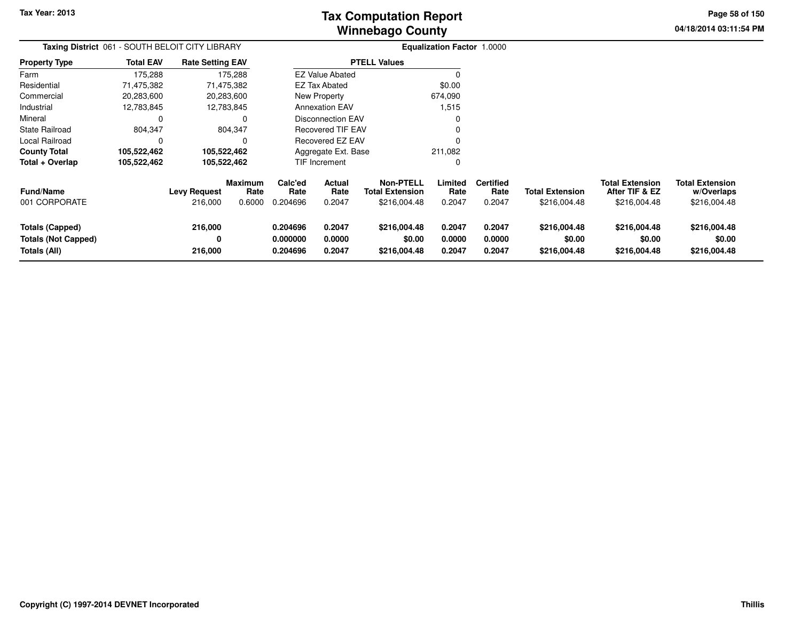**04/18/2014 03:11:54 PM Page 58 of 150**

| <b>Taxing District 061 - SOUTH BELOIT CITY LIBRARY</b>               |                  |                                |                           | <b>Equalization Factor 1.0000</b> |                                 |                                                            |                            |                                    |                                        |                                                          |                                                      |
|----------------------------------------------------------------------|------------------|--------------------------------|---------------------------|-----------------------------------|---------------------------------|------------------------------------------------------------|----------------------------|------------------------------------|----------------------------------------|----------------------------------------------------------|------------------------------------------------------|
| <b>Property Type</b>                                                 | <b>Total EAV</b> | <b>Rate Setting EAV</b>        |                           |                                   |                                 | <b>PTELL Values</b>                                        |                            |                                    |                                        |                                                          |                                                      |
| Farm                                                                 | 175,288          |                                | 175,288                   |                                   | <b>EZ Value Abated</b>          |                                                            | 0                          |                                    |                                        |                                                          |                                                      |
| Residential                                                          | 71,475,382       |                                | 71,475,382                |                                   | \$0.00<br>EZ Tax Abated         |                                                            |                            |                                    |                                        |                                                          |                                                      |
| Commercial                                                           | 20,283,600       |                                | 20,283,600                |                                   | New Property<br>674,090         |                                                            |                            |                                    |                                        |                                                          |                                                      |
| Industrial                                                           | 12,783,845       |                                | 12,783,845                |                                   | <b>Annexation EAV</b>           |                                                            | 1,515                      |                                    |                                        |                                                          |                                                      |
| Mineral                                                              | 0                |                                | 0                         |                                   | <b>Disconnection EAV</b>        |                                                            | 0                          |                                    |                                        |                                                          |                                                      |
| <b>State Railroad</b>                                                | 804,347          |                                | 804,347                   | <b>Recovered TIF EAV</b><br>0     |                                 |                                                            |                            |                                    |                                        |                                                          |                                                      |
| Local Railroad                                                       | 0                |                                | 0                         |                                   | <b>Recovered EZ EAV</b>         |                                                            |                            |                                    |                                        |                                                          |                                                      |
| <b>County Total</b>                                                  | 105,522,462      | 105,522,462                    |                           |                                   | Aggregate Ext. Base             |                                                            | 211,082                    |                                    |                                        |                                                          |                                                      |
| Total + Overlap                                                      | 105,522,462      | 105,522,462                    |                           |                                   | TIF Increment                   |                                                            | 0                          |                                    |                                        |                                                          |                                                      |
| <b>Fund/Name</b><br>001 CORPORATE                                    |                  | <b>Levy Request</b><br>216,000 | Maximum<br>Rate<br>0.6000 | Calc'ed<br>Rate<br>0.204696       | <b>Actual</b><br>Rate<br>0.2047 | <b>Non-PTELL</b><br><b>Total Extension</b><br>\$216,004.48 | Limited<br>Rate<br>0.2047  | <b>Certified</b><br>Rate<br>0.2047 | <b>Total Extension</b><br>\$216,004.48 | <b>Total Extension</b><br>After TIF & EZ<br>\$216,004.48 | <b>Total Extension</b><br>w/Overlaps<br>\$216,004.48 |
| <b>Totals (Capped)</b><br><b>Totals (Not Capped)</b><br>Totals (All) |                  | 216,000<br>0<br>216,000        |                           | 0.204696<br>0.000000<br>0.204696  | 0.2047<br>0.0000<br>0.2047      | \$216,004.48<br>\$0.00<br>\$216,004.48                     | 0.2047<br>0.0000<br>0.2047 | 0.2047<br>0.0000<br>0.2047         | \$216,004.48<br>\$0.00<br>\$216,004.48 | \$216,004.48<br>\$0.00<br>\$216,004.48                   | \$216,004.48<br>\$0.00<br>\$216,004.48               |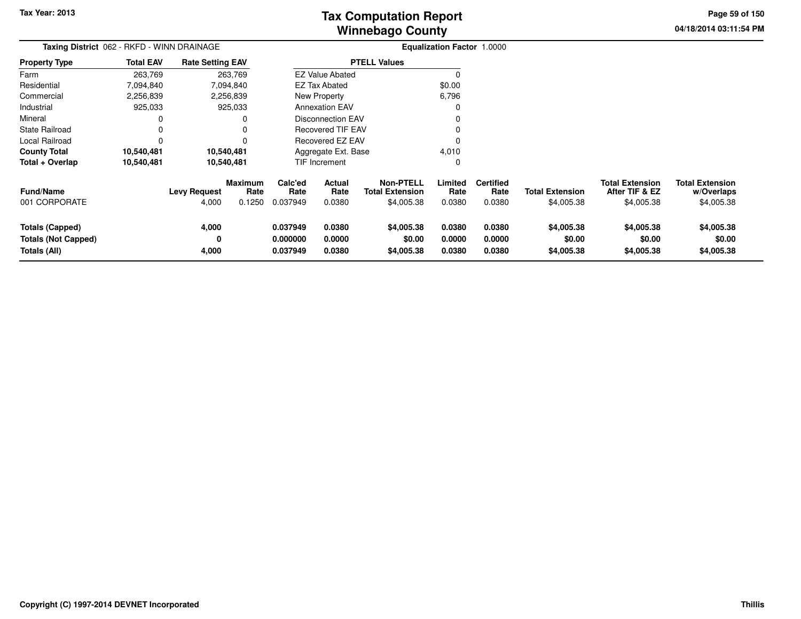**04/18/2014 03:11:54 PM Page 59 of 150**

| Taxing District 062 - RKFD - WINN DRAINAGE                    |                  |                              |                                  |                                  |                              |                                                          | <b>Equalization Factor 1.0000</b> |                                    |                                      |                                                        |                                                    |
|---------------------------------------------------------------|------------------|------------------------------|----------------------------------|----------------------------------|------------------------------|----------------------------------------------------------|-----------------------------------|------------------------------------|--------------------------------------|--------------------------------------------------------|----------------------------------------------------|
| <b>Property Type</b>                                          | <b>Total EAV</b> | <b>Rate Setting EAV</b>      |                                  | <b>PTELL Values</b>              |                              |                                                          |                                   |                                    |                                      |                                                        |                                                    |
| Farm                                                          | 263,769          |                              | 263,769                          |                                  | <b>EZ Value Abated</b>       |                                                          | $\Omega$                          |                                    |                                      |                                                        |                                                    |
| Residential                                                   | 7,094,840        |                              | 7,094,840                        |                                  | <b>EZ Tax Abated</b>         |                                                          | \$0.00                            |                                    |                                      |                                                        |                                                    |
| Commercial                                                    | 2,256,839        |                              | 2,256,839                        |                                  | <b>New Property</b><br>6,796 |                                                          |                                   |                                    |                                      |                                                        |                                                    |
| Industrial                                                    | 925,033          |                              | 925,033                          |                                  | <b>Annexation EAV</b><br>0   |                                                          |                                   |                                    |                                      |                                                        |                                                    |
| Mineral                                                       | 0                |                              | 0                                | <b>Disconnection EAV</b>         |                              |                                                          |                                   |                                    |                                      |                                                        |                                                    |
| <b>State Railroad</b>                                         | 0                |                              | 0                                | <b>Recovered TIF EAV</b>         |                              |                                                          |                                   |                                    |                                      |                                                        |                                                    |
| Local Railroad                                                | $\Omega$         |                              |                                  |                                  | Recovered EZ EAV             |                                                          | 0                                 |                                    |                                      |                                                        |                                                    |
| <b>County Total</b>                                           | 10,540,481       |                              | 10,540,481                       |                                  | Aggregate Ext. Base          |                                                          | 4,010                             |                                    |                                      |                                                        |                                                    |
| Total + Overlap                                               | 10,540,481       | 10,540,481                   |                                  | TIF Increment                    |                              |                                                          | 0                                 |                                    |                                      |                                                        |                                                    |
| <b>Fund/Name</b><br>001 CORPORATE                             |                  | <b>Levy Request</b><br>4,000 | <b>Maximum</b><br>Rate<br>0.1250 | Calc'ed<br>Rate<br>0.037949      | Actual<br>Rate<br>0.0380     | <b>Non-PTELL</b><br><b>Total Extension</b><br>\$4,005.38 | Limited<br>Rate<br>0.0380         | <b>Certified</b><br>Rate<br>0.0380 | <b>Total Extension</b><br>\$4,005.38 | <b>Total Extension</b><br>After TIF & EZ<br>\$4,005.38 | <b>Total Extension</b><br>w/Overlaps<br>\$4,005.38 |
| Totals (Capped)<br><b>Totals (Not Capped)</b><br>Totals (All) |                  | 4,000<br>4,000               |                                  | 0.037949<br>0.000000<br>0.037949 | 0.0380<br>0.0000<br>0.0380   | \$4,005.38<br>\$0.00<br>\$4,005.38                       | 0.0380<br>0.0000<br>0.0380        | 0.0380<br>0.0000<br>0.0380         | \$4,005.38<br>\$0.00<br>\$4,005.38   | \$4,005.38<br>\$0.00<br>\$4,005.38                     | \$4,005.38<br>\$0.00<br>\$4,005.38                 |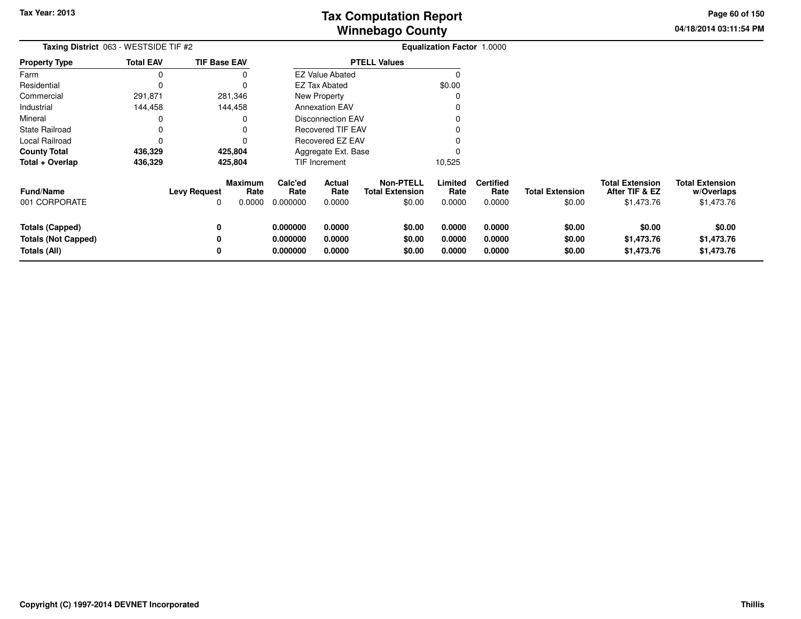**04/18/2014 03:11:54 PMPage 60 of 150**

> **w/Overlaps**\$1,473.76

| Taxing District 063 - WESTSIDE TIF #2<br>Property Type |                     |                     |                                              |                                                          |                                                                                                                                                              |                          |                                      |                                          |                                                    |
|--------------------------------------------------------|---------------------|---------------------|----------------------------------------------|----------------------------------------------------------|--------------------------------------------------------------------------------------------------------------------------------------------------------------|--------------------------|--------------------------------------|------------------------------------------|----------------------------------------------------|
| <b>Total EAV</b>                                       | <b>TIF Base EAV</b> | <b>PTELL Values</b> |                                              |                                                          |                                                                                                                                                              |                          |                                      |                                          |                                                    |
|                                                        |                     |                     |                                              |                                                          |                                                                                                                                                              |                          |                                      |                                          |                                                    |
|                                                        |                     |                     |                                              |                                                          | \$0.00                                                                                                                                                       |                          |                                      |                                          |                                                    |
| 291,871                                                | 281,346             |                     |                                              |                                                          |                                                                                                                                                              |                          |                                      |                                          |                                                    |
| 144,458                                                | 144,458             |                     |                                              |                                                          |                                                                                                                                                              |                          |                                      |                                          |                                                    |
|                                                        |                     |                     |                                              |                                                          |                                                                                                                                                              |                          |                                      |                                          |                                                    |
|                                                        |                     |                     |                                              |                                                          |                                                                                                                                                              |                          |                                      |                                          |                                                    |
|                                                        |                     |                     |                                              |                                                          |                                                                                                                                                              |                          |                                      |                                          |                                                    |
| 436,329<br>425,804                                     |                     |                     |                                              |                                                          |                                                                                                                                                              |                          |                                      |                                          |                                                    |
| 436,329                                                | 425,804             |                     |                                              |                                                          | 10,525                                                                                                                                                       |                          |                                      |                                          |                                                    |
|                                                        | <b>Levy Request</b> | Calc'ed<br>Rate     | Actual<br>Rate                               | <b>Non-PTELL</b><br><b>Total Extension</b>               | Limited<br>Rate                                                                                                                                              | <b>Certified</b><br>Rate | <b>Total Extension</b>               | <b>Total Extension</b><br>After TIF & EZ | <b>Total Extension</b><br>w/Overlaps<br>\$1,473.76 |
|                                                        |                     |                     |                                              |                                                          |                                                                                                                                                              |                          |                                      |                                          |                                                    |
|                                                        | 0                   | 0.000000            | 0.0000                                       | \$0.00                                                   | 0.0000                                                                                                                                                       | 0.0000                   | \$0.00                               | \$0.00                                   | \$0.00                                             |
|                                                        | 0                   | 0.000000            | 0.0000                                       | \$0.00                                                   | 0.0000                                                                                                                                                       | 0.0000                   | \$0.00                               | \$1,473.76                               | \$1,473.76                                         |
|                                                        | 0                   | 0.000000            | 0.0000                                       | \$0.00                                                   | 0.0000                                                                                                                                                       | 0.0000                   | \$0.00                               | \$1,473.76                               | \$1,473.76                                         |
|                                                        |                     | 0                   | <b>Maximum</b><br>Rate<br>0.0000<br>0.000000 | EZ Tax Abated<br>New Property<br>TIF Increment<br>0.0000 | <b>EZ Value Abated</b><br><b>Annexation EAV</b><br><b>Disconnection EAV</b><br><b>Recovered TIF EAV</b><br>Recovered EZ EAV<br>Aggregate Ext. Base<br>\$0.00 | 0.0000                   | Equalization Factor 1.0000<br>0.0000 | \$0.00                                   | \$1,473.76                                         |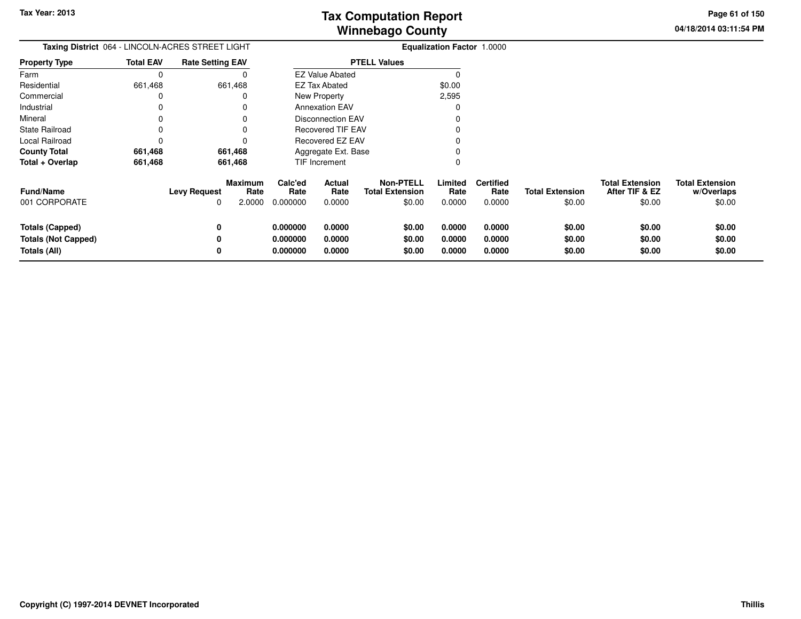**04/18/2014 03:11:54 PM Page 61 of 150**

| <b>Taxing District</b> 064 - LINCOLN-ACRES STREET LIGHT |                  |                          |                                  | <b>Equalization Factor 1.0000</b> |                          |                                                      |                           |                                    |                                  |                                                    |                                                |
|---------------------------------------------------------|------------------|--------------------------|----------------------------------|-----------------------------------|--------------------------|------------------------------------------------------|---------------------------|------------------------------------|----------------------------------|----------------------------------------------------|------------------------------------------------|
| <b>Property Type</b>                                    | <b>Total EAV</b> | <b>Rate Setting EAV</b>  |                                  |                                   |                          | <b>PTELL Values</b>                                  |                           |                                    |                                  |                                                    |                                                |
| Farm                                                    |                  |                          |                                  |                                   | <b>EZ Value Abated</b>   |                                                      |                           |                                    |                                  |                                                    |                                                |
| Residential                                             | 661,468          |                          | 661,468                          |                                   | <b>EZ Tax Abated</b>     |                                                      | \$0.00                    |                                    |                                  |                                                    |                                                |
| Commercial                                              |                  |                          |                                  |                                   | New Property             |                                                      | 2,595                     |                                    |                                  |                                                    |                                                |
| Industrial                                              |                  |                          |                                  |                                   | <b>Annexation EAV</b>    |                                                      |                           |                                    |                                  |                                                    |                                                |
| Mineral                                                 |                  |                          |                                  |                                   | Disconnection EAV        |                                                      |                           |                                    |                                  |                                                    |                                                |
| <b>State Railroad</b>                                   |                  |                          |                                  |                                   | <b>Recovered TIF EAV</b> |                                                      |                           |                                    |                                  |                                                    |                                                |
| Local Railroad                                          |                  |                          |                                  | Recovered EZ EAV                  |                          |                                                      |                           |                                    |                                  |                                                    |                                                |
| <b>County Total</b>                                     | 661,468          |                          | 661,468                          |                                   | Aggregate Ext. Base      |                                                      |                           |                                    |                                  |                                                    |                                                |
| Total + Overlap                                         | 661,468          |                          | 661,468                          |                                   | TIF Increment            |                                                      |                           |                                    |                                  |                                                    |                                                |
| <b>Fund/Name</b><br>001 CORPORATE                       |                  | <b>Levy Request</b><br>0 | <b>Maximum</b><br>Rate<br>2.0000 | Calc'ed<br>Rate<br>0.000000       | Actual<br>Rate<br>0.0000 | <b>Non-PTELL</b><br><b>Total Extension</b><br>\$0.00 | Limited<br>Rate<br>0.0000 | <b>Certified</b><br>Rate<br>0.0000 | <b>Total Extension</b><br>\$0.00 | <b>Total Extension</b><br>After TIF & EZ<br>\$0.00 | <b>Total Extension</b><br>w/Overlaps<br>\$0.00 |
| <b>Totals (Capped)</b><br><b>Totals (Not Capped)</b>    |                  | 0                        |                                  | 0.000000<br>0.000000              | 0.0000<br>0.0000         | \$0.00<br>\$0.00                                     | 0.0000<br>0.0000          | 0.0000<br>0.0000                   | \$0.00<br>\$0.00                 | \$0.00<br>\$0.00                                   | \$0.00<br>\$0.00                               |
| Totals (All)                                            |                  | 0                        |                                  | 0.000000                          | 0.0000                   | \$0.00                                               | 0.0000                    | 0.0000                             | \$0.00                           | \$0.00                                             | \$0.00                                         |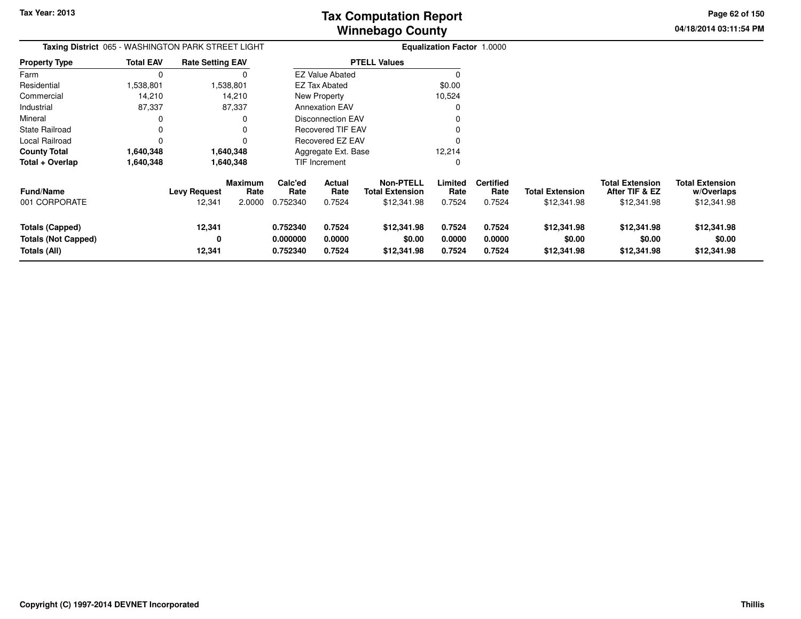**04/18/2014 03:11:54 PM Page 62 of 150**

| <b>Taxing District</b> 065 - WASHINGTON PARK STREET LIGHT     |                  |                               |                                  |                                  |                            |                                                           | <b>Equalization Factor 1.0000</b> |                                    |                                       |                                                         |                                                     |
|---------------------------------------------------------------|------------------|-------------------------------|----------------------------------|----------------------------------|----------------------------|-----------------------------------------------------------|-----------------------------------|------------------------------------|---------------------------------------|---------------------------------------------------------|-----------------------------------------------------|
| <b>Property Type</b>                                          | <b>Total EAV</b> | <b>Rate Setting EAV</b>       |                                  |                                  |                            | <b>PTELL Values</b>                                       |                                   |                                    |                                       |                                                         |                                                     |
| Farm                                                          | 0                |                               |                                  |                                  | <b>EZ Value Abated</b>     |                                                           | 0                                 |                                    |                                       |                                                         |                                                     |
| Residential                                                   | 1,538,801        |                               | 1,538,801                        |                                  | EZ Tax Abated              |                                                           | \$0.00                            |                                    |                                       |                                                         |                                                     |
| Commercial                                                    | 14,210           |                               | 14,210                           |                                  | New Property               |                                                           | 10,524                            |                                    |                                       |                                                         |                                                     |
| Industrial                                                    | 87,337           |                               | 87,337                           |                                  | <b>Annexation EAV</b>      |                                                           | 0                                 |                                    |                                       |                                                         |                                                     |
| Mineral                                                       | 0                |                               | 0                                |                                  | <b>Disconnection EAV</b>   |                                                           |                                   |                                    |                                       |                                                         |                                                     |
| <b>State Railroad</b>                                         | 0                |                               | 0                                |                                  | Recovered TIF EAV          |                                                           |                                   |                                    |                                       |                                                         |                                                     |
| Local Railroad                                                | $\Omega$         |                               | 0                                |                                  | Recovered EZ EAV           |                                                           |                                   |                                    |                                       |                                                         |                                                     |
| <b>County Total</b>                                           | 1,640,348        |                               | 1,640,348                        |                                  | Aggregate Ext. Base        |                                                           | 12,214                            |                                    |                                       |                                                         |                                                     |
| Total + Overlap                                               | 1,640,348        |                               | 1,640,348                        |                                  | TIF Increment              |                                                           | 0                                 |                                    |                                       |                                                         |                                                     |
| <b>Fund/Name</b><br>001 CORPORATE                             |                  | <b>Levy Request</b><br>12,341 | <b>Maximum</b><br>Rate<br>2.0000 | Calc'ed<br>Rate<br>0.752340      | Actual<br>Rate<br>0.7524   | <b>Non-PTELL</b><br><b>Total Extension</b><br>\$12,341.98 | Limited<br>Rate<br>0.7524         | <b>Certified</b><br>Rate<br>0.7524 | <b>Total Extension</b><br>\$12,341.98 | <b>Total Extension</b><br>After TIF & EZ<br>\$12,341.98 | <b>Total Extension</b><br>w/Overlaps<br>\$12,341.98 |
| Totals (Capped)<br><b>Totals (Not Capped)</b><br>Totals (All) |                  | 12,341<br>0<br>12,341         |                                  | 0.752340<br>0.000000<br>0.752340 | 0.7524<br>0.0000<br>0.7524 | \$12,341.98<br>\$0.00<br>\$12,341.98                      | 0.7524<br>0.0000<br>0.7524        | 0.7524<br>0.0000<br>0.7524         | \$12,341.98<br>\$0.00<br>\$12,341.98  | \$12,341.98<br>\$0.00<br>\$12,341.98                    | \$12,341.98<br>\$0.00<br>\$12,341.98                |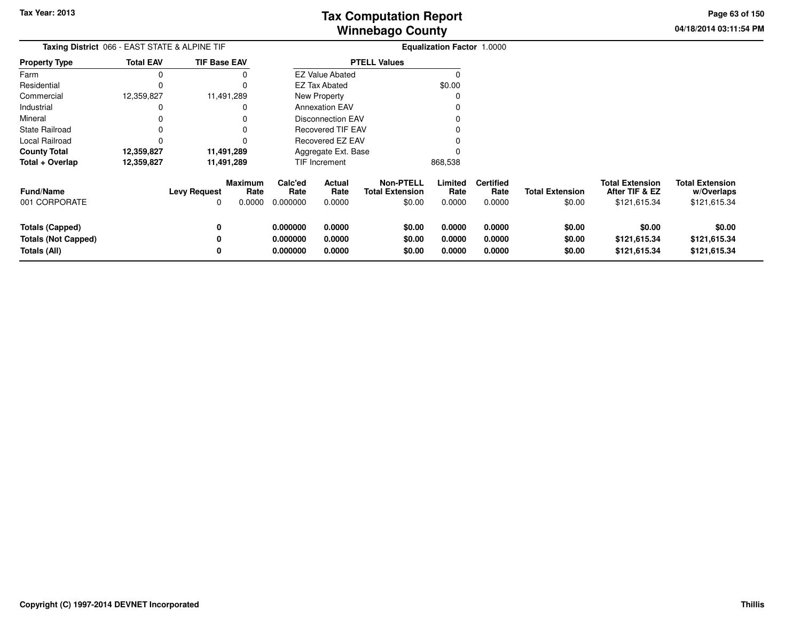**04/18/2014 03:11:54 PMPage 63 of 150**

| <b>Taxing District</b> 066 - EAST STATE & ALPINE TIF                 |                  |                          |                                  |                                  |                            |                                                      | <b>Equalization Factor 1.0000</b> |                                    |                                  |                                                          |                                                      |
|----------------------------------------------------------------------|------------------|--------------------------|----------------------------------|----------------------------------|----------------------------|------------------------------------------------------|-----------------------------------|------------------------------------|----------------------------------|----------------------------------------------------------|------------------------------------------------------|
| Property Type                                                        | <b>Total EAV</b> | <b>TIF Base EAV</b>      |                                  |                                  |                            | <b>PTELL Values</b>                                  |                                   |                                    |                                  |                                                          |                                                      |
| Farm                                                                 | 0                |                          |                                  |                                  | <b>EZ Value Abated</b>     |                                                      |                                   |                                    |                                  |                                                          |                                                      |
| Residential                                                          | 0                |                          |                                  |                                  | <b>EZ Tax Abated</b>       |                                                      | \$0.00                            |                                    |                                  |                                                          |                                                      |
| Commercial                                                           | 12,359,827       |                          | 11,491,289                       |                                  | New Property               |                                                      |                                   |                                    |                                  |                                                          |                                                      |
| Industrial                                                           | 0                |                          |                                  |                                  | <b>Annexation EAV</b>      |                                                      |                                   |                                    |                                  |                                                          |                                                      |
| Mineral                                                              |                  |                          |                                  |                                  | <b>Disconnection EAV</b>   |                                                      |                                   |                                    |                                  |                                                          |                                                      |
| State Railroad                                                       |                  |                          |                                  |                                  | Recovered TIF EAV          |                                                      |                                   |                                    |                                  |                                                          |                                                      |
| Local Railroad                                                       | 0                |                          |                                  | Recovered EZ EAV                 |                            |                                                      |                                   |                                    |                                  |                                                          |                                                      |
| <b>County Total</b>                                                  | 12,359,827       |                          | 11,491,289                       | Aggregate Ext. Base              |                            |                                                      |                                   |                                    |                                  |                                                          |                                                      |
| Total + Overlap                                                      | 12,359,827       |                          | 11,491,289                       |                                  | TIF Increment              |                                                      | 868,538                           |                                    |                                  |                                                          |                                                      |
| <b>Fund/Name</b><br>001 CORPORATE                                    |                  | <b>Levy Request</b><br>0 | <b>Maximum</b><br>Rate<br>0.0000 | Calc'ed<br>Rate<br>0.000000      | Actual<br>Rate<br>0.0000   | <b>Non-PTELL</b><br><b>Total Extension</b><br>\$0.00 | Limited<br>Rate<br>0.0000         | <b>Certified</b><br>Rate<br>0.0000 | <b>Total Extension</b><br>\$0.00 | <b>Total Extension</b><br>After TIF & EZ<br>\$121,615.34 | <b>Total Extension</b><br>w/Overlaps<br>\$121,615.34 |
| <b>Totals (Capped)</b><br><b>Totals (Not Capped)</b><br>Totals (All) |                  | 0<br>0                   |                                  | 0.000000<br>0.000000<br>0.000000 | 0.0000<br>0.0000<br>0.0000 | \$0.00<br>\$0.00<br>\$0.00                           | 0.0000<br>0.0000<br>0.0000        | 0.0000<br>0.0000<br>0.0000         | \$0.00<br>\$0.00<br>\$0.00       | \$0.00<br>\$121,615.34<br>\$121,615.34                   | \$0.00<br>\$121,615.34<br>\$121,615.34               |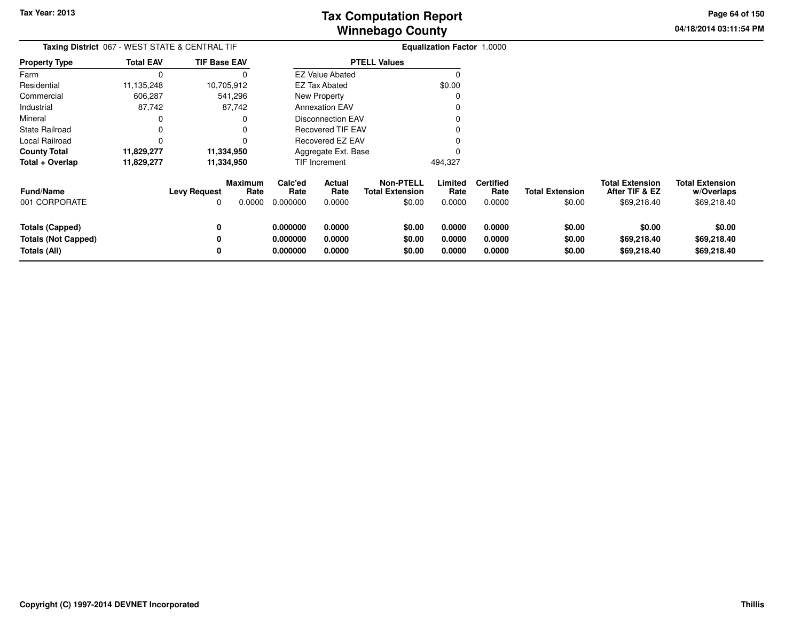**04/18/2014 03:11:54 PMPage 64 of 150**

| <b>Taxing District 067 - WEST STATE &amp; CENTRAL TIF</b> |                  |                     |                        |                                               |                          |                                            | <b>Equalization Factor 1.0000</b> |                          |                        |                                          |                                      |
|-----------------------------------------------------------|------------------|---------------------|------------------------|-----------------------------------------------|--------------------------|--------------------------------------------|-----------------------------------|--------------------------|------------------------|------------------------------------------|--------------------------------------|
| <b>Property Type</b>                                      | <b>Total EAV</b> | <b>TIF Base EAV</b> |                        | <b>PTELL Values</b><br><b>EZ Value Abated</b> |                          |                                            |                                   |                          |                        |                                          |                                      |
| Farm                                                      | $\Omega$         |                     |                        |                                               |                          |                                            |                                   |                          |                        |                                          |                                      |
| Residential                                               | 11,135,248       |                     | 10,705,912             |                                               | EZ Tax Abated            |                                            | \$0.00                            |                          |                        |                                          |                                      |
| Commercial                                                | 606,287          |                     | 541,296                |                                               | <b>New Property</b>      |                                            |                                   |                          |                        |                                          |                                      |
| Industrial                                                | 87,742           |                     | 87,742                 |                                               | <b>Annexation EAV</b>    |                                            |                                   |                          |                        |                                          |                                      |
| Mineral                                                   | 0                |                     | 0                      |                                               | <b>Disconnection EAV</b> |                                            |                                   |                          |                        |                                          |                                      |
| <b>State Railroad</b>                                     | 0                |                     | 0                      |                                               | Recovered TIF EAV        |                                            |                                   |                          |                        |                                          |                                      |
| Local Railroad                                            | 0                |                     |                        | Recovered EZ EAV                              |                          |                                            |                                   |                          |                        |                                          |                                      |
| <b>County Total</b>                                       | 11,829,277       |                     | 11,334,950             | Aggregate Ext. Base                           |                          |                                            |                                   |                          |                        |                                          |                                      |
| Total + Overlap                                           | 11,829,277       | 11,334,950          |                        | TIF Increment                                 |                          |                                            | 494,327                           |                          |                        |                                          |                                      |
| <b>Fund/Name</b>                                          |                  | <b>Levy Request</b> | <b>Maximum</b><br>Rate | Calc'ed<br>Rate                               | <b>Actual</b><br>Rate    | <b>Non-PTELL</b><br><b>Total Extension</b> | Limited<br>Rate                   | <b>Certified</b><br>Rate | <b>Total Extension</b> | <b>Total Extension</b><br>After TIF & EZ | <b>Total Extension</b><br>w/Overlaps |
| 001 CORPORATE                                             |                  |                     | 0.0000                 | 0.000000                                      | 0.0000                   | \$0.00                                     | 0.0000                            | 0.0000                   | \$0.00                 | \$69,218.40                              | \$69,218.40                          |
| <b>Totals (Capped)</b>                                    |                  | 0                   |                        | 0.000000                                      | 0.0000                   | \$0.00                                     | 0.0000                            | 0.0000                   | \$0.00                 | \$0.00                                   | \$0.00                               |
| <b>Totals (Not Capped)</b>                                |                  |                     |                        | 0.000000                                      | 0.0000                   | \$0.00                                     | 0.0000                            | 0.0000                   | \$0.00                 | \$69,218.40                              | \$69,218.40                          |
| Totals (All)                                              |                  |                     |                        | 0.000000                                      | 0.0000                   | \$0.00                                     | 0.0000                            | 0.0000                   | \$0.00                 | \$69,218.40                              | \$69,218.40                          |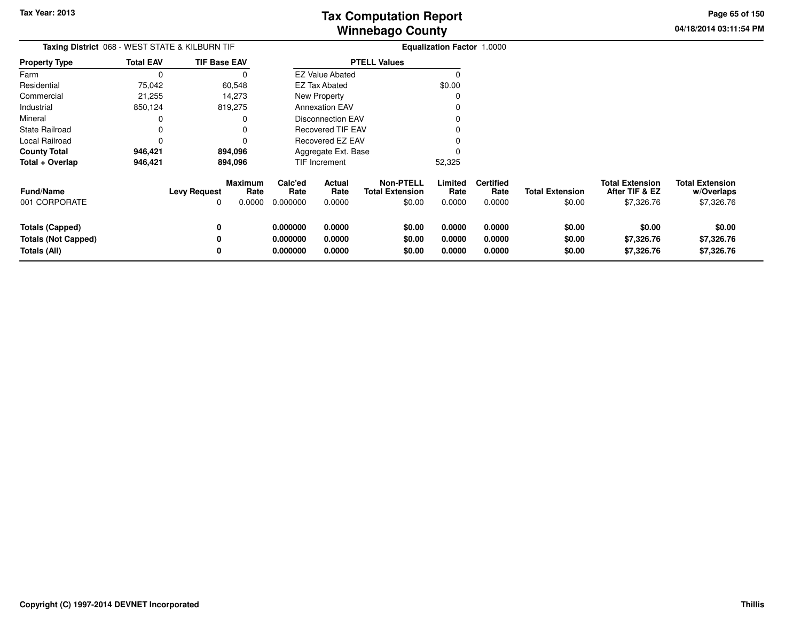**04/18/2014 03:11:54 PMPage 65 of 150**

> **w/Overlaps**\$7,326.76

| <b>Total EAV</b>                   |                     |                                                |                                                                                           |                |                                                               |                                                                                                                                                            |                          |                            |                                          |                                      |
|------------------------------------|---------------------|------------------------------------------------|-------------------------------------------------------------------------------------------|----------------|---------------------------------------------------------------|------------------------------------------------------------------------------------------------------------------------------------------------------------|--------------------------|----------------------------|------------------------------------------|--------------------------------------|
| O                                  |                     |                                                |                                                                                           |                |                                                               |                                                                                                                                                            |                          |                            |                                          |                                      |
| 75,042                             |                     |                                                |                                                                                           |                |                                                               | \$0.00                                                                                                                                                     |                          |                            |                                          |                                      |
| 21,255                             |                     |                                                |                                                                                           |                |                                                               |                                                                                                                                                            |                          |                            |                                          |                                      |
| 850,124                            |                     |                                                |                                                                                           |                |                                                               |                                                                                                                                                            |                          |                            |                                          |                                      |
|                                    |                     |                                                |                                                                                           |                |                                                               |                                                                                                                                                            |                          |                            |                                          |                                      |
|                                    |                     |                                                |                                                                                           |                |                                                               |                                                                                                                                                            |                          |                            |                                          |                                      |
|                                    |                     |                                                |                                                                                           |                |                                                               |                                                                                                                                                            |                          |                            |                                          |                                      |
| County Total<br>894,096<br>946,421 |                     |                                                |                                                                                           |                |                                                               |                                                                                                                                                            |                          |                            |                                          |                                      |
| 946,421                            |                     |                                                |                                                                                           | TIF Increment  |                                                               | 52,325                                                                                                                                                     |                          |                            |                                          |                                      |
|                                    | <b>Levy Request</b> | Rate                                           | Calc'ed<br>Rate                                                                           | Actual<br>Rate | <b>Non-PTELL</b><br><b>Total Extension</b>                    | Limited<br>Rate                                                                                                                                            | <b>Certified</b><br>Rate | <b>Total Extension</b>     | <b>Total Extension</b><br>After TIF & EZ | <b>Total Extension</b><br>w/Overlaps |
|                                    | 0                   |                                                | 0.000000                                                                                  | 0.0000         |                                                               | 0.0000                                                                                                                                                     | 0.0000                   |                            |                                          | \$7,326.76                           |
|                                    | 0                   |                                                | 0.000000                                                                                  | 0.0000         | \$0.00                                                        | 0.0000                                                                                                                                                     | 0.0000                   | \$0.00                     | \$0.00                                   | \$0.00                               |
|                                    | 0                   |                                                | 0.000000                                                                                  | 0.0000         | \$0.00                                                        | 0.0000                                                                                                                                                     | 0.0000                   | \$0.00                     | \$7,326.76                               | \$7,326.76                           |
|                                    | 0                   |                                                | 0.000000                                                                                  | 0.0000         | \$0.00                                                        | 0.0000                                                                                                                                                     | 0.0000                   | \$0.00                     | \$7,326.76                               | \$7,326.76                           |
|                                    |                     | Taxing District 068 - WEST STATE & KILBURN TIF | <b>TIF Base EAV</b><br>60,548<br>14,273<br>819,275<br>894,096<br><b>Maximum</b><br>0.0000 |                | <b>EZ Tax Abated</b><br>New Property<br><b>Annexation EAV</b> | <b>PTELL Values</b><br><b>EZ Value Abated</b><br><b>Disconnection EAV</b><br><b>Recovered TIF EAV</b><br>Recovered EZ EAV<br>Aggregate Ext. Base<br>\$0.00 |                          | Equalization Factor 1.0000 | \$0.00                                   | \$7,326.76                           |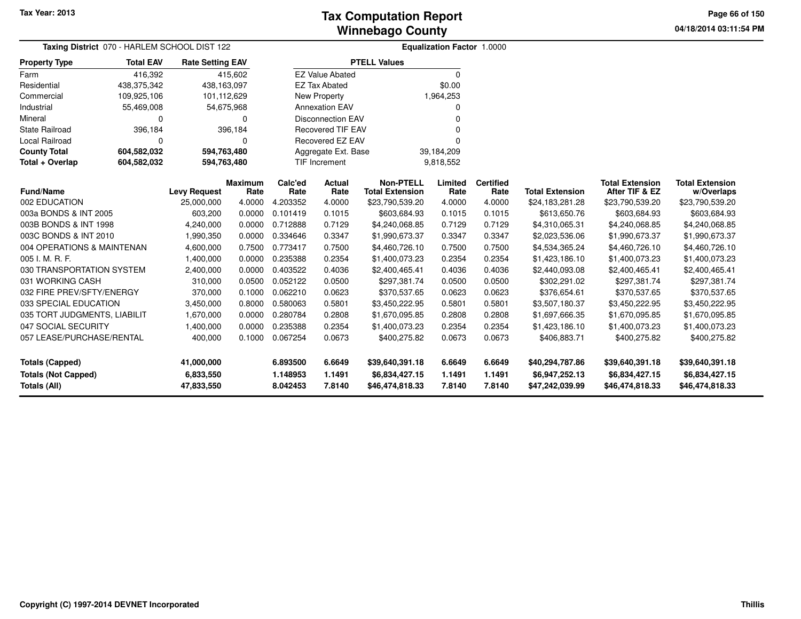**04/18/2014 03:11:54 PM Page 66 of 150**

| Taxing District 070 - HARLEM SCHOOL DIST 122      |                      |                         |                                                  | Equalization Factor 1.0000 |                          |                                            |                  |                          |                                   |                                          |                                      |
|---------------------------------------------------|----------------------|-------------------------|--------------------------------------------------|----------------------------|--------------------------|--------------------------------------------|------------------|--------------------------|-----------------------------------|------------------------------------------|--------------------------------------|
| <b>Property Type</b>                              | <b>Total EAV</b>     | <b>Rate Setting EAV</b> |                                                  |                            |                          | <b>PTELL Values</b>                        |                  |                          |                                   |                                          |                                      |
| Farm                                              | 416,392              |                         | 415,602                                          |                            | <b>EZ Value Abated</b>   |                                            | 0                |                          |                                   |                                          |                                      |
| Residential                                       | 438,375,342          | 438,163,097             |                                                  |                            | <b>EZ Tax Abated</b>     |                                            | \$0.00           |                          |                                   |                                          |                                      |
| Commercial                                        | 109,925,106          | 101,112,629             |                                                  |                            | <b>New Property</b>      |                                            | 1,964,253        |                          |                                   |                                          |                                      |
| Industrial                                        | 55,469,008           | 54,675,968              |                                                  |                            | <b>Annexation EAV</b>    |                                            | 0                |                          |                                   |                                          |                                      |
| Mineral                                           | 0                    |                         | 0                                                |                            | <b>Disconnection EAV</b> |                                            | n                |                          |                                   |                                          |                                      |
| <b>State Railroad</b>                             | 396,184              |                         | 396,184                                          |                            | <b>Recovered TIF EAV</b> |                                            |                  |                          |                                   |                                          |                                      |
| Local Railroad                                    | $\Omega$<br>$\Omega$ |                         |                                                  |                            | Recovered EZ EAV         |                                            | U                |                          |                                   |                                          |                                      |
| <b>County Total</b>                               | 604,582,032          |                         | 594,763,480<br>Aggregate Ext. Base<br>39,184,209 |                            |                          |                                            |                  |                          |                                   |                                          |                                      |
| Total + Overlap                                   | 604,582,032          | 594,763,480             |                                                  | TIF Increment<br>9,818,552 |                          |                                            |                  |                          |                                   |                                          |                                      |
| <b>Fund/Name</b>                                  |                      | <b>Levy Request</b>     | <b>Maximum</b><br>Rate                           | Calc'ed<br>Rate            | <b>Actual</b><br>Rate    | <b>Non-PTELL</b><br><b>Total Extension</b> | Limited<br>Rate  | <b>Certified</b><br>Rate | <b>Total Extension</b>            | <b>Total Extension</b><br>After TIF & EZ | <b>Total Extension</b><br>w/Overlaps |
| 002 EDUCATION                                     |                      | 25,000,000              | 4.0000                                           | 4.203352                   | 4.0000                   | \$23,790,539.20                            | 4.0000           | 4.0000                   | \$24,183,281.28                   | \$23,790,539.20                          | \$23,790,539.20                      |
| 003a BONDS & INT 2005                             |                      | 603,200                 | 0.0000                                           | 0.101419                   | 0.1015                   | \$603,684.93                               | 0.1015           | 0.1015                   | \$613,650.76                      | \$603,684.93                             | \$603,684.93                         |
| 003B BONDS & INT 1998                             |                      | 4,240,000               | 0.0000                                           | 0.712888                   | 0.7129                   | \$4,240,068.85                             | 0.7129           | 0.7129                   | \$4,310,065.31                    | \$4,240,068.85                           | \$4,240,068.85                       |
| 003C BONDS & INT 2010                             |                      | 1,990,350               | 0.0000                                           | 0.334646                   | 0.3347                   | \$1,990,673.37                             | 0.3347           | 0.3347                   | \$2,023,536.06                    | \$1,990,673.37                           | \$1,990,673.37                       |
| 004 OPERATIONS & MAINTENAN                        |                      | 4,600,000               | 0.7500                                           | 0.773417                   | 0.7500                   | \$4,460,726.10                             | 0.7500           | 0.7500                   | \$4,534,365.24                    | \$4,460,726.10                           | \$4,460,726.10                       |
| 005 I. M. R. F.                                   |                      | 1,400,000               | 0.0000                                           | 0.235388                   | 0.2354                   | \$1,400,073.23                             | 0.2354           | 0.2354                   | \$1,423,186.10                    | \$1,400,073.23                           | \$1,400,073.23                       |
| 030 TRANSPORTATION SYSTEM                         |                      | 2,400,000               | 0.0000                                           | 0.403522                   | 0.4036                   | \$2,400,465.41                             | 0.4036           | 0.4036                   | \$2,440,093.08                    | \$2,400,465.41                           | \$2,400,465.41                       |
| 031 WORKING CASH                                  |                      | 310,000                 | 0.0500                                           | 0.052122                   | 0.0500                   | \$297,381.74                               | 0.0500           | 0.0500                   | \$302,291.02                      | \$297,381.74                             | \$297,381.74                         |
| 032 FIRE PREV/SFTY/ENERGY                         |                      | 370,000                 | 0.1000                                           | 0.062210                   | 0.0623                   | \$370.537.65                               | 0.0623           | 0.0623                   | \$376,654.61                      | \$370,537.65                             | \$370,537.65                         |
| 033 SPECIAL EDUCATION                             |                      | 3,450,000               | 0.8000                                           | 0.580063                   | 0.5801                   | \$3,450,222.95                             | 0.5801           | 0.5801                   | \$3,507,180.37                    | \$3,450,222.95                           | \$3,450,222.95                       |
| 035 TORT JUDGMENTS, LIABILIT                      |                      | 1,670,000               | 0.0000                                           | 0.280784                   | 0.2808                   | \$1,670,095.85                             | 0.2808           | 0.2808                   | \$1,697,666.35                    | \$1,670,095.85                           | \$1,670,095.85                       |
| 047 SOCIAL SECURITY                               |                      | 1,400,000               | 0.0000                                           | 0.235388                   | 0.2354                   | \$1,400,073.23                             | 0.2354           | 0.2354                   | \$1,423,186.10                    | \$1,400,073.23                           | \$1,400,073.23                       |
| 057 LEASE/PURCHASE/RENTAL                         |                      | 400,000                 | 0.1000                                           | 0.067254                   | 0.0673                   | \$400,275.82                               | 0.0673           | 0.0673                   | \$406,883.71                      | \$400,275.82                             | \$400,275.82                         |
| <b>Totals (Capped)</b>                            |                      | 41,000,000              |                                                  | 6.893500                   | 6.6649                   | \$39,640,391.18                            | 6.6649           | 6.6649                   | \$40,294,787.86                   | \$39,640,391.18                          | \$39,640,391.18                      |
| <b>Totals (Not Capped)</b><br><b>Totals (All)</b> |                      | 6,833,550<br>47,833,550 |                                                  | 1.148953<br>8.042453       | 1.1491<br>7.8140         | \$6,834,427.15<br>\$46,474,818.33          | 1.1491<br>7.8140 | 1.1491<br>7.8140         | \$6,947,252.13<br>\$47,242,039.99 | \$6,834,427.15<br>\$46,474,818.33        | \$6,834,427.15<br>\$46,474,818.33    |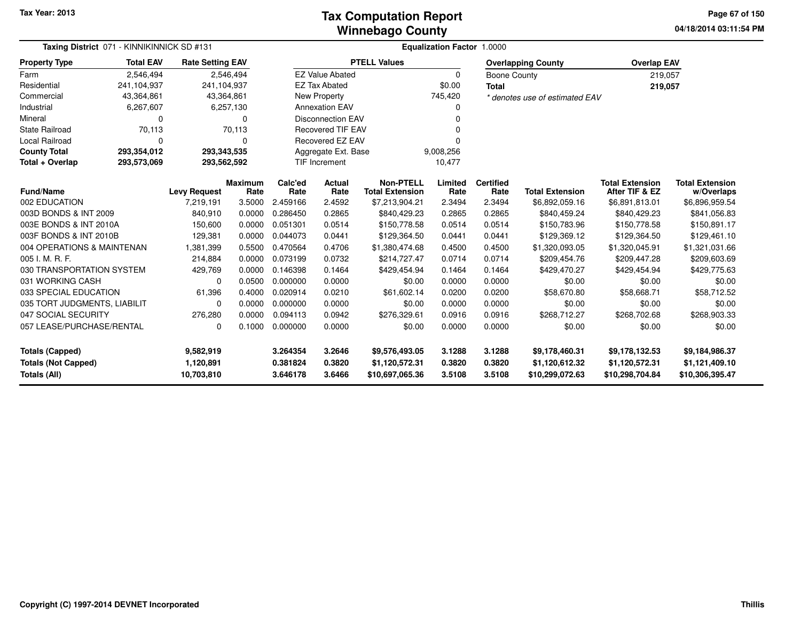**04/18/2014 03:11:54 PM Page 67 of 150**

| Taxing District 071 - KINNIKINNICK SD #131<br><b>Total EAV</b> |                         |                     |                        | <b>Equalization Factor 1.0000</b> |                          |                                            |                 |                           |                                |                                          |                                      |  |  |
|----------------------------------------------------------------|-------------------------|---------------------|------------------------|-----------------------------------|--------------------------|--------------------------------------------|-----------------|---------------------------|--------------------------------|------------------------------------------|--------------------------------------|--|--|
| <b>Property Type</b>                                           | <b>Rate Setting EAV</b> |                     |                        |                                   | <b>PTELL Values</b>      |                                            |                 | <b>Overlapping County</b> | <b>Overlap EAV</b>             |                                          |                                      |  |  |
| Farm                                                           | 2,546,494               |                     | 2,546,494              |                                   | <b>EZ Value Abated</b>   |                                            | $\Omega$        | Boone County              |                                | 219,057                                  |                                      |  |  |
| Residential                                                    | 241,104,937             | 241,104,937         |                        |                                   | <b>EZ Tax Abated</b>     |                                            | \$0.00          | Total                     |                                | 219,057                                  |                                      |  |  |
| Commercial                                                     | 43,364,861              | 43,364,861          |                        |                                   | New Property             |                                            | 745,420         |                           | * denotes use of estimated EAV |                                          |                                      |  |  |
| Industrial                                                     | 6,267,607               |                     | 6,257,130              |                                   | <b>Annexation EAV</b>    |                                            |                 |                           |                                |                                          |                                      |  |  |
| Mineral                                                        | 0                       |                     | $\Omega$               |                                   | <b>Disconnection EAV</b> |                                            |                 |                           |                                |                                          |                                      |  |  |
| <b>State Railroad</b>                                          | 70,113                  |                     | 70,113                 |                                   | <b>Recovered TIF EAV</b> |                                            |                 |                           |                                |                                          |                                      |  |  |
| Local Railroad                                                 | $\Omega$                |                     | $\Omega$               |                                   | Recovered EZ EAV         |                                            |                 |                           |                                |                                          |                                      |  |  |
| <b>County Total</b>                                            | 293,354,012             | 293,343,535         |                        |                                   | Aggregate Ext. Base      |                                            | 9,008,256       |                           |                                |                                          |                                      |  |  |
| Total + Overlap                                                | 293,573,069             | 293,562,592         |                        |                                   | <b>TIF Increment</b>     |                                            | 10,477          |                           |                                |                                          |                                      |  |  |
| <b>Fund/Name</b>                                               |                         | <b>Levy Request</b> | <b>Maximum</b><br>Rate | Calc'ed<br>Rate                   | Actual<br>Rate           | <b>Non-PTELL</b><br><b>Total Extension</b> | Limited<br>Rate | <b>Certified</b><br>Rate  | <b>Total Extension</b>         | <b>Total Extension</b><br>After TIF & EZ | <b>Total Extension</b><br>w/Overlaps |  |  |
| 002 EDUCATION                                                  |                         | 7,219,191           | 3.5000                 | 2.459166                          | 2.4592                   | \$7,213,904.21                             | 2.3494          | 2.3494                    | \$6,892,059.16                 | \$6,891,813.01                           | \$6,896,959.54                       |  |  |
| 003D BONDS & INT 2009                                          |                         | 840,910             | 0.0000                 | 0.286450                          | 0.2865                   | \$840,429.23                               | 0.2865          | 0.2865                    | \$840,459.24                   | \$840,429.23                             | \$841,056.83                         |  |  |
| 003E BONDS & INT 2010A                                         |                         | 150,600             | 0.0000                 | 0.051301                          | 0.0514                   | \$150,778.58                               | 0.0514          | 0.0514                    | \$150,783.96                   | \$150,778.58                             | \$150,891.17                         |  |  |
| 003F BONDS & INT 2010B                                         |                         | 129,381             | 0.0000                 | 0.044073                          | 0.0441                   | \$129,364.50                               | 0.0441          | 0.0441                    | \$129,369.12                   | \$129,461.10<br>\$129,364.50             |                                      |  |  |
| 004 OPERATIONS & MAINTENAN                                     |                         | 1,381,399           | 0.5500                 | 0.470564                          | 0.4706                   | \$1,380,474.68                             | 0.4500          | 0.4500                    | \$1,320,093.05                 | \$1,320,045.91                           | \$1,321,031.66                       |  |  |
| 005 I. M. R. F.                                                |                         | 214,884             | 0.0000                 | 0.073199                          | 0.0732                   | \$214,727.47                               | 0.0714          | 0.0714                    | \$209,454.76                   | \$209,447.28                             | \$209,603.69                         |  |  |
| 030 TRANSPORTATION SYSTEM                                      |                         | 429,769             | 0.0000                 | 0.146398                          | 0.1464                   | \$429,454.94                               | 0.1464          | 0.1464                    | \$429,470.27                   | \$429,454.94                             | \$429,775.63                         |  |  |
| 031 WORKING CASH                                               |                         | $\Omega$            | 0.0500                 | 0.000000                          | 0.0000                   | \$0.00                                     | 0.0000          | 0.0000                    | \$0.00                         | \$0.00                                   | \$0.00                               |  |  |
| 033 SPECIAL EDUCATION                                          |                         | 61,396              | 0.4000                 | 0.020914                          | 0.0210                   | \$61,602.14                                | 0.0200          | 0.0200                    | \$58,670.80                    | \$58,668.71                              | \$58,712.52                          |  |  |
| 035 TORT JUDGMENTS, LIABILIT                                   |                         | 0                   | 0.0000                 | 0.000000                          | 0.0000                   | \$0.00                                     | 0.0000          | 0.0000                    | \$0.00                         | \$0.00                                   | \$0.00                               |  |  |
| 047 SOCIAL SECURITY                                            |                         | 276,280             | 0.0000                 | 0.094113                          | 0.0942                   | \$276,329.61                               | 0.0916          | 0.0916                    | \$268,712.27                   | \$268,702.68                             | \$268,903.33                         |  |  |
| 057 LEASE/PURCHASE/RENTAL<br>$\Omega$                          |                         | 0.1000              | 0.000000               | 0.0000                            | \$0.00                   | 0.0000                                     | 0.0000          | \$0.00                    | \$0.00                         | \$0.00                                   |                                      |  |  |
| <b>Totals (Capped)</b><br>9,582,919                            |                         |                     | 3.264354               | 3.2646                            | \$9,576,493.05           | 3.1288                                     | 3.1288          | \$9,178,460.31            | \$9,178,132.53                 | \$9,184,986.37                           |                                      |  |  |
| <b>Totals (Not Capped)</b>                                     |                         | 1,120,891           |                        | 0.381824                          | 0.3820                   | \$1,120,572.31                             | 0.3820          | 0.3820                    | \$1,120,612.32                 | \$1,120,572.31                           | \$1,121,409.10                       |  |  |
| Totals (All)<br>10,703,810<br>3.646178<br>3.6466               |                         |                     |                        |                                   | \$10,697,065.36          | 3.5108                                     | 3.5108          | \$10,299,072.63           | \$10,298,704.84                | \$10,306,395.47                          |                                      |  |  |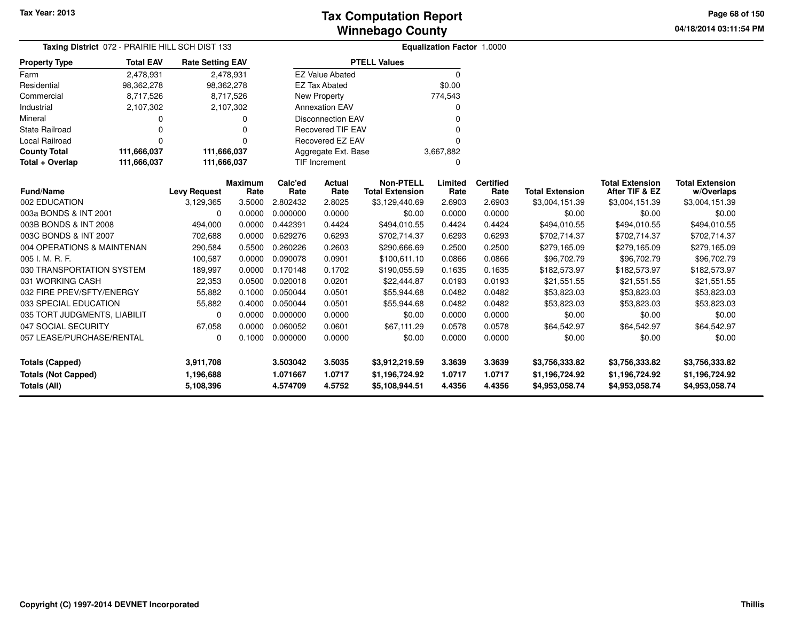**04/18/2014 03:11:54 PM Page 68 of 150**

| Taxing District 072 - PRAIRIE HILL SCH DIST 133 |                  |                         |                                          |                 | <b>Equalization Factor 1.0000</b> |                                            |                 |                          |                        |                                          |                                      |
|-------------------------------------------------|------------------|-------------------------|------------------------------------------|-----------------|-----------------------------------|--------------------------------------------|-----------------|--------------------------|------------------------|------------------------------------------|--------------------------------------|
| <b>Property Type</b>                            | <b>Total EAV</b> | <b>Rate Setting EAV</b> |                                          |                 |                                   | <b>PTELL Values</b>                        |                 |                          |                        |                                          |                                      |
| Farm                                            | 2,478,931        |                         | 2,478,931                                |                 | <b>EZ Value Abated</b>            |                                            | $\mathbf 0$     |                          |                        |                                          |                                      |
| Residential                                     | 98,362,278       | 98,362,278              |                                          |                 | <b>EZ Tax Abated</b>              |                                            | \$0.00          |                          |                        |                                          |                                      |
| Commercial                                      | 8,717,526        |                         | 8,717,526                                |                 | New Property                      |                                            | 774,543         |                          |                        |                                          |                                      |
| Industrial                                      | 2,107,302        |                         | 2,107,302                                |                 | <b>Annexation EAV</b>             |                                            | <sup>0</sup>    |                          |                        |                                          |                                      |
| Mineral                                         | 0                |                         |                                          |                 | <b>Disconnection EAV</b>          |                                            | $\Omega$        |                          |                        |                                          |                                      |
| <b>State Railroad</b>                           | 0                |                         |                                          |                 | <b>Recovered TIF EAV</b>          |                                            | $\Omega$        |                          |                        |                                          |                                      |
| <b>Local Railroad</b>                           | $\Omega$         |                         | O                                        |                 | Recovered EZ EAV                  |                                            | $\Omega$        |                          |                        |                                          |                                      |
| <b>County Total</b>                             | 111,666,037      | 111,666,037             |                                          |                 | Aggregate Ext. Base               |                                            | 3,667,882       |                          |                        |                                          |                                      |
| Total + Overlap                                 | 111,666,037      |                         | 111,666,037<br><b>TIF Increment</b><br>0 |                 |                                   |                                            |                 |                          |                        |                                          |                                      |
| <b>Fund/Name</b>                                |                  | <b>Levy Request</b>     | <b>Maximum</b><br>Rate                   | Calc'ed<br>Rate | <b>Actual</b><br>Rate             | <b>Non-PTELL</b><br><b>Total Extension</b> | Limited<br>Rate | <b>Certified</b><br>Rate | <b>Total Extension</b> | <b>Total Extension</b><br>After TIF & EZ | <b>Total Extension</b><br>w/Overlaps |
| 002 EDUCATION                                   |                  | 3,129,365               | 3.5000                                   | 2.802432        | 2.8025                            | \$3,129,440.69                             | 2.6903          | 2.6903                   | \$3,004,151.39         | \$3,004,151.39                           | \$3,004,151.39                       |
| 003a BONDS & INT 2001                           |                  | $\Omega$                | 0.0000                                   | 0.000000        | 0.0000                            | \$0.00                                     | 0.0000          | 0.0000                   | \$0.00                 | \$0.00                                   | \$0.00                               |
| 003B BONDS & INT 2008                           |                  | 494,000                 | 0.0000                                   | 0.442391        | 0.4424                            | \$494,010.55                               | 0.4424          | 0.4424                   | \$494,010.55           | \$494,010.55                             | \$494,010.55                         |
| 003C BONDS & INT 2007                           |                  | 702,688                 | 0.0000                                   | 0.629276        | 0.6293                            | \$702,714.37                               | 0.6293          | 0.6293                   | \$702,714.37           | \$702,714.37                             | \$702,714.37                         |
| 004 OPERATIONS & MAINTENAN                      |                  | 290,584                 | 0.5500                                   | 0.260226        | 0.2603                            | \$290,666.69                               | 0.2500          | 0.2500                   | \$279,165.09           | \$279,165.09                             | \$279,165.09                         |
| 005 I. M. R. F.                                 |                  | 100,587                 | 0.0000                                   | 0.090078        | 0.0901                            | \$100,611.10                               | 0.0866          | 0.0866                   | \$96,702.79            | \$96,702.79                              | \$96,702.79                          |
| 030 TRANSPORTATION SYSTEM                       |                  | 189,997                 | 0.0000                                   | 0.170148        | 0.1702                            | \$190,055.59                               | 0.1635          | 0.1635                   | \$182,573.97           | \$182,573.97                             | \$182,573.97                         |
| 031 WORKING CASH                                |                  | 22,353                  | 0.0500                                   | 0.020018        | 0.0201                            | \$22,444.87                                | 0.0193          | 0.0193                   | \$21,551.55            | \$21,551.55                              | \$21,551.55                          |
| 032 FIRE PREV/SFTY/ENERGY                       |                  | 55,882                  | 0.1000                                   | 0.050044        | 0.0501                            | \$55,944.68                                | 0.0482          | 0.0482                   | \$53,823.03            | \$53,823.03                              | \$53,823.03                          |
| 033 SPECIAL EDUCATION                           |                  | 55,882                  | 0.4000                                   | 0.050044        | 0.0501                            | \$55,944.68                                | 0.0482          | 0.0482                   | \$53,823.03            | \$53,823.03                              | \$53,823.03                          |
| 035 TORT JUDGMENTS, LIABILIT                    |                  | $\Omega$                | 0.0000                                   | 0.000000        | 0.0000                            | \$0.00                                     | 0.0000          | 0.0000                   | \$0.00                 | \$0.00                                   | \$0.00                               |
| 047 SOCIAL SECURITY                             |                  | 67,058                  | 0.0000                                   | 0.060052        | 0.0601                            | \$67,111.29                                | 0.0578          | 0.0578                   | \$64,542.97            | \$64,542.97                              | \$64,542.97                          |
| 057 LEASE/PURCHASE/RENTAL                       |                  | 0                       | 0.1000                                   | 0.000000        | 0.0000                            | \$0.00                                     | 0.0000          | 0.0000                   | \$0.00                 | \$0.00                                   | \$0.00                               |
| <b>Totals (Capped)</b>                          |                  | 3,911,708               |                                          | 3.503042        | 3.5035                            | \$3,912,219.59                             | 3.3639          | 3.3639                   | \$3,756,333.82         | \$3,756,333.82                           | \$3,756,333.82                       |
| <b>Totals (Not Capped)</b>                      |                  | 1,196,688               |                                          | 1.071667        | 1.0717                            | \$1,196,724.92                             | 1.0717          | 1.0717                   | \$1,196,724.92         | \$1,196,724.92                           | \$1,196,724.92                       |
| <b>Totals (All)</b>                             |                  | 5,108,396               |                                          | 4.574709        | 4.5752                            | \$5,108,944.51                             | 4.4356          | 4.4356                   | \$4,953,058.74         | \$4,953,058.74                           | \$4,953,058.74                       |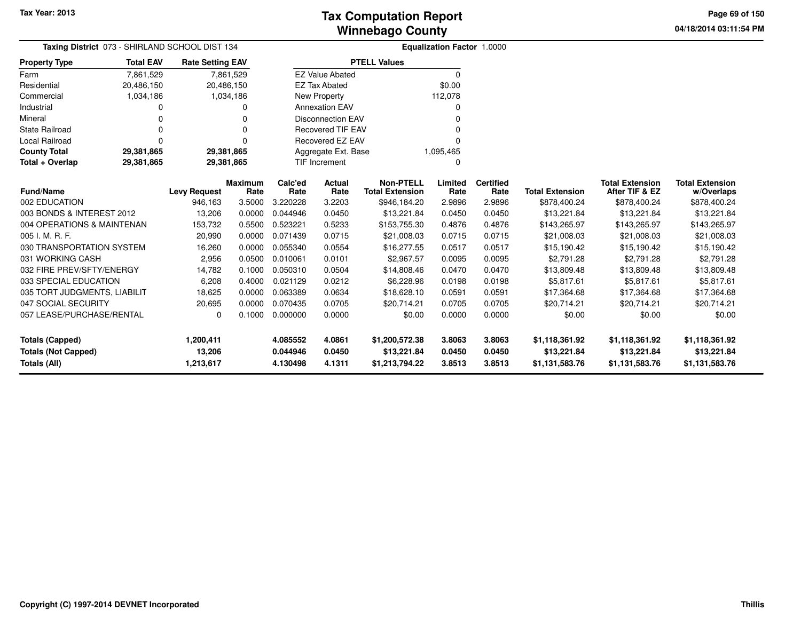**04/18/2014 03:11:54 PM Page 69 of 150**

| <b>Taxing District</b> 073 - SHIRLAND SCHOOL DIST 134 |                  |                         |                 |                 |                          | <b>Equalization Factor 1.0000</b>          |                 |                          |                        |                                          |                                      |
|-------------------------------------------------------|------------------|-------------------------|-----------------|-----------------|--------------------------|--------------------------------------------|-----------------|--------------------------|------------------------|------------------------------------------|--------------------------------------|
| <b>Property Type</b>                                  | <b>Total EAV</b> | <b>Rate Setting EAV</b> |                 |                 |                          | <b>PTELL Values</b>                        |                 |                          |                        |                                          |                                      |
| Farm                                                  | 7,861,529        |                         | 7,861,529       |                 | <b>EZ Value Abated</b>   |                                            | $\Omega$        |                          |                        |                                          |                                      |
| Residential                                           | 20,486,150       | 20,486,150              |                 |                 | <b>EZ Tax Abated</b>     |                                            | \$0.00          |                          |                        |                                          |                                      |
| Commercial                                            | 1,034,186        |                         | 1,034,186       |                 | <b>New Property</b>      |                                            | 112,078         |                          |                        |                                          |                                      |
| Industrial                                            | 0                |                         | $\Omega$        |                 | <b>Annexation EAV</b>    |                                            | 0               |                          |                        |                                          |                                      |
| Mineral                                               |                  |                         | $\Omega$        |                 | <b>Disconnection EAV</b> |                                            | $\Omega$        |                          |                        |                                          |                                      |
| <b>State Railroad</b>                                 | O                |                         | $\Omega$        |                 | <b>Recovered TIF EAV</b> |                                            | $\Omega$        |                          |                        |                                          |                                      |
| Local Railroad                                        | 0                |                         | $\Omega$        |                 | Recovered EZ EAV         |                                            | $\Omega$        |                          |                        |                                          |                                      |
| <b>County Total</b>                                   | 29,381,865       | 29,381,865              |                 |                 | Aggregate Ext. Base      |                                            | 1,095,465       |                          |                        |                                          |                                      |
| Total + Overlap                                       | 29,381,865       | 29,381,865              |                 |                 | TIF Increment            |                                            | 0               |                          |                        |                                          |                                      |
| <b>Fund/Name</b>                                      |                  | <b>Levy Request</b>     | Maximum<br>Rate | Calc'ed<br>Rate | Actual<br>Rate           | <b>Non-PTELL</b><br><b>Total Extension</b> | Limited<br>Rate | <b>Certified</b><br>Rate | <b>Total Extension</b> | <b>Total Extension</b><br>After TIF & EZ | <b>Total Extension</b><br>w/Overlaps |
| 002 EDUCATION                                         |                  | 946,163                 | 3.5000          | 3.220228        | 3.2203                   | \$946,184.20                               | 2.9896          | 2.9896                   | \$878,400.24           | \$878,400.24                             | \$878,400.24                         |
| 003 BONDS & INTEREST 2012                             |                  | 13,206                  | 0.0000          | 0.044946        | 0.0450                   | \$13,221.84                                | 0.0450          | 0.0450                   | \$13,221.84            | \$13,221.84                              | \$13,221.84                          |
| 004 OPERATIONS & MAINTENAN                            |                  | 153,732                 | 0.5500          | 0.523221        | 0.5233                   | \$153,755.30                               | 0.4876          | 0.4876                   | \$143,265.97           | \$143,265.97                             | \$143,265.97                         |
| 005 I. M. R. F.                                       |                  | 20,990                  | 0.0000          | 0.071439        | 0.0715                   | \$21,008.03                                | 0.0715          | 0.0715                   | \$21,008.03            | \$21,008.03                              | \$21,008.03                          |
| 030 TRANSPORTATION SYSTEM                             |                  | 16,260                  | 0.0000          | 0.055340        | 0.0554                   | \$16,277.55                                | 0.0517          | 0.0517                   | \$15,190.42            | \$15,190.42                              | \$15,190.42                          |
| 031 WORKING CASH                                      |                  | 2,956                   | 0.0500          | 0.010061        | 0.0101                   | \$2,967.57                                 | 0.0095          | 0.0095                   | \$2,791.28             | \$2,791.28                               | \$2,791.28                           |
| 032 FIRE PREV/SFTY/ENERGY                             |                  | 14,782                  | 0.1000          | 0.050310        | 0.0504                   | \$14,808.46                                | 0.0470          | 0.0470                   | \$13,809.48            | \$13,809.48                              | \$13,809.48                          |
| 033 SPECIAL EDUCATION                                 |                  | 6,208                   | 0.4000          | 0.021129        | 0.0212                   | \$6,228.96                                 | 0.0198          | 0.0198                   | \$5,817.61             | \$5,817.61                               | \$5,817.61                           |
| 035 TORT JUDGMENTS, LIABILIT                          |                  | 18,625                  | 0.0000          | 0.063389        | 0.0634                   | \$18,628.10                                | 0.0591          | 0.0591                   | \$17,364.68            | \$17,364.68                              | \$17,364.68                          |
| 047 SOCIAL SECURITY                                   |                  | 20,695                  | 0.0000          | 0.070435        | 0.0705                   | \$20,714.21                                | 0.0705          | 0.0705                   | \$20,714.21            | \$20,714.21                              | \$20,714.21                          |
| 057 LEASE/PURCHASE/RENTAL                             |                  | 0                       | 0.1000          | 0.000000        | 0.0000                   | \$0.00                                     | 0.0000          | 0.0000                   | \$0.00                 | \$0.00                                   | \$0.00                               |
| <b>Totals (Capped)</b>                                |                  | 1,200,411               |                 | 4.085552        | 4.0861                   | \$1,200,572.38                             | 3.8063          | 3.8063                   | \$1,118,361.92         | \$1,118,361.92                           | \$1,118,361.92                       |
| <b>Totals (Not Capped)</b>                            |                  | 13,206                  |                 | 0.044946        | 0.0450                   | \$13,221.84                                | 0.0450          | 0.0450                   | \$13,221.84            | \$13,221.84                              | \$13,221.84                          |
| Totals (All)                                          |                  | 1,213,617               |                 | 4.130498        | 4.1311                   | 3.8513<br>\$1,213,794.22                   |                 | 3.8513                   | \$1,131,583.76         | \$1,131,583.76                           | \$1,131,583.76                       |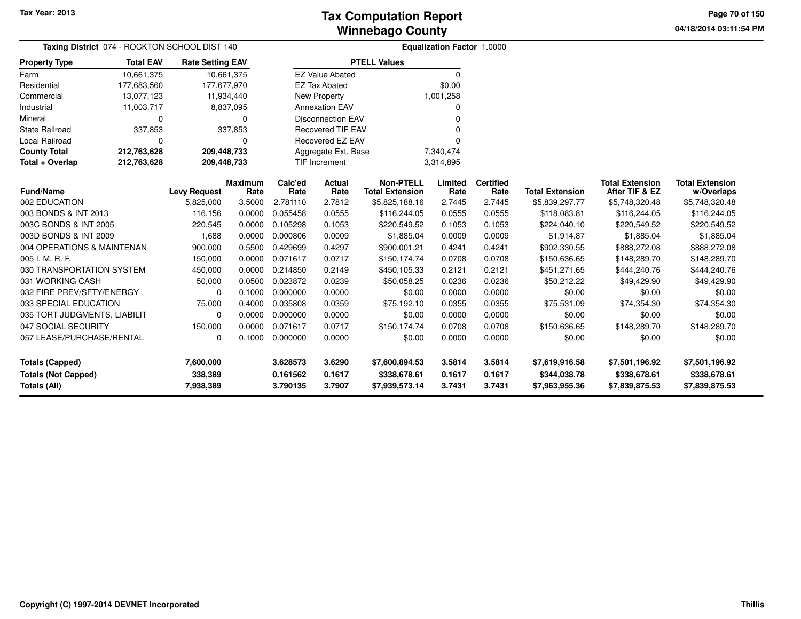**04/18/2014 03:11:54 PM Page 70 of 150**

| Taxing District 074 - ROCKTON SCHOOL DIST 140 |                                                             |                                          |                         | <b>Equalization Factor 1.0000</b> |                          |                                            |                  |                          |                                |                                          |                                      |  |
|-----------------------------------------------|-------------------------------------------------------------|------------------------------------------|-------------------------|-----------------------------------|--------------------------|--------------------------------------------|------------------|--------------------------|--------------------------------|------------------------------------------|--------------------------------------|--|
| <b>Property Type</b>                          | <b>Total EAV</b><br>10,661,375<br>177,683,560<br>13,077,123 |                                          | <b>Rate Setting EAV</b> |                                   |                          | <b>PTELL Values</b>                        |                  |                          |                                |                                          |                                      |  |
| Farm                                          |                                                             |                                          | 10,661,375              |                                   | <b>EZ Value Abated</b>   |                                            | $\Omega$         |                          |                                |                                          |                                      |  |
| Residential                                   |                                                             | 177,677,970                              |                         |                                   | <b>EZ Tax Abated</b>     |                                            | \$0.00           |                          |                                |                                          |                                      |  |
| Commercial                                    |                                                             |                                          | 11,934,440              |                                   | <b>New Property</b>      |                                            | 1,001,258        |                          |                                |                                          |                                      |  |
| Industrial                                    | 11,003,717                                                  |                                          | 8,837,095               |                                   | <b>Annexation EAV</b>    |                                            | 0                |                          |                                |                                          |                                      |  |
| Mineral                                       | 0                                                           |                                          | 0                       |                                   | <b>Disconnection EAV</b> |                                            | 0                |                          |                                |                                          |                                      |  |
| <b>State Railroad</b>                         | 337,853                                                     | 337,853<br><b>Recovered TIF EAV</b><br>ŋ |                         |                                   |                          |                                            |                  |                          |                                |                                          |                                      |  |
| <b>Local Railroad</b>                         | $\Omega$                                                    |                                          | ŋ                       |                                   | Recovered EZ EAV         |                                            |                  |                          |                                |                                          |                                      |  |
| <b>County Total</b>                           | 212,763,628                                                 | 209,448,733                              |                         |                                   | Aggregate Ext. Base      |                                            | 7,340,474        |                          |                                |                                          |                                      |  |
| Total + Overlap                               | 212,763,628                                                 | 209,448,733                              |                         |                                   | <b>TIF Increment</b>     |                                            | 3,314,895        |                          |                                |                                          |                                      |  |
| <b>Fund/Name</b>                              |                                                             | <b>Levy Request</b>                      | <b>Maximum</b><br>Rate  | Calc'ed<br>Rate                   | Actual<br>Rate           | <b>Non-PTELL</b><br><b>Total Extension</b> | Limited<br>Rate  | <b>Certified</b><br>Rate | <b>Total Extension</b>         | <b>Total Extension</b><br>After TIF & EZ | <b>Total Extension</b><br>w/Overlaps |  |
| 002 EDUCATION                                 |                                                             | 5,825,000                                | 3.5000                  | 2.781110                          | 2.7812                   | \$5,825,188.16                             | 2.7445           | 2.7445                   | \$5,839,297.77                 | \$5,748,320.48                           | \$5,748,320.48                       |  |
| 003 BONDS & INT 2013                          |                                                             | 116,156                                  | 0.0000                  | 0.055458                          | 0.0555                   | \$116,244.05                               | 0.0555           | 0.0555                   | \$118,083.81                   | \$116,244.05                             | \$116,244.05                         |  |
| 003C BONDS & INT 2005                         |                                                             | 220,545                                  | 0.0000                  | 0.105298                          | 0.1053                   | \$220,549.52                               | 0.1053           | 0.1053                   | \$224,040.10                   | \$220,549.52                             | \$220,549.52                         |  |
| 003D BONDS & INT 2009                         |                                                             | 1,688                                    | 0.0000                  | 0.000806                          | 0.0009                   | \$1,885.04                                 | 0.0009           | 0.0009                   | \$1,914.87                     | \$1,885.04                               | \$1,885.04                           |  |
| 004 OPERATIONS & MAINTENAN                    |                                                             | 900,000                                  | 0.5500                  | 0.429699                          | 0.4297                   | \$900,001.21                               | 0.4241           | 0.4241                   | \$902,330.55                   | \$888,272.08                             | \$888,272.08                         |  |
| 005 I. M. R. F.                               |                                                             | 150,000                                  | 0.0000                  | 0.071617                          | 0.0717                   | \$150,174.74                               | 0.0708           | 0.0708                   | \$150,636.65                   | \$148,289.70                             | \$148,289.70                         |  |
| 030 TRANSPORTATION SYSTEM                     |                                                             | 450,000                                  | 0.0000                  | 0.214850                          | 0.2149                   | \$450,105.33                               | 0.2121           | 0.2121                   | \$451,271.65                   | \$444,240.76                             | \$444,240.76                         |  |
| 031 WORKING CASH                              |                                                             | 50,000                                   | 0.0500                  | 0.023872                          | 0.0239                   | \$50,058.25                                | 0.0236           | 0.0236                   | \$50,212.22                    | \$49,429.90                              | \$49,429.90                          |  |
| 032 FIRE PREV/SFTY/ENERGY                     |                                                             | $\Omega$                                 | 0.1000                  | 0.000000                          | 0.0000                   | \$0.00                                     | 0.0000           | 0.0000                   | \$0.00                         | \$0.00                                   | \$0.00                               |  |
| 033 SPECIAL EDUCATION                         |                                                             | 75,000                                   | 0.4000                  | 0.035808                          | 0.0359                   | \$75,192.10                                | 0.0355           | 0.0355                   | \$75,531.09                    | \$74,354.30                              | \$74,354.30                          |  |
| 035 TORT JUDGMENTS, LIABILIT                  |                                                             | $\Omega$                                 | 0.0000                  | 0.000000                          | 0.0000                   | \$0.00                                     | 0.0000           | 0.0000                   | \$0.00                         | \$0.00                                   | \$0.00                               |  |
| 047 SOCIAL SECURITY                           |                                                             | 150,000                                  | 0.0000                  | 0.071617                          | 0.0717                   | \$150,174.74                               | 0.0708           | 0.0708                   | \$150,636.65                   | \$148,289.70                             | \$148,289.70                         |  |
| 057 LEASE/PURCHASE/RENTAL                     |                                                             | 0                                        | 0.1000                  | 0.000000                          | 0.0000                   | \$0.00                                     | 0.0000           | 0.0000                   | \$0.00                         | \$0.00                                   | \$0.00                               |  |
| <b>Totals (Capped)</b>                        |                                                             | 7,600,000                                |                         | 3.628573                          | 3.6290                   | \$7,600,894.53                             | 3.5814           | 3.5814                   | \$7,619,916.58                 | \$7,501,196.92                           | \$7,501,196.92                       |  |
| <b>Totals (Not Capped)</b><br>Totals (All)    |                                                             | 338,389<br>7,938,389                     |                         | 0.161562<br>3.790135              | 0.1617<br>3.7907         | \$338,678.61<br>\$7,939,573.14             | 0.1617<br>3.7431 | 0.1617<br>3.7431         | \$344,038.78<br>\$7,963,955.36 | \$338,678.61<br>\$7,839,875.53           | \$338,678.61<br>\$7,839,875.53       |  |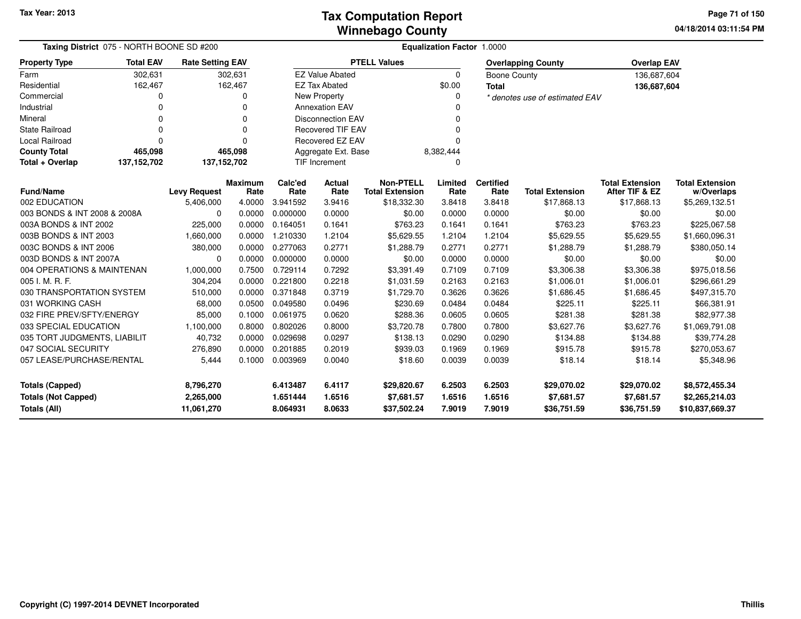**04/18/2014 03:11:54 PM Page 71 of 150**

| <b>Taxing District 075 - NORTH BOONE SD #200</b>                            |                  |                                      |                        | <b>Equalization Factor 1.0000</b> |                            |                                            |                            |                            |                                          |                                          |                                                     |  |  |
|-----------------------------------------------------------------------------|------------------|--------------------------------------|------------------------|-----------------------------------|----------------------------|--------------------------------------------|----------------------------|----------------------------|------------------------------------------|------------------------------------------|-----------------------------------------------------|--|--|
| <b>Property Type</b>                                                        | <b>Total EAV</b> | <b>Rate Setting EAV</b>              |                        |                                   |                            | <b>PTELL Values</b>                        |                            |                            | <b>Overlapping County</b>                | <b>Overlap EAV</b>                       |                                                     |  |  |
| Farm                                                                        | 302,631          |                                      | 302,631                |                                   | <b>EZ Value Abated</b>     |                                            | 0                          | <b>Boone County</b>        |                                          | 136,687,604                              |                                                     |  |  |
| Residential                                                                 | 162,467          |                                      | 162,467                |                                   | <b>EZ Tax Abated</b>       |                                            | \$0.00                     | <b>Total</b>               |                                          | 136,687,604                              |                                                     |  |  |
| Commercial                                                                  | 0                |                                      | 0                      |                                   | New Property               |                                            | 0                          |                            | * denotes use of estimated EAV           |                                          |                                                     |  |  |
| Industrial                                                                  | 0                |                                      | 0                      |                                   | <b>Annexation EAV</b>      |                                            |                            |                            |                                          |                                          |                                                     |  |  |
| Mineral                                                                     | 0                |                                      | 0                      |                                   | <b>Disconnection EAV</b>   |                                            | $\Omega$                   |                            |                                          |                                          |                                                     |  |  |
| <b>State Railroad</b>                                                       | $\Omega$         |                                      | 0                      |                                   | <b>Recovered TIF EAV</b>   |                                            |                            |                            |                                          |                                          |                                                     |  |  |
| <b>Local Railroad</b>                                                       | 0                |                                      | 0                      |                                   | <b>Recovered EZ EAV</b>    |                                            | $\Omega$                   |                            |                                          |                                          |                                                     |  |  |
| <b>County Total</b>                                                         | 465,098          |                                      | 465,098                |                                   | Aggregate Ext. Base        |                                            | 8,382,444                  |                            |                                          |                                          |                                                     |  |  |
| Total + Overlap                                                             | 137, 152, 702    | 137, 152, 702                        |                        |                                   | TIF Increment              |                                            | 0                          |                            |                                          |                                          |                                                     |  |  |
| <b>Fund/Name</b>                                                            |                  | <b>Levy Request</b>                  | <b>Maximum</b><br>Rate | Calc'ed<br>Rate                   | Actual<br>Rate             | <b>Non-PTELL</b><br><b>Total Extension</b> | Limited<br>Rate            | <b>Certified</b><br>Rate   | <b>Total Extension</b>                   | <b>Total Extension</b><br>After TIF & EZ | <b>Total Extension</b><br>w/Overlaps                |  |  |
| 002 EDUCATION                                                               |                  | 5,406,000                            | 4.0000                 | 3.941592                          | 3.9416                     | \$18,332.30                                | 3.8418                     | 3.8418                     | \$17,868.13                              | \$17,868.13                              | \$5,269,132.51                                      |  |  |
| 003 BONDS & INT 2008 & 2008A                                                |                  | $\mathbf 0$                          | 0.0000                 | 0.000000                          | 0.0000                     | \$0.00                                     | 0.0000                     | 0.0000                     | \$0.00                                   | \$0.00                                   | \$0.00                                              |  |  |
| 003A BONDS & INT 2002                                                       |                  | 225,000                              | 0.0000                 | 0.164051                          | 0.1641                     | \$763.23                                   | 0.1641                     | 0.1641                     | \$763.23                                 | \$763.23                                 | \$225,067.58                                        |  |  |
| 003B BONDS & INT 2003                                                       |                  | 1,660,000                            | 0.0000                 | 1.210330                          | 1.2104                     | \$5,629.55                                 | 1.2104                     | 1.2104                     | \$5,629.55                               | \$5,629.55                               | \$1,660,096.31                                      |  |  |
| 003C BONDS & INT 2006                                                       |                  | 380,000                              | 0.0000                 | 0.277063                          | 0.2771                     | \$1,288.79                                 | 0.2771                     | 0.2771                     | \$1,288.79                               | \$1,288.79                               | \$380,050.14                                        |  |  |
| 003D BONDS & INT 2007A                                                      |                  | 0                                    | 0.0000                 | 0.000000                          | 0.0000                     | \$0.00                                     | 0.0000                     | 0.0000                     | \$0.00                                   | \$0.00                                   | \$0.00                                              |  |  |
| 004 OPERATIONS & MAINTENAN                                                  |                  | 1,000,000                            | 0.7500                 | 0.729114                          | 0.7292                     | \$3,391.49                                 | 0.7109                     | 0.7109                     | \$3,306.38                               | \$3,306.38                               | \$975,018.56                                        |  |  |
| 005 I. M. R. F.                                                             |                  | 304,204                              | 0.0000                 | 0.221800                          | 0.2218                     | \$1,031.59                                 | 0.2163                     | 0.2163                     | \$1,006.01                               | \$1,006.01                               | \$296,661.29                                        |  |  |
| 030 TRANSPORTATION SYSTEM                                                   |                  | 510,000                              | 0.0000                 | 0.371848                          | 0.3719                     | \$1,729.70                                 | 0.3626                     | 0.3626                     | \$1,686.45                               | \$1,686.45                               | \$497,315.70                                        |  |  |
| 031 WORKING CASH                                                            |                  | 68,000                               | 0.0500                 | 0.049580                          | 0.0496                     | \$230.69                                   | 0.0484                     | 0.0484                     | \$225.11                                 | \$225.11                                 | \$66,381.91                                         |  |  |
| 032 FIRE PREV/SFTY/ENERGY                                                   |                  | 85,000                               | 0.1000                 | 0.061975                          | 0.0620                     | \$288.36                                   | 0.0605                     | 0.0605                     | \$281.38                                 | \$281.38                                 | \$82,977.38                                         |  |  |
| 033 SPECIAL EDUCATION                                                       |                  | 1,100,000                            | 0.8000                 | 0.802026                          | 0.8000                     | \$3,720.78                                 | 0.7800                     | 0.7800                     | \$3,627.76                               | \$3,627.76                               | \$1,069,791.08                                      |  |  |
| 035 TORT JUDGMENTS, LIABILIT                                                |                  | 40,732                               | 0.0000                 | 0.029698                          | 0.0297                     | \$138.13                                   | 0.0290                     | 0.0290                     | \$134.88                                 | \$134.88                                 | \$39,774.28                                         |  |  |
| 047 SOCIAL SECURITY                                                         |                  | 276,890                              | 0.0000                 | 0.201885                          | 0.2019                     | \$939.03                                   | 0.1969                     | 0.1969                     | \$915.78                                 | \$915.78                                 | \$270,053.67                                        |  |  |
| 057 LEASE/PURCHASE/RENTAL                                                   |                  | 5,444                                | 0.1000                 | 0.003969                          | 0.0040                     | \$18.60                                    | 0.0039                     | 0.0039                     | \$18.14                                  | \$18.14                                  | \$5,348.96                                          |  |  |
| <b>Totals (Capped)</b><br><b>Totals (Not Capped)</b><br><b>Totals (All)</b> |                  | 8,796,270<br>2,265,000<br>11,061,270 |                        | 6.413487<br>1.651444<br>8.064931  | 6.4117<br>1.6516<br>8.0633 | \$29,820.67<br>\$7,681.57<br>\$37,502.24   | 6.2503<br>1.6516<br>7.9019 | 6.2503<br>1.6516<br>7.9019 | \$29,070.02<br>\$7,681.57<br>\$36,751.59 | \$29,070.02<br>\$7,681.57<br>\$36,751.59 | \$8,572,455.34<br>\$2,265,214.03<br>\$10,837,669.37 |  |  |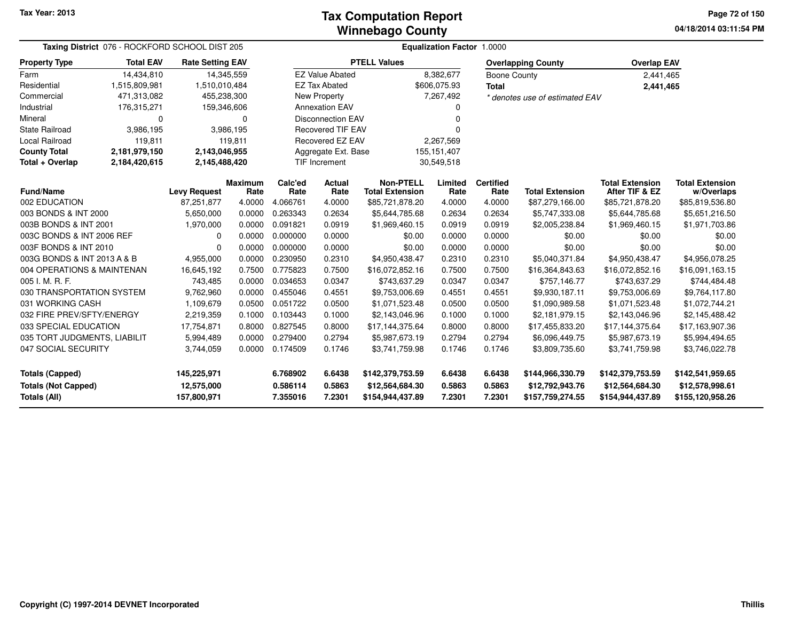**04/18/2014 03:11:54 PM Page 72 of 150**

| Taxing District 076 - ROCKFORD SCHOOL DIST 205                                     |                  |                                          |                        | <b>Equalization Factor 1.0000</b> |                            |                                                         |                            |                            |                                                         |                                                         |                                                         |  |  |  |
|------------------------------------------------------------------------------------|------------------|------------------------------------------|------------------------|-----------------------------------|----------------------------|---------------------------------------------------------|----------------------------|----------------------------|---------------------------------------------------------|---------------------------------------------------------|---------------------------------------------------------|--|--|--|
| <b>Property Type</b>                                                               | <b>Total EAV</b> | <b>Rate Setting EAV</b>                  |                        |                                   |                            | <b>PTELL Values</b>                                     |                            |                            | <b>Overlapping County</b>                               | <b>Overlap EAV</b>                                      |                                                         |  |  |  |
| Farm                                                                               | 14,434,810       |                                          | 14,345,559             |                                   | <b>EZ Value Abated</b>     |                                                         | 8,382,677                  | Boone County               |                                                         | 2,441,465                                               |                                                         |  |  |  |
| Residential                                                                        | 1,515,809,981    | 1,510,010,484                            |                        |                                   | <b>EZ Tax Abated</b>       |                                                         | \$606,075.93               | <b>Total</b>               |                                                         | 2,441,465                                               |                                                         |  |  |  |
| Commercial                                                                         | 471,313,082      | 455,238,300                              |                        |                                   | New Property               |                                                         | 7,267,492                  |                            | * denotes use of estimated EAV                          |                                                         |                                                         |  |  |  |
| Industrial                                                                         | 176,315,271      | 159,346,606                              |                        |                                   | <b>Annexation EAV</b>      |                                                         | 0                          |                            |                                                         |                                                         |                                                         |  |  |  |
| Mineral                                                                            | 0                |                                          | 0                      |                                   | <b>Disconnection EAV</b>   |                                                         | $\Omega$                   |                            |                                                         |                                                         |                                                         |  |  |  |
| <b>State Railroad</b>                                                              | 3,986,195        |                                          | 3,986,195              |                                   | <b>Recovered TIF EAV</b>   |                                                         | 0                          |                            |                                                         |                                                         |                                                         |  |  |  |
| Local Railroad                                                                     | 119,811          |                                          | 119,811                |                                   | Recovered EZ EAV           |                                                         | 2,267,569                  |                            |                                                         |                                                         |                                                         |  |  |  |
| <b>County Total</b>                                                                | 2,181,979,150    | 2,143,046,955                            |                        |                                   | Aggregate Ext. Base        |                                                         | 155, 151, 407              |                            |                                                         |                                                         |                                                         |  |  |  |
| Total + Overlap                                                                    | 2,184,420,615    | 2,145,488,420                            |                        |                                   | <b>TIF Increment</b>       |                                                         | 30,549,518                 |                            |                                                         |                                                         |                                                         |  |  |  |
| <b>Fund/Name</b>                                                                   |                  | <b>Levy Request</b>                      | <b>Maximum</b><br>Rate | Calc'ed<br>Rate                   | <b>Actual</b><br>Rate      | <b>Non-PTELL</b><br><b>Total Extension</b>              | Limited<br>Rate            | <b>Certified</b><br>Rate   | <b>Total Extension</b>                                  | <b>Total Extension</b><br>After TIF & EZ                | <b>Total Extension</b><br>w/Overlaps                    |  |  |  |
| 002 EDUCATION                                                                      |                  | 87,251,877                               | 4.0000                 | 4.066761                          | 4.0000                     | \$85,721,878.20                                         | 4.0000                     | 4.0000                     | \$87,279,166.00                                         | \$85,721,878.20                                         | \$85,819,536.80                                         |  |  |  |
| 003 BONDS & INT 2000                                                               |                  | 5,650,000                                | 0.0000                 | 0.263343                          | 0.2634                     | \$5,644,785.68                                          | 0.2634                     | 0.2634                     | \$5,747,333.08                                          | \$5,644,785.68                                          | \$5,651,216.50                                          |  |  |  |
| 003B BONDS & INT 2001                                                              |                  | 1,970,000                                | 0.0000                 | 0.091821                          | 0.0919                     | \$1,969,460.15                                          | 0.0919                     | 0.0919                     | \$2,005,238.84<br>\$1,969,460.15                        |                                                         | \$1,971,703.86                                          |  |  |  |
| 003C BONDS & INT 2006 REF                                                          |                  | 0                                        | 0.0000                 | 0.000000                          | 0.0000                     | \$0.00                                                  | 0.0000                     | 0.0000                     | \$0.00                                                  | \$0.00                                                  |                                                         |  |  |  |
| 003F BONDS & INT 2010                                                              |                  | 0                                        | 0.0000                 | 0.000000                          | 0.0000                     | \$0.00                                                  | 0.0000                     | 0.0000                     | \$0.00                                                  | \$0.00                                                  | \$0.00                                                  |  |  |  |
| 003G BONDS & INT 2013 A & B                                                        |                  | 4,955,000                                | 0.0000                 | 0.230950                          | 0.2310                     | \$4,950,438.47                                          | 0.2310                     | 0.2310                     | \$5,040,371.84                                          | \$4,950,438.47                                          | \$4,956,078.25                                          |  |  |  |
| 004 OPERATIONS & MAINTENAN                                                         |                  | 16,645,192                               | 0.7500                 | 0.775823                          | 0.7500                     | \$16,072,852.16                                         | 0.7500                     | 0.7500                     | \$16,364,843.63                                         | \$16,072,852.16                                         | \$16,091,163.15                                         |  |  |  |
| 005 I. M. R. F.                                                                    |                  | 743,485                                  | 0.0000                 | 0.034653                          | 0.0347                     | \$743,637.29                                            | 0.0347                     | 0.0347                     | \$757,146.77                                            | \$743,637.29                                            | \$744,484.48                                            |  |  |  |
| 030 TRANSPORTATION SYSTEM                                                          |                  | 9,762,960                                | 0.0000                 | 0.455046                          | 0.4551                     | \$9,753,006.69                                          | 0.4551                     | 0.4551                     | \$9,930,187.11                                          | \$9,753,006.69                                          | \$9,764,117.80                                          |  |  |  |
| 031 WORKING CASH                                                                   |                  | 1,109,679                                | 0.0500                 | 0.051722                          | 0.0500                     | \$1,071,523.48                                          | 0.0500                     | 0.0500                     | \$1,090,989.58                                          | \$1,071,523.48                                          | \$1,072,744.21                                          |  |  |  |
| 032 FIRE PREV/SFTY/ENERGY                                                          |                  | 2,219,359                                | 0.1000                 | 0.103443                          | 0.1000                     | \$2,143,046.96                                          | 0.1000                     | 0.1000                     | \$2,181,979.15                                          | \$2,143,046.96                                          | \$2,145,488.42                                          |  |  |  |
| 033 SPECIAL EDUCATION                                                              |                  | 17,754,871                               | 0.8000                 | 0.827545                          | 0.8000                     | \$17,144,375.64                                         | 0.8000                     | 0.8000                     | \$17,455,833.20                                         | \$17,144,375.64                                         | \$17,163,907.36                                         |  |  |  |
| 035 TORT JUDGMENTS, LIABILIT                                                       |                  | 5,994,489                                | 0.0000                 | 0.279400                          | 0.2794                     | \$5,987,673.19                                          | 0.2794                     | 0.2794                     | \$6,096,449.75                                          | \$5,987,673.19                                          | \$5,994,494.65                                          |  |  |  |
| 047 SOCIAL SECURITY<br>0.174509<br>3,744,059<br>0.0000<br>0.1746<br>\$3,741,759.98 |                  | 0.1746                                   | 0.1746                 | \$3,809,735.60                    | \$3,741,759.98             | \$3,746,022.78                                          |                            |                            |                                                         |                                                         |                                                         |  |  |  |
| <b>Totals (Capped)</b><br><b>Totals (Not Capped)</b><br><b>Totals (All)</b>        |                  | 145,225,971<br>12,575,000<br>157,800,971 |                        | 6.768902<br>0.586114<br>7.355016  | 6.6438<br>0.5863<br>7.2301 | \$142,379,753.59<br>\$12,564,684.30<br>\$154,944,437.89 | 6.6438<br>0.5863<br>7.2301 | 6.6438<br>0.5863<br>7.2301 | \$144,966,330.79<br>\$12,792,943.76<br>\$157,759,274.55 | \$142,379,753.59<br>\$12,564,684.30<br>\$154,944,437.89 | \$142,541,959.65<br>\$12,578,998.61<br>\$155,120,958.26 |  |  |  |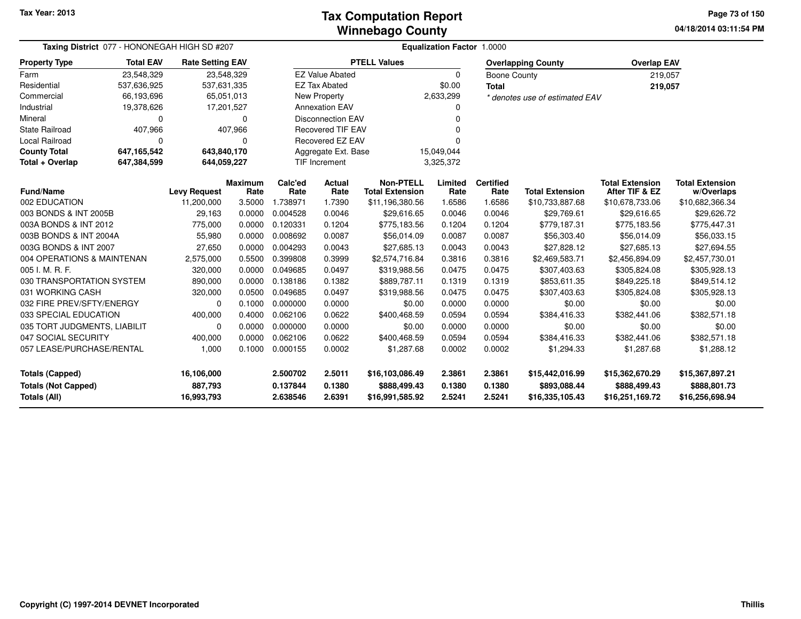#### **Winnebago CountyTax Computation Report**

**04/18/2014 03:11:54 PM Page 73 of 150**

| Taxing District 077 - HONONEGAH HIGH SD #207<br><b>Rate Setting EAV</b>     |                                     |             |                                  | <b>Equalization Factor 1.0000</b> |                                                    |                                            |                            |                                                    |                                                    |                                                    |                                      |  |  |
|-----------------------------------------------------------------------------|-------------------------------------|-------------|----------------------------------|-----------------------------------|----------------------------------------------------|--------------------------------------------|----------------------------|----------------------------------------------------|----------------------------------------------------|----------------------------------------------------|--------------------------------------|--|--|
| <b>Property Type</b>                                                        | <b>Total EAV</b>                    |             |                                  |                                   |                                                    | <b>PTELL Values</b>                        |                            |                                                    | <b>Overlapping County</b>                          | <b>Overlap EAV</b>                                 |                                      |  |  |
| Farm                                                                        | 23,548,329                          |             | 23,548,329                       |                                   | <b>EZ Value Abated</b>                             |                                            | 0                          | <b>Boone County</b>                                |                                                    | 219,057                                            |                                      |  |  |
| Residential                                                                 | 537,636,925                         | 537,631,335 |                                  |                                   | <b>EZ Tax Abated</b>                               |                                            | \$0.00                     | <b>Total</b>                                       |                                                    | 219,057                                            |                                      |  |  |
| Commercial                                                                  | 66,193,696                          |             | 65,051,013                       |                                   | <b>New Property</b>                                |                                            | 2,633,299                  |                                                    | * denotes use of estimated EAV                     |                                                    |                                      |  |  |
| Industrial                                                                  | 19,378,626                          |             | 17,201,527                       |                                   | <b>Annexation EAV</b>                              |                                            |                            |                                                    |                                                    |                                                    |                                      |  |  |
| Mineral                                                                     | 0                                   |             | 0                                |                                   | <b>Disconnection EAV</b>                           |                                            |                            |                                                    |                                                    |                                                    |                                      |  |  |
| <b>State Railroad</b>                                                       | 407,966                             |             | 407,966                          |                                   | <b>Recovered TIF EAV</b>                           |                                            |                            |                                                    |                                                    |                                                    |                                      |  |  |
| Local Railroad                                                              | $\Omega$                            |             | $\Omega$                         |                                   | Recovered EZ EAV                                   |                                            |                            |                                                    |                                                    |                                                    |                                      |  |  |
| <b>County Total</b>                                                         | 647,165,542                         | 643,840,170 |                                  |                                   | Aggregate Ext. Base                                |                                            | 15,049,044                 |                                                    |                                                    |                                                    |                                      |  |  |
| Total + Overlap                                                             | 647,384,599                         | 644,059,227 |                                  |                                   | TIF Increment<br>3,325,372                         |                                            |                            |                                                    |                                                    |                                                    |                                      |  |  |
| <b>Fund/Name</b>                                                            | <b>Levy Request</b>                 |             | <b>Maximum</b><br>Rate           | Calc'ed<br>Rate                   | <b>Actual</b><br>Rate                              | <b>Non-PTELL</b><br><b>Total Extension</b> | Limited<br>Rate            | <b>Certified</b><br>Rate                           | <b>Total Extension</b>                             | <b>Total Extension</b><br>After TIF & EZ           | <b>Total Extension</b><br>w/Overlaps |  |  |
| 002 EDUCATION                                                               |                                     | 11,200,000  | 3.5000                           | 1.738971                          | 1.7390                                             | \$11,196,380.56                            | 1.6586                     | 1.6586                                             | \$10,733,887.68                                    | \$10,678,733.06                                    | \$10,682,366.34                      |  |  |
| 003 BONDS & INT 2005B                                                       |                                     | 29,163      | 0.0000                           | 0.004528                          | 0.0046                                             | \$29,616.65                                | 0.0046                     | 0.0046                                             | \$29,769.61                                        | \$29,616.65                                        | \$29,626.72                          |  |  |
| 003A BONDS & INT 2012                                                       |                                     | 775,000     | 0.0000                           | 0.120331                          | 0.1204                                             | \$775,183.56                               | 0.1204                     | 0.1204                                             | \$779,187.31                                       | \$775,183.56                                       | \$775,447.31                         |  |  |
| 003B BONDS & INT 2004A                                                      |                                     | 55,980      | 0.0000                           | 0.008692                          | 0.0087                                             | \$56,014.09                                | 0.0087                     | 0.0087                                             | \$56,303.40                                        | \$56,014.09                                        | \$56,033.15                          |  |  |
| 003G BONDS & INT 2007                                                       |                                     | 27,650      | 0.0000                           | 0.004293                          | 0.0043                                             | \$27,685.13                                | 0.0043                     | 0.0043                                             | \$27,828.12                                        | \$27,685.13                                        | \$27,694.55                          |  |  |
| 004 OPERATIONS & MAINTENAN                                                  |                                     | 2,575,000   | 0.5500                           | 0.399808                          | 0.3999                                             | \$2,574,716.84                             | 0.3816                     | 0.3816                                             | \$2,469,583.71                                     | \$2,456,894.09                                     | \$2,457,730.01                       |  |  |
| 005 I. M. R. F.                                                             |                                     | 320,000     | 0.0000                           | 0.049685                          | 0.0497                                             | \$319,988.56                               | 0.0475                     | 0.0475                                             | \$307,403.63                                       | \$305,824.08                                       | \$305,928.13                         |  |  |
| 030 TRANSPORTATION SYSTEM                                                   |                                     | 890,000     | 0.0000                           | 0.138186                          | 0.1382                                             | \$889,787.11                               | 0.1319                     | 0.1319                                             | \$853,611.35                                       | \$849,225.18                                       | \$849,514.12                         |  |  |
| 031 WORKING CASH                                                            |                                     | 320,000     | 0.0500                           | 0.049685                          | 0.0497                                             | \$319,988.56                               | 0.0475                     | 0.0475                                             | \$307,403.63                                       | \$305,824.08                                       | \$305,928.13                         |  |  |
| 032 FIRE PREV/SFTY/ENERGY                                                   |                                     | $\Omega$    | 0.1000                           | 0.000000                          | 0.0000                                             | \$0.00                                     | 0.0000                     | 0.0000                                             | \$0.00                                             | \$0.00                                             | \$0.00                               |  |  |
| 033 SPECIAL EDUCATION                                                       |                                     | 400,000     | 0.4000                           | 0.062106                          | 0.0622                                             | \$400,468.59                               | 0.0594                     | 0.0594                                             | \$384,416.33                                       | \$382,441.06                                       | \$382,571.18                         |  |  |
| 035 TORT JUDGMENTS, LIABILIT                                                |                                     | $\Omega$    | 0.0000                           | 0.000000                          | 0.0000                                             | \$0.00                                     | 0.0000                     | 0.0000                                             | \$0.00                                             | \$0.00                                             | \$0.00                               |  |  |
| 047 SOCIAL SECURITY                                                         |                                     | 400,000     | 0.0000                           | 0.062106                          | 0.0622                                             | \$400,468.59                               | 0.0594                     | 0.0594                                             | \$384,416.33                                       | \$382,441.06                                       | \$382,571.18                         |  |  |
| 057 LEASE/PURCHASE/RENTAL                                                   |                                     | 1,000       | 0.1000                           | 0.000155                          | 0.0002                                             | \$1,287.68                                 | 0.0002                     | 0.0002                                             | \$1,294.33                                         | \$1,287.68                                         | \$1,288.12                           |  |  |
| <b>Totals (Capped)</b><br><b>Totals (Not Capped)</b><br><b>Totals (All)</b> | 16,106,000<br>887,793<br>16,993,793 |             | 2.500702<br>0.137844<br>2.638546 | 2.5011<br>0.1380<br>2.6391        | \$16,103,086.49<br>\$888,499.43<br>\$16,991,585.92 | 2.3861<br>0.1380<br>2.5241                 | 2.3861<br>0.1380<br>2.5241 | \$15,442,016.99<br>\$893,088.44<br>\$16,335,105.43 | \$15,362,670.29<br>\$888,499.43<br>\$16,251,169.72 | \$15,367,897.21<br>\$888,801.73<br>\$16,256,698.94 |                                      |  |  |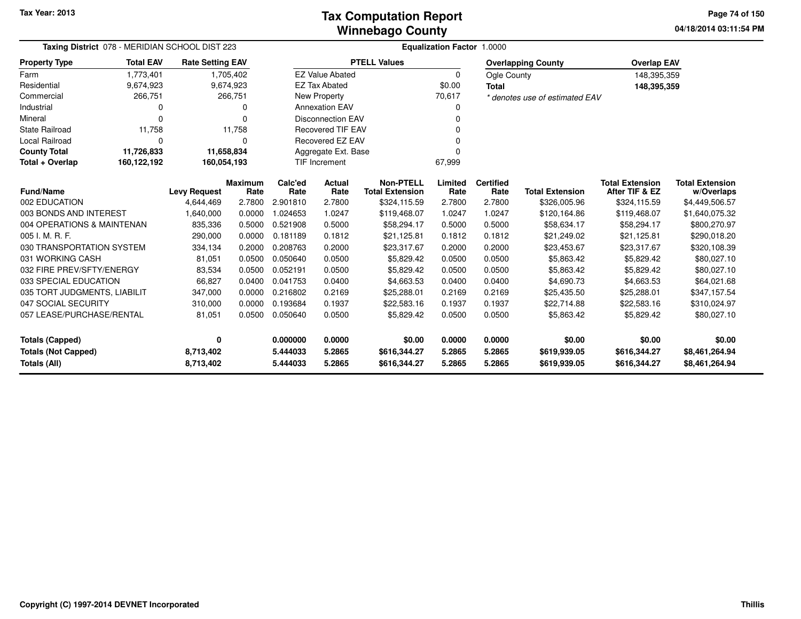**04/18/2014 03:11:54 PM Page 74 of 150**

| Taxing District 078 - MERIDIAN SCHOOL DIST 223 |                  |                                               |                        |                 |                          |                                            | <b>Equalization Factor 1.0000</b> |                          |                                |                                          |                                      |
|------------------------------------------------|------------------|-----------------------------------------------|------------------------|-----------------|--------------------------|--------------------------------------------|-----------------------------------|--------------------------|--------------------------------|------------------------------------------|--------------------------------------|
| <b>Property Type</b>                           | <b>Total EAV</b> | <b>Rate Setting EAV</b>                       |                        |                 |                          | <b>PTELL Values</b>                        |                                   |                          | <b>Overlapping County</b>      | <b>Overlap EAV</b>                       |                                      |
| Farm                                           | 1,773,401        |                                               | 1,705,402              |                 | <b>EZ Value Abated</b>   |                                            | $\Omega$                          | Ogle County              |                                | 148,395,359                              |                                      |
| Residential                                    | 9,674,923        |                                               | 9,674,923              |                 | <b>EZ Tax Abated</b>     |                                            | \$0.00                            | <b>Total</b>             |                                | 148,395,359                              |                                      |
| Commercial                                     | 266,751          |                                               | 266,751                |                 | New Property             |                                            | 70,617                            |                          | * denotes use of estimated EAV |                                          |                                      |
| Industrial                                     |                  |                                               | 0                      |                 | <b>Annexation EAV</b>    |                                            |                                   |                          |                                |                                          |                                      |
| Mineral                                        |                  |                                               | 0                      |                 | <b>Disconnection EAV</b> |                                            |                                   |                          |                                |                                          |                                      |
| <b>State Railroad</b>                          | 11,758           |                                               | 11,758                 |                 | <b>Recovered TIF EAV</b> |                                            |                                   |                          |                                |                                          |                                      |
| Local Railroad                                 | $\Omega$         |                                               | 0                      |                 | Recovered EZ EAV         |                                            |                                   |                          |                                |                                          |                                      |
| <b>County Total</b>                            | 11,726,833       |                                               | 11,658,834             |                 | Aggregate Ext. Base      |                                            |                                   |                          |                                |                                          |                                      |
| Total + Overlap                                | 160,122,192      | 160,054,193<br><b>TIF Increment</b><br>67,999 |                        |                 |                          |                                            |                                   |                          |                                |                                          |                                      |
| <b>Fund/Name</b>                               |                  | <b>Levy Request</b>                           | <b>Maximum</b><br>Rate | Calc'ed<br>Rate | Actual<br>Rate           | <b>Non-PTELL</b><br><b>Total Extension</b> | Limited<br>Rate                   | <b>Certified</b><br>Rate | <b>Total Extension</b>         | <b>Total Extension</b><br>After TIF & EZ | <b>Total Extension</b><br>w/Overlaps |
| 002 EDUCATION                                  |                  | 4,644,469                                     | 2.7800                 | 2.901810        | 2.7800                   | \$324,115.59                               | 2.7800                            | 2.7800                   | \$326,005.96                   | \$324,115.59                             | \$4,449,506.57                       |
| 003 BONDS AND INTEREST                         |                  | 1,640,000                                     | 0.0000                 | 1.024653        | 1.0247                   | \$119,468.07                               | 1.0247                            | 1.0247                   | \$120,164.86                   | \$119,468.07                             | \$1,640,075.32                       |
| 004 OPERATIONS & MAINTENAN                     |                  | 835,336                                       | 0.5000                 | 0.521908        | 0.5000                   | \$58,294.17                                | 0.5000                            | 0.5000                   | \$58,634.17                    | \$58,294.17                              | \$800,270.97                         |
| 005 I. M. R. F.                                |                  | 290,000                                       | 0.0000                 | 0.181189        | 0.1812                   | \$21,125.81                                | 0.1812                            | 0.1812                   | \$21,249.02                    | \$21,125.81                              | \$290,018.20                         |
| 030 TRANSPORTATION SYSTEM                      |                  | 334,134                                       | 0.2000                 | 0.208763        | 0.2000                   | \$23,317.67                                | 0.2000                            | 0.2000                   | \$23,453.67                    | \$23,317.67                              | \$320,108.39                         |
| 031 WORKING CASH                               |                  | 81,051                                        | 0.0500                 | 0.050640        | 0.0500                   | \$5,829.42                                 | 0.0500                            | 0.0500                   | \$5,863.42                     | \$5,829.42                               | \$80,027.10                          |
| 032 FIRE PREV/SFTY/ENERGY                      |                  | 83,534                                        | 0.0500                 | 0.052191        | 0.0500                   | \$5,829.42                                 | 0.0500                            | 0.0500                   | \$5,863.42                     | \$5,829.42                               | \$80,027.10                          |
| 033 SPECIAL EDUCATION                          |                  | 66,827                                        | 0.0400                 | 0.041753        | 0.0400                   | \$4,663.53                                 | 0.0400                            | 0.0400                   | \$4,690.73                     | \$4,663.53                               | \$64,021.68                          |
| 035 TORT JUDGMENTS, LIABILIT                   |                  | 347,000                                       | 0.0000                 | 0.216802        | 0.2169                   | \$25,288.01                                | 0.2169                            | 0.2169                   | \$25,435.50                    | \$25,288.01                              | \$347,157.54                         |
| 047 SOCIAL SECURITY                            |                  | 310,000                                       | 0.0000                 | 0.193684        | 0.1937                   | \$22,583.16                                | 0.1937                            | 0.1937                   | \$22,714.88                    | \$22,583.16                              | \$310,024.97                         |
| 057 LEASE/PURCHASE/RENTAL                      |                  | 81,051                                        | 0.0500                 | 0.050640        | 0.0500                   | \$5,829.42                                 | 0.0500                            | 0.0500                   | \$5,863.42                     | \$5,829.42                               | \$80,027.10                          |
| <b>Totals (Capped)</b>                         |                  | $\mathbf{0}$                                  |                        | 0.000000        | 0.0000                   | \$0.00                                     | 0.0000                            | 0.0000                   | \$0.00                         | \$0.00                                   | \$0.00                               |
| <b>Totals (Not Capped)</b>                     |                  | 8,713,402                                     |                        | 5.444033        | 5.2865                   | \$616,344.27                               | 5.2865                            | 5.2865                   | \$619,939.05                   | \$616,344.27                             | \$8,461,264.94                       |
| Totals (All)                                   |                  | 8,713,402                                     |                        | 5.444033        | 5.2865                   | \$616,344.27                               | 5.2865                            | 5.2865                   | \$619,939.05                   | \$616,344.27                             | \$8,461,264.94                       |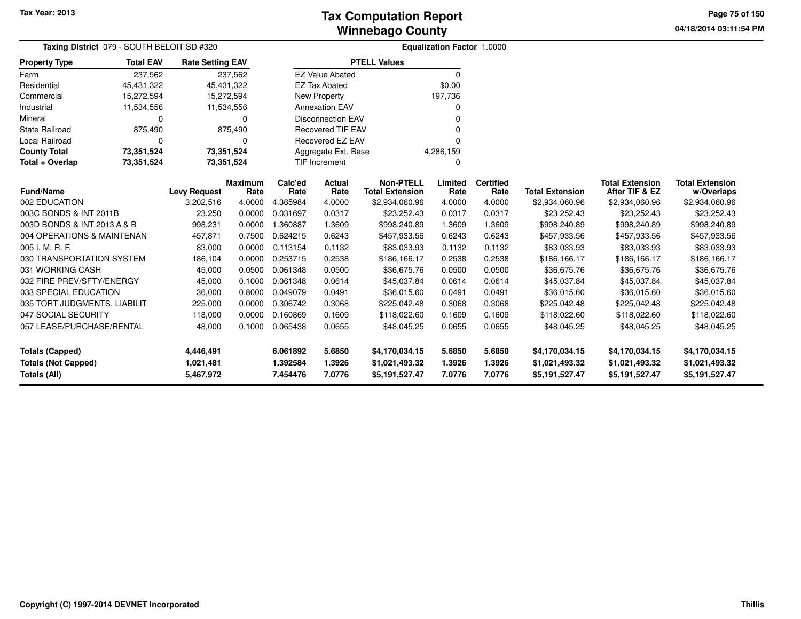**04/18/2014 03:11:54 PM Page 75 of 150**

| Taxing District 079 - SOUTH BELOIT SD #320                          |                  |                         |                        |                 |                          |                                            | Equalization Factor 1.0000 |                          |                        |                                          |                                      |  |
|---------------------------------------------------------------------|------------------|-------------------------|------------------------|-----------------|--------------------------|--------------------------------------------|----------------------------|--------------------------|------------------------|------------------------------------------|--------------------------------------|--|
| <b>Property Type</b>                                                | <b>Total EAV</b> | <b>Rate Setting EAV</b> |                        |                 |                          | <b>PTELL Values</b>                        |                            |                          |                        |                                          |                                      |  |
| Farm                                                                | 237,562          |                         | 237,562                |                 | <b>EZ Value Abated</b>   |                                            | $\Omega$                   |                          |                        |                                          |                                      |  |
| Residential                                                         | 45,431,322       | 45,431,322              |                        |                 | <b>EZ Tax Abated</b>     |                                            | \$0.00                     |                          |                        |                                          |                                      |  |
| Commercial                                                          | 15,272,594       | 15,272,594              |                        |                 | New Property             |                                            | 197,736                    |                          |                        |                                          |                                      |  |
| Industrial                                                          | 11,534,556       | 11,534,556              |                        |                 | <b>Annexation EAV</b>    |                                            | 0                          |                          |                        |                                          |                                      |  |
| Mineral                                                             | $\Omega$         |                         | 0                      |                 | <b>Disconnection EAV</b> |                                            | ŋ                          |                          |                        |                                          |                                      |  |
| <b>State Railroad</b>                                               | 875,490          |                         | 875,490                |                 | <b>Recovered TIF EAV</b> |                                            |                            |                          |                        |                                          |                                      |  |
| Local Railroad                                                      | $\Omega$         |                         | U                      |                 | Recovered EZ EAV         |                                            | $\Omega$                   |                          |                        |                                          |                                      |  |
| <b>County Total</b>                                                 | 73,351,524       | 73,351,524              |                        |                 | Aggregate Ext. Base      |                                            | 4,286,159                  |                          |                        |                                          |                                      |  |
| Total + Overlap<br>73,351,524<br>73.351,524<br><b>TIF Increment</b> |                  |                         |                        |                 |                          | 0                                          |                            |                          |                        |                                          |                                      |  |
| <b>Fund/Name</b>                                                    |                  | <b>Levy Request</b>     | <b>Maximum</b><br>Rate | Calc'ed<br>Rate | Actual<br>Rate           | <b>Non-PTELL</b><br><b>Total Extension</b> | Limited<br>Rate            | <b>Certified</b><br>Rate | <b>Total Extension</b> | <b>Total Extension</b><br>After TIF & EZ | <b>Total Extension</b><br>w/Overlaps |  |
| 002 EDUCATION                                                       |                  | 3,202,516               | 4.0000                 | 4.365984        | 4.0000                   | \$2,934,060.96                             | 4.0000                     | 4.0000                   | \$2,934,060.96         | \$2,934,060.96                           | \$2,934,060.96                       |  |
| 003C BONDS & INT 2011B                                              |                  | 23,250                  | 0.0000                 | 0.031697        | 0.0317                   | \$23,252.43                                | 0.0317                     | 0.0317                   | \$23,252.43            | \$23,252.43                              | \$23,252.43                          |  |
| 003D BONDS & INT 2013 A & B                                         |                  | 998,231                 | 0.0000                 | 1.360887        | 1.3609                   | \$998,240.89                               | 1.3609                     | 1.3609                   | \$998,240.89           | \$998,240.89                             | \$998,240.89                         |  |
| 004 OPERATIONS & MAINTENAN                                          |                  | 457,871                 | 0.7500                 | 0.624215        | 0.6243                   | \$457,933.56                               | 0.6243                     | 0.6243                   | \$457,933.56           | \$457,933.56                             | \$457,933.56                         |  |
| 005 I. M. R. F.                                                     |                  | 83,000                  | 0.0000                 | 0.113154        | 0.1132                   | \$83,033.93                                | 0.1132                     | 0.1132                   | \$83,033.93            | \$83,033.93                              | \$83,033.93                          |  |
| 030 TRANSPORTATION SYSTEM                                           |                  | 186,104                 | 0.0000                 | 0.253715        | 0.2538                   | \$186,166.17                               | 0.2538                     | 0.2538                   | \$186,166.17           | \$186,166.17                             | \$186,166.17                         |  |
| 031 WORKING CASH                                                    |                  | 45,000                  | 0.0500                 | 0.061348        | 0.0500                   | \$36,675.76                                | 0.0500                     | 0.0500                   | \$36,675.76            | \$36,675.76                              | \$36,675.76                          |  |
| 032 FIRE PREV/SFTY/ENERGY                                           |                  | 45,000                  | 0.1000                 | 0.061348        | 0.0614                   | \$45,037.84                                | 0.0614                     | 0.0614                   | \$45,037.84            | \$45,037.84                              | \$45,037.84                          |  |
| 033 SPECIAL EDUCATION                                               |                  | 36,000                  | 0.8000                 | 0.049079        | 0.0491                   | \$36,015.60                                | 0.0491                     | 0.0491                   | \$36,015.60            | \$36,015.60                              | \$36,015.60                          |  |
| 035 TORT JUDGMENTS, LIABILIT                                        |                  | 225,000                 | 0.0000                 | 0.306742        | 0.3068                   | \$225,042.48                               | 0.3068                     | 0.3068                   | \$225,042.48           | \$225,042.48                             | \$225,042.48                         |  |
| 047 SOCIAL SECURITY                                                 |                  | 118,000                 | 0.0000                 | 0.160869        | 0.1609                   | \$118,022.60                               | 0.1609                     | 0.1609                   | \$118,022.60           | \$118,022.60                             | \$118,022.60                         |  |
| 057 LEASE/PURCHASE/RENTAL                                           |                  | 48,000                  | 0.1000                 | 0.065438        | 0.0655                   | \$48,045.25                                | 0.0655                     | 0.0655                   | \$48,045.25            | \$48,045.25                              | \$48,045.25                          |  |
| <b>Totals (Capped)</b>                                              |                  | 4,446,491               |                        | 6.061892        | 5.6850                   | \$4,170,034.15                             | 5.6850                     | 5.6850                   | \$4,170,034.15         | \$4,170,034.15                           | \$4,170,034.15                       |  |
| <b>Totals (Not Capped)</b>                                          |                  | 1,021,481               |                        | 1.392584        | 1.3926                   | \$1,021,493.32                             | 1.3926                     | 1.3926                   | \$1,021,493.32         | \$1,021,493.32                           | \$1,021,493.32                       |  |
| Totals (All)                                                        |                  | 5,467,972               |                        | 7.454476        | 7.0776                   | \$5,191,527.47                             | 7.0776                     | 7.0776                   | \$5,191,527.47         | \$5,191,527.47                           | \$5,191,527.47                       |  |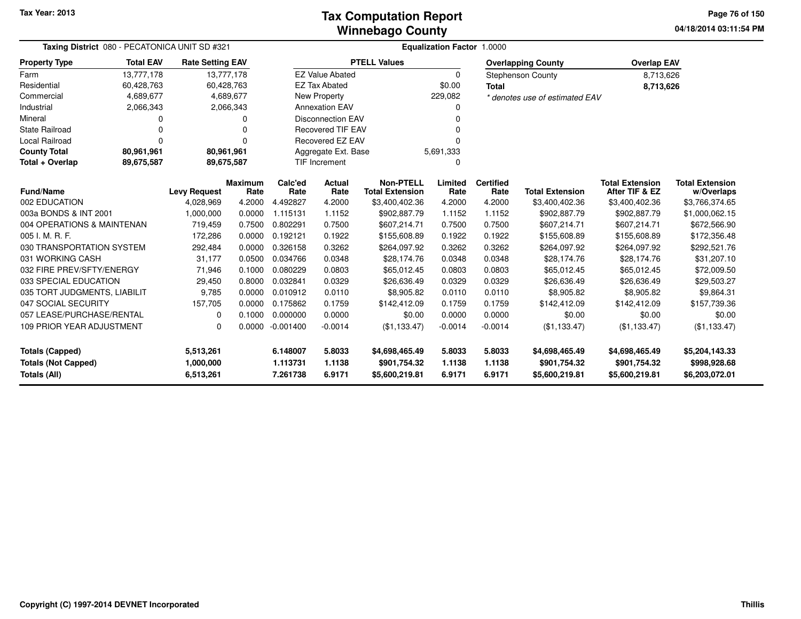#### **Winnebago CountyTax Computation Report**

**04/18/2014 03:11:54 PM Page 76 of 150**

| Taxing District 080 - PECATONICA UNIT SD #321                        |                                                                         |                                     |                        | <b>Equalization Factor 1.0000</b> |                                  |                                                  |                            |                            |                                                  |                                                  |                                                  |  |  |
|----------------------------------------------------------------------|-------------------------------------------------------------------------|-------------------------------------|------------------------|-----------------------------------|----------------------------------|--------------------------------------------------|----------------------------|----------------------------|--------------------------------------------------|--------------------------------------------------|--------------------------------------------------|--|--|
| <b>Property Type</b>                                                 | <b>Total EAV</b><br><b>Rate Setting EAV</b><br>13,777,178<br>13,777,178 |                                     |                        |                                   |                                  | <b>PTELL Values</b>                              |                            |                            | <b>Overlapping County</b>                        | <b>Overlap EAV</b>                               |                                                  |  |  |
| Farm                                                                 |                                                                         |                                     |                        |                                   | <b>EZ Value Abated</b>           |                                                  | $\Omega$                   |                            | <b>Stephenson County</b>                         | 8,713,626                                        |                                                  |  |  |
| Residential                                                          | 60,428,763                                                              |                                     | 60,428,763             |                                   | <b>EZ Tax Abated</b>             |                                                  | \$0.00                     |                            |                                                  | 8,713,626                                        |                                                  |  |  |
| Commercial                                                           | 4,689,677                                                               |                                     | 4,689,677              |                                   | New Property                     |                                                  | 229,082                    |                            | * denotes use of estimated EAV                   |                                                  |                                                  |  |  |
| Industrial                                                           | 2,066,343                                                               |                                     | 2,066,343              |                                   | <b>Annexation EAV</b>            |                                                  | O                          |                            |                                                  |                                                  |                                                  |  |  |
| Mineral                                                              | 0                                                                       |                                     | n                      |                                   | <b>Disconnection EAV</b>         |                                                  |                            |                            |                                                  |                                                  |                                                  |  |  |
| <b>State Railroad</b>                                                | 0                                                                       |                                     |                        |                                   | <b>Recovered TIF EAV</b>         |                                                  |                            |                            |                                                  |                                                  |                                                  |  |  |
| Local Railroad                                                       | $\Omega$                                                                |                                     | 0                      |                                   | <b>Recovered EZ EAV</b>          |                                                  |                            |                            |                                                  |                                                  |                                                  |  |  |
| <b>County Total</b>                                                  | 80,961,961                                                              | 80,961,961                          |                        |                                   | Aggregate Ext. Base<br>5,691,333 |                                                  |                            |                            |                                                  |                                                  |                                                  |  |  |
| Total + Overlap                                                      | <b>TIF Increment</b><br>89,675,587<br>89,675,587<br>$\Omega$            |                                     |                        |                                   |                                  |                                                  |                            |                            |                                                  |                                                  |                                                  |  |  |
| <b>Fund/Name</b>                                                     |                                                                         | <b>Levy Request</b>                 | <b>Maximum</b><br>Rate | Calc'ed<br>Rate                   | Actual<br>Rate                   | <b>Non-PTELL</b><br><b>Total Extension</b>       | Limited<br>Rate            | <b>Certified</b><br>Rate   | <b>Total Extension</b>                           | <b>Total Extension</b><br>After TIF & EZ         | <b>Total Extension</b><br>w/Overlaps             |  |  |
| 002 EDUCATION                                                        |                                                                         | 4,028,969                           | 4.2000                 | 4.492827                          | 4.2000                           | \$3,400,402.36                                   | 4.2000                     | 4.2000                     | \$3,400,402.36                                   | \$3,400,402.36                                   | \$3,766,374.65                                   |  |  |
| 003a BONDS & INT 2001                                                |                                                                         | 1,000,000                           | 0.0000                 | 1.115131                          | 1.1152                           | \$902,887.79                                     | 1.1152                     | 1.1152                     | \$902,887.79                                     | \$902,887.79                                     | \$1,000,062.15                                   |  |  |
| 004 OPERATIONS & MAINTENAN                                           |                                                                         | 719,459                             | 0.7500                 | 0.802291                          | 0.7500                           | \$607,214.71                                     | 0.7500                     | 0.7500                     | \$607,214.71                                     | \$607.214.71                                     | \$672,566.90                                     |  |  |
| 005 I. M. R. F.                                                      |                                                                         | 172,286                             | 0.0000                 | 0.192121                          | 0.1922                           | \$155,608.89                                     | 0.1922                     | 0.1922                     | \$155,608.89                                     | \$155,608.89                                     | \$172,356.48                                     |  |  |
| 030 TRANSPORTATION SYSTEM                                            |                                                                         | 292,484                             | 0.0000                 | 0.326158                          | 0.3262                           | \$264,097.92                                     | 0.3262                     | 0.3262                     | \$264,097.92                                     | \$264,097.92                                     | \$292,521.76                                     |  |  |
| 031 WORKING CASH                                                     |                                                                         | 31,177                              | 0.0500                 | 0.034766                          | 0.0348                           | \$28,174.76                                      | 0.0348                     | 0.0348                     | \$28,174.76                                      | \$28,174.76                                      | \$31,207.10                                      |  |  |
| 032 FIRE PREV/SFTY/ENERGY                                            |                                                                         | 71,946                              | 0.1000                 | 0.080229                          | 0.0803                           | \$65,012.45                                      | 0.0803                     | 0.0803                     | \$65,012.45                                      | \$65,012.45                                      | \$72,009.50                                      |  |  |
| 033 SPECIAL EDUCATION                                                |                                                                         | 29,450                              | 0.8000                 | 0.032841                          | 0.0329                           | \$26,636.49                                      | 0.0329                     | 0.0329                     | \$26,636.49                                      | \$26,636.49                                      | \$29,503.27                                      |  |  |
| 035 TORT JUDGMENTS, LIABILIT                                         |                                                                         | 9.785                               | 0.0000                 | 0.010912                          | 0.0110                           | \$8,905.82                                       | 0.0110                     | 0.0110                     | \$8,905.82                                       | \$8,905.82                                       | \$9,864.31                                       |  |  |
| 047 SOCIAL SECURITY                                                  |                                                                         | 157,705                             | 0.0000                 | 0.175862                          | 0.1759                           | \$142,412.09                                     | 0.1759                     | 0.1759                     | \$142,412.09                                     | \$142,412.09                                     | \$157,739.36                                     |  |  |
| 057 LEASE/PURCHASE/RENTAL                                            |                                                                         | 0                                   | 0.1000                 | 0.000000                          | 0.0000                           | \$0.00                                           | 0.0000                     | 0.0000                     | \$0.00                                           | \$0.00                                           | \$0.00                                           |  |  |
| 109 PRIOR YEAR ADJUSTMENT                                            |                                                                         | $\Omega$                            | 0.0000                 | $-0.001400$                       | $-0.0014$                        | (\$1,133.47)                                     | $-0.0014$                  | $-0.0014$                  | (\$1,133.47)                                     | (\$1,133.47)                                     | (\$1,133.47)                                     |  |  |
| <b>Totals (Capped)</b><br><b>Totals (Not Capped)</b><br>Totals (All) |                                                                         | 5,513,261<br>1,000,000<br>6,513,261 |                        | 6.148007<br>1.113731<br>7.261738  | 5.8033<br>1.1138<br>6.9171       | \$4,698,465.49<br>\$901,754.32<br>\$5,600,219.81 | 5.8033<br>1.1138<br>6.9171 | 5.8033<br>1.1138<br>6.9171 | \$4,698,465.49<br>\$901,754.32<br>\$5,600,219.81 | \$4,698,465.49<br>\$901,754.32<br>\$5,600,219.81 | \$5,204,143.33<br>\$998,928.68<br>\$6,203,072.01 |  |  |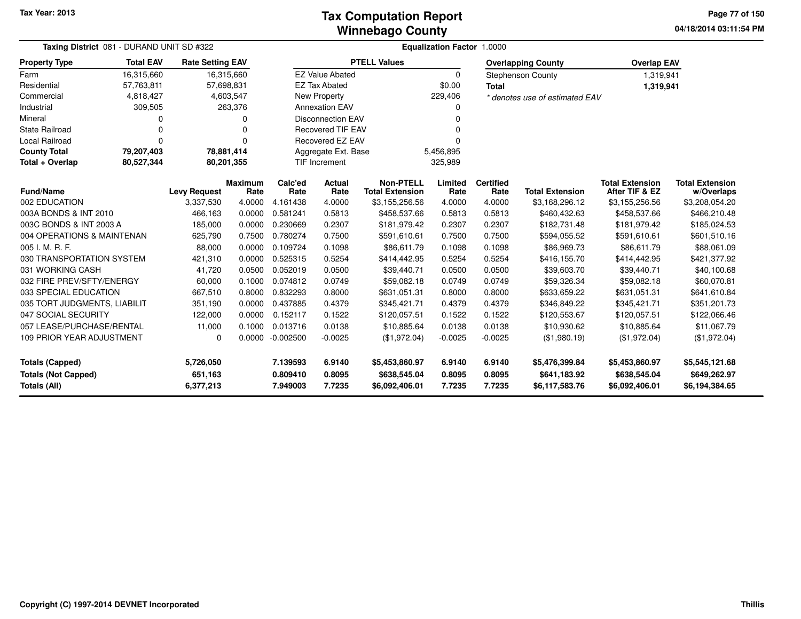**04/18/2014 03:11:54 PM Page 77 of 150**

| <b>Taxing District</b> 081 - DURAND UNIT SD #322<br><b>Total EAV</b><br><b>Rate Setting EAV</b> |             |                      |                        | <b>Equalization Factor 1.0000</b> |                          |                                            |                  |                          |                                |                                          |                                      |
|-------------------------------------------------------------------------------------------------|-------------|----------------------|------------------------|-----------------------------------|--------------------------|--------------------------------------------|------------------|--------------------------|--------------------------------|------------------------------------------|--------------------------------------|
| <b>Property Type</b>                                                                            |             |                      |                        |                                   |                          | <b>PTELL Values</b>                        |                  |                          | <b>Overlapping County</b>      | <b>Overlap EAV</b>                       |                                      |
| Farm                                                                                            | 16,315,660  |                      | 16,315,660             |                                   | <b>EZ Value Abated</b>   |                                            | 0                |                          | <b>Stephenson County</b>       | 1,319,941                                |                                      |
| Residential                                                                                     | 57,763,811  |                      | 57,698,831             |                                   | <b>EZ Tax Abated</b>     |                                            | \$0.00           | <b>Total</b>             |                                | 1,319,941                                |                                      |
| Commercial                                                                                      | 4,818,427   |                      | 4,603,547              |                                   | <b>New Property</b>      |                                            | 229,406          |                          | * denotes use of estimated EAV |                                          |                                      |
| Industrial                                                                                      | 309,505     |                      | 263,376                |                                   | <b>Annexation EAV</b>    |                                            | 0                |                          |                                |                                          |                                      |
| Mineral                                                                                         | 0           |                      | 0                      |                                   | <b>Disconnection EAV</b> |                                            | O                |                          |                                |                                          |                                      |
| State Railroad                                                                                  | $\Omega$    |                      | 0                      |                                   | <b>Recovered TIF EAV</b> |                                            |                  |                          |                                |                                          |                                      |
| <b>Local Railroad</b>                                                                           | $\mathbf 0$ |                      | 0                      |                                   | <b>Recovered EZ EAV</b>  |                                            |                  |                          |                                |                                          |                                      |
| <b>County Total</b>                                                                             | 79,207,403  |                      | 78,881,414             |                                   | Aggregate Ext. Base      |                                            | 5,456,895        |                          |                                |                                          |                                      |
| Total + Overlap                                                                                 | 80,527,344  |                      | 80,201,355             |                                   | <b>TIF Increment</b>     |                                            | 325,989          |                          |                                |                                          |                                      |
| <b>Fund/Name</b>                                                                                |             | <b>Levy Request</b>  | <b>Maximum</b><br>Rate | Calc'ed<br>Rate                   | <b>Actual</b><br>Rate    | <b>Non-PTELL</b><br><b>Total Extension</b> | Limited<br>Rate  | <b>Certified</b><br>Rate | <b>Total Extension</b>         | <b>Total Extension</b><br>After TIF & EZ | <b>Total Extension</b><br>w/Overlaps |
| 002 EDUCATION                                                                                   |             | 3,337,530            | 4.0000                 | 4.161438                          | 4.0000                   | \$3,155,256.56                             | 4.0000           | 4.0000                   | \$3,168,296.12                 | \$3,155,256.56                           | \$3,208,054.20                       |
| 003A BONDS & INT 2010                                                                           |             | 466,163              | 0.0000                 | 0.581241                          | 0.5813                   | \$458,537.66                               | 0.5813           | 0.5813                   | \$460,432.63                   | \$458,537.66                             | \$466,210.48                         |
| 003C BONDS & INT 2003 A                                                                         |             | 185,000              | 0.0000                 | 0.230669                          | 0.2307                   | \$181,979.42                               | 0.2307           | 0.2307                   | \$182,731.48                   | \$181,979.42                             | \$185,024.53                         |
| 004 OPERATIONS & MAINTENAN                                                                      |             | 625,790              | 0.7500                 | 0.780274                          | 0.7500                   | \$591,610.61                               | 0.7500           | 0.7500                   | \$594,055.52                   | \$591,610.61                             | \$601,510.16                         |
| 005 I. M. R. F.                                                                                 |             | 88,000               | 0.0000                 | 0.109724                          | 0.1098                   | \$86,611.79                                | 0.1098           | 0.1098                   | \$86,969.73                    | \$86,611.79                              | \$88,061.09                          |
| 030 TRANSPORTATION SYSTEM                                                                       |             | 421,310              | 0.0000                 | 0.525315                          | 0.5254                   | \$414,442.95                               | 0.5254           | 0.5254                   | \$416,155.70                   | \$414,442.95                             | \$421,377.92                         |
| 031 WORKING CASH                                                                                |             | 41,720               | 0.0500                 | 0.052019                          | 0.0500                   | \$39,440.71                                | 0.0500           | 0.0500                   | \$39,603.70                    | \$39,440.71                              | \$40,100.68                          |
| 032 FIRE PREV/SFTY/ENERGY                                                                       |             | 60,000               | 0.1000                 | 0.074812                          | 0.0749                   | \$59,082.18                                | 0.0749           | 0.0749                   | \$59,326.34                    | \$59,082.18                              | \$60,070.81                          |
| 033 SPECIAL EDUCATION                                                                           |             | 667,510              | 0.8000                 | 0.832293                          | 0.8000                   | \$631,051.31                               | 0.8000           | 0.8000                   | \$633,659.22                   | \$631,051.31                             | \$641,610.84                         |
| 035 TORT JUDGMENTS, LIABILIT                                                                    |             | 351,190              | 0.0000                 | 0.437885                          | 0.4379                   | \$345,421.71                               | 0.4379           | 0.4379                   | \$346,849.22                   | \$345,421.71                             | \$351,201.73                         |
| 047 SOCIAL SECURITY                                                                             |             | 122,000              | 0.0000                 | 0.152117                          | 0.1522                   | \$120,057.51                               | 0.1522           | 0.1522                   | \$120,553.67                   | \$120,057.51                             | \$122,066.46                         |
| 057 LEASE/PURCHASE/RENTAL                                                                       |             | 11,000               | 0.1000                 | 0.013716                          | 0.0138                   | \$10,885.64                                | 0.0138           | 0.0138                   | \$10,930.62                    | \$10,885.64                              | \$11,067.79                          |
| 109 PRIOR YEAR ADJUSTMENT                                                                       |             | 0                    | 0.0000                 | $-0.002500$                       | $-0.0025$                | (\$1,972.04)                               | $-0.0025$        | $-0.0025$                | (\$1,980.19)                   | (\$1,972.04)                             | (\$1,972.04)                         |
| <b>Totals (Capped)</b><br>5,726,050                                                             |             |                      | 7.139593               | 6.9140                            | \$5,453,860.97           | 6.9140                                     | 6.9140           | \$5,476,399.84           | \$5,453,860.97                 | \$5,545,121.68                           |                                      |
| <b>Totals (Not Capped)</b><br>Totals (All)                                                      |             | 651,163<br>6,377,213 |                        | 0.809410<br>7.949003              | 0.8095<br>7.7235         | \$638,545.04<br>\$6,092,406.01             | 0.8095<br>7.7235 | 0.8095<br>7.7235         | \$641,183.92<br>\$6,117,583.76 | \$638,545.04<br>\$6,092,406.01           | \$649,262.97<br>\$6,194,384.65       |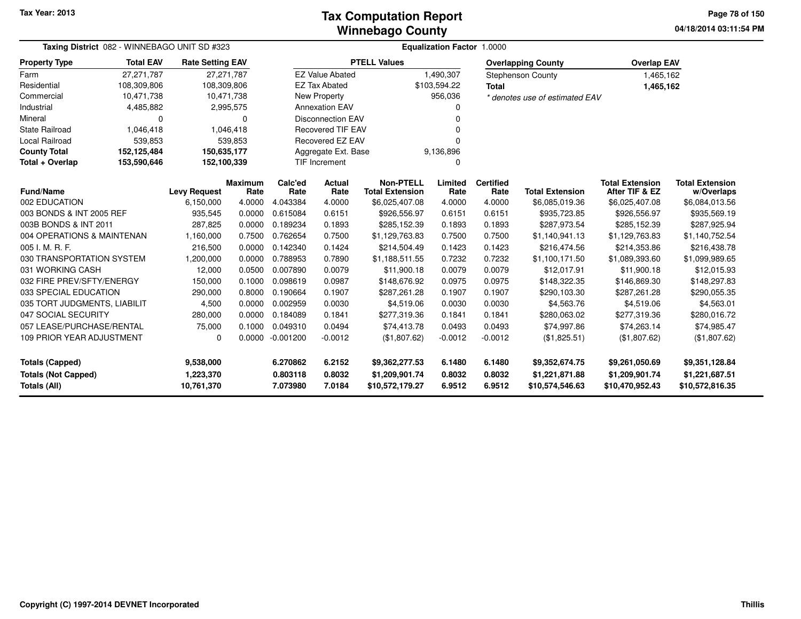#### **Winnebago CountyTax Computation Report**

**04/18/2014 03:11:54 PM Page 78 of 150**

| Taxing District 082 - WINNEBAGO UNIT SD #323 |                  |                         |                 | <b>Equalization Factor 1.0000</b> |                          |                                            |                  |                          |                                   |                                          |                                      |  |  |
|----------------------------------------------|------------------|-------------------------|-----------------|-----------------------------------|--------------------------|--------------------------------------------|------------------|--------------------------|-----------------------------------|------------------------------------------|--------------------------------------|--|--|
| <b>Property Type</b>                         | <b>Total EAV</b> | <b>Rate Setting EAV</b> |                 |                                   |                          | <b>PTELL Values</b>                        |                  |                          | <b>Overlapping County</b>         | <b>Overlap EAV</b>                       |                                      |  |  |
| Farm                                         | 27,271,787       |                         | 27,271,787      |                                   | <b>EZ Value Abated</b>   |                                            | 1,490,307        |                          | <b>Stephenson County</b>          | 1,465,162                                |                                      |  |  |
| Residential                                  | 108,309,806      | 108,309,806             |                 |                                   | <b>EZ Tax Abated</b>     |                                            | \$103,594.22     | <b>Total</b>             |                                   | 1,465,162                                |                                      |  |  |
| Commercial                                   | 10,471,738       |                         | 10,471,738      |                                   | <b>New Property</b>      |                                            | 956,036          |                          | * denotes use of estimated EAV    |                                          |                                      |  |  |
| Industrial                                   | 4,485,882        |                         | 2,995,575       |                                   | <b>Annexation EAV</b>    |                                            |                  |                          |                                   |                                          |                                      |  |  |
| Mineral                                      | 0                |                         | 0               |                                   | <b>Disconnection EAV</b> |                                            |                  |                          |                                   |                                          |                                      |  |  |
| State Railroad                               | 1,046,418        |                         | 1,046,418       |                                   | <b>Recovered TIF EAV</b> |                                            |                  |                          |                                   |                                          |                                      |  |  |
| Local Railroad                               | 539,853          |                         | 539,853         |                                   | Recovered EZ EAV         |                                            |                  |                          |                                   |                                          |                                      |  |  |
| <b>County Total</b>                          | 152,125,484      | 150,635,177             |                 |                                   | Aggregate Ext. Base      |                                            | 9,136,896        |                          |                                   |                                          |                                      |  |  |
| Total + Overlap                              | 153,590,646      | 152,100,339             |                 |                                   | <b>TIF Increment</b>     |                                            |                  |                          |                                   |                                          |                                      |  |  |
| <b>Fund/Name</b>                             |                  | <b>Levy Request</b>     | Maximum<br>Rate | Calc'ed<br>Rate                   | <b>Actual</b><br>Rate    | <b>Non-PTELL</b><br><b>Total Extension</b> | Limited<br>Rate  | <b>Certified</b><br>Rate | <b>Total Extension</b>            | <b>Total Extension</b><br>After TIF & EZ | <b>Total Extension</b><br>w/Overlaps |  |  |
| 002 EDUCATION                                |                  | 6,150,000               | 4.0000          | 4.043384                          | 4.0000                   | \$6,025,407.08                             | 4.0000           | 4.0000                   | \$6,085,019.36                    | \$6,025,407.08                           | \$6,084,013.56                       |  |  |
| 003 BONDS & INT 2005 REF                     |                  | 935,545                 | 0.0000          | 0.615084                          | 0.6151                   | \$926,556.97                               | 0.6151           | 0.6151                   | \$935,723.85                      | \$926,556.97                             | \$935,569.19                         |  |  |
| 003B BONDS & INT 2011                        |                  | 287,825                 | 0.0000          | 0.189234                          | 0.1893                   | \$285,152.39                               | 0.1893           | 0.1893                   | \$287,973.54                      | \$285,152.39                             | \$287,925.94                         |  |  |
| 004 OPERATIONS & MAINTENAN                   |                  | 1,160,000               | 0.7500          | 0.762654                          | 0.7500                   | \$1,129,763.83                             | 0.7500           | 0.7500                   | \$1,140,941.13                    | \$1,129,763.83                           | \$1,140,752.54                       |  |  |
| 005 I. M. R. F.                              |                  | 216,500                 | 0.0000          | 0.142340                          | 0.1424                   | \$214,504.49                               | 0.1423           | 0.1423                   | \$216,474.56                      | \$214,353.86                             | \$216,438.78                         |  |  |
| 030 TRANSPORTATION SYSTEM                    |                  | 1,200,000               | 0.0000          | 0.788953                          | 0.7890                   | \$1,188,511.55                             | 0.7232           | 0.7232                   | \$1,100,171.50                    | \$1,089,393.60                           | \$1,099,989.65                       |  |  |
| 031 WORKING CASH                             |                  | 12,000                  | 0.0500          | 0.007890                          | 0.0079                   | \$11,900.18                                | 0.0079           | 0.0079                   | \$12,017.91                       | \$11,900.18                              | \$12,015.93                          |  |  |
| 032 FIRE PREV/SFTY/ENERGY                    |                  | 150,000                 | 0.1000          | 0.098619                          | 0.0987                   | \$148,676.92                               | 0.0975           | 0.0975                   | \$148,322.35                      | \$146,869.30                             | \$148,297.83                         |  |  |
| 033 SPECIAL EDUCATION                        |                  | 290,000                 | 0.8000          | 0.190664                          | 0.1907                   | \$287,261.28                               | 0.1907           | 0.1907                   | \$290,103.30                      | \$287,261.28                             | \$290,055.35                         |  |  |
| 035 TORT JUDGMENTS, LIABILIT                 |                  | 4,500                   | 0.0000          | 0.002959                          | 0.0030                   | \$4,519.06                                 | 0.0030           | 0.0030                   | \$4,563.76                        | \$4,519.06                               | \$4,563.01                           |  |  |
| 047 SOCIAL SECURITY                          |                  | 280,000                 | 0.0000          | 0.184089                          | 0.1841                   | \$277,319.36                               | 0.1841           | 0.1841                   | \$280,063.02                      | \$277,319.36                             | \$280,016.72                         |  |  |
| 057 LEASE/PURCHASE/RENTAL                    |                  | 75,000                  | 0.1000          | 0.049310                          | 0.0494                   | \$74,413.78                                | 0.0493           | 0.0493                   | \$74,997.86                       | \$74,263.14                              | \$74,985.47                          |  |  |
| 109 PRIOR YEAR ADJUSTMENT                    |                  | $\Omega$                | 0.0000          | $-0.001200$                       | $-0.0012$                | (\$1,807.62)                               | $-0.0012$        | $-0.0012$                | (\$1,825.51)                      | (\$1,807.62)                             | (\$1,807.62)                         |  |  |
| <b>Totals (Capped)</b>                       |                  | 9,538,000               |                 | 6.270862                          | 6.2152                   | \$9,362,277.53                             | 6.1480           | 6.1480                   | \$9,352,674.75                    | \$9,261,050.69                           | \$9,351,128.84                       |  |  |
| <b>Totals (Not Capped)</b><br>Totals (All)   |                  | 1,223,370<br>10,761,370 |                 | 0.803118<br>7.073980              | 0.8032<br>7.0184         | \$1,209,901.74<br>\$10,572,179.27          | 0.8032<br>6.9512 | 0.8032<br>6.9512         | \$1,221,871.88<br>\$10,574,546.63 | \$1,209,901.74<br>\$10,470,952.43        | \$1,221,687.51<br>\$10,572,816.35    |  |  |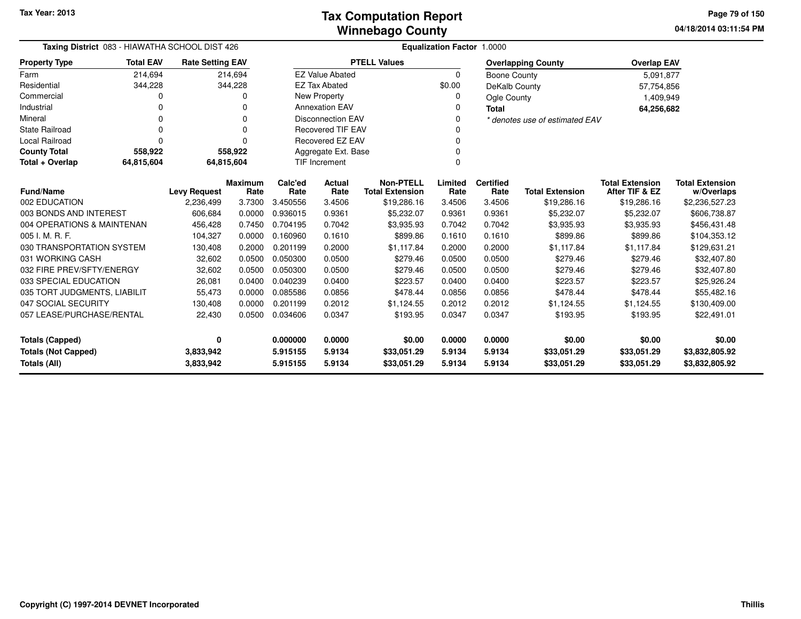| Taxing District 083 - HIAWATHA SCHOOL DIST 426<br><b>Rate Setting EAV</b> |                                               |           |            | <b>Equalization Factor 1.0000</b> |                          |                                            |                 |                           |                                |                                          |                                      |  |
|---------------------------------------------------------------------------|-----------------------------------------------|-----------|------------|-----------------------------------|--------------------------|--------------------------------------------|-----------------|---------------------------|--------------------------------|------------------------------------------|--------------------------------------|--|
| <b>Property Type</b>                                                      | <b>Total EAV</b>                              |           |            |                                   | <b>PTELL Values</b>      |                                            |                 | <b>Overlapping County</b> | <b>Overlap EAV</b>             |                                          |                                      |  |
| Farm                                                                      | 214,694                                       |           | 214,694    |                                   | <b>EZ Value Abated</b>   |                                            | $\Omega$        | Boone County              |                                | 5,091,877                                |                                      |  |
| Residential                                                               | 344,228                                       |           | 344,228    |                                   | <b>EZ Tax Abated</b>     |                                            | \$0.00          | DeKalb County             |                                | 57,754,856                               |                                      |  |
| Commercial                                                                | 0                                             |           | 0          |                                   | New Property             |                                            | 0               | Ogle County               |                                | 1,409,949                                |                                      |  |
| Industrial                                                                | O                                             |           | O          |                                   | <b>Annexation EAV</b>    |                                            |                 | <b>Total</b>              |                                | 64,256,682                               |                                      |  |
| Mineral                                                                   | $\Omega$                                      |           | O          |                                   | <b>Disconnection EAV</b> |                                            | <sup>0</sup>    |                           | * denotes use of estimated EAV |                                          |                                      |  |
| <b>State Railroad</b>                                                     | $\Omega$                                      |           | $\Omega$   |                                   | <b>Recovered TIF EAV</b> |                                            |                 |                           |                                |                                          |                                      |  |
| <b>Local Railroad</b>                                                     | $\Omega$                                      |           | $\Omega$   |                                   | Recovered EZ EAV         |                                            | 0               |                           |                                |                                          |                                      |  |
| <b>County Total</b>                                                       | 558,922                                       |           | 558,922    |                                   | Aggregate Ext. Base      |                                            |                 |                           |                                |                                          |                                      |  |
| Total + Overlap                                                           | 64,815,604                                    |           | 64,815,604 | <b>TIF Increment</b><br>0         |                          |                                            |                 |                           |                                |                                          |                                      |  |
| <b>Fund/Name</b>                                                          | <b>Maximum</b><br><b>Levy Request</b><br>Rate |           |            |                                   | <b>Actual</b><br>Rate    | <b>Non-PTELL</b><br><b>Total Extension</b> | Limited<br>Rate | <b>Certified</b><br>Rate  | <b>Total Extension</b>         | <b>Total Extension</b><br>After TIF & EZ | <b>Total Extension</b><br>w/Overlaps |  |
| 002 EDUCATION                                                             |                                               | 2,236,499 | 3.7300     | Rate<br>3.450556                  | 3.4506                   | \$19,286.16                                | 3.4506          | 3.4506                    | \$19,286.16                    | \$19,286.16                              | \$2,236,527.23                       |  |
| 003 BONDS AND INTEREST                                                    |                                               | 606,684   | 0.0000     | 0.936015                          | 0.9361                   | \$5,232.07                                 | 0.9361          | 0.9361                    | \$5,232.07                     | \$5,232.07                               | \$606,738.87                         |  |
| 004 OPERATIONS & MAINTENAN                                                |                                               | 456,428   | 0.7450     | 0.704195                          | 0.7042                   | \$3,935.93                                 | 0.7042          | 0.7042                    | \$3,935.93                     | \$3,935.93                               | \$456,431.48                         |  |
| 005 I. M. R. F.                                                           |                                               | 104,327   | 0.0000     | 0.160960                          | 0.1610                   | \$899.86                                   | 0.1610          | 0.1610                    | \$899.86                       | \$899.86                                 | \$104,353.12                         |  |
| 030 TRANSPORTATION SYSTEM                                                 |                                               | 130,408   | 0.2000     | 0.201199                          | 0.2000                   | \$1,117.84                                 | 0.2000          | 0.2000                    | \$1,117.84                     | \$1,117.84                               | \$129,631.21                         |  |
| 031 WORKING CASH                                                          |                                               | 32,602    | 0.0500     | 0.050300                          | 0.0500                   | \$279.46                                   | 0.0500          | 0.0500                    | \$279.46                       | \$279.46                                 | \$32,407.80                          |  |
| 032 FIRE PREV/SFTY/ENERGY                                                 |                                               | 32,602    | 0.0500     | 0.050300                          | 0.0500                   | \$279.46                                   | 0.0500          | 0.0500                    | \$279.46                       | \$279.46                                 | \$32,407.80                          |  |
| 033 SPECIAL EDUCATION                                                     |                                               | 26,081    | 0.0400     | 0.040239                          | 0.0400                   | \$223.57                                   | 0.0400          | 0.0400                    | \$223.57                       | \$223.57                                 | \$25,926.24                          |  |
| 035 TORT JUDGMENTS, LIABILIT                                              |                                               | 55,473    | 0.0000     | 0.085586                          | 0.0856                   | \$478.44                                   | 0.0856          | 0.0856                    | \$478.44                       | \$478.44                                 | \$55,482.16                          |  |
| 047 SOCIAL SECURITY                                                       |                                               | 130,408   | 0.0000     | 0.201199                          | 0.2012                   | \$1,124.55                                 | 0.2012          | 0.2012                    | \$1,124.55                     | \$1,124.55                               | \$130,409.00                         |  |
| 057 LEASE/PURCHASE/RENTAL                                                 |                                               | 22,430    | 0.0500     | 0.034606                          | 0.0347                   | \$193.95                                   | 0.0347          | 0.0347                    | \$193.95                       | \$193.95                                 | \$22,491.01                          |  |
| <b>Totals (Capped)</b>                                                    |                                               |           |            | 0.000000                          | 0.0000                   | \$0.00                                     | 0.0000          | 0.0000                    | \$0.00                         | \$0.00                                   | \$0.00                               |  |
| <b>Totals (Not Capped)</b><br>3,833,942                                   |                                               |           |            | 5.915155                          | 5.9134                   | \$33,051.29                                | 5.9134          | 5.9134                    | \$33,051.29                    | \$33,051.29                              | \$3,832,805.92                       |  |
| Totals (All)                                                              |                                               | 3,833,942 |            | 5.915155                          | 5.9134                   | \$33,051.29                                | 5.9134          | 5.9134                    | \$33,051.29                    | \$33,051.29                              | \$3,832,805.92                       |  |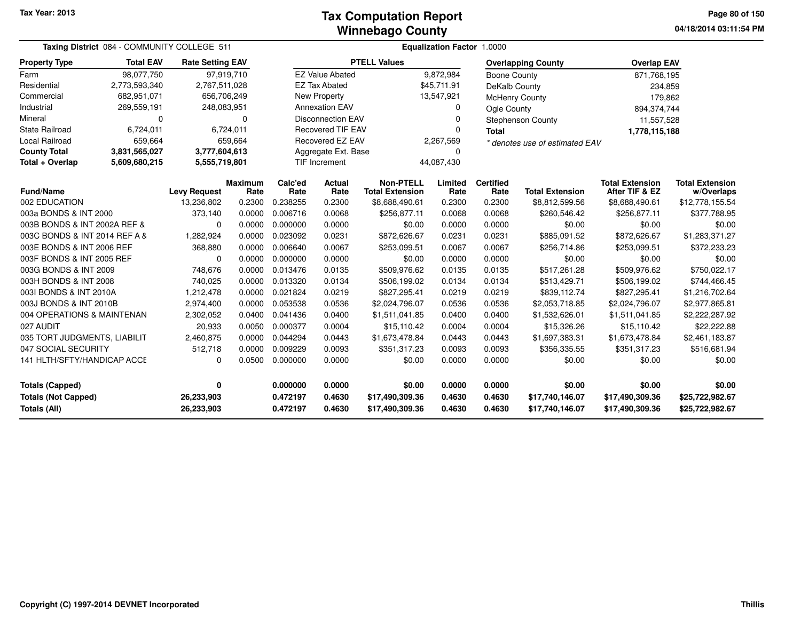| Taxing District 084 - COMMUNITY COLLEGE 511<br><b>Rate Setting EAV</b> |                  |                                      |                        | <b>Equalization Factor 1.0000</b>             |                        |                                            |                               |                          |                                    |                                          |                                      |  |  |
|------------------------------------------------------------------------|------------------|--------------------------------------|------------------------|-----------------------------------------------|------------------------|--------------------------------------------|-------------------------------|--------------------------|------------------------------------|------------------------------------------|--------------------------------------|--|--|
| <b>Property Type</b>                                                   | <b>Total EAV</b> |                                      |                        |                                               |                        | <b>PTELL Values</b>                        |                               |                          | <b>Overlapping County</b>          | <b>Overlap EAV</b>                       |                                      |  |  |
| Farm                                                                   | 98.077.750       |                                      | 97,919,710             |                                               | <b>EZ Value Abated</b> |                                            | 9,872,984                     | <b>Boone County</b>      |                                    | 871,768,195                              |                                      |  |  |
| Residential                                                            | 2,773,593,340    | 2,767,511,028                        |                        |                                               | <b>EZ Tax Abated</b>   |                                            | \$45,711.91                   | DeKalb County            |                                    | 234,859                                  |                                      |  |  |
| Commercial                                                             | 682,951,071      | 656,706,249                          |                        |                                               | New Property           |                                            | 13,547,921                    | McHenry County           |                                    | 179,862                                  |                                      |  |  |
| Industrial                                                             | 269,559,191      | 248,083,951                          |                        |                                               | <b>Annexation EAV</b>  |                                            | 0                             | Ogle County              |                                    | 894, 374, 744                            |                                      |  |  |
| Mineral                                                                | 0                | <b>Disconnection EAV</b><br>$\Omega$ |                        |                                               |                        |                                            | 0<br><b>Stephenson County</b> |                          |                                    | 11,557,528                               |                                      |  |  |
| <b>State Railroad</b>                                                  | 6,724,011        |                                      | 6,724,011              | <b>Recovered TIF EAV</b><br>0<br><b>Total</b> |                        |                                            |                               |                          | 1,778,115,188                      |                                          |                                      |  |  |
| Local Railroad                                                         | 659,664          |                                      | 659,664                | Recovered EZ EAV<br>2,267,569                 |                        |                                            |                               |                          | * denotes use of estimated EAV     |                                          |                                      |  |  |
| <b>County Total</b>                                                    | 3,831,565,027    | 3,777,604,613                        |                        | Aggregate Ext. Base<br>$\Omega$               |                        |                                            |                               |                          |                                    |                                          |                                      |  |  |
| Total + Overlap                                                        | 5,609,680,215    | 5,555,719,801                        |                        |                                               | TIF Increment          |                                            | 44,087,430                    |                          |                                    |                                          |                                      |  |  |
| <b>Fund/Name</b>                                                       |                  | <b>Levy Request</b>                  | <b>Maximum</b><br>Rate | Calc'ed<br>Rate                               | <b>Actual</b><br>Rate  | <b>Non-PTELL</b><br><b>Total Extension</b> | Limited<br>Rate               | <b>Certified</b><br>Rate | <b>Total Extension</b>             | <b>Total Extension</b><br>After TIF & EZ | <b>Total Extension</b><br>w/Overlaps |  |  |
| 002 EDUCATION                                                          |                  | 13,236,802                           | 0.2300                 | 0.238255                                      | 0.2300                 | \$8,688,490.61                             | 0.2300                        | 0.2300                   | \$8,812,599.56                     | \$8,688,490.61                           | \$12,778,155.54                      |  |  |
| 003a BONDS & INT 2000                                                  |                  | 373,140                              | 0.0000                 | 0.006716                                      | 0.0068                 | \$256,877.11                               | 0.0068                        | 0.0068                   | \$260,546.42                       | \$256,877.11                             | \$377,788.95                         |  |  |
| 003B BONDS & INT 2002A REF &                                           |                  | $\Omega$                             | 0.0000                 | 0.000000                                      | 0.0000                 | \$0.00                                     | 0.0000                        | 0.0000                   | \$0.00                             | \$0.00                                   | \$0.00                               |  |  |
| 003C BONDS & INT 2014 REF A &                                          |                  | 1,282,924                            | 0.0000                 | 0.023092                                      | 0.0231                 | \$872,626.67                               | 0.0231                        | 0.0231                   | \$885,091.52                       | \$872,626.67                             | \$1,283,371.27                       |  |  |
| 003E BONDS & INT 2006 REF                                              |                  | 368,880                              | 0.0000                 | 0.006640                                      | 0.0067                 | \$253,099.51                               | 0.0067                        | 0.0067                   | \$256,714.86                       | \$253,099.51                             | \$372,233.23                         |  |  |
| 003F BONDS & INT 2005 REF                                              |                  | 0                                    | 0.0000                 | 0.000000                                      | 0.0000                 | \$0.00                                     | 0.0000                        | 0.0000                   | \$0.00                             | \$0.00                                   | \$0.00                               |  |  |
| 003G BONDS & INT 2009                                                  |                  | 748,676                              | 0.0000                 | 0.013476                                      | 0.0135                 | \$509,976.62                               | 0.0135                        | 0.0135                   | \$517,261.28                       | \$509,976.62                             | \$750,022.17                         |  |  |
| 003H BONDS & INT 2008                                                  |                  | 740,025                              | 0.0000                 | 0.013320                                      | 0.0134                 | \$506,199.02                               | 0.0134                        | 0.0134                   | \$513,429.71                       | \$506,199.02                             | \$744,466.45                         |  |  |
| 003I BONDS & INT 2010A                                                 |                  | 1,212,478                            | 0.0000                 | 0.021824                                      | 0.0219                 | \$827,295.41                               | 0.0219                        | 0.0219                   | \$839,112.74                       | \$827,295.41                             | \$1,216,702.64                       |  |  |
| 003J BONDS & INT 2010B                                                 |                  | 2,974,400                            | 0.0000                 | 0.053538                                      | 0.0536                 | \$2,024,796.07                             | 0.0536                        | 0.0536                   | \$2,053,718.85                     | \$2,024,796.07                           | \$2,977,865.81                       |  |  |
| 004 OPERATIONS & MAINTENAN                                             |                  | 2,302,052                            | 0.0400                 | 0.041436                                      | 0.0400                 | \$1,511,041.85                             | 0.0400                        | 0.0400                   | \$1,532,626.01                     | \$1,511,041.85                           | \$2,222,287.92                       |  |  |
| 027 AUDIT                                                              |                  | 20,933                               | 0.0050                 | 0.000377                                      | 0.0004                 | \$15,110.42                                | 0.0004                        | 0.0004                   | \$15,326.26                        | \$15,110.42                              | \$22,222.88                          |  |  |
| 035 TORT JUDGMENTS, LIABILIT                                           |                  | 2,460,875                            | 0.0000                 | 0.044294                                      | 0.0443                 | \$1,673,478.84                             | 0.0443                        | 0.0443                   | \$1,697,383.31                     | \$1,673,478.84                           | \$2,461,183.87                       |  |  |
| 047 SOCIAL SECURITY                                                    |                  | 512,718                              | 0.0000                 | 0.009229                                      | 0.0093                 | \$351,317.23                               | 0.0093                        | 0.0093                   | \$356,335.55                       | \$351,317.23                             | \$516,681.94                         |  |  |
| 141 HLTH/SFTY/HANDICAP ACCE                                            |                  | $\Omega$                             | 0.0500                 | 0.000000                                      | 0.0000                 | \$0.00                                     | 0.0000                        | 0.0000                   | \$0.00                             | \$0.00                                   | \$0.00                               |  |  |
| <b>Totals (Capped)</b>                                                 |                  | 0                                    |                        | 0.000000                                      | 0.0000                 | \$0.00                                     | 0.0000                        | 0.0000                   | \$0.00                             | \$0.00                                   | \$0.00                               |  |  |
| <b>Totals (Not Capped)</b><br><b>Totals (All)</b>                      |                  | 26,233,903<br>26,233,903             |                        | 0.472197<br>0.472197                          | 0.4630<br>0.4630       | \$17,490,309.36<br>\$17,490,309.36         | 0.4630<br>0.4630              | 0.4630<br>0.4630         | \$17,740,146.07<br>\$17,740,146.07 | \$17,490,309.36<br>\$17,490,309.36       | \$25,722,982.67<br>\$25,722,982.67   |  |  |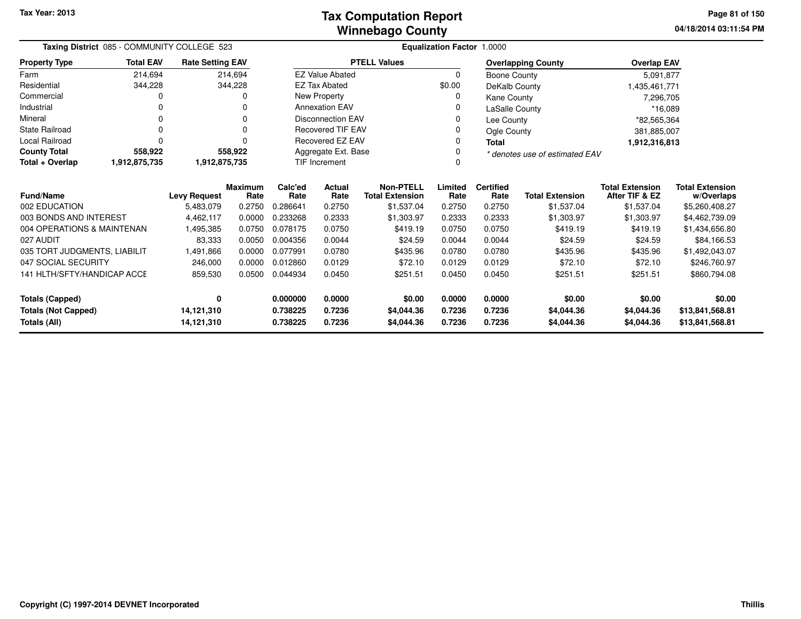**04/18/2014 03:11:54 PM Page 81 of 150**

| Taxing District 085 - COMMUNITY COLLEGE 523<br><b>Rate Setting EAV</b> |                  |                          |                        | Equalization Factor 1.0000                            |                          |                                            |                  |                                |                          |                                          |                                      |  |  |
|------------------------------------------------------------------------|------------------|--------------------------|------------------------|-------------------------------------------------------|--------------------------|--------------------------------------------|------------------|--------------------------------|--------------------------|------------------------------------------|--------------------------------------|--|--|
| <b>Property Type</b>                                                   | <b>Total EAV</b> |                          |                        |                                                       | <b>PTELL Values</b>      |                                            |                  | <b>Overlapping County</b>      | <b>Overlap EAV</b>       |                                          |                                      |  |  |
| Farm                                                                   | 214,694          |                          | 214,694                |                                                       | <b>EZ Value Abated</b>   |                                            | 0                | Boone County                   |                          | 5,091,877                                |                                      |  |  |
| Residential                                                            | 344,228          |                          | 344,228                |                                                       | <b>EZ Tax Abated</b>     |                                            | \$0.00           | DeKalb County                  |                          | 1,435,461,771                            |                                      |  |  |
| Commercial                                                             | 0                |                          |                        |                                                       | New Property             |                                            |                  | Kane County                    |                          | 7,296,705                                |                                      |  |  |
| Industrial                                                             |                  |                          |                        | <b>Annexation EAV</b><br>LaSalle County               |                          |                                            |                  |                                | *16,089                  |                                          |                                      |  |  |
| Mineral                                                                |                  |                          |                        |                                                       | <b>Disconnection EAV</b> |                                            |                  | Lee County                     |                          |                                          | *82,565,364                          |  |  |
| <b>State Railroad</b>                                                  | 0                |                          | $\Omega$               |                                                       | <b>Recovered TIF EAV</b> |                                            |                  | Ogle County                    |                          | 381,885,007                              |                                      |  |  |
| <b>Local Railroad</b>                                                  | 0                |                          | ∩                      | <b>Recovered EZ EAV</b><br><b>Total</b>               |                          |                                            |                  |                                | 1,912,316,813            |                                          |                                      |  |  |
| <b>County Total</b>                                                    | 558,922          |                          | 558,922                | Aggregate Ext. Base<br>* denotes use of estimated EAV |                          |                                            |                  |                                |                          |                                          |                                      |  |  |
| Total + Overlap                                                        | 1,912,875,735    | 1,912,875,735            |                        |                                                       | <b>TIF Increment</b>     |                                            |                  |                                |                          |                                          |                                      |  |  |
| <b>Fund/Name</b>                                                       |                  | <b>Levy Request</b>      | <b>Maximum</b><br>Rate | Calc'ed<br>Rate                                       | Actual<br>Rate           | <b>Non-PTELL</b><br><b>Total Extension</b> | Limited<br>Rate  | <b>Certified</b><br>Rate       | <b>Total Extension</b>   | <b>Total Extension</b><br>After TIF & EZ | <b>Total Extension</b><br>w/Overlaps |  |  |
| 002 EDUCATION                                                          |                  | 5,483,079                | 0.2750                 | 0.286641                                              | 0.2750                   | \$1,537.04                                 | 0.2750           | 0.2750                         | \$1,537.04               | \$1,537.04                               | \$5,260,408.27                       |  |  |
| 003 BONDS AND INTEREST                                                 |                  | 4,462,117                | 0.0000                 | 0.233268                                              | 0.2333                   | \$1,303.97                                 | 0.2333           | 0.2333                         | \$1,303.97               | \$1,303.97                               | \$4,462,739.09                       |  |  |
| 004 OPERATIONS & MAINTENAN                                             |                  | 1,495,385                | 0.0750                 | 0.078175                                              | 0.0750                   | \$419.19                                   | 0.0750           | 0.0750                         | \$419.19                 | \$419.19                                 | \$1,434,656.80                       |  |  |
| 027 AUDIT                                                              |                  | 83,333                   | 0.0050                 | 0.004356                                              | 0.0044                   | \$24.59                                    | 0.0044           | 0.0044                         | \$24.59                  | \$24.59                                  | \$84,166.53                          |  |  |
| 035 TORT JUDGMENTS, LIABILIT                                           |                  | 1,491,866                | 0.0000                 | 0.077991                                              | 0.0780                   | \$435.96                                   | 0.0780           | 0.0780                         | \$435.96                 | \$435.96                                 | \$1,492,043.07                       |  |  |
| 047 SOCIAL SECURITY                                                    |                  | 246,000                  | 0.0000                 | 0.012860                                              | 0.0129                   | \$72.10                                    | 0.0129           | 0.0129                         | \$72.10                  | \$72.10                                  | \$246,760.97                         |  |  |
| 141 HLTH/SFTY/HANDICAP ACCE                                            |                  | 859,530                  | 0.0500                 | 0.044934                                              | 0.0450                   | \$251.51                                   | 0.0450           | \$251.51<br>\$251.51<br>0.0450 |                          |                                          | \$860,794.08                         |  |  |
| <b>Totals (Capped)</b>                                                 |                  | 0                        |                        | 0.000000                                              | 0.0000                   | \$0.00                                     | 0.0000           | 0.0000                         | \$0.00                   | \$0.00                                   | \$0.00                               |  |  |
| <b>Totals (Not Capped)</b><br>Totals (All)                             |                  | 14,121,310<br>14,121,310 |                        | 0.738225<br>0.738225                                  | 0.7236<br>0.7236         | \$4,044.36<br>\$4,044.36                   | 0.7236<br>0.7236 | 0.7236<br>0.7236               | \$4,044.36<br>\$4,044.36 | \$4,044.36<br>\$4,044.36                 | \$13,841,568.81<br>\$13,841,568.81   |  |  |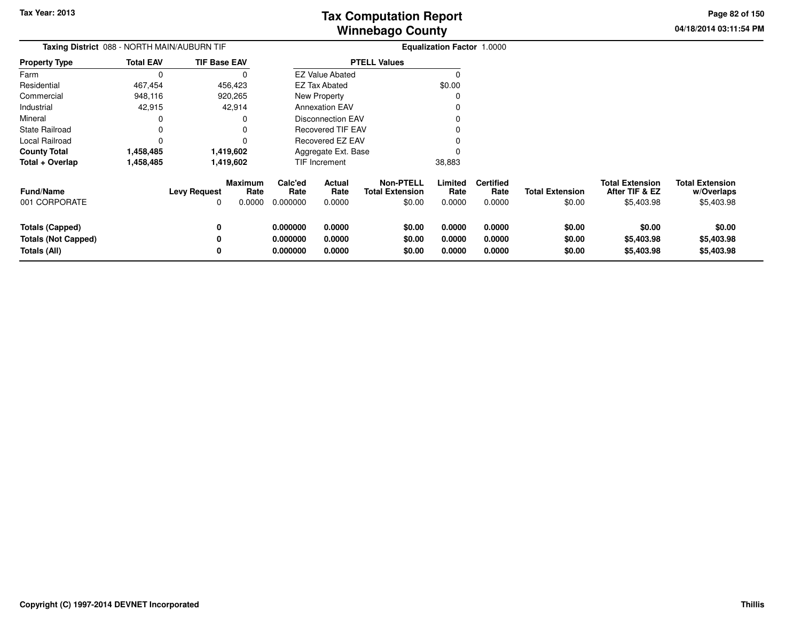**04/18/2014 03:11:54 PMPage 82 of 150**

| Taxing District 088 - NORTH MAIN/AUBURN TIF                          |                        |                          |                                  |                                  |                            |                                                      | <b>Equalization Factor 1.0000</b> |                                    |                                  |                                                        |                                                    |
|----------------------------------------------------------------------|------------------------|--------------------------|----------------------------------|----------------------------------|----------------------------|------------------------------------------------------|-----------------------------------|------------------------------------|----------------------------------|--------------------------------------------------------|----------------------------------------------------|
| <b>Property Type</b>                                                 | <b>Total EAV</b>       | <b>TIF Base EAV</b>      |                                  |                                  |                            | <b>PTELL Values</b>                                  |                                   |                                    |                                  |                                                        |                                                    |
| Farm                                                                 |                        |                          |                                  |                                  | <b>EZ Value Abated</b>     |                                                      |                                   |                                    |                                  |                                                        |                                                    |
| Residential                                                          | 467,454                |                          | 456,423                          |                                  | <b>EZ Tax Abated</b>       |                                                      | \$0.00                            |                                    |                                  |                                                        |                                                    |
| Commercial                                                           | 948,116                |                          | 920,265                          |                                  | New Property               |                                                      |                                   |                                    |                                  |                                                        |                                                    |
| Industrial                                                           | 42,915                 |                          | 42,914                           |                                  | <b>Annexation EAV</b>      |                                                      |                                   |                                    |                                  |                                                        |                                                    |
| Mineral                                                              |                        |                          |                                  |                                  | <b>Disconnection EAV</b>   |                                                      |                                   |                                    |                                  |                                                        |                                                    |
| State Railroad                                                       |                        |                          |                                  |                                  | <b>Recovered TIF EAV</b>   |                                                      |                                   |                                    |                                  |                                                        |                                                    |
| Local Railroad                                                       |                        |                          |                                  |                                  | Recovered EZ EAV           |                                                      |                                   |                                    |                                  |                                                        |                                                    |
| <b>County Total</b>                                                  | 1,419,602<br>1,458,485 |                          |                                  |                                  | Aggregate Ext. Base        |                                                      |                                   |                                    |                                  |                                                        |                                                    |
| Total + Overlap                                                      | 1,458,485              |                          | 1,419,602                        |                                  | TIF Increment              |                                                      | 38,883                            |                                    |                                  |                                                        |                                                    |
| <b>Fund/Name</b><br>001 CORPORATE                                    |                        | <b>Levy Request</b><br>0 | <b>Maximum</b><br>Rate<br>0.0000 | Calc'ed<br>Rate<br>0.000000      | Actual<br>Rate<br>0.0000   | <b>Non-PTELL</b><br><b>Total Extension</b><br>\$0.00 | Limited<br>Rate<br>0.0000         | <b>Certified</b><br>Rate<br>0.0000 | <b>Total Extension</b><br>\$0.00 | <b>Total Extension</b><br>After TIF & EZ<br>\$5,403.98 | <b>Total Extension</b><br>w/Overlaps<br>\$5,403.98 |
| <b>Totals (Capped)</b><br><b>Totals (Not Capped)</b><br>Totals (All) |                        | 0<br>0<br>0              |                                  | 0.000000<br>0.000000<br>0.000000 | 0.0000<br>0.0000<br>0.0000 | \$0.00<br>\$0.00<br>\$0.00                           | 0.0000<br>0.0000<br>0.0000        | 0.0000<br>0.0000<br>0.0000         | \$0.00<br>\$0.00<br>\$0.00       | \$0.00<br>\$5,403.98<br>\$5,403.98                     | \$0.00<br>\$5,403.98<br>\$5,403.98                 |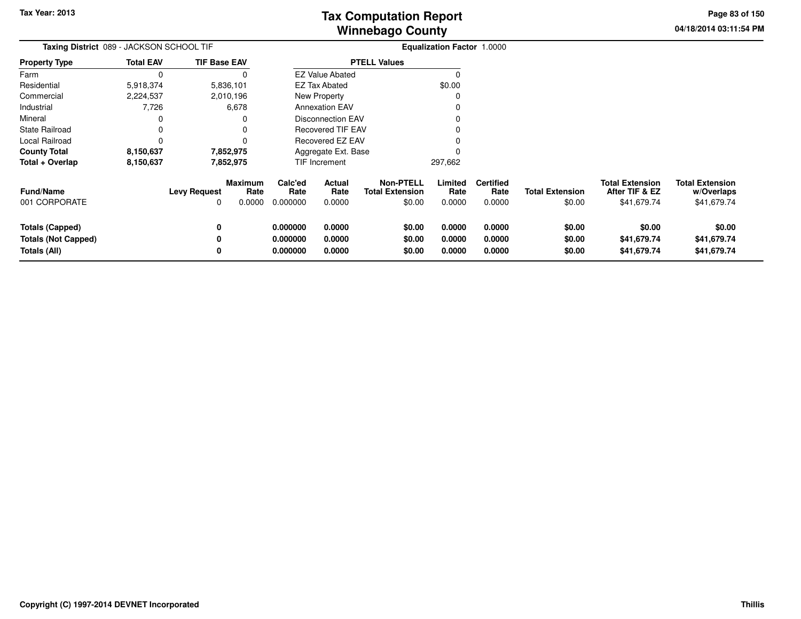**04/18/2014 03:11:54 PMPage 83 of 150**

| Taxing District 089 - JACKSON SCHOOL TIF                             |                  |                     |                           |                                  |                            |                                                      | <b>Equalization Factor 1.0000</b> |                                    |                                  |                                                         |                                                     |
|----------------------------------------------------------------------|------------------|---------------------|---------------------------|----------------------------------|----------------------------|------------------------------------------------------|-----------------------------------|------------------------------------|----------------------------------|---------------------------------------------------------|-----------------------------------------------------|
| Property Type                                                        | <b>Total EAV</b> | <b>TIF Base EAV</b> |                           |                                  |                            | <b>PTELL Values</b>                                  |                                   |                                    |                                  |                                                         |                                                     |
| Farm                                                                 | 0                |                     |                           |                                  | <b>EZ Value Abated</b>     |                                                      | O                                 |                                    |                                  |                                                         |                                                     |
| Residential                                                          | 5,918,374        |                     | 5,836,101                 |                                  | <b>EZ Tax Abated</b>       |                                                      | \$0.00                            |                                    |                                  |                                                         |                                                     |
| Commercial                                                           | 2,224,537        |                     | 2,010,196                 |                                  | New Property               |                                                      |                                   |                                    |                                  |                                                         |                                                     |
| Industrial                                                           | 7,726            |                     | 6,678                     |                                  | <b>Annexation EAV</b>      |                                                      |                                   |                                    |                                  |                                                         |                                                     |
| Mineral                                                              | 0                |                     |                           |                                  | <b>Disconnection EAV</b>   |                                                      |                                   |                                    |                                  |                                                         |                                                     |
| State Railroad                                                       | 0                |                     |                           |                                  | Recovered TIF EAV          |                                                      |                                   |                                    |                                  |                                                         |                                                     |
| Local Railroad                                                       | 0                |                     |                           |                                  | Recovered EZ EAV           |                                                      |                                   |                                    |                                  |                                                         |                                                     |
| County Total                                                         | 8,150,637        |                     | 7,852,975                 |                                  | Aggregate Ext. Base        |                                                      |                                   |                                    |                                  |                                                         |                                                     |
| Total + Overlap                                                      | 8,150,637        | 7,852,975           |                           |                                  | <b>TIF Increment</b>       |                                                      | 297,662                           |                                    |                                  |                                                         |                                                     |
| Fund/Name<br>001 CORPORATE                                           |                  | Levy Request<br>0   | Maximum<br>Rate<br>0.0000 | Calc'ed<br>Rate<br>0.000000      | Actual<br>Rate<br>0.0000   | <b>Non-PTELL</b><br><b>Total Extension</b><br>\$0.00 | Limited<br>Rate<br>0.0000         | <b>Certified</b><br>Rate<br>0.0000 | <b>Total Extension</b><br>\$0.00 | <b>Total Extension</b><br>After TIF & EZ<br>\$41,679.74 | <b>Total Extension</b><br>w/Overlaps<br>\$41,679.74 |
| <b>Totals (Capped)</b><br><b>Totals (Not Capped)</b><br>Totals (All) |                  | 0<br>0<br>0         |                           | 0.000000<br>0.000000<br>0.000000 | 0.0000<br>0.0000<br>0.0000 | \$0.00<br>\$0.00<br>\$0.00                           | 0.0000<br>0.0000<br>0.0000        | 0.0000<br>0.0000<br>0.0000         | \$0.00<br>\$0.00<br>\$0.00       | \$0.00<br>\$41,679.74<br>\$41,679.74                    | \$0.00<br>\$41,679.74<br>\$41,679.74                |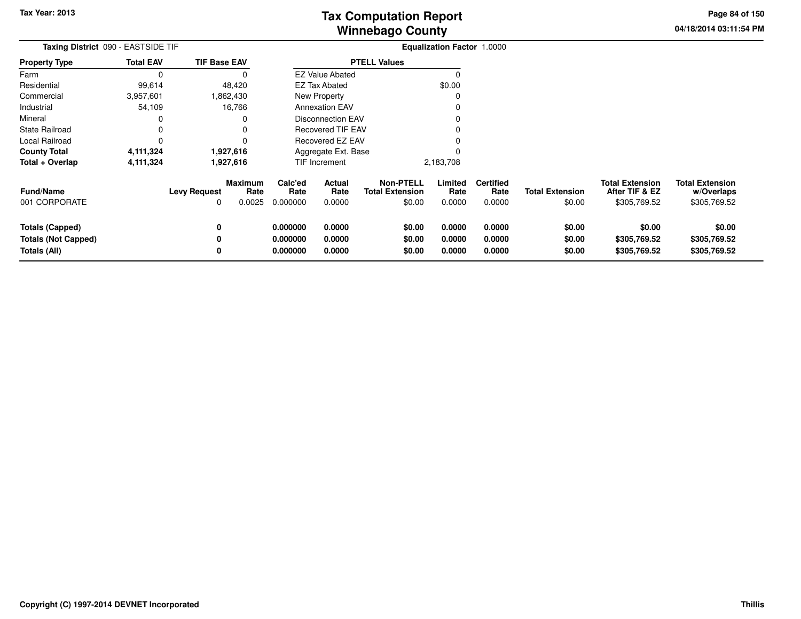**04/18/2014 03:11:54 PMPage 84 of 150**

| Taxing District 090 - EASTSIDE TIF |           |                        |                                                                                                    | <b>Equalization Factor 1.0000</b> |                                            |                                                                                                                                                                           |                          |                        |                                          |                                      |  |
|------------------------------------|-----------|------------------------|----------------------------------------------------------------------------------------------------|-----------------------------------|--------------------------------------------|---------------------------------------------------------------------------------------------------------------------------------------------------------------------------|--------------------------|------------------------|------------------------------------------|--------------------------------------|--|
| <b>Total EAV</b>                   |           |                        |                                                                                                    |                                   |                                            |                                                                                                                                                                           |                          |                        |                                          |                                      |  |
| 0                                  |           |                        |                                                                                                    |                                   |                                            |                                                                                                                                                                           |                          |                        |                                          |                                      |  |
| 99,614                             |           |                        |                                                                                                    |                                   |                                            | \$0.00                                                                                                                                                                    |                          |                        |                                          |                                      |  |
| 3,957,601                          |           |                        |                                                                                                    |                                   |                                            |                                                                                                                                                                           |                          |                        |                                          |                                      |  |
| 54,109                             |           |                        |                                                                                                    |                                   |                                            |                                                                                                                                                                           |                          |                        |                                          |                                      |  |
|                                    |           |                        |                                                                                                    |                                   |                                            |                                                                                                                                                                           |                          |                        |                                          |                                      |  |
|                                    |           |                        |                                                                                                    |                                   |                                            |                                                                                                                                                                           |                          |                        |                                          |                                      |  |
|                                    |           |                        |                                                                                                    |                                   |                                            |                                                                                                                                                                           |                          |                        |                                          |                                      |  |
| <b>County Total</b><br>4,111,324   |           |                        |                                                                                                    |                                   |                                            |                                                                                                                                                                           |                          |                        |                                          |                                      |  |
| 4,111,324                          | 1,927,616 |                        | TIF Increment                                                                                      |                                   |                                            |                                                                                                                                                                           |                          |                        |                                          |                                      |  |
|                                    |           | <b>Maximum</b><br>Rate | Calc'ed<br>Rate                                                                                    | Actual<br>Rate                    | <b>Non-PTELL</b><br><b>Total Extension</b> | Limited<br>Rate                                                                                                                                                           | <b>Certified</b><br>Rate | <b>Total Extension</b> | <b>Total Extension</b><br>After TIF & EZ | <b>Total Extension</b><br>w/Overlaps |  |
|                                    | 0         | 0.0025                 | 0.000000                                                                                           | 0.0000                            | \$0.00                                     | 0.0000                                                                                                                                                                    | 0.0000                   | \$0.00                 | \$305,769.52                             | \$305,769.52                         |  |
|                                    |           |                        | 0.000000                                                                                           | 0.0000                            | \$0.00                                     | 0.0000                                                                                                                                                                    | 0.0000                   | \$0.00                 | \$0.00                                   | \$0.00                               |  |
|                                    |           |                        | 0.000000                                                                                           | 0.0000                            | \$0.00                                     | 0.0000                                                                                                                                                                    | 0.0000                   | \$0.00                 | \$305,769.52                             | \$305,769.52                         |  |
|                                    |           |                        | 0.000000                                                                                           | 0.0000                            | \$0.00                                     | 0.0000                                                                                                                                                                    | 0.0000                   | \$0.00                 | \$305,769.52                             | \$305,769.52                         |  |
|                                    |           | 0                      | <b>TIF Base EAV</b><br>48,420<br>1,862,430<br>16,766<br>1,927,616<br><b>Levy Request</b><br>0<br>0 |                                   | <b>EZ Tax Abated</b><br>New Property       | <b>PTELL Values</b><br><b>EZ Value Abated</b><br><b>Annexation EAV</b><br><b>Disconnection EAV</b><br><b>Recovered TIF EAV</b><br>Recovered EZ EAV<br>Aggregate Ext. Base | 2,183,708                |                        |                                          |                                      |  |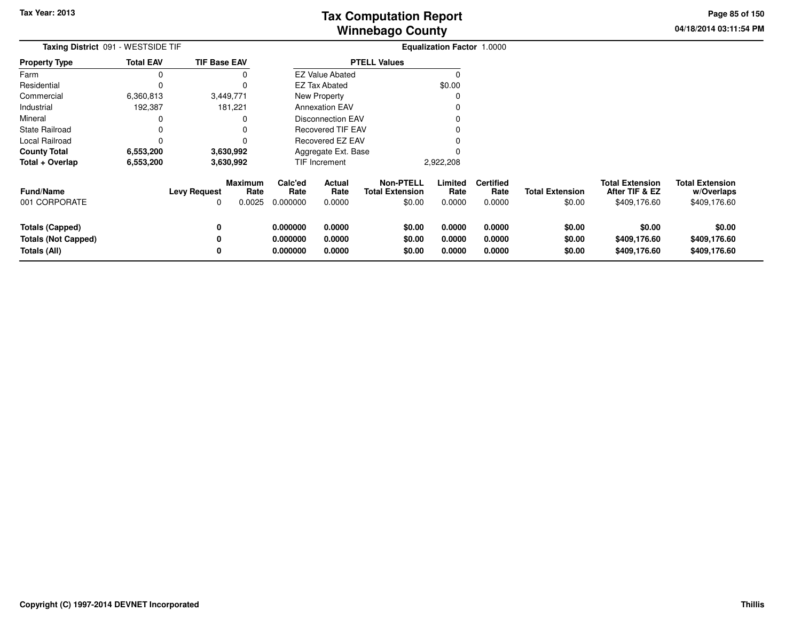**04/18/2014 03:11:54 PMPage 85 of 150**

| Taxing District 091 - WESTSIDE TIF                                   |                  | <b>Equalization Factor 1.0000</b> |                           |                                  |                            |                                                      |                            |                                    |                                  |                                                          |                                                      |
|----------------------------------------------------------------------|------------------|-----------------------------------|---------------------------|----------------------------------|----------------------------|------------------------------------------------------|----------------------------|------------------------------------|----------------------------------|----------------------------------------------------------|------------------------------------------------------|
| Property Type                                                        | <b>Total EAV</b> | <b>TIF Base EAV</b>               |                           |                                  |                            | <b>PTELL Values</b>                                  |                            |                                    |                                  |                                                          |                                                      |
| Farm                                                                 | 0                |                                   |                           |                                  | <b>EZ Value Abated</b>     |                                                      | O                          |                                    |                                  |                                                          |                                                      |
| Residential                                                          | 0                |                                   |                           |                                  | <b>EZ Tax Abated</b>       |                                                      | \$0.00                     |                                    |                                  |                                                          |                                                      |
| Commercial                                                           | 6,360,813        |                                   | 3,449,771                 |                                  | New Property               |                                                      |                            |                                    |                                  |                                                          |                                                      |
| Industrial                                                           | 192,387          |                                   | 181,221                   |                                  | <b>Annexation EAV</b>      |                                                      |                            |                                    |                                  |                                                          |                                                      |
| Mineral                                                              |                  |                                   |                           |                                  | Disconnection EAV          |                                                      |                            |                                    |                                  |                                                          |                                                      |
| State Railroad                                                       | 0                |                                   |                           |                                  | <b>Recovered TIF EAV</b>   |                                                      |                            |                                    |                                  |                                                          |                                                      |
| Local Railroad                                                       | 0                |                                   |                           |                                  | Recovered EZ EAV           |                                                      |                            |                                    |                                  |                                                          |                                                      |
| <b>County Total</b>                                                  | 6,553,200        |                                   | 3,630,992                 |                                  | Aggregate Ext. Base        |                                                      |                            |                                    |                                  |                                                          |                                                      |
| Total + Overlap                                                      | 6,553,200        |                                   | 3,630,992                 |                                  | TIF Increment              |                                                      | 2,922,208                  |                                    |                                  |                                                          |                                                      |
| <b>Fund/Name</b><br>001 CORPORATE                                    |                  | <b>Levy Request</b><br>0          | Maximum<br>Rate<br>0.0025 | Calc'ed<br>Rate<br>0.000000      | Actual<br>Rate<br>0.0000   | <b>Non-PTELL</b><br><b>Total Extension</b><br>\$0.00 | Limited<br>Rate<br>0.0000  | <b>Certified</b><br>Rate<br>0.0000 | <b>Total Extension</b><br>\$0.00 | <b>Total Extension</b><br>After TIF & EZ<br>\$409,176.60 | <b>Total Extension</b><br>w/Overlaps<br>\$409,176.60 |
| <b>Totals (Capped)</b><br><b>Totals (Not Capped)</b><br>Totals (All) |                  | 0<br>0                            |                           | 0.000000<br>0.000000<br>0.000000 | 0.0000<br>0.0000<br>0.0000 | \$0.00<br>\$0.00<br>\$0.00                           | 0.0000<br>0.0000<br>0.0000 | 0.0000<br>0.0000<br>0.0000         | \$0.00<br>\$0.00<br>\$0.00       | \$0.00<br>\$409,176.60<br>\$409,176.60                   | \$0.00<br>\$409,176.60<br>\$409,176.60               |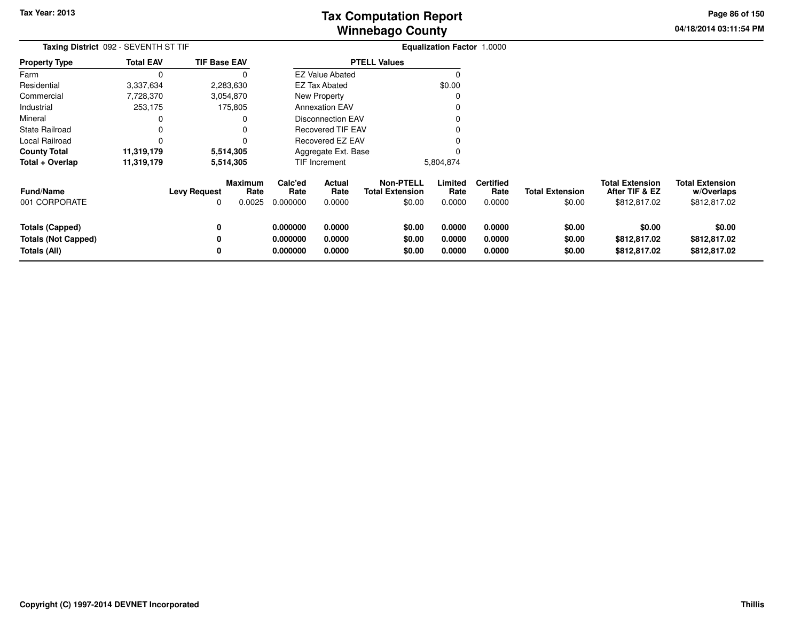**04/18/2014 03:11:54 PMPage 86 of 150**

> **w/Overlaps**\$812,817.02

| Taxing District 092 - SEVENTH ST TIF |                  |                     |                        | <b>Equalization Factor 1.0000</b> |                          |                                            |                 |                          |                        |                                          |                                      |
|--------------------------------------|------------------|---------------------|------------------------|-----------------------------------|--------------------------|--------------------------------------------|-----------------|--------------------------|------------------------|------------------------------------------|--------------------------------------|
| <b>Property Type</b>                 | <b>Total EAV</b> | <b>TIF Base EAV</b> |                        |                                   |                          | <b>PTELL Values</b>                        |                 |                          |                        |                                          |                                      |
| Farm                                 |                  |                     |                        |                                   | <b>EZ Value Abated</b>   |                                            |                 |                          |                        |                                          |                                      |
| Residential                          | 3,337,634        |                     | 2,283,630              |                                   | <b>EZ Tax Abated</b>     |                                            | \$0.00          |                          |                        |                                          |                                      |
| Commercial                           | 7,728,370        |                     | 3,054,870              |                                   | New Property             |                                            |                 |                          |                        |                                          |                                      |
| Industrial                           | 253,175          |                     | 175,805                |                                   | <b>Annexation EAV</b>    |                                            |                 |                          |                        |                                          |                                      |
| Mineral                              |                  |                     |                        |                                   | <b>Disconnection EAV</b> |                                            |                 |                          |                        |                                          |                                      |
| <b>State Railroad</b>                |                  |                     |                        |                                   | <b>Recovered TIF EAV</b> |                                            |                 |                          |                        |                                          |                                      |
| Local Railroad                       |                  |                     |                        |                                   | Recovered EZ EAV         |                                            |                 |                          |                        |                                          |                                      |
| <b>County Total</b>                  | 11,319,179       |                     | 5,514,305              |                                   | Aggregate Ext. Base      |                                            |                 |                          |                        |                                          |                                      |
| Total + Overlap                      | 11,319,179       |                     | 5,514,305              | TIF Increment                     |                          |                                            | 5,804,874       |                          |                        |                                          |                                      |
| <b>Fund/Name</b>                     |                  | <b>Levy Request</b> | <b>Maximum</b><br>Rate | Calc'ed<br>Rate                   | Actual<br>Rate           | <b>Non-PTELL</b><br><b>Total Extension</b> | Limited<br>Rate | <b>Certified</b><br>Rate | <b>Total Extension</b> | <b>Total Extension</b><br>After TIF & EZ | <b>Total Extension</b><br>w/Overlaps |
| 001 CORPORATE                        |                  | 0                   | 0.0025                 | 0.000000                          | 0.0000                   | \$0.00                                     | 0.0000          | 0.0000                   | \$0.00                 | \$812,817.02                             | \$812,817.02                         |
| Totals (Capped)                      |                  | 0                   |                        | 0.000000                          | 0.0000                   | \$0.00                                     | 0.0000          | 0.0000                   | \$0.00                 | \$0.00                                   | \$0.00                               |
| <b>Totals (Not Capped)</b>           |                  | 0                   |                        | 0.000000                          | 0.0000                   | \$0.00                                     | 0.0000          | 0.0000                   | \$0.00                 | \$812,817.02                             | \$812,817.02                         |
| Totals (All)                         |                  | 0                   |                        | 0.000000                          | 0.0000                   | \$0.00                                     | 0.0000          | 0.0000                   | \$0.00                 | \$812,817.02                             | \$812,817.02                         |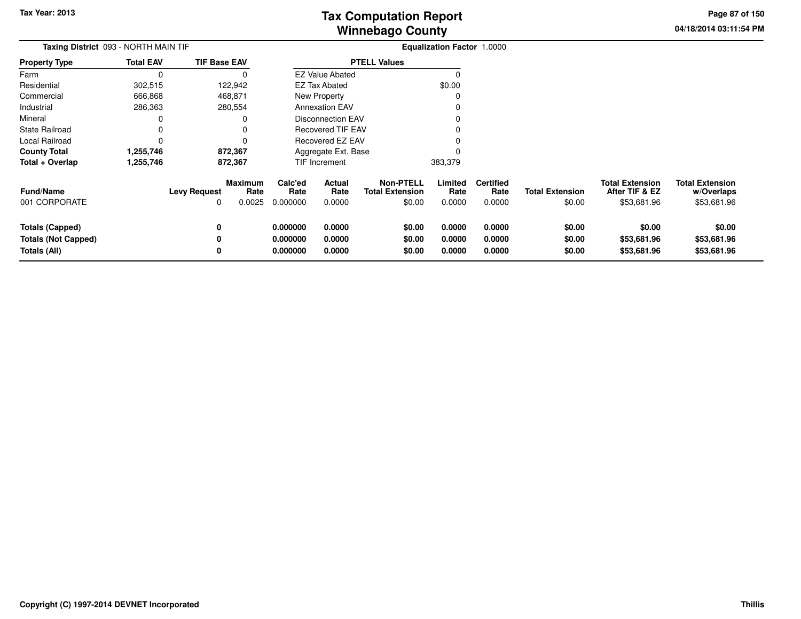**04/18/2014 03:11:54 PM Page 87 of 150**

| <b>Taxing District</b> 093 - NORTH MAIN TIF |                          |                |                                                                                              |                          |                                                                                |                                                                                                                                               |                                    |                                  |                                                         |                                                     |
|---------------------------------------------|--------------------------|----------------|----------------------------------------------------------------------------------------------|--------------------------|--------------------------------------------------------------------------------|-----------------------------------------------------------------------------------------------------------------------------------------------|------------------------------------|----------------------------------|---------------------------------------------------------|-----------------------------------------------------|
| <b>Total EAV</b>                            |                          |                |                                                                                              |                          |                                                                                |                                                                                                                                               |                                    |                                  |                                                         |                                                     |
|                                             |                          |                |                                                                                              |                          |                                                                                |                                                                                                                                               |                                    |                                  |                                                         |                                                     |
| 302,515                                     |                          |                |                                                                                              |                          |                                                                                | \$0.00                                                                                                                                        |                                    |                                  |                                                         |                                                     |
| 666,868                                     |                          |                |                                                                                              |                          |                                                                                |                                                                                                                                               |                                    |                                  |                                                         |                                                     |
| 286,363                                     |                          |                |                                                                                              |                          |                                                                                |                                                                                                                                               |                                    |                                  |                                                         |                                                     |
|                                             |                          |                |                                                                                              |                          |                                                                                |                                                                                                                                               |                                    |                                  |                                                         |                                                     |
|                                             |                          | O              | Recovered TIF EAV                                                                            |                          |                                                                                |                                                                                                                                               |                                    |                                  |                                                         |                                                     |
|                                             |                          | $\Omega$       |                                                                                              |                          |                                                                                |                                                                                                                                               |                                    |                                  |                                                         |                                                     |
| 1,255,746                                   |                          |                |                                                                                              |                          |                                                                                |                                                                                                                                               |                                    |                                  |                                                         |                                                     |
| 1,255,746                                   |                          |                |                                                                                              |                          |                                                                                | 383,379                                                                                                                                       |                                    |                                  |                                                         |                                                     |
|                                             | <b>Levy Request</b><br>0 | Rate<br>0.0025 | Calc'ed<br>Rate<br>0.000000                                                                  | Actual<br>Rate<br>0.0000 | <b>Non-PTELL</b><br><b>Total Extension</b><br>\$0.00                           | Limited<br>Rate<br>0.0000                                                                                                                     | <b>Certified</b><br>Rate<br>0.0000 | <b>Total Extension</b><br>\$0.00 | <b>Total Extension</b><br>After TIF & EZ<br>\$53,681.96 | <b>Total Extension</b><br>w/Overlaps<br>\$53,681.96 |
|                                             | 0<br>0                   |                | 0.000000<br>0.000000                                                                         | 0.0000<br>0.0000         | \$0.00<br>\$0.00                                                               | 0.0000<br>0.0000                                                                                                                              | 0.0000<br>0.0000                   | \$0.00<br>\$0.00                 | \$0.00<br>\$53,681.96                                   | \$0.00<br>\$53,681.96<br>\$53,681.96                |
|                                             |                          | 0              | <b>TIF Base EAV</b><br>122,942<br>468,871<br>280,554<br>872,367<br>872,367<br><b>Maximum</b> |                          | <b>EZ Tax Abated</b><br>New Property<br><b>Annexation EAV</b><br>TIF Increment | <b>PTELL Values</b><br><b>EZ Value Abated</b><br>Disconnection EAV<br>Recovered EZ EAV<br>Aggregate Ext. Base<br>0.0000<br>0.000000<br>\$0.00 |                                    | 0.0000<br>0.0000                 | \$0.00                                                  | <b>Equalization Factor 1.0000</b><br>\$53,681.96    |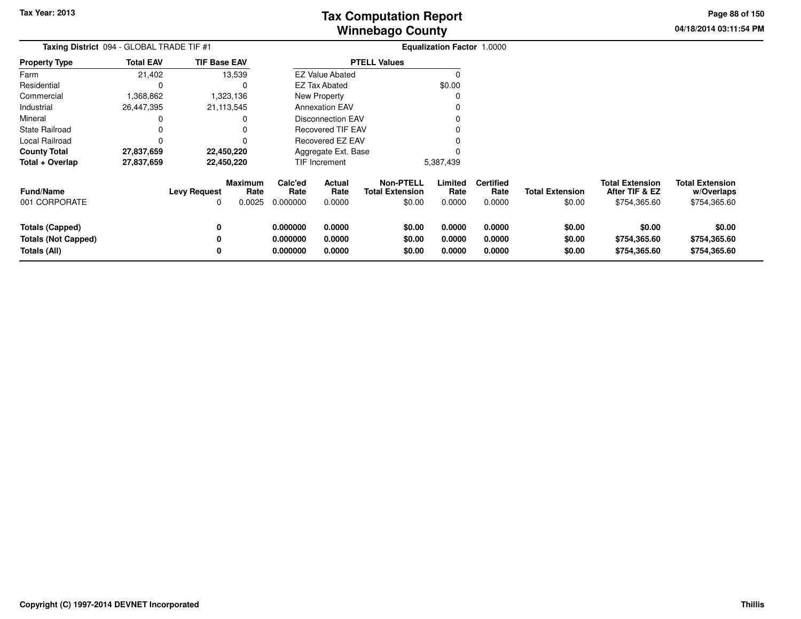**04/18/2014 03:11:54 PMPage 88 of 150**

| Taxing District 094 - GLOBAL TRADE TIF #1            |                  |                          |                           |                             |                          |                                                      | <b>Equalization Factor 1.0000</b> |                                    |                                  |                                                          |                                                      |
|------------------------------------------------------|------------------|--------------------------|---------------------------|-----------------------------|--------------------------|------------------------------------------------------|-----------------------------------|------------------------------------|----------------------------------|----------------------------------------------------------|------------------------------------------------------|
| Property Type                                        | <b>Total EAV</b> | <b>TIF Base EAV</b>      |                           |                             |                          | <b>PTELL Values</b>                                  |                                   |                                    |                                  |                                                          |                                                      |
| Farm                                                 | 21,402           |                          | 13,539                    |                             | <b>EZ Value Abated</b>   |                                                      | $\Omega$                          |                                    |                                  |                                                          |                                                      |
| Residential                                          | 0                |                          |                           |                             | <b>EZ Tax Abated</b>     |                                                      | \$0.00                            |                                    |                                  |                                                          |                                                      |
| Commercial                                           | 1,368,862        |                          | 1,323,136                 |                             | New Property             |                                                      |                                   |                                    |                                  |                                                          |                                                      |
| Industrial                                           | 26,447,395       |                          | 21,113,545                |                             | <b>Annexation EAV</b>    |                                                      |                                   |                                    |                                  |                                                          |                                                      |
| Mineral                                              | 0                |                          |                           |                             | Disconnection EAV        |                                                      |                                   |                                    |                                  |                                                          |                                                      |
| State Railroad                                       | 0                |                          |                           |                             | <b>Recovered TIF EAV</b> |                                                      |                                   |                                    |                                  |                                                          |                                                      |
| Local Railroad                                       | 0                |                          |                           |                             | Recovered EZ EAV         |                                                      |                                   |                                    |                                  |                                                          |                                                      |
| County Total                                         | 27,837,659       |                          | 22,450,220                |                             | Aggregate Ext. Base      |                                                      |                                   |                                    |                                  |                                                          |                                                      |
| Total + Overlap                                      | 27,837,659       |                          | 22,450,220                | TIF Increment               |                          |                                                      | 5,387,439                         |                                    |                                  |                                                          |                                                      |
| Fund/Name<br>001 CORPORATE                           |                  | <b>Levy Request</b><br>0 | Maximum<br>Rate<br>0.0025 | Calc'ed<br>Rate<br>0.000000 | Actual<br>Rate<br>0.0000 | <b>Non-PTELL</b><br><b>Total Extension</b><br>\$0.00 | Limited<br>Rate<br>0.0000         | <b>Certified</b><br>Rate<br>0.0000 | <b>Total Extension</b><br>\$0.00 | <b>Total Extension</b><br>After TIF & EZ<br>\$754,365.60 | <b>Total Extension</b><br>w/Overlaps<br>\$754,365.60 |
| <b>Totals (Capped)</b><br><b>Totals (Not Capped)</b> |                  | 0                        |                           | 0.000000<br>0.000000        | 0.0000<br>0.0000         | \$0.00<br>\$0.00                                     | 0.0000<br>0.0000                  | 0.0000<br>0.0000                   | \$0.00<br>\$0.00                 | \$0.00<br>\$754,365.60                                   | \$0.00<br>\$754,365.60                               |
| <b>Totals (All)</b>                                  |                  | 0                        |                           | 0.000000                    | 0.0000                   | \$0.00                                               | 0.0000                            | 0.0000                             | \$0.00                           | \$754,365.60                                             | \$754,365.60                                         |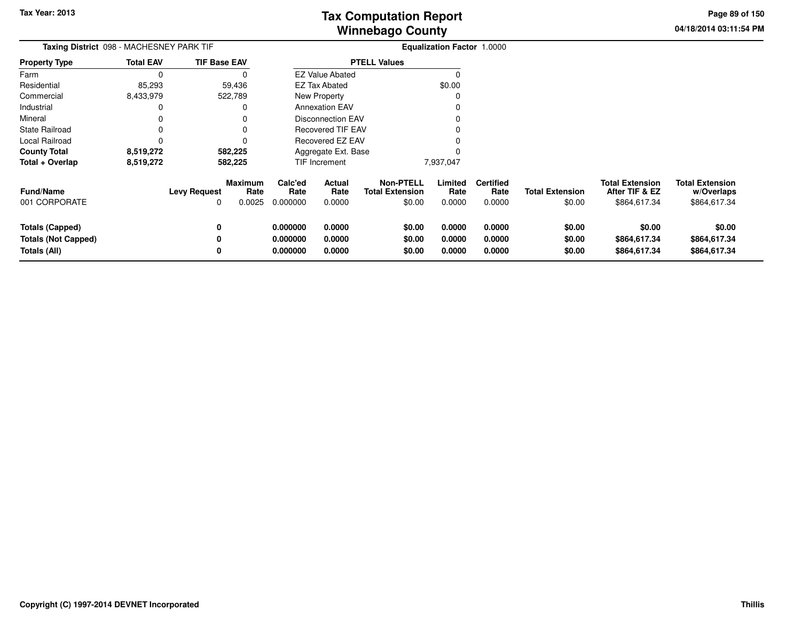**04/18/2014 03:11:54 PM Page 89 of 150**

| Taxing District 098 - MACHESNEY PARK TIF                      |                  |                     |                                  | Equalization Factor 1.0000       |                            |                                                      |                            |                                    |                                  |                                                          |                                                      |
|---------------------------------------------------------------|------------------|---------------------|----------------------------------|----------------------------------|----------------------------|------------------------------------------------------|----------------------------|------------------------------------|----------------------------------|----------------------------------------------------------|------------------------------------------------------|
| <b>Property Type</b>                                          | <b>Total EAV</b> | <b>TIF Base EAV</b> |                                  |                                  |                            | <b>PTELL Values</b>                                  |                            |                                    |                                  |                                                          |                                                      |
| Farm                                                          | $\Omega$         |                     | 0                                |                                  | <b>EZ Value Abated</b>     |                                                      | $\Omega$                   |                                    |                                  |                                                          |                                                      |
| Residential                                                   | 85,293           |                     | 59,436                           |                                  | <b>EZ Tax Abated</b>       |                                                      | \$0.00                     |                                    |                                  |                                                          |                                                      |
| Commercial                                                    | 8,433,979        | 522,789             |                                  |                                  | New Property               |                                                      | -C                         |                                    |                                  |                                                          |                                                      |
| Industrial                                                    | 0                |                     | 0                                |                                  | <b>Annexation EAV</b>      |                                                      |                            |                                    |                                  |                                                          |                                                      |
| Mineral                                                       | 0                |                     | O                                |                                  | <b>Disconnection EAV</b>   |                                                      |                            |                                    |                                  |                                                          |                                                      |
| <b>State Railroad</b>                                         |                  |                     |                                  |                                  | <b>Recovered TIF EAV</b>   |                                                      |                            |                                    |                                  |                                                          |                                                      |
| Local Railroad                                                | 0                |                     | 0                                |                                  | Recovered EZ EAV           |                                                      |                            |                                    |                                  |                                                          |                                                      |
| <b>County Total</b>                                           | 8,519,272        | 582,225             |                                  |                                  | Aggregate Ext. Base        |                                                      |                            |                                    |                                  |                                                          |                                                      |
| Total + Overlap                                               | 8,519,272        | 582,225             |                                  |                                  | TIF Increment              |                                                      | 7,937,047                  |                                    |                                  |                                                          |                                                      |
| <b>Fund/Name</b><br>001 CORPORATE                             |                  | <b>Levy Request</b> | <b>Maximum</b><br>Rate<br>0.0025 | Calc'ed<br>Rate<br>0.000000      | Actual<br>Rate<br>0.0000   | <b>Non-PTELL</b><br><b>Total Extension</b><br>\$0.00 | Limited<br>Rate<br>0.0000  | <b>Certified</b><br>Rate<br>0.0000 | <b>Total Extension</b><br>\$0.00 | <b>Total Extension</b><br>After TIF & EZ<br>\$864,617.34 | <b>Total Extension</b><br>w/Overlaps<br>\$864,617.34 |
| Totals (Capped)<br><b>Totals (Not Capped)</b><br>Totals (All) |                  | 0                   |                                  | 0.000000<br>0.000000<br>0.000000 | 0.0000<br>0.0000<br>0.0000 | \$0.00<br>\$0.00<br>\$0.00                           | 0.0000<br>0.0000<br>0.0000 | 0.0000<br>0.0000<br>0.0000         | \$0.00<br>\$0.00<br>\$0.00       | \$0.00<br>\$864,617.34<br>\$864,617.34                   | \$0.00<br>\$864,617.34<br>\$864,617.34               |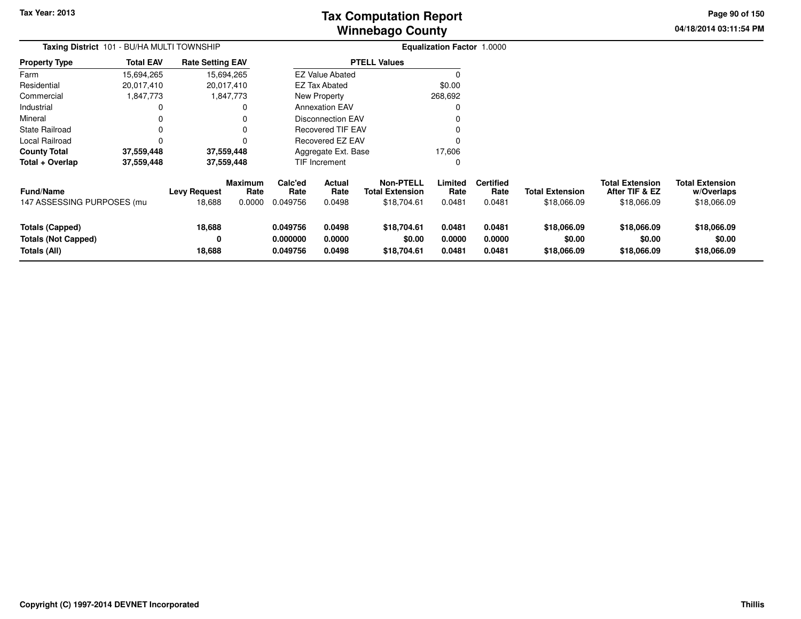# **Winnebago CountyTax Computation Report**

**04/18/2014 03:11:54 PM Page 90 of 150**

| Taxing District 101 - BU/HA MULTI TOWNSHIP                    |                  |                               |                                  | <b>Equalization Factor 1.0000</b> |                            |                                                    |                            |                                    |                                       |                                                         |                                                     |
|---------------------------------------------------------------|------------------|-------------------------------|----------------------------------|-----------------------------------|----------------------------|----------------------------------------------------|----------------------------|------------------------------------|---------------------------------------|---------------------------------------------------------|-----------------------------------------------------|
| <b>Property Type</b>                                          | <b>Total EAV</b> | <b>Rate Setting EAV</b>       |                                  |                                   |                            | <b>PTELL Values</b>                                |                            |                                    |                                       |                                                         |                                                     |
| Farm                                                          | 15,694,265       |                               | 15,694,265                       |                                   | <b>EZ Value Abated</b>     |                                                    |                            |                                    |                                       |                                                         |                                                     |
| Residential                                                   | 20,017,410       |                               | 20,017,410                       |                                   | <b>EZ Tax Abated</b>       |                                                    | \$0.00                     |                                    |                                       |                                                         |                                                     |
| Commercial                                                    | 1,847,773        |                               | 1,847,773                        |                                   | New Property               |                                                    | 268,692                    |                                    |                                       |                                                         |                                                     |
| Industrial                                                    |                  |                               |                                  |                                   | <b>Annexation EAV</b>      |                                                    | 0                          |                                    |                                       |                                                         |                                                     |
| Mineral                                                       | 0                |                               | 0                                | <b>Disconnection EAV</b>          |                            |                                                    |                            |                                    |                                       |                                                         |                                                     |
| <b>State Railroad</b>                                         | 0                |                               | 0                                |                                   | <b>Recovered TIF EAV</b>   |                                                    |                            |                                    |                                       |                                                         |                                                     |
| Local Railroad                                                |                  |                               |                                  |                                   | Recovered EZ EAV           |                                                    |                            |                                    |                                       |                                                         |                                                     |
| <b>County Total</b>                                           | 37,559,448       |                               | 37,559,448                       |                                   | Aggregate Ext. Base        |                                                    | 17,606                     |                                    |                                       |                                                         |                                                     |
| Total + Overlap                                               | 37,559,448       |                               | 37,559,448                       |                                   | TIF Increment              |                                                    | 0                          |                                    |                                       |                                                         |                                                     |
| Fund/Name<br>147 ASSESSING PURPOSES (mu                       |                  | <b>Levy Request</b><br>18,688 | <b>Maximum</b><br>Rate<br>0.0000 | Calc'ed<br>Rate<br>0.049756       | Actual<br>Rate<br>0.0498   | Non-PTELL<br><b>Total Extension</b><br>\$18,704.61 | Limited<br>Rate<br>0.0481  | <b>Certified</b><br>Rate<br>0.0481 | <b>Total Extension</b><br>\$18,066.09 | <b>Total Extension</b><br>After TIF & EZ<br>\$18,066.09 | <b>Total Extension</b><br>w/Overlaps<br>\$18,066.09 |
| Totals (Capped)<br><b>Totals (Not Capped)</b><br>Totals (All) |                  | 18,688<br>0<br>18,688         |                                  | 0.049756<br>0.000000<br>0.049756  | 0.0498<br>0.0000<br>0.0498 | \$18,704.61<br>\$0.00<br>\$18,704.61               | 0.0481<br>0.0000<br>0.0481 | 0.0481<br>0.0000<br>0.0481         | \$18,066.09<br>\$0.00<br>\$18,066.09  | \$18,066.09<br>\$0.00<br>\$18,066.09                    | \$18,066.09<br>\$0.00<br>\$18,066.09                |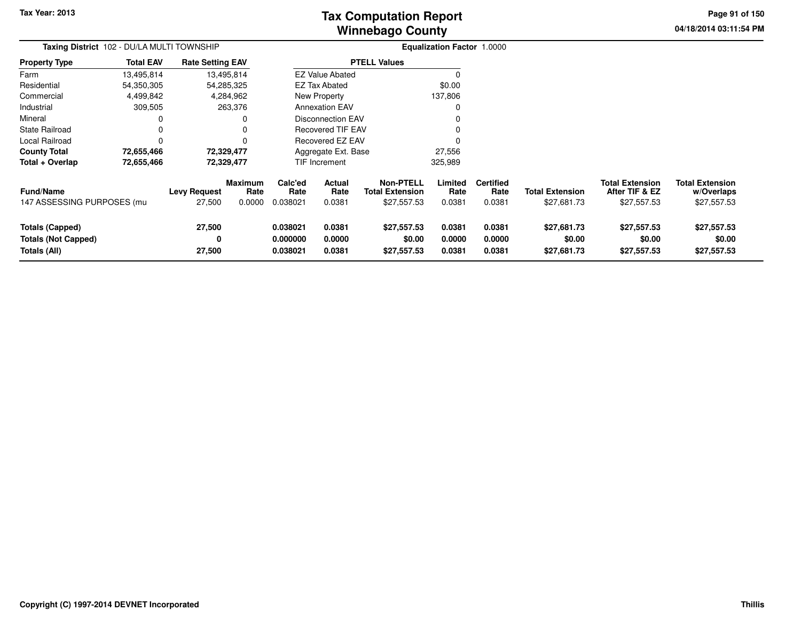# **Winnebago CountyTax Computation Report**

**04/18/2014 03:11:54 PM Page 91 of 150**

| Taxing District 102 - DU/LA MULTI TOWNSHIP                           |                  |                               |                                  | <b>Equalization Factor 1.0000</b> |                                 |                                                           |                            |                                    |                                       |                                                  |                                                     |
|----------------------------------------------------------------------|------------------|-------------------------------|----------------------------------|-----------------------------------|---------------------------------|-----------------------------------------------------------|----------------------------|------------------------------------|---------------------------------------|--------------------------------------------------|-----------------------------------------------------|
| <b>Property Type</b>                                                 | <b>Total EAV</b> | <b>Rate Setting EAV</b>       |                                  |                                   |                                 | <b>PTELL Values</b>                                       |                            |                                    |                                       |                                                  |                                                     |
| Farm                                                                 | 13,495,814       |                               | 13,495,814                       |                                   | <b>EZ Value Abated</b>          |                                                           | $\Omega$                   |                                    |                                       |                                                  |                                                     |
| Residential                                                          | 54,350,305       |                               | 54,285,325                       |                                   | <b>EZ Tax Abated</b>            |                                                           | \$0.00                     |                                    |                                       |                                                  |                                                     |
| Commercial                                                           | 4,499,842        |                               | 4,284,962                        |                                   | New Property                    |                                                           | 137,806                    |                                    |                                       |                                                  |                                                     |
| Industrial                                                           | 309,505          |                               | 263,376                          |                                   | <b>Annexation EAV</b>           |                                                           | 0                          |                                    |                                       |                                                  |                                                     |
| Mineral                                                              |                  |                               |                                  |                                   | <b>Disconnection EAV</b>        |                                                           |                            |                                    |                                       |                                                  |                                                     |
| <b>State Railroad</b>                                                |                  |                               |                                  |                                   | Recovered TIF EAV               |                                                           |                            |                                    |                                       |                                                  |                                                     |
| Local Railroad                                                       |                  |                               |                                  |                                   | Recovered EZ EAV                |                                                           |                            |                                    |                                       |                                                  |                                                     |
| <b>County Total</b>                                                  | 72,655,466       |                               | 72,329,477                       |                                   | Aggregate Ext. Base             |                                                           | 27,556                     |                                    |                                       |                                                  |                                                     |
| Total + Overlap                                                      | 72,655,466       |                               | 72,329,477                       |                                   | <b>TIF Increment</b>            |                                                           | 325,989                    |                                    |                                       |                                                  |                                                     |
| Fund/Name<br>147 ASSESSING PURPOSES (mu                              |                  | <b>Levy Request</b><br>27,500 | <b>Maximum</b><br>Rate<br>0.0000 | Calc'ed<br>Rate<br>0.038021       | <b>Actual</b><br>Rate<br>0.0381 | <b>Non-PTELL</b><br><b>Total Extension</b><br>\$27,557.53 | Limited<br>Rate<br>0.0381  | <b>Certified</b><br>Rate<br>0.0381 | <b>Total Extension</b><br>\$27,681.73 | Total Extension<br>After TIF & EZ<br>\$27,557.53 | <b>Total Extension</b><br>w/Overlaps<br>\$27,557.53 |
| <b>Totals (Capped)</b><br><b>Totals (Not Capped)</b><br>Totals (All) |                  | 27,500<br>0<br>27,500         |                                  | 0.038021<br>0.000000<br>0.038021  | 0.0381<br>0.0000<br>0.0381      | \$27,557.53<br>\$0.00<br>\$27,557.53                      | 0.0381<br>0.0000<br>0.0381 | 0.0381<br>0.0000<br>0.0381         | \$27,681.73<br>\$0.00<br>\$27,681.73  | \$27,557.53<br>\$0.00<br>\$27,557.53             | \$27,557.53<br>\$0.00<br>\$27,557.53                |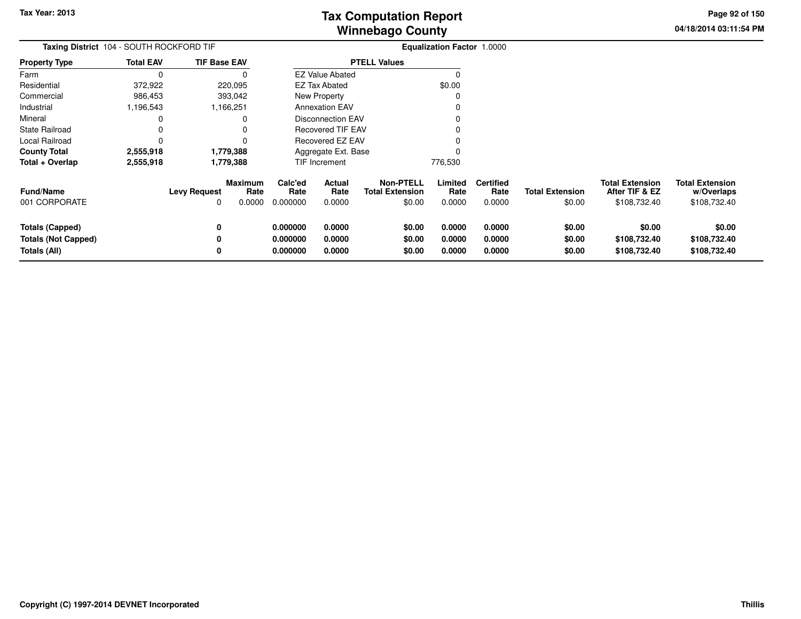**04/18/2014 03:11:54 PM Page 92 of 150**

| Taxing District 104 - SOUTH ROCKFORD TIF                             |                  |                     |                                  |                                  |                            |                                                      | Equalization Factor 1.0000 |                                    |                                  |                                                          |                                                      |
|----------------------------------------------------------------------|------------------|---------------------|----------------------------------|----------------------------------|----------------------------|------------------------------------------------------|----------------------------|------------------------------------|----------------------------------|----------------------------------------------------------|------------------------------------------------------|
| <b>Property Type</b>                                                 | <b>Total EAV</b> | <b>TIF Base EAV</b> |                                  |                                  |                            | <b>PTELL Values</b>                                  |                            |                                    |                                  |                                                          |                                                      |
| Farm                                                                 | $\Omega$         |                     | 0                                |                                  | <b>EZ Value Abated</b>     |                                                      | $\Omega$                   |                                    |                                  |                                                          |                                                      |
| Residential                                                          | 372,922          |                     | 220,095                          |                                  | EZ Tax Abated              |                                                      | \$0.00                     |                                    |                                  |                                                          |                                                      |
| Commercial                                                           | 986,453          |                     | 393,042                          |                                  | New Property               |                                                      | C                          |                                    |                                  |                                                          |                                                      |
| Industrial                                                           | 1,196,543        |                     | ,166,251                         |                                  | <b>Annexation EAV</b>      |                                                      |                            |                                    |                                  |                                                          |                                                      |
| Mineral                                                              | 0                |                     | 0                                |                                  | <b>Disconnection EAV</b>   |                                                      |                            |                                    |                                  |                                                          |                                                      |
| <b>State Railroad</b>                                                | 0                |                     | 0                                | <b>Recovered TIF EAV</b>         |                            |                                                      |                            |                                    |                                  |                                                          |                                                      |
| Local Railroad                                                       | 0                |                     | 0                                |                                  | Recovered EZ EAV           |                                                      |                            |                                    |                                  |                                                          |                                                      |
| <b>County Total</b>                                                  | 2,555,918        |                     | 1,779,388                        |                                  | Aggregate Ext. Base        |                                                      |                            |                                    |                                  |                                                          |                                                      |
| Total + Overlap                                                      | 2,555,918        | 1,779,388           |                                  | TIF Increment                    |                            |                                                      | 776,530                    |                                    |                                  |                                                          |                                                      |
| <b>Fund/Name</b><br>001 CORPORATE                                    |                  | <b>Levy Request</b> | <b>Maximum</b><br>Rate<br>0.0000 | Calc'ed<br>Rate<br>0.000000      | Actual<br>Rate<br>0.0000   | <b>Non-PTELL</b><br><b>Total Extension</b><br>\$0.00 | Limited<br>Rate<br>0.0000  | <b>Certified</b><br>Rate<br>0.0000 | <b>Total Extension</b><br>\$0.00 | <b>Total Extension</b><br>After TIF & EZ<br>\$108,732.40 | <b>Total Extension</b><br>w/Overlaps<br>\$108,732.40 |
| <b>Totals (Capped)</b><br><b>Totals (Not Capped)</b><br>Totals (All) |                  |                     |                                  | 0.000000<br>0.000000<br>0.000000 | 0.0000<br>0.0000<br>0.0000 | \$0.00<br>\$0.00<br>\$0.00                           | 0.0000<br>0.0000<br>0.0000 | 0.0000<br>0.0000<br>0.0000         | \$0.00<br>\$0.00<br>\$0.00       | \$0.00<br>\$108,732.40<br>\$108,732.40                   | \$0.00<br>\$108,732.40<br>\$108,732.40               |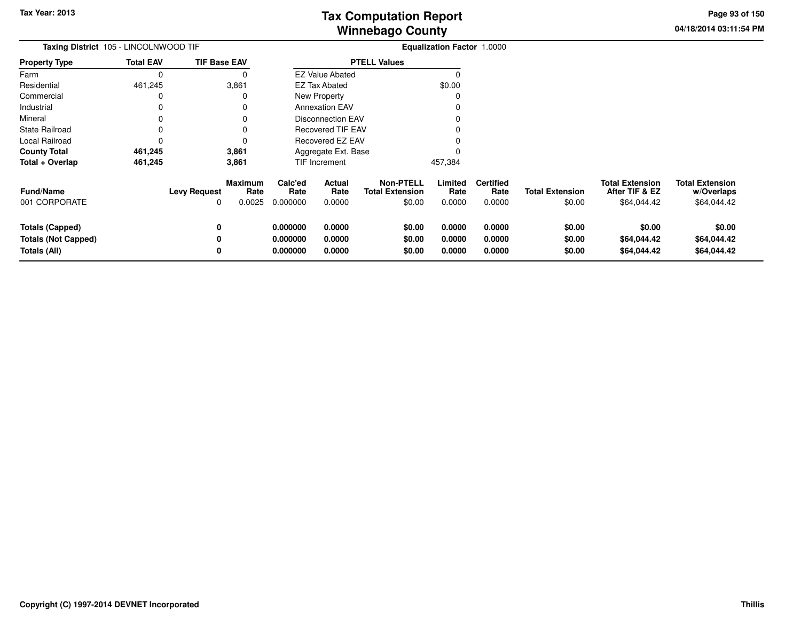**04/18/2014 03:11:54 PMPage 93 of 150**

| Taxing District 105 - LINCOLNWOOD TIF |                  |                     |                           | <b>Equalization Factor 1.0000</b> |                          |                                                      |                           |                                    |                                  |                                                         |                                                     |
|---------------------------------------|------------------|---------------------|---------------------------|-----------------------------------|--------------------------|------------------------------------------------------|---------------------------|------------------------------------|----------------------------------|---------------------------------------------------------|-----------------------------------------------------|
| <b>Property Type</b>                  | <b>Total EAV</b> | <b>TIF Base EAV</b> |                           |                                   |                          | <b>PTELL Values</b>                                  |                           |                                    |                                  |                                                         |                                                     |
| Farm                                  |                  |                     |                           |                                   | <b>EZ Value Abated</b>   |                                                      |                           |                                    |                                  |                                                         |                                                     |
| Residential                           | 461,245          |                     | 3,861                     |                                   | <b>EZ Tax Abated</b>     |                                                      | \$0.00                    |                                    |                                  |                                                         |                                                     |
| Commercial                            |                  |                     |                           |                                   | New Property             |                                                      |                           |                                    |                                  |                                                         |                                                     |
| Industrial                            |                  |                     |                           |                                   | <b>Annexation EAV</b>    |                                                      |                           |                                    |                                  |                                                         |                                                     |
| Mineral                               |                  |                     |                           |                                   | <b>Disconnection EAV</b> |                                                      |                           |                                    |                                  |                                                         |                                                     |
| <b>State Railroad</b>                 |                  |                     |                           |                                   | <b>Recovered TIF EAV</b> |                                                      |                           |                                    |                                  |                                                         |                                                     |
| Local Railroad                        |                  |                     |                           |                                   | <b>Recovered EZ EAV</b>  |                                                      |                           |                                    |                                  |                                                         |                                                     |
| <b>County Total</b>                   | 461,245          |                     | 3,861                     |                                   | Aggregate Ext. Base      |                                                      |                           |                                    |                                  |                                                         |                                                     |
| Total + Overlap                       | 461,245          |                     | 3,861                     |                                   | TIF Increment            |                                                      | 457,384                   |                                    |                                  |                                                         |                                                     |
| <b>Fund/Name</b><br>001 CORPORATE     |                  | Levy Request<br>0   | Maximum<br>Rate<br>0.0025 | Calc'ed<br>Rate<br>0.000000       | Actual<br>Rate<br>0.0000 | <b>Non-PTELL</b><br><b>Total Extension</b><br>\$0.00 | Limited<br>Rate<br>0.0000 | <b>Certified</b><br>Rate<br>0.0000 | <b>Total Extension</b><br>\$0.00 | <b>Total Extension</b><br>After TIF & EZ<br>\$64,044.42 | <b>Total Extension</b><br>w/Overlaps<br>\$64,044.42 |
| <b>Totals (Capped)</b>                |                  | 0                   |                           | 0.000000                          | 0.0000                   | \$0.00                                               | 0.0000                    | 0.0000                             | \$0.00                           | \$0.00                                                  | \$0.00                                              |
| <b>Totals (Not Capped)</b>            |                  |                     |                           | 0.000000                          | 0.0000                   | \$0.00                                               | 0.0000                    | 0.0000                             | \$0.00                           | \$64,044.42                                             | \$64,044.42                                         |
| Totals (All)                          |                  |                     |                           | 0.000000                          | 0.0000                   | \$0.00                                               | 0.0000                    | 0.0000                             | \$0.00                           | \$64,044.42                                             | \$64,044.42                                         |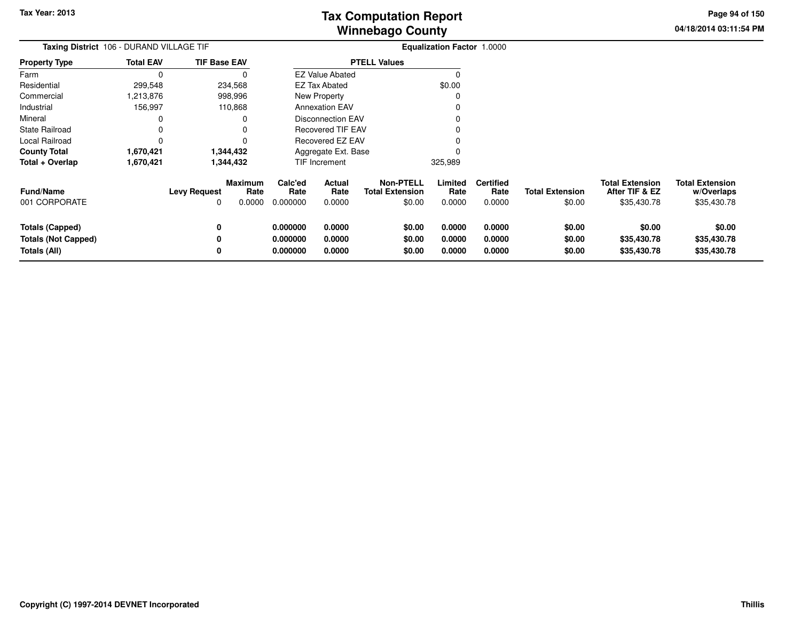**04/18/2014 03:11:54 PM Page 94 of 150**

| Taxing District 106 - DURAND VILLAGE TIF                      |                  |                     |                                  | Equalization Factor 1.0000       |                            |                                                      |                            |                                    |                                  |                                                         |                                                     |
|---------------------------------------------------------------|------------------|---------------------|----------------------------------|----------------------------------|----------------------------|------------------------------------------------------|----------------------------|------------------------------------|----------------------------------|---------------------------------------------------------|-----------------------------------------------------|
| <b>Property Type</b>                                          | <b>Total EAV</b> | <b>TIF Base EAV</b> |                                  |                                  |                            | <b>PTELL Values</b>                                  |                            |                                    |                                  |                                                         |                                                     |
| Farm                                                          | $\Omega$         |                     | $\Omega$                         |                                  | <b>EZ Value Abated</b>     |                                                      | $\Omega$                   |                                    |                                  |                                                         |                                                     |
| Residential                                                   | 299,548          |                     | 234,568                          |                                  | EZ Tax Abated              |                                                      | \$0.00                     |                                    |                                  |                                                         |                                                     |
| Commercial                                                    | ,213,876         |                     | 998,996                          |                                  | <b>New Property</b>        |                                                      | C                          |                                    |                                  |                                                         |                                                     |
| Industrial                                                    | 156,997          |                     | 110,868                          |                                  | <b>Annexation EAV</b>      |                                                      |                            |                                    |                                  |                                                         |                                                     |
| Mineral                                                       | 0                |                     | 0                                | <b>Disconnection EAV</b>         |                            |                                                      |                            |                                    |                                  |                                                         |                                                     |
| State Railroad                                                | 0                |                     | 0                                | <b>Recovered TIF EAV</b>         |                            |                                                      |                            |                                    |                                  |                                                         |                                                     |
| Local Railroad                                                | $\Omega$         |                     | 0                                | Recovered EZ EAV                 |                            |                                                      |                            |                                    |                                  |                                                         |                                                     |
| <b>County Total</b>                                           | 1,670,421        | 1,344,432           |                                  |                                  | Aggregate Ext. Base        |                                                      |                            |                                    |                                  |                                                         |                                                     |
| Total + Overlap                                               | 1,670,421        | 1,344,432           |                                  |                                  | TIF Increment              |                                                      | 325,989                    |                                    |                                  |                                                         |                                                     |
| <b>Fund/Name</b><br>001 CORPORATE                             |                  | <b>Levy Request</b> | <b>Maximum</b><br>Rate<br>0.0000 | Calc'ed<br>Rate<br>0.000000      | Actual<br>Rate<br>0.0000   | <b>Non-PTELL</b><br><b>Total Extension</b><br>\$0.00 | Limited<br>Rate<br>0.0000  | <b>Certified</b><br>Rate<br>0.0000 | <b>Total Extension</b><br>\$0.00 | <b>Total Extension</b><br>After TIF & EZ<br>\$35,430.78 | <b>Total Extension</b><br>w/Overlaps<br>\$35,430.78 |
| Totals (Capped)<br><b>Totals (Not Capped)</b><br>Totals (All) |                  |                     |                                  | 0.000000<br>0.000000<br>0.000000 | 0.0000<br>0.0000<br>0.0000 | \$0.00<br>\$0.00<br>\$0.00                           | 0.0000<br>0.0000<br>0.0000 | 0.0000<br>0.0000<br>0.0000         | \$0.00<br>\$0.00<br>\$0.00       | \$0.00<br>\$35,430.78<br>\$35,430.78                    | \$0.00<br>\$35,430.78<br>\$35,430.78                |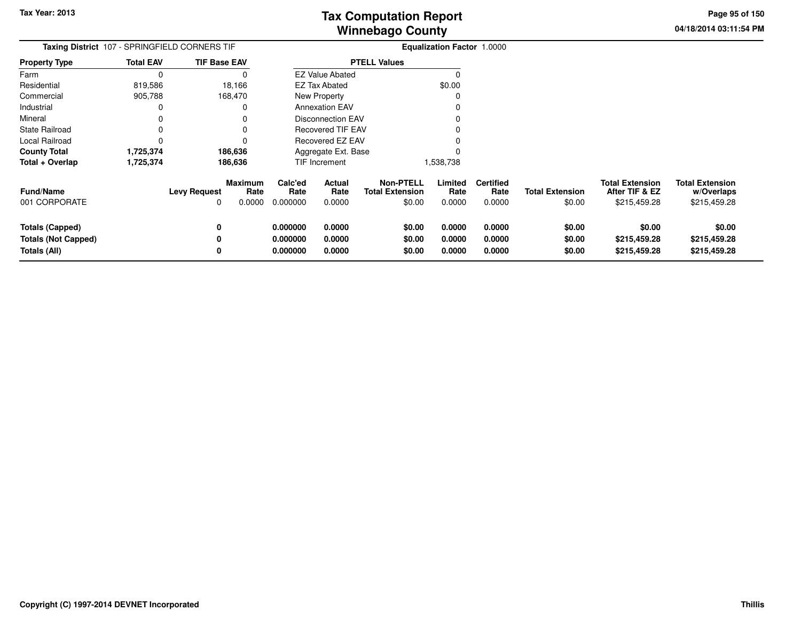**04/18/2014 03:11:54 PMPage 95 of 150**

| <b>Taxing District</b> 107 - SPRINGFIELD CORNERS TIF                 |                  |                                     |                | <b>Equalization Factor 1.0000</b> |                                               |                                                      |                            |                                    |                                  |                                                          |                                                      |
|----------------------------------------------------------------------|------------------|-------------------------------------|----------------|-----------------------------------|-----------------------------------------------|------------------------------------------------------|----------------------------|------------------------------------|----------------------------------|----------------------------------------------------------|------------------------------------------------------|
| Property Type                                                        | <b>Total EAV</b> | <b>TIF Base EAV</b>                 |                |                                   |                                               | <b>PTELL Values</b>                                  |                            |                                    |                                  |                                                          |                                                      |
| Farm                                                                 | 0                |                                     |                |                                   | <b>EZ Value Abated</b>                        |                                                      | O                          |                                    |                                  |                                                          |                                                      |
| Residential                                                          | 819,586          | 18,166                              |                |                                   | <b>EZ Tax Abated</b>                          |                                                      | \$0.00                     |                                    |                                  |                                                          |                                                      |
| Commercial                                                           | 905,788          | 168,470                             |                |                                   | New Property                                  |                                                      |                            |                                    |                                  |                                                          |                                                      |
| Industrial                                                           | 0                |                                     |                |                                   | <b>Annexation EAV</b>                         |                                                      |                            |                                    |                                  |                                                          |                                                      |
| Mineral                                                              |                  |                                     |                |                                   | <b>Disconnection EAV</b><br>Recovered TIF EAV |                                                      |                            |                                    |                                  |                                                          |                                                      |
| State Railroad                                                       | 0                |                                     |                |                                   |                                               |                                                      |                            |                                    |                                  |                                                          |                                                      |
| Local Railroad                                                       | 0                |                                     |                | Recovered EZ EAV                  |                                               |                                                      |                            |                                    |                                  |                                                          |                                                      |
| <b>County Total</b>                                                  | 1,725,374        | 186,636                             |                |                                   | Aggregate Ext. Base                           |                                                      |                            |                                    |                                  |                                                          |                                                      |
| Total + Overlap                                                      | 1,725,374        | 186,636                             |                |                                   | TIF Increment                                 |                                                      | 1,538,738                  |                                    |                                  |                                                          |                                                      |
| <b>Fund/Name</b><br>001 CORPORATE                                    |                  | Maximum<br><b>Levy Request</b><br>0 | Rate<br>0.0000 | Calc'ed<br>Rate<br>0.000000       | Actual<br>Rate<br>0.0000                      | <b>Non-PTELL</b><br><b>Total Extension</b><br>\$0.00 | Limited<br>Rate<br>0.0000  | <b>Certified</b><br>Rate<br>0.0000 | <b>Total Extension</b><br>\$0.00 | <b>Total Extension</b><br>After TIF & EZ<br>\$215,459.28 | <b>Total Extension</b><br>w/Overlaps<br>\$215,459.28 |
| <b>Totals (Capped)</b><br><b>Totals (Not Capped)</b><br>Totals (All) |                  | 0<br>0                              |                | 0.000000<br>0.000000<br>0.000000  | 0.0000<br>0.0000<br>0.0000                    | \$0.00<br>\$0.00<br>\$0.00                           | 0.0000<br>0.0000<br>0.0000 | 0.0000<br>0.0000<br>0.0000         | \$0.00<br>\$0.00<br>\$0.00       | \$0.00<br>\$215,459.28<br>\$215,459.28                   | \$0.00<br>\$215,459.28<br>\$215,459.28               |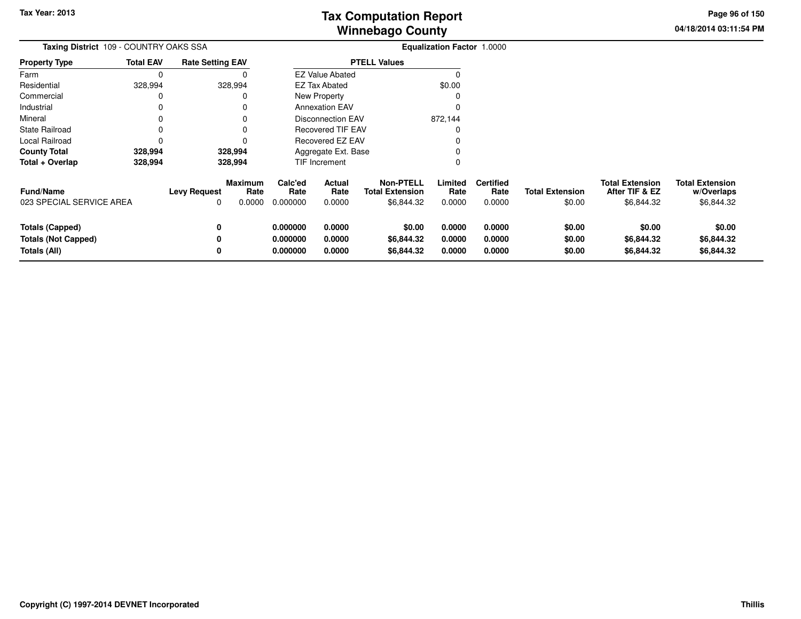**04/18/2014 03:11:54 PM Page 96 of 150**

| Taxing District 109 - COUNTRY OAKS SSA                               |                  |                          |                                  | <b>Equalization Factor 1.0000</b> |                                     |                                                          |                            |                                    |                                  |                                                        |                                                    |
|----------------------------------------------------------------------|------------------|--------------------------|----------------------------------|-----------------------------------|-------------------------------------|----------------------------------------------------------|----------------------------|------------------------------------|----------------------------------|--------------------------------------------------------|----------------------------------------------------|
| <b>Property Type</b>                                                 | <b>Total EAV</b> | <b>Rate Setting EAV</b>  |                                  |                                   |                                     | <b>PTELL Values</b>                                      |                            |                                    |                                  |                                                        |                                                    |
| Farm                                                                 | 0                |                          |                                  |                                   | <b>EZ Value Abated</b>              |                                                          |                            |                                    |                                  |                                                        |                                                    |
| Residential                                                          | 328,994          |                          | 328,994                          |                                   | <b>EZ Tax Abated</b>                |                                                          | \$0.00                     |                                    |                                  |                                                        |                                                    |
| Commercial                                                           | 0                |                          |                                  |                                   | New Property                        |                                                          |                            |                                    |                                  |                                                        |                                                    |
| Industrial                                                           | 0                |                          |                                  |                                   | <b>Annexation EAV</b>               |                                                          |                            |                                    |                                  |                                                        |                                                    |
| Mineral                                                              |                  |                          |                                  |                                   | <b>Disconnection EAV</b><br>872,144 |                                                          |                            |                                    |                                  |                                                        |                                                    |
| <b>State Railroad</b>                                                | 0                |                          |                                  |                                   | <b>Recovered TIF EAV</b>            |                                                          |                            |                                    |                                  |                                                        |                                                    |
| <b>Local Railroad</b>                                                |                  |                          |                                  |                                   | Recovered EZ EAV                    |                                                          |                            |                                    |                                  |                                                        |                                                    |
| <b>County Total</b>                                                  | 328,994          |                          | 328,994                          | Aggregate Ext. Base               |                                     |                                                          |                            |                                    |                                  |                                                        |                                                    |
| Total + Overlap                                                      | 328,994          |                          | 328,994                          |                                   | TIF Increment                       |                                                          |                            |                                    |                                  |                                                        |                                                    |
| <b>Fund/Name</b><br>023 SPECIAL SERVICE AREA                         |                  | <b>Levy Request</b><br>0 | <b>Maximum</b><br>Rate<br>0.0000 | Calc'ed<br>Rate<br>0.000000       | Actual<br>Rate<br>0.0000            | <b>Non-PTELL</b><br><b>Total Extension</b><br>\$6,844.32 | Limited<br>Rate<br>0.0000  | <b>Certified</b><br>Rate<br>0.0000 | <b>Total Extension</b><br>\$0.00 | <b>Total Extension</b><br>After TIF & EZ<br>\$6,844.32 | <b>Total Extension</b><br>w/Overlaps<br>\$6,844.32 |
| <b>Totals (Capped)</b><br><b>Totals (Not Capped)</b><br>Totals (All) |                  | 0<br>0<br>0              |                                  | 0.000000<br>0.000000<br>0.000000  | 0.0000<br>0.0000<br>0.0000          | \$0.00<br>\$6,844.32<br>\$6,844.32                       | 0.0000<br>0.0000<br>0.0000 | 0.0000<br>0.0000<br>0.0000         | \$0.00<br>\$0.00<br>\$0.00       | \$0.00<br>\$6,844.32<br>\$6,844.32                     | \$0.00<br>\$6,844.32<br>\$6,844.32                 |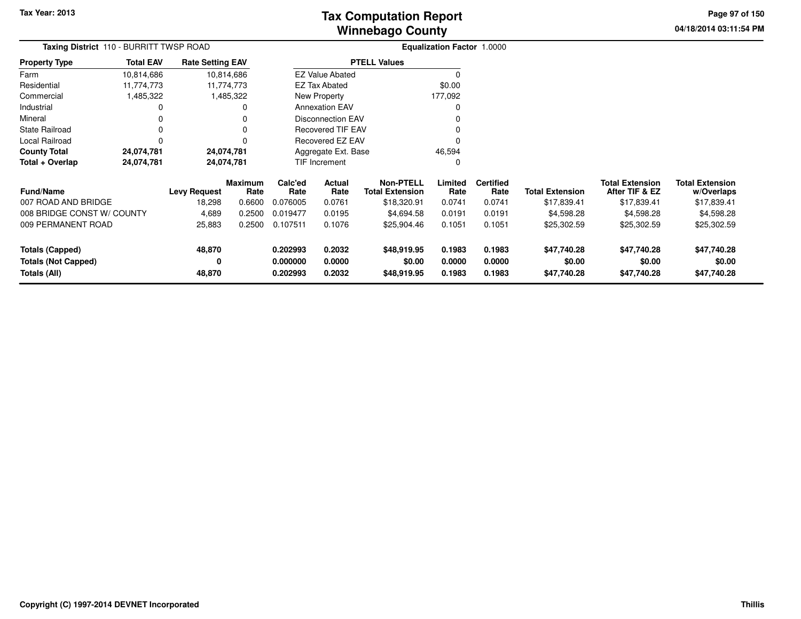**04/18/2014 03:11:54 PM Page 97 of 150**

| <b>Taxing District</b> 110 - BURRITT TWSP ROAD |                  |                         |                 | <b>Equalization Factor 1.0000</b> |                          |                                            |                  |                          |                        |                                          |                                      |
|------------------------------------------------|------------------|-------------------------|-----------------|-----------------------------------|--------------------------|--------------------------------------------|------------------|--------------------------|------------------------|------------------------------------------|--------------------------------------|
| Property Type                                  | <b>Total EAV</b> | <b>Rate Setting EAV</b> |                 |                                   |                          | <b>PTELL Values</b>                        |                  |                          |                        |                                          |                                      |
| Farm                                           | 10,814,686       | 10,814,686              |                 |                                   | <b>EZ Value Abated</b>   |                                            |                  |                          |                        |                                          |                                      |
| Residential                                    | 11,774,773       | 11,774,773              |                 |                                   | <b>EZ Tax Abated</b>     |                                            | \$0.00           |                          |                        |                                          |                                      |
| Commercial                                     | 1,485,322        |                         | 1,485,322       |                                   | New Property             |                                            | 177,092          |                          |                        |                                          |                                      |
| Industrial                                     | 0                |                         |                 |                                   | <b>Annexation EAV</b>    |                                            |                  |                          |                        |                                          |                                      |
| Mineral                                        |                  |                         |                 |                                   | <b>Disconnection EAV</b> |                                            |                  |                          |                        |                                          |                                      |
| State Railroad                                 | 0                |                         |                 |                                   | <b>Recovered TIF EAV</b> |                                            |                  |                          |                        |                                          |                                      |
| Local Railroad                                 | 0                |                         |                 |                                   | Recovered EZ EAV         |                                            |                  |                          |                        |                                          |                                      |
| County Total                                   | 24,074,781       | 24,074,781              |                 |                                   | Aggregate Ext. Base      |                                            | 46,594           |                          |                        |                                          |                                      |
| Total + Overlap                                | 24,074,781       | 24,074,781              |                 | <b>TIF Increment</b>              |                          |                                            | 0                |                          |                        |                                          |                                      |
| <b>Fund/Name</b>                               |                  | <b>Levy Request</b>     | Maximum<br>Rate | Calc'ed<br>Rate                   | Actual<br>Rate           | <b>Non-PTELL</b><br><b>Total Extension</b> | Limited<br>Rate  | <b>Certified</b><br>Rate | <b>Total Extension</b> | <b>Total Extension</b><br>After TIF & EZ | <b>Total Extension</b><br>w/Overlaps |
| 007 ROAD AND BRIDGE                            |                  | 18,298                  | 0.6600          | 0.076005                          | 0.0761                   | \$18,320.91                                | 0.0741           | 0.0741                   | \$17,839.41            | \$17,839.41                              | \$17,839.41                          |
| 008 BRIDGE CONST W/ COUNTY                     |                  | 4,689                   | 0.2500          | 0.019477                          | 0.0195                   | \$4,694.58                                 | 0.0191           | 0.0191                   | \$4,598.28             | \$4,598.28                               | \$4,598.28                           |
| 009 PERMANENT ROAD                             |                  | 25,883                  | 0.2500          | 0.107511                          | 0.1076                   | \$25,904.46                                | 0.1051           | 0.1051                   | \$25,302.59            | \$25,302.59                              | \$25,302.59                          |
| <b>Totals (Capped)</b>                         |                  | 48,870                  |                 | 0.202993                          | 0.2032                   | \$48,919.95                                | 0.1983           | 0.1983                   | \$47,740.28            | \$47,740.28                              | \$47,740.28                          |
| <b>Totals (Not Capped)</b><br>Totals (All)     |                  | 0<br>48,870             |                 | 0.000000<br>0.202993              | 0.0000<br>0.2032         | \$0.00<br>\$48,919.95                      | 0.0000<br>0.1983 | 0.0000<br>0.1983         | \$0.00<br>\$47,740.28  | \$0.00<br>\$47,740.28                    | \$0.00<br>\$47,740.28                |
|                                                |                  |                         |                 |                                   |                          |                                            |                  |                          |                        |                                          |                                      |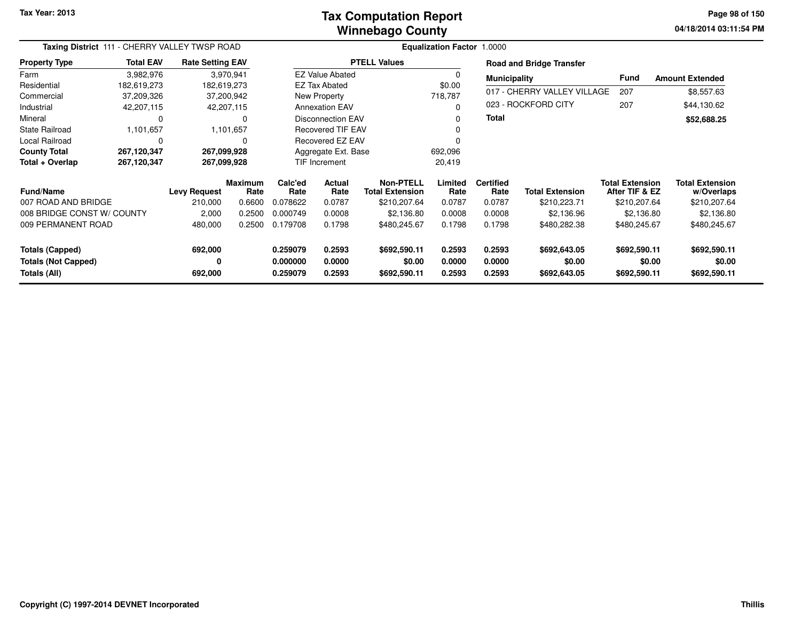#### **Winnebago CountyTax Computation Report**

**04/18/2014 03:11:54 PM Page 98 of 150**

| Taxing District 111 - CHERRY VALLEY TWSP ROAD |                  |                         |                        | <b>Equalization Factor 1.0000</b> |                          |                                            |                 |                          |                                 |                                          |                                      |  |  |
|-----------------------------------------------|------------------|-------------------------|------------------------|-----------------------------------|--------------------------|--------------------------------------------|-----------------|--------------------------|---------------------------------|------------------------------------------|--------------------------------------|--|--|
| <b>Property Type</b>                          | <b>Total EAV</b> | <b>Rate Setting EAV</b> |                        |                                   |                          | <b>PTELL Values</b>                        |                 |                          | <b>Road and Bridge Transfer</b> |                                          |                                      |  |  |
| Farm                                          | 3,982,976        |                         | 3,970,941              |                                   | <b>EZ Value Abated</b>   |                                            | $\Omega$        | <b>Municipality</b>      |                                 | <b>Fund</b>                              | <b>Amount Extended</b>               |  |  |
| Residential                                   | 182,619,273      | 182,619,273             |                        |                                   | <b>EZ Tax Abated</b>     |                                            | \$0.00          |                          |                                 |                                          |                                      |  |  |
| Commercial                                    | 37,209,326       |                         | 37,200,942             |                                   | New Property             |                                            | 718,787         |                          | 017 - CHERRY VALLEY VILLAGE     | 207                                      | \$8,557.63                           |  |  |
| Industrial                                    | 42,207,115       |                         | 42,207,115             |                                   | <b>Annexation EAV</b>    |                                            | $\Omega$        |                          | 023 - ROCKFORD CITY             | 207                                      | \$44,130.62                          |  |  |
| Mineral                                       | 0                |                         | O                      |                                   | <b>Disconnection EAV</b> |                                            | 0               | Total                    |                                 |                                          | \$52,688.25                          |  |  |
| <b>State Railroad</b>                         | 1,101,657        |                         | 1,101,657              |                                   | <b>Recovered TIF EAV</b> |                                            |                 |                          |                                 |                                          |                                      |  |  |
| Local Railroad                                | 0                |                         | $\Omega$               |                                   | <b>Recovered EZ EAV</b>  |                                            | $\Omega$        |                          |                                 |                                          |                                      |  |  |
| <b>County Total</b>                           | 267,120,347      | 267,099,928             |                        |                                   | Aggregate Ext. Base      |                                            | 692,096         |                          |                                 |                                          |                                      |  |  |
| Total + Overlap                               | 267,120,347      | 267,099,928             |                        | <b>TIF Increment</b>              |                          |                                            | 20,419          |                          |                                 |                                          |                                      |  |  |
| <b>Fund/Name</b>                              |                  | <b>Levy Request</b>     | <b>Maximum</b><br>Rate | Calc'ed<br>Rate                   | Actual<br>Rate           | <b>Non-PTELL</b><br><b>Total Extension</b> | Limited<br>Rate | <b>Certified</b><br>Rate | <b>Total Extension</b>          | <b>Total Extension</b><br>After TIF & EZ | <b>Total Extension</b><br>w/Overlaps |  |  |
| 007 ROAD AND BRIDGE                           |                  | 210,000                 | 0.6600                 | 0.078622                          | 0.0787                   | \$210,207.64                               | 0.0787          | 0.0787                   | \$210,223.71                    | \$210,207.64                             | \$210,207.64                         |  |  |
| 008 BRIDGE CONST W/ COUNTY                    |                  | 2,000                   | 0.2500                 | 0.000749                          | 0.0008                   | \$2,136.80                                 | 0.0008          | 0.0008                   | \$2,136.96                      | \$2,136.80                               | \$2,136.80                           |  |  |
| 009 PERMANENT ROAD                            |                  | 480,000                 | 0.2500                 | 0.179708                          | 0.1798                   | \$480,245.67                               | 0.1798          | 0.1798                   | \$480,282.38                    | \$480,245.67                             | \$480,245.67                         |  |  |
| <b>Totals (Capped)</b>                        |                  | 692,000                 |                        | 0.259079                          | 0.2593                   | \$692,590.11                               | 0.2593          | 0.2593                   | \$692,643.05                    | \$692,590.11                             | \$692,590.11                         |  |  |
| <b>Totals (Not Capped)</b>                    |                  | 0                       |                        | 0.000000                          | 0.0000                   | \$0.00                                     | 0.0000          | 0.0000                   | \$0.00                          | \$0.00                                   | \$0.00                               |  |  |
| Totals (All)                                  |                  | 692,000                 |                        | 0.259079                          | 0.2593                   | \$692,590.11                               | 0.2593          | 0.2593                   | \$692,643.05                    | \$692,590.11                             | \$692,590.11                         |  |  |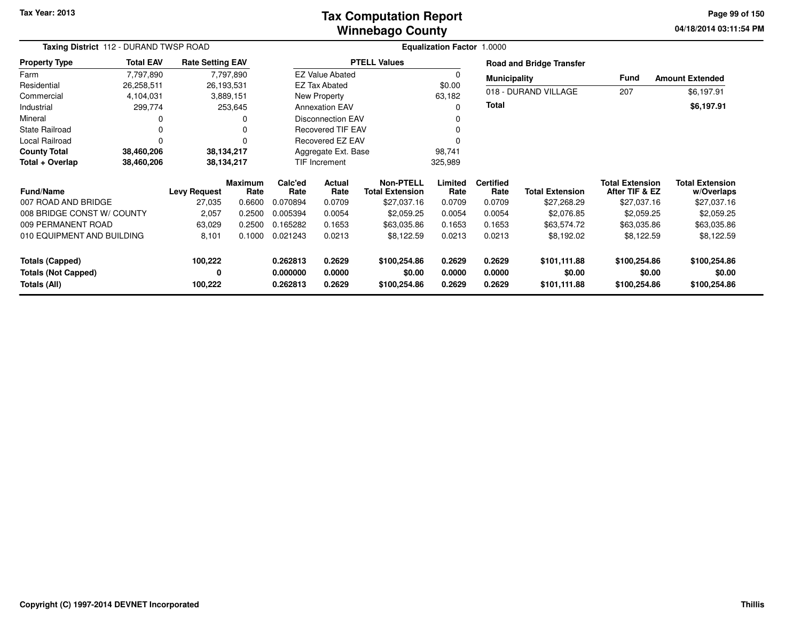#### **Winnebago CountyTax Computation Report**

**04/18/2014 03:11:54 PM Page 99 of 150**

| Taxing District 112 - DURAND TWSP ROAD     |                  |                         |                        |                      |                          | <b>Equalization Factor</b>                 |                  |                          |                                 |                                          |                                      |
|--------------------------------------------|------------------|-------------------------|------------------------|----------------------|--------------------------|--------------------------------------------|------------------|--------------------------|---------------------------------|------------------------------------------|--------------------------------------|
| <b>Property Type</b>                       | <b>Total EAV</b> | <b>Rate Setting EAV</b> |                        |                      |                          | <b>PTELL Values</b>                        |                  |                          | <b>Road and Bridge Transfer</b> |                                          |                                      |
| Farm                                       | 7,797,890        |                         | 7,797,890              |                      | <b>EZ Value Abated</b>   |                                            | 0                | <b>Municipality</b>      |                                 | <b>Fund</b>                              | <b>Amount Extended</b>               |
| Residential                                | 26,258,511       |                         | 26,193,531             |                      | <b>EZ Tax Abated</b>     |                                            | \$0.00           |                          |                                 |                                          |                                      |
| Commercial                                 | 4,104,031        |                         | 3,889,151              |                      | New Property<br>63,182   |                                            |                  |                          | 018 - DURAND VILLAGE            | 207                                      | \$6,197.91                           |
| Industrial                                 | 299,774          |                         | 253,645                |                      | <b>Annexation EAV</b>    |                                            |                  | <b>Total</b>             |                                 |                                          | \$6,197.91                           |
| Mineral                                    | 0                |                         | 0                      |                      | <b>Disconnection EAV</b> |                                            |                  |                          |                                 |                                          |                                      |
| <b>State Railroad</b>                      | 0                |                         | 0                      |                      | <b>Recovered TIF EAV</b> |                                            |                  |                          |                                 |                                          |                                      |
| Local Railroad                             | $\mathbf 0$      |                         | 0                      |                      | Recovered EZ EAV         |                                            |                  |                          |                                 |                                          |                                      |
| <b>County Total</b>                        | 38,460,206       |                         | 38,134,217             |                      | Aggregate Ext. Base      |                                            | 98,741           |                          |                                 |                                          |                                      |
| Total + Overlap                            | 38,460,206       |                         | 38,134,217             | <b>TIF Increment</b> |                          |                                            | 325,989          |                          |                                 |                                          |                                      |
| <b>Fund/Name</b>                           |                  | <b>Levy Request</b>     | <b>Maximum</b><br>Rate | Calc'ed<br>Rate      | <b>Actual</b><br>Rate    | <b>Non-PTELL</b><br><b>Total Extension</b> | Limited<br>Rate  | <b>Certified</b><br>Rate | <b>Total Extension</b>          | <b>Total Extension</b><br>After TIF & EZ | <b>Total Extension</b><br>w/Overlaps |
| 007 ROAD AND BRIDGE                        |                  | 27,035                  | 0.6600                 | 0.070894             | 0.0709                   | \$27,037.16                                | 0.0709           | 0.0709                   | \$27,268.29                     | \$27,037.16                              | \$27,037.16                          |
| 008 BRIDGE CONST W/ COUNTY                 |                  | 2,057                   | 0.2500                 | 0.005394             | 0.0054                   | \$2,059.25                                 | 0.0054           | 0.0054                   | \$2,076.85                      | \$2,059.25                               | \$2,059.25                           |
| 009 PERMANENT ROAD                         |                  | 63,029                  | 0.2500                 | 0.165282             | 0.1653                   | \$63,035.86                                | 0.1653           | 0.1653                   | \$63,574.72                     | \$63,035.86                              | \$63,035.86                          |
| 010 EQUIPMENT AND BUILDING                 |                  | 8,101                   | 0.1000                 | 0.021243             | 0.0213                   | \$8,122.59                                 | 0.0213           | 0.0213                   | \$8,192.02                      | \$8,122.59                               | \$8,122.59                           |
| <b>Totals (Capped)</b>                     |                  | 100,222                 |                        | 0.262813             | 0.2629                   | \$100,254.86                               | 0.2629           | 0.2629                   | \$101,111.88                    | \$100,254.86                             | \$100,254.86                         |
| <b>Totals (Not Capped)</b><br>Totals (All) |                  | 0<br>100,222            |                        | 0.000000<br>0.262813 | 0.0000<br>0.2629         | \$0.00<br>\$100,254.86                     | 0.0000<br>0.2629 | 0.0000<br>0.2629         | \$0.00<br>\$101,111.88          | \$0.00<br>\$100,254.86                   | \$0.00<br>\$100,254.86               |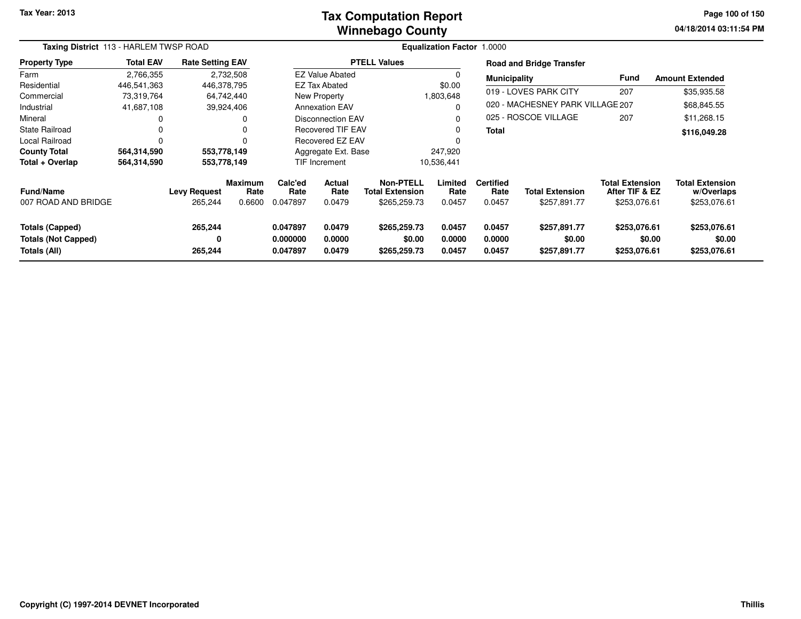#### **Winnebago CountyTax Computation Report**

**04/18/2014 03:11:54 PM Page 100 of 150**

|                                                                      | Taxing District 113 - HARLEM TWSP ROAD |                                |                           |                                  | Equalization Factor 1.0000      |                                                            |                            |                                    |                                        |                                                          |                                                      |  |  |
|----------------------------------------------------------------------|----------------------------------------|--------------------------------|---------------------------|----------------------------------|---------------------------------|------------------------------------------------------------|----------------------------|------------------------------------|----------------------------------------|----------------------------------------------------------|------------------------------------------------------|--|--|
| <b>Property Type</b>                                                 | <b>Total EAV</b>                       | <b>Rate Setting EAV</b>        |                           |                                  |                                 | <b>PTELL Values</b>                                        |                            |                                    | <b>Road and Bridge Transfer</b>        |                                                          |                                                      |  |  |
| Farm                                                                 | 2,766,355                              |                                | 2,732,508                 |                                  | <b>EZ Value Abated</b>          |                                                            |                            | <b>Municipality</b>                |                                        | Fund                                                     | <b>Amount Extended</b>                               |  |  |
| Residential                                                          | 446,541,363                            | 446,378,795                    |                           |                                  | <b>EZ Tax Abated</b>            |                                                            | \$0.00                     |                                    |                                        | 207                                                      |                                                      |  |  |
| Commercial                                                           | 73,319,764                             | 64,742,440                     |                           |                                  | New Property                    |                                                            | 1,803,648                  |                                    | 019 - LOVES PARK CITY                  |                                                          | \$35,935.58                                          |  |  |
| Industrial                                                           | 41,687,108                             | 39,924,406                     |                           |                                  | <b>Annexation EAV</b>           |                                                            |                            |                                    | 020 - MACHESNEY PARK VILLAGE 207       |                                                          | \$68,845.55                                          |  |  |
| Mineral                                                              | 0                                      |                                | 0                         |                                  | Disconnection EAV               |                                                            |                            |                                    | 025 - ROSCOE VILLAGE                   | 207                                                      | \$11,268.15                                          |  |  |
| <b>State Railroad</b>                                                | 0                                      |                                | 0                         |                                  | <b>Recovered TIF EAV</b>        |                                                            |                            | <b>Total</b>                       |                                        |                                                          | \$116,049.28                                         |  |  |
| <b>Local Railroad</b>                                                | 0                                      |                                |                           |                                  | Recovered EZ EAV                |                                                            |                            |                                    |                                        |                                                          |                                                      |  |  |
| <b>County Total</b>                                                  | 564,314,590                            |                                | 553,778,149               |                                  | Aggregate Ext. Base             |                                                            | 247,920                    |                                    |                                        |                                                          |                                                      |  |  |
| Total + Overlap                                                      | 564,314,590                            | 553,778,149                    |                           | TIF Increment                    |                                 |                                                            | 10,536,441                 |                                    |                                        |                                                          |                                                      |  |  |
| <b>Fund/Name</b><br>007 ROAD AND BRIDGE                              |                                        | <b>Levy Request</b><br>265,244 | Maximum<br>Rate<br>0.6600 | Calc'ed<br>Rate<br>0.047897      | <b>Actual</b><br>Rate<br>0.0479 | <b>Non-PTELL</b><br><b>Total Extension</b><br>\$265,259.73 | Limited<br>Rate<br>0.0457  | <b>Certified</b><br>Rate<br>0.0457 | <b>Total Extension</b><br>\$257,891.77 | <b>Total Extension</b><br>After TIF & EZ<br>\$253,076.61 | <b>Total Extension</b><br>w/Overlaps<br>\$253,076.61 |  |  |
| <b>Totals (Capped)</b><br><b>Totals (Not Capped)</b><br>Totals (All) |                                        | 265,244<br>0<br>265,244        |                           | 0.047897<br>0.000000<br>0.047897 | 0.0479<br>0.0000<br>0.0479      | \$265,259.73<br>\$0.00<br>\$265,259.73                     | 0.0457<br>0.0000<br>0.0457 | 0.0457<br>0.0000<br>0.0457         | \$257,891.77<br>\$0.00<br>\$257,891.77 | \$253,076.61<br>\$0.00<br>\$253,076.61                   | \$253,076.61<br>\$0.00<br>\$253,076.61               |  |  |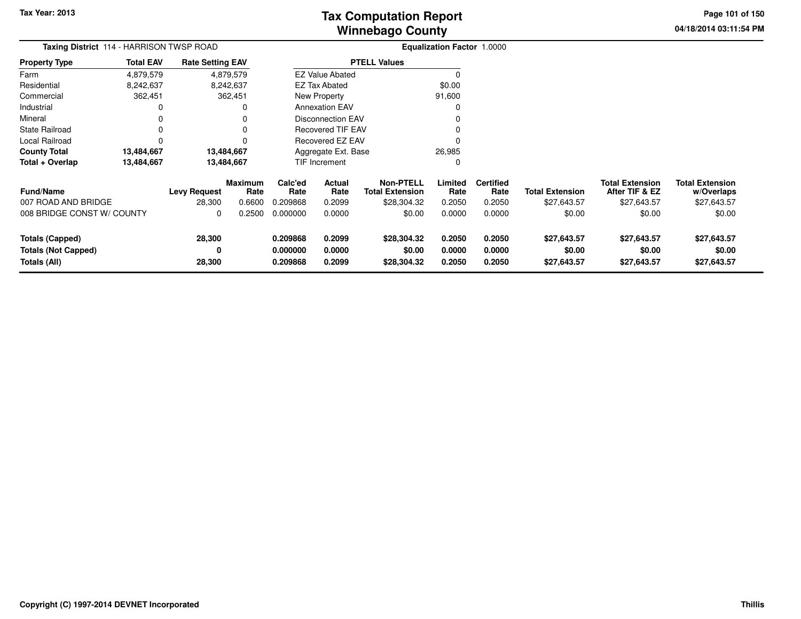**04/18/2014 03:11:54 PM Page 101 of 150**

۰

| Taxing District 114 - HARRISON TWSP ROAD                      |                  |                         |                        | Equalization Factor 1.0000       |                            |                                            |                            |                            |                                      |                                          |                                      |  |
|---------------------------------------------------------------|------------------|-------------------------|------------------------|----------------------------------|----------------------------|--------------------------------------------|----------------------------|----------------------------|--------------------------------------|------------------------------------------|--------------------------------------|--|
| <b>Property Type</b>                                          | <b>Total EAV</b> | <b>Rate Setting EAV</b> |                        |                                  |                            | <b>PTELL Values</b>                        |                            |                            |                                      |                                          |                                      |  |
| Farm                                                          | 4,879,579        |                         | 4,879,579              |                                  | <b>EZ Value Abated</b>     |                                            | 0                          |                            |                                      |                                          |                                      |  |
| Residential                                                   | 8,242,637        |                         | 8,242,637              |                                  | <b>EZ Tax Abated</b>       |                                            | \$0.00                     |                            |                                      |                                          |                                      |  |
| Commercial                                                    | 362,451          |                         | 362,451                |                                  | New Property               |                                            | 91,600                     |                            |                                      |                                          |                                      |  |
| Industrial                                                    |                  |                         |                        |                                  | <b>Annexation EAV</b>      |                                            | 0                          |                            |                                      |                                          |                                      |  |
| Mineral                                                       |                  |                         |                        |                                  | <b>Disconnection EAV</b>   |                                            | 0                          |                            |                                      |                                          |                                      |  |
| <b>State Railroad</b>                                         |                  |                         |                        |                                  | <b>Recovered TIF EAV</b>   |                                            | 0                          |                            |                                      |                                          |                                      |  |
| Local Railroad                                                |                  |                         |                        |                                  | <b>Recovered EZ EAV</b>    |                                            | 0                          |                            |                                      |                                          |                                      |  |
| <b>County Total</b>                                           | 13,484,667       |                         | 13,484,667             |                                  | Aggregate Ext. Base        |                                            | 26,985                     |                            |                                      |                                          |                                      |  |
| Total + Overlap                                               | 13,484,667       |                         | 13,484,667             |                                  | <b>TIF Increment</b>       |                                            | 0                          |                            |                                      |                                          |                                      |  |
| <b>Fund/Name</b>                                              |                  | <b>Levy Request</b>     | <b>Maximum</b><br>Rate | Calc'ed<br>Rate                  | Actual<br>Rate             | <b>Non-PTELL</b><br><b>Total Extension</b> | Limited<br>Rate            | <b>Certified</b><br>Rate   | <b>Total Extension</b>               | <b>Total Extension</b><br>After TIF & EZ | <b>Total Extension</b><br>w/Overlaps |  |
| 007 ROAD AND BRIDGE                                           |                  | 28,300                  | 0.6600                 | 0.209868                         | 0.2099                     | \$28,304.32                                | 0.2050                     | 0.2050                     | \$27,643.57                          | \$27,643.57                              | \$27,643.57                          |  |
| 008 BRIDGE CONST W/ COUNTY                                    |                  | 0                       | 0.2500                 | 0.000000                         | 0.0000                     | \$0.00                                     | 0.0000                     | 0.0000                     | \$0.00                               | \$0.00                                   | \$0.00                               |  |
| Totals (Capped)<br><b>Totals (Not Capped)</b><br>Totals (All) |                  | 28,300<br>0<br>28,300   |                        | 0.209868<br>0.000000<br>0.209868 | 0.2099<br>0.0000<br>0.2099 | \$28,304.32<br>\$0.00<br>\$28,304.32       | 0.2050<br>0.0000<br>0.2050 | 0.2050<br>0.0000<br>0.2050 | \$27,643.57<br>\$0.00<br>\$27,643.57 | \$27,643.57<br>\$0.00<br>\$27,643.57     | \$27,643.57<br>\$0.00<br>\$27,643.57 |  |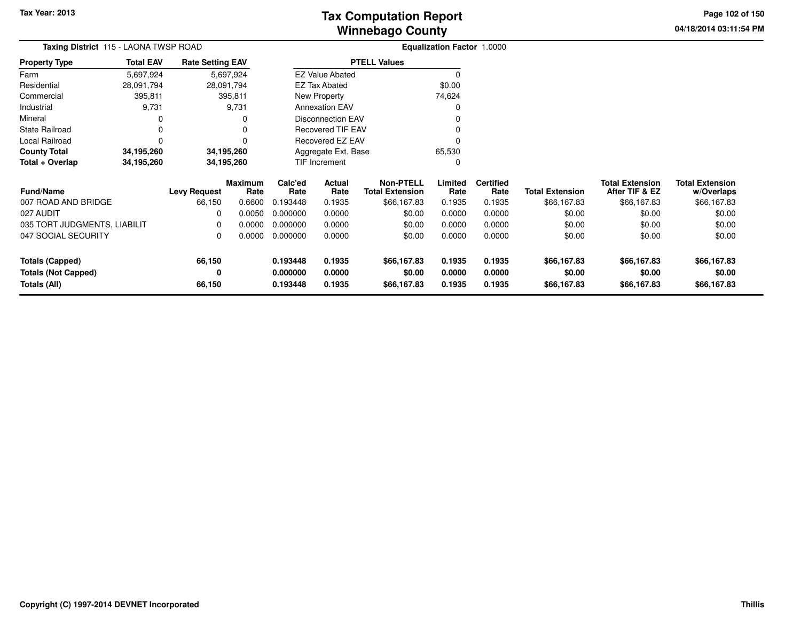# **Winnebago CountyTax Computation Report**

**04/18/2014 03:11:54 PM Page 102 of 150**

| Taxing District 115 - LAONA TWSP ROAD      |                  |                         |                        | Equalization Factor 1.0000 |                          |                                            |                  |                          |                        |                                          |                                      |
|--------------------------------------------|------------------|-------------------------|------------------------|----------------------------|--------------------------|--------------------------------------------|------------------|--------------------------|------------------------|------------------------------------------|--------------------------------------|
| Property Type                              | <b>Total EAV</b> | <b>Rate Setting EAV</b> |                        |                            |                          | <b>PTELL Values</b>                        |                  |                          |                        |                                          |                                      |
| Farm                                       | 5,697,924        |                         | 5,697,924              |                            | <b>EZ Value Abated</b>   |                                            | 0                |                          |                        |                                          |                                      |
| Residential                                | 28,091,794       |                         | 28,091,794             |                            | <b>EZ Tax Abated</b>     |                                            | \$0.00           |                          |                        |                                          |                                      |
| Commercial                                 | 395,811          |                         | 395,811                |                            | <b>New Property</b>      |                                            | 74,624           |                          |                        |                                          |                                      |
| Industrial                                 | 9,731            |                         | 9,731                  |                            | <b>Annexation EAV</b>    |                                            | 0                |                          |                        |                                          |                                      |
| Mineral                                    |                  |                         | 0                      |                            | <b>Disconnection EAV</b> |                                            |                  |                          |                        |                                          |                                      |
| State Railroad                             | 0                |                         | $\Omega$               |                            | <b>Recovered TIF EAV</b> |                                            | 0                |                          |                        |                                          |                                      |
| Local Railroad                             | 0                |                         | 0                      |                            | Recovered EZ EAV         |                                            |                  |                          |                        |                                          |                                      |
| County Total                               | 34,195,260       |                         | 34,195,260             |                            | Aggregate Ext. Base      |                                            | 65,530           |                          |                        |                                          |                                      |
| Total + Overlap                            | 34,195,260       |                         | 34,195,260             |                            | <b>TIF Increment</b>     |                                            | 0                |                          |                        |                                          |                                      |
| <b>Fund/Name</b>                           |                  | <b>Levy Request</b>     | <b>Maximum</b><br>Rate | Calc'ed<br>Rate            | Actual<br>Rate           | <b>Non-PTELL</b><br><b>Total Extension</b> | Limited<br>Rate  | <b>Certified</b><br>Rate | <b>Total Extension</b> | <b>Total Extension</b><br>After TIF & EZ | <b>Total Extension</b><br>w/Overlaps |
| 007 ROAD AND BRIDGE                        |                  | 66,150                  | 0.6600                 | 0.193448                   | 0.1935                   | \$66,167.83                                | 0.1935           | 0.1935                   | \$66,167.83            | \$66,167.83                              | \$66,167.83                          |
| 027 AUDIT                                  |                  | <sup>0</sup>            | 0.0050                 | 0.000000                   | 0.0000                   | \$0.00                                     | 0.0000           | 0.0000                   | \$0.00                 | \$0.00                                   | \$0.00                               |
| 035 TORT JUDGMENTS, LIABILIT               |                  | <sup>0</sup>            | 0.0000                 | 0.000000                   | 0.0000                   | \$0.00                                     | 0.0000           | 0.0000                   | \$0.00                 | \$0.00                                   | \$0.00                               |
| 047 SOCIAL SECURITY                        |                  | 0                       | 0.0000                 | 0.000000                   | 0.0000                   | \$0.00                                     | 0.0000           | 0.0000                   | \$0.00                 | \$0.00                                   | \$0.00                               |
| <b>Totals (Capped)</b>                     |                  | 66,150                  |                        | 0.193448                   | 0.1935                   | \$66,167.83                                | 0.1935           | 0.1935                   | \$66,167.83            | \$66,167.83                              | \$66,167.83                          |
| <b>Totals (Not Capped)</b><br>Totals (All) |                  | 0<br>66,150             |                        | 0.000000<br>0.193448       | 0.0000<br>0.1935         | \$0.00<br>\$66,167.83                      | 0.0000<br>0.1935 | 0.0000<br>0.1935         | \$0.00<br>\$66,167.83  | \$0.00<br>\$66,167.83                    | \$0.00<br>\$66,167.83                |
|                                            |                  |                         |                        |                            |                          |                                            |                  |                          |                        |                                          |                                      |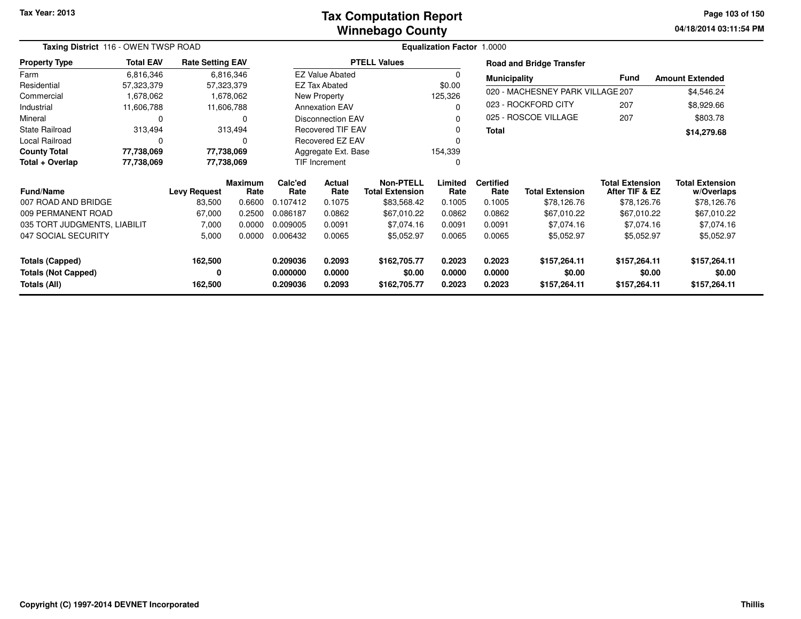#### **Winnebago CountyTax Computation Report**

**04/18/2014 03:11:54 PM Page 103 of 150**

| Taxing District 116 - OWEN TWSP ROAD       |                  |                         |                        |                      | Equalization Factor 1.0000 |                                            |                  |                          |                                  |                                          |                                      |
|--------------------------------------------|------------------|-------------------------|------------------------|----------------------|----------------------------|--------------------------------------------|------------------|--------------------------|----------------------------------|------------------------------------------|--------------------------------------|
| <b>Property Type</b>                       | <b>Total EAV</b> | <b>Rate Setting EAV</b> |                        |                      |                            | <b>PTELL Values</b>                        |                  |                          | <b>Road and Bridge Transfer</b>  |                                          |                                      |
| Farm                                       | 6,816,346        |                         | 6,816,346              |                      | <b>EZ Value Abated</b>     |                                            |                  | <b>Municipality</b>      |                                  | Fund                                     | <b>Amount Extended</b>               |
| Residential                                | 57,323,379       |                         | 57,323,379             |                      | <b>EZ Tax Abated</b>       |                                            | \$0.00           |                          |                                  |                                          |                                      |
| Commercial                                 | 1,678,062        |                         | 1,678,062              |                      | New Property               |                                            | 125,326          |                          | 020 - MACHESNEY PARK VILLAGE 207 |                                          | \$4,546.24                           |
| Industrial                                 | 11,606,788       |                         | 11,606,788             |                      | <b>Annexation EAV</b>      |                                            |                  |                          | 023 - ROCKFORD CITY              | 207                                      | \$8,929.66                           |
| Mineral                                    | 0                |                         | O                      |                      | <b>Disconnection EAV</b>   |                                            |                  |                          | 025 - ROSCOE VILLAGE             | 207                                      | \$803.78                             |
| <b>State Railroad</b>                      | 313,494          |                         | 313,494                |                      | <b>Recovered TIF EAV</b>   |                                            |                  | <b>Total</b>             |                                  |                                          | \$14,279.68                          |
| Local Railroad                             | 0                |                         | 0                      |                      | Recovered EZ EAV           |                                            |                  |                          |                                  |                                          |                                      |
| <b>County Total</b>                        | 77,738,069       |                         | 77,738,069             |                      | Aggregate Ext. Base        |                                            | 154,339          |                          |                                  |                                          |                                      |
| Total + Overlap                            | 77,738,069       |                         | 77,738,069             | <b>TIF Increment</b> |                            |                                            |                  |                          |                                  |                                          |                                      |
| <b>Fund/Name</b>                           |                  | <b>Levy Request</b>     | <b>Maximum</b><br>Rate | Calc'ed<br>Rate      | Actual<br>Rate             | <b>Non-PTELL</b><br><b>Total Extension</b> | Limited<br>Rate  | <b>Certified</b><br>Rate | <b>Total Extension</b>           | <b>Total Extension</b><br>After TIF & EZ | <b>Total Extension</b><br>w/Overlaps |
| 007 ROAD AND BRIDGE                        |                  | 83,500                  | 0.6600                 | 0.107412             | 0.1075                     | \$83,568.42                                | 0.1005           | 0.1005                   | \$78,126.76                      | \$78,126.76                              | \$78,126.76                          |
| 009 PERMANENT ROAD                         |                  | 67,000                  | 0.2500                 | 0.086187             | 0.0862                     | \$67,010.22                                | 0.0862           | 0.0862                   | \$67,010.22                      | \$67,010.22                              | \$67,010.22                          |
| 035 TORT JUDGMENTS, LIABILIT               |                  | 7,000                   | 0.0000                 | 0.009005             | 0.0091                     | \$7,074.16                                 | 0.0091           | 0.0091                   | \$7,074.16                       | \$7,074.16                               | \$7,074.16                           |
| 047 SOCIAL SECURITY                        |                  | 5,000                   | 0.0000                 | 0.006432             | 0.0065                     | \$5,052.97                                 | 0.0065           | 0.0065                   | \$5,052.97                       | \$5,052.97                               | \$5,052.97                           |
| <b>Totals (Capped)</b>                     |                  | 162,500                 |                        | 0.209036             | 0.2093                     | \$162,705.77                               | 0.2023           | 0.2023                   | \$157,264.11                     | \$157,264.11                             | \$157,264.11                         |
| <b>Totals (Not Capped)</b><br>Totals (All) |                  | 0<br>162,500            |                        | 0.000000<br>0.209036 | 0.0000<br>0.2093           | \$0.00<br>\$162,705.77                     | 0.0000<br>0.2023 | 0.0000<br>0.2023         | \$0.00<br>\$157,264.11           | \$0.00<br>\$157,264.11                   | \$0.00<br>\$157,264.11               |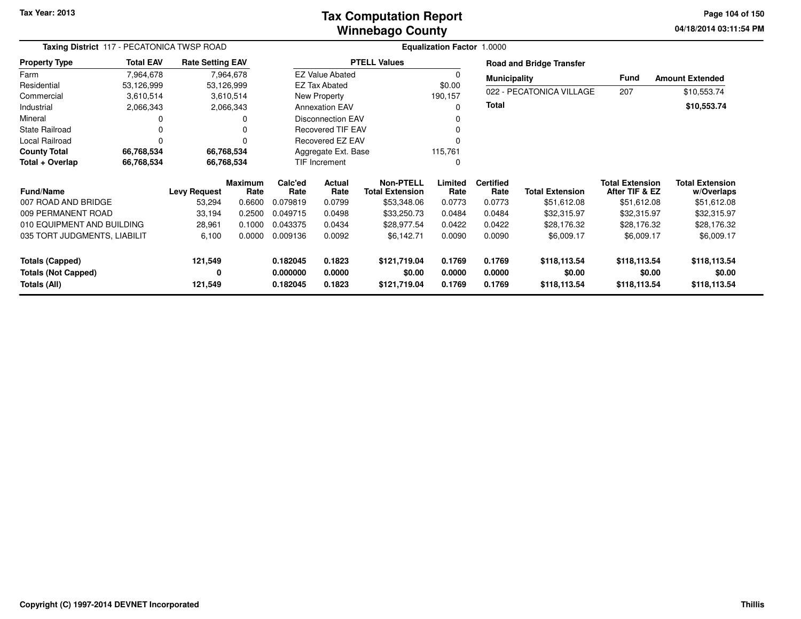#### **Winnebago CountyTax Computation Report**

**04/18/2014 03:11:54 PM Page 104 of 150**

| Taxing District 117 - PECATONICA TWSP ROAD |                  |                         |                        |                      |                          |                                            | Equalization Factor 1.0000 |                          |                                 |                                          |                                      |
|--------------------------------------------|------------------|-------------------------|------------------------|----------------------|--------------------------|--------------------------------------------|----------------------------|--------------------------|---------------------------------|------------------------------------------|--------------------------------------|
| <b>Property Type</b>                       | <b>Total EAV</b> | <b>Rate Setting EAV</b> |                        |                      |                          | <b>PTELL Values</b>                        |                            |                          | <b>Road and Bridge Transfer</b> |                                          |                                      |
| Farm                                       | 7,964,678        |                         | 7,964,678              |                      | <b>EZ Value Abated</b>   |                                            |                            | <b>Municipality</b>      |                                 | <b>Fund</b>                              | <b>Amount Extended</b>               |
| Residential                                | 53,126,999       |                         | 53,126,999             |                      | EZ Tax Abated            |                                            | \$0.00                     |                          | 022 - PECATONICA VILLAGE        | 207                                      |                                      |
| Commercial                                 | 3,610,514        |                         | 3,610,514              |                      | New Property             |                                            | 190,157                    |                          |                                 |                                          | \$10,553.74                          |
| Industrial                                 | 2,066,343        |                         | 2,066,343              |                      | <b>Annexation EAV</b>    |                                            |                            | <b>Total</b>             |                                 |                                          | \$10,553.74                          |
| Mineral                                    |                  |                         |                        |                      | <b>Disconnection EAV</b> |                                            |                            |                          |                                 |                                          |                                      |
| <b>State Railroad</b>                      |                  |                         |                        |                      | <b>Recovered TIF EAV</b> |                                            |                            |                          |                                 |                                          |                                      |
| Local Railroad                             | 0                |                         |                        |                      | <b>Recovered EZ EAV</b>  |                                            |                            |                          |                                 |                                          |                                      |
| <b>County Total</b>                        | 66,768,534       |                         | 66,768,534             |                      | Aggregate Ext. Base      |                                            | 115,761                    |                          |                                 |                                          |                                      |
| Total + Overlap                            | 66,768,534       |                         | 66,768,534             |                      | TIF Increment            |                                            | 0                          |                          |                                 |                                          |                                      |
| <b>Fund/Name</b>                           |                  | <b>Levy Request</b>     | <b>Maximum</b><br>Rate | Calc'ed<br>Rate      | Actual<br>Rate           | <b>Non-PTELL</b><br><b>Total Extension</b> | Limited<br>Rate            | <b>Certified</b><br>Rate | <b>Total Extension</b>          | <b>Total Extension</b><br>After TIF & EZ | <b>Total Extension</b><br>w/Overlaps |
| 007 ROAD AND BRIDGE                        |                  | 53,294                  | 0.6600                 | 0.079819             | 0.0799                   | \$53,348.06                                | 0.0773                     | 0.0773                   | \$51,612.08                     | \$51,612.08                              | \$51,612.08                          |
| 009 PERMANENT ROAD                         |                  | 33,194                  | 0.2500                 | 0.049715             | 0.0498                   | \$33,250.73                                | 0.0484                     | 0.0484                   | \$32,315.97                     | \$32,315.97                              | \$32,315.97                          |
| 010 EQUIPMENT AND BUILDING                 |                  | 28,961                  | 0.1000                 | 0.043375             | 0.0434                   | \$28,977.54                                | 0.0422                     | 0.0422                   | \$28,176.32                     | \$28,176.32                              | \$28,176.32                          |
| 035 TORT JUDGMENTS, LIABILIT               |                  | 6,100                   | 0.0000                 | 0.009136             | 0.0092                   | \$6,142.71                                 | 0.0090                     | 0.0090                   | \$6,009.17                      | \$6,009.17                               | \$6,009.17                           |
| <b>Totals (Capped)</b>                     |                  | 121,549                 |                        | 0.182045             | 0.1823                   | \$121,719.04                               | 0.1769                     | 0.1769                   | \$118,113.54                    | \$118,113.54                             | \$118,113.54                         |
| <b>Totals (Not Capped)</b><br>Totals (All) |                  | 0<br>121,549            |                        | 0.000000<br>0.182045 | 0.0000<br>0.1823         | \$0.00<br>\$121,719.04                     | 0.0000<br>0.1769           | 0.0000<br>0.1769         | \$0.00<br>\$118,113.54          | \$0.00<br>\$118,113.54                   | \$0.00<br>\$118,113.54               |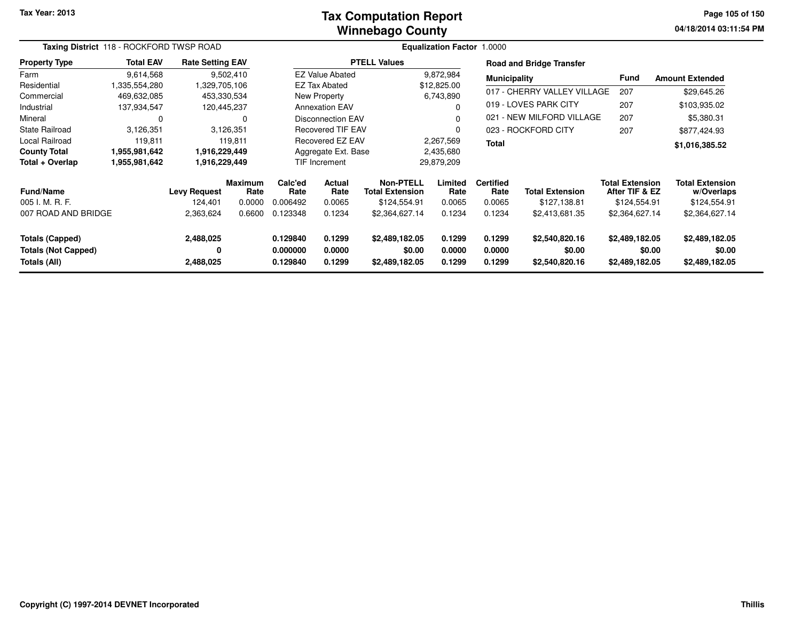#### **Winnebago CountyTax Computation Report**

**04/18/2014 03:11:54 PM Page 105 of 150**

| Taxing District 118 - ROCKFORD TWSP ROAD |                  |                         |                 |                 |                          |                                     |                 |                             |                                 |                                          |                                      |
|------------------------------------------|------------------|-------------------------|-----------------|-----------------|--------------------------|-------------------------------------|-----------------|-----------------------------|---------------------------------|------------------------------------------|--------------------------------------|
| <b>Property Type</b>                     | <b>Total EAV</b> | <b>Rate Setting EAV</b> |                 |                 |                          | <b>PTELL Values</b>                 |                 |                             | <b>Road and Bridge Transfer</b> |                                          |                                      |
| Farm                                     | 9,614,568        |                         | 9,502,410       |                 | <b>EZ Value Abated</b>   |                                     | 9,872,984       | <b>Municipality</b>         |                                 | <b>Fund</b>                              | <b>Amount Extended</b>               |
| Residential                              | 1,335,554,280    | 1,329,705,106           |                 |                 | <b>EZ Tax Abated</b>     |                                     | \$12,825.00     |                             |                                 |                                          |                                      |
| Commercial                               | 469,632,085      | 453,330,534             |                 |                 | New Property             |                                     | 6,743,890       | 017 - CHERRY VALLEY VILLAGE |                                 | 207                                      | \$29,645.26                          |
| Industrial                               | 137,934,547      | 120,445,237             |                 |                 | <b>Annexation EAV</b>    |                                     |                 |                             | 019 - LOVES PARK CITY           | 207                                      | \$103,935.02                         |
| Mineral                                  | 0                |                         | 0               |                 | <b>Disconnection EAV</b> |                                     |                 |                             | 021 - NEW MILFORD VILLAGE       | 207                                      | \$5,380.31                           |
| <b>State Railroad</b>                    | 3,126,351        |                         | 3,126,351       |                 | <b>Recovered TIF EAV</b> |                                     | $\Omega$        |                             | 023 - ROCKFORD CITY             | 207                                      | \$877,424.93                         |
| Local Railroad                           | 119,811          |                         | 119.811         |                 | Recovered EZ EAV         |                                     | 2,267,569       | <b>Total</b>                |                                 |                                          | \$1,016,385.52                       |
| <b>County Total</b>                      | 1,955,981,642    | 1,916,229,449           |                 |                 | Aggregate Ext. Base      |                                     | 2,435,680       |                             |                                 |                                          |                                      |
| Total + Overlap                          | 1,955,981,642    | 1,916,229,449           |                 |                 | <b>TIF Increment</b>     |                                     | 29,879,209      |                             |                                 |                                          |                                      |
| <b>Fund/Name</b>                         |                  | <b>Levy Request</b>     | Maximum<br>Rate | Calc'ed<br>Rate | <b>Actual</b><br>Rate    | Non-PTELL<br><b>Total Extension</b> | Limited<br>Rate | <b>Certified</b><br>Rate    | <b>Total Extension</b>          | <b>Total Extension</b><br>After TIF & EZ | <b>Total Extension</b><br>w/Overlaps |
| 005 I. M. R. F.                          |                  | 124,401                 | 0.0000          | 0.006492        | 0.0065                   | \$124,554.91                        | 0.0065          | 0.0065                      | \$127,138.81                    | \$124,554.91                             | \$124,554.91                         |
| 007 ROAD AND BRIDGE                      |                  | 2,363,624               | 0.6600          | 0.123348        | 0.1234                   | \$2,364,627.14                      | 0.1234          | 0.1234                      | \$2,413,681.35                  | \$2,364,627.14                           | \$2,364,627.14                       |
| <b>Totals (Capped)</b>                   |                  | 2,488,025               |                 | 0.129840        | 0.1299                   | \$2,489,182.05                      | 0.1299          | 0.1299                      | \$2,540,820.16                  | \$2,489,182.05                           | \$2,489,182.05                       |
| <b>Totals (Not Capped)</b>               |                  | 0                       |                 | 0.000000        | 0.0000                   | \$0.00                              | 0.0000          | 0.0000                      | \$0.00                          | \$0.00                                   | \$0.00                               |
| Totals (All)                             |                  | 2,488,025               |                 | 0.129840        | 0.1299                   | \$2,489,182.05                      | 0.1299          | 0.1299                      | \$2,540,820.16                  | \$2,489,182.05                           | \$2,489,182.05                       |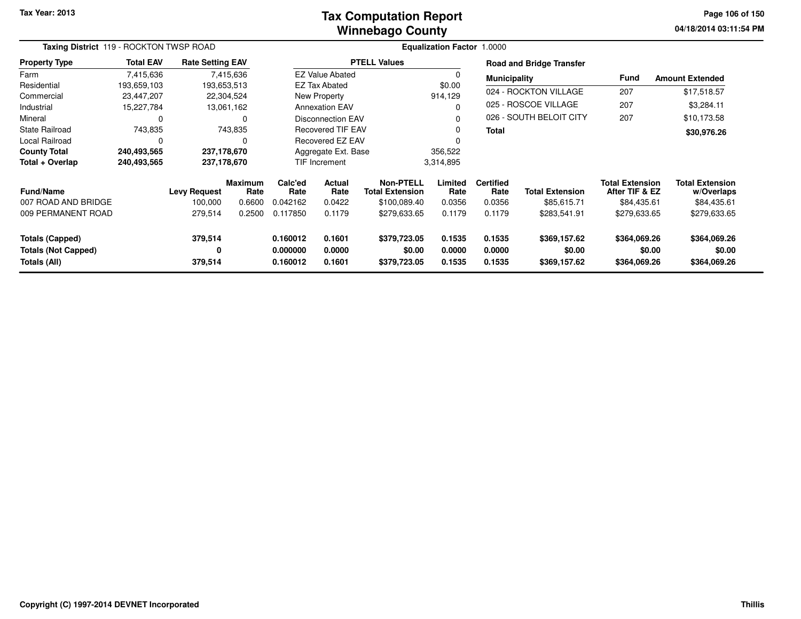#### **Winnebago CountyTax Computation Report**

**04/18/2014 03:11:54 PM Page 106 of 150**

| Taxing District 119 - ROCKTON TWSP ROAD |                  |                         |                 |                                   |                          | <b>Equalization Factor 1.0000</b>          |                 |                          |                                 |                                          |                                      |
|-----------------------------------------|------------------|-------------------------|-----------------|-----------------------------------|--------------------------|--------------------------------------------|-----------------|--------------------------|---------------------------------|------------------------------------------|--------------------------------------|
| <b>Property Type</b>                    | <b>Total EAV</b> | <b>Rate Setting EAV</b> |                 |                                   |                          | <b>PTELL Values</b>                        |                 |                          | <b>Road and Bridge Transfer</b> |                                          |                                      |
| Farm                                    | 7,415,636        |                         | 7,415,636       |                                   | <b>EZ Value Abated</b>   |                                            | 0               | <b>Municipality</b>      |                                 | <b>Fund</b>                              | <b>Amount Extended</b>               |
| Residential                             | 193,659,103      |                         | 193,653,513     |                                   | <b>EZ Tax Abated</b>     |                                            | \$0.00          |                          |                                 |                                          |                                      |
| Commercial                              | 23,447,207       |                         | 22,304,524      |                                   | New Property             |                                            | 914,129         |                          | 024 - ROCKTON VILLAGE           | 207                                      | \$17,518.57                          |
| Industrial                              | 15,227,784       |                         | 13,061,162      |                                   | <b>Annexation EAV</b>    |                                            | $\Omega$        |                          | 025 - ROSCOE VILLAGE            | 207                                      | \$3,284.11                           |
| Mineral                                 | 0                |                         | 0               |                                   | <b>Disconnection EAV</b> |                                            | $\Omega$        |                          | 026 - SOUTH BELOIT CITY         | 207                                      | \$10,173.58                          |
| State Railroad                          | 743,835          |                         | 743,835         |                                   | <b>Recovered TIF EAV</b> |                                            | 0               | <b>Total</b>             |                                 |                                          | \$30,976.26                          |
| Local Railroad                          | $\Omega$         |                         | 0               |                                   | Recovered EZ EAV         |                                            | $\Omega$        |                          |                                 |                                          |                                      |
| <b>County Total</b>                     | 240,493,565      |                         | 237,178,670     |                                   | Aggregate Ext. Base      |                                            | 356,522         |                          |                                 |                                          |                                      |
| Total + Overlap                         | 240,493,565      |                         | 237,178,670     | <b>TIF Increment</b><br>3,314,895 |                          |                                            |                 |                          |                                 |                                          |                                      |
| <b>Fund/Name</b>                        |                  | <b>Levy Request</b>     | Maximum<br>Rate | Calc'ed<br>Rate                   | Actual<br>Rate           | <b>Non-PTELL</b><br><b>Total Extension</b> | Limited<br>Rate | <b>Certified</b><br>Rate | <b>Total Extension</b>          | <b>Total Extension</b><br>After TIF & EZ | <b>Total Extension</b><br>w/Overlaps |
| 007 ROAD AND BRIDGE                     |                  | 100,000                 | 0.6600          | 0.042162                          | 0.0422                   | \$100,089.40                               | 0.0356          | 0.0356                   | \$85,615.71                     | \$84,435.61                              | \$84,435.61                          |
| 009 PERMANENT ROAD                      |                  | 279,514                 | 0.2500          | 0.117850                          | 0.1179                   | \$279,633.65                               | 0.1179          | 0.1179                   | \$283,541.91                    | \$279,633.65                             | \$279,633.65                         |
| Totals (Capped)                         |                  | 379,514                 |                 | 0.160012                          | 0.1601                   | \$379,723.05                               | 0.1535          | 0.1535                   | \$369,157.62                    | \$364,069.26                             | \$364,069.26                         |
| <b>Totals (Not Capped)</b>              |                  | 0                       |                 | 0.000000                          | 0.0000                   | \$0.00                                     | 0.0000          | 0.0000                   | \$0.00                          | \$0.00                                   | \$0.00                               |
| Totals (All)                            |                  | 379,514                 |                 | 0.160012                          | 0.1601                   | \$379,723.05                               | 0.1535          | 0.1535                   | \$369,157.62                    | \$364,069.26                             | \$364,069.26                         |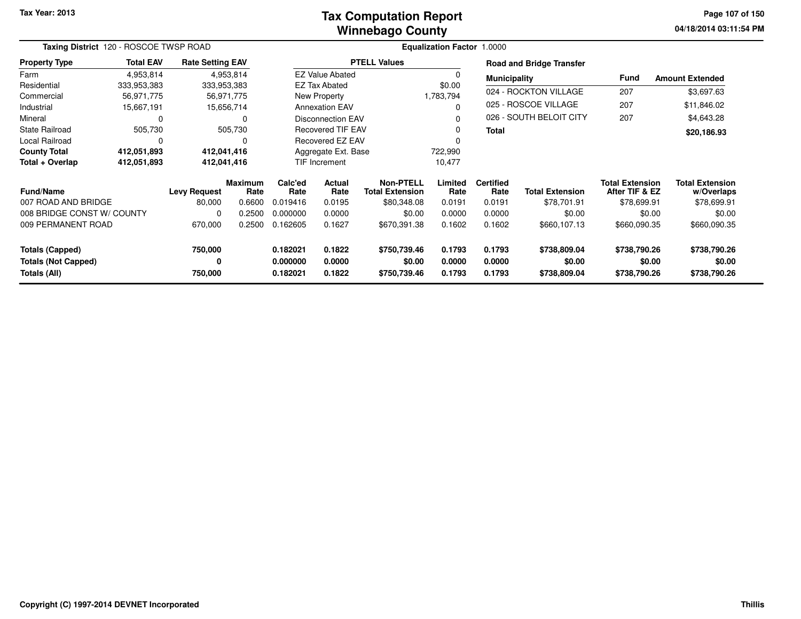#### **Winnebago CountyTax Computation Report**

**04/18/2014 03:11:54 PM Page 107 of 150**

| Taxing District 120 - ROSCOE TWSP ROAD |                  |                         |                        |                 |                          |                                            | Equalization Factor 1.0000 |                          |                                 |                                          |                                      |
|----------------------------------------|------------------|-------------------------|------------------------|-----------------|--------------------------|--------------------------------------------|----------------------------|--------------------------|---------------------------------|------------------------------------------|--------------------------------------|
| <b>Property Type</b>                   | <b>Total EAV</b> | <b>Rate Setting EAV</b> |                        |                 |                          | <b>PTELL Values</b>                        |                            |                          | <b>Road and Bridge Transfer</b> |                                          |                                      |
| Farm                                   | 4,953,814        |                         | 4,953,814              |                 | <b>EZ Value Abated</b>   |                                            |                            | <b>Municipality</b>      |                                 | <b>Fund</b>                              | <b>Amount Extended</b>               |
| Residential                            | 333,953,383      | 333,953,383             |                        |                 | <b>EZ Tax Abated</b>     |                                            | \$0.00                     |                          |                                 |                                          |                                      |
| Commercial                             | 56,971,775       |                         | 56,971,775             |                 | New Property             |                                            | 1,783,794                  |                          | 024 - ROCKTON VILLAGE           | 207                                      | \$3,697.63                           |
| Industrial                             | 15,667,191       |                         | 15,656,714             |                 | <b>Annexation EAV</b>    |                                            | O                          |                          | 025 - ROSCOE VILLAGE            | 207                                      | \$11,846.02                          |
| Mineral                                | 0                |                         | 0                      |                 | <b>Disconnection EAV</b> |                                            |                            |                          | 026 - SOUTH BELOIT CITY         | 207                                      | \$4,643.28                           |
| <b>State Railroad</b>                  | 505,730          |                         | 505,730                |                 | <b>Recovered TIF EAV</b> |                                            |                            | <b>Total</b>             |                                 |                                          | \$20,186.93                          |
| Local Railroad                         | 0                |                         |                        |                 | Recovered EZ EAV         |                                            |                            |                          |                                 |                                          |                                      |
| <b>County Total</b>                    | 412,051,893      | 412,041,416             |                        |                 | Aggregate Ext. Base      |                                            | 722,990                    |                          |                                 |                                          |                                      |
| Total + Overlap                        | 412,051,893      | 412,041,416             |                        |                 | TIF Increment            |                                            | 10,477                     |                          |                                 |                                          |                                      |
| <b>Fund/Name</b>                       |                  | <b>Levy Request</b>     | <b>Maximum</b><br>Rate | Calc'ed<br>Rate | Actual<br>Rate           | <b>Non-PTELL</b><br><b>Total Extension</b> | Limited<br>Rate            | <b>Certified</b><br>Rate | <b>Total Extension</b>          | <b>Total Extension</b><br>After TIF & EZ | <b>Total Extension</b><br>w/Overlaps |
| 007 ROAD AND BRIDGE                    |                  | 80,000                  | 0.6600                 | 0.019416        | 0.0195                   | \$80,348.08                                | 0.0191                     | 0.0191                   | \$78,701.91                     | \$78,699.91                              | \$78,699.91                          |
| 008 BRIDGE CONST W/ COUNTY             |                  | 0                       | 0.2500                 | 0.000000        | 0.0000                   | \$0.00                                     | 0.0000                     | 0.0000                   | \$0.00                          | \$0.00                                   | \$0.00                               |
| 009 PERMANENT ROAD                     |                  | 670,000                 | 0.2500                 | 0.162605        | 0.1627                   | \$670,391.38                               | 0.1602                     | 0.1602                   | \$660,107.13                    | \$660,090.35                             | \$660,090.35                         |
| <b>Totals (Capped)</b>                 |                  | 750,000                 |                        | 0.182021        | 0.1822                   | \$750,739.46                               | 0.1793                     | 0.1793                   | \$738,809.04                    | \$738,790.26                             | \$738,790.26                         |
| <b>Totals (Not Capped)</b>             |                  | 0                       |                        | 0.000000        | 0.0000                   | \$0.00                                     | 0.0000                     | 0.0000                   | \$0.00                          | \$0.00                                   | \$0.00                               |
| Totals (All)                           |                  | 750,000                 |                        | 0.182021        | 0.1822                   | \$750,739.46                               | 0.1793                     | 0.1793                   | \$738,809.04                    | \$738,790.26                             | \$738,790.26                         |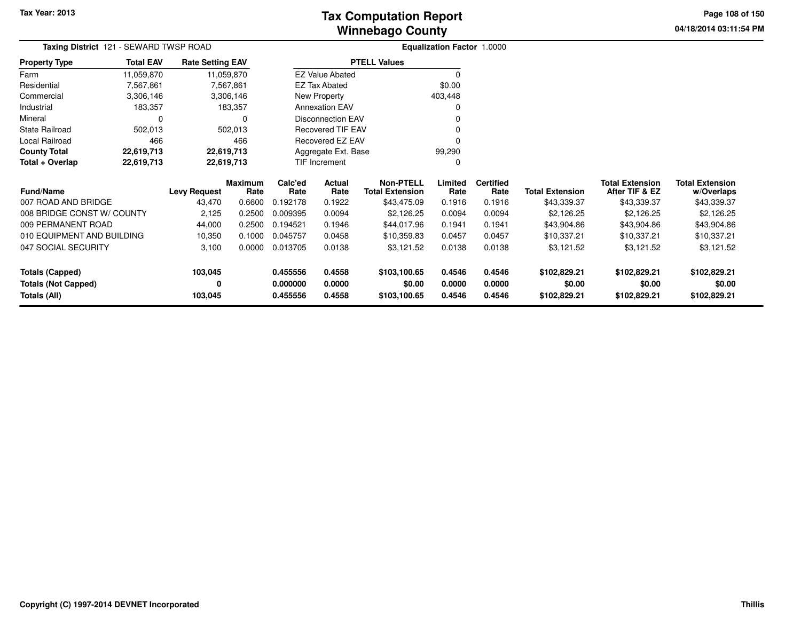**04/18/2014 03:11:54 PM Page 108 of 150**

| <b>Taxing District</b> 121 - SEWARD TWSP ROAD |                  |                         |                 |                 | Equalization Factor 1.0000 |                                            |                 |                          |                        |                                          |                                      |
|-----------------------------------------------|------------------|-------------------------|-----------------|-----------------|----------------------------|--------------------------------------------|-----------------|--------------------------|------------------------|------------------------------------------|--------------------------------------|
| <b>Property Type</b>                          | <b>Total EAV</b> | <b>Rate Setting EAV</b> |                 |                 |                            | <b>PTELL Values</b>                        |                 |                          |                        |                                          |                                      |
| Farm                                          | 11,059,870       | 11,059,870              |                 |                 | <b>EZ Value Abated</b>     |                                            | $\Omega$        |                          |                        |                                          |                                      |
| Residential                                   | 7,567,861        |                         | 7,567,861       |                 | EZ Tax Abated              |                                            | \$0.00          |                          |                        |                                          |                                      |
| Commercial                                    | 3,306,146        |                         | 3,306,146       |                 | New Property               |                                            | 403,448         |                          |                        |                                          |                                      |
| Industrial                                    | 183,357          |                         | 183,357         |                 | <b>Annexation EAV</b>      |                                            | O               |                          |                        |                                          |                                      |
| Mineral                                       | $\Omega$         |                         | 0               |                 | <b>Disconnection EAV</b>   |                                            | 0               |                          |                        |                                          |                                      |
| <b>State Railroad</b>                         | 502,013          |                         | 502,013         |                 | <b>Recovered TIF EAV</b>   |                                            | 0               |                          |                        |                                          |                                      |
| Local Railroad                                | 466              |                         | 466             |                 | Recovered EZ EAV           |                                            | ŋ               |                          |                        |                                          |                                      |
| <b>County Total</b>                           | 22,619,713       | 22,619,713              |                 |                 | Aggregate Ext. Base        |                                            | 99,290          |                          |                        |                                          |                                      |
| Total + Overlap                               | 22,619,713       | 22,619,713              |                 |                 | TIF Increment              |                                            | 0               |                          |                        |                                          |                                      |
| <b>Fund/Name</b>                              |                  | <b>Levy Request</b>     | Maximum<br>Rate | Calc'ed<br>Rate | Actual<br>Rate             | <b>Non-PTELL</b><br><b>Total Extension</b> | Limited<br>Rate | <b>Certified</b><br>Rate | <b>Total Extension</b> | <b>Total Extension</b><br>After TIF & EZ | <b>Total Extension</b><br>w/Overlaps |
| 007 ROAD AND BRIDGE                           |                  | 43,470                  | 0.6600          | 0.192178        | 0.1922                     | \$43,475.09                                | 0.1916          | 0.1916                   | \$43,339.37            | \$43,339.37                              | \$43,339.37                          |
| 008 BRIDGE CONST W/ COUNTY                    |                  | 2,125                   | 0.2500          | 0.009395        | 0.0094                     | \$2,126.25                                 | 0.0094          | 0.0094                   | \$2,126.25             | \$2,126.25                               | \$2,126.25                           |
| 009 PERMANENT ROAD                            |                  | 44,000                  | 0.2500          | 0.194521        | 0.1946                     | \$44,017.96                                | 0.1941          | 0.1941                   | \$43,904.86            | \$43,904.86                              | \$43,904.86                          |
| 010 EQUIPMENT AND BUILDING                    |                  | 10,350                  | 0.1000          | 0.045757        | 0.0458                     | \$10,359.83                                | 0.0457          | 0.0457                   | \$10,337.21            | \$10,337.21                              | \$10,337.21                          |
| 047 SOCIAL SECURITY                           |                  | 3,100                   | 0.0000          | 0.013705        | 0.0138                     | \$3,121.52                                 | 0.0138          | 0.0138                   | \$3,121.52             | \$3,121.52                               | \$3,121.52                           |
| <b>Totals (Capped)</b>                        |                  | 103,045                 |                 | 0.455556        | 0.4558                     | \$103,100.65                               | 0.4546          | 0.4546                   | \$102,829.21           | \$102,829.21                             | \$102,829.21                         |
| <b>Totals (Not Capped)</b>                    |                  | 0                       |                 | 0.000000        | 0.0000                     | \$0.00                                     | 0.0000          | 0.0000                   | \$0.00                 | \$0.00                                   | \$0.00                               |
| <b>Totals (All)</b>                           |                  | 103,045                 |                 | 0.455556        | 0.4558                     | \$103,100.65                               | 0.4546          | 0.4546                   | \$102,829.21           | \$102,829.21                             | \$102,829.21                         |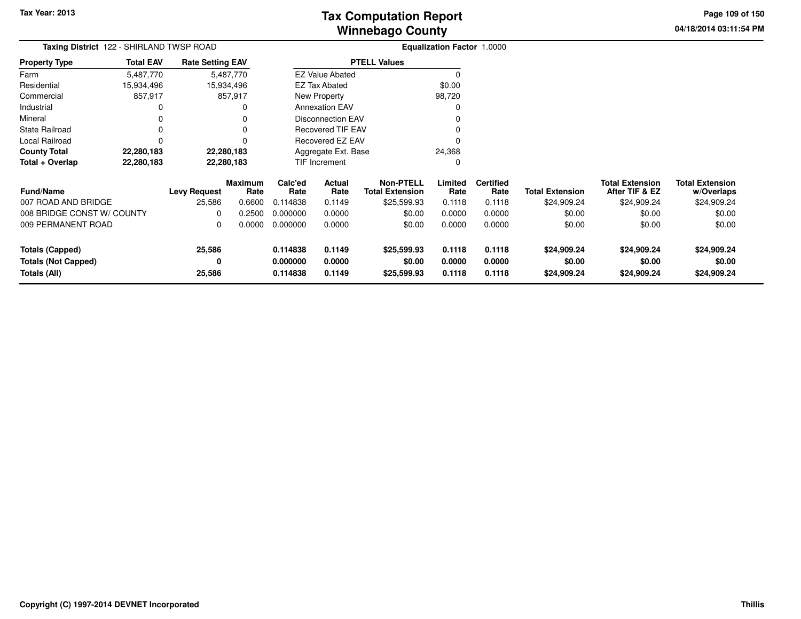**04/18/2014 03:11:54 PM Page 109 of 150**

| <b>Taxing District</b> 122 - SHIRLAND TWSP ROAD |                  |                         |                        |                 |                               |                                            | Equalization Factor 1.0000 |                          |                        |                                          |                                      |
|-------------------------------------------------|------------------|-------------------------|------------------------|-----------------|-------------------------------|--------------------------------------------|----------------------------|--------------------------|------------------------|------------------------------------------|--------------------------------------|
| <b>Property Type</b>                            | <b>Total EAV</b> | <b>Rate Setting EAV</b> |                        |                 |                               | <b>PTELL Values</b>                        |                            |                          |                        |                                          |                                      |
| Farm                                            | 5,487,770        |                         | 5,487,770              |                 | <b>EZ Value Abated</b>        |                                            |                            |                          |                        |                                          |                                      |
| Residential                                     | 15,934,496       | 15,934,496              |                        |                 | EZ Tax Abated                 |                                            | \$0.00                     |                          |                        |                                          |                                      |
| Commercial                                      | 857,917          |                         | 857,917                |                 | New Property                  |                                            | 98,720                     |                          |                        |                                          |                                      |
| Industrial                                      |                  |                         |                        |                 | <b>Annexation EAV</b>         |                                            |                            |                          |                        |                                          |                                      |
| Mineral                                         |                  |                         |                        |                 | <b>Disconnection EAV</b>      |                                            |                            |                          |                        |                                          |                                      |
| <b>State Railroad</b>                           |                  |                         |                        |                 | Recovered TIF EAV             |                                            |                            |                          |                        |                                          |                                      |
| Local Railroad                                  |                  |                         |                        |                 | <b>Recovered EZ EAV</b>       |                                            |                            |                          |                        |                                          |                                      |
| <b>County Total</b>                             | 22,280,183       | 22,280,183              |                        |                 | 24,368<br>Aggregate Ext. Base |                                            |                            |                          |                        |                                          |                                      |
| Total + Overlap                                 | 22,280,183       | 22,280,183              |                        |                 | TIF Increment                 |                                            | 0                          |                          |                        |                                          |                                      |
| <b>Fund/Name</b>                                |                  | <b>Levy Request</b>     | <b>Maximum</b><br>Rate | Calc'ed<br>Rate | <b>Actual</b><br>Rate         | <b>Non-PTELL</b><br><b>Total Extension</b> | Limited<br>Rate            | <b>Certified</b><br>Rate | <b>Total Extension</b> | <b>Total Extension</b><br>After TIF & EZ | <b>Total Extension</b><br>w/Overlaps |
| 007 ROAD AND BRIDGE                             |                  | 25,586                  | 0.6600                 | 0.114838        | 0.1149                        | \$25,599.93                                | 0.1118                     | 0.1118                   | \$24,909.24            | \$24,909.24                              | \$24,909.24                          |
| 008 BRIDGE CONST W/ COUNTY                      |                  | <sup>0</sup>            | 0.2500                 | 0.000000        | 0.0000                        | \$0.00                                     | 0.0000                     | 0.0000                   | \$0.00                 | \$0.00                                   | \$0.00                               |
| 009 PERMANENT ROAD                              |                  | $\Omega$                | 0.0000                 | 0.000000        | 0.0000                        | \$0.00                                     | 0.0000                     | 0.0000                   | \$0.00                 | \$0.00                                   | \$0.00                               |
| <b>Totals (Capped)</b>                          |                  | 25,586                  |                        | 0.114838        | 0.1149                        | \$25,599.93                                | 0.1118                     | 0.1118                   | \$24,909.24            | \$24,909.24                              | \$24,909.24                          |
| <b>Totals (Not Capped)</b>                      |                  | 0                       |                        | 0.000000        | 0.0000                        | \$0.00                                     | 0.0000                     | 0.0000                   | \$0.00                 | \$0.00                                   | \$0.00                               |
| Totals (All)                                    |                  | 25,586                  |                        | 0.114838        | 0.1149                        | \$25,599.93                                | 0.1118                     | 0.1118                   | \$24,909.24            | \$24,909.24                              | \$24,909.24                          |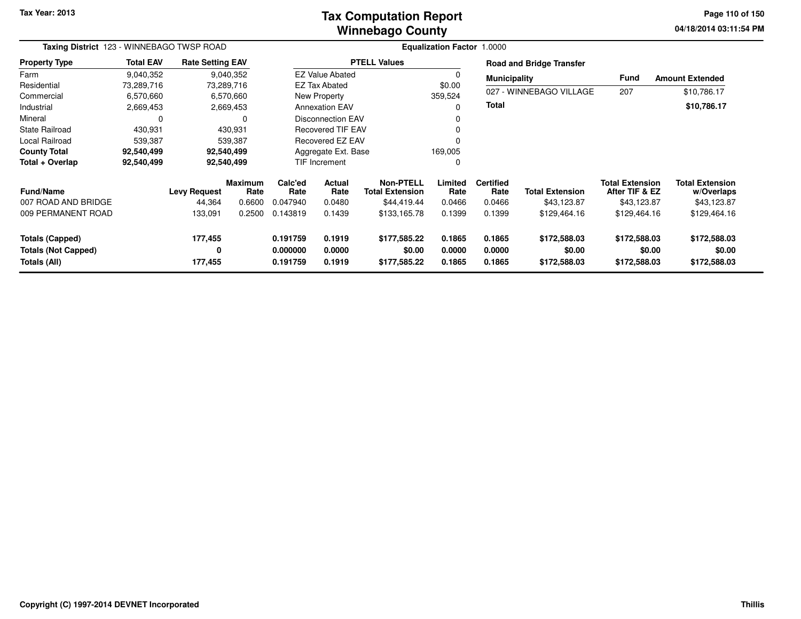**Tax Year: 2013**

#### **Winnebago CountyTax Computation Report**

**04/18/2014 03:11:54 PM Page 110 of 150**

۰

| Taxing District 123 - WINNEBAGO TWSP ROAD                            |                  |                         |                        | <b>Equalization Factor 1.0000</b> |                                                      |                                            |                            |                            |                                        |                                          |                                        |
|----------------------------------------------------------------------|------------------|-------------------------|------------------------|-----------------------------------|------------------------------------------------------|--------------------------------------------|----------------------------|----------------------------|----------------------------------------|------------------------------------------|----------------------------------------|
| <b>Property Type</b>                                                 | <b>Total EAV</b> | <b>Rate Setting EAV</b> |                        |                                   |                                                      | <b>PTELL Values</b>                        |                            |                            | <b>Road and Bridge Transfer</b>        |                                          |                                        |
| Farm                                                                 | 9,040,352        |                         | 9,040,352              |                                   | <b>EZ Value Abated</b>                               |                                            | 0                          | <b>Municipality</b>        |                                        | <b>Fund</b>                              | <b>Amount Extended</b>                 |
| Residential                                                          | 73,289,716       |                         | 73,289,716             |                                   | <b>EZ Tax Abated</b>                                 |                                            | \$0.00                     |                            |                                        |                                          |                                        |
| Commercial                                                           | 6,570,660        |                         | 6,570,660              |                                   | New Property                                         |                                            | 359,524                    |                            | 027 - WINNEBAGO VILLAGE                | 207                                      | \$10,786.17                            |
| Industrial                                                           | 2,669,453        |                         | 2,669,453              |                                   | <b>Annexation EAV</b>                                |                                            |                            | <b>Total</b>               |                                        |                                          | \$10,786.17                            |
| Mineral                                                              | 0                |                         | 0                      |                                   | <b>Disconnection EAV</b><br><b>Recovered TIF EAV</b> |                                            |                            |                            |                                        |                                          |                                        |
| State Railroad                                                       | 430,931          |                         | 430,931                |                                   |                                                      |                                            |                            |                            |                                        |                                          |                                        |
| Local Railroad                                                       | 539,387          |                         | 539.387                |                                   | Recovered EZ EAV                                     |                                            |                            |                            |                                        |                                          |                                        |
| <b>County Total</b>                                                  | 92,540,499       |                         | 92,540,499             |                                   | Aggregate Ext. Base                                  |                                            | 169,005                    |                            |                                        |                                          |                                        |
| Total + Overlap                                                      | 92,540,499       |                         | 92,540,499             |                                   | TIF Increment                                        |                                            | 0                          |                            |                                        |                                          |                                        |
| <b>Fund/Name</b>                                                     |                  | <b>Levy Request</b>     | <b>Maximum</b><br>Rate | Calc'ed<br>Rate                   | Actual<br>Rate                                       | <b>Non-PTELL</b><br><b>Total Extension</b> | Limited<br>Rate            | <b>Certified</b><br>Rate   | <b>Total Extension</b>                 | <b>Total Extension</b><br>After TIF & EZ | <b>Total Extension</b><br>w/Overlaps   |
| 007 ROAD AND BRIDGE                                                  |                  | 44,364                  | 0.6600                 | 0.047940                          | 0.0480                                               | \$44,419.44                                | 0.0466                     | 0.0466                     | \$43,123.87                            | \$43,123.87                              | \$43,123.87                            |
| 009 PERMANENT ROAD                                                   |                  | 133,091                 | 0.2500                 | 0.143819                          | 0.1439                                               | \$133,165.78                               | 0.1399                     | 0.1399                     | \$129,464.16                           | \$129,464.16                             | \$129,464.16                           |
| <b>Totals (Capped)</b><br><b>Totals (Not Capped)</b><br>Totals (All) |                  | 177,455<br>0<br>177,455 |                        | 0.191759<br>0.000000<br>0.191759  | 0.1919<br>0.0000<br>0.1919                           | \$177,585.22<br>\$0.00<br>\$177,585.22     | 0.1865<br>0.0000<br>0.1865 | 0.1865<br>0.0000<br>0.1865 | \$172,588.03<br>\$0.00<br>\$172,588.03 | \$172,588.03<br>\$0.00<br>\$172,588.03   | \$172,588.03<br>\$0.00<br>\$172,588.03 |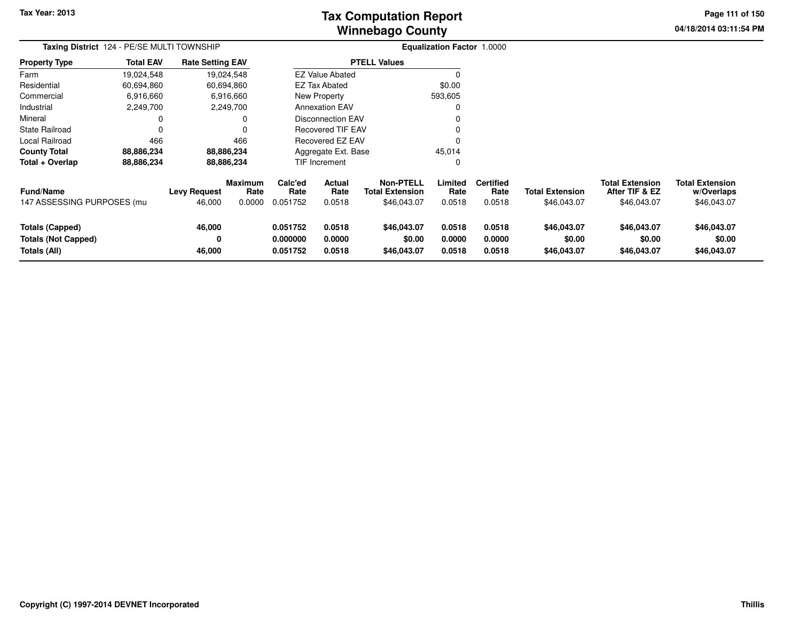**Tax Year: 2013**

# **Winnebago CountyTax Computation Report**

**04/18/2014 03:11:54 PM Page 111 of 150**

| Taxing District 124 - PE/SE MULTI TOWNSHIP                           |                  |                               |                                  |                                  |                                 |                                                           | Equalization Factor 1.0000 |                                    |                                       |                                                         |                                                     |
|----------------------------------------------------------------------|------------------|-------------------------------|----------------------------------|----------------------------------|---------------------------------|-----------------------------------------------------------|----------------------------|------------------------------------|---------------------------------------|---------------------------------------------------------|-----------------------------------------------------|
| <b>Property Type</b>                                                 | <b>Total EAV</b> | <b>Rate Setting EAV</b>       |                                  |                                  |                                 | <b>PTELL Values</b>                                       |                            |                                    |                                       |                                                         |                                                     |
| Farm                                                                 | 19,024,548       |                               | 19,024,548                       |                                  | <b>EZ Value Abated</b>          |                                                           |                            |                                    |                                       |                                                         |                                                     |
| Residential                                                          | 60,694,860       |                               | 60,694,860                       |                                  | EZ Tax Abated                   |                                                           | \$0.00                     |                                    |                                       |                                                         |                                                     |
| Commercial                                                           | 6,916,660        |                               | 6,916,660                        |                                  | New Property                    |                                                           | 593,605                    |                                    |                                       |                                                         |                                                     |
| Industrial                                                           | 2,249,700        |                               | 2,249,700                        |                                  | <b>Annexation EAV</b>           |                                                           |                            |                                    |                                       |                                                         |                                                     |
| Mineral                                                              |                  |                               | 0                                |                                  | <b>Disconnection EAV</b>        |                                                           |                            |                                    |                                       |                                                         |                                                     |
| <b>State Railroad</b>                                                |                  |                               |                                  |                                  | <b>Recovered TIF EAV</b>        |                                                           |                            |                                    |                                       |                                                         |                                                     |
| Local Railroad                                                       | 466              |                               | 466                              |                                  | Recovered EZ EAV                |                                                           |                            |                                    |                                       |                                                         |                                                     |
| <b>County Total</b>                                                  | 88,886,234       |                               | 88,886,234                       |                                  | Aggregate Ext. Base             |                                                           | 45,014                     |                                    |                                       |                                                         |                                                     |
| Total + Overlap                                                      | 88,886,234       |                               | 88,886,234                       |                                  | <b>TIF Increment</b>            |                                                           |                            |                                    |                                       |                                                         |                                                     |
| Fund/Name<br>147 ASSESSING PURPOSES (mu                              |                  | <b>Levy Request</b><br>46,000 | <b>Maximum</b><br>Rate<br>0.0000 | Calc'ed<br>Rate<br>0.051752      | <b>Actual</b><br>Rate<br>0.0518 | <b>Non-PTELL</b><br><b>Total Extension</b><br>\$46,043.07 | Limited<br>Rate<br>0.0518  | <b>Certified</b><br>Rate<br>0.0518 | <b>Total Extension</b><br>\$46,043.07 | <b>Total Extension</b><br>After TIF & EZ<br>\$46,043.07 | <b>Total Extension</b><br>w/Overlaps<br>\$46,043.07 |
| <b>Totals (Capped)</b><br><b>Totals (Not Capped)</b><br>Totals (All) |                  | 46,000<br>0<br>46,000         |                                  | 0.051752<br>0.000000<br>0.051752 | 0.0518<br>0.0000<br>0.0518      | \$46,043.07<br>\$0.00<br>\$46,043.07                      | 0.0518<br>0.0000<br>0.0518 | 0.0518<br>0.0000<br>0.0518         | \$46,043.07<br>\$0.00<br>\$46,043.07  | \$46,043.07<br>\$0.00<br>\$46,043.07                    | \$46,043.07<br>\$0.00<br>\$46,043.07                |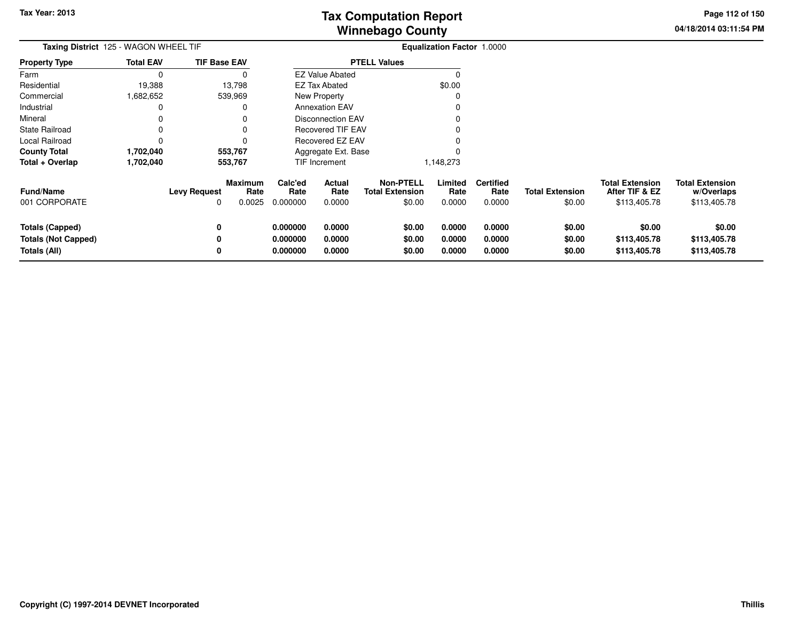**04/18/2014 03:11:54 PM Page 112 of 150**

| Taxing District 125 - WAGON WHEEL TIF                                |                  |                     |                           | <b>Equalization Factor 1.0000</b> |                            |                                                      |                            |                                    |                                  |                                                          |                                                      |
|----------------------------------------------------------------------|------------------|---------------------|---------------------------|-----------------------------------|----------------------------|------------------------------------------------------|----------------------------|------------------------------------|----------------------------------|----------------------------------------------------------|------------------------------------------------------|
| <b>Property Type</b>                                                 | <b>Total EAV</b> | <b>TIF Base EAV</b> |                           |                                   |                            | <b>PTELL Values</b>                                  |                            |                                    |                                  |                                                          |                                                      |
| Farm                                                                 | $\Omega$         |                     |                           |                                   | <b>EZ Value Abated</b>     |                                                      |                            |                                    |                                  |                                                          |                                                      |
| Residential                                                          | 19,388           |                     | 13,798                    |                                   | <b>EZ Tax Abated</b>       |                                                      | \$0.00                     |                                    |                                  |                                                          |                                                      |
| Commercial                                                           | 1,682,652        |                     | 539,969                   |                                   | <b>New Property</b>        |                                                      |                            |                                    |                                  |                                                          |                                                      |
| Industrial                                                           |                  |                     |                           |                                   | <b>Annexation EAV</b>      |                                                      |                            |                                    |                                  |                                                          |                                                      |
| Mineral                                                              |                  |                     |                           |                                   | Disconnection EAV          |                                                      |                            |                                    |                                  |                                                          |                                                      |
| <b>State Railroad</b>                                                |                  |                     |                           |                                   | Recovered TIF EAV          |                                                      |                            |                                    |                                  |                                                          |                                                      |
| Local Railroad                                                       |                  |                     |                           |                                   | Recovered EZ EAV           |                                                      |                            |                                    |                                  |                                                          |                                                      |
| <b>County Total</b>                                                  | 1,702,040        |                     | 553,767                   |                                   | Aggregate Ext. Base        |                                                      |                            |                                    |                                  |                                                          |                                                      |
| Total + Overlap                                                      | 1,702,040        |                     | 553,767                   |                                   | TIF Increment              |                                                      | 1,148,273                  |                                    |                                  |                                                          |                                                      |
| <b>Fund/Name</b><br>001 CORPORATE                                    |                  | Levy Request<br>0   | Maximum<br>Rate<br>0.0025 | Calc'ed<br>Rate<br>0.000000       | Actual<br>Rate<br>0.0000   | <b>Non-PTELL</b><br><b>Total Extension</b><br>\$0.00 | Limited<br>Rate<br>0.0000  | <b>Certified</b><br>Rate<br>0.0000 | <b>Total Extension</b><br>\$0.00 | <b>Total Extension</b><br>After TIF & EZ<br>\$113,405.78 | <b>Total Extension</b><br>w/Overlaps<br>\$113,405.78 |
| <b>Totals (Capped)</b><br><b>Totals (Not Capped)</b><br>Totals (All) |                  | 0<br>0<br>0         |                           | 0.000000<br>0.000000<br>0.000000  | 0.0000<br>0.0000<br>0.0000 | \$0.00<br>\$0.00<br>\$0.00                           | 0.0000<br>0.0000<br>0.0000 | 0.0000<br>0.0000<br>0.0000         | \$0.00<br>\$0.00<br>\$0.00       | \$0.00<br>\$113,405.78<br>\$113,405.78                   | \$0.00<br>\$113,405.78<br>\$113,405.78               |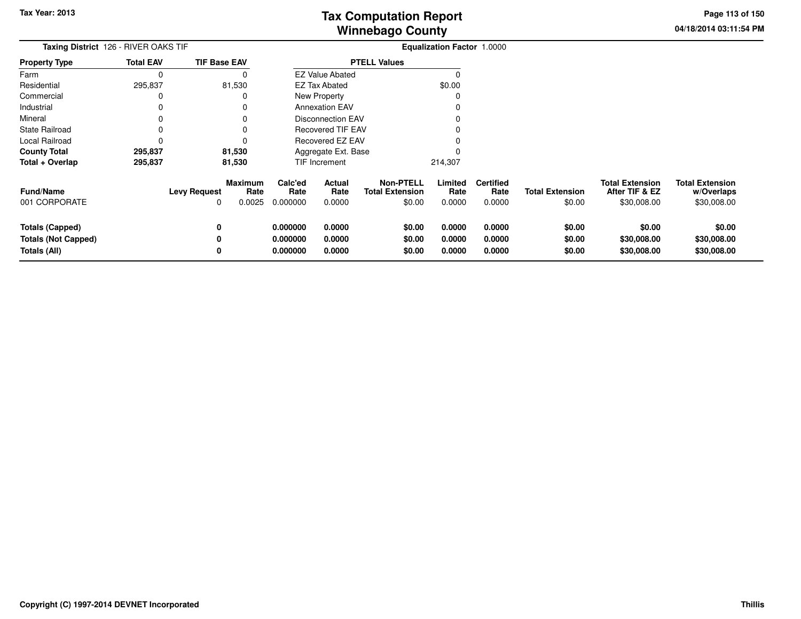**04/18/2014 03:11:54 PM Page 113 of 150**

| Taxing District 126 - RIVER OAKS TIF                                 |                  |                          |                                  |                                  |                            | Equalization Factor 1.0000                           |                            |                                    |                                  |                                                         |                                                     |
|----------------------------------------------------------------------|------------------|--------------------------|----------------------------------|----------------------------------|----------------------------|------------------------------------------------------|----------------------------|------------------------------------|----------------------------------|---------------------------------------------------------|-----------------------------------------------------|
| <b>Property Type</b>                                                 | <b>Total EAV</b> | <b>TIF Base EAV</b>      |                                  |                                  |                            | <b>PTELL Values</b>                                  |                            |                                    |                                  |                                                         |                                                     |
| Farm                                                                 | 0                |                          | 0                                |                                  | <b>EZ Value Abated</b>     |                                                      |                            |                                    |                                  |                                                         |                                                     |
| Residential                                                          | 295,837          |                          | 81,530                           |                                  | <b>EZ Tax Abated</b>       |                                                      | \$0.00                     |                                    |                                  |                                                         |                                                     |
| Commercial                                                           |                  |                          | O                                |                                  | New Property               |                                                      |                            |                                    |                                  |                                                         |                                                     |
| Industrial                                                           |                  |                          | 0                                |                                  | <b>Annexation EAV</b>      |                                                      |                            |                                    |                                  |                                                         |                                                     |
| Mineral                                                              |                  |                          | 0                                |                                  | <b>Disconnection EAV</b>   |                                                      |                            |                                    |                                  |                                                         |                                                     |
| <b>State Railroad</b>                                                |                  |                          | 0                                |                                  | Recovered TIF EAV          |                                                      |                            |                                    |                                  |                                                         |                                                     |
| Local Railroad                                                       |                  |                          |                                  |                                  | Recovered EZ EAV           |                                                      |                            |                                    |                                  |                                                         |                                                     |
| <b>County Total</b>                                                  | 295,837          |                          | 81,530                           |                                  | Aggregate Ext. Base        |                                                      |                            |                                    |                                  |                                                         |                                                     |
| Total + Overlap                                                      | 295,837          |                          | 81,530                           |                                  | TIF Increment              |                                                      | 214,307                    |                                    |                                  |                                                         |                                                     |
| <b>Fund/Name</b><br>001 CORPORATE                                    |                  | <b>Levy Request</b><br>0 | <b>Maximum</b><br>Rate<br>0.0025 | Calc'ed<br>Rate<br>0.000000      | Actual<br>Rate<br>0.0000   | <b>Non-PTELL</b><br><b>Total Extension</b><br>\$0.00 | Limited<br>Rate<br>0.0000  | <b>Certified</b><br>Rate<br>0.0000 | <b>Total Extension</b><br>\$0.00 | <b>Total Extension</b><br>After TIF & EZ<br>\$30,008.00 | <b>Total Extension</b><br>w/Overlaps<br>\$30,008.00 |
| <b>Totals (Capped)</b><br><b>Totals (Not Capped)</b><br>Totals (All) |                  | 0<br>0<br>0              |                                  | 0.000000<br>0.000000<br>0.000000 | 0.0000<br>0.0000<br>0.0000 | \$0.00<br>\$0.00<br>\$0.00                           | 0.0000<br>0.0000<br>0.0000 | 0.0000<br>0.0000<br>0.0000         | \$0.00<br>\$0.00<br>\$0.00       | \$0.00<br>\$30,008.00<br>\$30,008.00                    | \$0.00<br>\$30,008.00<br>\$30,008.00                |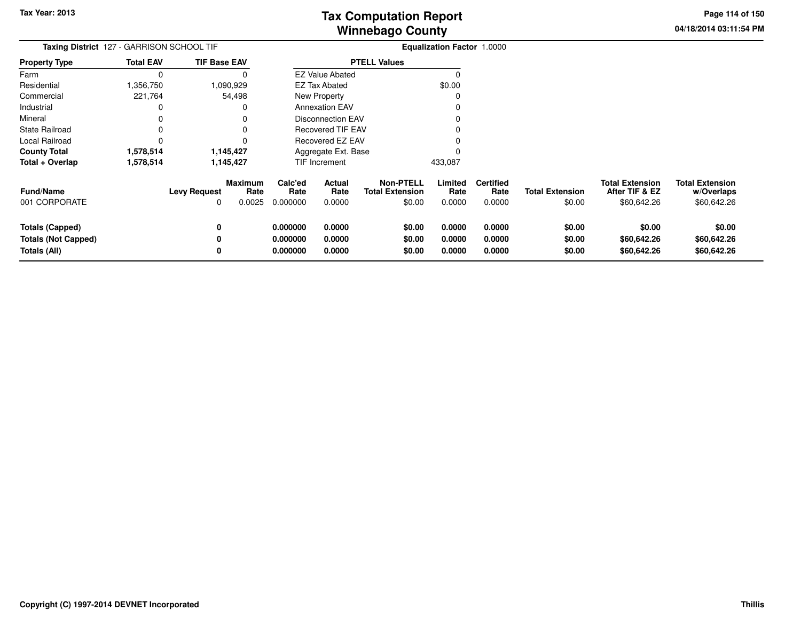**04/18/2014 03:11:54 PM Page 114 of 150**

| Taxing District 127 - GARRISON SCHOOL TIF                     |                  |                                                         | Equalization Factor 1.0000       |                            |                                                      |                            |                                    |                                  |                                                         |                                                     |
|---------------------------------------------------------------|------------------|---------------------------------------------------------|----------------------------------|----------------------------|------------------------------------------------------|----------------------------|------------------------------------|----------------------------------|---------------------------------------------------------|-----------------------------------------------------|
| <b>Property Type</b>                                          | <b>Total EAV</b> | <b>TIF Base EAV</b>                                     |                                  |                            | <b>PTELL Values</b>                                  |                            |                                    |                                  |                                                         |                                                     |
| Farm                                                          | $\Omega$         | 0                                                       |                                  | <b>EZ Value Abated</b>     |                                                      | $\Omega$                   |                                    |                                  |                                                         |                                                     |
| Residential                                                   | .356,750         | 1,090,929                                               |                                  | EZ Tax Abated              |                                                      | \$0.00                     |                                    |                                  |                                                         |                                                     |
| Commercial                                                    | 221,764          | 54,498                                                  |                                  | <b>New Property</b>        |                                                      | 0                          |                                    |                                  |                                                         |                                                     |
| Industrial                                                    | 0                | 0                                                       |                                  | <b>Annexation EAV</b>      |                                                      |                            |                                    |                                  |                                                         |                                                     |
| Mineral                                                       | 0                |                                                         |                                  | <b>Disconnection EAV</b>   |                                                      |                            |                                    |                                  |                                                         |                                                     |
| <b>State Railroad</b>                                         | 0                |                                                         |                                  | <b>Recovered TIF EAV</b>   |                                                      |                            |                                    |                                  |                                                         |                                                     |
| Local Railroad                                                | 0                |                                                         |                                  | Recovered EZ EAV           |                                                      |                            |                                    |                                  |                                                         |                                                     |
| <b>County Total</b>                                           | 1,578,514        | 1,145,427                                               |                                  | Aggregate Ext. Base        |                                                      |                            |                                    |                                  |                                                         |                                                     |
| Total + Overlap                                               | 1,578,514        | 1,145,427                                               |                                  | TIF Increment              |                                                      | 433,087                    |                                    |                                  |                                                         |                                                     |
| <b>Fund/Name</b><br>001 CORPORATE                             |                  | <b>Maximum</b><br><b>Levy Request</b><br>Rate<br>0.0025 | Calc'ed<br>Rate<br>0.000000      | Actual<br>Rate<br>0.0000   | <b>Non-PTELL</b><br><b>Total Extension</b><br>\$0.00 | Limited<br>Rate<br>0.0000  | <b>Certified</b><br>Rate<br>0.0000 | <b>Total Extension</b><br>\$0.00 | <b>Total Extension</b><br>After TIF & EZ<br>\$60,642.26 | <b>Total Extension</b><br>w/Overlaps<br>\$60,642.26 |
| Totals (Capped)<br><b>Totals (Not Capped)</b><br>Totals (All) |                  | 0                                                       | 0.000000<br>0.000000<br>0.000000 | 0.0000<br>0.0000<br>0.0000 | \$0.00<br>\$0.00<br>\$0.00                           | 0.0000<br>0.0000<br>0.0000 | 0.0000<br>0.0000<br>0.0000         | \$0.00<br>\$0.00<br>\$0.00       | \$0.00<br>\$60,642.26<br>\$60,642.26                    | \$0.00<br>\$60,642.26<br>\$60,642.26                |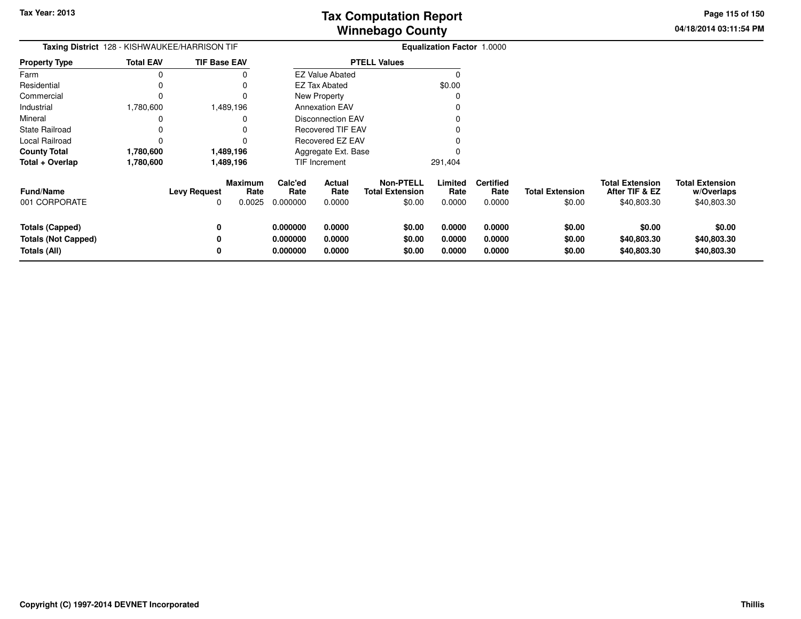**04/18/2014 03:11:54 PM Page 115 of 150**

| <b>Taxing District</b> 128 - KISHWAUKEE/HARRISON TIF          |                  |                     |                           | <b>Equalization Factor 1.0000</b> |                            |                                                      |                            |                                    |                                  |                                                         |                                                     |
|---------------------------------------------------------------|------------------|---------------------|---------------------------|-----------------------------------|----------------------------|------------------------------------------------------|----------------------------|------------------------------------|----------------------------------|---------------------------------------------------------|-----------------------------------------------------|
| <b>Property Type</b>                                          | <b>Total EAV</b> | <b>TIF Base EAV</b> |                           |                                   |                            | <b>PTELL Values</b>                                  |                            |                                    |                                  |                                                         |                                                     |
| Farm                                                          | 0                |                     |                           |                                   | <b>EZ Value Abated</b>     |                                                      | $\Omega$                   |                                    |                                  |                                                         |                                                     |
| Residential                                                   | 0                |                     |                           |                                   | EZ Tax Abated              |                                                      | \$0.00                     |                                    |                                  |                                                         |                                                     |
| Commercial                                                    | 0                |                     | 0                         |                                   | New Property               |                                                      |                            |                                    |                                  |                                                         |                                                     |
| Industrial                                                    | 1,780,600        |                     | 1,489,196                 |                                   | <b>Annexation EAV</b>      |                                                      |                            |                                    |                                  |                                                         |                                                     |
| Mineral                                                       | 0                |                     |                           |                                   | <b>Disconnection EAV</b>   |                                                      |                            |                                    |                                  |                                                         |                                                     |
| <b>State Railroad</b>                                         |                  |                     |                           |                                   | <b>Recovered TIF EAV</b>   |                                                      |                            |                                    |                                  |                                                         |                                                     |
| Local Railroad                                                | 0                |                     |                           |                                   | Recovered EZ EAV           |                                                      |                            |                                    |                                  |                                                         |                                                     |
| <b>County Total</b>                                           | 1,780,600        |                     | 1,489,196                 |                                   | Aggregate Ext. Base        |                                                      |                            |                                    |                                  |                                                         |                                                     |
| Total + Overlap                                               | 1,780,600        |                     | 1,489,196                 |                                   | TIF Increment              |                                                      | 291,404                    |                                    |                                  |                                                         |                                                     |
| <b>Fund/Name</b><br>001 CORPORATE                             |                  | <b>Levy Request</b> | Maximum<br>Rate<br>0.0025 | Calc'ed<br>Rate<br>0.000000       | Actual<br>Rate<br>0.0000   | <b>Non-PTELL</b><br><b>Total Extension</b><br>\$0.00 | Limited<br>Rate<br>0.0000  | <b>Certified</b><br>Rate<br>0.0000 | <b>Total Extension</b><br>\$0.00 | <b>Total Extension</b><br>After TIF & EZ<br>\$40,803.30 | <b>Total Extension</b><br>w/Overlaps<br>\$40,803.30 |
| Totals (Capped)<br><b>Totals (Not Capped)</b><br>Totals (All) |                  | 0                   |                           | 0.000000<br>0.000000<br>0.000000  | 0.0000<br>0.0000<br>0.0000 | \$0.00<br>\$0.00<br>\$0.00                           | 0.0000<br>0.0000<br>0.0000 | 0.0000<br>0.0000<br>0.0000         | \$0.00<br>\$0.00<br>\$0.00       | \$0.00<br>\$40,803.30<br>\$40,803.30                    | \$0.00<br>\$40,803.30<br>\$40,803.30                |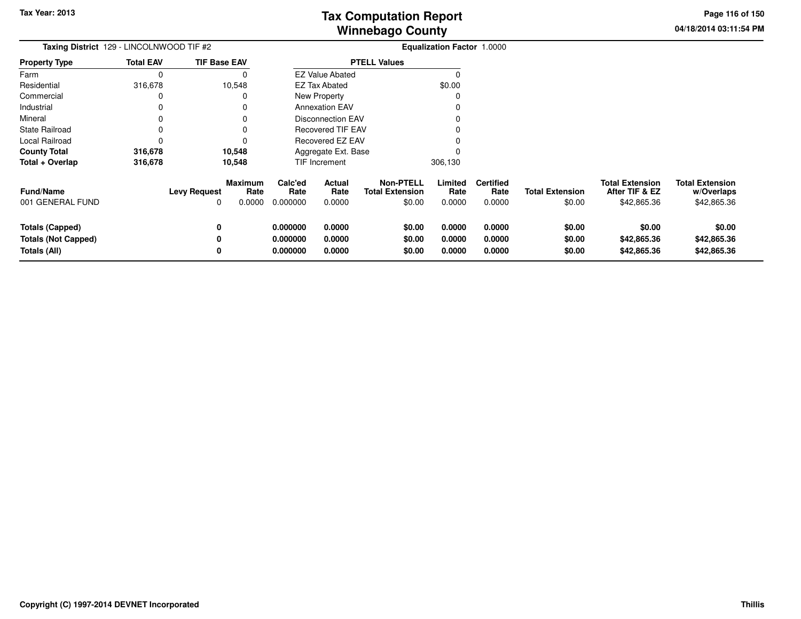**04/18/2014 03:11:54 PM Page 116 of 150**

| Taxing District 129 - LINCOLNWOOD TIF #2                             |                  |                     |                           | Equalization Factor 1.0000       |                            |                                                      |                            |                                    |                                  |                                                         |                                                     |
|----------------------------------------------------------------------|------------------|---------------------|---------------------------|----------------------------------|----------------------------|------------------------------------------------------|----------------------------|------------------------------------|----------------------------------|---------------------------------------------------------|-----------------------------------------------------|
| <b>Property Type</b>                                                 | <b>Total EAV</b> | <b>TIF Base EAV</b> |                           |                                  |                            | <b>PTELL Values</b>                                  |                            |                                    |                                  |                                                         |                                                     |
| Farm                                                                 | 0                |                     | 0                         |                                  | <b>EZ Value Abated</b>     |                                                      | C                          |                                    |                                  |                                                         |                                                     |
| Residential                                                          | 316,678          |                     | 10,548                    |                                  | EZ Tax Abated              |                                                      | \$0.00                     |                                    |                                  |                                                         |                                                     |
| Commercial                                                           | 0                |                     | 0                         |                                  | <b>New Property</b>        |                                                      | 0                          |                                    |                                  |                                                         |                                                     |
| Industrial                                                           | 0                |                     | 0                         |                                  | <b>Annexation EAV</b>      |                                                      |                            |                                    |                                  |                                                         |                                                     |
| Mineral                                                              | 0                |                     | 0                         |                                  | <b>Disconnection EAV</b>   |                                                      |                            |                                    |                                  |                                                         |                                                     |
| <b>State Railroad</b>                                                | 0                |                     |                           |                                  | <b>Recovered TIF EAV</b>   |                                                      |                            |                                    |                                  |                                                         |                                                     |
| Local Railroad                                                       | 0                |                     | 0                         |                                  | Recovered EZ EAV           |                                                      |                            |                                    |                                  |                                                         |                                                     |
| <b>County Total</b>                                                  | 316,678          |                     | 10,548                    |                                  | Aggregate Ext. Base        |                                                      |                            |                                    |                                  |                                                         |                                                     |
| Total + Overlap                                                      | 316,678          |                     | 10,548                    |                                  | TIF Increment              |                                                      | 306,130                    |                                    |                                  |                                                         |                                                     |
| <b>Fund/Name</b><br>001 GENERAL FUND                                 |                  | <b>Levy Request</b> | Maximum<br>Rate<br>0.0000 | Calc'ed<br>Rate<br>0.000000      | Actual<br>Rate<br>0.0000   | <b>Non-PTELL</b><br><b>Total Extension</b><br>\$0.00 | Limited<br>Rate<br>0.0000  | <b>Certified</b><br>Rate<br>0.0000 | <b>Total Extension</b><br>\$0.00 | <b>Total Extension</b><br>After TIF & EZ<br>\$42,865.36 | <b>Total Extension</b><br>w/Overlaps<br>\$42,865.36 |
| <b>Totals (Capped)</b><br><b>Totals (Not Capped)</b><br>Totals (All) |                  | 0                   |                           | 0.000000<br>0.000000<br>0.000000 | 0.0000<br>0.0000<br>0.0000 | \$0.00<br>\$0.00<br>\$0.00                           | 0.0000<br>0.0000<br>0.0000 | 0.0000<br>0.0000<br>0.0000         | \$0.00<br>\$0.00<br>\$0.00       | \$0.00<br>\$42,865.36<br>\$42,865.36                    | \$0.00<br>\$42,865.36<br>\$42,865.36                |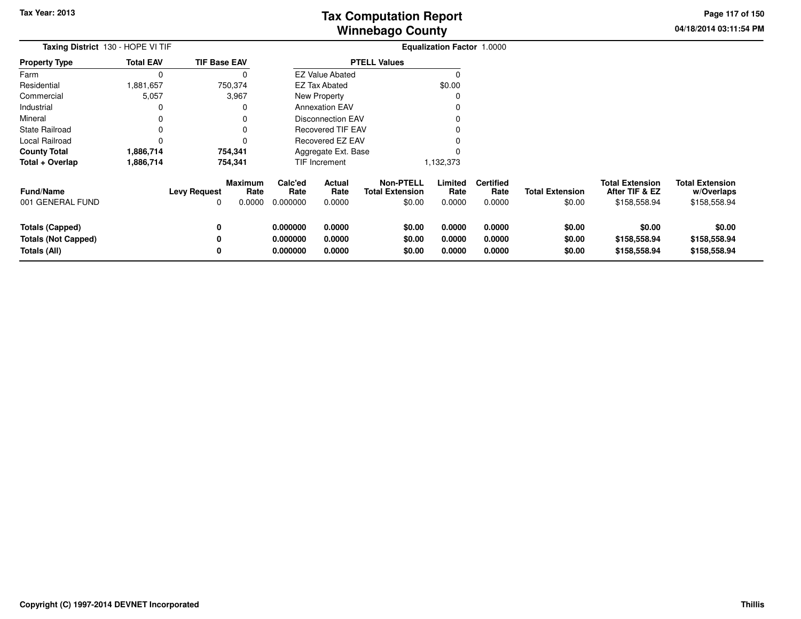**04/18/2014 03:11:54 PM Page 117 of 150**

| Taxing District 130 - HOPE VI TIF                                    |                  | Equalization Factor 1.0000 |                                  |                                  |                            |                                                      |                            |                                    |                                  |                                                          |                                                      |
|----------------------------------------------------------------------|------------------|----------------------------|----------------------------------|----------------------------------|----------------------------|------------------------------------------------------|----------------------------|------------------------------------|----------------------------------|----------------------------------------------------------|------------------------------------------------------|
| <b>Property Type</b>                                                 | <b>Total EAV</b> | <b>TIF Base EAV</b>        |                                  |                                  |                            | <b>PTELL Values</b>                                  |                            |                                    |                                  |                                                          |                                                      |
| Farm                                                                 | 0                |                            | 0                                |                                  | <b>EZ Value Abated</b>     |                                                      | 0                          |                                    |                                  |                                                          |                                                      |
| Residential                                                          | 1,881,657        |                            | 750,374                          |                                  | <b>EZ Tax Abated</b>       |                                                      | \$0.00                     |                                    |                                  |                                                          |                                                      |
| Commercial                                                           | 5,057            |                            | 3,967                            |                                  | New Property               |                                                      |                            |                                    |                                  |                                                          |                                                      |
| Industrial                                                           | 0                |                            | $\Omega$                         |                                  | <b>Annexation EAV</b>      |                                                      |                            |                                    |                                  |                                                          |                                                      |
| Mineral                                                              |                  |                            | 0                                |                                  | <b>Disconnection EAV</b>   |                                                      |                            |                                    |                                  |                                                          |                                                      |
| <b>State Railroad</b>                                                |                  |                            | 0                                |                                  | Recovered TIF EAV          |                                                      |                            |                                    |                                  |                                                          |                                                      |
| Local Railroad                                                       |                  |                            |                                  |                                  | Recovered EZ EAV           |                                                      |                            |                                    |                                  |                                                          |                                                      |
| <b>County Total</b>                                                  | 1,886,714        |                            | 754,341                          |                                  | Aggregate Ext. Base        |                                                      |                            |                                    |                                  |                                                          |                                                      |
| Total + Overlap                                                      | 1,886,714        |                            | 754,341                          |                                  | TIF Increment              |                                                      | 1,132,373                  |                                    |                                  |                                                          |                                                      |
| <b>Fund/Name</b><br>001 GENERAL FUND                                 |                  | <b>Levy Request</b><br>0   | <b>Maximum</b><br>Rate<br>0.0000 | Calc'ed<br>Rate<br>0.000000      | Actual<br>Rate<br>0.0000   | <b>Non-PTELL</b><br><b>Total Extension</b><br>\$0.00 | Limited<br>Rate<br>0.0000  | <b>Certified</b><br>Rate<br>0.0000 | <b>Total Extension</b><br>\$0.00 | <b>Total Extension</b><br>After TIF & EZ<br>\$158,558.94 | <b>Total Extension</b><br>w/Overlaps<br>\$158,558.94 |
| <b>Totals (Capped)</b><br><b>Totals (Not Capped)</b><br>Totals (All) |                  | 0<br>0<br>0                |                                  | 0.000000<br>0.000000<br>0.000000 | 0.0000<br>0.0000<br>0.0000 | \$0.00<br>\$0.00<br>\$0.00                           | 0.0000<br>0.0000<br>0.0000 | 0.0000<br>0.0000<br>0.0000         | \$0.00<br>\$0.00<br>\$0.00       | \$0.00<br>\$158,558.94<br>\$158,558.94                   | \$0.00<br>\$158,558.94<br>\$158,558.94               |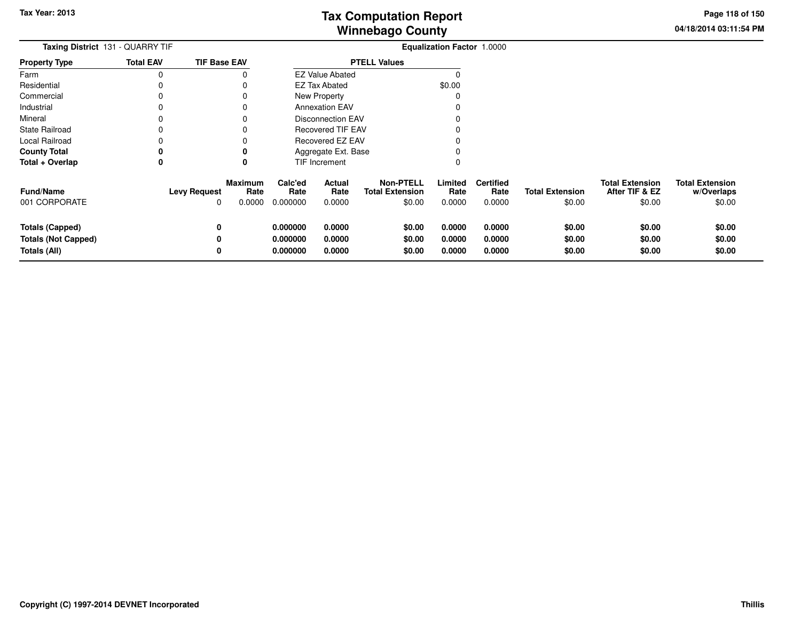**04/18/2014 03:11:54 PMPage 118 of 150**

| <b>Taxing District</b> 131 - QUARRY TIF |                     |                     | <b>Equalization Factor 1.0000</b> |                          |                                            |                 |                          |                        |                                          |                                      |
|-----------------------------------------|---------------------|---------------------|-----------------------------------|--------------------------|--------------------------------------------|-----------------|--------------------------|------------------------|------------------------------------------|--------------------------------------|
| <b>Property Type</b>                    | <b>Total EAV</b>    | <b>TIF Base EAV</b> |                                   |                          | <b>PTELL Values</b>                        |                 |                          |                        |                                          |                                      |
| Farm                                    | 0                   |                     |                                   | <b>EZ Value Abated</b>   |                                            |                 |                          |                        |                                          |                                      |
| Residential                             |                     |                     |                                   | <b>EZ Tax Abated</b>     |                                            | \$0.00          |                          |                        |                                          |                                      |
| Commercial                              |                     |                     |                                   | New Property             |                                            |                 |                          |                        |                                          |                                      |
| Industrial                              |                     |                     |                                   | <b>Annexation EAV</b>    |                                            |                 |                          |                        |                                          |                                      |
| Mineral                                 |                     |                     |                                   | <b>Disconnection EAV</b> |                                            |                 |                          |                        |                                          |                                      |
| <b>State Railroad</b>                   |                     |                     |                                   | <b>Recovered TIF EAV</b> |                                            |                 |                          |                        |                                          |                                      |
| Local Railroad                          |                     |                     |                                   | <b>Recovered EZ EAV</b>  |                                            |                 |                          |                        |                                          |                                      |
| <b>County Total</b>                     | 0                   |                     |                                   | Aggregate Ext. Base      |                                            |                 |                          |                        |                                          |                                      |
| Total + Overlap                         | 0                   | 0                   |                                   | TIF Increment            |                                            | 0               |                          |                        |                                          |                                      |
| <b>Fund/Name</b>                        | <b>Levy Request</b> | Maximum<br>Rate     | Calc'ed<br>Rate                   | Actual<br>Rate           | <b>Non-PTELL</b><br><b>Total Extension</b> | Limited<br>Rate | <b>Certified</b><br>Rate | <b>Total Extension</b> | <b>Total Extension</b><br>After TIF & EZ | <b>Total Extension</b><br>w/Overlaps |
| 001 CORPORATE                           |                     | 0.0000<br>0         | 0.000000                          | 0.0000                   | \$0.00                                     | 0.0000          | 0.0000                   | \$0.00                 | \$0.00                                   | \$0.00                               |
| <b>Totals (Capped)</b>                  |                     | 0                   | 0.000000                          | 0.0000                   | \$0.00                                     | 0.0000          | 0.0000                   | \$0.00                 | \$0.00                                   | \$0.00                               |
| <b>Totals (Not Capped)</b>              |                     | 0                   | 0.000000                          | 0.0000                   | \$0.00                                     | 0.0000          | 0.0000                   | \$0.00                 | \$0.00                                   | \$0.00                               |
| Totals (All)                            |                     | 0                   | 0.000000                          | 0.0000                   | \$0.00                                     | 0.0000          | 0.0000                   | \$0.00                 | \$0.00                                   | \$0.00                               |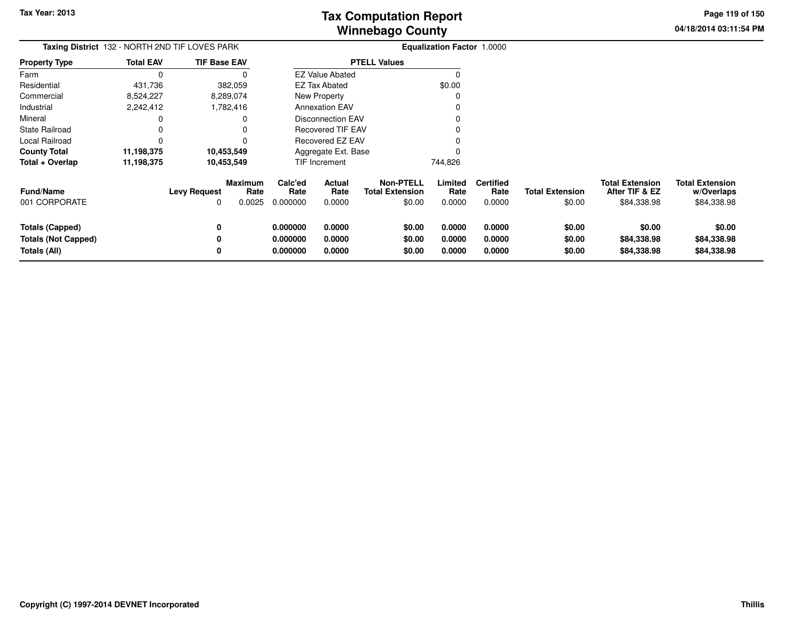**04/18/2014 03:11:54 PMPage 119 of 150**

> **w/Overlaps**\$84,338.98

| Taxing District 132 - NORTH 2ND TIF LOVES PARK |                  |                     |                 | <b>Equalization Factor 1.0000</b> |                          |                                            |                 |                          |                        |                                          |                                      |
|------------------------------------------------|------------------|---------------------|-----------------|-----------------------------------|--------------------------|--------------------------------------------|-----------------|--------------------------|------------------------|------------------------------------------|--------------------------------------|
| <b>Property Type</b>                           | <b>Total EAV</b> | <b>TIF Base EAV</b> |                 |                                   |                          | <b>PTELL Values</b>                        |                 |                          |                        |                                          |                                      |
| Farm                                           |                  |                     |                 |                                   | <b>EZ Value Abated</b>   |                                            |                 |                          |                        |                                          |                                      |
| Residential                                    | 431,736          |                     | 382,059         |                                   | <b>EZ Tax Abated</b>     |                                            | \$0.00          |                          |                        |                                          |                                      |
| Commercial                                     | 8,524,227        |                     | 8,289,074       |                                   | New Property             |                                            |                 |                          |                        |                                          |                                      |
| Industrial                                     | 2,242,412        |                     | 1,782,416       |                                   | <b>Annexation EAV</b>    |                                            |                 |                          |                        |                                          |                                      |
| Mineral                                        |                  |                     |                 |                                   | <b>Disconnection EAV</b> |                                            |                 |                          |                        |                                          |                                      |
| <b>State Railroad</b>                          |                  |                     |                 |                                   | <b>Recovered TIF EAV</b> |                                            |                 |                          |                        |                                          |                                      |
| Local Railroad                                 |                  |                     |                 |                                   | Recovered EZ EAV         |                                            |                 |                          |                        |                                          |                                      |
| <b>County Total</b>                            | 11,198,375       | 10,453,549          |                 |                                   | Aggregate Ext. Base      |                                            |                 |                          |                        |                                          |                                      |
| Total + Overlap                                | 11,198,375       | 10,453,549          |                 |                                   | TIF Increment            |                                            | 744,826         |                          |                        |                                          |                                      |
| <b>Fund/Name</b>                               |                  | <b>Levy Request</b> | Maximum<br>Rate | Calc'ed<br>Rate                   | Actual<br>Rate           | <b>Non-PTELL</b><br><b>Total Extension</b> | Limited<br>Rate | <b>Certified</b><br>Rate | <b>Total Extension</b> | <b>Total Extension</b><br>After TIF & EZ | <b>Total Extension</b><br>w/Overlaps |
| 001 CORPORATE                                  |                  | 0                   | 0.0025          | 0.000000                          | 0.0000                   | \$0.00                                     | 0.0000          | 0.0000                   | \$0.00                 | \$84,338.98                              | \$84,338.98                          |
| Totals (Capped)                                |                  | 0                   |                 | 0.000000                          | 0.0000                   | \$0.00                                     | 0.0000          | 0.0000                   | \$0.00                 | \$0.00                                   | \$0.00                               |
| <b>Totals (Not Capped)</b>                     |                  | 0                   |                 | 0.000000                          | 0.0000                   | \$0.00                                     | 0.0000          | 0.0000                   | \$0.00                 | \$84,338.98                              | \$84,338.98                          |
| Totals (All)                                   |                  | 0                   |                 | 0.000000                          | 0.0000                   | \$0.00                                     | 0.0000          | 0.0000                   | \$0.00                 | \$84,338.98                              | \$84,338.98                          |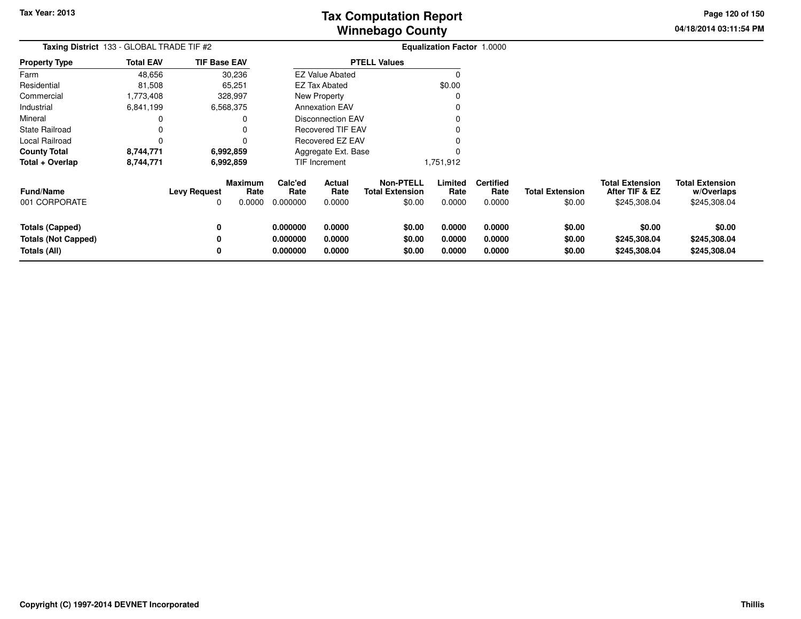**04/18/2014 03:11:54 PM Page 120 of 150**

| Taxing District 133 - GLOBAL TRADE TIF #2 |                  |                     |                           | <b>Equalization Factor 1.0000</b> |                          |                                                      |                           |                                    |                                  |                                                          |                                                      |
|-------------------------------------------|------------------|---------------------|---------------------------|-----------------------------------|--------------------------|------------------------------------------------------|---------------------------|------------------------------------|----------------------------------|----------------------------------------------------------|------------------------------------------------------|
| <b>Property Type</b>                      | <b>Total EAV</b> | <b>TIF Base EAV</b> |                           |                                   |                          | <b>PTELL Values</b>                                  |                           |                                    |                                  |                                                          |                                                      |
| Farm                                      | 48,656           |                     | 30,236                    |                                   | <b>EZ Value Abated</b>   |                                                      | $\Omega$                  |                                    |                                  |                                                          |                                                      |
| Residential                               | 81,508           |                     | 65,251                    |                                   | <b>EZ Tax Abated</b>     |                                                      | \$0.00                    |                                    |                                  |                                                          |                                                      |
| Commercial                                | 1,773,408        |                     | 328,997                   |                                   | <b>New Property</b>      |                                                      | $\Omega$                  |                                    |                                  |                                                          |                                                      |
| Industrial                                | 6,841,199        |                     | 6,568,375                 |                                   | <b>Annexation EAV</b>    |                                                      | 0                         |                                    |                                  |                                                          |                                                      |
| Mineral                                   | 0                |                     | 0                         |                                   | <b>Disconnection EAV</b> |                                                      |                           |                                    |                                  |                                                          |                                                      |
| <b>State Railroad</b>                     | 0                |                     |                           |                                   | Recovered TIF EAV        |                                                      |                           |                                    |                                  |                                                          |                                                      |
| Local Railroad                            | 0                |                     | 0                         |                                   | Recovered EZ EAV         |                                                      |                           |                                    |                                  |                                                          |                                                      |
| <b>County Total</b>                       | 8,744,771        |                     | 6,992,859                 |                                   | Aggregate Ext. Base      |                                                      |                           |                                    |                                  |                                                          |                                                      |
| Total + Overlap                           | 8,744,771        |                     | 6,992,859                 |                                   | TIF Increment            |                                                      | 1,751,912                 |                                    |                                  |                                                          |                                                      |
| <b>Fund/Name</b><br>001 CORPORATE         |                  | <b>Levy Request</b> | Maximum<br>Rate<br>0.0000 | Calc'ed<br>Rate<br>0.000000       | Actual<br>Rate<br>0.0000 | <b>Non-PTELL</b><br><b>Total Extension</b><br>\$0.00 | Limited<br>Rate<br>0.0000 | <b>Certified</b><br>Rate<br>0.0000 | <b>Total Extension</b><br>\$0.00 | <b>Total Extension</b><br>After TIF & EZ<br>\$245,308.04 | <b>Total Extension</b><br>w/Overlaps<br>\$245,308.04 |
| <b>Totals (Capped)</b>                    |                  |                     |                           | 0.000000                          | 0.0000                   | \$0.00                                               | 0.0000                    | 0.0000                             | \$0.00                           | \$0.00                                                   | \$0.00                                               |
| <b>Totals (Not Capped)</b>                |                  |                     |                           | 0.000000                          | 0.0000                   | \$0.00                                               | 0.0000                    | 0.0000                             | \$0.00                           | \$245,308.04                                             | \$245,308.04                                         |
| Totals (All)                              |                  |                     |                           | 0.000000                          | 0.0000                   | \$0.00                                               | 0.0000                    | 0.0000                             | \$0.00                           | \$245,308.04                                             | \$245,308.04                                         |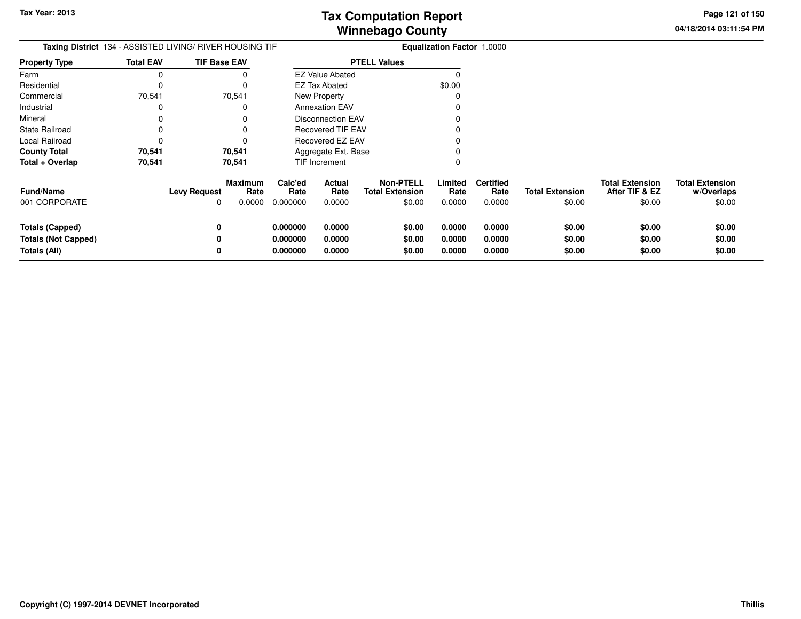**04/18/2014 03:11:54 PM Page 121 of 150**

| <b>Taxing District</b> 134 - ASSISTED LIVING/ RIVER HOUSING TIF      |                  |                          |                                  |                                  |                            |                                               | <b>Equalization Factor 1.0000</b> |                                    |                                  |                                                    |                                                |
|----------------------------------------------------------------------|------------------|--------------------------|----------------------------------|----------------------------------|----------------------------|-----------------------------------------------|-----------------------------------|------------------------------------|----------------------------------|----------------------------------------------------|------------------------------------------------|
| <b>Property Type</b>                                                 | <b>Total EAV</b> | <b>TIF Base EAV</b>      |                                  |                                  |                            | <b>PTELL Values</b>                           |                                   |                                    |                                  |                                                    |                                                |
| Farm                                                                 | 0                |                          |                                  |                                  | <b>EZ Value Abated</b>     |                                               |                                   |                                    |                                  |                                                    |                                                |
| Residential                                                          | 0                |                          |                                  |                                  | EZ Tax Abated              |                                               | \$0.00                            |                                    |                                  |                                                    |                                                |
| Commercial                                                           | 70,541           |                          | 70,541                           |                                  | New Property               |                                               |                                   |                                    |                                  |                                                    |                                                |
| Industrial                                                           | 0                |                          | 0                                |                                  | <b>Annexation EAV</b>      |                                               |                                   |                                    |                                  |                                                    |                                                |
| Mineral                                                              | 0                |                          |                                  |                                  | <b>Disconnection EAV</b>   |                                               |                                   |                                    |                                  |                                                    |                                                |
| <b>State Railroad</b>                                                | 0                |                          |                                  |                                  | <b>Recovered TIF EAV</b>   |                                               |                                   |                                    |                                  |                                                    |                                                |
| Local Railroad                                                       | 0                |                          |                                  |                                  | Recovered EZ EAV           |                                               |                                   |                                    |                                  |                                                    |                                                |
| <b>County Total</b>                                                  | 70,541           |                          | 70,541                           |                                  | Aggregate Ext. Base        |                                               |                                   |                                    |                                  |                                                    |                                                |
| Total + Overlap                                                      | 70,541           |                          | 70,541                           |                                  | TIF Increment              |                                               |                                   |                                    |                                  |                                                    |                                                |
| <b>Fund/Name</b><br>001 CORPORATE                                    |                  | <b>Levy Request</b><br>0 | <b>Maximum</b><br>Rate<br>0.0000 | Calc'ed<br>Rate<br>0.000000      | Actual<br>Rate<br>0.0000   | Non-PTELL<br><b>Total Extension</b><br>\$0.00 | Limited<br>Rate<br>0.0000         | <b>Certified</b><br>Rate<br>0.0000 | <b>Total Extension</b><br>\$0.00 | <b>Total Extension</b><br>After TIF & EZ<br>\$0.00 | <b>Total Extension</b><br>w/Overlaps<br>\$0.00 |
| <b>Totals (Capped)</b><br><b>Totals (Not Capped)</b><br>Totals (All) |                  | 0<br>0<br>0              |                                  | 0.000000<br>0.000000<br>0.000000 | 0.0000<br>0.0000<br>0.0000 | \$0.00<br>\$0.00<br>\$0.00                    | 0.0000<br>0.0000<br>0.0000        | 0.0000<br>0.0000<br>0.0000         | \$0.00<br>\$0.00<br>\$0.00       | \$0.00<br>\$0.00<br>\$0.00                         | \$0.00<br>\$0.00<br>\$0.00                     |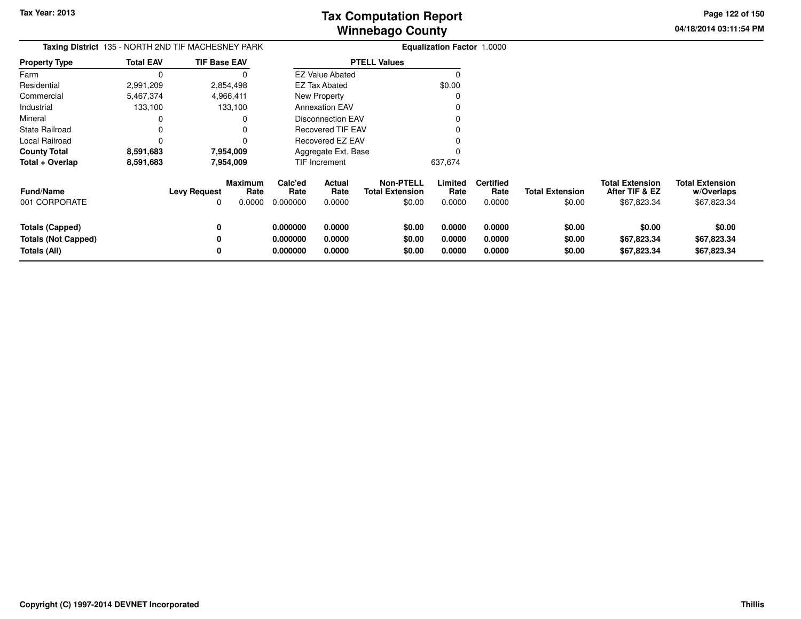**04/18/2014 03:11:54 PM Page 122 of 150**

| Taxing District 135 - NORTH 2ND TIF MACHESNEY PARK |                  |                     |                           |                             | <b>Equalization Factor 1.0000</b> |                                                      |                           |                                    |                                  |                                                         |                                                     |
|----------------------------------------------------|------------------|---------------------|---------------------------|-----------------------------|-----------------------------------|------------------------------------------------------|---------------------------|------------------------------------|----------------------------------|---------------------------------------------------------|-----------------------------------------------------|
| <b>Property Type</b>                               | <b>Total EAV</b> | <b>TIF Base EAV</b> |                           |                             |                                   | <b>PTELL Values</b>                                  |                           |                                    |                                  |                                                         |                                                     |
| Farm                                               | 0                |                     | O                         |                             | <b>EZ Value Abated</b>            |                                                      | C                         |                                    |                                  |                                                         |                                                     |
| Residential                                        | 2,991,209        |                     | 2,854,498                 |                             | EZ Tax Abated                     |                                                      | \$0.00                    |                                    |                                  |                                                         |                                                     |
| Commercial                                         | 5,467,374        |                     | 4,966,411                 |                             | New Property                      |                                                      | 0                         |                                    |                                  |                                                         |                                                     |
| Industrial                                         | 133,100          |                     | 133,100                   |                             | <b>Annexation EAV</b>             |                                                      |                           |                                    |                                  |                                                         |                                                     |
| Mineral                                            |                  |                     |                           |                             | <b>Disconnection EAV</b>          |                                                      |                           |                                    |                                  |                                                         |                                                     |
| <b>State Railroad</b>                              | 0                |                     |                           |                             | Recovered TIF EAV                 |                                                      |                           |                                    |                                  |                                                         |                                                     |
| Local Railroad                                     | 0                |                     |                           |                             | Recovered EZ EAV                  |                                                      |                           |                                    |                                  |                                                         |                                                     |
| <b>County Total</b>                                | 8,591,683        |                     | 7,954,009                 |                             | Aggregate Ext. Base               |                                                      |                           |                                    |                                  |                                                         |                                                     |
| Total + Overlap                                    | 8,591,683        |                     | 7,954,009                 |                             | <b>TIF Increment</b>              |                                                      | 637,674                   |                                    |                                  |                                                         |                                                     |
| <b>Fund/Name</b><br>001 CORPORATE                  |                  | <b>Levy Request</b> | Maximum<br>Rate<br>0.0000 | Calc'ed<br>Rate<br>0.000000 | Actual<br>Rate<br>0.0000          | <b>Non-PTELL</b><br><b>Total Extension</b><br>\$0.00 | Limited<br>Rate<br>0.0000 | <b>Certified</b><br>Rate<br>0.0000 | <b>Total Extension</b><br>\$0.00 | <b>Total Extension</b><br>After TIF & EZ<br>\$67,823.34 | <b>Total Extension</b><br>w/Overlaps<br>\$67,823.34 |
| <b>Totals (Capped)</b>                             |                  |                     |                           | 0.000000                    | 0.0000                            | \$0.00                                               | 0.0000                    | 0.0000                             | \$0.00                           | \$0.00                                                  | \$0.00                                              |
| <b>Totals (Not Capped)</b>                         |                  |                     |                           | 0.000000                    | 0.0000                            | \$0.00                                               | 0.0000                    | 0.0000                             | \$0.00                           | \$67,823.34                                             | \$67,823.34                                         |
| Totals (All)                                       |                  |                     |                           | 0.000000                    | 0.0000                            | \$0.00                                               | 0.0000                    | 0.0000                             | \$0.00                           | \$67,823.34                                             | \$67,823.34                                         |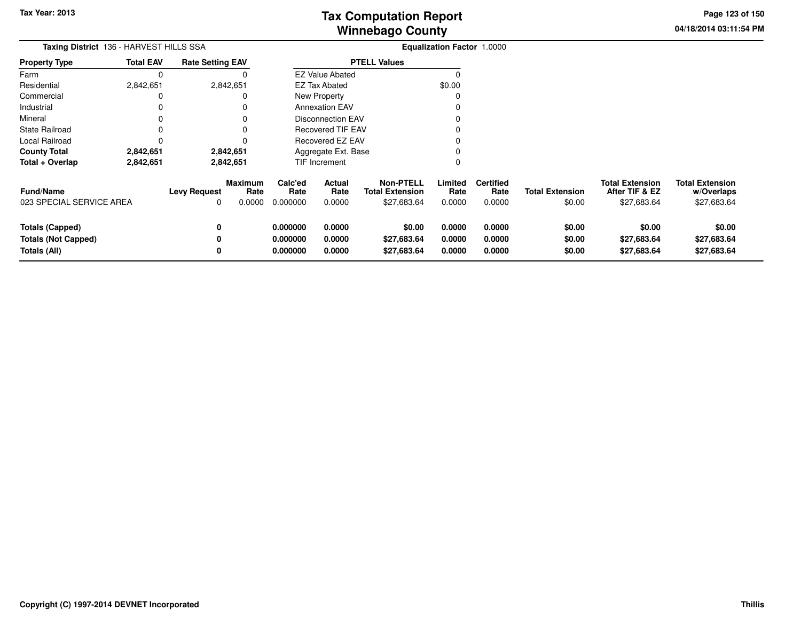**04/18/2014 03:11:54 PM Page 123 of 150**

| Taxing District 136 - HARVEST HILLS SSA<br><b>Total EAV</b><br><b>Rate Setting EAV</b><br>Property Type |           |                          |                                  |                                  |                            |                                                    | <b>Equalization Factor 1.0000</b> |                                    |                                  |                                                         |                                                     |
|---------------------------------------------------------------------------------------------------------|-----------|--------------------------|----------------------------------|----------------------------------|----------------------------|----------------------------------------------------|-----------------------------------|------------------------------------|----------------------------------|---------------------------------------------------------|-----------------------------------------------------|
|                                                                                                         |           |                          |                                  |                                  |                            | <b>PTELL Values</b>                                |                                   |                                    |                                  |                                                         |                                                     |
| Farm                                                                                                    | $\Omega$  |                          |                                  |                                  | <b>EZ Value Abated</b>     |                                                    | C                                 |                                    |                                  |                                                         |                                                     |
| Residential                                                                                             | 2,842,651 |                          | 2,842,651                        |                                  | EZ Tax Abated              |                                                    | \$0.00                            |                                    |                                  |                                                         |                                                     |
| Commercial                                                                                              |           |                          |                                  |                                  | New Property               |                                                    | C                                 |                                    |                                  |                                                         |                                                     |
| Industrial                                                                                              |           |                          |                                  |                                  | <b>Annexation EAV</b>      |                                                    |                                   |                                    |                                  |                                                         |                                                     |
| Mineral                                                                                                 |           |                          |                                  |                                  | <b>Disconnection EAV</b>   |                                                    |                                   |                                    |                                  |                                                         |                                                     |
| State Railroad                                                                                          |           |                          |                                  |                                  | <b>Recovered TIF EAV</b>   |                                                    |                                   |                                    |                                  |                                                         |                                                     |
| Local Railroad                                                                                          |           |                          |                                  |                                  | <b>Recovered EZ EAV</b>    |                                                    |                                   |                                    |                                  |                                                         |                                                     |
| County Total                                                                                            | 2,842,651 |                          | 2,842,651                        | Aggregate Ext. Base              |                            |                                                    |                                   |                                    |                                  |                                                         |                                                     |
| Total + Overlap                                                                                         | 2,842,651 |                          | 2,842,651                        |                                  | TIF Increment              |                                                    |                                   |                                    |                                  |                                                         |                                                     |
| Fund/Name<br>023 SPECIAL SERVICE AREA                                                                   |           | <b>Levy Request</b><br>0 | <b>Maximum</b><br>Rate<br>0.0000 | Calc'ed<br>Rate<br>0.000000      | Actual<br>Rate<br>0.0000   | Non-PTELL<br><b>Total Extension</b><br>\$27,683.64 | Limited<br>Rate<br>0.0000         | <b>Certified</b><br>Rate<br>0.0000 | <b>Total Extension</b><br>\$0.00 | <b>Total Extension</b><br>After TIF & EZ<br>\$27,683.64 | <b>Total Extension</b><br>w/Overlaps<br>\$27,683.64 |
| <b>Totals (Capped)</b><br><b>Totals (Not Capped)</b><br>Totals (All)                                    |           | 0<br>0<br>0              |                                  | 0.000000<br>0.000000<br>0.000000 | 0.0000<br>0.0000<br>0.0000 | \$0.00<br>\$27,683.64<br>\$27,683.64               | 0.0000<br>0.0000<br>0.0000        | 0.0000<br>0.0000<br>0.0000         | \$0.00<br>\$0.00<br>\$0.00       | \$0.00<br>\$27,683.64<br>\$27,683.64                    | \$0.00<br>\$27,683.64<br>\$27,683.64                |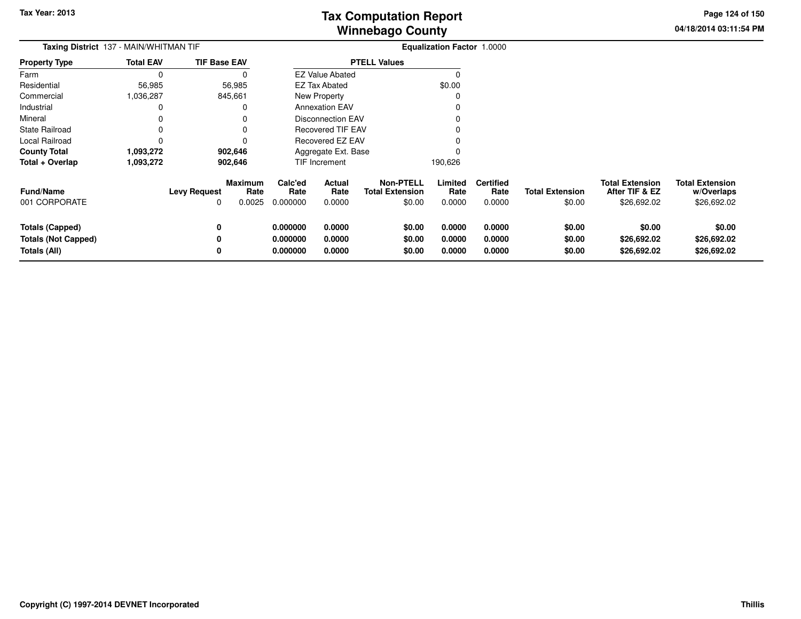**04/18/2014 03:11:54 PM Page 124 of 150**

| Taxing District 137 - MAIN/WHITMAN TIF |                  |                     |                                  |                             | <b>Equalization Factor 1.0000</b> |                                                      |                           |                                    |                                  |                                                         |                                                     |
|----------------------------------------|------------------|---------------------|----------------------------------|-----------------------------|-----------------------------------|------------------------------------------------------|---------------------------|------------------------------------|----------------------------------|---------------------------------------------------------|-----------------------------------------------------|
| <b>Property Type</b>                   | <b>Total EAV</b> | <b>TIF Base EAV</b> |                                  |                             |                                   | <b>PTELL Values</b>                                  |                           |                                    |                                  |                                                         |                                                     |
| Farm                                   | $\Omega$         |                     | 0                                |                             | <b>EZ Value Abated</b>            |                                                      |                           |                                    |                                  |                                                         |                                                     |
| Residential                            | 56,985           | 56,985              |                                  |                             | <b>EZ Tax Abated</b>              |                                                      | \$0.00                    |                                    |                                  |                                                         |                                                     |
| Commercial                             | 1,036,287        | 845,661             |                                  |                             | <b>New Property</b>               |                                                      | C                         |                                    |                                  |                                                         |                                                     |
| Industrial                             | 0                |                     | 0                                |                             | <b>Annexation EAV</b>             |                                                      | 0                         |                                    |                                  |                                                         |                                                     |
| Mineral                                | 0                |                     |                                  |                             | <b>Disconnection EAV</b>          |                                                      |                           |                                    |                                  |                                                         |                                                     |
| <b>State Railroad</b>                  | 0                |                     |                                  |                             | <b>Recovered TIF EAV</b>          |                                                      |                           |                                    |                                  |                                                         |                                                     |
| Local Railroad                         | 0                |                     | 0                                |                             | <b>Recovered EZ EAV</b>           |                                                      |                           |                                    |                                  |                                                         |                                                     |
| <b>County Total</b>                    | 1,093,272        | 902,646             |                                  |                             | Aggregate Ext. Base               |                                                      |                           |                                    |                                  |                                                         |                                                     |
| Total + Overlap                        | 1,093,272        | 902,646             |                                  |                             | TIF Increment                     |                                                      | 190,626                   |                                    |                                  |                                                         |                                                     |
| <b>Fund/Name</b><br>001 CORPORATE      |                  | <b>Levy Request</b> | <b>Maximum</b><br>Rate<br>0.0025 | Calc'ed<br>Rate<br>0.000000 | Actual<br>Rate<br>0.0000          | <b>Non-PTELL</b><br><b>Total Extension</b><br>\$0.00 | Limited<br>Rate<br>0.0000 | <b>Certified</b><br>Rate<br>0.0000 | <b>Total Extension</b><br>\$0.00 | <b>Total Extension</b><br>After TIF & EZ<br>\$26,692.02 | <b>Total Extension</b><br>w/Overlaps<br>\$26,692.02 |
| Totals (Capped)                        |                  |                     |                                  | 0.000000                    | 0.0000                            | \$0.00                                               | 0.0000                    | 0.0000                             | \$0.00                           | \$0.00                                                  | \$0.00                                              |
| <b>Totals (Not Capped)</b>             |                  |                     |                                  | 0.000000                    | 0.0000                            | \$0.00                                               | 0.0000                    | 0.0000                             | \$0.00                           | \$26,692.02                                             | \$26,692.02                                         |
| Totals (All)                           |                  |                     |                                  | 0.000000                    | 0.0000                            | \$0.00                                               | 0.0000                    | 0.0000                             | \$0.00                           | \$26,692.02                                             | \$26,692.02                                         |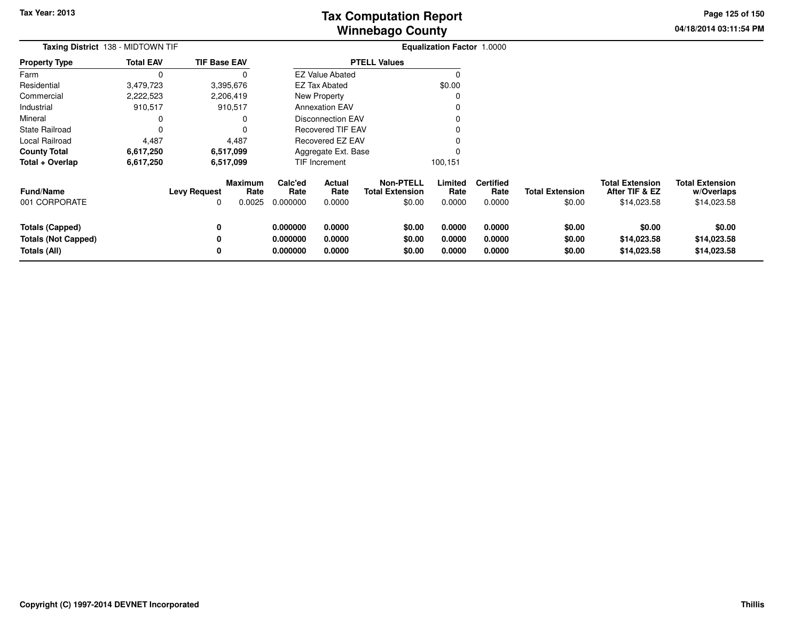**04/18/2014 03:11:54 PMPage 125 of 150**

| Taxing District 138 - MIDTOWN TIF |                  |                     |                        |                  | Equalization Factor 1.0000 |                                            |                 |                          |                        |                                          |                                      |
|-----------------------------------|------------------|---------------------|------------------------|------------------|----------------------------|--------------------------------------------|-----------------|--------------------------|------------------------|------------------------------------------|--------------------------------------|
| <b>Property Type</b>              | <b>Total EAV</b> | <b>TIF Base EAV</b> |                        |                  |                            | <b>PTELL Values</b>                        |                 |                          |                        |                                          |                                      |
| Farm                              | 0                |                     | 0                      |                  | <b>EZ Value Abated</b>     |                                            | 0               |                          |                        |                                          |                                      |
| Residential                       | 3,479,723        |                     | 3,395,676              |                  | <b>EZ Tax Abated</b>       |                                            | \$0.00          |                          |                        |                                          |                                      |
| Commercial                        | 2,222,523        |                     | 2,206,419              |                  | <b>New Property</b>        |                                            | 0               |                          |                        |                                          |                                      |
| Industrial                        | 910,517          |                     | 910,517                |                  | <b>Annexation EAV</b>      |                                            | 0               |                          |                        |                                          |                                      |
| Mineral                           |                  |                     | 0                      |                  | <b>Disconnection EAV</b>   |                                            | 0               |                          |                        |                                          |                                      |
| State Railroad                    | 0                |                     | 0                      |                  | <b>Recovered TIF EAV</b>   |                                            | 0               |                          |                        |                                          |                                      |
| Local Railroad                    | 4,487            |                     | 4,487                  | Recovered EZ EAV |                            |                                            |                 |                          |                        |                                          |                                      |
| <b>County Total</b>               | 6,617,250        |                     | 6,517,099              |                  | Aggregate Ext. Base        |                                            | 0               |                          |                        |                                          |                                      |
| Total + Overlap                   | 6,617,250        |                     | 6,517,099              |                  | TIF Increment              |                                            | 100,151         |                          |                        |                                          |                                      |
| Fund/Name                         |                  | <b>Levy Request</b> | <b>Maximum</b><br>Rate | Calc'ed<br>Rate  | Actual<br>Rate             | <b>Non-PTELL</b><br><b>Total Extension</b> | Limited<br>Rate | <b>Certified</b><br>Rate | <b>Total Extension</b> | <b>Total Extension</b><br>After TIF & EZ | <b>Total Extension</b><br>w/Overlaps |
| 001 CORPORATE                     |                  | 0                   | 0.0025                 | 0.000000         | 0.0000                     | \$0.00                                     | 0.0000          | 0.0000                   | \$0.00                 | \$14,023.58                              | \$14,023.58                          |
| <b>Totals (Capped)</b>            |                  | 0                   |                        | 0.000000         | 0.0000                     | \$0.00                                     | 0.0000          | 0.0000                   | \$0.00                 | \$0.00                                   | \$0.00                               |
| <b>Totals (Not Capped)</b>        |                  | 0                   |                        | 0.000000         | 0.0000                     | \$0.00                                     | 0.0000          | 0.0000                   | \$0.00                 | \$14,023.58                              | \$14,023.58                          |
| Totals (All)                      |                  | 0                   |                        | 0.000000         | 0.0000                     | \$0.00                                     | 0.0000          | 0.0000                   | \$0.00                 | \$14,023.58                              | \$14,023.58                          |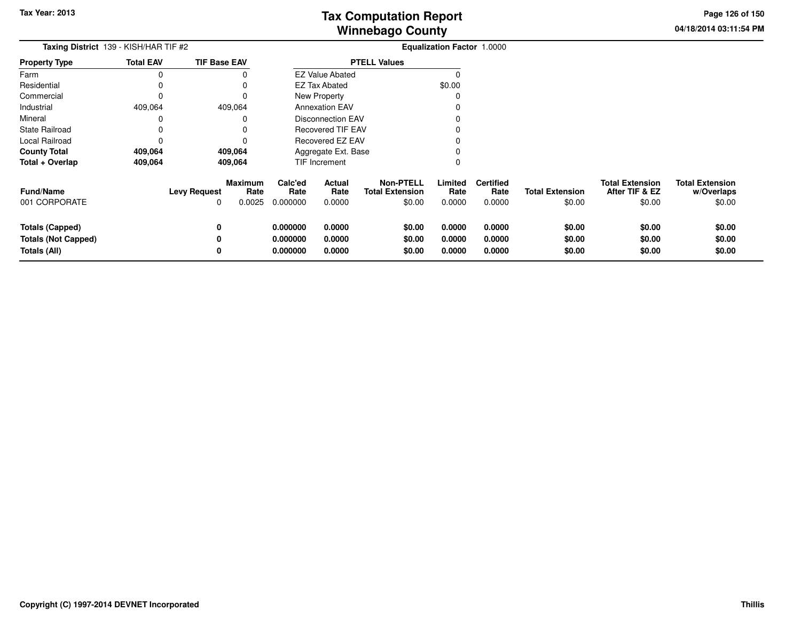**04/18/2014 03:11:54 PM Page 126 of 150**

| Taxing District 139 - KISH/HAR TIF #2                                |                  |                          |                                  |                                  |                            | Equalization Factor 1.0000                           |                            |                                    |                                  |                                                    |                                                |
|----------------------------------------------------------------------|------------------|--------------------------|----------------------------------|----------------------------------|----------------------------|------------------------------------------------------|----------------------------|------------------------------------|----------------------------------|----------------------------------------------------|------------------------------------------------|
| <b>Property Type</b>                                                 | <b>Total EAV</b> | <b>TIF Base EAV</b>      |                                  |                                  |                            | <b>PTELL Values</b>                                  |                            |                                    |                                  |                                                    |                                                |
| Farm                                                                 | $\Omega$         |                          |                                  |                                  | <b>EZ Value Abated</b>     |                                                      |                            |                                    |                                  |                                                    |                                                |
| Residential                                                          | 0                |                          |                                  |                                  | <b>EZ Tax Abated</b>       |                                                      | \$0.00                     |                                    |                                  |                                                    |                                                |
| Commercial                                                           | 0                |                          |                                  |                                  | New Property               |                                                      |                            |                                    |                                  |                                                    |                                                |
| Industrial                                                           | 409,064          | 409,064                  |                                  |                                  | <b>Annexation EAV</b>      |                                                      |                            |                                    |                                  |                                                    |                                                |
| Mineral                                                              |                  |                          | O                                |                                  | Disconnection EAV          |                                                      |                            |                                    |                                  |                                                    |                                                |
| <b>State Railroad</b>                                                | 0                |                          |                                  |                                  | <b>Recovered TIF EAV</b>   |                                                      |                            |                                    |                                  |                                                    |                                                |
| Local Railroad                                                       | $\Omega$         |                          |                                  |                                  | Recovered EZ EAV           |                                                      |                            |                                    |                                  |                                                    |                                                |
| <b>County Total</b>                                                  | 409,064          | 409,064                  |                                  |                                  | Aggregate Ext. Base        |                                                      |                            |                                    |                                  |                                                    |                                                |
| Total + Overlap                                                      | 409,064          | 409,064                  |                                  |                                  | TIF Increment              |                                                      |                            |                                    |                                  |                                                    |                                                |
| <b>Fund/Name</b><br>001 CORPORATE                                    |                  | <b>Levy Request</b><br>0 | <b>Maximum</b><br>Rate<br>0.0025 | Calc'ed<br>Rate<br>0.000000      | Actual<br>Rate<br>0.0000   | <b>Non-PTELL</b><br><b>Total Extension</b><br>\$0.00 | Limited<br>Rate<br>0.0000  | <b>Certified</b><br>Rate<br>0.0000 | <b>Total Extension</b><br>\$0.00 | <b>Total Extension</b><br>After TIF & EZ<br>\$0.00 | <b>Total Extension</b><br>w/Overlaps<br>\$0.00 |
| <b>Totals (Capped)</b><br><b>Totals (Not Capped)</b><br>Totals (All) |                  | 0<br>0                   |                                  | 0.000000<br>0.000000<br>0.000000 | 0.0000<br>0.0000<br>0.0000 | \$0.00<br>\$0.00<br>\$0.00                           | 0.0000<br>0.0000<br>0.0000 | 0.0000<br>0.0000<br>0.0000         | \$0.00<br>\$0.00<br>\$0.00       | \$0.00<br>\$0.00<br>\$0.00                         | \$0.00<br>\$0.00<br>\$0.00                     |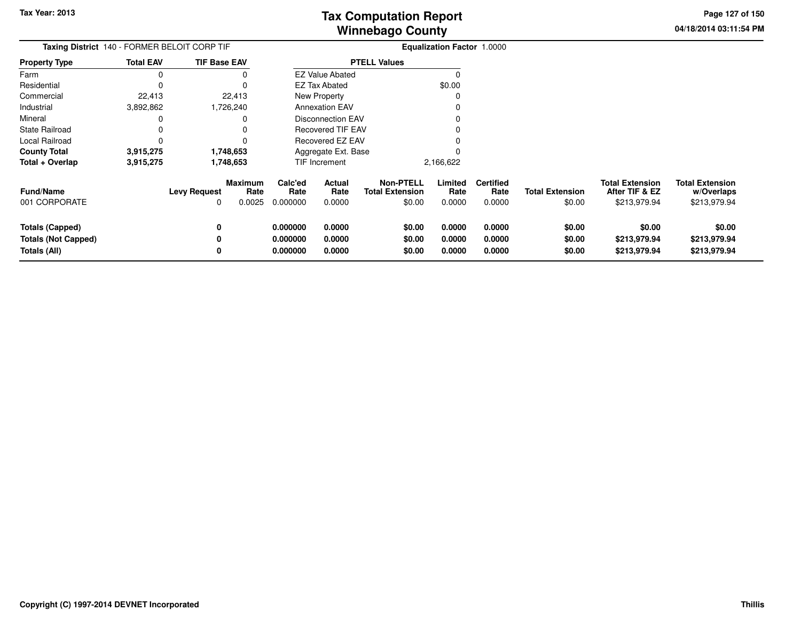**04/18/2014 03:11:54 PM Page 127 of 150**

| Taxing District 140 - FORMER BELOIT CORP TIF                         |                  |                                                      |      | <b>Equalization Factor 1.0000</b> |                            |                                            |                            |                            |                                    |                                  |                                                          |                                                      |
|----------------------------------------------------------------------|------------------|------------------------------------------------------|------|-----------------------------------|----------------------------|--------------------------------------------|----------------------------|----------------------------|------------------------------------|----------------------------------|----------------------------------------------------------|------------------------------------------------------|
| <b>Property Type</b>                                                 | <b>Total EAV</b> | <b>TIF Base EAV</b>                                  |      |                                   |                            | <b>PTELL Values</b>                        |                            |                            |                                    |                                  |                                                          |                                                      |
| Farm                                                                 |                  |                                                      |      |                                   | <b>EZ Value Abated</b>     |                                            |                            |                            |                                    |                                  |                                                          |                                                      |
| Residential                                                          |                  |                                                      |      |                                   | EZ Tax Abated              |                                            | \$0.00                     |                            |                                    |                                  |                                                          |                                                      |
| Commercial                                                           | 22,413           | 22,413                                               |      |                                   | New Property               |                                            |                            |                            |                                    |                                  |                                                          |                                                      |
| Industrial                                                           | 3,892,862        | 1,726,240                                            |      |                                   | <b>Annexation EAV</b>      |                                            |                            |                            |                                    |                                  |                                                          |                                                      |
| Mineral                                                              |                  |                                                      |      |                                   | <b>Disconnection EAV</b>   |                                            |                            |                            |                                    |                                  |                                                          |                                                      |
| <b>State Railroad</b>                                                |                  |                                                      |      |                                   | <b>Recovered TIF EAV</b>   |                                            |                            |                            |                                    |                                  |                                                          |                                                      |
| Local Railroad                                                       |                  |                                                      |      |                                   | <b>Recovered EZ EAV</b>    |                                            |                            |                            |                                    |                                  |                                                          |                                                      |
| <b>County Total</b>                                                  | 3,915,275        | 1,748,653                                            |      |                                   | Aggregate Ext. Base        |                                            |                            |                            |                                    |                                  |                                                          |                                                      |
| Total + Overlap                                                      | 3,915,275        | 1,748,653                                            |      |                                   | TIF Increment              |                                            | 2,166,622                  |                            |                                    |                                  |                                                          |                                                      |
| <b>Fund/Name</b><br>001 CORPORATE                                    |                  | <b>Maximum</b><br><b>Levy Request</b><br>0.0025<br>0 | Rate | Calc'ed<br>Rate<br>0.000000       | Actual<br>Rate<br>0.0000   | <b>Non-PTELL</b><br><b>Total Extension</b> | \$0.00                     | Limited<br>Rate<br>0.0000  | <b>Certified</b><br>Rate<br>0.0000 | <b>Total Extension</b><br>\$0.00 | <b>Total Extension</b><br>After TIF & EZ<br>\$213,979.94 | <b>Total Extension</b><br>w/Overlaps<br>\$213,979.94 |
| <b>Totals (Capped)</b><br><b>Totals (Not Capped)</b><br>Totals (All) |                  | 0                                                    |      | 0.000000<br>0.000000<br>0.000000  | 0.0000<br>0.0000<br>0.0000 |                                            | \$0.00<br>\$0.00<br>\$0.00 | 0.0000<br>0.0000<br>0.0000 | 0.0000<br>0.0000<br>0.0000         | \$0.00<br>\$0.00<br>\$0.00       | \$0.00<br>\$213,979.94<br>\$213,979.94                   | \$0.00<br>\$213,979.94<br>\$213,979.94               |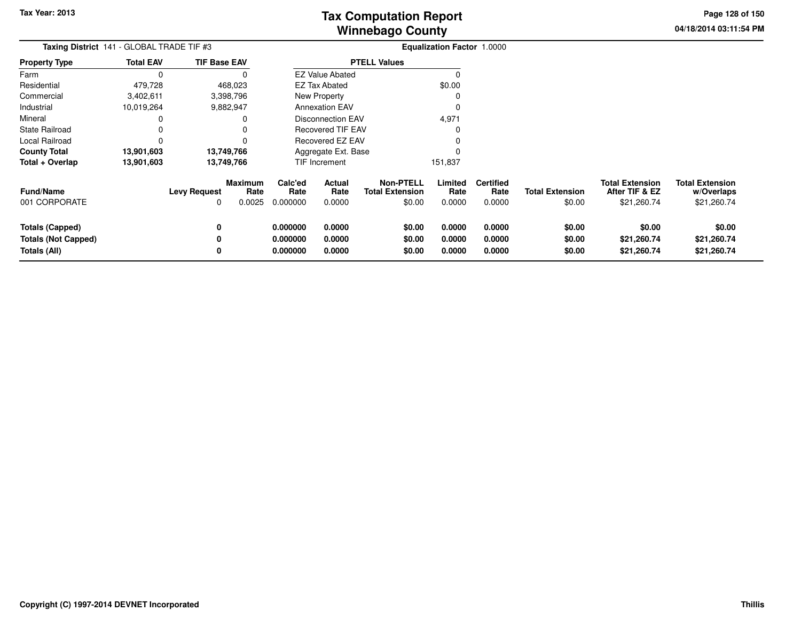**04/18/2014 03:11:54 PM Page 128 of 150**

| Taxing District 141 - GLOBAL TRADE TIF #3                            |                  |                          |                                  |                                  |                            |                                                      | Equalization Factor 1.0000 |                                    |                                  |                                                         |                                                     |
|----------------------------------------------------------------------|------------------|--------------------------|----------------------------------|----------------------------------|----------------------------|------------------------------------------------------|----------------------------|------------------------------------|----------------------------------|---------------------------------------------------------|-----------------------------------------------------|
| Property Type                                                        | <b>Total EAV</b> | <b>TIF Base EAV</b>      |                                  |                                  |                            | <b>PTELL Values</b>                                  |                            |                                    |                                  |                                                         |                                                     |
| Farm                                                                 | 0                |                          |                                  |                                  | <b>EZ Value Abated</b>     |                                                      | $\Omega$                   |                                    |                                  |                                                         |                                                     |
| Residential                                                          | 479,728          |                          | 468,023                          |                                  | <b>EZ Tax Abated</b>       |                                                      | \$0.00                     |                                    |                                  |                                                         |                                                     |
| Commercial                                                           | 3,402,611        |                          | 3,398,796                        |                                  | New Property               |                                                      |                            |                                    |                                  |                                                         |                                                     |
| Industrial                                                           | 10,019,264       |                          | 9,882,947                        |                                  | <b>Annexation EAV</b>      |                                                      | <sup>0</sup>               |                                    |                                  |                                                         |                                                     |
| Mineral                                                              |                  |                          | 0                                |                                  | <b>Disconnection EAV</b>   |                                                      | 4,971                      |                                    |                                  |                                                         |                                                     |
| State Railroad                                                       |                  |                          | 0                                |                                  | <b>Recovered TIF EAV</b>   |                                                      |                            |                                    |                                  |                                                         |                                                     |
| Local Railroad                                                       | O                |                          |                                  |                                  | Recovered EZ EAV           |                                                      |                            |                                    |                                  |                                                         |                                                     |
| County Total                                                         | 13,901,603       |                          | 13,749,766                       |                                  | Aggregate Ext. Base        |                                                      |                            |                                    |                                  |                                                         |                                                     |
| Total + Overlap                                                      | 13,901,603       |                          | 13,749,766                       |                                  | TIF Increment              |                                                      | 151,837                    |                                    |                                  |                                                         |                                                     |
| <b>Fund/Name</b><br>001 CORPORATE                                    |                  | <b>Levy Request</b><br>0 | <b>Maximum</b><br>Rate<br>0.0025 | Calc'ed<br>Rate<br>0.000000      | Actual<br>Rate<br>0.0000   | <b>Non-PTELL</b><br><b>Total Extension</b><br>\$0.00 | Limited<br>Rate<br>0.0000  | <b>Certified</b><br>Rate<br>0.0000 | <b>Total Extension</b><br>\$0.00 | <b>Total Extension</b><br>After TIF & EZ<br>\$21,260.74 | <b>Total Extension</b><br>w/Overlaps<br>\$21,260.74 |
| <b>Totals (Capped)</b><br><b>Totals (Not Capped)</b><br>Totals (All) |                  | 0<br>0<br>0              |                                  | 0.000000<br>0.000000<br>0.000000 | 0.0000<br>0.0000<br>0.0000 | \$0.00<br>\$0.00<br>\$0.00                           | 0.0000<br>0.0000<br>0.0000 | 0.0000<br>0.0000<br>0.0000         | \$0.00<br>\$0.00<br>\$0.00       | \$0.00<br>\$21,260.74<br>\$21,260.74                    | \$0.00<br>\$21,260.74<br>\$21,260.74                |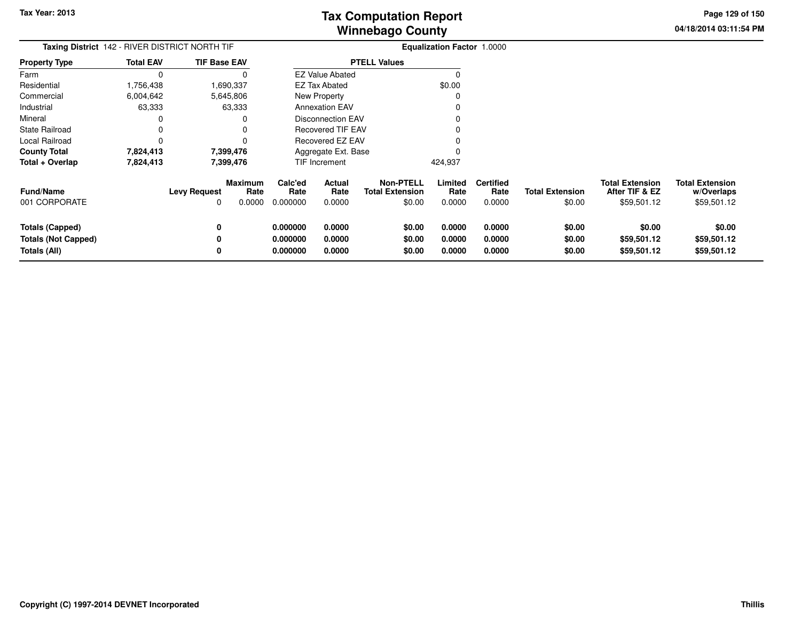**04/18/2014 03:11:54 PMPage 129 of 150**

| Taxing District 142 - RIVER DISTRICT NORTH TIF                              |                  |                          | <b>Equalization Factor 1.0000</b> |                                  |                            |                                                      |                            |                                    |                                  |                                                         |                                                     |
|-----------------------------------------------------------------------------|------------------|--------------------------|-----------------------------------|----------------------------------|----------------------------|------------------------------------------------------|----------------------------|------------------------------------|----------------------------------|---------------------------------------------------------|-----------------------------------------------------|
| Property Type                                                               | <b>Total EAV</b> | <b>TIF Base EAV</b>      |                                   |                                  |                            | <b>PTELL Values</b>                                  |                            |                                    |                                  |                                                         |                                                     |
| Farm                                                                        | 0                |                          |                                   |                                  | <b>EZ Value Abated</b>     |                                                      | $\Omega$                   |                                    |                                  |                                                         |                                                     |
| Residential                                                                 | 1,756,438        |                          | 1,690,337                         |                                  | <b>EZ Tax Abated</b>       |                                                      | \$0.00                     |                                    |                                  |                                                         |                                                     |
| Commercial                                                                  | 6,004,642        |                          | 5,645,806                         |                                  | New Property               |                                                      |                            |                                    |                                  |                                                         |                                                     |
| Industrial                                                                  | 63,333           |                          | 63,333                            |                                  | <b>Annexation EAV</b>      |                                                      |                            |                                    |                                  |                                                         |                                                     |
| Mineral                                                                     | 0                |                          |                                   |                                  | <b>Disconnection EAV</b>   |                                                      |                            |                                    |                                  |                                                         |                                                     |
| State Railroad                                                              | 0                |                          |                                   |                                  | <b>Recovered TIF EAV</b>   |                                                      |                            |                                    |                                  |                                                         |                                                     |
| Local Railroad                                                              | 0                |                          |                                   |                                  | Recovered EZ EAV           |                                                      |                            |                                    |                                  |                                                         |                                                     |
| County Total                                                                | 7,824,413        |                          | 7,399,476                         |                                  | Aggregate Ext. Base        |                                                      |                            |                                    |                                  |                                                         |                                                     |
| Total + Overlap                                                             | 7,824,413        |                          | 7,399,476                         |                                  | <b>TIF Increment</b>       |                                                      | 424,937                    |                                    |                                  |                                                         |                                                     |
| Fund/Name<br>001 CORPORATE                                                  |                  | <b>Levy Request</b><br>0 | Maximum<br>Rate<br>0.0000         | Calc'ed<br>Rate<br>0.000000      | Actual<br>Rate<br>0.0000   | <b>Non-PTELL</b><br><b>Total Extension</b><br>\$0.00 | Limited<br>Rate<br>0.0000  | <b>Certified</b><br>Rate<br>0.0000 | <b>Total Extension</b><br>\$0.00 | <b>Total Extension</b><br>After TIF & EZ<br>\$59,501.12 | <b>Total Extension</b><br>w/Overlaps<br>\$59,501.12 |
| <b>Totals (Capped)</b><br><b>Totals (Not Capped)</b><br><b>Totals (All)</b> |                  | 0<br>0<br>0              |                                   | 0.000000<br>0.000000<br>0.000000 | 0.0000<br>0.0000<br>0.0000 | \$0.00<br>\$0.00<br>\$0.00                           | 0.0000<br>0.0000<br>0.0000 | 0.0000<br>0.0000<br>0.0000         | \$0.00<br>\$0.00<br>\$0.00       | \$0.00<br>\$59,501.12<br>\$59,501.12                    | \$0.00<br>\$59,501.12<br>\$59,501.12                |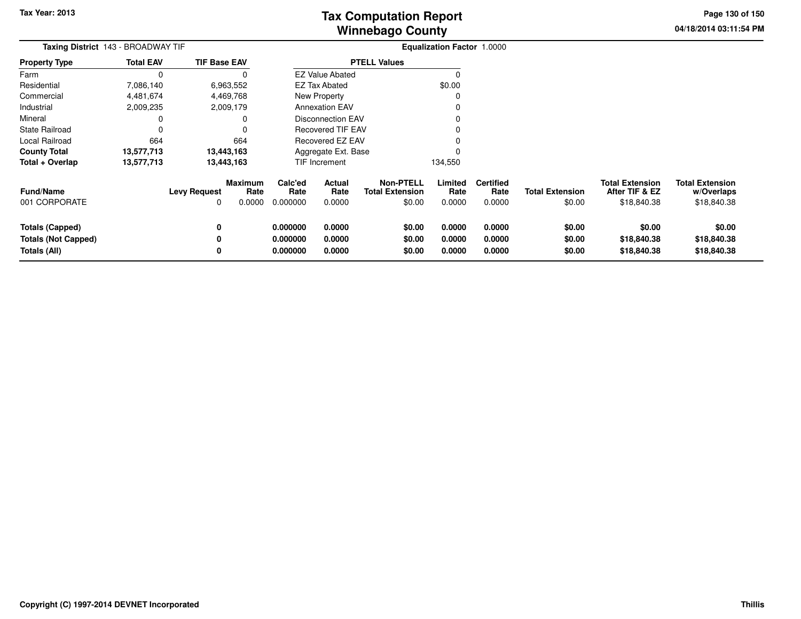**04/18/2014 03:11:54 PMPage 130 of 150**

| <b>Taxing District</b> 143 - BROADWAY TIF |                  |                          |                                  |                             | <b>Equalization Factor 1.0000</b> |                                                      |                           |                                    |                                  |                                                         |                                                     |
|-------------------------------------------|------------------|--------------------------|----------------------------------|-----------------------------|-----------------------------------|------------------------------------------------------|---------------------------|------------------------------------|----------------------------------|---------------------------------------------------------|-----------------------------------------------------|
| <b>Property Type</b>                      | <b>Total EAV</b> | <b>TIF Base EAV</b>      |                                  |                             |                                   | <b>PTELL Values</b>                                  |                           |                                    |                                  |                                                         |                                                     |
| Farm                                      |                  |                          |                                  |                             | <b>EZ Value Abated</b>            |                                                      |                           |                                    |                                  |                                                         |                                                     |
| Residential                               | 7,086,140        |                          | 6,963,552                        |                             | <b>EZ Tax Abated</b>              |                                                      | \$0.00                    |                                    |                                  |                                                         |                                                     |
| Commercial                                | 4,481,674        |                          | 4,469,768                        |                             | New Property                      |                                                      |                           |                                    |                                  |                                                         |                                                     |
| Industrial                                | 2,009,235        |                          | 2,009,179                        |                             | <b>Annexation EAV</b>             |                                                      |                           |                                    |                                  |                                                         |                                                     |
| Mineral                                   |                  |                          |                                  |                             | <b>Disconnection EAV</b>          |                                                      |                           |                                    |                                  |                                                         |                                                     |
| <b>State Railroad</b>                     |                  |                          |                                  |                             | Recovered TIF EAV                 |                                                      |                           |                                    |                                  |                                                         |                                                     |
| Local Railroad                            | 664              |                          | 664                              | <b>Recovered EZ EAV</b>     |                                   |                                                      |                           |                                    |                                  |                                                         |                                                     |
| <b>County Total</b>                       | 13,577,713       |                          | 13,443,163                       | Aggregate Ext. Base         |                                   |                                                      |                           |                                    |                                  |                                                         |                                                     |
| Total + Overlap                           | 13,577,713       |                          | 13,443,163                       |                             | TIF Increment                     |                                                      | 134,550                   |                                    |                                  |                                                         |                                                     |
| Fund/Name<br>001 CORPORATE                |                  | <b>Levy Request</b><br>0 | <b>Maximum</b><br>Rate<br>0.0000 | Calc'ed<br>Rate<br>0.000000 | Actual<br>Rate<br>0.0000          | <b>Non-PTELL</b><br><b>Total Extension</b><br>\$0.00 | Limited<br>Rate<br>0.0000 | <b>Certified</b><br>Rate<br>0.0000 | <b>Total Extension</b><br>\$0.00 | <b>Total Extension</b><br>After TIF & EZ<br>\$18,840.38 | <b>Total Extension</b><br>w/Overlaps<br>\$18,840.38 |
|                                           |                  |                          |                                  |                             |                                   |                                                      |                           |                                    |                                  |                                                         |                                                     |
| <b>Totals (Capped)</b>                    |                  | 0                        |                                  | 0.000000                    | 0.0000                            | \$0.00                                               | 0.0000                    | 0.0000                             | \$0.00                           | \$0.00                                                  | \$0.00                                              |
| <b>Totals (Not Capped)</b>                |                  | 0                        |                                  | 0.000000                    | 0.0000                            | \$0.00                                               | 0.0000                    | 0.0000                             | \$0.00                           | \$18,840.38                                             | \$18,840.38                                         |
| <b>Totals (All)</b>                       |                  | 0                        |                                  | 0.000000                    | 0.0000                            | \$0.00                                               | 0.0000                    | 0.0000                             | \$0.00                           | \$18,840.38                                             | \$18,840.38                                         |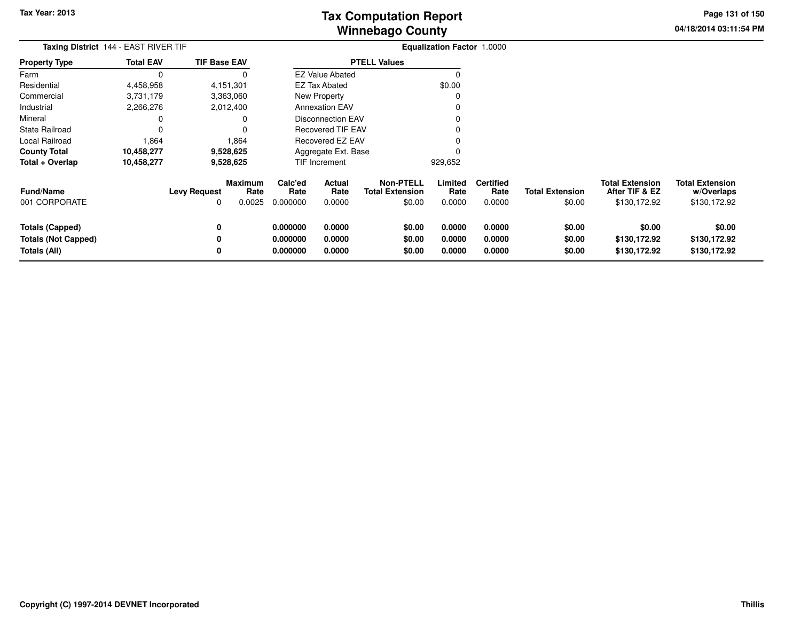**04/18/2014 03:11:54 PMPage 131 of 150**

| <b>Taxing District</b> 144 - EAST RIVER TIF |                  |                     |                                  |                             | <b>Equalization Factor 1.0000</b> |                                                      |                           |                                    |                                  |                                                          |                                                      |
|---------------------------------------------|------------------|---------------------|----------------------------------|-----------------------------|-----------------------------------|------------------------------------------------------|---------------------------|------------------------------------|----------------------------------|----------------------------------------------------------|------------------------------------------------------|
| <b>Property Type</b>                        | <b>Total EAV</b> | <b>TIF Base EAV</b> |                                  |                             |                                   | <b>PTELL Values</b>                                  |                           |                                    |                                  |                                                          |                                                      |
| Farm                                        | $\Omega$         |                     | 0                                |                             | <b>EZ Value Abated</b>            |                                                      | 0                         |                                    |                                  |                                                          |                                                      |
| Residential                                 | 4,458,958        |                     | 4,151,301                        |                             | EZ Tax Abated                     |                                                      | \$0.00                    |                                    |                                  |                                                          |                                                      |
| Commercial                                  | 3,731,179        |                     | 3,363,060                        |                             | <b>New Property</b>               |                                                      | 0                         |                                    |                                  |                                                          |                                                      |
| Industrial                                  | 2,266,276        |                     | 2,012,400                        |                             | <b>Annexation EAV</b>             |                                                      | O                         |                                    |                                  |                                                          |                                                      |
| Mineral                                     | 0                |                     | 0                                |                             | <b>Disconnection EAV</b>          |                                                      |                           |                                    |                                  |                                                          |                                                      |
| <b>State Railroad</b>                       | 0                |                     |                                  |                             | <b>Recovered TIF EAV</b>          |                                                      |                           |                                    |                                  |                                                          |                                                      |
| Local Railroad                              | 1,864            |                     | 1,864                            |                             | Recovered EZ EAV                  |                                                      |                           |                                    |                                  |                                                          |                                                      |
| <b>County Total</b>                         | 10,458,277       |                     | 9,528,625                        |                             | Aggregate Ext. Base               |                                                      |                           |                                    |                                  |                                                          |                                                      |
| Total + Overlap                             | 10,458,277       |                     | 9,528,625                        |                             | TIF Increment                     |                                                      | 929,652                   |                                    |                                  |                                                          |                                                      |
| <b>Fund/Name</b><br>001 CORPORATE           |                  | <b>Levy Request</b> | <b>Maximum</b><br>Rate<br>0.0025 | Calc'ed<br>Rate<br>0.000000 | <b>Actual</b><br>Rate<br>0.0000   | <b>Non-PTELL</b><br><b>Total Extension</b><br>\$0.00 | Limited<br>Rate<br>0.0000 | <b>Certified</b><br>Rate<br>0.0000 | <b>Total Extension</b><br>\$0.00 | <b>Total Extension</b><br>After TIF & EZ<br>\$130,172.92 | <b>Total Extension</b><br>w/Overlaps<br>\$130,172.92 |
|                                             |                  |                     |                                  |                             |                                   |                                                      |                           |                                    |                                  |                                                          |                                                      |
| Totals (Capped)                             |                  |                     |                                  | 0.000000                    | 0.0000                            | \$0.00                                               | 0.0000                    | 0.0000                             | \$0.00                           | \$0.00                                                   | \$0.00                                               |
| <b>Totals (Not Capped)</b>                  |                  |                     |                                  | 0.000000                    | 0.0000                            | \$0.00                                               | 0.0000                    | 0.0000                             | \$0.00                           | \$130,172.92                                             | \$130,172.92                                         |
| Totals (All)                                |                  |                     |                                  | 0.000000                    | 0.0000                            | \$0.00                                               | 0.0000                    | 0.0000                             | \$0.00                           | \$130,172.92                                             | \$130,172.92                                         |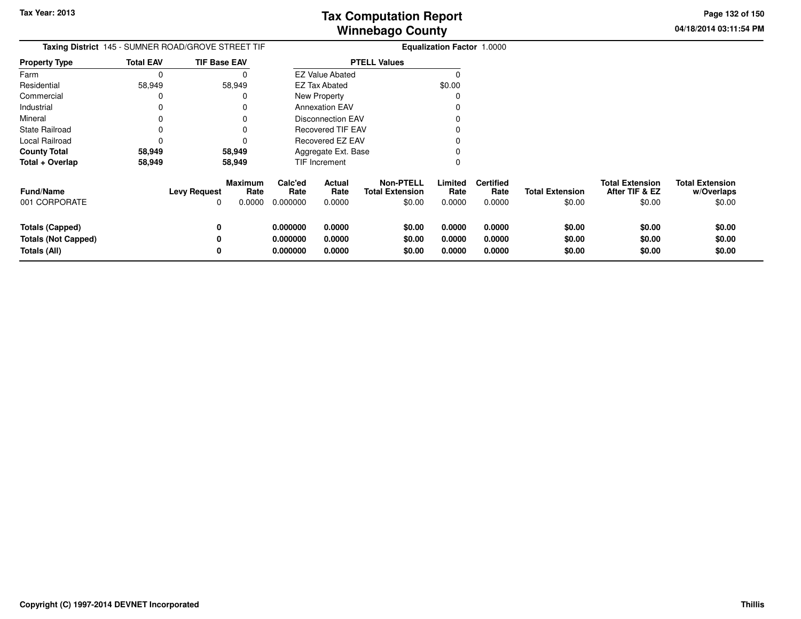**04/18/2014 03:11:54 PM Page 132 of 150**

|                                                                      |                  | Taxing District 145 - SUMNER ROAD/GROVE STREET TIF           | <b>Equalization Factor 1.0000</b> |                                 |                                                      |                            |                                    |                                  |                                                    |                                                |
|----------------------------------------------------------------------|------------------|--------------------------------------------------------------|-----------------------------------|---------------------------------|------------------------------------------------------|----------------------------|------------------------------------|----------------------------------|----------------------------------------------------|------------------------------------------------|
| Property Type                                                        | <b>Total EAV</b> | <b>TIF Base EAV</b>                                          |                                   |                                 | <b>PTELL Values</b>                                  |                            |                                    |                                  |                                                    |                                                |
| Farm                                                                 | 0                |                                                              |                                   | <b>EZ Value Abated</b>          |                                                      | 0                          |                                    |                                  |                                                    |                                                |
| Residential                                                          | 58,949           | 58,949                                                       |                                   | <b>EZ Tax Abated</b>            |                                                      | \$0.00                     |                                    |                                  |                                                    |                                                |
| Commercial                                                           |                  |                                                              |                                   | New Property                    |                                                      |                            |                                    |                                  |                                                    |                                                |
| Industrial                                                           |                  |                                                              |                                   | <b>Annexation EAV</b>           |                                                      |                            |                                    |                                  |                                                    |                                                |
| Mineral                                                              |                  |                                                              |                                   | Disconnection EAV               |                                                      |                            |                                    |                                  |                                                    |                                                |
| State Railroad                                                       |                  |                                                              |                                   | <b>Recovered TIF EAV</b>        |                                                      |                            |                                    |                                  |                                                    |                                                |
| Local Railroad                                                       |                  |                                                              |                                   | <b>Recovered EZ EAV</b>         |                                                      |                            |                                    |                                  |                                                    |                                                |
| County Total                                                         | 58,949           | 58,949                                                       |                                   | Aggregate Ext. Base             |                                                      |                            |                                    |                                  |                                                    |                                                |
| Total + Overlap                                                      | 58,949           | 58,949                                                       |                                   | TIF Increment                   |                                                      | 0                          |                                    |                                  |                                                    |                                                |
| Fund/Name<br>001 CORPORATE                                           |                  | <b>Maximum</b><br><b>Levy Request</b><br>Rate<br>0.0000<br>0 | Calc'ed<br>Rate<br>0.000000       | <b>Actual</b><br>Rate<br>0.0000 | <b>Non-PTELL</b><br><b>Total Extension</b><br>\$0.00 | Limited<br>Rate<br>0.0000  | <b>Certified</b><br>Rate<br>0.0000 | <b>Total Extension</b><br>\$0.00 | <b>Total Extension</b><br>After TIF & EZ<br>\$0.00 | <b>Total Extension</b><br>w/Overlaps<br>\$0.00 |
| <b>Totals (Capped)</b><br><b>Totals (Not Capped)</b><br>Totals (All) |                  | 0<br>0                                                       | 0.000000<br>0.000000<br>0.000000  | 0.0000<br>0.0000<br>0.0000      | \$0.00<br>\$0.00<br>\$0.00                           | 0.0000<br>0.0000<br>0.0000 | 0.0000<br>0.0000<br>0.0000         | \$0.00<br>\$0.00<br>\$0.00       | \$0.00<br>\$0.00<br>\$0.00                         | \$0.00<br>\$0.00<br>\$0.00                     |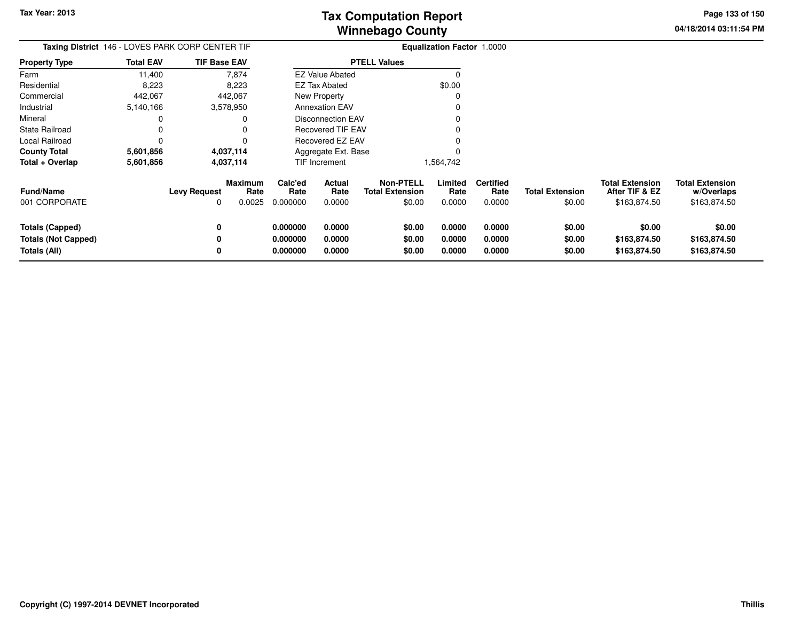**04/18/2014 03:11:54 PMPage 133 of 150**

| Taxing District 146 - LOVES PARK CORP CENTER TIF |                  |                          |                           | <b>Equalization Factor 1.0000</b> |                                               |                                                      |                           |                                    |                                  |                                                          |                                                      |
|--------------------------------------------------|------------------|--------------------------|---------------------------|-----------------------------------|-----------------------------------------------|------------------------------------------------------|---------------------------|------------------------------------|----------------------------------|----------------------------------------------------------|------------------------------------------------------|
| <b>Property Type</b>                             | <b>Total EAV</b> | <b>TIF Base EAV</b>      |                           |                                   |                                               | <b>PTELL Values</b>                                  |                           |                                    |                                  |                                                          |                                                      |
| Farm                                             | 11,400           |                          | 7,874                     |                                   | <b>EZ Value Abated</b>                        |                                                      | O                         |                                    |                                  |                                                          |                                                      |
| Residential                                      | 8,223            |                          | 8,223                     |                                   | <b>EZ Tax Abated</b>                          |                                                      | \$0.00                    |                                    |                                  |                                                          |                                                      |
| Commercial                                       | 442,067          |                          | 442,067                   |                                   | New Property                                  |                                                      | O                         |                                    |                                  |                                                          |                                                      |
| Industrial                                       | 5,140,166        |                          | 3,578,950                 |                                   | <b>Annexation EAV</b>                         |                                                      |                           |                                    |                                  |                                                          |                                                      |
| Mineral                                          | 0                |                          |                           |                                   | Disconnection EAV<br><b>Recovered TIF EAV</b> |                                                      |                           |                                    |                                  |                                                          |                                                      |
| State Railroad                                   | 0                |                          |                           |                                   |                                               |                                                      |                           |                                    |                                  |                                                          |                                                      |
| Local Railroad                                   | 0                |                          |                           |                                   | Recovered EZ EAV                              |                                                      |                           |                                    |                                  |                                                          |                                                      |
| County Total                                     | 5,601,856        |                          | 4,037,114                 |                                   | Aggregate Ext. Base                           |                                                      |                           |                                    |                                  |                                                          |                                                      |
| Total + Overlap                                  | 5,601,856        |                          | 4,037,114                 |                                   | <b>TIF Increment</b>                          |                                                      | 1,564,742                 |                                    |                                  |                                                          |                                                      |
| Fund/Name<br>001 CORPORATE                       |                  | <b>Levy Request</b><br>0 | Maximum<br>Rate<br>0.0025 | Calc'ed<br>Rate<br>0.000000       | Actual<br>Rate<br>0.0000                      | <b>Non-PTELL</b><br><b>Total Extension</b><br>\$0.00 | Limited<br>Rate<br>0.0000 | <b>Certified</b><br>Rate<br>0.0000 | <b>Total Extension</b><br>\$0.00 | <b>Total Extension</b><br>After TIF & EZ<br>\$163,874.50 | <b>Total Extension</b><br>w/Overlaps<br>\$163,874.50 |
|                                                  |                  |                          |                           |                                   |                                               |                                                      |                           |                                    |                                  |                                                          |                                                      |
| <b>Totals (Capped)</b>                           |                  | 0                        |                           | 0.000000                          | 0.0000                                        | \$0.00                                               | 0.0000                    | 0.0000                             | \$0.00                           | \$0.00                                                   | \$0.00                                               |
| <b>Totals (Not Capped)</b>                       |                  | 0                        |                           | 0.000000                          | 0.0000                                        | \$0.00                                               | 0.0000                    | 0.0000                             | \$0.00                           | \$163,874.50                                             | \$163,874.50                                         |
| Totals (All)                                     |                  | 0                        |                           | 0.000000                          | 0.0000                                        | \$0.00                                               | 0.0000                    | 0.0000                             | \$0.00                           | \$163,874.50                                             | \$163,874.50                                         |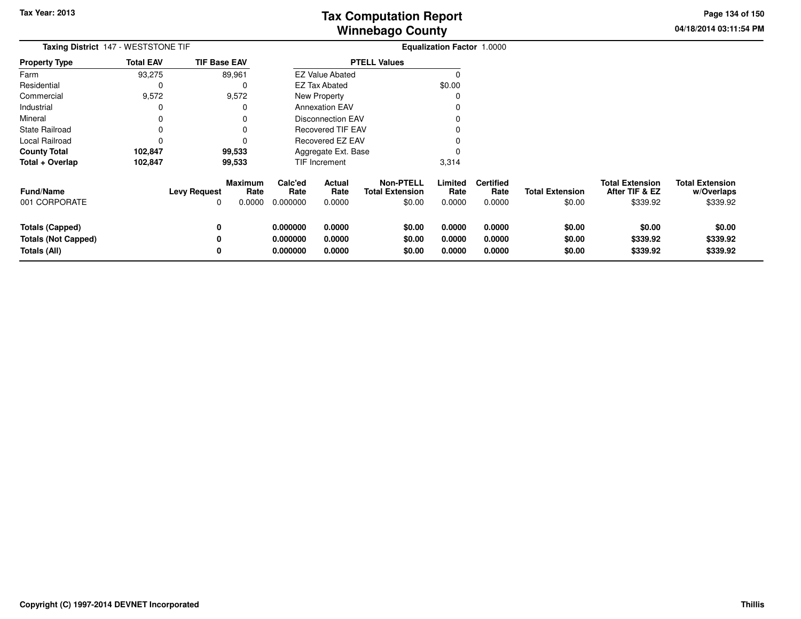**04/18/2014 03:11:54 PM Page 134 of 150**

| Taxing District 147 - WESTSTONE TIF                                  |                  |                     |                           |                                  |                            | <b>Equalization Factor 1.0000</b>                    |                            |                                    |                                  |                                                      |                                                  |
|----------------------------------------------------------------------|------------------|---------------------|---------------------------|----------------------------------|----------------------------|------------------------------------------------------|----------------------------|------------------------------------|----------------------------------|------------------------------------------------------|--------------------------------------------------|
| <b>Property Type</b>                                                 | <b>Total EAV</b> | <b>TIF Base EAV</b> |                           |                                  |                            | <b>PTELL Values</b>                                  |                            |                                    |                                  |                                                      |                                                  |
| Farm                                                                 | 93,275           |                     | 89,961                    |                                  | <b>EZ Value Abated</b>     |                                                      | $\Omega$                   |                                    |                                  |                                                      |                                                  |
| Residential                                                          |                  |                     | 0                         |                                  | <b>EZ Tax Abated</b>       |                                                      | \$0.00                     |                                    |                                  |                                                      |                                                  |
| Commercial                                                           | 9,572            |                     | 9,572                     |                                  | <b>New Property</b>        |                                                      | 0                          |                                    |                                  |                                                      |                                                  |
| Industrial                                                           |                  |                     |                           |                                  | <b>Annexation EAV</b>      |                                                      |                            |                                    |                                  |                                                      |                                                  |
| Mineral                                                              |                  |                     |                           |                                  | <b>Disconnection EAV</b>   |                                                      |                            |                                    |                                  |                                                      |                                                  |
| <b>State Railroad</b>                                                |                  |                     |                           |                                  | <b>Recovered TIF EAV</b>   |                                                      |                            |                                    |                                  |                                                      |                                                  |
| Local Railroad                                                       |                  |                     |                           |                                  | Recovered EZ EAV           |                                                      |                            |                                    |                                  |                                                      |                                                  |
| <b>County Total</b>                                                  | 102,847          |                     | 99,533                    |                                  | Aggregate Ext. Base        |                                                      |                            |                                    |                                  |                                                      |                                                  |
| Total + Overlap                                                      | 102,847          |                     | 99,533                    |                                  | TIF Increment              |                                                      | 3,314                      |                                    |                                  |                                                      |                                                  |
| <b>Fund/Name</b><br>001 CORPORATE                                    |                  | <b>Levy Request</b> | Maximum<br>Rate<br>0.0000 | Calc'ed<br>Rate<br>0.000000      | Actual<br>Rate<br>0.0000   | <b>Non-PTELL</b><br><b>Total Extension</b><br>\$0.00 | Limited<br>Rate<br>0.0000  | <b>Certified</b><br>Rate<br>0.0000 | <b>Total Extension</b><br>\$0.00 | <b>Total Extension</b><br>After TIF & EZ<br>\$339.92 | <b>Total Extension</b><br>w/Overlaps<br>\$339.92 |
| <b>Totals (Capped)</b><br><b>Totals (Not Capped)</b><br>Totals (All) |                  | 0                   |                           | 0.000000<br>0.000000<br>0.000000 | 0.0000<br>0.0000<br>0.0000 | \$0.00<br>\$0.00<br>\$0.00                           | 0.0000<br>0.0000<br>0.0000 | 0.0000<br>0.0000<br>0.0000         | \$0.00<br>\$0.00<br>\$0.00       | \$0.00<br>\$339.92<br>\$339.92                       | \$0.00<br>\$339.92<br>\$339.92                   |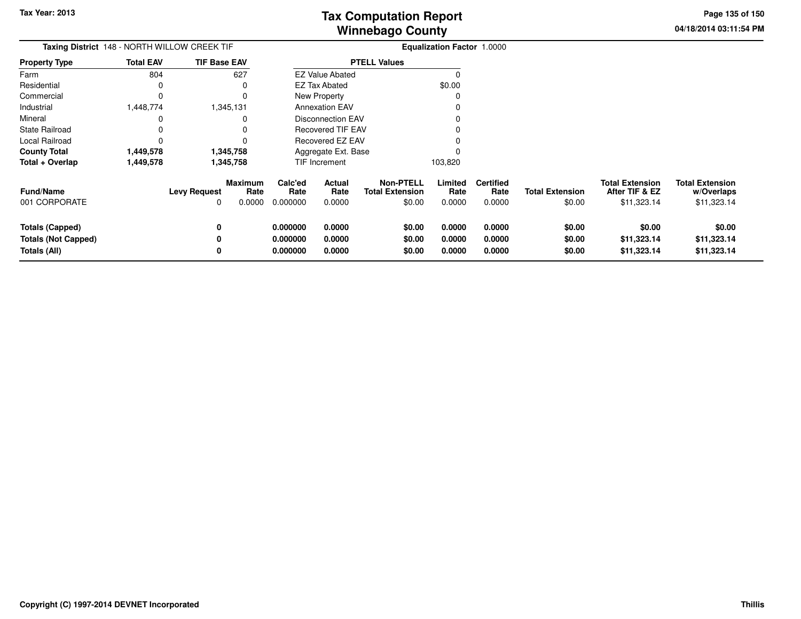**04/18/2014 03:11:54 PM Page 135 of 150**

| Taxing District 148 - NORTH WILLOW CREEK TIF                         |                  |                     |                                  | Equalization Factor 1.0000       |                            |                                                      |                            |                                    |                                  |                                                         |                                                     |
|----------------------------------------------------------------------|------------------|---------------------|----------------------------------|----------------------------------|----------------------------|------------------------------------------------------|----------------------------|------------------------------------|----------------------------------|---------------------------------------------------------|-----------------------------------------------------|
| <b>Property Type</b>                                                 | <b>Total EAV</b> | <b>TIF Base EAV</b> |                                  |                                  |                            | <b>PTELL Values</b>                                  |                            |                                    |                                  |                                                         |                                                     |
| Farm                                                                 | 804              |                     | 627                              |                                  | <b>EZ Value Abated</b>     |                                                      | $\Omega$                   |                                    |                                  |                                                         |                                                     |
| Residential                                                          | 0                |                     | $\Omega$                         |                                  | EZ Tax Abated              |                                                      | \$0.00                     |                                    |                                  |                                                         |                                                     |
| Commercial                                                           | $\Omega$         |                     | 0                                |                                  | New Property               |                                                      | $\Omega$                   |                                    |                                  |                                                         |                                                     |
| Industrial                                                           | 1,448,774        |                     | 1,345,131                        |                                  | <b>Annexation EAV</b>      |                                                      |                            |                                    |                                  |                                                         |                                                     |
| Mineral                                                              | 0                |                     | 0                                |                                  | <b>Disconnection EAV</b>   |                                                      |                            |                                    |                                  |                                                         |                                                     |
| <b>State Railroad</b>                                                | 0                |                     | 0                                |                                  | Recovered TIF EAV          |                                                      |                            |                                    |                                  |                                                         |                                                     |
| Local Railroad                                                       | $\Omega$         |                     |                                  |                                  | Recovered EZ EAV           |                                                      |                            |                                    |                                  |                                                         |                                                     |
| <b>County Total</b>                                                  | 1,449,578        |                     | 1,345,758                        |                                  | Aggregate Ext. Base        |                                                      |                            |                                    |                                  |                                                         |                                                     |
| Total + Overlap                                                      | 1,449,578        |                     | 1,345,758                        |                                  | TIF Increment              |                                                      | 103,820                    |                                    |                                  |                                                         |                                                     |
| <b>Fund/Name</b><br>001 CORPORATE                                    |                  | <b>Levy Request</b> | <b>Maximum</b><br>Rate<br>0.0000 | Calc'ed<br>Rate<br>0.000000      | Actual<br>Rate<br>0.0000   | <b>Non-PTELL</b><br><b>Total Extension</b><br>\$0.00 | Limited<br>Rate<br>0.0000  | <b>Certified</b><br>Rate<br>0.0000 | <b>Total Extension</b><br>\$0.00 | <b>Total Extension</b><br>After TIF & EZ<br>\$11,323.14 | <b>Total Extension</b><br>w/Overlaps<br>\$11,323.14 |
| <b>Totals (Capped)</b><br><b>Totals (Not Capped)</b><br>Totals (All) |                  |                     |                                  | 0.000000<br>0.000000<br>0.000000 | 0.0000<br>0.0000<br>0.0000 | \$0.00<br>\$0.00<br>\$0.00                           | 0.0000<br>0.0000<br>0.0000 | 0.0000<br>0.0000<br>0.0000         | \$0.00<br>\$0.00<br>\$0.00       | \$0.00<br>\$11,323.14<br>\$11,323.14                    | \$0.00<br>\$11,323.14<br>\$11,323.14                |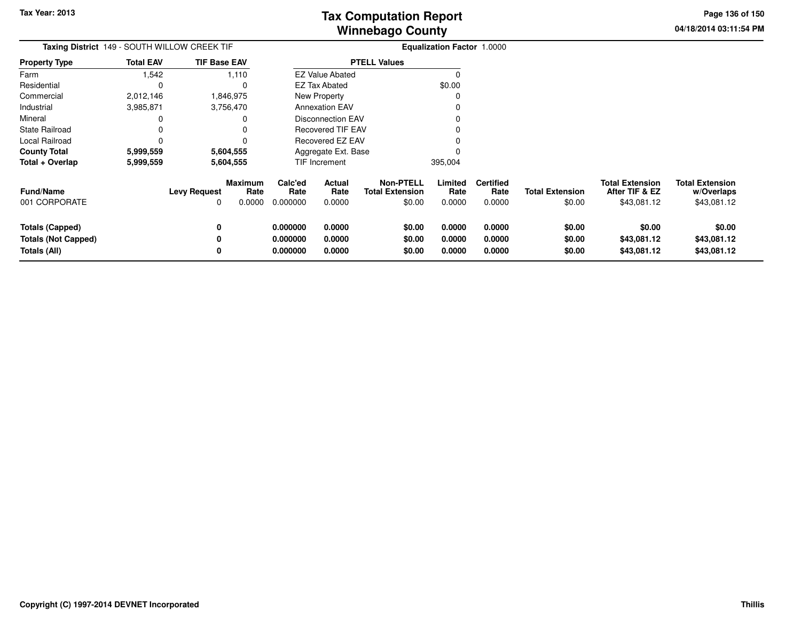**04/18/2014 03:11:54 PMPage 136 of 150**

| <b>Taxing District</b> 149 - SOUTH WILLOW CREEK TIF |                  |                          |                           |                             |                                 |                                                      | <b>Equalization Factor 1.0000</b> |                                    |                                  |                                                         |                                                     |
|-----------------------------------------------------|------------------|--------------------------|---------------------------|-----------------------------|---------------------------------|------------------------------------------------------|-----------------------------------|------------------------------------|----------------------------------|---------------------------------------------------------|-----------------------------------------------------|
| <b>Property Type</b>                                | <b>Total EAV</b> | <b>TIF Base EAV</b>      |                           |                             |                                 | <b>PTELL Values</b>                                  |                                   |                                    |                                  |                                                         |                                                     |
| Farm                                                | 1,542            |                          | 1,110                     |                             | <b>EZ Value Abated</b>          |                                                      |                                   |                                    |                                  |                                                         |                                                     |
| Residential                                         |                  |                          |                           |                             | <b>EZ Tax Abated</b>            |                                                      | \$0.00                            |                                    |                                  |                                                         |                                                     |
| Commercial                                          | 2,012,146        |                          | 1,846,975                 |                             | <b>New Property</b>             |                                                      |                                   |                                    |                                  |                                                         |                                                     |
| Industrial                                          | 3,985,871        |                          | 3,756,470                 |                             | <b>Annexation EAV</b>           |                                                      |                                   |                                    |                                  |                                                         |                                                     |
| Mineral                                             |                  |                          |                           |                             | <b>Disconnection EAV</b>        |                                                      |                                   |                                    |                                  |                                                         |                                                     |
| <b>State Railroad</b>                               |                  |                          |                           |                             | Recovered TIF EAV               |                                                      |                                   |                                    |                                  |                                                         |                                                     |
| Local Railroad                                      |                  |                          |                           |                             | <b>Recovered EZ EAV</b>         |                                                      |                                   |                                    |                                  |                                                         |                                                     |
| <b>County Total</b>                                 | 5,999,559        |                          | 5,604,555                 |                             | Aggregate Ext. Base             |                                                      |                                   |                                    |                                  |                                                         |                                                     |
| Total + Overlap                                     | 5,999,559        |                          | 5,604,555                 |                             | TIF Increment                   |                                                      | 395,004                           |                                    |                                  |                                                         |                                                     |
| <b>Fund/Name</b><br>001 CORPORATE                   |                  | <b>Levy Request</b><br>0 | Maximum<br>Rate<br>0.0000 | Calc'ed<br>Rate<br>0.000000 | <b>Actual</b><br>Rate<br>0.0000 | <b>Non-PTELL</b><br><b>Total Extension</b><br>\$0.00 | Limited<br>Rate<br>0.0000         | <b>Certified</b><br>Rate<br>0.0000 | <b>Total Extension</b><br>\$0.00 | <b>Total Extension</b><br>After TIF & EZ<br>\$43,081.12 | <b>Total Extension</b><br>w/Overlaps<br>\$43,081.12 |
| <b>Totals (Capped)</b>                              |                  | 0                        |                           | 0.000000                    | 0.0000                          | \$0.00                                               | 0.0000                            | 0.0000                             | \$0.00                           | \$0.00                                                  | \$0.00                                              |
| <b>Totals (Not Capped)</b>                          |                  | 0                        |                           | 0.000000                    | 0.0000                          | \$0.00                                               | 0.0000                            | 0.0000                             | \$0.00                           | \$43,081.12                                             | \$43,081.12                                         |
| Totals (All)                                        |                  | 0                        |                           | 0.000000                    | 0.0000                          | \$0.00                                               | 0.0000                            | 0.0000                             | \$0.00                           | \$43,081.12                                             | \$43,081.12                                         |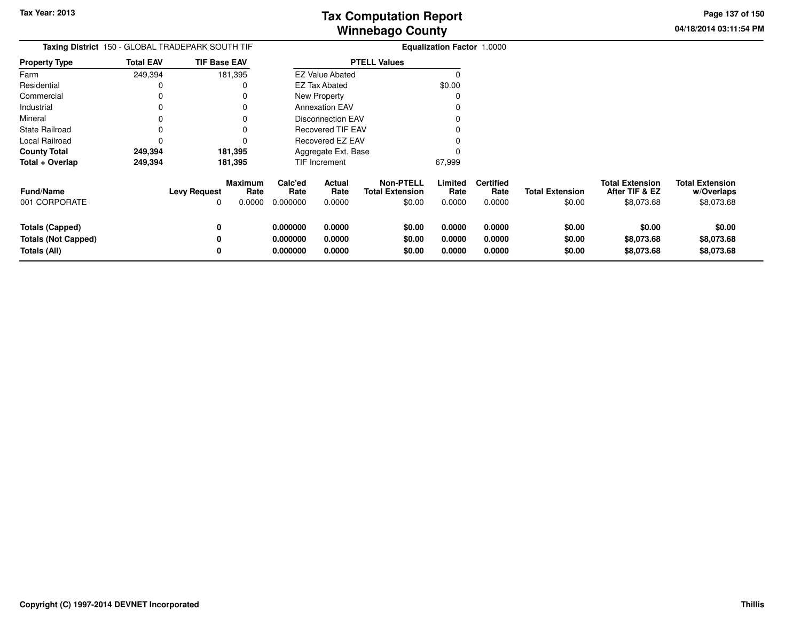**04/18/2014 03:11:54 PM Page 137 of 150**

| Taxing District 150 - GLOBAL TRADEPARK SOUTH TIF                     |                  |                          |                           | <b>Equalization Factor 1.0000</b> |                            |                                                      |                            |                                    |                                  |                                                        |                                                    |
|----------------------------------------------------------------------|------------------|--------------------------|---------------------------|-----------------------------------|----------------------------|------------------------------------------------------|----------------------------|------------------------------------|----------------------------------|--------------------------------------------------------|----------------------------------------------------|
| <b>Property Type</b>                                                 | <b>Total EAV</b> | <b>TIF Base EAV</b>      |                           |                                   |                            | <b>PTELL Values</b>                                  |                            |                                    |                                  |                                                        |                                                    |
| Farm                                                                 | 249,394          | 181,395                  |                           |                                   | <b>EZ Value Abated</b>     |                                                      |                            |                                    |                                  |                                                        |                                                    |
| Residential                                                          |                  |                          | 0                         |                                   | <b>EZ Tax Abated</b>       |                                                      | \$0.00                     |                                    |                                  |                                                        |                                                    |
| Commercial                                                           |                  |                          |                           |                                   | <b>New Property</b>        |                                                      |                            |                                    |                                  |                                                        |                                                    |
| Industrial                                                           |                  |                          | 0                         |                                   | <b>Annexation EAV</b>      |                                                      |                            |                                    |                                  |                                                        |                                                    |
| Mineral                                                              |                  |                          |                           |                                   | <b>Disconnection EAV</b>   |                                                      |                            |                                    |                                  |                                                        |                                                    |
| <b>State Railroad</b>                                                |                  |                          |                           |                                   | <b>Recovered TIF EAV</b>   |                                                      |                            |                                    |                                  |                                                        |                                                    |
| Local Railroad                                                       |                  |                          |                           |                                   | Recovered EZ EAV           |                                                      |                            |                                    |                                  |                                                        |                                                    |
| <b>County Total</b>                                                  | 249,394          | 181,395                  |                           |                                   | Aggregate Ext. Base        |                                                      |                            |                                    |                                  |                                                        |                                                    |
| Total + Overlap                                                      | 249,394          | 181,395                  |                           |                                   | TIF Increment              |                                                      | 67,999                     |                                    |                                  |                                                        |                                                    |
| <b>Fund/Name</b><br>001 CORPORATE                                    |                  | <b>Levy Request</b><br>0 | Maximum<br>Rate<br>0.0000 | Calc'ed<br>Rate<br>0.000000       | Actual<br>Rate<br>0.0000   | <b>Non-PTELL</b><br><b>Total Extension</b><br>\$0.00 | Limited<br>Rate<br>0.0000  | <b>Certified</b><br>Rate<br>0.0000 | <b>Total Extension</b><br>\$0.00 | <b>Total Extension</b><br>After TIF & EZ<br>\$8,073.68 | <b>Total Extension</b><br>w/Overlaps<br>\$8,073.68 |
| <b>Totals (Capped)</b><br><b>Totals (Not Capped)</b><br>Totals (All) |                  | 0<br>0<br>0              |                           | 0.000000<br>0.000000<br>0.000000  | 0.0000<br>0.0000<br>0.0000 | \$0.00<br>\$0.00<br>\$0.00                           | 0.0000<br>0.0000<br>0.0000 | 0.0000<br>0.0000<br>0.0000         | \$0.00<br>\$0.00<br>\$0.00       | \$0.00<br>\$8,073.68<br>\$8,073.68                     | \$0.00<br>\$8,073.68<br>\$8,073.68                 |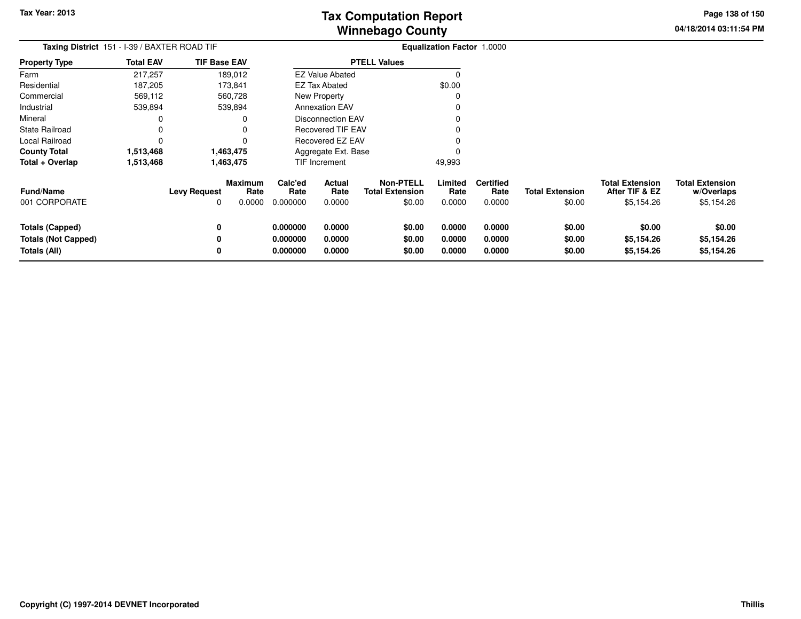**04/18/2014 03:11:54 PMPage 138 of 150**

| <b>Taxing District</b> 151 - I-39 / BAXTER ROAD TIF           |                  |                     |                           | <b>Equalization Factor 1.0000</b> |                            |                                                      |                            |                                    |                                  |                                                        |                                                    |
|---------------------------------------------------------------|------------------|---------------------|---------------------------|-----------------------------------|----------------------------|------------------------------------------------------|----------------------------|------------------------------------|----------------------------------|--------------------------------------------------------|----------------------------------------------------|
| <b>Property Type</b>                                          | <b>Total EAV</b> | <b>TIF Base EAV</b> |                           |                                   |                            | <b>PTELL Values</b>                                  |                            |                                    |                                  |                                                        |                                                    |
| Farm                                                          | 217,257          |                     | 189,012                   |                                   | <b>EZ Value Abated</b>     |                                                      |                            |                                    |                                  |                                                        |                                                    |
| Residential                                                   | 187,205          |                     | 173,841                   |                                   | <b>EZ Tax Abated</b>       |                                                      | \$0.00                     |                                    |                                  |                                                        |                                                    |
| Commercial                                                    | 569,112          |                     | 560,728                   |                                   | New Property               |                                                      | 0                          |                                    |                                  |                                                        |                                                    |
| Industrial                                                    | 539,894          |                     | 539,894                   |                                   | <b>Annexation EAV</b>      |                                                      |                            |                                    |                                  |                                                        |                                                    |
| Mineral                                                       |                  |                     | 0                         |                                   | <b>Disconnection EAV</b>   |                                                      |                            |                                    |                                  |                                                        |                                                    |
| <b>State Railroad</b>                                         |                  |                     |                           |                                   | <b>Recovered TIF EAV</b>   |                                                      | 0                          |                                    |                                  |                                                        |                                                    |
| Local Railroad                                                | 0                |                     |                           |                                   | <b>Recovered EZ EAV</b>    |                                                      | 0                          |                                    |                                  |                                                        |                                                    |
| <b>County Total</b>                                           | 1,513,468        |                     | 1,463,475                 |                                   | Aggregate Ext. Base        |                                                      | 0                          |                                    |                                  |                                                        |                                                    |
| Total + Overlap                                               | 1,513,468        |                     | 1,463,475                 |                                   | TIF Increment              |                                                      | 49,993                     |                                    |                                  |                                                        |                                                    |
| <b>Fund/Name</b><br>001 CORPORATE                             |                  | <b>Levy Request</b> | Maximum<br>Rate<br>0.0000 | Calc'ed<br>Rate<br>0.000000       | Actual<br>Rate<br>0.0000   | <b>Non-PTELL</b><br><b>Total Extension</b><br>\$0.00 | Limited<br>Rate<br>0.0000  | <b>Certified</b><br>Rate<br>0.0000 | <b>Total Extension</b><br>\$0.00 | <b>Total Extension</b><br>After TIF & EZ<br>\$5,154.26 | <b>Total Extension</b><br>w/Overlaps<br>\$5,154.26 |
| Totals (Capped)<br><b>Totals (Not Capped)</b><br>Totals (All) |                  | 0                   |                           | 0.000000<br>0.000000<br>0.000000  | 0.0000<br>0.0000<br>0.0000 | \$0.00<br>\$0.00<br>\$0.00                           | 0.0000<br>0.0000<br>0.0000 | 0.0000<br>0.0000<br>0.0000         | \$0.00<br>\$0.00<br>\$0.00       | \$0.00<br>\$5,154.26<br>\$5,154.26                     | \$0.00<br>\$5,154.26<br>\$5,154.26                 |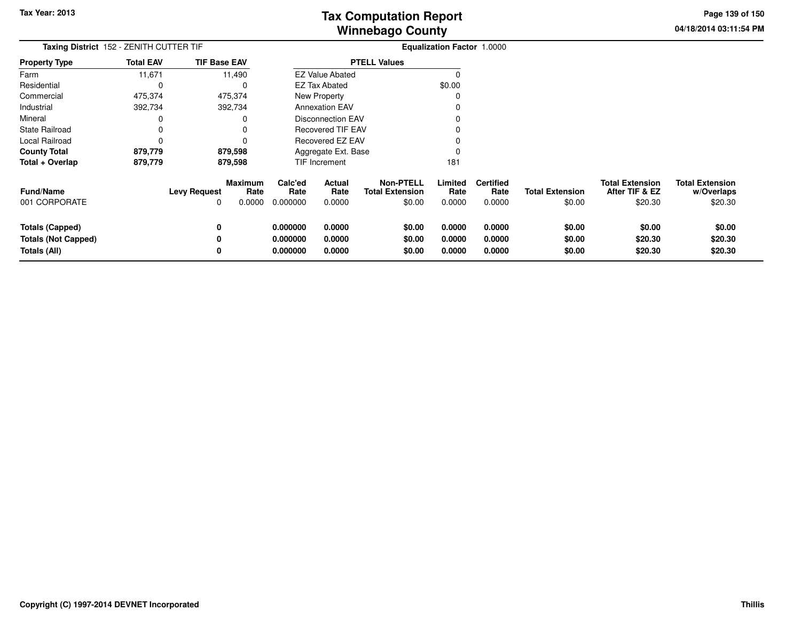**04/18/2014 03:11:54 PM Page 139 of 150**

| Taxing District 152 - ZENITH CUTTER TIF                              |                  |                          |                                  | <b>Equalization Factor 1.0000</b> |                            |                                                      |                            |                                    |                                  |                                                     |                                                 |
|----------------------------------------------------------------------|------------------|--------------------------|----------------------------------|-----------------------------------|----------------------------|------------------------------------------------------|----------------------------|------------------------------------|----------------------------------|-----------------------------------------------------|-------------------------------------------------|
| Property Type                                                        | <b>Total EAV</b> | <b>TIF Base EAV</b>      |                                  |                                   |                            | <b>PTELL Values</b>                                  |                            |                                    |                                  |                                                     |                                                 |
| Farm                                                                 | 11,671           |                          | 11,490                           |                                   | <b>EZ Value Abated</b>     |                                                      | O                          |                                    |                                  |                                                     |                                                 |
| Residential                                                          | 0                |                          |                                  |                                   | <b>EZ Tax Abated</b>       |                                                      | \$0.00                     |                                    |                                  |                                                     |                                                 |
| Commercial                                                           | 475,374          |                          | 475,374                          |                                   | New Property               |                                                      |                            |                                    |                                  |                                                     |                                                 |
| Industrial                                                           | 392,734          |                          | 392,734                          |                                   | <b>Annexation EAV</b>      |                                                      |                            |                                    |                                  |                                                     |                                                 |
| Mineral                                                              | 0                |                          |                                  |                                   | <b>Disconnection EAV</b>   |                                                      |                            |                                    |                                  |                                                     |                                                 |
| State Railroad                                                       | 0                |                          |                                  |                                   | Recovered TIF EAV          |                                                      |                            |                                    |                                  |                                                     |                                                 |
| Local Railroad                                                       | 0                |                          |                                  |                                   | Recovered EZ EAV           |                                                      |                            |                                    |                                  |                                                     |                                                 |
| County Total                                                         | 879,779          |                          | 879,598                          |                                   | Aggregate Ext. Base        |                                                      |                            |                                    |                                  |                                                     |                                                 |
| Total + Overlap                                                      | 879,779          |                          | 879,598                          |                                   | <b>TIF Increment</b>       |                                                      | 181                        |                                    |                                  |                                                     |                                                 |
| Fund/Name<br>001 CORPORATE                                           |                  | <b>Levy Request</b><br>0 | <b>Maximum</b><br>Rate<br>0.0000 | Calc'ed<br>Rate<br>0.000000       | Actual<br>Rate<br>0.0000   | <b>Non-PTELL</b><br><b>Total Extension</b><br>\$0.00 | Limited<br>Rate<br>0.0000  | <b>Certified</b><br>Rate<br>0.0000 | <b>Total Extension</b><br>\$0.00 | <b>Total Extension</b><br>After TIF & EZ<br>\$20.30 | <b>Total Extension</b><br>w/Overlaps<br>\$20.30 |
| <b>Totals (Capped)</b><br><b>Totals (Not Capped)</b><br>Totals (All) |                  | 0<br>0<br>0              |                                  | 0.000000<br>0.000000<br>0.000000  | 0.0000<br>0.0000<br>0.0000 | \$0.00<br>\$0.00<br>\$0.00                           | 0.0000<br>0.0000<br>0.0000 | 0.0000<br>0.0000<br>0.0000         | \$0.00<br>\$0.00<br>\$0.00       | \$0.00<br>\$20.30<br>\$20.30                        | \$0.00<br>\$20.30<br>\$20.30                    |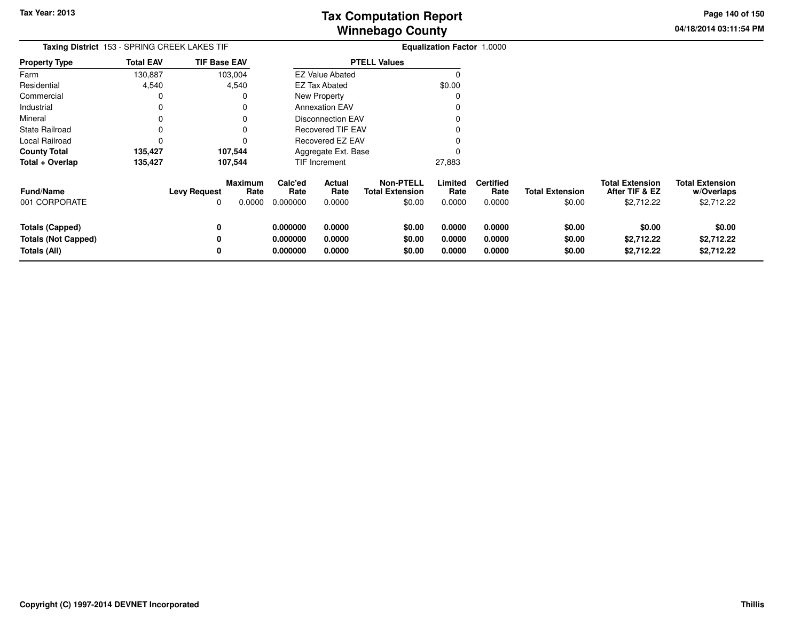**04/18/2014 03:11:54 PM Page 140 of 150**

| Taxing District 153 - SPRING CREEK LAKES TIF |                  |                                                 |                             |                                  |                                                      | Equalization Factor 1.0000 |                                    |                                  |                                                        |                                                    |
|----------------------------------------------|------------------|-------------------------------------------------|-----------------------------|----------------------------------|------------------------------------------------------|----------------------------|------------------------------------|----------------------------------|--------------------------------------------------------|----------------------------------------------------|
| <b>Property Type</b>                         | <b>Total EAV</b> | <b>TIF Base EAV</b>                             |                             |                                  | <b>PTELL Values</b>                                  |                            |                                    |                                  |                                                        |                                                    |
| Farm                                         | 130,887          | 103,004                                         |                             | <b>EZ Value Abated</b>           |                                                      |                            |                                    |                                  |                                                        |                                                    |
| Residential                                  | 4,540            | 4,540                                           |                             | <b>EZ Tax Abated</b>             |                                                      | \$0.00                     |                                    |                                  |                                                        |                                                    |
| Commercial                                   | 0                | 0                                               |                             | <b>New Property</b>              |                                                      | C                          |                                    |                                  |                                                        |                                                    |
| Industrial                                   | 0                | 0                                               |                             | <b>Annexation EAV</b>            |                                                      |                            |                                    |                                  |                                                        |                                                    |
| Mineral                                      |                  | 0                                               |                             | Disconnection EAV                |                                                      |                            |                                    |                                  |                                                        |                                                    |
| State Railroad                               |                  | 0                                               |                             | <b>Recovered TIF EAV</b>         |                                                      |                            |                                    |                                  |                                                        |                                                    |
| Local Railroad                               |                  | 0                                               |                             | <b>Recovered EZ EAV</b>          |                                                      |                            |                                    |                                  |                                                        |                                                    |
| <b>County Total</b>                          | 135,427          | 107,544                                         |                             | Aggregate Ext. Base              |                                                      |                            |                                    |                                  |                                                        |                                                    |
| Total + Overlap                              | 135,427          | 107,544                                         |                             | TIF Increment                    |                                                      | 27,883                     |                                    |                                  |                                                        |                                                    |
| <b>Fund/Name</b><br>001 CORPORATE            |                  | <b>Maximum</b><br><b>Levy Request</b><br>0.0000 | Calc'ed<br>Rate<br>0.000000 | Actual<br>Rate<br>Rate<br>0.0000 | <b>Non-PTELL</b><br><b>Total Extension</b><br>\$0.00 | Limited<br>Rate<br>0.0000  | <b>Certified</b><br>Rate<br>0.0000 | <b>Total Extension</b><br>\$0.00 | <b>Total Extension</b><br>After TIF & EZ<br>\$2,712.22 | <b>Total Extension</b><br>w/Overlaps<br>\$2,712.22 |
|                                              |                  |                                                 |                             |                                  |                                                      |                            |                                    |                                  |                                                        |                                                    |
| <b>Totals (Capped)</b>                       |                  | 0                                               | 0.000000                    | 0.0000                           | \$0.00                                               | 0.0000                     | 0.0000                             | \$0.00                           | \$0.00                                                 | \$0.00                                             |
| <b>Totals (Not Capped)</b>                   |                  | 0                                               | 0.000000                    | 0.0000                           | \$0.00                                               | 0.0000                     | 0.0000                             | \$0.00                           | \$2,712.22                                             | \$2,712.22                                         |
| Totals (All)                                 |                  |                                                 | 0.000000                    | 0.0000                           | \$0.00                                               | 0.0000                     | 0.0000                             | \$0.00                           | \$2,712.22                                             | \$2,712.22                                         |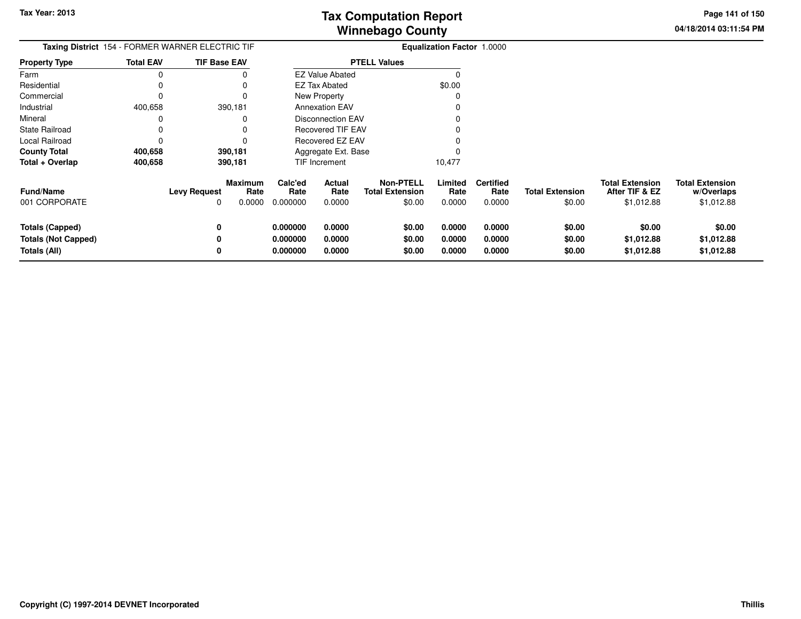**04/18/2014 03:11:54 PM Page 141 of 150**

| Taxing District 154 - FORMER WARNER ELECTRIC TIF<br><b>Property Type</b> |                          |                             |                                  |                                                       |                                                                                                                                                                           |                                    |                                                  |                                                        |                                                    |
|--------------------------------------------------------------------------|--------------------------|-----------------------------|----------------------------------|-------------------------------------------------------|---------------------------------------------------------------------------------------------------------------------------------------------------------------------------|------------------------------------|--------------------------------------------------|--------------------------------------------------------|----------------------------------------------------|
| <b>Total EAV</b>                                                         | <b>TIF Base EAV</b>      |                             |                                  |                                                       |                                                                                                                                                                           |                                    |                                                  |                                                        |                                                    |
|                                                                          |                          |                             |                                  |                                                       |                                                                                                                                                                           |                                    |                                                  |                                                        |                                                    |
|                                                                          |                          |                             |                                  |                                                       | \$0.00                                                                                                                                                                    |                                    |                                                  |                                                        |                                                    |
|                                                                          |                          |                             |                                  |                                                       |                                                                                                                                                                           |                                    |                                                  |                                                        |                                                    |
| 400,658                                                                  | 390,181                  |                             |                                  |                                                       |                                                                                                                                                                           |                                    |                                                  |                                                        |                                                    |
|                                                                          | 0                        |                             |                                  |                                                       |                                                                                                                                                                           |                                    |                                                  |                                                        |                                                    |
|                                                                          | $\Omega$                 |                             |                                  |                                                       |                                                                                                                                                                           |                                    |                                                  |                                                        |                                                    |
|                                                                          | $\Omega$                 |                             |                                  |                                                       |                                                                                                                                                                           |                                    |                                                  |                                                        |                                                    |
| 400,658                                                                  | 390,181                  |                             |                                  |                                                       |                                                                                                                                                                           |                                    |                                                  |                                                        |                                                    |
| 400,658                                                                  | 390,181                  |                             |                                  |                                                       | 10,477                                                                                                                                                                    |                                    |                                                  |                                                        |                                                    |
|                                                                          | <b>Levy Request</b><br>0 | Calc'ed<br>Rate<br>0.000000 | Actual<br>Rate<br>0.0000         | <b>Non-PTELL</b><br><b>Total Extension</b><br>\$0.00  | Limited<br>Rate<br>0.0000                                                                                                                                                 | <b>Certified</b><br>Rate<br>0.0000 | <b>Total Extension</b><br>\$0.00                 | <b>Total Extension</b><br>After TIF & EZ<br>\$1,012.88 | <b>Total Extension</b><br>w/Overlaps<br>\$1,012.88 |
|                                                                          | 0<br>0                   | 0.000000<br>0.000000        | 0.0000<br>0.0000                 | \$0.00<br>\$0.00                                      | 0.0000<br>0.0000                                                                                                                                                          | 0.0000<br>0.0000                   | \$0.00<br>\$0.00                                 | \$0.00<br>\$1,012.88                                   | \$0.00<br>\$1,012.88<br>\$1,012.88                 |
|                                                                          |                          | 0                           | <b>Maximum</b><br>Rate<br>0.0000 | <b>EZ Tax Abated</b><br>New Property<br>TIF Increment | <b>PTELL Values</b><br><b>EZ Value Abated</b><br><b>Annexation EAV</b><br><b>Disconnection EAV</b><br><b>Recovered TIF EAV</b><br>Recovered EZ EAV<br>Aggregate Ext. Base |                                    | 0.0000<br>\$0.00<br>0.0000<br>0.0000<br>0.000000 | \$0.00                                                 | <b>Equalization Factor 1.0000</b><br>\$1,012.88    |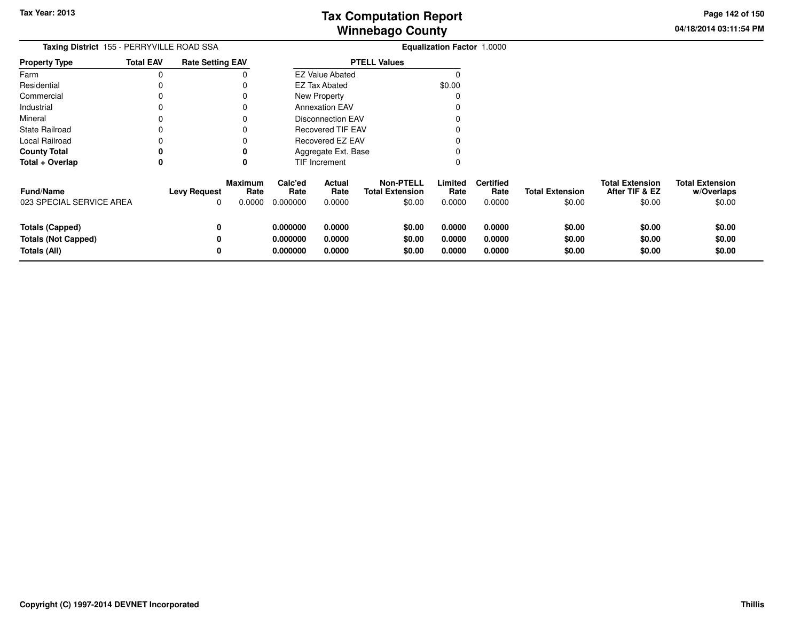**04/18/2014 03:11:54 PM Page 142 of 150**

| <b>Taxing District</b> 155 - PERRYVILLE ROAD SSA |                  |                          |                                  |                             |                          |                                                      | <b>Equalization Factor 1.0000</b> |                                    |                                  |                                                    |                                                |
|--------------------------------------------------|------------------|--------------------------|----------------------------------|-----------------------------|--------------------------|------------------------------------------------------|-----------------------------------|------------------------------------|----------------------------------|----------------------------------------------------|------------------------------------------------|
| <b>Property Type</b>                             | <b>Total EAV</b> | <b>Rate Setting EAV</b>  |                                  |                             |                          | <b>PTELL Values</b>                                  |                                   |                                    |                                  |                                                    |                                                |
| Farm                                             | 0                |                          |                                  |                             | <b>EZ Value Abated</b>   |                                                      |                                   |                                    |                                  |                                                    |                                                |
| Residential                                      |                  |                          |                                  |                             | <b>EZ Tax Abated</b>     |                                                      | \$0.00                            |                                    |                                  |                                                    |                                                |
| Commercial                                       |                  |                          |                                  |                             | New Property             |                                                      |                                   |                                    |                                  |                                                    |                                                |
| Industrial                                       |                  |                          |                                  |                             | <b>Annexation EAV</b>    |                                                      |                                   |                                    |                                  |                                                    |                                                |
| Mineral                                          |                  |                          |                                  |                             | <b>Disconnection EAV</b> |                                                      |                                   |                                    |                                  |                                                    |                                                |
| <b>State Railroad</b>                            |                  |                          |                                  |                             | <b>Recovered TIF EAV</b> |                                                      |                                   |                                    |                                  |                                                    |                                                |
| Local Railroad                                   |                  |                          |                                  |                             | Recovered EZ EAV         |                                                      |                                   |                                    |                                  |                                                    |                                                |
| <b>County Total</b>                              |                  |                          |                                  |                             | Aggregate Ext. Base      |                                                      |                                   |                                    |                                  |                                                    |                                                |
| Total + Overlap                                  | 0                |                          |                                  |                             | <b>TIF Increment</b>     |                                                      |                                   |                                    |                                  |                                                    |                                                |
| <b>Fund/Name</b><br>023 SPECIAL SERVICE AREA     |                  | <b>Levy Request</b><br>0 | <b>Maximum</b><br>Rate<br>0.0000 | Calc'ed<br>Rate<br>0.000000 | Actual<br>Rate<br>0.0000 | <b>Non-PTELL</b><br><b>Total Extension</b><br>\$0.00 | Limited<br>Rate<br>0.0000         | <b>Certified</b><br>Rate<br>0.0000 | <b>Total Extension</b><br>\$0.00 | <b>Total Extension</b><br>After TIF & EZ<br>\$0.00 | <b>Total Extension</b><br>w/Overlaps<br>\$0.00 |
| <b>Totals (Capped)</b>                           |                  | 0                        |                                  | 0.000000                    | 0.0000                   | \$0.00                                               | 0.0000                            | 0.0000                             | \$0.00                           | \$0.00                                             | \$0.00                                         |
| <b>Totals (Not Capped)</b>                       |                  | 0                        |                                  | 0.000000                    | 0.0000                   | \$0.00                                               | 0.0000                            | 0.0000                             | \$0.00                           | \$0.00                                             | \$0.00                                         |
| <b>Totals (All)</b>                              |                  | 0                        |                                  | 0.000000                    | 0.0000                   | \$0.00                                               | 0.0000                            | 0.0000                             | \$0.00                           | \$0.00                                             | \$0.00                                         |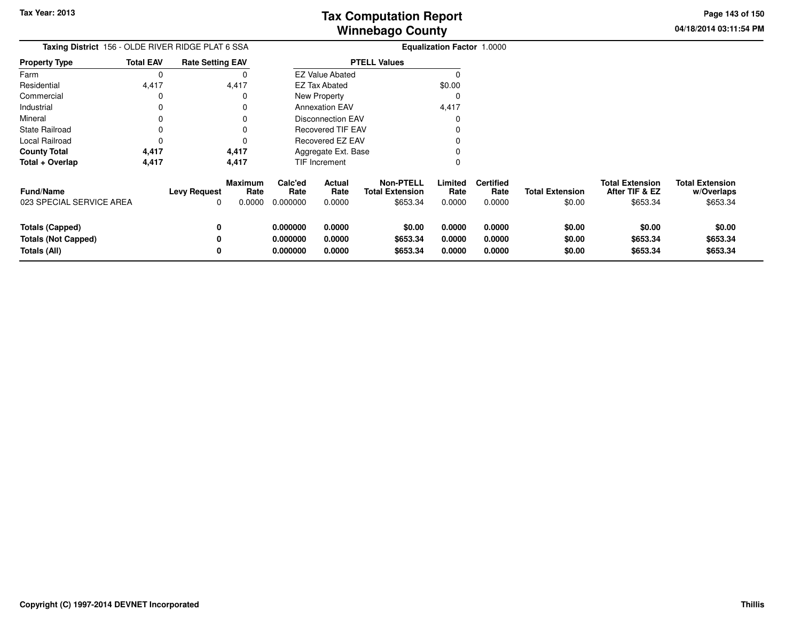**04/18/2014 03:11:54 PMPage 143 of 150**

|                                                                      | Taxing District 156 - OLDE RIVER RIDGE PLAT 6 SSA |                          |                                  |                                  | <b>Equalization Factor 1.0000</b> |                                                        |                            |                                    |                                  |                                                      |                                                  |  |
|----------------------------------------------------------------------|---------------------------------------------------|--------------------------|----------------------------------|----------------------------------|-----------------------------------|--------------------------------------------------------|----------------------------|------------------------------------|----------------------------------|------------------------------------------------------|--------------------------------------------------|--|
| <b>Property Type</b>                                                 | <b>Total EAV</b>                                  | <b>Rate Setting EAV</b>  |                                  |                                  |                                   | <b>PTELL Values</b>                                    |                            |                                    |                                  |                                                      |                                                  |  |
| Farm                                                                 | 0                                                 |                          |                                  |                                  | <b>EZ Value Abated</b>            |                                                        |                            |                                    |                                  |                                                      |                                                  |  |
| Residential                                                          | 4,417                                             |                          | 4,417                            |                                  | <b>EZ Tax Abated</b>              |                                                        | \$0.00                     |                                    |                                  |                                                      |                                                  |  |
| Commercial                                                           | 0                                                 |                          |                                  |                                  | New Property                      |                                                        |                            |                                    |                                  |                                                      |                                                  |  |
| Industrial                                                           | $\Omega$                                          |                          |                                  |                                  | <b>Annexation EAV</b>             |                                                        | 4,417                      |                                    |                                  |                                                      |                                                  |  |
| Mineral                                                              | 0                                                 |                          | 0                                |                                  | <b>Disconnection EAV</b>          |                                                        |                            |                                    |                                  |                                                      |                                                  |  |
| <b>State Railroad</b>                                                | 0                                                 |                          | O                                |                                  | <b>Recovered TIF EAV</b>          |                                                        |                            |                                    |                                  |                                                      |                                                  |  |
| Local Railroad                                                       | 0                                                 |                          | ŋ                                |                                  | <b>Recovered EZ EAV</b>           |                                                        |                            |                                    |                                  |                                                      |                                                  |  |
| <b>County Total</b>                                                  | 4,417                                             |                          | 4,417                            |                                  | Aggregate Ext. Base               |                                                        |                            |                                    |                                  |                                                      |                                                  |  |
| Total + Overlap                                                      | 4,417                                             |                          | 4,417                            |                                  | <b>TIF Increment</b>              |                                                        |                            |                                    |                                  |                                                      |                                                  |  |
| <b>Fund/Name</b><br>023 SPECIAL SERVICE AREA                         |                                                   | <b>Levy Request</b><br>0 | <b>Maximum</b><br>Rate<br>0.0000 | Calc'ed<br>Rate<br>0.000000      | <b>Actual</b><br>Rate<br>0.0000   | <b>Non-PTELL</b><br><b>Total Extension</b><br>\$653.34 | Limited<br>Rate<br>0.0000  | <b>Certified</b><br>Rate<br>0.0000 | <b>Total Extension</b><br>\$0.00 | <b>Total Extension</b><br>After TIF & EZ<br>\$653.34 | <b>Total Extension</b><br>w/Overlaps<br>\$653.34 |  |
| <b>Totals (Capped)</b><br><b>Totals (Not Capped)</b><br>Totals (All) |                                                   | 0<br>0<br>0              |                                  | 0.000000<br>0.000000<br>0.000000 | 0.0000<br>0.0000<br>0.0000        | \$0.00<br>\$653.34<br>\$653.34                         | 0.0000<br>0.0000<br>0.0000 | 0.0000<br>0.0000<br>0.0000         | \$0.00<br>\$0.00<br>\$0.00       | \$0.00<br>\$653.34<br>\$653.34                       | \$0.00<br>\$653.34<br>\$653.34                   |  |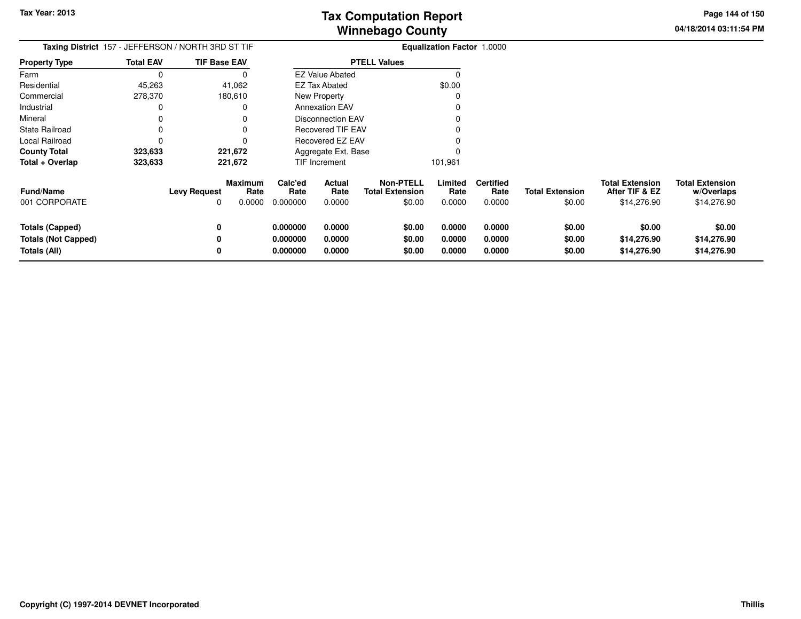**04/18/2014 03:11:54 PMPage 144 of 150**

|                                                                      |                  | Taxing District 157 - JEFFERSON / NORTH 3RD ST TIF    | <b>Equalization Factor 1.0000</b> |                            |                                                      |                            |                                    |                                  |                                                         |                                                     |
|----------------------------------------------------------------------|------------------|-------------------------------------------------------|-----------------------------------|----------------------------|------------------------------------------------------|----------------------------|------------------------------------|----------------------------------|---------------------------------------------------------|-----------------------------------------------------|
| <b>Property Type</b>                                                 | <b>Total EAV</b> | <b>TIF Base EAV</b>                                   |                                   |                            | <b>PTELL Values</b>                                  |                            |                                    |                                  |                                                         |                                                     |
| Farm                                                                 |                  |                                                       |                                   | <b>EZ Value Abated</b>     |                                                      | $\Omega$                   |                                    |                                  |                                                         |                                                     |
| Residential                                                          | 45,263           | 41,062                                                |                                   | <b>EZ Tax Abated</b>       |                                                      | \$0.00                     |                                    |                                  |                                                         |                                                     |
| Commercial                                                           | 278,370          | 180,610                                               |                                   | New Property               |                                                      |                            |                                    |                                  |                                                         |                                                     |
| Industrial                                                           |                  |                                                       |                                   | <b>Annexation EAV</b>      |                                                      |                            |                                    |                                  |                                                         |                                                     |
| Mineral                                                              |                  |                                                       |                                   | <b>Disconnection EAV</b>   |                                                      |                            |                                    |                                  |                                                         |                                                     |
| <b>State Railroad</b>                                                |                  |                                                       |                                   | <b>Recovered TIF EAV</b>   |                                                      |                            |                                    |                                  |                                                         |                                                     |
| Local Railroad                                                       |                  |                                                       |                                   | <b>Recovered EZ EAV</b>    |                                                      |                            |                                    |                                  |                                                         |                                                     |
| <b>County Total</b>                                                  | 323,633          | 221,672                                               |                                   | Aggregate Ext. Base        |                                                      |                            |                                    |                                  |                                                         |                                                     |
| Total + Overlap                                                      | 323,633          | 221,672                                               |                                   | TIF Increment              |                                                      | 101,961                    |                                    |                                  |                                                         |                                                     |
| <b>Fund/Name</b><br>001 CORPORATE                                    |                  | Maximum<br>Rate<br><b>Levy Request</b><br>0.0000<br>0 | Calc'ed<br>Rate<br>0.000000       | Actual<br>Rate<br>0.0000   | <b>Non-PTELL</b><br><b>Total Extension</b><br>\$0.00 | Limited<br>Rate<br>0.0000  | <b>Certified</b><br>Rate<br>0.0000 | <b>Total Extension</b><br>\$0.00 | <b>Total Extension</b><br>After TIF & EZ<br>\$14,276.90 | <b>Total Extension</b><br>w/Overlaps<br>\$14,276.90 |
| <b>Totals (Capped)</b><br><b>Totals (Not Capped)</b><br>Totals (All) |                  | 0                                                     | 0.000000<br>0.000000<br>0.000000  | 0.0000<br>0.0000<br>0.0000 | \$0.00<br>\$0.00<br>\$0.00                           | 0.0000<br>0.0000<br>0.0000 | 0.0000<br>0.0000<br>0.0000         | \$0.00<br>\$0.00<br>\$0.00       | \$0.00<br>\$14,276.90<br>\$14,276.90                    | \$0.00<br>\$14,276.90<br>\$14,276.90                |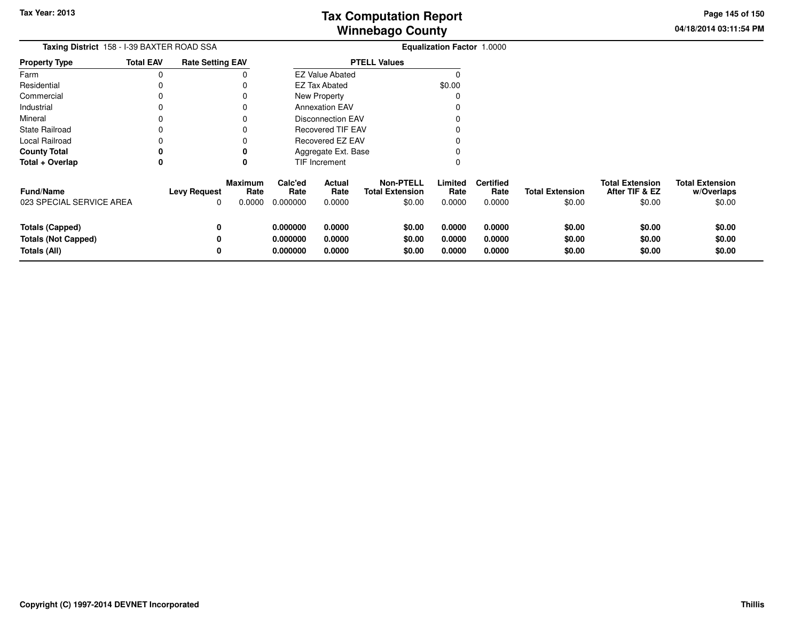**04/18/2014 03:11:54 PM Page 145 of 150**

| <b>Taxing District</b> 158 - I-39 BAXTER ROAD SSA |                  |                          |                                  |                             |                          |                                                      | <b>Equalization Factor 1.0000</b> |                                    |                                  |                                                    |                                                |
|---------------------------------------------------|------------------|--------------------------|----------------------------------|-----------------------------|--------------------------|------------------------------------------------------|-----------------------------------|------------------------------------|----------------------------------|----------------------------------------------------|------------------------------------------------|
| <b>Property Type</b>                              | <b>Total EAV</b> | <b>Rate Setting EAV</b>  |                                  | <b>PTELL Values</b>         |                          |                                                      |                                   |                                    |                                  |                                                    |                                                |
| Farm                                              | 0                |                          |                                  |                             | <b>EZ Value Abated</b>   |                                                      |                                   |                                    |                                  |                                                    |                                                |
| Residential                                       |                  |                          |                                  |                             | <b>EZ Tax Abated</b>     |                                                      | \$0.00                            |                                    |                                  |                                                    |                                                |
| Commercial                                        |                  |                          |                                  |                             | New Property             |                                                      |                                   |                                    |                                  |                                                    |                                                |
| Industrial                                        |                  |                          |                                  |                             | <b>Annexation EAV</b>    |                                                      |                                   |                                    |                                  |                                                    |                                                |
| Mineral                                           |                  |                          |                                  |                             | <b>Disconnection EAV</b> |                                                      |                                   |                                    |                                  |                                                    |                                                |
| <b>State Railroad</b>                             |                  |                          |                                  |                             | <b>Recovered TIF EAV</b> |                                                      |                                   |                                    |                                  |                                                    |                                                |
| Local Railroad                                    |                  |                          |                                  | Recovered EZ EAV            |                          |                                                      |                                   |                                    |                                  |                                                    |                                                |
| <b>County Total</b>                               |                  |                          |                                  |                             | Aggregate Ext. Base      |                                                      |                                   |                                    |                                  |                                                    |                                                |
| Total + Overlap                                   | 0                |                          |                                  |                             | <b>TIF Increment</b>     |                                                      |                                   |                                    |                                  |                                                    |                                                |
| <b>Fund/Name</b><br>023 SPECIAL SERVICE AREA      |                  | <b>Levy Request</b><br>0 | <b>Maximum</b><br>Rate<br>0.0000 | Calc'ed<br>Rate<br>0.000000 | Actual<br>Rate<br>0.0000 | <b>Non-PTELL</b><br><b>Total Extension</b><br>\$0.00 | Limited<br>Rate<br>0.0000         | <b>Certified</b><br>Rate<br>0.0000 | <b>Total Extension</b><br>\$0.00 | <b>Total Extension</b><br>After TIF & EZ<br>\$0.00 | <b>Total Extension</b><br>w/Overlaps<br>\$0.00 |
| <b>Totals (Capped)</b>                            |                  | 0                        |                                  | 0.000000                    | 0.0000                   | \$0.00                                               | 0.0000                            | 0.0000                             | \$0.00                           | \$0.00                                             | \$0.00                                         |
| <b>Totals (Not Capped)</b>                        |                  | 0                        |                                  | 0.000000                    | 0.0000                   | \$0.00                                               | 0.0000                            | 0.0000                             | \$0.00                           | \$0.00                                             | \$0.00                                         |
| <b>Totals (All)</b>                               |                  | 0                        |                                  | 0.000000                    | 0.0000                   | \$0.00                                               | 0.0000                            | 0.0000                             | \$0.00                           | \$0.00                                             | \$0.00                                         |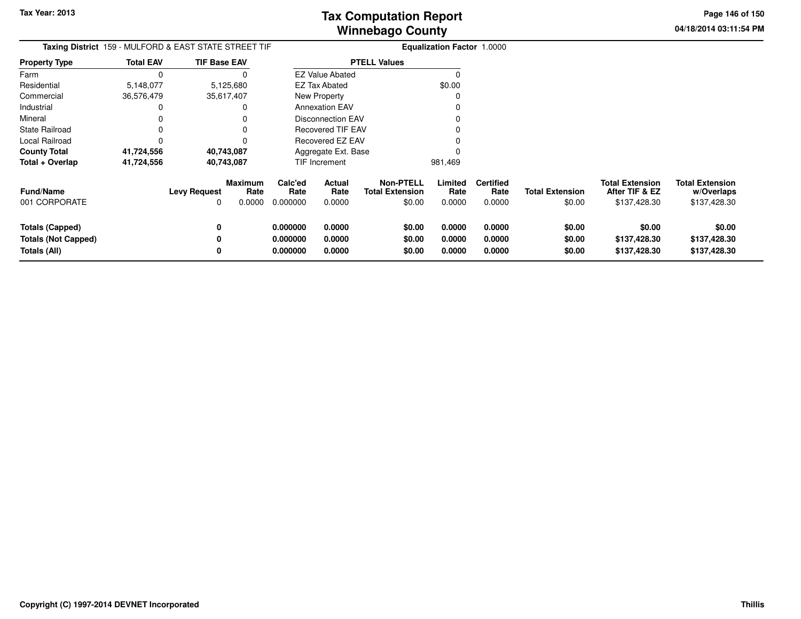**04/18/2014 03:11:54 PM Page 146 of 150**

| <b>Taxing District</b> 159 - MULFORD & EAST STATE STREET TIF |                  |                     |                           |                             |                          |                                                      | <b>Equalization Factor 1.0000</b> |                                    |                                  |                                                   |                                                      |
|--------------------------------------------------------------|------------------|---------------------|---------------------------|-----------------------------|--------------------------|------------------------------------------------------|-----------------------------------|------------------------------------|----------------------------------|---------------------------------------------------|------------------------------------------------------|
| <b>Property Type</b>                                         | <b>Total EAV</b> | <b>TIF Base EAV</b> |                           |                             |                          | <b>PTELL Values</b>                                  |                                   |                                    |                                  |                                                   |                                                      |
| Farm                                                         |                  |                     | O                         |                             | <b>EZ Value Abated</b>   |                                                      |                                   |                                    |                                  |                                                   |                                                      |
| Residential                                                  | 5,148,077        |                     | 5,125,680                 |                             | EZ Tax Abated            |                                                      | \$0.00                            |                                    |                                  |                                                   |                                                      |
| Commercial                                                   | 36,576,479       |                     | 35,617,407                |                             | New Property             |                                                      |                                   |                                    |                                  |                                                   |                                                      |
| Industrial                                                   |                  |                     |                           |                             | <b>Annexation EAV</b>    |                                                      |                                   |                                    |                                  |                                                   |                                                      |
| Mineral                                                      |                  |                     |                           |                             | <b>Disconnection EAV</b> |                                                      |                                   |                                    |                                  |                                                   |                                                      |
| <b>State Railroad</b>                                        |                  |                     |                           |                             | <b>Recovered TIF EAV</b> |                                                      |                                   |                                    |                                  |                                                   |                                                      |
| Local Railroad                                               |                  |                     |                           |                             | Recovered EZ EAV         |                                                      |                                   |                                    |                                  |                                                   |                                                      |
| <b>County Total</b>                                          | 41,724,556       |                     | 40,743,087                |                             | Aggregate Ext. Base      |                                                      |                                   |                                    |                                  |                                                   |                                                      |
| Total + Overlap                                              | 41,724,556       |                     | 40,743,087                |                             | TIF Increment            |                                                      | 981,469                           |                                    |                                  |                                                   |                                                      |
| <b>Fund/Name</b><br>001 CORPORATE                            |                  | Levy Request        | Maximum<br>Rate<br>0.0000 | Calc'ed<br>Rate<br>0.000000 | Actual<br>Rate<br>0.0000 | <b>Non-PTELL</b><br><b>Total Extension</b><br>\$0.00 | Limited<br>Rate<br>0.0000         | <b>Certified</b><br>Rate<br>0.0000 | <b>Total Extension</b><br>\$0.00 | Total Extension<br>After TIF & EZ<br>\$137,428.30 | <b>Total Extension</b><br>w/Overlaps<br>\$137,428.30 |
| <b>Totals (Capped)</b>                                       |                  |                     |                           | 0.000000                    | 0.0000                   | \$0.00                                               | 0.0000                            | 0.0000                             | \$0.00                           | \$0.00                                            | \$0.00                                               |
| <b>Totals (Not Capped)</b>                                   |                  |                     |                           | 0.000000                    | 0.0000                   | \$0.00                                               | 0.0000                            | 0.0000                             | \$0.00                           | \$137,428.30                                      | \$137,428.30                                         |
| Totals (All)                                                 |                  |                     |                           | 0.000000                    | 0.0000                   | \$0.00                                               | 0.0000                            | 0.0000                             | \$0.00                           | \$137,428.30                                      | \$137,428.30                                         |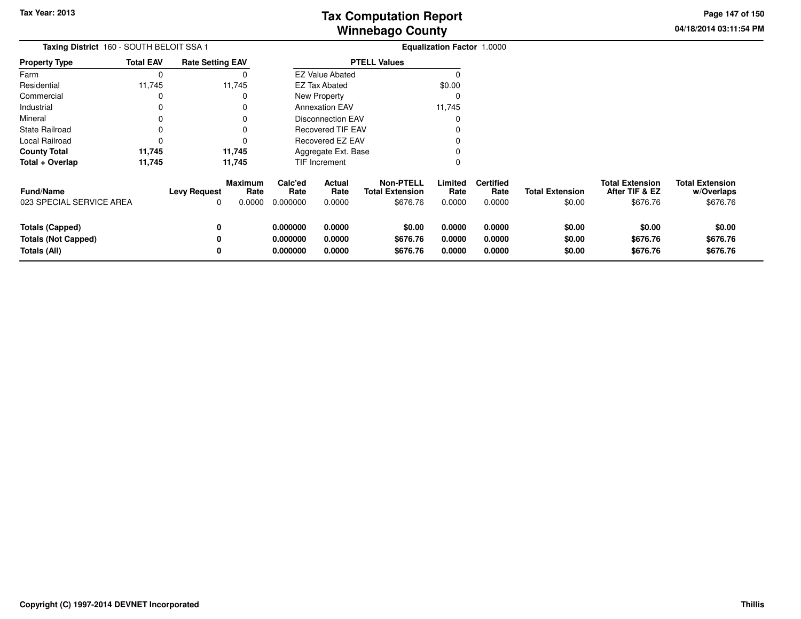**04/18/2014 03:11:54 PMPage 147 of 150**

| Taxing District 160 - SOUTH BELOIT SSA 1                             |                  |                          |                                  | Equalization Factor 1.0000       |                            |                                                        |                            |                                    |                                  |                                                      |                                                  |
|----------------------------------------------------------------------|------------------|--------------------------|----------------------------------|----------------------------------|----------------------------|--------------------------------------------------------|----------------------------|------------------------------------|----------------------------------|------------------------------------------------------|--------------------------------------------------|
| <b>Property Type</b>                                                 | <b>Total EAV</b> | <b>Rate Setting EAV</b>  |                                  |                                  |                            | <b>PTELL Values</b>                                    |                            |                                    |                                  |                                                      |                                                  |
| Farm                                                                 | 0                |                          |                                  |                                  | <b>EZ Value Abated</b>     |                                                        |                            |                                    |                                  |                                                      |                                                  |
| Residential                                                          | 11,745           |                          | 11,745                           |                                  | <b>EZ Tax Abated</b>       |                                                        | \$0.00                     |                                    |                                  |                                                      |                                                  |
| Commercial                                                           | 0                |                          |                                  |                                  | New Property               |                                                        |                            |                                    |                                  |                                                      |                                                  |
| Industrial                                                           | 0                |                          |                                  |                                  | <b>Annexation EAV</b>      |                                                        | 11,745                     |                                    |                                  |                                                      |                                                  |
| Mineral                                                              | 0                |                          |                                  |                                  | <b>Disconnection EAV</b>   |                                                        |                            |                                    |                                  |                                                      |                                                  |
| <b>State Railroad</b>                                                | 0                |                          |                                  |                                  | <b>Recovered TIF EAV</b>   |                                                        |                            |                                    |                                  |                                                      |                                                  |
| Local Railroad                                                       | 0                |                          |                                  |                                  | Recovered EZ EAV           |                                                        |                            |                                    |                                  |                                                      |                                                  |
| <b>County Total</b>                                                  | 11,745           |                          | 11,745                           |                                  | Aggregate Ext. Base        |                                                        |                            |                                    |                                  |                                                      |                                                  |
| Total + Overlap                                                      | 11,745           |                          | 11,745                           |                                  | TIF Increment              |                                                        | 0                          |                                    |                                  |                                                      |                                                  |
| <b>Fund/Name</b><br>023 SPECIAL SERVICE AREA                         |                  | <b>Levy Request</b><br>0 | <b>Maximum</b><br>Rate<br>0.0000 | Calc'ed<br>Rate<br>0.000000      | Actual<br>Rate<br>0.0000   | <b>Non-PTELL</b><br><b>Total Extension</b><br>\$676.76 | Limited<br>Rate<br>0.0000  | <b>Certified</b><br>Rate<br>0.0000 | <b>Total Extension</b><br>\$0.00 | <b>Total Extension</b><br>After TIF & EZ<br>\$676.76 | <b>Total Extension</b><br>w/Overlaps<br>\$676.76 |
| <b>Totals (Capped)</b><br><b>Totals (Not Capped)</b><br>Totals (All) |                  | 0                        |                                  | 0.000000<br>0.000000<br>0.000000 | 0.0000<br>0.0000<br>0.0000 | \$0.00<br>\$676.76<br>\$676.76                         | 0.0000<br>0.0000<br>0.0000 | 0.0000<br>0.0000<br>0.0000         | \$0.00<br>\$0.00<br>\$0.00       | \$0.00<br>\$676.76<br>\$676.76                       | \$0.00<br>\$676.76<br>\$676.76                   |

—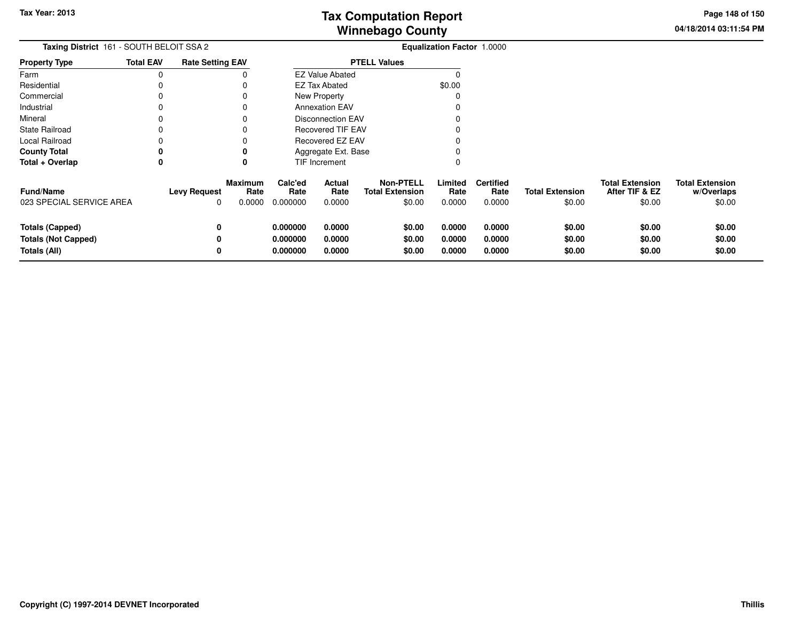**04/18/2014 03:11:54 PM Page 148 of 150**

| <b>Taxing District</b> 161 - SOUTH BELOIT SSA 2 |                  |                          |                                  |                             |                          |                                                      | <b>Equalization Factor 1.0000</b> |                                    |                                  |                                                    |                                                |
|-------------------------------------------------|------------------|--------------------------|----------------------------------|-----------------------------|--------------------------|------------------------------------------------------|-----------------------------------|------------------------------------|----------------------------------|----------------------------------------------------|------------------------------------------------|
| <b>Property Type</b>                            | <b>Total EAV</b> | <b>Rate Setting EAV</b>  |                                  | <b>PTELL Values</b>         |                          |                                                      |                                   |                                    |                                  |                                                    |                                                |
| Farm                                            | 0                |                          |                                  |                             | <b>EZ Value Abated</b>   |                                                      |                                   |                                    |                                  |                                                    |                                                |
| Residential                                     | $\Omega$         |                          |                                  |                             | <b>EZ Tax Abated</b>     |                                                      | \$0.00                            |                                    |                                  |                                                    |                                                |
| Commercial                                      |                  |                          |                                  |                             | New Property             |                                                      |                                   |                                    |                                  |                                                    |                                                |
| Industrial                                      |                  |                          |                                  |                             | <b>Annexation EAV</b>    |                                                      |                                   |                                    |                                  |                                                    |                                                |
| Mineral                                         |                  |                          |                                  |                             | <b>Disconnection EAV</b> |                                                      |                                   |                                    |                                  |                                                    |                                                |
| <b>State Railroad</b>                           |                  |                          |                                  | <b>Recovered TIF EAV</b>    |                          |                                                      |                                   |                                    |                                  |                                                    |                                                |
| Local Railroad                                  |                  |                          |                                  | Recovered EZ EAV            |                          |                                                      |                                   |                                    |                                  |                                                    |                                                |
| <b>County Total</b>                             | 0                |                          |                                  |                             | Aggregate Ext. Base      |                                                      |                                   |                                    |                                  |                                                    |                                                |
| Total + Overlap                                 | 0                |                          | 0                                |                             | TIF Increment            |                                                      |                                   |                                    |                                  |                                                    |                                                |
| <b>Fund/Name</b><br>023 SPECIAL SERVICE AREA    |                  | <b>Levy Request</b><br>0 | <b>Maximum</b><br>Rate<br>0.0000 | Calc'ed<br>Rate<br>0.000000 | Actual<br>Rate<br>0.0000 | <b>Non-PTELL</b><br><b>Total Extension</b><br>\$0.00 | Limited<br>Rate<br>0.0000         | <b>Certified</b><br>Rate<br>0.0000 | <b>Total Extension</b><br>\$0.00 | <b>Total Extension</b><br>After TIF & EZ<br>\$0.00 | <b>Total Extension</b><br>w/Overlaps<br>\$0.00 |
| <b>Totals (Capped)</b>                          |                  | 0                        |                                  | 0.000000                    | 0.0000                   | \$0.00                                               | 0.0000                            | 0.0000                             | \$0.00                           | \$0.00                                             | \$0.00                                         |
| <b>Totals (Not Capped)</b>                      |                  |                          |                                  | 0.000000                    | 0.0000                   | \$0.00                                               | 0.0000                            | 0.0000                             | \$0.00                           | \$0.00                                             | \$0.00                                         |
| Totals (All)                                    |                  | 0                        |                                  | 0.000000                    | 0.0000                   | \$0.00                                               | 0.0000                            | 0.0000                             | \$0.00                           | \$0.00                                             | \$0.00                                         |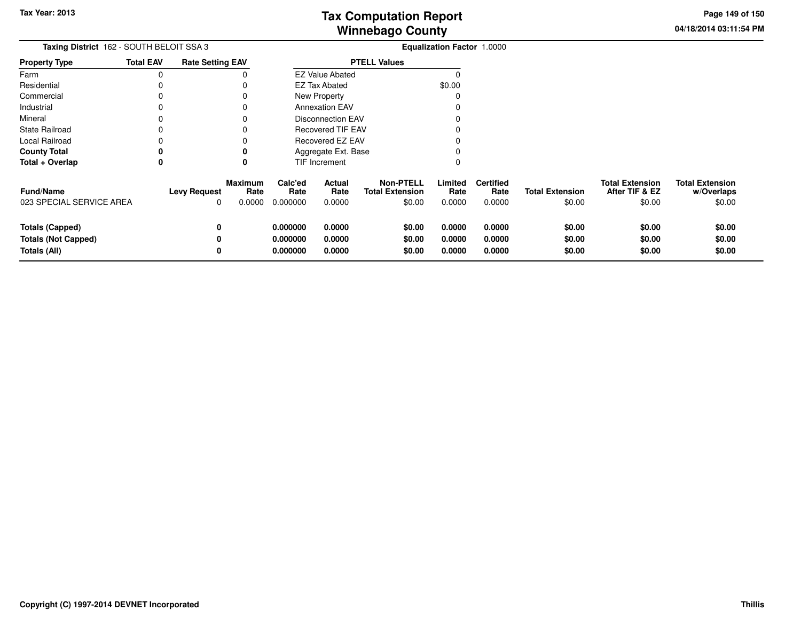**04/18/2014 03:11:54 PM Page 149 of 150**

| Taxing District 162 - SOUTH BELOIT SSA 3 |                  |                         |                 | <b>Equalization Factor 1.0000</b> |                          |                                            |                 |                          |                        |                                          |                                      |
|------------------------------------------|------------------|-------------------------|-----------------|-----------------------------------|--------------------------|--------------------------------------------|-----------------|--------------------------|------------------------|------------------------------------------|--------------------------------------|
| <b>Property Type</b>                     | <b>Total EAV</b> | <b>Rate Setting EAV</b> |                 |                                   |                          | <b>PTELL Values</b>                        |                 |                          |                        |                                          |                                      |
| Farm                                     | $\Omega$         |                         |                 |                                   | <b>EZ Value Abated</b>   |                                            |                 |                          |                        |                                          |                                      |
| Residential                              |                  |                         |                 |                                   | <b>EZ Tax Abated</b>     |                                            | \$0.00          |                          |                        |                                          |                                      |
| Commercial                               |                  |                         |                 |                                   | New Property             |                                            |                 |                          |                        |                                          |                                      |
| Industrial                               |                  |                         |                 |                                   | <b>Annexation EAV</b>    |                                            |                 |                          |                        |                                          |                                      |
| Mineral                                  |                  |                         |                 |                                   | <b>Disconnection EAV</b> |                                            |                 |                          |                        |                                          |                                      |
| <b>State Railroad</b>                    |                  |                         |                 | Recovered TIF EAV                 |                          |                                            |                 |                          |                        |                                          |                                      |
| Local Railroad                           |                  |                         |                 | Recovered EZ EAV                  |                          |                                            |                 |                          |                        |                                          |                                      |
| <b>County Total</b>                      | 0                |                         |                 |                                   | Aggregate Ext. Base      |                                            |                 |                          |                        |                                          |                                      |
| Total + Overlap                          | 0                |                         | 0               |                                   | TIF Increment            |                                            |                 |                          |                        |                                          |                                      |
| <b>Fund/Name</b>                         |                  | <b>Levy Request</b>     | Maximum<br>Rate | Calc'ed<br>Rate                   | Actual<br>Rate           | <b>Non-PTELL</b><br><b>Total Extension</b> | Limited<br>Rate | <b>Certified</b><br>Rate | <b>Total Extension</b> | <b>Total Extension</b><br>After TIF & EZ | <b>Total Extension</b><br>w/Overlaps |
| 023 SPECIAL SERVICE AREA                 |                  | 0                       | 0.0000          | 0.000000                          | 0.0000                   | \$0.00                                     | 0.0000          | 0.0000                   | \$0.00                 | \$0.00                                   | \$0.00                               |
| <b>Totals (Capped)</b>                   |                  | 0                       |                 | 0.000000                          | 0.0000                   | \$0.00                                     | 0.0000          | 0.0000                   | \$0.00                 | \$0.00                                   | \$0.00                               |
| <b>Totals (Not Capped)</b>               |                  | 0                       |                 | 0.000000                          | 0.0000                   | \$0.00                                     | 0.0000          | 0.0000                   | \$0.00                 | \$0.00                                   | \$0.00                               |
| Totals (All)                             |                  | 0                       |                 | 0.000000                          | 0.0000                   | \$0.00                                     | 0.0000          | 0.0000                   | \$0.00                 | \$0.00                                   | \$0.00                               |